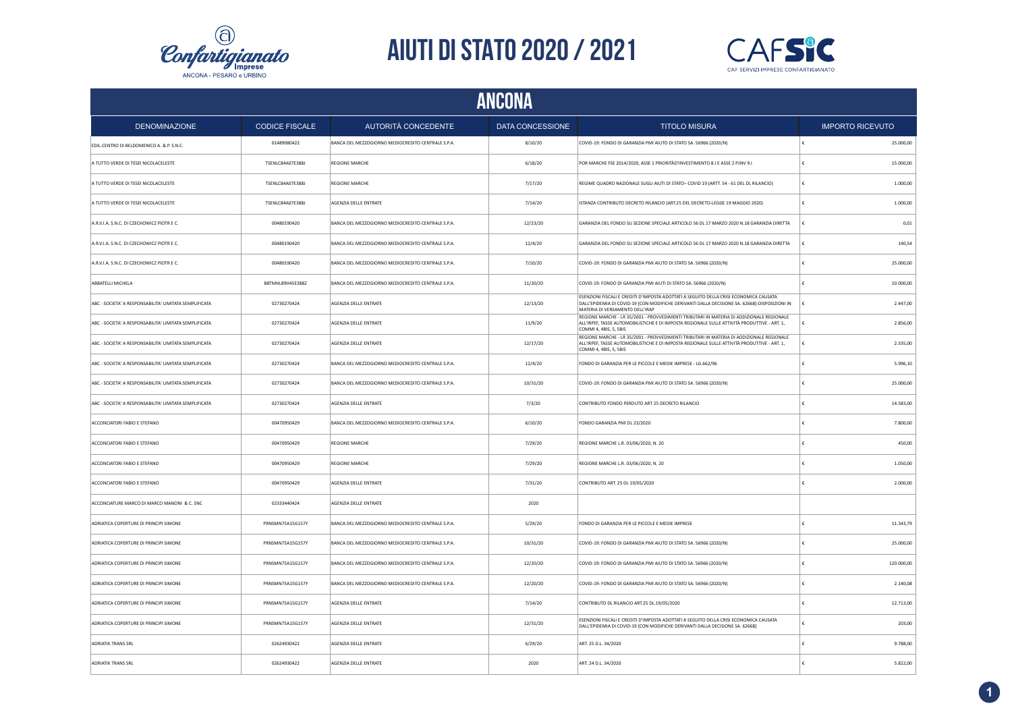



| ANCONA                                                 |                       |                                                    |                  |                                                                                                                                                                                                                            |   |                         |
|--------------------------------------------------------|-----------------------|----------------------------------------------------|------------------|----------------------------------------------------------------------------------------------------------------------------------------------------------------------------------------------------------------------------|---|-------------------------|
| <b>DENOMINAZIONE</b>                                   | <b>CODICE FISCALE</b> | AUTORITÀ CONCEDENTE                                | DATA CONCESSIONE | <b>TITOLO MISURA</b>                                                                                                                                                                                                       |   | <b>IMPORTO RICEVUTO</b> |
| EDIL-CENTRO DI BELDOMENICO A. & P. S.N.C.              | 01489080422           | BANCA DEL MEZZOGIORNO MEDIOCREDITO CENTRALE S.P.A. | 8/10/20          | COVID-19: FONDO DI GARANZIA PMI AIUTO DI STATO SA. 56966 (2020/N)                                                                                                                                                          |   | 25.000,00               |
| A TUTTO VERDE DI TESEI NICOLACELESTE                   | TSENLC84A07E388J      | REGIONE MARCHE                                     | 6/18/20          | POR MARCHE FSE 2014/2020, ASSE 1 PRIORITÀD'INVESTIMENTO 8.1 E ASSE 2 P.INV 9.1                                                                                                                                             |   | 15.000,00               |
| A TUTTO VERDE DI TESEI NICOLACELESTE                   | TSENLC84A07E388J      | REGIONE MARCHE                                     | 7/17/20          | REGIME QUADRO NAZIONALE SUGLI AIUTI DI STATO- COVID 19 (ARTT. 54 - 61 DEL DL RILANCIO)                                                                                                                                     |   | 1.000,00                |
| A TUTTO VERDE DI TESEI NICOLACELESTE                   | TSENLC84A07E388J      | AGENZIA DELLE ENTRATE                              | 7/14/20          | ISTANZA CONTRIBUTO DECRETO RILANCIO (ART.25 DEL DECRETO-LEGGE 19 MAGGIO 2020)                                                                                                                                              | € | 1.000,00                |
| A.R.V.I.A. S.N.C. DI CZECHOWICZ PIOTR E C.             | 00480190420           | BANCA DEL MEZZOGIORNO MEDIOCREDITO CENTRALE S.P.A. | 12/23/20         | GARANZIA DEL FONDO SU SEZIONE SPECIALE ARTICOLO 56 DL 17 MARZO 2020 N.18 GARANZIA DIRETTA                                                                                                                                  | € | 0,01                    |
| A.R.V.I.A. S.N.C. DI CZECHOWICZ PIOTR E C.             | 00480190420           | BANCA DEL MEZZOGIORNO MEDIOCREDITO CENTRALE S.P.A. | 12/4/20          | GARANZIA DEL FONDO SU SEZIONE SPECIALE ARTICOLO 56 DL 17 MARZO 2020 N.18 GARANZIA DIRETTA                                                                                                                                  |   | 140,54                  |
| A.R.V.I.A. S.N.C. DI CZECHOWICZ PIOTR E C.             | 00480190420           | BANCA DEL MEZZOGIORNO MEDIOCREDITO CENTRALE S.P.A. | 7/10/20          | COVID-19: FONDO DI GARANZIA PMI AIUTO DI STATO SA. 56966 (2020/N)                                                                                                                                                          |   | 25.000,00               |
| ABBATELLI MICHELA                                      | BBTMHL89H45E388Z      | BANCA DEL MEZZOGIORNO MEDIOCREDITO CENTRALE S.P.A. | 11/20/20         | COVID-19: FONDO DI GARANZIA PMI AIUTI DI STATO SA. 56966 (2020/N)                                                                                                                                                          |   | 10.000,00               |
| ABC - SOCIETA' A RESPONSABILITA' LIMITATA SEMPLIFICATA | 02730270424           | AGENZIA DELLE ENTRATE                              | 12/13/20         | ESENZIONI FISCALI E CREDITI D'IMPOSTA ADOTTATI A SEGUITO DELLA CRISI ECONOMICA CAUSATA<br>DALL'EPIDEMIA DI COVID-19 [CON MODIFICHE DERIVANTI DALLA DECISIONE SA. 62668]-DISPOSIZIONI IN<br>MATERIA DI VERSAMENTO DELL'IRAP |   | 2.447,00                |
| ABC - SOCIETA' A RESPONSABILITA' LIMITATA SEMPLIFICATA | 02730270424           | AGENZIA DELLE ENTRATE                              | 11/9/20          | REGIONE MARCHE - LR 35/2001 - PROVVEDIMENTI TRIBUTARI IN MATERIA DI ADDIZIONALE REGIONALE<br>ALL'IRPEF, TASSE AUTOMOBILISTICHE E DI IMPOSTA REGIONALE SULLE ATTIVITÀ PRODUTTIVE - ART. 1,<br>COMMI 4, 4BIS, 5, 5BIS        |   | 2.856,00                |
| ABC - SOCIETA' A RESPONSABILITA' LIMITATA SEMPLIFICATA | 02730270424           | AGENZIA DELLE ENTRATE                              | 12/17/20         | REGIONE MARCHE - LR 35/2001 - PROVVEDIMENTI TRIBUTARI IN MATERIA DI ADDIZIONALE REGIONALE<br>ALL'IRPEF, TASSE AUTOMOBILISTICHE E DI IMPOSTA REGIONALE SULLE ATTIVITÀ PRODUTTIVE - ART. 1,<br>COMMI 4, 4BIS, 5, 5BIS        |   | 2.335,00                |
| ABC - SOCIETA' A RESPONSABILITA' LIMITATA SEMPLIFICATA | 02730270424           | BANCA DEL MEZZOGIORNO MEDIOCREDITO CENTRALE S.P.A. | 12/4/20          | FONDO DI GARANZIA PER LE PICCOLE E MEDIE IMPRESE - LG.662/96                                                                                                                                                               |   | 5.996,10                |
| ABC - SOCIETA' A RESPONSABILITA' LIMITATA SEMPLIFICATA | 02730270424           | BANCA DEL MEZZOGIORNO MEDIOCREDITO CENTRALE S.P.A. | 10/31/20         | COVID-19: FONDO DI GARANZIA PMI AIUTO DI STATO SA. 56966 (2020/N)                                                                                                                                                          |   | 25.000,00               |
| ABC - SOCIETA' A RESPONSABILITA' LIMITATA SEMPLIFICATA | 02730270424           | AGENZIA DELLE ENTRATE                              | 7/3/20           | CONTRIBUTO FONDO PERDUTO ART 25 DECRETO RILANCIO                                                                                                                                                                           |   | 14.583,00               |
| ACCONCIATORI FABIO E STEFANO                           | 00470950429           | BANCA DEL MEZZOGIORNO MEDIOCREDITO CENTRALE S.P.A. | 6/10/20          | FONDO GARANZIA PMI DL 23/2020                                                                                                                                                                                              |   | 7.800,00                |
| ACCONCIATORI FABIO E STEFANO                           | 00470950429           | <b>REGIONE MARCHE</b>                              | 7/29/20          | REGIONE MARCHE L.R. 03/06/2020, N. 20                                                                                                                                                                                      |   | 450,00                  |
| ACCONCIATORI FABIO E STEFANO                           | 00470950429           | <b>REGIONE MARCHE</b>                              | 7/29/20          | REGIONE MARCHE L.R. 03/06/2020, N. 20                                                                                                                                                                                      |   | 1.050,00                |
| ACCONCIATORI FABIO E STEFANO                           | 00470950429           | AGENZIA DELLE ENTRATE                              | 7/31/20          | CONTRIBUTO ART, 25 DL 19/05/2020                                                                                                                                                                                           |   | 2.000,00                |
| ACCONCIATURE MARCO DI MARCO MANONI & C. SNC            | 02333440424           | AGENZIA DELLE ENTRATE                              | 2020             |                                                                                                                                                                                                                            |   |                         |
| ADRIATICA COPERTURE DI PRINCIPI SIMONE                 | PRNSMN75A15G157Y      | BANCA DEL MEZZOGIORNO MEDIOCREDITO CENTRALE S.P.A. | 5/29/20          | FONDO DI GARANZIA PER LE PICCOLE E MEDIE IMPRESE                                                                                                                                                                           |   | 11.343,79               |
| ADRIATICA COPERTURE DI PRINCIPI SIMONE                 | PRNSMN75A15G157Y      | BANCA DEL MEZZOGIORNO MEDIOCREDITO CENTRALE S.P.A. | 10/31/20         | COVID-19: FONDO DI GARANZIA PMI AIUTO DI STATO SA. 56966 (2020/N)                                                                                                                                                          |   | 25.000,00               |
| ADRIATICA COPERTURE DI PRINCIPI SIMONE                 | PRNSMN75A15G157Y      | BANCA DEL MEZZOGIORNO MEDIOCREDITO CENTRALE S.P.A. | 12/20/20         | COVID-19: FONDO DI GARANZIA PMI AIUTO DI STATO SA. 56966 (2020/N)                                                                                                                                                          |   | 120.000,00              |
| ADRIATICA COPERTURE DI PRINCIPI SIMONE                 | PRNSMN75A15G157Y      | BANCA DEL MEZZOGIORNO MEDIOCREDITO CENTRALE S.P.A. | 12/20/20         | COVID-19: FONDO DI GARANZIA PMI AIUTO DI STATO SA, 56966 (2020/N)                                                                                                                                                          |   | 2.140,08                |
| ADRIATICA COPERTURE DI PRINCIPI SIMONE                 | PRNSMN75A15G157Y      | AGENZIA DELLE ENTRATE                              | 7/14/20          | CONTRIBUTO DL RILANCIO ART.25 DL.19/05/2020                                                                                                                                                                                |   | 12.713,00               |
| ADRIATICA COPERTURE DI PRINCIPI SIMONE                 | PRNSMN75A15G157Y      | AGENZIA DELLE ENTRATE                              | 12/31/20         | ESENZIONI FISCALI E CREDITI D'IMPOSTA ADOTTATI A SEGUITO DELLA CRISI ECONOMICA CAUSATA<br>DALL'EPIDEMIA DI COVID-19 [CON MODIFICHE DERIVANTI DALLA DECISIONE SA. 62668]                                                    | € | 203,00                  |
| <b>ADRIATIK TRANS SRL</b>                              | 02624930422           | AGENZIA DELLE ENTRATE                              | 6/29/20          | ART. 25 D.L. 34/2020                                                                                                                                                                                                       |   | 9.788,00                |
| <b>ADRIATIK TRANS SRL</b>                              | 02624930422           | AGENZIA DELLE ENTRATE                              | 2020             | ART. 24 D.L. 34/2020                                                                                                                                                                                                       |   | 5.822,00                |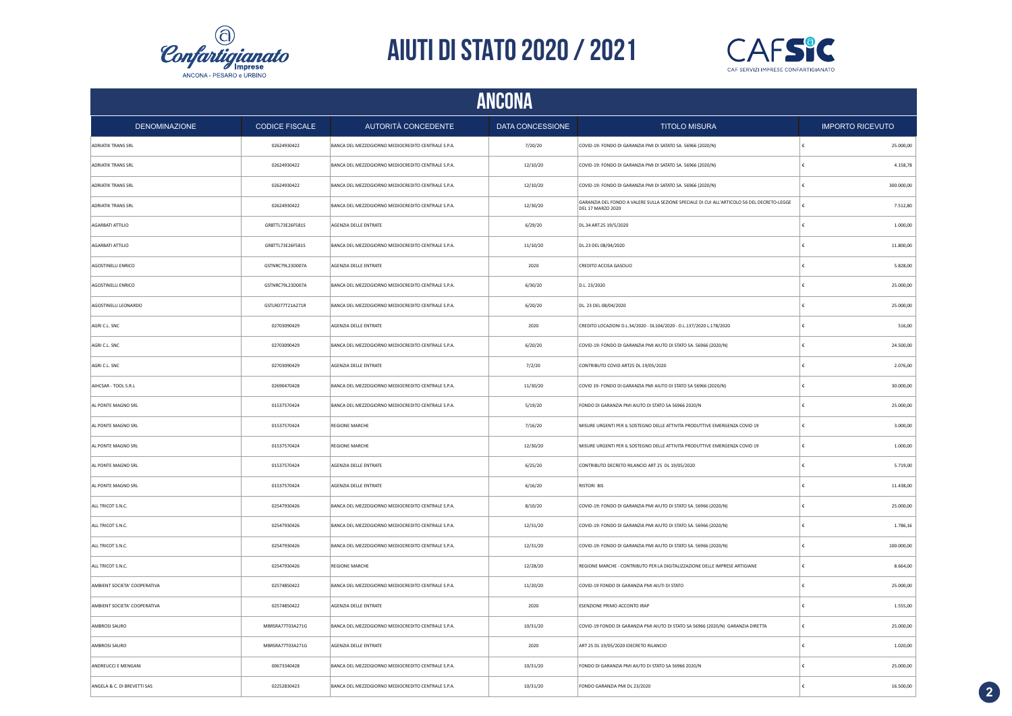



| <b>ANCONA</b>                |                       |                                                    |                  |                                                                                                                  |            |                         |  |
|------------------------------|-----------------------|----------------------------------------------------|------------------|------------------------------------------------------------------------------------------------------------------|------------|-------------------------|--|
| <b>DENOMINAZIONE</b>         | <b>CODICE FISCALE</b> | AUTORITÀ CONCEDENTE                                | DATA CONCESSIONE | <b>TITOLO MISURA</b>                                                                                             |            | <b>IMPORTO RICEVUTO</b> |  |
| <b>ADRIATIK TRANS SRL</b>    | 02624930422           | BANCA DEL MEZZOGIORNO MEDIOCREDITO CENTRALE S.P.A. | 7/20/20          | COVID-19: FONDO DI GARANZIA PMI DI SATATO SA. 56966 (2020/N)                                                     | $\epsilon$ | 25.000,00               |  |
| <b>ADRIATIK TRANS SRL</b>    | 02624930422           | BANCA DEL MEZZOGIORNO MEDIOCREDITO CENTRALE S.P.A. | 12/10/20         | COVID-19: FONDO DI GARANZIA PMI DI SATATO SA. 56966 (2020/N)                                                     | €          | 4.158,78                |  |
| <b>ADRIATIK TRANS SRL</b>    | 02624930422           | BANCA DEL MEZZOGIORNO MEDIOCREDITO CENTRALE S.P.A. | 12/10/20         | COVID-19: FONDO DI GARANZIA PMI DI SATATO SA. 56966 (2020/N)                                                     | €          | 300.000,00              |  |
| <b>ADRIATIK TRANS SRL</b>    | 02624930422           | BANCA DEL MEZZOGIORNO MEDIOCREDITO CENTRALE S.P.A. | 12/30/20         | GARANZIA DEL FONDO A VALERE SULLA SEZIONE SPECIALE DI CUI ALL'ARTICOLO 56 DEL DECRETO-LEGGE<br>DEL 17 MARZO 2020 |            | 7.512,80                |  |
| AGARBATI ATTILIO             | GRBTTL73E26F581S      | AGENZIA DELLE ENTRATE                              | 6/29/20          | DL.34 ART.25 19/5/2020                                                                                           |            | 1.000,00                |  |
| AGARBATI ATTILIO             | GRBTTL73E26F581S      | BANCA DEL MEZZOGIORNO MEDIOCREDITO CENTRALE S.P.A. | 11/10/20         | DL.23 DEL 08/04/2020                                                                                             | €          | 11.800,00               |  |
| AGOSTINELLI ENRICO           | GSTNRC79L23D007A      | AGENZIA DELLE ENTRATE                              | 2020             | CREDITO ACCISA GASOLIO                                                                                           |            | 5.828,00                |  |
| AGOSTINELLI ENRICO           | GSTNRC79L23D007A      | BANCA DEL MEZZOGIORNO MEDIOCREDITO CENTRALE S.P.A. | 6/30/20          | D.L. 23/2020                                                                                                     |            | 25.000,00               |  |
| AGOSTINELLI LEONARDO         | GSTLRD77T21A271R      | BANCA DEL MEZZOGIORNO MEDIOCREDITO CENTRALE S.P.A. | 6/20/20          | DL. 23 DEL 08/04/2020                                                                                            |            | 25.000,00               |  |
| AGRI C.L. SNC                | 02703090429           | AGENZIA DELLE ENTRATE                              | 2020             | CREDITO LOCAZIONI D.L.34/2020 - DL104/2020 - D.L.137/2020 L.178/2020                                             |            | 516,00                  |  |
| AGRI C.L. SNC                | 02703090429           | BANCA DEL MEZZOGIORNO MEDIOCREDITO CENTRALE S.P.A. | 6/20/20          | COVID-19: FONDO DI GARANZIA PMI AIUTO DI STATO SA. 56966 (2020/N)                                                | £          | 24.500,00               |  |
| AGRI C.I. SNC                | 02703090429           | AGENZIA DELLE ENTRATE                              | 7/2/20           | CONTRIBUTO COVID ART25 DL 19/05/2020                                                                             | $\epsilon$ | 2.076,00                |  |
| AIHCSAR - TOOL S.R.L         | 02690470428           | BANCA DEL MEZZOGIORNO MEDIOCREDITO CENTRALE S.P.A. | 11/30/20         | COVID 19- FONDO DI GARANZIA PMI AIUTO DI STATO SA 56966 (2020/N)                                                 | £          | 30.000,00               |  |
| AL PONTE MAGNO SRL           | 01537570424           | BANCA DEL MEZZOGIORNO MEDIOCREDITO CENTRALE S.P.A. | 5/19/20          | FONDO DI GARANZIA PMI AIUTO DI STATO SA 56966 2020/N                                                             | $\epsilon$ | 25.000,00               |  |
| AL PONTE MAGNO SRL           | 01537570424           | <b>REGIONE MARCHE</b>                              | 7/16/20          | MISURE URGENTI PER IL SOSTEGNO DELLE ATTIVITA PRODUTTIVE EMERGENZA COVID 19                                      | $\epsilon$ | 3.000,00                |  |
| AL PONTE MAGNO SRL           | 01537570424           | <b>REGIONE MARCHE</b>                              | 12/30/20         | MISURE URGENTI PER IL SOSTEGNO DELLE ATTIVITA PRODUTTIVE EMERGENZA COVID 19                                      | €          | 1.000,00                |  |
| AL PONTE MAGNO SRL           | 01537570424           | AGENZIA DELLE ENTRATE                              | 6/25/20          | CONTRIBUTO DECRETO RILANCIO ART 25 DL 19/05/2020                                                                 | €          | 5.719,00                |  |
| AL PONTE MAGNO SRL           | 01537570424           | AGENZIA DELLE ENTRATE                              | 6/16/20          | <b>RISTORI BIS</b>                                                                                               | €          | 11.438,00               |  |
| ALL TRICOT S.N.C.            | 02547930426           | BANCA DEL MEZZOGIORNO MEDIOCREDITO CENTRALE S.P.A. | 8/10/20          | COVID-19: FONDO DI GARANZIA PMI AIUTO DI STATO SA. 56966 (2020/N)                                                | €          | 25.000,00               |  |
| ALL TRICOT S.N.C.            | 02547930426           | BANCA DEL MEZZOGIORNO MEDIOCREDITO CENTRALE S.P.A. | 12/31/20         | COVID-19: FONDO DI GARANZIA PMI AIUTO DI STATO SA. 56966 (2020/N)                                                | €          | 1.786,16                |  |
| ALL TRICOT S.N.C.            | 02547930426           | BANCA DEL MEZZOGIORNO MEDIOCREDITO CENTRALE S.P.A. | 12/31/20         | COVID-19: FONDO DI GARANZIA PMI AIUTO DI STATO SA. 56966 (2020/N)                                                | €          | 100.000,00              |  |
| ALL TRICOT S.N.C.            | 02547930426           | <b>REGIONE MARCHE</b>                              | 12/28/20         | REGIONE MARCHE - CONTRIBUTO PER LA DIGITALIZZAZIONE DELLE IMPRESE ARTIGIANE                                      | €          | 8.664,00                |  |
| AMBIENT SOCIETA' COOPERATIVA | 02574850422           | BANCA DEL MEZZOGIORNO MEDIOCREDITO CENTRALE S.P.A. | 11/20/20         | COVID-19 FONDO DI GARANZIA PMI AIUTI DI STATO                                                                    | €          | 25.000,00               |  |
| AMBIENT SOCIETA' COOPERATIVA | 02574850422           | AGENZIA DELLE ENTRATE                              | 2020             | ESENZIONE PRIMO ACCONTO IRAP                                                                                     |            | 1.555,00                |  |
| AMBROSI SAURO                | MBRSRA77T03A271G      | BANCA DEL MEZZOGIORNO MEDIOCREDITO CENTRALE S.P.A. | 10/31/20         | COVID-19 FONDO DI GARANZIA PMI AIUTO DI STATO SA 56966 (2020/N) GARANZIA DIRETTA                                 | €          | 25.000,00               |  |
| AMBROSI SAURO                | MBRSRA77T03A271G      | AGENZIA DELLE ENTRATE                              | 2020             | ART 25 DL 19/05/2020 IDECRETO RILANCIO                                                                           |            | 1.020,00                |  |
| ANDREUCCI E MENGANI          | 00673340428           | BANCA DEL MEZZOGIORNO MEDIOCREDITO CENTRALE S.P.A. | 10/31/20         | FONDO DI GARANZIA PMI AIUTO DI STATO SA 56966 2020/N                                                             |            | 25.000,00               |  |
| ANGELA & C. DI BREVETTI SAS  | 02252830423           | BANCA DEL MEZZOGIORNO MEDIOCREDITO CENTRALE S.P.A. | 10/31/20         | FONDO GARANZIA PMI DL 23/2020                                                                                    | £          | 16.500,00               |  |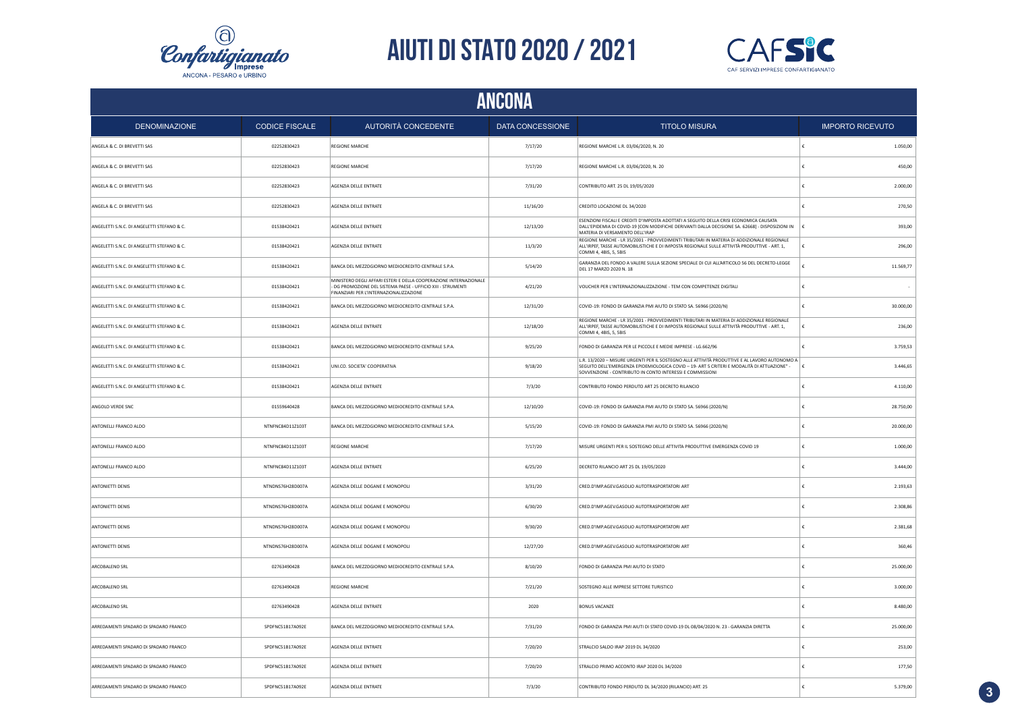



| <b>ANCONA</b>                              |                       |                                                                                                                                                                            |                  |                                                                                                                                                                                                                                                           |                         |           |
|--------------------------------------------|-----------------------|----------------------------------------------------------------------------------------------------------------------------------------------------------------------------|------------------|-----------------------------------------------------------------------------------------------------------------------------------------------------------------------------------------------------------------------------------------------------------|-------------------------|-----------|
| <b>DENOMINAZIONE</b>                       | <b>CODICE FISCALE</b> | <b>AUTORITÀ CONCEDENTE</b>                                                                                                                                                 | DATA CONCESSIONE | <b>TITOLO MISURA</b>                                                                                                                                                                                                                                      | <b>IMPORTO RICEVUTO</b> |           |
| ANGELA & C. DI BREVETTI SAS                | 02252830423           | <b>REGIONE MARCHE</b>                                                                                                                                                      | 7/17/20          | REGIONE MARCHE L.R. 03/06/2020, N. 20                                                                                                                                                                                                                     |                         | 1.050,00  |
| ANGELA & C. DI BREVETTI SAS                | 02252830423           | <b>REGIONE MARCHE</b>                                                                                                                                                      | 7/17/20          | REGIONE MARCHE L.R. 03/06/2020, N. 20                                                                                                                                                                                                                     |                         | 450,00    |
| ANGELA & C. DI BREVETTI SAS                | 02252830423           | AGENZIA DELLE ENTRATE                                                                                                                                                      | 7/31/20          | CONTRIBUTO ART. 25 DL 19/05/2020                                                                                                                                                                                                                          |                         | 2.000,00  |
| ANGELA & C. DI BREVETTI SAS                | 02252830423           | AGENZIA DELLE ENTRATE                                                                                                                                                      | 11/16/20         | CREDITO LOCAZIONE DL 34/2020                                                                                                                                                                                                                              |                         | 270,50    |
| ANGELETTI S.N.C. DI ANGELETTI STEFANO & C. | 01538420421           | AGENZIA DELLE ENTRATE                                                                                                                                                      | 12/13/20         | ESENZIONI FISCALI E CREDITI D'IMPOSTA ADOTTATI A SEGUITO DELLA CRISI ECONOMICA CAUSATA<br>DALL'EPIDEMIA DI COVID-19 [CON MODIFICHE DERIVANTI DALLA DECISIONE SA. 62668] - DISPOSIZIONI IN<br>MATERIA DI VERSAMENTO DELL'IRAP                              |                         | 393.00    |
| ANGELETTI S.N.C. DI ANGELETTI STEFANO & C. | 01538420421           | AGENZIA DELLE ENTRATE                                                                                                                                                      | 11/3/20          | REGIONE MARCHE - LR 35/2001 - PROVVEDIMENTI TRIBUTARI IN MATERIA DI ADDIZIONALE REGIONALE<br>ALL'IRPEF, TASSE AUTOMOBILISTICHE E DI IMPOSTA REGIONALE SULLE ATTIVITÀ PRODUTTIVE - ART. 1,<br>COMMI 4, 4BIS, 5, 5BIS                                       |                         | 296.00    |
| ANGELETTI S.N.C. DI ANGELETTI STEFANO & C. | 01538420421           | BANCA DEL MEZZOGIORNO MEDIOCREDITO CENTRALE S.P.A.                                                                                                                         | 5/14/20          | GARANZIA DEL FONDO A VALERE SULLA SEZIONE SPECIALE DI CUI ALL'ARTICOLO 56 DEL DECRETO-LEGGE<br>DEL 17 MARZO 2020 N. 18                                                                                                                                    |                         | 11.569,77 |
| ANGELETTI S.N.C. DI ANGELETTI STEFANO & C. | 01538420421           | MINISTERO DEGLI AFFARI ESTERI E DELLA COOPERAZIONE INTERNAZIONALE<br>DG PROMOZIONE DEL SISTEMA PAESE - UFFICIO XIII - STRUMENTI<br>FINANZIARI PER L'INTERNAZIONALIZZAZIONE | 4/21/20          | VOUCHER PER L'INTERNAZIONALIZZAZIONE - TEM CON COMPETENZE DIGITALI                                                                                                                                                                                        |                         |           |
| ANGELETTI S.N.C. DI ANGELETTI STEFANO & C. | 01538420421           | BANCA DEL MEZZOGIORNO MEDIOCREDITO CENTRALE S.P.A.                                                                                                                         | 12/31/20         | COVID-19: FONDO DI GARANZIA PMI AIUTO DI STATO SA. 56966 (2020/N)                                                                                                                                                                                         |                         | 30.000,00 |
| ANGELETTI S.N.C. DI ANGELETTI STEFANO & C. | 01538420421           | AGENZIA DELLE ENTRATE                                                                                                                                                      | 12/18/20         | REGIONE MARCHE - LR 35/2001 - PROVVEDIMENTI TRIBUTARI IN MATERIA DI ADDIZIONALE REGIONALE<br>ALL'IRPEF, TASSE AUTOMOBILISTICHE E DI IMPOSTA REGIONALE SULLE ATTIVITÀ PRODUTTIVE - ART. 1,<br>COMMI 4, 4BIS, 5, 5BIS                                       |                         | 236,00    |
| ANGELETTI S.N.C. DI ANGELETTI STEFANO & C. | 01538420421           | BANCA DEL MEZZOGIORNO MEDIOCREDITO CENTRALE S.P.A.                                                                                                                         | 9/25/20          | FONDO DI GARANZIA PER LE PICCOLE E MEDIE IMPRESE - LG.662/96                                                                                                                                                                                              |                         | 3.759,53  |
| ANGELETTI S.N.C. DI ANGELETTI STEFANO & C. | 01538420421           | UNI.CO. SOCIETA' COOPERATIVA                                                                                                                                               | 9/18/20          | L.R. 13/2020 - MISURE URGENTI PER IL SOSTEGNO ALLE ATTIVITÀ PRODUTTIVE E AL LAVORO AUTONOMO A<br>SEGUITO DELL'EMERGENZA EPIDEMIOLOGICA COVID - 19- ART 5 CRITERI E MODALITÀ DI ATTUAZIONE" -<br>SOVVENZIONE - CONTRIBUTO IN CONTO INTERESSI E COMMISSIONI |                         | 3.446,65  |
| ANGELETTI S.N.C. DI ANGELETTI STEFANO & C. | 01538420421           | AGENZIA DELLE ENTRATE                                                                                                                                                      | 7/3/20           | CONTRIBUTO FONDO PERDUTO ART 25 DECRETO RILANCIO                                                                                                                                                                                                          |                         | 4.110,00  |
| ANGOLO VERDE SNC                           | 01559640428           | BANCA DEL MEZZOGIORNO MEDIOCREDITO CENTRALE S.P.A.                                                                                                                         | 12/10/20         | COVID-19: FONDO DI GARANZIA PMI AIUTO DI STATO SA. 56966 (2020/N)                                                                                                                                                                                         |                         | 28.750,00 |
| ANTONELLI FRANCO ALDO                      | NTNFNC84D11Z103T      | BANCA DEL MEZZOGIORNO MEDIOCREDITO CENTRALE S.P.A.                                                                                                                         | 5/15/20          | COVID-19: FONDO DI GARANZIA PMI AIUTO DI STATO SA. 56966 (2020/N)                                                                                                                                                                                         |                         | 20.000,00 |
| ANTONELLI FRANCO ALDO                      | NTNFNC84D11Z103T      | <b>REGIONE MARCHE</b>                                                                                                                                                      | 7/17/20          | MISURE URGENTI PER IL SOSTEGNO DELLE ATTIVITA PRODUTTIVE EMERGENZA COVID 19                                                                                                                                                                               |                         | 1.000,00  |
| ANTONELLI FRANCO ALDO                      | NTNFNC84D11Z103T      | AGENZIA DELLE ENTRATE                                                                                                                                                      | 6/25/20          | DECRETO RILANCIO ART 25 DL 19/05/2020                                                                                                                                                                                                                     |                         | 3.444,00  |
| <b>ANTONIETTI DENIS</b>                    | NTNDNS76H28D007A      | AGENZIA DELLE DOGANE E MONOPOLI                                                                                                                                            | 3/31/20          | CRED.D'IMP.AGEV.GASOLIO AUTOTRASPORTATORI ART                                                                                                                                                                                                             |                         | 2.193,63  |
| <b>ANTONIETTI DENIS</b>                    | NTNDNS76H28D007A      | AGENZIA DELLE DOGANE E MONOPOLI                                                                                                                                            | 6/30/20          | CRED.D'IMP.AGEV.GASOLIO AUTOTRASPORTATORI ART                                                                                                                                                                                                             |                         | 2.308,86  |
| <b>ANTONIETTI DENIS</b>                    | NTNDNS76H28D007A      | AGENZIA DELLE DOGANE E MONOPOLI                                                                                                                                            | 9/30/20          | CRED.D'IMP.AGEV.GASOLIO AUTOTRASPORTATORI ART                                                                                                                                                                                                             |                         | 2.381,68  |
| <b>ANTONIETTI DENIS</b>                    | NTNDNS76H28D007A      | AGENZIA DELLE DOGANE E MONOPOLI                                                                                                                                            | 12/27/20         | CRED.D'IMP.AGEV.GASOLIO AUTOTRASPORTATORI ART                                                                                                                                                                                                             |                         | 360.46    |
| ARCOBALENO SRL                             | 02763490428           | BANCA DEL MEZZOGIORNO MEDIOCREDITO CENTRALE S.P.A.                                                                                                                         | 8/10/20          | FONDO DI GARANZIA PMI AIUTO DI STATO                                                                                                                                                                                                                      |                         | 25.000,00 |
| ARCOBALENO SRL                             | 02763490428           | <b>REGIONE MARCHE</b>                                                                                                                                                      | 7/21/20          | SOSTEGNO ALLE IMPRESE SETTORE TURISTICO                                                                                                                                                                                                                   |                         | 3.000,00  |
| ARCOBALENO SRL                             | 02763490428           | AGENZIA DELLE ENTRATE                                                                                                                                                      | 2020             | <b>BONUS VACANZE</b>                                                                                                                                                                                                                                      |                         | 8.480,00  |
| ARREDAMENTI SPADARO DI SPADARO FRANCO      | SPDFNC51B17A092E      | BANCA DEL MEZZOGIORNO MEDIOCREDITO CENTRALE S.P.A.                                                                                                                         | 7/31/20          | FONDO DI GARANZIA PMI AIUTI DI STATO COVID-19 DL 08/04/2020 N. 23 - GARANZIA DIRETTA                                                                                                                                                                      |                         | 25.000,00 |
| ARREDAMENTI SPADARO DI SPADARO FRANCO      | SPDFNC51B17A092E      | AGENZIA DELLE ENTRATE                                                                                                                                                      | 7/20/20          | STRALCIO SALDO IRAP 2019 DL 34/2020                                                                                                                                                                                                                       |                         | 253,00    |
| ARREDAMENTI SPADARO DI SPADARO FRANCO      | SPDFNC51B17A092E      | AGENZIA DELLE ENTRATE                                                                                                                                                      | 7/20/20          | STRALCIO PRIMO ACCONTO IRAP 2020 DL 34/2020                                                                                                                                                                                                               |                         | 177,50    |
| ARREDAMENTI SPADARO DI SPADARO FRANCO      | SPDFNC51B17A092E      | AGENZIA DELLE ENTRATE                                                                                                                                                      | 7/3/20           | CONTRIBUTO FONDO PERDUTO DL 34/2020 (RILANCIO) ART. 25                                                                                                                                                                                                    |                         | 5.379,00  |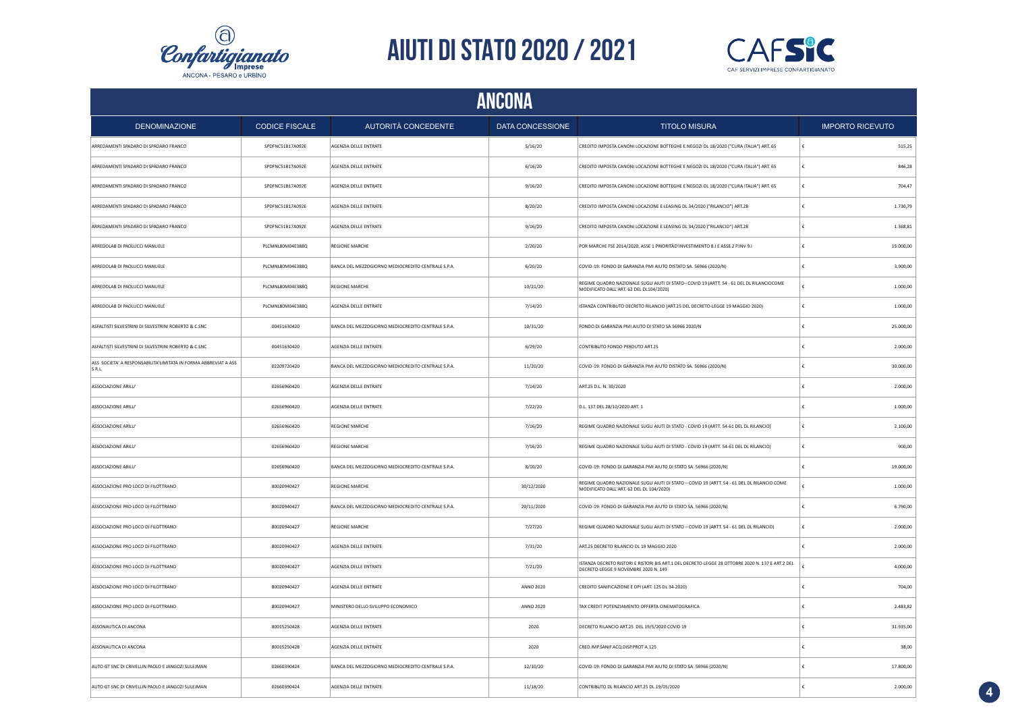



| <b>DENOMINAZIONE</b>                                                     | <b>CODICE FISCALE</b> | AUTORITÀ CONCEDENTE                                | DATA CONCESSIONE | <b>TITOLO MISURA</b>                                                                                                                     | <b>IMPORTO RICEVUTO</b> |  |
|--------------------------------------------------------------------------|-----------------------|----------------------------------------------------|------------------|------------------------------------------------------------------------------------------------------------------------------------------|-------------------------|--|
| ARREDAMENTI SPADARO DI SPADARO FRANCO                                    | SPDFNC51B17A092E      | AGENZIA DELLE ENTRATE                              | 5/16/20          | CREDITO IMPOSTA CANONI LOCAZIONE BOTTEGHE E NEGOZI DL 18/2020 ("CURA ITALIA") ART. 65                                                    | 515,25                  |  |
| ARREDAMENTI SPADARO DI SPADARO FRANCO                                    | SPDFNC51B17A092E      | AGENZIA DELLE ENTRATE                              | 6/16/20          | CREDITO IMPOSTA CANONI LOCAZIONE BOTTEGHE E NEGOZI DL 18/2020 ("CURA ITALIA") ART. 65                                                    | 846,28<br>£             |  |
| ARREDAMENTI SPADARO DI SPADARO FRANCO                                    | SPDFNC51B17A092E      | AGENZIA DELLE ENTRATE                              | 9/16/20          | CREDITO IMPOSTA CANONI LOCAZIONE BOTTEGHE E NEGOZI DL 18/2020 ("CURA ITALIA") ART. 65                                                    | 704,47                  |  |
| ARREDAMENTI SPADARO DI SPADARO FRANCO                                    | SPDFNC51B17A092E      | AGENZIA DELLE ENTRATE                              | 8/20/20          | CREDITO IMPOSTA CANONI LOCAZIONE E LEASING DL 34/2020 ("RILANCIO") ART.28                                                                | 1.730,79<br>£           |  |
| ARREDAMENTI SPADARO DI SPADARO FRANCO                                    | SPDFNC51B17A092E      | AGENZIA DELLE ENTRATE                              | 9/16/20          | CREDITO IMPOSTA CANONI LOCAZIONE E LEASING DL 34/2020 ("RILANCIO") ART.28                                                                | 1.368,81                |  |
| ARREDOLAB DI PAOLUCCI MANUELE                                            | PLCMNL80M04E388Q      | <b>REGIONE MARCHE</b>                              | 2/20/20          | POR MARCHE FSE 2014/2020, ASSE 1 PRIORITÀD'INVESTIMENTO 8.I E ASSE 2 P.INV 9.I                                                           | 15.000,00<br>£          |  |
| ARREDOLAB DI PAOLUCCI MANUELE                                            | PLCMNL80M04E388Q      | BANCA DEL MEZZOGIORNO MEDIOCREDITO CENTRALE S.P.A. | 6/20/20          | COVID-19: FONDO DI GARANZIA PMI AIUTO DISTATO SA. 56966 (2020/N)                                                                         | 3.900,00                |  |
| ARREDOLAB DI PAOLUCCI MANUELE                                            | PLCMNL80M04F388O      | <b>REGIONE MARCHE</b>                              | 10/21/20         | REGIME QUADRO NAZIONALE SUGLI AIUTI DI STATO- COVID 19 (ARTT. 54 - 61 DEL DL RILANCIOCOME<br>MODIFICATO DALL'ART. 62 DEL DL104/2020)     | 1,000.00                |  |
| ARREDOLAB DI PAOLUCCI MANUELE                                            | PLCMNL80M04E388Q      | AGENZIA DELLE ENTRATE                              | 7/14/20          | ISTANZA CONTRIBUTO DECRETO RILANCIO (ART.25 DEL DECRETO-LEGGE 19 MAGGIO 2020)                                                            | 1.000,00<br>€           |  |
| ASFALTISTI SILVESTRINI DI SILVESTRINI ROBERTO & C.SNC                    | 00451630420           | BANCA DEL MEZZOGIORNO MEDIOCREDITO CENTRALE S.P.A. | 10/31/20         | FONDO DI GARANZIA PMI AIUTO DI STATO SA 56966 2020/N                                                                                     | 25.000,00               |  |
| ASFALTISTI SILVESTRINI DI SILVESTRINI ROBERTO & C.SNC                    | 00451630420           | AGENZIA DELLE ENTRATE                              | 6/29/20          | CONTRIBUTO FONDO PERDUTO ART.25                                                                                                          | 2.000,00                |  |
| ASS SOCIETA' A RESPONSABILITA'LIMITATA IN FORMA ABBREVIAT A ASS<br>S.R.L | 02209720420           | BANCA DEL MEZZOGIORNO MEDIOCREDITO CENTRALE S.P.A. | 11/20/20         | COVID-19: FONDO DI GARANZIA PMI AIUTO DISTATO SA. 56966 (2020/N)                                                                         | 30.000,00               |  |
| ASSOCIAZIONE ARILU'                                                      | 02656960420           | AGENZIA DELLE ENTRATE                              | 7/14/20          | ART.25 D.L. N. 30/2020                                                                                                                   | 2.000,00                |  |
| ASSOCIAZIONE ARILU'                                                      | 02656960420           | AGENZIA DELLE ENTRATE                              | 7/22/20          | D.L. 137 DEL 28/10/2020 ART. 1                                                                                                           | 1.000,00                |  |
| <b>ASSOCIAZIONE ARILU</b>                                                | 02656960420           | <b>REGIONE MARCHE</b>                              | 7/16/20          | REGIME QUADRO NAZIONALE SUGLI AIUTI DI STATO - COVID 19 (ARTT. 54-61 DEL DL RILANCIO)                                                    | 2.100,00<br>£           |  |
| ASSOCIAZIONE ARILU'                                                      | 02656960420           | <b>REGIONE MARCHE</b>                              | 7/16/20          | REGIME QUADRO NAZIONALE SUGLI AIUTI DI STATO - COVID 19 (ARTT. 54-61 DEL DL RILANCIO)                                                    | €<br>900,00             |  |
| ASSOCIAZIONE ARILU'                                                      | 02656960420           | BANCA DEL MEZZOGIORNO MEDIOCREDITO CENTRALE S.P.A. | 8/10/20          | COVID-19: FONDO DI GARANZIA PMI AIUTO DI STATO SA. 56966 (2020/N)                                                                        | 19,000.00               |  |
| ASSOCIAZIONE PRO LOCO DI FILOTTRANO                                      | 80020940427           | <b>REGIONE MARCHE</b>                              | 30/12/2020       | REGIME QUADRO NAZIONALE SUGLI AIUTI DI STATO - COVID 19 (ARTT. 54 - 61 DEL DL RILANCIO COME<br>MODIFICATO DALL'ART. 62 DEL DL 104/2020)  | 1.000,00                |  |
| ASSOCIAZIONE PRO LOCO DI FILOTTRANO                                      | 80020940427           | BANCA DEL MEZZOGIORNO MEDIOCREDITO CENTRALE S.P.A. | 20/11/2020       | COVID-19: FONDO DI GARANZIA PMI AIUTO DI STATO SA. 56966 (2020/N)                                                                        | 6.790,00                |  |
| ASSOCIAZIONE PRO LOCO DI FILOTTRANO                                      | 80020940427           | <b>REGIONE MARCHE</b>                              | 7/27/20          | REGIME QUADRO NAZIONALE SUGLI AIUTI DI STATO - COVID 19 (ARTT. 54 - 61 DEL DL RILANCIO)                                                  | 2.000,00                |  |
| ASSOCIAZIONE PRO LOCO DI FILOTTRANO                                      | 80020940427           | AGENZIA DELLE ENTRATE                              | 7/31/20          | ART.25 DECRETO RILANCIO DL 19 MAGGIO 2020                                                                                                | 2.000,00                |  |
| ASSOCIAZIONE PRO LOCO DI FILOTTRANO                                      | 80020940427           | AGENZIA DELLE ENTRATE                              | 7/21/20          | ISTANZA DECRETO RISTORI E RISTORI BIS ART.1 DEL DECRETO-LEGGE 28 OTTOBRE 2020 N. 137 E ART.2 DEL<br>DECRETO-LEGGE 9 NOVEMBRE 2020 N. 149 | 4.000,00                |  |
| ASSOCIAZIONE PRO LOCO DI FILOTTRANO                                      | 80020940427           | AGENZIA DELLE ENTRATE                              | ANNO 2020        | CREDITO SANIFICAZIONE E DPI (ART. 125 DL 34-2020)                                                                                        | 704,00                  |  |
| ASSOCIAZIONE PRO LOCO DI FILOTTRANO                                      | 80020940427           | MINISTERO DELLO SVILUPPO ECONOMICO                 | ANNO 2020        | TAX CREDIT POTENZIAMENTO OFFERTA CINEMATOGRAFICA                                                                                         | 2.483,82                |  |
| ASSONAUTICA DI ANCONA                                                    | 80015250428           | AGENZIA DELLE ENTRATE                              | 2020             | DECRETO RILANCIO ART.25 DEL 19/5/2020 COVID 19                                                                                           | 31.935,00               |  |
| ASSONAUTICA DI ANCONA                                                    | 80015250428           | AGENZIA DELLE ENTRATE                              | 2020             | CRED.IMP.SANIF.ACQ.DISP.PROT A.125                                                                                                       | 38,00                   |  |
| AUTO GT SNC DI CRIVELLIN PAOLO E JANGOZI SULEJMAN                        | 02660390424           | BANCA DEL MEZZOGIORNO MEDIOCREDITO CENTRALE S.P.A. | 12/10/20         | COVID-19: FONDO DI GARANZIA PMI AIUTO DI STATO SA. 56966 (2020/N)                                                                        | 17.800,00               |  |
| AUTO GT SNC DI CRIVELLIN PAOLO E JANGOZI SULEJMAN                        | 02660390424           | AGENZIA DELLE ENTRATE                              | 11/18/20         | CONTRIBUTO DL RILANCIO ART.25 DL.19/05/2020                                                                                              | 2.000,00                |  |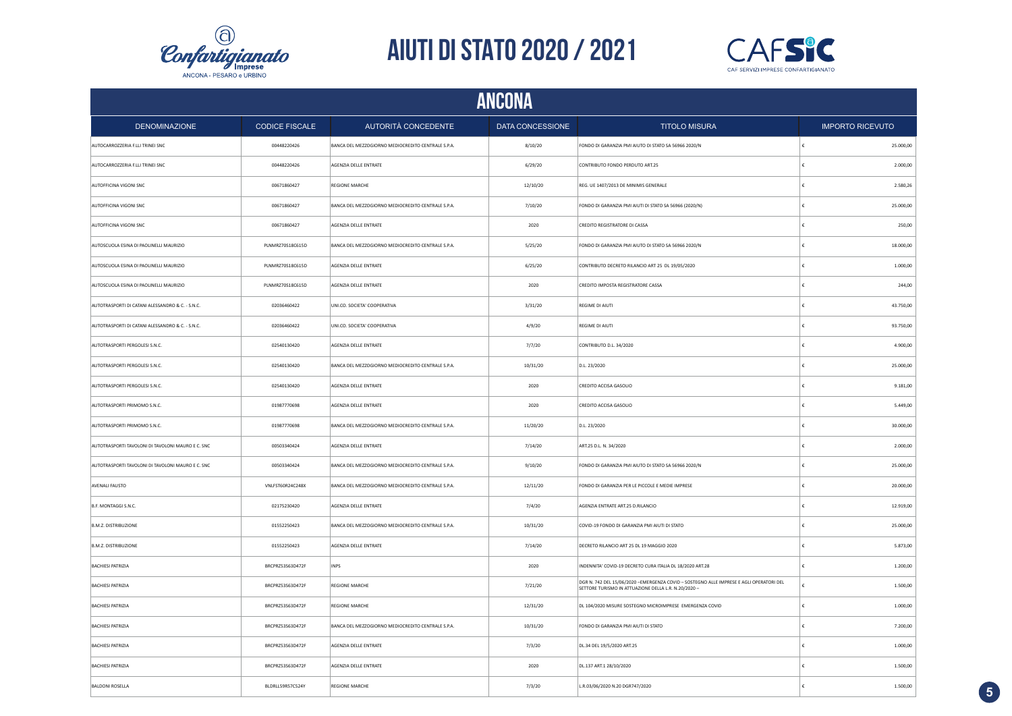



|                                                   | ANCONA                |                                                    |                  |                                                                                                                                                  |            |                         |  |
|---------------------------------------------------|-----------------------|----------------------------------------------------|------------------|--------------------------------------------------------------------------------------------------------------------------------------------------|------------|-------------------------|--|
| <b>DENOMINAZIONE</b>                              | <b>CODICE FISCALE</b> | AUTORITÀ CONCEDENTE                                | DATA CONCESSIONE | <b>TITOLO MISURA</b>                                                                                                                             |            | <b>IMPORTO RICEVUTO</b> |  |
| AUTOCARROZZERIA F.LLI TRINEI SNC                  | 00448220426           | BANCA DEL MEZZOGIORNO MEDIOCREDITO CENTRALE S.P.A. | 8/10/20          | FONDO DI GARANZIA PMI AIUTO DI STATO SA 56966 2020/N                                                                                             | $\epsilon$ | 25.000,00               |  |
| AUTOCARROZZERIA F.LLI TRINEI SNC                  | 00448220426           | AGENZIA DELLE ENTRATE                              | 6/29/20          | CONTRIBUTO FONDO PERDUTO ART.25                                                                                                                  | €          | 2.000,00                |  |
| AUTOFFICINA VIGONI SNC                            | 00671860427           | REGIONE MARCHE                                     | 12/10/20         | REG. UE 1407/2013 DE MINIMIS GENERALE                                                                                                            | €          | 2.580,26                |  |
| AUTOFFICINA VIGONI SNC                            | 00671860427           | BANCA DEL MEZZOGIORNO MEDIOCREDITO CENTRALE S.P.A. | 7/10/20          | FONDO DI GARANZIA PMI AIUTI DI STATO SA 56966 (2020/N)                                                                                           | €          | 25.000,00               |  |
| AUTOFFICINA VIGONI SNC                            | 00671860427           | AGENZIA DELLE ENTRATE                              | 2020             | CREDITO REGISTRATORE DI CASSA                                                                                                                    |            | 250,00                  |  |
| AUTOSCUOLA ESINA DI PAOLINELLI MAURIZIO           | PLNMRZ70S18C615D      | BANCA DEL MEZZOGIORNO MEDIOCREDITO CENTRALE S.P.A. | 5/25/20          | FONDO DI GARANZIA PMI AIUTO DI STATO SA 56966 2020/N                                                                                             |            | 18.000,00               |  |
| AUTOSCUOLA ESINA DI PAOLINELLI MAURIZIO           | PLNMRZ70S18C615D      | AGENZIA DELLE ENTRATE                              | 6/25/20          | CONTRIBUTO DECRETO RILANCIO ART 25 DL 19/05/2020                                                                                                 |            | 1.000,00                |  |
| AUTOSCUOLA ESINA DI PAOLINELLI MAURIZIO           | PLNMRZ70S18C615D      | AGENZIA DELLE ENTRATE                              | 2020             | CREDITO IMPOSTA REGISTRATORE CASSA                                                                                                               | £          | 244,00                  |  |
| AUTOTRASPORTI DI CATANI ALESSANDRO & C. - S.N.C.  | 02036460422           | UNI.CO. SOCIETA' COOPERATIVA                       | 3/31/20          | REGIME DI AIUTI                                                                                                                                  | £          | 43.750,00               |  |
| AUTOTRASPORTI DI CATANI ALESSANDRO & C. - S.N.C.  | 02036460422           | UNI.CO. SOCIETA' COOPERATIVA                       | 4/9/20           | REGIME DI AIUTI                                                                                                                                  | £          | 93.750,00               |  |
| AUTOTRASPORTI PERGOLESI S.N.C.                    | 02540130420           | AGENZIA DELLE ENTRATE                              | 7/7/20           | CONTRIBUTO D.L. 34/2020                                                                                                                          | £          | 4.900.00                |  |
| AUTOTRASPORTI PERGOLESI S.N.C.                    | 02540130420           | BANCA DEL MEZZOGIORNO MEDIOCREDITO CENTRALE S.P.A. | 10/31/20         | D.L. 23/2020                                                                                                                                     | $\epsilon$ | 25.000,00               |  |
| AUTOTRASPORTI PERGOLESI S.N.C.                    | 02540130420           | AGENZIA DELLE ENTRATE                              | 2020             | CREDITO ACCISA GASOLIO                                                                                                                           | €          | 9.181,00                |  |
| AUTOTRASPORTI PRIMOMO S.N.C.                      | 01987770698           | AGENZIA DELLE ENTRATE                              | 2020             | CREDITO ACCISA GASOLIO                                                                                                                           | €          | 5.449,00                |  |
| AUTOTRASPORTI PRIMOMO S.N.C.                      | 01987770698           | BANCA DEL MEZZOGIORNO MEDIOCREDITO CENTRALE S.P.A. | 11/20/20         | D.L. 23/2020                                                                                                                                     | €          | 30.000,00               |  |
| AUTOTRASPORTI TAVOLONI DI TAVOLONI MAURO E C. SNC | 00503340424           | AGENZIA DELLE ENTRATE                              | 7/14/20          | ART.25 D.L. N. 34/2020                                                                                                                           | €          | 2.000,00                |  |
| AUTOTRASPORTI TAVOLONI DI TAVOLONI MAURO E C. SNC | 00503340424           | BANCA DEL MEZZOGIORNO MEDIOCREDITO CENTRALE S.P.A. | 9/10/20          | FONDO DI GARANZIA PMI AIUTO DI STATO SA 56966 2020/N                                                                                             | £          | 25.000,00               |  |
| AVENALI FAUSTO                                    | VNLFST60R24C248X      | BANCA DEL MEZZOGIORNO MEDIOCREDITO CENTRALE S.P.A. | 12/11/20         | FONDO DI GARANZIA PER LE PICCOLE E MEDIE IMPRESE                                                                                                 | £          | 20.000,00               |  |
| B.F. MONTAGGI S.N.C.                              | 02175230420           | AGENZIA DELLE ENTRATE                              | 7/4/20           | AGENZIA ENTRATE ART.25 D.RILANCIO                                                                                                                | €          | 12.919,00               |  |
| <b>B.M.Z. DISTRIBUZIONE</b>                       | 01552250423           | BANCA DEL MEZZOGIORNO MEDIOCREDITO CENTRALE S.P.A. | 10/31/20         | COVID-19 FONDO DI GARANZIA PMI AIUTI DI STATO                                                                                                    | €          | 25.000,00               |  |
| <b>B.M.Z. DISTRIBUZIONE</b>                       | 01552250423           | AGENZIA DELLE ENTRATE                              | 7/14/20          | DECRETO RILANCIO ART 25 DL 19 MAGGIO 2020                                                                                                        |            | 5.873,00                |  |
| <b>BACHIESI PATRIZIA</b>                          | BRCPRZ53S63D472F      | <b>INPS</b>                                        | 2020             | INDENNITA' COVID-19 DECRETO CURA ITALIA DL 18/2020 ART.28                                                                                        |            | 1.200,00                |  |
| <b>BACHIESI PATRIZIA</b>                          | BRCPRZ53S63D472F      | <b>REGIONE MARCHE</b>                              | 7/21/20          | DGR N. 742 DEL 15/06/2020 - EMERGENZA COVID - SOSTEGNO ALLE IMPRESE E AGLI OPERATORI DEL<br>SETTORE TURISMO IN ATTUAZIONE DELLA L.R. N.20/2020 - |            | 1.500,00                |  |
| <b>BACHIESI PATRIZIA</b>                          | BRCPRZ53S63D472F      | <b>REGIONE MARCHE</b>                              | 12/31/20         | DL 104/2020 MISURE SOSTEGNO MICROIMPRESE EMERGENZA COVID                                                                                         | £          | 1.000,00                |  |
| <b>BACHIESI PATRIZIA</b>                          | BRCPRZ53S63D472F      | BANCA DEL MEZZOGIORNO MEDIOCREDITO CENTRALE S.P.A. | 10/31/20         | FONDO DI GARANZIA PMI AIUTI DI STATO                                                                                                             | £          | 7.200,00                |  |
| <b>BACHIESI PATRIZIA</b>                          | BRCPRZ53S63D472F      | AGENZIA DELLE ENTRATE                              | 7/3/20           | DL.34 DEL 19/5/2020 ART.25                                                                                                                       | £          | 1.000,00                |  |
| <b>BACHIESI PATRIZIA</b>                          | BRCPRZ53S63D472F      | AGENZIA DELLE ENTRATE                              | 2020             | DL.137 ART.1 28/10/2020                                                                                                                          | €          | 1.500,00                |  |
| <b>BALDONI ROSELLA</b>                            | BLDRLL59R57C524Y      | <b>REGIONE MARCHE</b>                              | 7/3/20           | L.R.03/06/2020 N.20 DGR747/2020                                                                                                                  | ∣€         | 1.500,00                |  |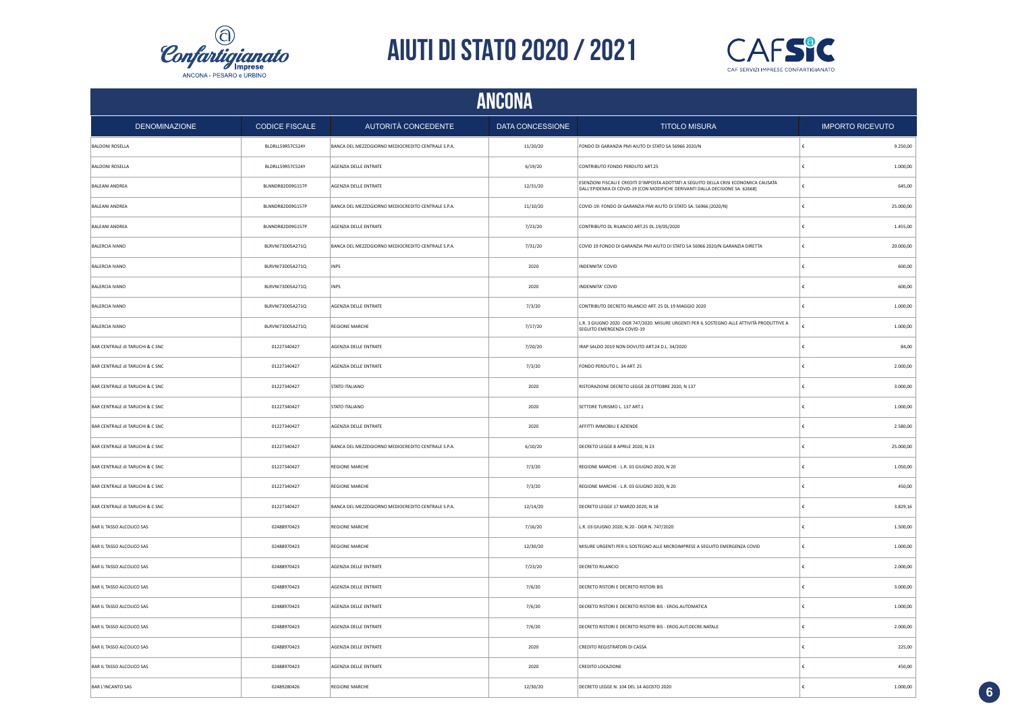



|                                 | <b>ANCONA</b>         |                                                    |                  |                                                                                                                                                                         |            |                         |  |
|---------------------------------|-----------------------|----------------------------------------------------|------------------|-------------------------------------------------------------------------------------------------------------------------------------------------------------------------|------------|-------------------------|--|
| <b>DENOMINAZIONE</b>            | <b>CODICE FISCALE</b> | AUTORITÀ CONCEDENTE                                | DATA CONCESSIONE | <b>TITOLO MISURA</b>                                                                                                                                                    |            | <b>IMPORTO RICEVUTO</b> |  |
| <b>BALDONI ROSELLA</b>          | BLDRLL59R57C524Y      | BANCA DEL MEZZOGIORNO MEDIOCREDITO CENTRALE S.P.A. | 11/20/20         | FONDO DI GARANZIA PMI AIUTO DI STATO SA 56966 2020/N                                                                                                                    |            | 9.250,00                |  |
| <b>BALDONI ROSELLA</b>          | BLDRLL59R57C524Y      | AGENZIA DELLE ENTRATE                              | 6/19/20          | CONTRIBUTO FONDO PERDUTO ART.25                                                                                                                                         |            | 1.000,00                |  |
| <b>BALEANI ANDREA</b>           | BLNNDR82D09G157P      | AGENZIA DELLE ENTRATE                              | 12/31/20         | ESENZIONI FISCALI E CREDITI D'IMPOSTA ADOTTATI A SEGUITO DELLA CRISI ECONOMICA CAUSATA<br>DALL'EPIDEMIA DI COVID-19 [CON MODIFICHE DERIVANTI DALLA DECISIONE SA. 62668] |            | 645,00                  |  |
| <b>BALEANI ANDREA</b>           | BLNNDR82D09G157P      | BANCA DEL MEZZOGIORNO MEDIOCREDITO CENTRALE S.P.A. | 11/10/20         | COVID-19: FONDO DI GARANZIA PMI AIUTO DI STATO SA. 56966 (2020/N)                                                                                                       |            | 25.000,00               |  |
| <b>BALEANI ANDREA</b>           | BLNNDR82D09G157P      | AGENZIA DELLE ENTRATE                              | 7/23/20          | CONTRIBUTO DL RILANCIO ART.25 DL.19/05/2020                                                                                                                             |            | 1.455,00                |  |
| <b>BALERCIA IVANO</b>           | BLRVN173D05A271Q      | BANCA DEL MEZZOGIORNO MEDIOCREDITO CENTRALE S.P.A. | 7/31/20          | COVID 19 FONDO DI GARANZIA PMI AIUTO DI STATO SA 56966 2020/N GARANZIA DIRETTA                                                                                          | €          | 20.000,00               |  |
| <b>BALERCIA IVANO</b>           | BLRVNI73D05A271Q      | <b>INPS</b>                                        | 2020             | INDENNITA' COVID                                                                                                                                                        | £          | 600,00                  |  |
| BALERCIA IVANO                  | BLRVN173D05A271Q      | INPS                                               | 2020             | INDENNITA' COVID                                                                                                                                                        | £          | 600,00                  |  |
| <b>BALERCIA IVANO</b>           | BLRVN173D05A271Q      | AGENZIA DELLE ENTRATE                              | 7/3/20           | CONTRIBUTO DECRETO RILANCIO ART. 25 DL 19 MAGGIO 2020                                                                                                                   | £          | 1.000,00                |  |
| <b>BALERCIA IVANO</b>           | BLRVN173D05A271Q      | <b>REGIONE MARCHE</b>                              | 7/17/20          | L.R. 3 GIUGNO 2020 - DGR 747/2020. MISURE URGENTI PER IL SOSTEGNO ALLE ATTIVITÀ PRODUTTIVE A<br>SEGUITO EMERGENZA COVID-19                                              | €          | 1.000,00                |  |
| BAR CENTRALE di TARUCHI & C SNC | 01227340427           | AGENZIA DELLE ENTRATE                              | 7/20/20          | IRAP SALDO 2019 NON DOVUTO ART.24 D.L. 34/2020                                                                                                                          | €          | 84,00                   |  |
| BAR CENTRALE di TARUCHI & C SNC | 01227340427           | AGENZIA DELLE ENTRATE                              | 7/3/20           | FONDO PERDUTO L. 34 ART. 25                                                                                                                                             | €          | 2.000,00                |  |
| BAR CENTRALE di TARUCHI & C SNC | 01227340427           | STATO ITALIANO                                     | 2020             | RISTORAZIONE DECRETO LEGGE 28 OTTOBRE 2020, N 137                                                                                                                       | €          | 3.000,00                |  |
| BAR CENTRALE di TARUCHI & C SNC | 01227340427           | STATO ITALIANO                                     | 2020             | SETTORE TURISMO L. 137 ART.1                                                                                                                                            |            | 1.000, 00               |  |
| BAR CENTRALE di TARUCHI & C SNC | 01227340427           | AGENZIA DELLE ENTRATE                              | 2020             | AFFITTI IMMOBILI E AZIENDE                                                                                                                                              | €          | 2.580,00                |  |
| BAR CENTRALE di TARUCHI & C SNC | 01227340427           | BANCA DEL MEZZOGIORNO MEDIOCREDITO CENTRALE S.P.A. | 6/10/20          | DECRETO LEGGE 8 APRILE 2020, N 23                                                                                                                                       | €          | 25.000,00               |  |
| BAR CENTRALE di TARUCHI & C SNC | 01227340427           | <b>REGIONE MARCHE</b>                              | 7/3/20           | REGIONE MARCHE - L.R. 03 GIUGNO 2020, N 20                                                                                                                              | €          | 1.050,00                |  |
| BAR CENTRALE di TARUCHI & C SNC | 01227340427           | <b>REGIONE MARCHE</b>                              | 7/3/20           | REGIONE MARCHE - L.R. 03 GIUGNO 2020, N 20                                                                                                                              | £          | 450,00                  |  |
| BAR CENTRALE di TARUCHI & C SNC | 01227340427           | BANCA DEL MEZZOGIORNO MEDIOCREDITO CENTRALE S.P.A. | 12/14/20         | DECRETO LEGGE 17 MARZO 2020, N 18                                                                                                                                       | €          | 3.829.16                |  |
| BAR IL TASSO ALCOLICO SAS       | 02488970423           | <b>REGIONE MARCHE</b>                              | 7/16/20          | L.R. 03 GIUGNO 2020, N.20 - DGR N. 747/2020                                                                                                                             | £          | 1.500,00                |  |
| BAR IL TASSO ALCOLICO SAS       | 02488970423           | <b>REGIONE MARCHE</b>                              | 12/30/20         | MISURE URGENTI PER IL SOSTEGNO ALLE MICROIMPRESE A SEGUITO EMERGENZA COVID                                                                                              | €          | 1.000,00                |  |
| BAR IL TASSO ALCOLICO SAS       | 02488970423           | AGENZIA DELLE ENTRATE                              | 7/23/20          | DECRETO RILANCIO                                                                                                                                                        |            | 2.000,00                |  |
| BAR IL TASSO ALCOLICO SAS       | 02488970423           | AGENZIA DELLE ENTRATE                              | 7/6/20           | DECRETO RISTORI E DECRETO RISTORI BIS                                                                                                                                   |            | 3.000,00                |  |
| BAR IL TASSO ALCOLICO SAS       | 02488970423           | AGENZIA DELLE ENTRATE                              | 7/6/20           | DECRETO RISTORI E DECRETO RISTORI BIS - EROG.AUTOMATICA                                                                                                                 |            | 1.000,00                |  |
| BAR IL TASSO ALCOLICO SAS       | 02488970423           | AGENZIA DELLE ENTRATE                              | 7/6/20           | DECRETO RISTORI E DECRETO RISOTRI BIS - EROG.AUT.DECRE.NATALE                                                                                                           |            | 2.000,00                |  |
| BAR IL TASSO ALCOLICO SAS       | 02488970423           | AGENZIA DELLE ENTRATE                              | 2020             | CREDITO REGISTRATORI DI CASSA                                                                                                                                           |            | 225,00                  |  |
| BAR IL TASSO ALCOLICO SAS       | 02488970423           | AGENZIA DELLE ENTRATE                              | 2020             | CREDITO LOCAZIONE                                                                                                                                                       | €          | 450,00                  |  |
| <b>BAR L'INCANTO SAS</b>        | 02489280426           | <b>REGIONE MARCHE</b>                              | 12/30/20         | DECRETO LEGGE N. 104 DEL 14 AGOSTO 2020                                                                                                                                 | $\epsilon$ | 1.000,00                |  |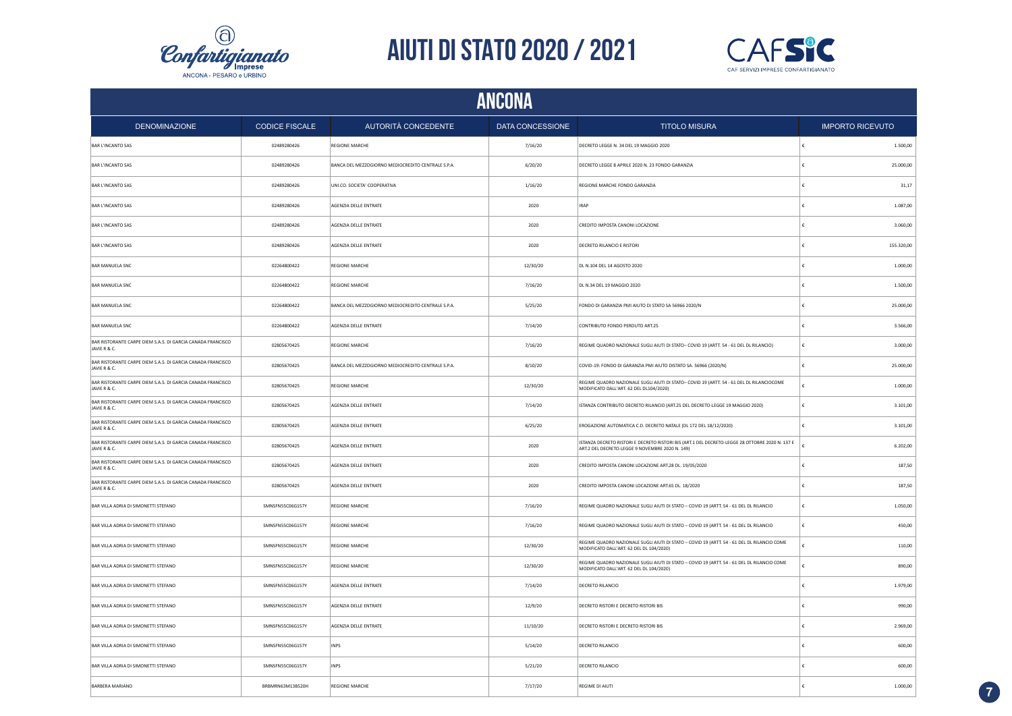



|                                                                             |                       |                                                    | <b>ANCONA</b>           |                                                                                                                                                    |            |                         |
|-----------------------------------------------------------------------------|-----------------------|----------------------------------------------------|-------------------------|----------------------------------------------------------------------------------------------------------------------------------------------------|------------|-------------------------|
| <b>DENOMINAZIONE</b>                                                        | <b>CODICE FISCALE</b> | AUTORITÀ CONCEDENTE                                | <b>DATA CONCESSIONE</b> | <b>TITOLO MISURA</b>                                                                                                                               |            | <b>IMPORTO RICEVUTO</b> |
| <b>BAR L'INCANTO SAS</b>                                                    | 02489280426           | <b>REGIONE MARCHE</b>                              | 7/16/20                 | DECRETO LEGGE N. 34 DEL 19 MAGGIO 2020                                                                                                             | $\epsilon$ | 1.500,00                |
| <b>BAR L'INCANTO SAS</b>                                                    | 02489280426           | BANCA DEL MEZZOGIORNO MEDIOCREDITO CENTRALE S.P.A. | 6/20/20                 | DECRETO LEGGE 8 APRILE 2020 N. 23 FONDO GARANZIA                                                                                                   | €          | 25.000,00               |
| <b>BAR L'INCANTO SAS</b>                                                    | 02489280426           | UNI.CO. SOCIETA' COOPERATIVA                       | 1/16/20                 | REGIONE MARCHE FONDO GARANZIA                                                                                                                      | €          | 31,17                   |
| <b>BAR L'INCANTO SAS</b>                                                    | 02489280426           | AGENZIA DELLE ENTRATE                              | 2020                    | <b>IRAP</b>                                                                                                                                        | €          | 1.087,00                |
| <b>BAR L'INCANTO SAS</b>                                                    | 02489280426           | AGENZIA DELLE ENTRATE                              | 2020                    | CREDITO IMPOSTA CANONI LOCAZIONE                                                                                                                   | €          | 3.060,00                |
| <b>BAR L'INCANTO SAS</b>                                                    | 02489280426           | AGENZIA DELLE ENTRATE                              | 2020                    | DECRETO RILANCIO E RISTORI                                                                                                                         | €          | 155.320,00              |
| <b>BAR MANUELA SNC</b>                                                      | 02264800422           | <b>REGIONE MARCHE</b>                              | 12/30/20                | DL N.104 DEL 14 AGOSTO 2020                                                                                                                        | €          | 1.000,00                |
| <b>BAR MANUELA SNC</b>                                                      | 02264800422           | <b>REGIONE MARCHE</b>                              | 7/16/20                 | DL N.34 DEL 19 MAGGIO 2020                                                                                                                         | €          | 1.500,00                |
| <b>BAR MANUELA SNC</b>                                                      | 02264800422           | BANCA DEL MEZZOGIORNO MEDIOCREDITO CENTRALE S.P.A. | 5/25/20                 | FONDO DI GARANZIA PMI AIUTO DI STATO SA 56966 2020/N                                                                                               | £          | 25,000.00               |
| <b>BAR MANUELA SNC</b>                                                      | 02264800422           | AGENZIA DELLE ENTRATE                              | 7/14/20                 | CONTRIBUTO FONDO PERDUTO ART.25                                                                                                                    | €          | 3.566,00                |
| BAR RISTORANTE CARPE DIEM S.A.S. DI GARCIA CANADA FRANCISCO<br>JAVIE R & C. | 02805670425           | <b>REGIONE MARCHE</b>                              | 7/16/20                 | REGIME QUADRO NAZIONALE SUGLI AIUTI DI STATO- COVID 19 (ARTT. 54 - 61 DEL DL RILANCIO)                                                             | €          | 3.000,00                |
| BAR RISTORANTE CARPE DIEM S.A.S. DI GARCIA CANADA FRANCISCO<br>JAVIE R & C. | 02805670425           | BANCA DEL MEZZOGIORNO MEDIOCREDITO CENTRALE S.P.A. | 8/10/20                 | COVID-19: FONDO DI GARANZIA PMI AIUTO DISTATO SA. 56966 (2020/N)                                                                                   | €          | 25.000,00               |
| BAR RISTORANTE CARPE DIEM S.A.S. DI GARCIA CANADA FRANCISCO<br>JAVIE R & C. | 02805670425           | REGIONE MARCHE                                     | 12/30/20                | REGIME QUADRO NAZIONALE SUGLI AIUTI DI STATO- COVID 19 (ARTT. 54 - 61 DEL DL RILANCIOCOME<br>MODIFICATO DALL'ART. 62 DEL DL104/2020)               |            | 1.000,00                |
| BAR RISTORANTE CARPE DIEM S.A.S. DI GARCIA CANADA FRANCISCO<br>JAVIE R & C. | 02805670425           | AGENZIA DELLE ENTRATE                              | 7/14/20                 | ISTANZA CONTRIBUTO DECRETO RILANCIO (ART.25 DEL DECRETO-LEGGE 19 MAGGIO 2020)                                                                      | $\epsilon$ | 3.101,00                |
| BAR RISTORANTE CARPE DIEM S.A.S. DI GARCIA CANADA FRANCISCO<br>JAVIE R & C. | 02805670425           | AGENZIA DELLE ENTRATE                              | 6/25/20                 | EROGAZIONE AUTOMATICA C.D. DECRETO NATALE (DL 172 DEL 18/12/2020)                                                                                  | £          | 3.101,00                |
| BAR RISTORANTE CARPE DIEM S.A.S. DI GARCIA CANADA FRANCISCO<br>JAVIE R & C. | 02805670425           | AGENZIA DELLE ENTRATE                              | 2020                    | ISTANZA DECRETO RISTORI E DECRETO RISTORI BIS (ART.1 DEL DECRETO-LEGGE 28 OTTOBRE 2020 N. 137 E<br>ART.2 DEL DECRETO-LEGGE 9 NOVEMBRE 2020 N. 149) |            | 6.202,00                |
| BAR RISTORANTE CARPE DIEM S.A.S. DI GARCIA CANADA FRANCISCO<br>JAVIE R & C. | 02805670425           | AGENZIA DELLE ENTRATE                              | 2020                    | CREDITO IMPOSTA CANONI LOCAZIONE ART.28 DL. 19/05/2020                                                                                             | €          | 187,50                  |
| BAR RISTORANTE CARPE DIEM S.A.S. DI GARCIA CANADA FRANCISCO<br>JAVIE R & C. | 02805670425           | AGENZIA DELLE ENTRATE                              | 2020                    | CREDITO IMPOSTA CANONI LOCAZIONE ART.65 DL. 18/2020                                                                                                | ∣€         | 187,50                  |
| BAR VILLA ADRIA DI SIMONETTI STEFANO                                        | SMNSFN55C06G157Y      | <b>REGIONE MARCHE</b>                              | 7/16/20                 | REGIME QUADRO NAZIONALE SUGLI AIUTI DI STATO - COVID 19 (ARTT. 54 - 61 DEL DL RILANCIO                                                             | €          | 1.050,00                |
| BAR VILLA ADRIA DI SIMONETTI STEFANO                                        | SMNSFN55C06G157Y      | <b>REGIONE MARCHE</b>                              | 7/16/20                 | REGIME QUADRO NAZIONALE SUGLI AIUTI DI STATO - COVID 19 (ARTT. 54 - 61 DEL DL RILANCIO                                                             | ∣€         | 450,00                  |
| BAR VILLA ADRIA DI SIMONETTI STEFANO                                        | SMNSFN55C06G157Y      | <b>REGIONE MARCHE</b>                              | 12/30/20                | REGIME QUADRO NAZIONALE SUGLI AIUTI DI STATO - COVID 19 (ARTT. 54 - 61 DEL DL RILANCIO COME<br>MODIFICATO DALL'ART. 62 DEL DL 104/2020)            | £          | 110,00                  |
| BAR VILLA ADRIA DI SIMONETTI STEFANO                                        | SMNSFN55C06G157Y      | <b>REGIONE MARCHE</b>                              | 12/30/20                | REGIME QUADRO NAZIONALE SUGLI AIUTI DI STATO - COVID 19 (ARTT. 54 - 61 DEL DL RILANCIO COME<br>MODIFICATO DALL'ART, 62 DEL DL 104/2020)            | £          | 890,00                  |
| BAR VILLA ADRIA DI SIMONETTI STEFANO                                        | SMNSFN55C06G157Y      | AGENZIA DELLE ENTRATE                              | 7/14/20                 | <b>DECRETO RILANCIO</b>                                                                                                                            | €          | 1.979,00                |
| BAR VILLA ADRIA DI SIMONETTI STEFANO                                        | SMNSFN55C06G157Y      | AGENZIA DELLE ENTRATE                              | 12/9/20                 | DECRETO RISTORI E DECRETO RISTORI BIS                                                                                                              | €          | 990.00                  |
| BAR VILLA ADRIA DI SIMONETTI STEFANO                                        | SMNSFN55C06G157Y      | AGENZIA DELLE ENTRATE                              | 11/10/20                | DECRETO RISTORI E DECRETO RISTORI BIS                                                                                                              | €          | 2.969.00                |
| BAR VILLA ADRIA DI SIMONETTI STEFANO                                        | SMNSFN55C06G157Y      | <b>INPS</b>                                        | 5/14/20                 | <b>DECRETO RILANCIO</b>                                                                                                                            |            | 600.00                  |
| BAR VILLA ADRIA DI SIMONETTI STEFANO                                        | SMNSFN55C06G157Y      | INPS                                               | 5/21/20                 | DECRETO RILANCIO                                                                                                                                   |            | 600,00                  |
| BARBERA MARIANO                                                             | BRBMRN63M13B520H      | <b>REGIONE MARCHE</b>                              | 7/17/20                 | REGIME DI AIUTI                                                                                                                                    |            | 1.000,00                |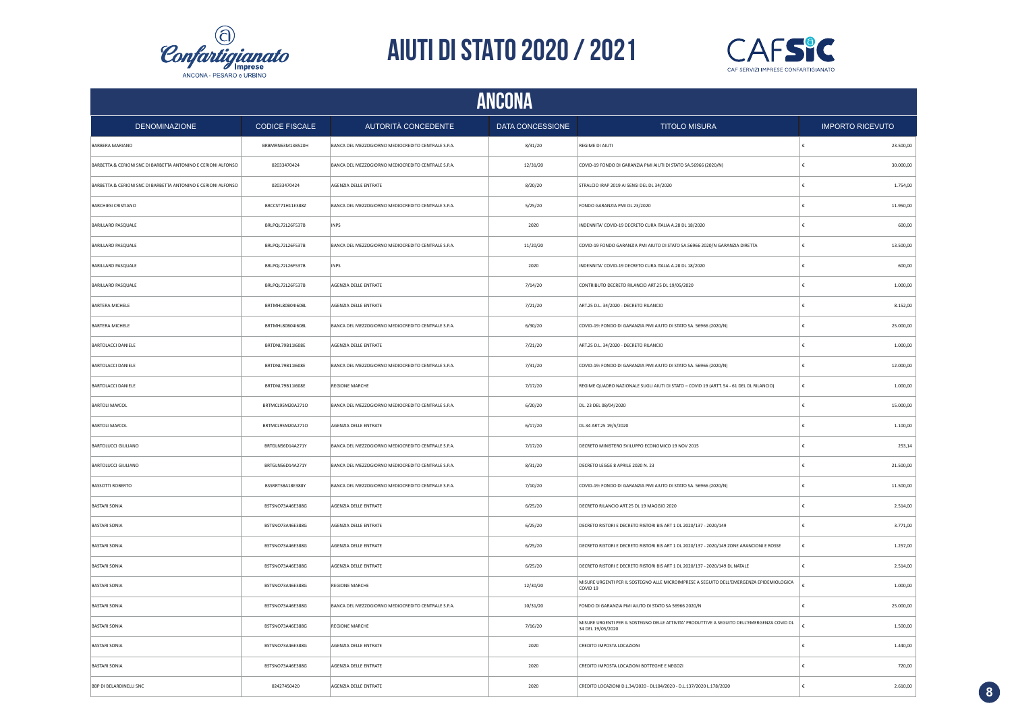



| <b>ANCONA</b>                                                 |                       |                                                    |                  |                                                                                                                  |            |                         |  |
|---------------------------------------------------------------|-----------------------|----------------------------------------------------|------------------|------------------------------------------------------------------------------------------------------------------|------------|-------------------------|--|
| <b>DENOMINAZIONE</b>                                          | <b>CODICE FISCALE</b> | AUTORITÀ CONCEDENTE                                | DATA CONCESSIONE | <b>TITOLO MISURA</b>                                                                                             |            | <b>IMPORTO RICEVUTO</b> |  |
| <b>BARBERA MARIANO</b>                                        | BRBMRN63M13B520H      | BANCA DEL MEZZOGIORNO MEDIOCREDITO CENTRALE S.P.A. | 8/31/20          | REGIME DI AIUTI                                                                                                  | €          | 23.500,00               |  |
| BARBETTA & CERIONI SNC DI BARBETTA ANTONINO E CERIONI ALFONSO | 02033470424           | BANCA DEL MEZZOGIORNO MEDIOCREDITO CENTRALE S.P.A. | 12/31/20         | COVID-19 FONDO DI GARANZIA PMI AIUTI DI STATO SA.56966 (2020/N)                                                  | €          | 30.000,00               |  |
| BARBETTA & CERIONI SNC DI BARBETTA ANTONINO E CERIONI ALFONSO | 02033470424           | AGENZIA DELLE ENTRATE                              | 8/20/20          | STRALCIO IRAP 2019 AI SENSI DEL DL 34/2020                                                                       | €          | 1.754,00                |  |
| <b>BARCHIESI CRISTIANO</b>                                    | BRCCST71H11E388Z      | BANCA DEL MEZZOGIORNO MEDIOCREDITO CENTRALE S.P.A. | 5/25/20          | FONDO GARANZIA PMI DL 23/2020                                                                                    | £          | 11.950,00               |  |
| BARILLARO PASQUALE                                            | BRLPQL72L26F537B      | <b>INPS</b>                                        | 2020             | INDENNITA' COVID-19 DECRETO CURA ITALIA A.28 DL 18/2020                                                          |            | 600,00                  |  |
| BARILLARO PASQUALE                                            | BRLPQL72L26F537B      | BANCA DEL MEZZOGIORNO MEDIOCREDITO CENTRALE S.P.A. | 11/20/20         | COVID-19 FONDO GARANZIA PMI AIUTO DI STATO SA.56966 2020/N GARANZIA DIRETTA                                      | €          | 13.500,00               |  |
| BARILLARO PASQUALE                                            | BRLPQL72L26F537B      | <b>INPS</b>                                        | 2020             | INDENNITA' COVID-19 DECRETO CURA ITALIA A.28 DL 18/2020                                                          |            | 600,00                  |  |
| BARILLARO PASQUALE                                            | BRLPQL72L26F537B      | AGENZIA DELLE ENTRATE                              | 7/14/20          | CONTRIBUTO DECRETO RILANCIO ART.25 DL 19/05/2020                                                                 |            | 1.000,00                |  |
| <b>BARTERA MICHELE</b>                                        | BRTMHL80B04I608L      | AGENZIA DELLE ENTRATE                              | 7/21/20          | ART.25 D.L. 34/2020 - DECRETO RILANCIO                                                                           |            | 8.152,00                |  |
| <b>BARTERA MICHELE</b>                                        | BRTMHL80B04I608L      | BANCA DEL MEZZOGIORNO MEDIOCREDITO CENTRALE S.P.A. | 6/30/20          | COVID-19: FONDO DI GARANZIA PMI AIUTO DI STATO SA. 56966 (2020/N)                                                | €          | 25.000,00               |  |
| BARTOLACCI DANIELE                                            | BRTDNL79B11I608E      | AGENZIA DELLE ENTRATE                              | 7/21/20          | ART.25 D.L. 34/2020 - DECRETO RILANCIO                                                                           | £          | 1.000,00                |  |
| <b>BARTOLACCI DANIELE</b>                                     | BRTDNL79B11I608E      | BANCA DEL MEZZOGIORNO MEDIOCREDITO CENTRALE S.P.A. | 7/31/20          | COVID-19: FONDO DI GARANZIA PMI AIUTO DI STATO SA. 56966 (2020/N)                                                | $\epsilon$ | 12.000,00               |  |
| BARTOLACCI DANIELE                                            | BRTDNL79B11I608E      | <b>REGIONE MARCHE</b>                              | 7/17/20          | REGIME QUADRO NAZIONALE SUGLI AIUTI DI STATO - COVID 19 (ARTT. 54 - 61 DEL DL RILANCIO)                          | $\epsilon$ | 1.000,00                |  |
| <b>BARTOLI MAYCOL</b>                                         | BRTMCL95M20A271O      | BANCA DEL MEZZOGIORNO MEDIOCREDITO CENTRALE S.P.A. | 6/20/20          | DL. 23 DEL 08/04/2020                                                                                            | $\epsilon$ | 15.000,00               |  |
| <b>BARTOLI MAYCOL</b>                                         | BRTMCL95M20A271O      | AGENZIA DELLE ENTRATE                              | 6/17/20          | DL.34 ART.25 19/5/2020                                                                                           | €          | 1.100,00                |  |
| <b>BARTOLUCCI GIULIANO</b>                                    | BRTGLN56D14A271Y      | BANCA DEL MEZZOGIORNO MEDIOCREDITO CENTRALE S.P.A. | 7/17/20          | DECRETO MINISTERO SVILUPPO ECONOMICO 19 NOV 2015                                                                 | €          | 253,14                  |  |
| <b>BARTOLUCCI GIULIANO</b>                                    | BRTGLN56D14A271Y      | BANCA DEL MEZZOGIORNO MEDIOCREDITO CENTRALE S.P.A. | 8/31/20          | DECRETO LEGGE 8 APRILE 2020 N. 23                                                                                | €          | 21.500,00               |  |
| <b>BASSOTTI ROBERTO</b>                                       | BSSRRT58A18E388Y      | BANCA DEL MEZZOGIORNO MEDIOCREDITO CENTRALE S.P.A. | 7/10/20          | COVID-19: FONDO DI GARANZIA PMI AIUTO DI STATO SA. 56966 (2020/N)                                                | €          | 11.500,00               |  |
| <b>BASTARI SONIA</b>                                          | BSTSNO73A46E388G      | AGENZIA DELLE ENTRATE                              | 6/25/20          | DECRETO RILANCIO ART.25 DL 19 MAGGIO 2020                                                                        | €          | 2.514,00                |  |
| <b>BASTARI SONIA</b>                                          | BSTSNO73A46E388G      | AGENZIA DELLE ENTRATE                              | 6/25/20          | DECRETO RISTORI E DECRETO RISTORI BIS ART 1 DL 2020/137 - 2020/149                                               | €          | 3.771,00                |  |
| <b>BASTARI SONIA</b>                                          | BSTSNO73A46E388G      | AGENZIA DELLE ENTRATE                              | 6/25/20          | DECRETO RISTORI E DECRETO RISTORI BIS ART 1 DL 2020/137 - 2020/149 ZONE ARANCIONI E ROSSE                        | €          | 1.257,00                |  |
| <b>BASTARI SONIA</b>                                          | BSTSNO73A46E388G      | AGENZIA DELLE ENTRATE                              | 6/25/20          | DECRETO RISTORI E DECRETO RISTORI BIS ART 1 DL 2020/137 - 2020/149 DL NATALE                                     | €          | 2.514,00                |  |
| <b>BASTARI SONIA</b>                                          | BSTSNO73A46E388G      | <b>REGIONE MARCHE</b>                              | 12/30/20         | MISURE URGENTI PER IL SOSTEGNO ALLE MICROIMPRESE A SEGUITO DELL'EMERGENZA EPIDEMIOLOGICA<br>COVID 19             |            | 1.000,00                |  |
| <b>BASTARI SONIA</b>                                          | BSTSNO73A46E388G      | BANCA DEL MEZZOGIORNO MEDIOCREDITO CENTRALE S.P.A. | 10/31/20         | FONDO DI GARANZIA PMI AIUTO DI STATO SA 56966 2020/N                                                             |            | 25.000,00               |  |
| <b>BASTARI SONIA</b>                                          | BSTSNO73A46E388G      | <b>REGIONE MARCHE</b>                              | 7/16/20          | MISURE URGENTI PER IL SOSTEGNO DELLE ATTIVITA' PRODUTTIVE A SEGUITO DELL'EMERGENZA COVID DL<br>34 DEL 19/05/2020 |            | 1.500,00                |  |
| <b>BASTARI SONIA</b>                                          | BSTSNO73A46E388G      | AGENZIA DELLE ENTRATE                              | 2020             | CREDITO IMPOSTA LOCAZIONI                                                                                        |            | 1.440,00                |  |
| <b>BASTARI SONIA</b>                                          | BSTSNO73A46E388G      | AGENZIA DELLE ENTRATE                              | 2020             | CREDITO IMPOSTA LOCAZIONI BOTTEGHE E NEGOZI                                                                      |            | 720,00                  |  |
| <b>BBP DI BELARDINELLI SNC</b>                                | 02427450420           | AGENZIA DELLE ENTRATE                              | 2020             | CREDITO LOCAZIONI D.L.34/2020 - DL104/2020 - D.L.137/2020 L.178/2020                                             | £          | 2.610,00                |  |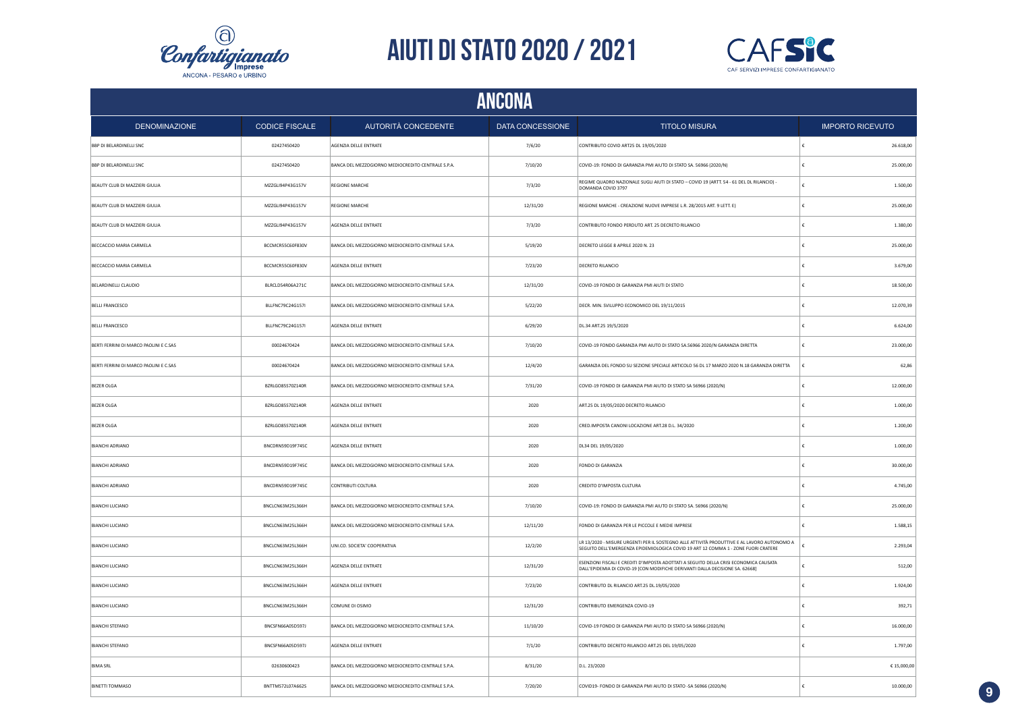



|                                        | ANCONA                |                                                    |                  |                                                                                                                                                                                   |                         |  |  |
|----------------------------------------|-----------------------|----------------------------------------------------|------------------|-----------------------------------------------------------------------------------------------------------------------------------------------------------------------------------|-------------------------|--|--|
| <b>DENOMINAZIONE</b>                   | <b>CODICE FISCALE</b> | AUTORITÀ CONCEDENTE                                | DATA CONCESSIONE | <b>TITOLO MISURA</b>                                                                                                                                                              | <b>IMPORTO RICEVUTO</b> |  |  |
| <b>BBP DI BELARDINELLI SNC</b>         | 02427450420           | AGENZIA DELLE ENTRATE                              | 7/6/20           | CONTRIBUTO COVID ART25 DL 19/05/2020                                                                                                                                              | 26.618,00<br>€          |  |  |
| <b>BBP DI BELARDINELLI SNC</b>         | 02427450420           | BANCA DEL MEZZOGIORNO MEDIOCREDITO CENTRALE S.P.A. | 7/10/20          | COVID-19: FONDO DI GARANZIA PMI AIUTO DI STATO SA. 56966 (2020/N)                                                                                                                 | €<br>25.000,00          |  |  |
| BEAUTY CLUB DI MAZZIERI GIULIA         | MZZGLI94P43G157V      | <b>REGIONE MARCHE</b>                              | 7/3/20           | REGIME QUADRO NAZIONALE SUGLI AIUTI DI STATO - COVID 19 (ARTT. 54 - 61 DEL DL RILANCIO) -<br>DOMANDA COVID 3797                                                                   | 1.500,00<br>€           |  |  |
| BEAUTY CLUB DI MAZZIERI GIULIA         | MZZGLI94P43G157V      | <b>REGIONE MARCHE</b>                              | 12/31/20         | REGIONE MARCHE - CREAZIONE NUOVE IMPRESE L.R. 28/2015 ART. 9 LETT. E)                                                                                                             | 25.000,00<br>€          |  |  |
| BEAUTY CLUB DI MAZZIERI GIULIA         | MZZGLI94P43G157V      | AGENZIA DELLE ENTRATE                              | 7/3/20           | CONTRIBUTO FONDO PERDUTO ART. 25 DECRETO RILANCIO                                                                                                                                 | 1.380,00                |  |  |
| BECCACCIO MARIA CARMELA                | BCCMCR55C60F830V      | BANCA DEL MEZZOGIORNO MEDIOCREDITO CENTRALE S.P.A. | 5/19/20          | DECRETO LEGGE 8 APRILE 2020 N. 23                                                                                                                                                 | 25.000,00               |  |  |
| BECCACCIO MARIA CARMELA                | BCCMCR55C60F830V      | AGENZIA DELLE ENTRATE                              | 7/23/20          | DECRETO RILANCIO                                                                                                                                                                  | 3.679,00                |  |  |
| BELARDINELLI CLAUDIO                   | BLRCLD54R06A271C      | BANCA DEL MEZZOGIORNO MEDIOCREDITO CENTRALE S.P.A. | 12/31/20         | COVID-19 FONDO DI GARANZIA PMI AIUTI DI STATO                                                                                                                                     | 18.500,00               |  |  |
| <b>BELLI FRANCESCO</b>                 | BLLFNC79C24G157I      | BANCA DEL MEZZOGIORNO MEDIOCREDITO CENTRALE S.P.A. | 5/22/20          | DECR. MIN. SVILUPPO ECONOMICO DEL 19/11/2015                                                                                                                                      | 12.070,39               |  |  |
| <b>BELLI FRANCESCO</b>                 | BLLFNC79C24G157I      | AGENZIA DELLE ENTRATE                              | 6/29/20          | DL.34 ART.25 19/5/2020                                                                                                                                                            | €<br>6.624,00           |  |  |
| BERTI FERRINI DI MARCO PAOLINI E C.SAS | 00024670424           | BANCA DEL MEZZOGIORNO MEDIOCREDITO CENTRALE S.P.A. | 7/10/20          | COVID-19 FONDO GARANZIA PMI AIUTO DI STATO SA.56966 2020/N GARANZIA DIRETTA                                                                                                       | $\epsilon$<br>23.000,00 |  |  |
| BERTI FERRINI DI MARCO PAOLINI E C.SAS | 00024670424           | BANCA DEL MEZZOGIORNO MEDIOCREDITO CENTRALE S.P.A. | 12/4/20          | GARANZIA DEL FONDO SU SEZIONE SPECIALE ARTICOLO 56 DL 17 MARZO 2020 N.18 GARANZIA DIRETTA                                                                                         | ∣€<br>62,86             |  |  |
| <b>BEZER OLGA</b>                      | BZRLGO85570Z140R      | BANCA DEL MEZZOGIORNO MEDIOCREDITO CENTRALE S.P.A. | 7/31/20          | COVID-19 FONDO DI GARANZIA PMI AIUTO DI STATO SA 56966 (2020/N)                                                                                                                   | 12.000,00<br>€          |  |  |
| <b>BEZER OLGA</b>                      | BZRLGO85570Z140R      | AGENZIA DELLE ENTRATE                              | 2020             | ART.25 DL 19/05/2020 DECRETO RILANCIO                                                                                                                                             | 1.000,00<br>$\epsilon$  |  |  |
| <b>BEZER OLGA</b>                      | BZRLGO85570Z140R      | AGENZIA DELLE ENTRATE                              | 2020             | CRED.IMPOSTA CANONI LOCAZIONE ART.28 D.L. 34/2020                                                                                                                                 | €<br>1.200,00           |  |  |
| <b>BIANCHI ADRIANO</b>                 | BNCDRN59D19F745C      | AGENZIA DELLE ENTRATE                              | 2020             | DL34 DEL 19/05/2020                                                                                                                                                               | 1.000, 00<br>€          |  |  |
| <b>BIANCHI ADRIANO</b>                 | BNCDRN59D19F745C      | BANCA DEL MEZZOGIORNO MEDIOCREDITO CENTRALE S.P.A. | 2020             | FONDO DI GARANZIA                                                                                                                                                                 | €<br>30.000,00          |  |  |
| <b>BIANCHI ADRIANO</b>                 | BNCDRN59D19F745C      | CONTRIBUTI COLTURA                                 | 2020             | CREDITO D'IMPOSTA CULTURA                                                                                                                                                         | 4.745,00<br>€           |  |  |
| <b>BIANCHI LUCIANO</b>                 | BNCLCN63M25L366H      | BANCA DEL MEZZOGIORNO MEDIOCREDITO CENTRALE S.P.A. | 7/10/20          | COVID-19: FONDO DI GARANZIA PMI AIUTO DI STATO SA. 56966 (2020/N)                                                                                                                 | €<br>25.000,00          |  |  |
| <b>BIANCHI LUCIANO</b>                 | BNCLCN63M25L366H      | BANCA DEL MEZZOGIORNO MEDIOCREDITO CENTRALE S.P.A. | 12/11/20         | FONDO DI GARANZIA PER LE PICCOLE E MEDIE IMPRESE                                                                                                                                  | 1.588,15<br>€           |  |  |
| <b>BIANCHI LUCIANO</b>                 | BNCLCN63M25L366H      | UNI.CO. SOCIETA' COOPERATIVA                       | 12/2/20          | LR 13/2020 - MISURE URGENTI PER IL SOSTEGNO ALLE ATTIVITÀ PRODUTTIVE E AL LAVORO AUTONOMO A<br>SEGUITO DELL'EMERGENZA EPIDEMIOLOGICA COVID 19 ART 12 COMMA 1 - ZONE FUORI CRATERE | 2.293,04                |  |  |
| <b>BIANCHI LUCIANO</b>                 | BNCLCN63M25L366H      | AGENZIA DELLE ENTRATE                              | 12/31/20         | ESENZIONI FISCALI E CREDITI D'IMPOSTA ADOTTATI A SEGUITO DELLA CRISI ECONOMICA CAUSATA<br>DALL'EPIDEMIA DI COVID-19 [CON MODIFICHE DERIVANTI DALLA DECISIONE SA. 62668]           | 512,00                  |  |  |
| <b>BIANCHI LUCIANO</b>                 | BNCLCN63M25L366H      | AGENZIA DELLE ENTRATE                              | 7/23/20          | CONTRIBUTO DL RILANCIO ART.25 DL.19/05/2020                                                                                                                                       | 1.924,00<br>€           |  |  |
| <b>BIANCHI LUCIANO</b>                 | BNCLCN63M25L366H      | COMUNE DI OSIMO                                    | 12/31/20         | CONTRIBUTO EMERGENZA COVID-19                                                                                                                                                     | 392,71                  |  |  |
| <b>BIANCHI STEFANO</b>                 | BNCSFN66A05D597J      | BANCA DEL MEZZOGIORNO MEDIOCREDITO CENTRALE S.P.A. | 11/10/20         | COVID-19 FONDO DI GARANZIA PMI AIUTO DI STATO SA 56966 (2020/N)                                                                                                                   | 16.000,00               |  |  |
| <b>BIANCHI STEFANO</b>                 | BNCSFN66A05D597J      | AGENZIA DELLE ENTRATE                              | 7/1/20           | CONTRIBUTO DECRETO RILANCIO ART.25 DEL 19/05/2020                                                                                                                                 | 1.797,00                |  |  |
| <b>BIMA SRL</b>                        | 02630600423           | BANCA DEL MEZZOGIORNO MEDIOCREDITO CENTRALE S.P.A. | 8/31/20          | D.L. 23/2020                                                                                                                                                                      | €15,000,00              |  |  |
| <b>BINETTI TOMMASO</b>                 | BNTTMS72L07A662S      | BANCA DEL MEZZOGIORNO MEDIOCREDITO CENTRALE S.P.A. | 7/20/20          | COVID19- FONDO DI GARANZIA PMI AIUTO DI STATO -SA 56966 (2020/N)                                                                                                                  | ١£<br>10.000,00         |  |  |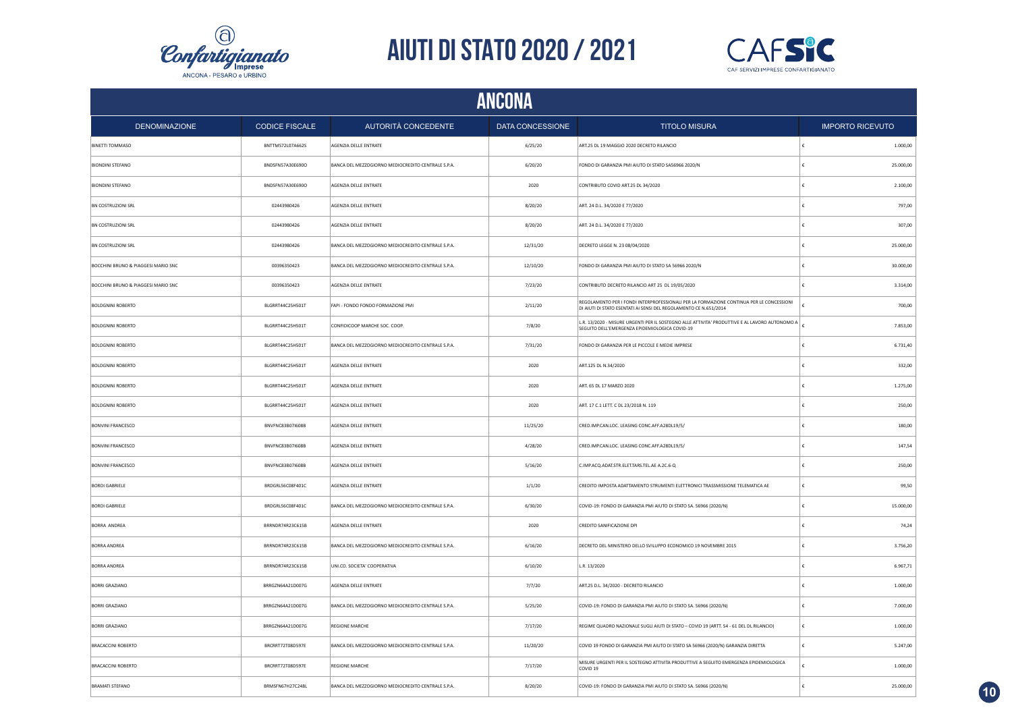



|                                     | ANCONA                |                                                    |                  |                                                                                                                                                               |                         |                         |  |  |
|-------------------------------------|-----------------------|----------------------------------------------------|------------------|---------------------------------------------------------------------------------------------------------------------------------------------------------------|-------------------------|-------------------------|--|--|
| <b>DENOMINAZIONE</b>                | <b>CODICE FISCALE</b> | AUTORITÀ CONCEDENTE                                | DATA CONCESSIONE | <b>TITOLO MISURA</b>                                                                                                                                          |                         | <b>IMPORTO RICEVUTO</b> |  |  |
| <b>BINETTI TOMMASO</b>              | BNTTMS72L07A662S      | AGENZIA DELLE ENTRATE                              | 6/25/20          | ART.25 DL 19 MAGGIO 2020 DECRETO RILANCIO                                                                                                                     | €                       | 1.000,00                |  |  |
| <b>BIONDINI STEFANO</b>             | BNDSFN57A30E690O      | BANCA DEL MEZZOGIORNO MEDIOCREDITO CENTRALE S.P.A. | 6/20/20          | FONDO DI GARANZIA PMI AIUTO DI STATO SA56966 2020/N                                                                                                           | €                       | 25.000,00               |  |  |
| <b>BIONDINI STEFANO</b>             | BNDSFN57A30E690O      | AGENZIA DELLE ENTRATE                              | 2020             | CONTRIBUTO COVID ART.25 DL 34/2020                                                                                                                            | €                       | 2.100,00                |  |  |
| <b>BN COSTRUZIONI SRL</b>           | 02443980426           | <b>AGENZIA DELLE ENTRATE</b>                       | 8/20/20          | ART, 24 D.L. 34/2020 E 77/2020                                                                                                                                | €                       | 797,00                  |  |  |
| BN COSTRUZIONI SRL                  | 02443980426           | AGENZIA DELLE ENTRATE                              | 8/20/20          | ART. 24 D.L. 34/2020 E 77/2020                                                                                                                                |                         | 307.00                  |  |  |
| <b>BN COSTRUZIONI SRL</b>           | 02443980426           | BANCA DEL MEZZOGIORNO MEDIOCREDITO CENTRALE S.P.A. | 12/31/20         | DECRETO LEGGE N. 23 08/04/2020                                                                                                                                | €                       | 25.000,00               |  |  |
| BOCCHINI BRUNO & PIAGGESI MARIO SNC | 00396350423           | BANCA DEL MEZZOGIORNO MEDIOCREDITO CENTRALE S.P.A. | 12/10/20         | FONDO DI GARANZIA PMI AIUTO DI STATO SA 56966 2020/N                                                                                                          |                         | 30.000,00               |  |  |
| BOCCHINI BRUNO & PIAGGESI MARIO SNC | 00396350423           | AGENZIA DELLE ENTRATE                              | 7/23/20          | CONTRIBUTO DECRETO RILANCIO ART 25 DL 19/05/2020                                                                                                              |                         | 3.314,00                |  |  |
| <b>BOLOGNINI ROBERTO</b>            | BLGRRT44C25H501T      | FAPI - FONDO FONDO FORMAZIONE PMI                  | 2/11/20          | REGOLAMENTO PER I FONDI INTERPROFESSIONALI PER LA FORMAZIONE CONTINUA PER LE CONCESSIONI<br>DI AIUTI DI STATO ESENTATI AI SENSI DEL REGOLAMENTO CE N.651/2014 |                         | 700,00                  |  |  |
| <b>BOLOGNINI ROBERTO</b>            | BLGRRT44C25H501T      | CONFIDICOOP MARCHE SOC. COOP.                      | 7/8/20           | L.R. 13/2020 - MISURE URGENTI PER IL SOSTEGNO ALLE ATTIVITA' PRODUTTIVE E AL LAVORO AUTONOMO A<br>SEGUITO DELL'EMERGENZA EPIDEMIOLOGICA COVID-19              |                         | 7.853,00                |  |  |
| <b>BOLOGNINI ROBERTO</b>            | BLGRRT44C25H501T      | BANCA DEL MEZZOGIORNO MEDIOCREDITO CENTRALE S.P.A. | 7/31/20          | FONDO DI GARANZIA PER LE PICCOLE E MEDIE IMPRESE                                                                                                              | £                       | 6.731,40                |  |  |
| <b>BOLOGNINI ROBERTO</b>            | BLGRRT44C25H501T      | AGENZIA DELLE ENTRATE                              | 2020             | ART.125 DL N.34/2020                                                                                                                                          | $\epsilon$              | 332.00                  |  |  |
| <b>BOLOGNINI ROBERTO</b>            | BLGRRT44C25H501T      | AGENZIA DELLE ENTRATE                              | 2020             | ART. 65 DL 17 MARZO 2020                                                                                                                                      | £                       | 1.275,00                |  |  |
| <b>BOLOGNINI ROBERTO</b>            | BLGRRT44C25H501T      | AGENZIA DELLE ENTRATE                              | 2020             | ART. 17 C.1 LETT. C DL 23/2018 N. 119                                                                                                                         | ∣€                      | 250.00                  |  |  |
| <b>BONVINI FRANCESCO</b>            | BNVFNC83B07I608B      | AGENZIA DELLE ENTRATE                              | 11/25/20         | CRED.IMP.CAN.LOC. LEASING CONC.AFF.A28DL19/5/                                                                                                                 | €                       | 180,00                  |  |  |
| <b>BONVINI FRANCESCO</b>            | BNVFNC83B07I608B      | AGENZIA DELLE ENTRATE                              | 4/28/20          | CRED.IMP.CAN.LOC. LEASING CONC.AFF.A28DL19/5/                                                                                                                 | €                       | 147,54                  |  |  |
| <b>BONVINI FRANCESCO</b>            | BNVFNC83B07I608B      | AGENZIA DELLE ENTRATE                              | 5/16/20          | C.IMP.ACQ.ADAT.STR.ELET.TARS.TEL.AE A.2C.6-Q                                                                                                                  | €                       | 250,00                  |  |  |
| <b>BORDI GABRIELE</b>               | BRDGRL56C08F401C      | AGENZIA DELLE ENTRATE                              | 1/1/20           | CREDITO IMPOSTA ADATTAMENTO STRUMENTI ELETTRONICI TRASSMISSIONE TELEMATICA AE                                                                                 | $\boldsymbol{\epsilon}$ | 99,50                   |  |  |
| <b>BORDI GABRIELE</b>               | BRDGRL56C08F401C      | BANCA DEL MEZZOGIORNO MEDIOCREDITO CENTRALE S.P.A. | 6/30/20          | COVID-19: FONDO DI GARANZIA PMI AIUTO DI STATO SA. 56966 (2020/N)                                                                                             | £                       | 15.000,00               |  |  |
| <b>BORRA ANDREA</b>                 | BRRNDR74R23C615B      | AGENZIA DELLE ENTRATE                              | 2020             | CREDITO SANIFICAZIONE DPI                                                                                                                                     | €                       | 74,24                   |  |  |
| <b>BORRA ANDREA</b>                 | BRRNDR74R23C615B      | BANCA DEL MEZZOGIORNO MEDIOCREDITO CENTRALE S.P.A. | 6/16/20          | DECRETO DEL MINISTERO DELLO SVILUPPO ECONOMICO 19 NOVEMBRE 2015                                                                                               | €                       | 3.756,20                |  |  |
| <b>BORRA ANDREA</b>                 | BRRNDR74R23C615B      | UNI.CO. SOCIETA' COOPERATIVA                       | 6/10/20          | L.R. 13/2020                                                                                                                                                  |                         | 6.967,71                |  |  |
| <b>BORRI GRAZIANO</b>               | BRRGZN64A21D007G      | AGENZIA DELLE ENTRATE                              | 7/7/20           | ART.25 D.L. 34/2020 - DECRETO RILANCIO                                                                                                                        | €                       | 1.000,00                |  |  |
| <b>BORRI GRAZIANO</b>               | BRRGZN64A21D007G      | BANCA DEL MEZZOGIORNO MEDIOCREDITO CENTRALE S.P.A. | 5/25/20          | COVID-19: FONDO DI GARANZIA PMI AIUTO DI STATO SA. 56966 (2020/N)                                                                                             |                         | 7.000,00                |  |  |
| <b>BORRI GRAZIANO</b>               | BRRGZN64A21D007G      | <b>REGIONE MARCHE</b>                              | 7/17/20          | REGIME QUADRO NAZIONALE SUGLI AIUTI DI STATO - COVID 19 (ARTT. 54 - 61 DEL DL RILANCIO)                                                                       | €                       | 1.000,00                |  |  |
| <b>BRACACCINI ROBERTO</b>           | BRCRRT72T08D597E      | BANCA DEL MEZZOGIORNO MEDIOCREDITO CENTRALE S.P.A. | 11/20/20         | COVID 19 FONDO DI GARANZIA PMI AIUTO DI STATO SA 56966 (2020/N) GARANZIA DIRETTA                                                                              | €                       | 5.247,00                |  |  |
| BRACACCINI ROBERTO                  | BRCRRT72T08D597E      | <b>REGIONE MARCHE</b>                              | 7/17/20          | MISURE URGENTI PER IL SOSTEGNO ATTIVITA PRODUTTIVE A SEGUITO EMERGENZA EPIDEMIOLOGICA<br>COVID <sub>19</sub>                                                  | €                       | 1.000,00                |  |  |
| <b>BRAMATI STEFANO</b>              | BRMSFN67H27C248L      | BANCA DEL MEZZOGIORNO MEDIOCREDITO CENTRALE S.P.A. | 8/20/20          | COVID-19: FONDO DI GARANZIA PMI AIUTO DI STATO SA. 56966 (2020/N)                                                                                             | ١£                      | 25.000,00               |  |  |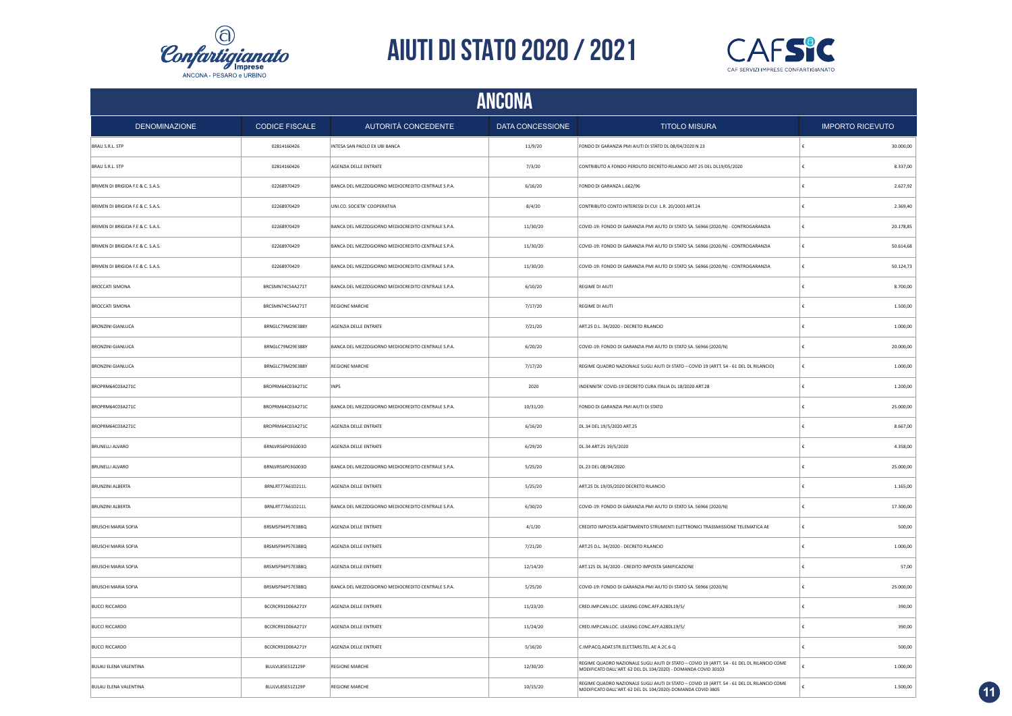



|                                   | ANCONA                |                                                    |                         |                                                                                                                                                               |                         |  |  |
|-----------------------------------|-----------------------|----------------------------------------------------|-------------------------|---------------------------------------------------------------------------------------------------------------------------------------------------------------|-------------------------|--|--|
| <b>DENOMINAZIONE</b>              | <b>CODICE FISCALE</b> | AUTORITÀ CONCEDENTE                                | <b>DATA CONCESSIONE</b> | <b>TITOLO MISURA</b>                                                                                                                                          | <b>IMPORTO RICEVUTO</b> |  |  |
| BRAU S.R.L. STP                   | 02814160426           | INTESA SAN PAOLO EX UBI BANCA                      | 11/9/20                 | FONDO DI GARANZIA PMI AIUTI DI STATO DL 08/04/2020 N 23                                                                                                       | 30.000,00               |  |  |
| BRAU S.R.L. STP                   | 02814160426           | AGENZIA DELLE ENTRATE                              | 7/3/20                  | CONTRIBUTO A FONDO PERDUTO DECRETO RILANCIO ART 25 DEL DL19/05/2020                                                                                           | £<br>8.337,00           |  |  |
| BRIMEN DI BRIGIDA F.E & C. S.A.S. | 02268970429           | BANCA DEL MEZZOGIORNO MEDIOCREDITO CENTRALE S.P.A. | 6/16/20                 | FONDO DI GARANZA L.662/96                                                                                                                                     | 2.627,92                |  |  |
| BRIMEN DI BRIGIDA F.E & C. S.A.S. | 02268970429           | UNI.CO. SOCIETA' COOPERATIVA                       | 8/4/20                  | CONTRIBUTO CONTO INTERESSI DI CUI L.R. 20/2003 ART.24                                                                                                         | 2.369.40                |  |  |
| BRIMEN DI BRIGIDA F.E & C. S.A.S. | 02268970429           | BANCA DEL MEZZOGIORNO MEDIOCREDITO CENTRALE S.P.A. | 11/30/20                | COVID-19: FONDO DI GARANZIA PMI AIUTO DI STATO SA. 56966 (2020/N) - CONTROGARANZIA                                                                            | 20.178,85               |  |  |
| BRIMEN DI BRIGIDA F.E & C. S.A.S. | 02268970429           | BANCA DEL MEZZOGIORNO MEDIOCREDITO CENTRALE S.P.A. | 11/30/20                | COVID-19: FONDO DI GARANZIA PMI AIUTO DI STATO SA. 56966 (2020/N) - CONTROGARANZIA                                                                            | 50.614.68               |  |  |
| BRIMEN DI BRIGIDA F.E & C. S.A.S. | 02268970429           | BANCA DEL MEZZOGIORNO MEDIOCREDITO CENTRALE S.P.A. | 11/30/20                | COVID-19: FONDO DI GARANZIA PMI AIUTO DI STATO SA. 56966 (2020/N) - CONTROGARANZIA                                                                            | 50.124,73               |  |  |
| <b>BROCCATI SIMONA</b>            | BRCSMN74C54A271T      | BANCA DEL MEZZOGIORNO MEDIOCREDITO CENTRALE S.P.A. | 6/10/20                 | REGIME DI AIUTI                                                                                                                                               | 8.700,00                |  |  |
| <b>BROCCATI SIMONA</b>            | BRCSMN74C54A271T      | <b>REGIONE MARCHE</b>                              | 7/17/20                 | REGIME DI AIUTI                                                                                                                                               | 1.500,00                |  |  |
| <b>BRONZINI GIANLUCA</b>          | BRNGLC79M29E388Y      | AGENZIA DELLE ENTRATE                              | 7/21/20                 | ART.25 D.L. 34/2020 - DECRETO RILANCIO                                                                                                                        | 1.000,00                |  |  |
| <b>BRONZINI GIANLUCA</b>          | BRNGLC79M29E388Y      | BANCA DEL MEZZOGIORNO MEDIOCREDITO CENTRALE S.P.A. | 6/20/20                 | COVID-19: FONDO DI GARANZIA PMI AIUTO DI STATO SA. 56966 (2020/N)                                                                                             | 20.000,00               |  |  |
| <b>BRONZINI GIANLUCA</b>          | BRNGLC79M29E388Y      | <b>REGIONE MARCHE</b>                              | 7/17/20                 | REGIME QUADRO NAZIONALE SUGLI AIUTI DI STATO - COVID 19 (ARTT. 54 - 61 DEL DL RILANCIO)                                                                       | 1.000,00<br>€           |  |  |
| BROPRM64C03A271C                  | BROPRM64C03A271C      | <b>INPS</b>                                        | 2020                    | INDENNITA' COVID-19 DECRETO CURA ITALIA DL 18/2020 ART.28                                                                                                     | 1.200,00                |  |  |
| BROPRM64C03A271C                  | BROPRM64C03A271C      | BANCA DEL MEZZOGIORNO MEDIOCREDITO CENTRALE S.P.A. | 10/31/20                | FONDO DI GARANZIA PMI AIUTI DI STATO                                                                                                                          | 25.000,00               |  |  |
| BROPRM64C03A271C                  | BROPRM64C03A271C      | AGENZIA DELLE ENTRATE                              | 6/16/20                 | DL.34 DEL 19/5/2020 ART.25                                                                                                                                    | 8.667,00                |  |  |
| BRUNELLI ALVARO                   | BRNLVR56P03G003O      | AGENZIA DELLE ENTRATE                              | 6/29/20                 | DL.34 ART.25 19/5/2020                                                                                                                                        | 4.358,00                |  |  |
| <b>BRUNELLI ALVARO</b>            | BRNLVR56P03G003O      | BANCA DEL MEZZOGIORNO MEDIOCREDITO CENTRALE S.P.A. | 5/25/20                 | DL.23 DEL 08/04/2020                                                                                                                                          | 25.000,00               |  |  |
| BRUNZINI ALBERTA                  | BRNLRT77A61D211L      | AGENZIA DELLE ENTRATE                              | 5/25/20                 | ART.25 DL 19/05/2020 DECRETO RILANCIO                                                                                                                         | 1.165,00                |  |  |
| <b>BRUNZINI ALBERTA</b>           | BRNLRT77A61D211L      | BANCA DEL MEZZOGIORNO MEDIOCREDITO CENTRALE S.P.A. | 6/30/20                 | COVID-19: FONDO DI GARANZIA PMI AIUTO DI STATO SA. 56966 (2020/N)                                                                                             | 17.300,00               |  |  |
| <b>BRUSCHI MARIA SOFIA</b>        | BRSMSF94P57E388Q      | AGENZIA DELLE ENTRATE                              | 4/1/20                  | CREDITO IMPOSTA ADATTAMENTO STRUMENTI ELETTRONICI TRASSMISSIONE TELEMATICA AE                                                                                 | 500.00                  |  |  |
| <b>BRUSCHI MARIA SOFIA</b>        | BRSMSF94P57E388Q      | AGENZIA DELLE ENTRATE                              | 7/21/20                 | ART.25 D.L. 34/2020 - DECRETO RILANCIO                                                                                                                        | 1.000,00                |  |  |
| <b>BRUSCHI MARIA SOFIA</b>        | BRSMSF94P57E388Q      | AGENZIA DELLE ENTRATE                              | 12/14/20                | ART.125 DL 34/2020 - CREDITO IMPOSTA SANIFICAZIONE                                                                                                            | 57,00                   |  |  |
| BRUSCHI MARIA SOFIA               | BRSMSF94P57E388Q      | BANCA DEL MEZZOGIORNO MEDIOCREDITO CENTRALE S.P.A. | 5/25/20                 | COVID-19: FONDO DI GARANZIA PMI AIUTO DI STATO SA. 56966 (2020/N)                                                                                             | 25.000,00               |  |  |
| <b>BUCCI RICCARDO</b>             | BCCRCR91D06A271Y      | AGENZIA DELLE ENTRATE                              | 11/23/20                | CRED.IMP.CAN.LOC. LEASING CONC.AFF.A28DL19/5/                                                                                                                 | 390,00                  |  |  |
| <b>BUCCI RICCARDO</b>             | BCCRCR91D06A271Y      | AGENZIA DELLE ENTRATE                              | 11/24/20                | CRED.IMP.CAN.LOC. LEASING CONC.AFF.A28DL19/5/                                                                                                                 | 390,00                  |  |  |
| <b>BUCCI RICCARDO</b>             | BCCRCR91D06A271Y      | AGENZIA DELLE ENTRATE                              | 5/16/20                 | C.IMP.ACQ.ADAT.STR.ELET.TARS.TEL.AE A.2C.6-Q                                                                                                                  | 500,00                  |  |  |
| <b>BULAU ELENA VALENTINA</b>      | BLULVL85E51Z129P      | <b>REGIONE MARCHE</b>                              | 12/30/20                | REGIME QUADRO NAZIONALE SUGLI AIUTI DI STATO - COVID 19 (ARTT. 54 - 61 DEL DL RILANCIO COME<br>MODIFICATO DALL'ART. 62 DEL DL 104/2020) - DOMANDA COVID 30103 | 1.000,00                |  |  |
| <b>BULAU ELENA VALENTINA</b>      | BLULVL85E51Z129P      | <b>REGIONE MARCHE</b>                              | 10/15/20                | REGIME QUADRO NAZIONALE SUGLI AIUTI DI STATO - COVID 19 (ARTT. 54 - 61 DEL DL RILANCIO COME<br>MODIFICATO DALL'ART. 62 DEL DL 104/2020)-DOMANDA COVID 3805    | 1.500,00<br>€           |  |  |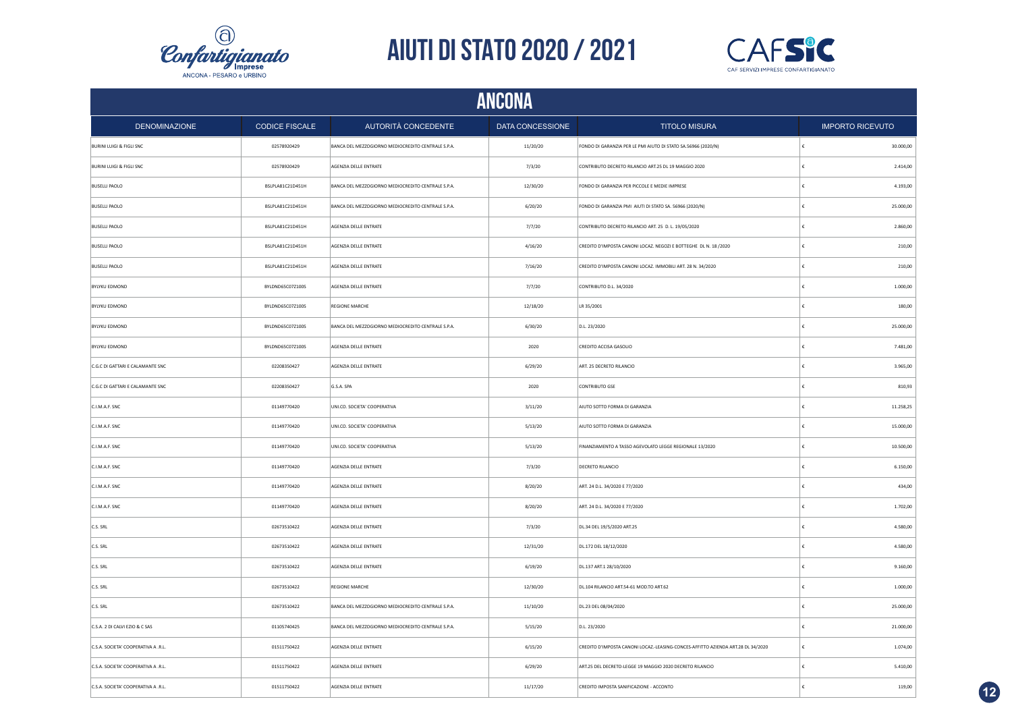



|                                     |                       |                                                    | <b>ANCONA</b>           |                                                                                    |                         |
|-------------------------------------|-----------------------|----------------------------------------------------|-------------------------|------------------------------------------------------------------------------------|-------------------------|
| <b>DENOMINAZIONE</b>                | <b>CODICE FISCALE</b> | AUTORITÀ CONCEDENTE                                | <b>DATA CONCESSIONE</b> | <b>TITOLO MISURA</b>                                                               | <b>IMPORTO RICEVUTO</b> |
| BURINI LUIGI & FIGLI SNC            | 02578920429           | BANCA DEL MEZZOGIORNO MEDIOCREDITO CENTRALE S.P.A. | 11/20/20                | FONDO DI GARANZIA PER LE PMI AIUTO DI STATO SA.56966 (2020/N)                      | 30.000,00<br>∣€         |
| <b>BURINI LUIGI &amp; FIGLI SNC</b> | 02578920429           | AGENZIA DELLE ENTRATE                              | 7/3/20                  | CONTRIBUTO DECRETO RILANCIO ART.25 DL 19 MAGGIO 2020                               | €<br>2.414,00           |
| <b>BUSELLI PAOLO</b>                | BSLPLA81C21D451H      | BANCA DEL MEZZOGIORNO MEDIOCREDITO CENTRALE S.P.A. | 12/30/20                | FONDO DI GARANZIA PER PICCOLE E MEDIE IMPRESE                                      | 4.193,00<br>€           |
| <b>BUSELLI PAOLO</b>                | BSLPLA81C21D451H      | BANCA DEL MEZZOGIORNO MEDIOCREDITO CENTRALE S.P.A. | 6/20/20                 | FONDO DI GARANZIA PMI AIUTI DI STATO SA. 56966 (2020/N)                            | €<br>25.000,00          |
| <b>BUSELLI PAOLO</b>                | BSLPLA81C21D451H      | AGENZIA DELLE ENTRATE                              | 7/7/20                  | CONTRIBUTO DECRETO RILANCIO ART. 25 D. L. 19/05/2020                               | 2.860,00                |
| <b>BUSELLI PAOLO</b>                | BSLPLA81C21D451H      | AGENZIA DELLE ENTRATE                              | 4/16/20                 | CREDITO D'IMPOSTA CANONI LOCAZ. NEGOZI E BOTTEGHE DL N. 18/2020                    | €<br>210,00             |
| <b>BUSELLI PAOLO</b>                | BSLPLA81C21D451H      | AGENZIA DELLE ENTRATE                              | 7/16/20                 | CREDITO D'IMPOSTA CANONI LOCAZ. IMMOBILI ART. 28 N. 34/2020                        | 210,00                  |
| <b>BYLYKU EDMOND</b>                | BYLDND65C07Z100S      | AGENZIA DELLE ENTRATE                              | 7/7/20                  | CONTRIBUTO D.L. 34/2020                                                            | 1.000,00                |
| <b>BYLYKU EDMOND</b>                | BYLDND65C07Z100S      | <b>REGIONE MARCHE</b>                              | 12/18/20                | LR 35/2001                                                                         | 180,00                  |
| <b>BYLYKU EDMOND</b>                | BYLDND65C07Z100S      | BANCA DEL MEZZOGIORNO MEDIOCREDITO CENTRALE S.P.A. | 6/30/20                 | D.L. 23/2020                                                                       | 25.000,00<br>£          |
| <b>BYLYKU EDMOND</b>                | BYLDND65C07Z100S      | AGENZIA DELLE ENTRATE                              | 2020                    | CREDITO ACCISA GASOLIO                                                             | 7.481,00<br>£           |
| C.G.C DI GATTARI E CALAMANTE SNC    | 02208350427           | AGENZIA DELLE ENTRATE                              | 6/29/20                 | ART. 25 DECRETO RILANCIO                                                           | ١£<br>3.965.00          |
| C.G.C DI GATTARI E CALAMANTE SNC    | 02208350427           | G.S.A. SPA                                         | 2020                    | CONTRIBUTO GSE                                                                     | 810,93<br>€             |
| C.I.M.A.F. SNC                      | 01149770420           | UNI.CO. SOCIETA' COOPERATIVA                       | 3/11/20                 | AIUTO SOTTO FORMA DI GARANZIA                                                      | 11.258,25<br>∣€         |
| C.I.M.A.F. SNC                      | 01149770420           | UNI.CO. SOCIETA' COOPERATIVA                       | 5/13/20                 | AIUTO SOTTO FORMA DI GARANZIA                                                      | 15.000,00<br>€          |
| C.I.M.A.F. SNC                      | 01149770420           | UNI.CO. SOCIETA' COOPERATIVA                       | 5/13/20                 | FINANZIAMENTO A TASSO AGEVOLATO LEGGE REGIONALE 13/2020                            | 10.500,00<br>€          |
| C.I.M.A.F. SNC                      | 01149770420           | AGENZIA DELLE ENTRATE                              | 7/3/20                  | DECRETO RILANCIO                                                                   | €<br>6.150,00           |
| C.I.M.A.F. SNC                      | 01149770420           | AGENZIA DELLE ENTRATE                              | 8/20/20                 | ART. 24 D.L. 34/2020 E 77/2020                                                     | 434,00<br>€             |
| C.I.M.A.F. SNC                      | 01149770420           | AGENZIA DELLE ENTRATE                              | 8/20/20                 | ART. 24 D.L. 34/2020 E 77/2020                                                     | €<br>1.702,00           |
| C.S. SRL                            | 02673510422           | AGENZIA DELLE ENTRATE                              | 7/3/20                  | DL.34 DEL 19/5/2020 ART.25                                                         | 4.580,00<br>€           |
| C.S. SRL                            | 02673510422           | AGENZIA DELLE ENTRATE                              | 12/31/20                | DL.172 DEL 18/12/2020                                                              | €<br>4.580,00           |
| C.S. SRL                            | 02673510422           | AGENZIA DELLE ENTRATE                              | 6/19/20                 | DL.137 ART.1 28/10/2020                                                            | 9.160,00                |
| C.S. SRL                            | 02673510422           | <b>REGIONE MARCHE</b>                              | 12/30/20                | DL.104 RILANCIO ART.54-61 MOD.TO ART.62                                            | 1.000,00<br>€           |
| C.S. SRL                            | 02673510422           | BANCA DEL MEZZOGIORNO MEDIOCREDITO CENTRALE S.P.A. | 11/10/20                | DL.23 DEL 08/04/2020                                                               | 25.000,00               |
| C.S.A. 2 DI CALVI EZIO & C SAS      | 01105740425           | BANCA DEL MEZZOGIORNO MEDIOCREDITO CENTRALE S.P.A. | 5/15/20                 | D.L. 23/2020                                                                       | 21.000,00               |
| C.S.A. SOCIETA' COOPERATIVA A .R.L. | 01511750422           | AGENZIA DELLE ENTRATE                              | 6/15/20                 | CREDITO D'IMPOSTA CANONI LOCAZ .- LEASING-CONCES-AFFITTO AZIENDA ART.28 DL 34/2020 | $\epsilon$<br>1.074,00  |
| C.S.A. SOCIETA' COOPERATIVA A .R.L. | 01511750422           | AGENZIA DELLE ENTRATE                              | 6/29/20                 | ART.25 DEL DECRETO-LEGGE 19 MAGGIO 2020 DECRETO RILANCIO                           | $\epsilon$<br>5.410,00  |
| C.S.A. SOCIETA' COOPERATIVA A .R.L. | 01511750422           | AGENZIA DELLE ENTRATE                              | 11/17/20                | CREDITO IMPOSTA SANIFICAZIONE - ACCONTO                                            | ١£<br>119,00            |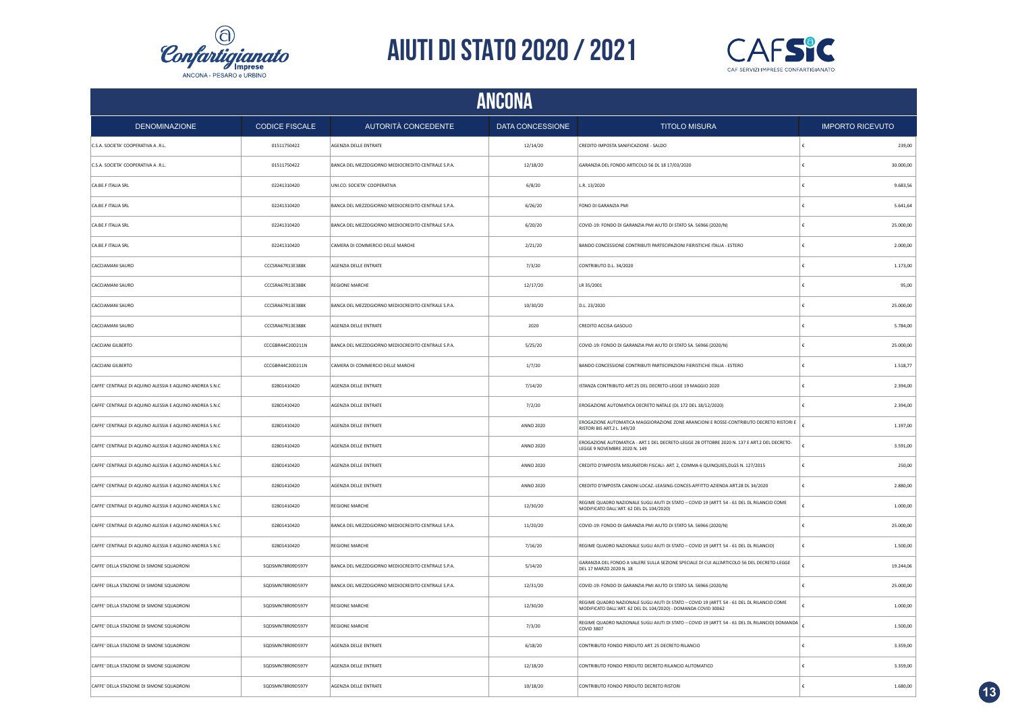



| ANCONA                                                  |                       |                                                    |                  |                                                                                                                                                               |                         |  |
|---------------------------------------------------------|-----------------------|----------------------------------------------------|------------------|---------------------------------------------------------------------------------------------------------------------------------------------------------------|-------------------------|--|
| <b>DENOMINAZIONE</b>                                    | <b>CODICE FISCALE</b> | AUTORITÀ CONCEDENTE                                | DATA CONCESSIONE | <b>TITOLO MISURA</b>                                                                                                                                          | <b>IMPORTO RICEVUTO</b> |  |
| C.S.A. SOCIETA' COOPERATIVA A .R.L.                     | 01511750422           | AGENZIA DELLE ENTRATE                              | 12/14/20         | CREDITO IMPOSTA SANIFICAZIONE - SALDO                                                                                                                         | 239,00                  |  |
| C.S.A. SOCIETA' COOPERATIVA A .R.L.                     | 01511750422           | BANCA DEL MEZZOGIORNO MEDIOCREDITO CENTRALE S.P.A. | 12/18/20         | GARANZIA DEL FONDO ARTICOLO 56 DL 18 17/03/2020                                                                                                               | 30.000,00               |  |
| CA.BE.F ITALIA SRL                                      | 02241310420           | UNI.CO. SOCIETA' COOPERATIVA                       | 6/8/20           | L.R. 13/2020                                                                                                                                                  | 9.683,56                |  |
| CA.BE.F ITALIA SRL                                      | 02241310420           | BANCA DEL MEZZOGIORNO MEDIOCREDITO CENTRALE S.P.A. | 6/26/20          | FONO DI GARANZIA PMI                                                                                                                                          | 5.641,64                |  |
| CA.BE.F ITALIA SRL                                      | 02241310420           | BANCA DEL MEZZOGIORNO MEDIOCREDITO CENTRALE S.P.A. | 6/20/20          | COVID-19: FONDO DI GARANZIA PMI AIUTO DI STATO SA. 56966 (2020/N)                                                                                             | 25.000,00               |  |
| CA.BE.F ITALIA SRL                                      | 02241310420           | CAMERA DI COMMERCIO DELLE MARCHE                   | 2/21/20          | BANDO CONCESSIONE CONTRIBUTI PARTECIPAZIONI FIERISTICHE ITALIA - ESTERO                                                                                       | €<br>2.000,00           |  |
| CACCIAMANI SAURO                                        | CCCSRA67R13E388K      | AGENZIA DELLE ENTRATE                              | 7/3/20           | CONTRIBUTO D.L. 34/2020                                                                                                                                       | 1.173,00                |  |
| CACCIAMANI SAURO                                        | CCCSRA67R13F388K      | <b>REGIONE MARCHE</b>                              | 12/17/20         | LR 35/2001                                                                                                                                                    | 95,00                   |  |
| CACCIAMANI SAURO                                        | CCCSRA67R13E388K      | BANCA DEL MEZZOGIORNO MEDIOCREDITO CENTRALE S.P.A. | 10/30/20         | D.L. 23/2020                                                                                                                                                  | 25.000,00               |  |
| CACCIAMANI SAURO                                        | CCCSRA67R13E388K      | AGENZIA DELLE ENTRATE                              | 2020             | CREDITO ACCISA GASOLIO                                                                                                                                        | 5.784,00                |  |
| CACCIANI GILBERTO                                       | CCCGBR44C20D211N      | BANCA DEL MEZZOGIORNO MEDIOCREDITO CENTRALE S.P.A. | 5/25/20          | COVID-19: FONDO DI GARANZIA PMI AIUTO DI STATO SA. 56966 (2020/N)                                                                                             | 25.000,00               |  |
| CACCIANI GILBERTO                                       | CCCGBR44C20D211N      | CAMERA DI COMMERCIO DELLE MARCHE                   | 1/7/20           | BANDO CONCESSIONE CONTRIBUTI PARTECIPAZIONI FIERISTICHE ITALIA - ESTERO                                                                                       | 1.518,77                |  |
| CAFFE' CENTRALE DI AQUINO ALESSIA E AQUINO ANDREA S.N.C | 02801410420           | AGENZIA DELLE ENTRATE                              | 7/14/20          | ISTANZA CONTRIBUTO ART.25 DEL DECRETO-LEGGE 19 MAGGIO 2020                                                                                                    | 2.394,00                |  |
| CAFFE' CENTRALE DI AQUINO ALESSIA E AQUINO ANDREA S.N.C | 02801410420           | AGENZIA DELLE ENTRATE                              | 7/2/20           | EROGAZIONE AUTOMATICA DECRETO NATALE (DL 172 DEL 18/12/2020)                                                                                                  | 2.394,00                |  |
| CAFFE' CENTRALE DI AQUINO ALESSIA E AQUINO ANDREA S.N.C | 02801410420           | AGENZIA DELLE ENTRATE                              | <b>ANNO 2020</b> | EROGAZIONE AUTOMATICA MAGGIORAZIONE ZONE ARANCIONI E ROSSE-CONTRIBUTO DECRETO RISTORI E<br>RISTORI BIS ART.2 L. 149/20                                        | 1.197,00                |  |
| CAFFE' CENTRALE DI AQUINO ALESSIA E AQUINO ANDREA S.N.C | 02801410420           | AGENZIA DELLE ENTRATE                              | <b>ANNO 2020</b> | EROGAZIONE AUTOMATICA - ART.1 DEL DECRETO-LEGGE 28 OTTOBRE 2020 N. 137 E ART.2 DEL DECRETO-<br>LEGGE 9 NOVEMBRE 2020 N. 149                                   | 3.591,00                |  |
| CAFFE' CENTRALE DI AQUINO ALESSIA E AQUINO ANDREA S.N.C | 02801410420           | AGENZIA DELLE ENTRATE                              | <b>ANNO 2020</b> | CREDITO D'IMPOSTA MISURATORI FISCALI- ART. 2, COMMA 6 QUINQUIES, DLGS N. 127/2015                                                                             | 250,00                  |  |
| CAFFE' CENTRALE DI AQUINO ALESSIA E AQUINO ANDREA S.N.C | 02801410420           | AGENZIA DELLE ENTRATE                              | <b>ANNO 2020</b> | CREDITO D'IMPOSTA CANONI LOCAZ.-LEASING-CONCES-AFFITTO AZIENDA ART.28 DL 34/2020                                                                              | 2.880,00                |  |
| CAFFE' CENTRALE DI AQUINO ALESSIA E AQUINO ANDREA S.N.C | 02801410420           | <b>REGIONE MARCHE</b>                              | 12/30/20         | REGIME QUADRO NAZIONALE SUGLI AIUTI DI STATO - COVID 19 (ARTT. 54 - 61 DEL DL RILANCIO COME<br>MODIFICATO DALL'ART. 62 DEL DL 104/2020)                       | 1.000,00                |  |
| CAFFE' CENTRALE DI AQUINO ALESSIA E AQUINO ANDREA S.N.C | 02801410420           | BANCA DEL MEZZOGIORNO MEDIOCREDITO CENTRALE S.P.A. | 11/20/20         | COVID-19: FONDO DI GARANZIA PMI AIUTO DI STATO SA. 56966 (2020/N)                                                                                             | 25.000,00               |  |
| CAFFE' CENTRALE DI AQUINO ALESSIA E AQUINO ANDREA S.N.C | 02801410420           | <b>REGIONE MARCHE</b>                              | 7/16/20          | REGIME QUADRO NAZIONALE SUGLI AIUTI DI STATO - COVID 19 (ARTT. 54 - 61 DEL DL RILANCIO)                                                                       | 1.500,00                |  |
| CAFFE' DELLA STAZIONE DI SIMONE SQUADRONI               | SQDSMN78R09D597Y      | BANCA DEL MEZZOGIORNO MEDIOCREDITO CENTRALE S.P.A. | 5/14/20          | GARANZIA DEL FONDO A VALERE SULLA SEZIONE SPECIALE DI CUI ALL'ARTICOLO 56 DEL DECRETO-LEGGE<br>DEL 17 MARZO 2020 N. 18                                        | 19.244,06               |  |
| CAFFE' DELLA STAZIONE DI SIMONE SQUADRONI               | SQDSMN78R09D597Y      | BANCA DEL MEZZOGIORNO MEDIOCREDITO CENTRALE S.P.A. | 12/31/20         | COVID-19: FONDO DI GARANZIA PMI AIUTO DI STATO SA. 56966 (2020/N)                                                                                             | 25.000,00               |  |
| CAFFE' DELLA STAZIONE DI SIMONE SQUADRONI               | SODSMN78R09D597Y      | REGIONE MARCHE                                     | 12/30/20         | REGIME QUADRO NAZIONALE SUGLI AIUTI DI STATO - COVID 19 (ARTT. 54 - 61 DEL DL RILANCIO COME<br>MODIFICATO DALL'ART. 62 DEL DL 104/2020) - DOMANDA COVID 30062 | 1.000,00                |  |
| CAFFE' DELLA STAZIONE DI SIMONE SQUADRONI               | SQDSMN78R09D597Y      | <b>REGIONE MARCHE</b>                              | 7/3/20           | REGIME QUADRO NAZIONALE SUGLI AIUTI DI STATO - COVID 19 (ARTT. 54 - 61 DEL DL RILANCIO) DOMANDA<br>COVID 3807                                                 | 1.500,00                |  |
| CAFFE' DELLA STAZIONE DI SIMONE SQUADRONI               | SQDSMN78R09D597Y      | AGENZIA DELLE ENTRATE                              | 6/18/20          | CONTRIBUTO FONDO PERDUTO ART. 25 DECRETO RILANCIO                                                                                                             | 3.359,00                |  |
| CAFFE' DELLA STAZIONE DI SIMONE SQUADRONI               | SQDSMN78R09D597Y      | AGENZIA DELLE ENTRATE                              | 12/18/20         | CONTRIBUTO FONDO PERDUTO DECRETO RILANCIO AUTOMATICO                                                                                                          | 3.359,00                |  |
| CAFFE' DELLA STAZIONE DI SIMONE SQUADRONI               | SQDSMN78R09D597Y      | AGENZIA DELLE ENTRATE                              | 10/18/20         | CONTRIBUTO FONDO PERDUTO DECRETO RISTORI                                                                                                                      | 1.680,00                |  |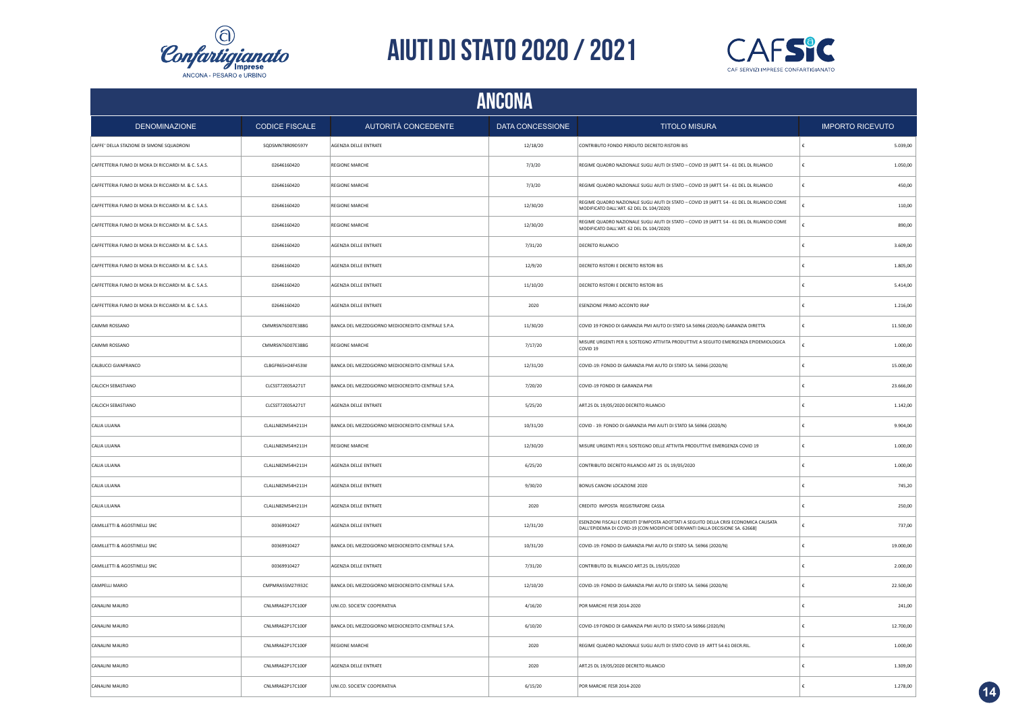



|                                                      | ANCONA                |                                                    |                  |                                                                                                                                                                         |                         |  |  |  |
|------------------------------------------------------|-----------------------|----------------------------------------------------|------------------|-------------------------------------------------------------------------------------------------------------------------------------------------------------------------|-------------------------|--|--|--|
| <b>DENOMINAZIONE</b>                                 | <b>CODICE FISCALE</b> | AUTORITÀ CONCEDENTE                                | DATA CONCESSIONE | <b>TITOLO MISURA</b>                                                                                                                                                    | <b>IMPORTO RICEVUTO</b> |  |  |  |
| CAFFE' DELLA STAZIONE DI SIMONE SQUADRONI            | SQDSMN78R09D597Y      | AGENZIA DELLE ENTRATE                              | 12/18/20         | CONTRIBUTO FONDO PERDUTO DECRETO RISTORI BIS                                                                                                                            | 5.039,00                |  |  |  |
| CAFFETTERIA FUMO DI MOKA DI RICCIARDI M. & C. S.A.S. | 02646160420           | <b>REGIONE MARCHE</b>                              | 7/3/20           | REGIME QUADRO NAZIONALE SUGLI AIUTI DI STATO - COVID 19 (ARTT. 54 - 61 DEL DL RILANCIO                                                                                  | 1.050,00<br>£           |  |  |  |
| CAFFETTERIA FUMO DI MOKA DI RICCIARDI M. & C. S.A.S. | 02646160420           | REGIONE MARCHE                                     | 7/3/20           | REGIME QUADRO NAZIONALE SUGLI AIUTI DI STATO - COVID 19 (ARTT. 54 - 61 DEL DL RILANCIO                                                                                  | 450,00<br>£             |  |  |  |
| CAFFETTERIA FUMO DI MOKA DI RICCIARDI M. & C. S.A.S. | 02646160420           | <b>REGIONE MARCHE</b>                              | 12/30/20         | REGIME QUADRO NAZIONALE SUGLI AIUTI DI STATO - COVID 19 (ARTT. 54 - 61 DEL DL RILANCIO COME<br>MODIFICATO DALL'ART. 62 DEL DL 104/2020)                                 | 110,00                  |  |  |  |
| CAFFETTERIA FUMO DI MOKA DI RICCIARDI M. & C. S.A.S. | 02646160420           | <b>REGIONE MARCHE</b>                              | 12/30/20         | REGIME QUADRO NAZIONALE SUGLI AIUTI DI STATO - COVID 19 (ARTT. 54 - 61 DEL DL RILANCIO COME<br>MODIFICATO DALL'ART. 62 DEL DL 104/2020)                                 | 890,00                  |  |  |  |
| CAFFETTERIA FUMO DI MOKA DI RICCIARDI M. & C. S.A.S. | 02646160420           | AGENZIA DELLE ENTRATE                              | 7/31/20          | DECRETO RILANCIO                                                                                                                                                        | 3.609,00<br>£           |  |  |  |
| CAFFETTERIA FUMO DI MOKA DI RICCIARDI M. & C. S.A.S. | 02646160420           | AGENZIA DELLE ENTRATE                              | 12/9/20          | DECRETO RISTORI E DECRETO RISTORI BIS                                                                                                                                   | 1.805,00                |  |  |  |
| CAFFETTERIA FUMO DI MOKA DI RICCIARDI M. & C. S.A.S. | 02646160420           | AGENZIA DELLE ENTRATE                              | 11/10/20         | DECRETO RISTORI E DECRETO RISTORI BIS                                                                                                                                   | 5.414,00<br>€           |  |  |  |
| CAFFETTERIA FUMO DI MOKA DI RICCIARDI M. & C. S.A.S. | 02646160420           | AGENZIA DELLE ENTRATE                              | 2020             | ESENZIONE PRIMO ACCONTO IRAP                                                                                                                                            | 1.216,00                |  |  |  |
| CAIMMI ROSSANO                                       | CMMRSN76D07E388G      | BANCA DEL MEZZOGIORNO MEDIOCREDITO CENTRALE S.P.A. | 11/30/20         | COVID 19 FONDO DI GARANZIA PMI AIUTO DI STATO SA 56966 (2020/N) GARANZIA DIRETTA                                                                                        | 11.500,00<br>€          |  |  |  |
| CAIMMI ROSSANO                                       | CMMRSN76D07E388G      | <b>REGIONE MARCHE</b>                              | 7/17/20          | MISURE URGENTI PER IL SOSTEGNO ATTIVITA PRODUTTIVE A SEGUITO EMERGENZA EPIDEMIOLOGICA<br>COVID <sub>19</sub>                                                            | 1.000,00                |  |  |  |
| CALBUCCI GIANFRANCO                                  | CLBGFR65H24F453W      | BANCA DEL MEZZOGIORNO MEDIOCREDITO CENTRALE S.P.A. | 12/31/20         | COVID-19: FONDO DI GARANZIA PMI AIUTO DI STATO SA. 56966 (2020/N)                                                                                                       | 15.000,00               |  |  |  |
| CALCICH SEBASTIANO                                   | CLCSST72E05A271T      | BANCA DEL MEZZOGIORNO MEDIOCREDITO CENTRALE S.P.A. | 7/20/20          | COVID-19 FONDO DI GARANZIA PMI                                                                                                                                          | 23.666,00               |  |  |  |
| CALCICH SEBASTIANO                                   | CLCSST72E05A271T      | AGENZIA DELLE ENTRATE                              | 5/25/20          | ART.25 DL 19/05/2020 DECRETO RILANCIO                                                                                                                                   | 1.142,00                |  |  |  |
| CALIA LILIANA                                        | CLALLN82M54H211H      | BANCA DEL MEZZOGIORNO MEDIOCREDITO CENTRALE S.P.A. | 10/31/20         | COVID - 19: FONDO DI GARANZIA PMI AIUTI DI STATO SA 56966 (2020/N)                                                                                                      | £<br>9.904,00           |  |  |  |
| CALIA LILIANA                                        | CLALLN82M54H211H      | <b>REGIONE MARCHE</b>                              | 12/30/20         | MISURE URGENTI PER IL SOSTEGNO DELLE ATTIVITA PRODUTTIVE EMERGENZA COVID 19                                                                                             | 1.000.00                |  |  |  |
| CALIA LILIANA                                        | CLALLN82M54H211H      | AGENZIA DELLE ENTRATE                              | 6/25/20          | CONTRIBUTO DECRETO RILANCIO ART 25 DL 19/05/2020                                                                                                                        | 1.000,00                |  |  |  |
| CALIA LILIANA                                        | CLALLN82M54H211H      | AGENZIA DELLE ENTRATE                              | 9/30/20          | BONUS CANONI LOCAZIONE 2020                                                                                                                                             | 745.20                  |  |  |  |
| CALIA LILIANA                                        | CLALLN82M54H211H      | AGENZIA DELLE ENTRATE                              | 2020             | CREDITO IMPOSTA REGISTRATORE CASSA                                                                                                                                      | 250,00                  |  |  |  |
| CAMILLETTI & AGOSTINELLI SNC                         | 00369910427           | AGENZIA DELLE ENTRATE                              | 12/31/20         | ESENZIONI FISCALI E CREDITI D'IMPOSTA ADOTTATI A SEGUITO DELLA CRISI ECONOMICA CAUSATA<br>DALL'EPIDEMIA DI COVID-19 [CON MODIFICHE DERIVANTI DALLA DECISIONE SA. 62668] | 737,00                  |  |  |  |
| CAMILLETTI & AGOSTINELLI SNC                         | 00369910427           | BANCA DEL MEZZOGIORNO MEDIOCREDITO CENTRALE S.P.A. | 10/31/20         | COVID-19: FONDO DI GARANZIA PMI AIUTO DI STATO SA. 56966 (2020/N)                                                                                                       | 19.000,00               |  |  |  |
| CAMILLETTI & AGOSTINELLI SNC                         | 00369910427           | AGENZIA DELLE ENTRATE                              | 7/31/20          | CONTRIBUTO DL RILANCIO ART.25 DL.19/05/2020                                                                                                                             | 2.000,00                |  |  |  |
| CAMPELLI MARIO                                       | CMPMRA55M27I932C      | BANCA DEL MEZZOGIORNO MEDIOCREDITO CENTRALE S.P.A. | 12/10/20         | COVID-19: FONDO DI GARANZIA PMI AIUTO DI STATO SA. 56966 (2020/N)                                                                                                       | 22.500,00               |  |  |  |
| CANALINI MAURO                                       | CNLMRA62P17C100F      | UNI.CO. SOCIETA' COOPERATIVA                       | 4/16/20          | POR MARCHE FESR 2014-2020                                                                                                                                               | 241,00                  |  |  |  |
| CANALINI MAURO                                       | CNLMRA62P17C100F      | BANCA DEL MEZZOGIORNO MEDIOCREDITO CENTRALE S.P.A. | 6/10/20          | COVID-19 FONDO DI GARANZIA PMI AIUTO DI STATO SA 56966 (2020/N)                                                                                                         | 12.700,00               |  |  |  |
| CANALINI MAURO                                       | CNLMRA62P17C100F      | <b>REGIONE MARCHE</b>                              | 2020             | REGIME QUADRO NAZIONALE SUGLI AIUTI DI STATO COVID 19 ARTT 54-61 DECR.RIL.                                                                                              | 1.000,00                |  |  |  |
| CANALINI MAURO                                       | CNLMRA62P17C100F      | AGENZIA DELLE ENTRATE                              | 2020             | ART.25 DL 19/05/2020 DECRETO RILANCIO                                                                                                                                   | 1.309,00                |  |  |  |
| CANALINI MAURO                                       | CNLMRA62P17C100F      | UNI.CO. SOCIETA' COOPERATIVA                       | 6/15/20          | POR MARCHE FESR 2014-2020                                                                                                                                               | 1.278,00                |  |  |  |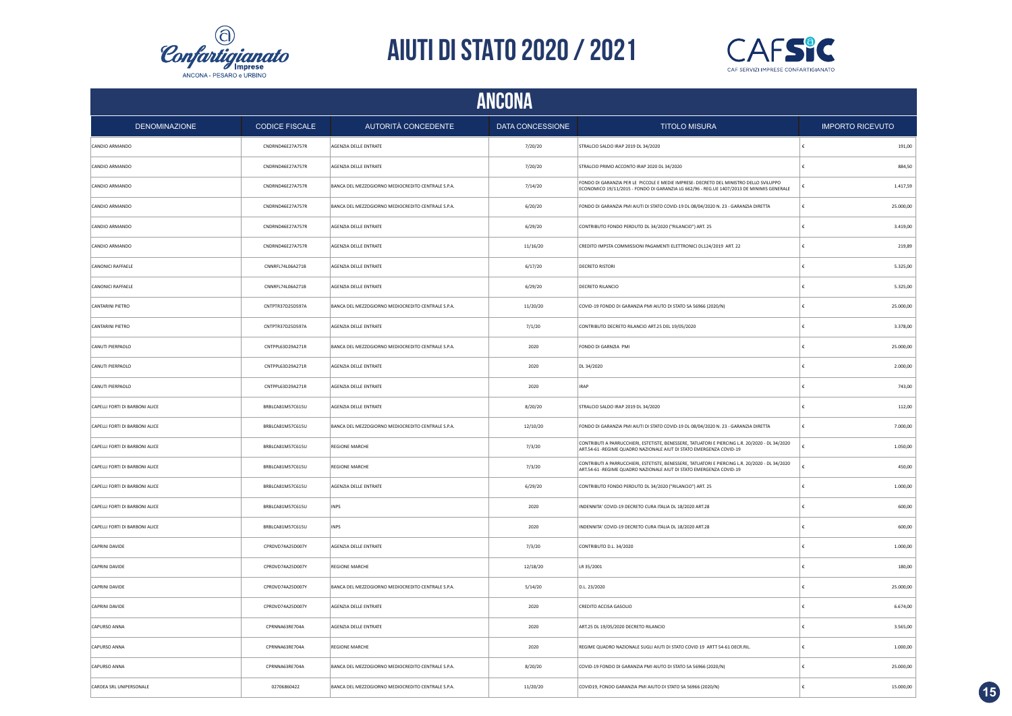



|                                | <b>ANCONA</b>         |                                                    |                  |                                                                                                                                                                                    |   |                         |  |
|--------------------------------|-----------------------|----------------------------------------------------|------------------|------------------------------------------------------------------------------------------------------------------------------------------------------------------------------------|---|-------------------------|--|
| <b>DENOMINAZIONE</b>           | <b>CODICE FISCALE</b> | AUTORITÀ CONCEDENTE                                | DATA CONCESSIONE | <b>TITOLO MISURA</b>                                                                                                                                                               |   | <b>IMPORTO RICEVUTO</b> |  |
| CANDIO ARMANDO                 | CNDRND46E27A757R      | AGENZIA DELLE ENTRATE                              | 7/20/20          | STRALCIO SALDO IRAP 2019 DL 34/2020                                                                                                                                                |   | 191,00                  |  |
| CANDIO ARMANDO                 | CNDRND46E27A757R      | AGENZIA DELLE ENTRATE                              | 7/20/20          | STRALCIO PRIMO ACCONTO IRAP 2020 DL 34/2020                                                                                                                                        |   | 884,50                  |  |
| CANDIO ARMANDO                 | CNDRND46E27A757R      | BANCA DEL MEZZOGIORNO MEDIOCREDITO CENTRALE S.P.A. | 7/14/20          | FONDO DI GARANZIA PER LE PICCOLE E MEDIE IMPRESE- DECRETO DEL MINISTRO DELLO SVILUPPO<br>ECONOMICO 19/11/2015 - FONDO DI GARANZIA LG 662/96 - REG.UE 1407/2013 DE MINIMIS GENERALE |   | 1.417,59                |  |
| CANDIO ARMANDO                 | CNDRND46E27A757R      | BANCA DEL MEZZOGIORNO MEDIOCREDITO CENTRALE S.P.A. | 6/20/20          | FONDO DI GARANZIA PMI AIUTI DI STATO COVID-19 DL 08/04/2020 N. 23 - GARANZIA DIRETTA                                                                                               | £ | 25.000,00               |  |
| CANDIO ARMANDO                 | CNDRND46E27A757R      | <b>AGENZIA DELLE ENTRATE</b>                       | 6/29/20          | CONTRIBUTO FONDO PERDUTO DL 34/2020 ("RILANCIO") ART. 25                                                                                                                           |   | 3.419,00                |  |
| CANDIO ARMANDO                 | CNDRND46E27A757R      | AGENZIA DELLE ENTRATE                              | 11/16/20         | CREDITO IMPSTA COMMISSIONI PAGAMENTI ELETTRONICI DL124/2019 ART. 22                                                                                                                | £ | 219,89                  |  |
| CANONICI RAFFAELE              | CNNRFL74L06A271B      | <b>AGENZIA DELLE ENTRATE</b>                       | 6/17/20          | <b>DECRETO RISTORI</b>                                                                                                                                                             |   | 5.325,00                |  |
| CANONICI RAFFAELE              | CNNRFL74L06A271B      | AGENZIA DELLE ENTRATE                              | 6/29/20          | <b>DECRETO RILANCIO</b>                                                                                                                                                            |   | 5.325,00                |  |
| CANTARINI PIETRO               | CNTPTR37D25D597A      | BANCA DEL MEZZOGIORNO MEDIOCREDITO CENTRALE S.P.A. | 11/20/20         | COVID-19 FONDO DI GARANZIA PMI AIUTO DI STATO SA 56966 (2020/N)                                                                                                                    |   | 25.000,00               |  |
| CANTARINI PIETRO               | CNTPTR37D25D597A      | AGENZIA DELLE ENTRATE                              | 7/1/20           | CONTRIBUTO DECRETO RILANCIO ART.25 DEL 19/05/2020                                                                                                                                  |   | 3.378,00                |  |
| CANUTI PIERPAOLO               | CNTPPL63D29A271R      | BANCA DEL MEZZOGIORNO MEDIOCREDITO CENTRALE S.P.A. | 2020             | FONDO DI GARNZIA PMI                                                                                                                                                               |   | 25.000,00               |  |
| CANUTI PIERPAOLO               | CNTPPL63D29A271R      | AGENZIA DELLE ENTRATE                              | 2020             | DL 34/2020                                                                                                                                                                         |   | 2.000,00                |  |
| CANUTI PIERPAOLO               | CNTPPL63D29A271R      | AGENZIA DELLE ENTRATE                              | 2020             | <b>IRAP</b>                                                                                                                                                                        |   | 743,00                  |  |
| CAPELLI FORTI DI BARBONI ALICE | BRBLCA81M57C615U      | AGENZIA DELLE ENTRATE                              | 8/20/20          | STRALCIO SALDO IRAP 2019 DL 34/2020                                                                                                                                                |   | 112,00                  |  |
| CAPELLI FORTI DI BARBONI ALICE | BRBLCA81M57C615U      | BANCA DEL MEZZOGIORNO MEDIOCREDITO CENTRALE S.P.A. | 12/10/20         | FONDO DI GARANZIA PMI AIUTI DI STATO COVID-19 DL 08/04/2020 N. 23 - GARANZIA DIRETTA                                                                                               |   | 7.000,00                |  |
| CAPELLI FORTI DI BARBONI ALICE | BRBLCA81M57C615U      | <b>REGIONE MARCHE</b>                              | 7/3/20           | CONTRIBUTI A PARRUCCHIERI, ESTETISTE, BENESSERE, TATUATORI E PIERCING L.R. 20/2020 - DL 34/2020<br>ART.54-61 -REGIME QUADRO NAZIONALE AIUT DI STATO EMERGENZA COVID-19             |   | 1.050,00                |  |
| CAPELLI FORTI DI BARBONI ALICE | BRBLCA81M57C615U      | <b>REGIONE MARCHE</b>                              | 7/3/20           | CONTRIBUTI A PARRUCCHIERI, ESTETISTE, BENESSERE, TATUATORI E PIERCING L.R. 20/2020 - DL 34/2020<br>ART.54-61 -REGIME QUADRO NAZIONALE AIUT DI STATO EMERGENZA COVID-19             |   | 450.00                  |  |
| CAPELLI FORTI DI BARBONI ALICE | BRBLCA81M57C615U      | AGENZIA DELLE ENTRATE                              | 6/29/20          | CONTRIBUTO FONDO PERDUTO DL 34/2020 ("RILANCIO") ART. 25                                                                                                                           | £ | 1.000,00                |  |
| CAPELLI FORTI DI BARBONI ALICE | BRBLCA81M57C615U      | <b>INPS</b>                                        | 2020             | INDENNITA' COVID-19 DECRETO CURA ITALIA DL 18/2020 ART.28                                                                                                                          |   | 600,00                  |  |
| CAPELLI FORTI DI BARBONI ALICE | BRBLCA81M57C615U      | <b>INPS</b>                                        | 2020             | INDENNITA' COVID-19 DECRETO CURA ITALIA DL 18/2020 ART.28                                                                                                                          | € | 600,00                  |  |
| CAPRINI DAVIDE                 | CPRDVD74A25D007Y      | AGENZIA DELLE ENTRATE                              | 7/3/20           | CONTRIBUTO D.L. 34/2020                                                                                                                                                            |   | 1.000,00                |  |
| CAPRINI DAVIDE                 | CPRDVD74A25D007Y      | <b>REGIONE MARCHE</b>                              | 12/18/20         | LR 35/2001                                                                                                                                                                         |   | 180,00                  |  |
| CAPRINI DAVIDE                 | CPRDVD74A25D007Y      | BANCA DEL MEZZOGIORNO MEDIOCREDITO CENTRALE S.P.A. | 5/14/20          | D.L. 23/2020                                                                                                                                                                       |   | 25.000,00               |  |
| CAPRINI DAVIDE                 | CPRDVD74A25D007Y      | AGENZIA DELLE ENTRATE                              | 2020             | CREDITO ACCISA GASOLIO                                                                                                                                                             |   | 6.674,00                |  |
| CAPURSO ANNA                   | CPRNNA63RE704A        | AGENZIA DELLE ENTRATE                              | 2020             | ART.25 DL 19/05/2020 DECRETO RILANCIO                                                                                                                                              |   | 3.565,00                |  |
| CAPURSO ANNA                   | CPRNNA63RE704A        | <b>REGIONE MARCHE</b>                              | 2020             | REGIME QUADRO NAZIONALE SUGLI AIUTI DI STATO COVID 19 ARTT 54-61 DECR.RIL.                                                                                                         |   | 1.000,00                |  |
| CAPURSO ANNA                   | CPRNNA63RF704A        | BANCA DEL MEZZOGIORNO MEDIOCREDITO CENTRALE S.P.A. | 8/20/20          | COVID-19 FONDO DI GARANZIA PMI AIUTO DI STATO SA 56966 (2020/N)                                                                                                                    |   | 25,000.00               |  |
| CARDEA SRL UNIPERSONALE        | 02706860422           | BANCA DEL MEZZOGIORNO MEDIOCREDITO CENTRALE S.P.A. | 11/20/20         | COVID19, FONDO GARANZIA PMI AIUTO DI STATO SA 56966 (2020/N)                                                                                                                       |   | 15,000.00               |  |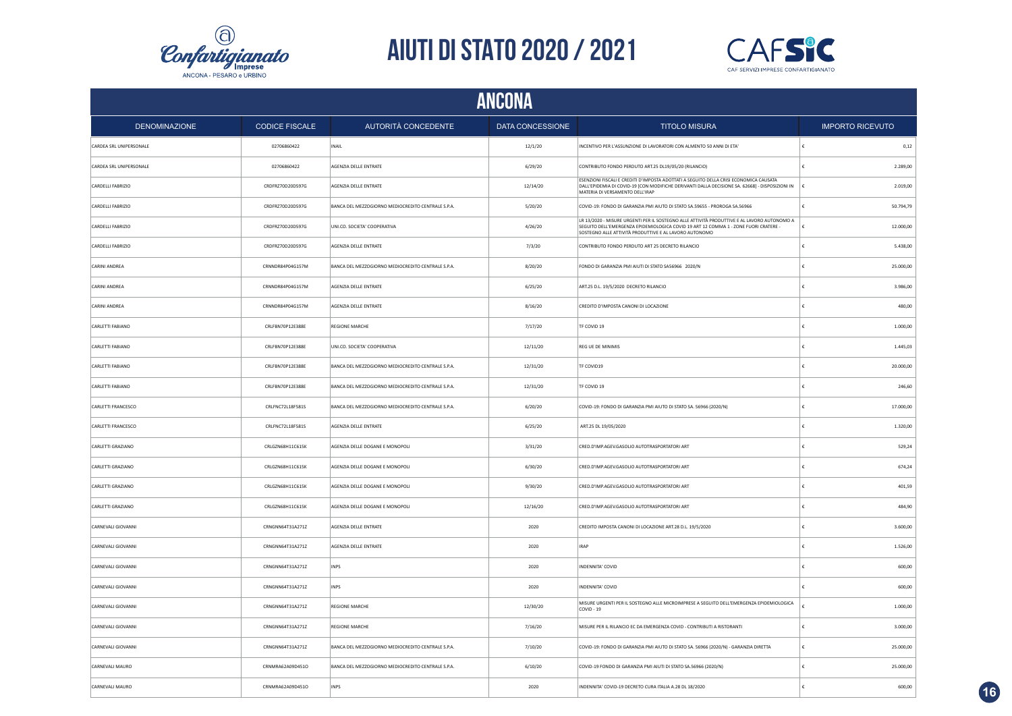



| <b>ANCONA</b>             |                       |                                                    |                  |                                                                                                                                                                                                                                               |                         |  |
|---------------------------|-----------------------|----------------------------------------------------|------------------|-----------------------------------------------------------------------------------------------------------------------------------------------------------------------------------------------------------------------------------------------|-------------------------|--|
| <b>DENOMINAZIONE</b>      | <b>CODICE FISCALE</b> | AUTORITÀ CONCEDENTE                                | DATA CONCESSIONE | <b>TITOLO MISURA</b>                                                                                                                                                                                                                          | <b>IMPORTO RICEVUTO</b> |  |
| CARDEA SRL UNIPERSONALE   | 02706860422           | INAIL                                              | 12/1/20          | INCENTIVO PER L'ASSUNZIONE DI LAVORATORI CON ALMENTO 50 ANNI DI ETA                                                                                                                                                                           | 0,12                    |  |
| CARDEA SRL UNIPERSONALE   | 02706860422           | AGENZIA DELLE ENTRATE                              | 6/29/20          | CONTRIBUTO FONDO PERDUTO ART.25 DL19/05/20 (RILANCIO)                                                                                                                                                                                         | 2.289,00                |  |
| CARDELLI FABRIZIO         | CRDFRZ70D20D597G      | AGENZIA DELLE ENTRATE                              | 12/14/20         | ESENZIONI FISCALI E CREDITI D'IMPOSTA ADOTTATI A SEGUITO DELLA CRISI ECONOMICA CAUSATA<br>DALL'EPIDEMIA DI COVID-19 [CON MODIFICHE DERIVANTI DALLA DECISIONE SA. 62668] - DISPOSIZIONI IN<br>MATERIA DI VERSAMENTO DELL'IRAP                  | 2.019,00                |  |
| CARDELLI FABRIZIO         | CRDFRZ70D20D597G      | BANCA DEL MEZZOGIORNO MEDIOCREDITO CENTRALE S.P.A. | 5/20/20          | COVID-19: FONDO DI GARANZIA PMI AIUTO DI STATO SA.59655 - PROROGA SA.56966                                                                                                                                                                    | 50.794,79               |  |
| CARDELLI FABRIZIO         | CRDFRZ70D20D597G      | UNI.CO. SOCIETA' COOPERATIVA                       | 4/26/20          | LR 13/2020 - MISURE URGENTI PER IL SOSTEGNO ALLE ATTIVITÀ PRODUTTIVE E AL LAVORO AUTONOMO A<br>SEGUITO DELL'EMERGENZA EPIDEMIOLOGICA COVID 19 ART 12 COMMA 1 - ZONE FUORI CRATERE -<br>SOSTEGNO ALLE ATTIVITÀ PRODUTTIVE E AL LAVORO AUTONOMO | 12.000,00<br>£          |  |
| CARDELLI FABRIZIO         | CRDFRZ70D20D597G      | AGENZIA DELLE ENTRATE                              | 7/3/20           | CONTRIBUTO FONDO PERDUTO ART 25 DECRETO RILANCIO                                                                                                                                                                                              | 5.438,00                |  |
| CARINI ANDREA             | CRNNDR84P04G157M      | BANCA DEL MEZZOGIORNO MEDIOCREDITO CENTRALE S.P.A. | 8/20/20          | FONDO DI GARANZIA PMI AIUTI DI STATO SA56966 2020/N                                                                                                                                                                                           | 25.000,00               |  |
| CARINI ANDREA             | CRNNDR84P04G157M      | AGENZIA DELLE ENTRATE                              | 6/25/20          | ART.25 D.L. 19/5/2020 DECRETO RILANCIO                                                                                                                                                                                                        | 3.986.00                |  |
| CARINI ANDREA             | CRNNDR84P04G157M      | AGENZIA DELLE ENTRATE                              | 8/16/20          | CREDITO D'IMPOSTA CANONI DI LOCAZIONE                                                                                                                                                                                                         | 480.00                  |  |
| CARLETTI FABIANO          | CRLFBN70P12E388E      | <b>REGIONE MARCHE</b>                              | 7/17/20          | TF COVID 19                                                                                                                                                                                                                                   | 1.000,00                |  |
| CARLETTI FABIANO          | CRLFBN70P12E388E      | UNI.CO. SOCIETA' COOPERATIVA                       | 12/11/20         | REG UE DE MINIMIS                                                                                                                                                                                                                             | 1.445,03                |  |
| CARLETTI FABIANO          | CRLFBN70P12E388E      | BANCA DEL MEZZOGIORNO MEDIOCREDITO CENTRALE S.P.A. | 12/31/20         | TF COVID19                                                                                                                                                                                                                                    | 20.000,00               |  |
| CARLETTI FABIANO          | CRLFBN70P12E388E      | BANCA DEL MEZZOGIORNO MEDIOCREDITO CENTRALE S.P.A. | 12/31/20         | TF COVID 19                                                                                                                                                                                                                                   | 246,60                  |  |
| CARLETTI FRANCESCO        | CRLFNC72L18F581S      | BANCA DEL MEZZOGIORNO MEDIOCREDITO CENTRALE S.P.A. | 6/20/20          | COVID-19: FONDO DI GARANZIA PMI AIUTO DI STATO SA. 56966 (2020/N)                                                                                                                                                                             | 17.000,00               |  |
| CARLETTI FRANCESCO        | CRLFNC72L18F581S      | AGENZIA DELLE ENTRATE                              | 6/25/20          | ART.25 DL 19/05/2020                                                                                                                                                                                                                          | 1.320,00                |  |
| CARLETTI GRAZIANO         | CRLGZN68H11C615K      | AGENZIA DELLE DOGANE E MONOPOLI                    | 3/31/20          | CRED.D'IMP.AGEV.GASOLIO AUTOTRASPORTATORI ART                                                                                                                                                                                                 | 529,24                  |  |
| CARLETTI GRAZIANO         | CRLGZN68H11C615K      | AGENZIA DELLE DOGANE E MONOPOLI                    | 6/30/20          | CRED.D'IMP.AGEV.GASOLIO AUTOTRASPORTATORI ART                                                                                                                                                                                                 | 674,24                  |  |
| CARLETTI GRAZIANO         | CRLGZN68H11C615K      | AGENZIA DELLE DOGANE E MONOPOLI                    | 9/30/20          | CRED.D'IMP.AGEV.GASOLIO AUTOTRASPORTATORI ART                                                                                                                                                                                                 | 401,59<br>£             |  |
| CARLETTI GRAZIANO         | CRLGZN68H11C615K      | AGENZIA DELLE DOGANE E MONOPOLI                    | 12/16/20         | CRED.D'IMP.AGEV.GASOLIO AUTOTRASPORTATORI ART                                                                                                                                                                                                 | 484,90                  |  |
| CARNEVALI GIOVANNI        | CRNGNN64T31A271Z      | AGENZIA DELLE ENTRATE                              | 2020             | CREDITO IMPOSTA CANONI DI LOCAZIONE ART.28 D.L. 19/5/2020                                                                                                                                                                                     | 3.600,00<br>£           |  |
| <b>CARNEVALI GIOVANNI</b> | CRNGNN64T31A271Z      | AGENZIA DELLE ENTRATE                              | 2020             | <b>IRAP</b>                                                                                                                                                                                                                                   | 1.526.00                |  |
| CARNEVALI GIOVANNI        | CRNGNN64T31A271Z      | <b>INPS</b>                                        | 2020             | INDENNITA' COVID                                                                                                                                                                                                                              | 600,00                  |  |
| CARNEVALI GIOVANNI        | CRNGNN64T31A271Z      | <b>INPS</b>                                        | 2020             | INDENNITA' COVID                                                                                                                                                                                                                              | 600,00                  |  |
| CARNEVALI GIOVANNI        | CRNGNN64T31A271Z      | REGIONE MARCHE                                     | 12/30/20         | MISURE URGENTI PER IL SOSTEGNO ALLE MICROIMPRESE A SEGUITO DELL'EMERGENZA EPIDEMIOLOGICA<br>COVID - 19                                                                                                                                        | 1.000,00                |  |
| CARNEVALI GIOVANNI        | CRNGNN64T31A271Z      | <b>REGIONE MARCHE</b>                              | 7/16/20          | MISURE PER IL RILANCIO EC DA EMERGENZA COVID - CONTRIBUTI A RISTORANTI                                                                                                                                                                        | 3.000,00                |  |
| CARNEVALI GIOVANNI        | CRNGNN64T31A271Z      | BANCA DEL MEZZOGIORNO MEDIOCREDITO CENTRALE S.P.A. | 7/10/20          | COVID-19: FONDO DI GARANZIA PMI AIUTO DI STATO SA. 56966 (2020/N) - GARANZIA DIRETTA                                                                                                                                                          | 25.000,00               |  |
| CARNEVALI MAURO           | CRNMRA62A09D451O      | BANCA DEL MEZZOGIORNO MEDIOCREDITO CENTRALE S.P.A. | 6/10/20          | COVID-19 FONDO DI GARANZIA PMI AIUTI DI STATO SA.56966 (2020/N)                                                                                                                                                                               | 25.000,00               |  |
| CARNEVALI MAURO           | CRNMRA62A09D451O      | <b>INPS</b>                                        | 2020             | INDENNITA' COVID-19 DECRETO CURA ITALIA A.28 DL 18/2020                                                                                                                                                                                       | 600.00                  |  |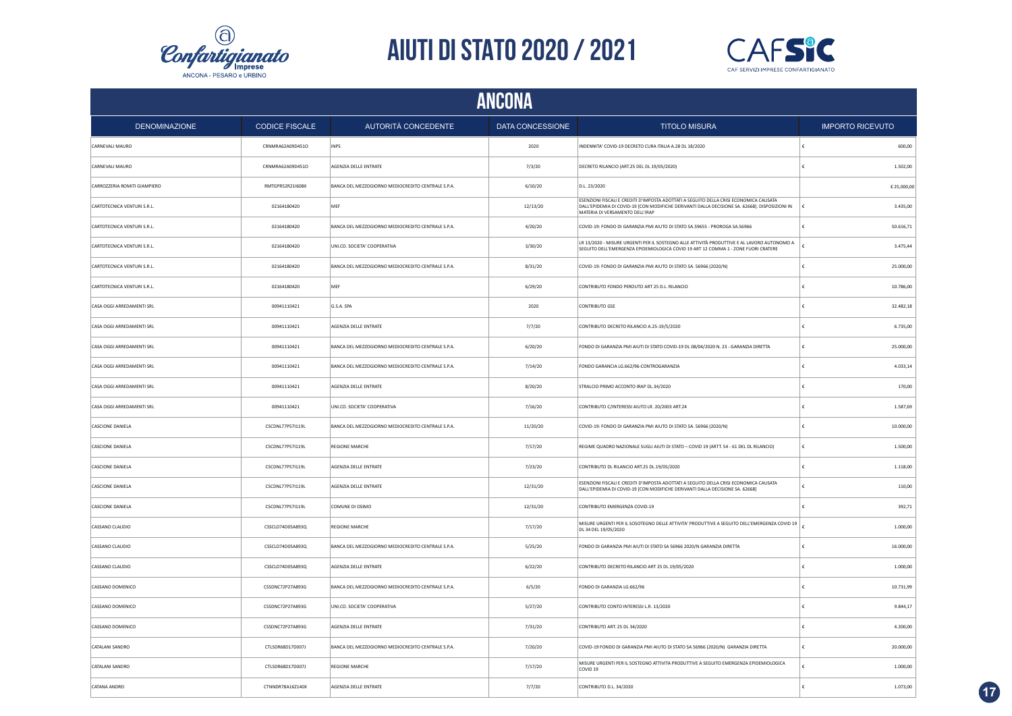



| <b>ANCONA</b>                |                       |                                                    |                  |                                                                                                                                                                                                                             |                         |  |
|------------------------------|-----------------------|----------------------------------------------------|------------------|-----------------------------------------------------------------------------------------------------------------------------------------------------------------------------------------------------------------------------|-------------------------|--|
| <b>DENOMINAZIONE</b>         | <b>CODICE FISCALE</b> | AUTORITÀ CONCEDENTE                                | DATA CONCESSIONE | <b>TITOLO MISURA</b>                                                                                                                                                                                                        | <b>IMPORTO RICEVUTO</b> |  |
| CARNEVALI MAURO              | CRNMRA62A09D451O      | <b>INPS</b>                                        | 2020             | INDENNITA' COVID-19 DECRETO CURA ITALIA A.28 DL 18/2020                                                                                                                                                                     | 600,00                  |  |
| CARNEVALI MAURO              | CRNMRA62A09D451O      | AGENZIA DELLE ENTRATE                              | 7/3/20           | DECRETO RILANCIO (ART.25 DEL DL 19/05/2020)                                                                                                                                                                                 | €<br>1.502,00           |  |
| CARROZZERIA ROMITI GIAMPIERO | RMTGPR52R21I608X      | BANCA DEL MEZZOGIORNO MEDIOCREDITO CENTRALE S.P.A. | 6/10/20          | D.L. 23/2020                                                                                                                                                                                                                | € 25,000,00             |  |
| CARTOTECNICA VENTURI S.R.L.  | 02164180420           | MEF                                                | 12/13/20         | ESENZIONI FISCALI E CREDITI D'IMPOSTA ADOTTATI A SEGUITO DELLA CRISI ECONOMICA CAUSATA<br>DALL'EPIDEMIA DI COVID-19 [CON MODIFICHE DERIVANTI DALLA DECISIONE SA. 62668]. DISPOSIZIONI IN<br>MATERIA DI VERSAMENTO DELL'IRAP | 3.435,00<br>€           |  |
| CARTOTECNICA VENTURI S.R.L.  | 02164180420           | BANCA DEL MEZZOGIORNO MEDIOCREDITO CENTRALE S.P.A. | 4/20/20          | COVID-19: FONDO DI GARANZIA PMI AIUTO DI STATO SA.59655 - PROROGA SA.56966                                                                                                                                                  | 50.616,71               |  |
| CARTOTECNICA VENTURI S.R.L.  | 02164180420           | UNI.CO. SOCIETA' COOPERATIVA                       | 3/30/20          | LR 13/2020 - MISURE URGENTI PER IL SOSTEGNO ALLE ATTIVITÀ PRODUTTIVE E AL LAVORO AUTONOMO A<br>SEGUITO DELL'EMERGENZA EPIDEMIOLOGICA COVID 19 ART 12 COMMA 1 - ZONE FUORI CRATERE                                           | 3.475,44                |  |
| CARTOTECNICA VENTURI S.R.L.  | 02164180420           | BANCA DEL MEZZOGIORNO MEDIOCREDITO CENTRALE S.P.A. | 8/31/20          | COVID-19: FONDO DI GARANZIA PMI AIUTO DI STATO SA. 56966 (2020/N)                                                                                                                                                           | 25.000,00<br>€          |  |
| CARTOTECNICA VENTURI S.R.L.  | 02164180420           | MFF                                                | 6/29/20          | CONTRIBUTO FONDO PERDUTO ART 25 D.L. RILANCIO                                                                                                                                                                               | 10.786,00<br>£          |  |
| CASA OGGI ARREDAMENTI SRL    | 00941110421           | G.S.A. SPA                                         | 2020             | CONTRIBUTO GSE                                                                                                                                                                                                              | 32.482,18               |  |
| CASA OGGI ARREDAMENTI SRL    | 00941110421           | AGENZIA DELLE ENTRATE                              | 7/7/20           | CONTRIBUTO DECRETO RILANCIO A.25-19/5/2020                                                                                                                                                                                  | 6.735,00                |  |
| CASA OGGI ARREDAMENTI SRL    | 00941110421           | BANCA DEL MEZZOGIORNO MEDIOCREDITO CENTRALE S.P.A. | 6/20/20          | FONDO DI GARANZIA PMI AIUTI DI STATO COVID-19 DL 08/04/2020 N. 23 - GARANZIA DIRETTA                                                                                                                                        | 25.000,00               |  |
| CASA OGGI ARREDAMENTI SRL    | 00941110421           | BANCA DEL MEZZOGIORNO MEDIOCREDITO CENTRALE S.P.A. | 7/14/20          | FONDO GARANCIA LG.662/96-CONTROGARANZIA                                                                                                                                                                                     | 4.033,14                |  |
| CASA OGGI ARREDAMENTI SRL    | 00941110421           | AGENZIA DELLE ENTRATE                              | 8/20/20          | STRALCIO PRIMO ACCONTO IRAP DL.34/2020                                                                                                                                                                                      | 170,00                  |  |
| CASA OGGI ARREDAMENTI SRL    | 00941110421           | UNI.CO. SOCIETA' COOPERATIVA                       | 7/16/20          | CONTRIBUTO C/INTERESSI AIUTO LR. 20/2003 ART.24                                                                                                                                                                             | 1.587,69                |  |
| <b>CASCIONE DANIELA</b>      | CSCDNL77P57I119L      | BANCA DEL MEZZOGIORNO MEDIOCREDITO CENTRALE S.P.A. | 11/20/20         | COVID-19: FONDO DI GARANZIA PMI AIUTO DI STATO SA. 56966 (2020/N)                                                                                                                                                           | £<br>10.000,00          |  |
| CASCIONE DANIELA             | CSCDNL77P57I119L      | REGIONE MARCHE                                     | 7/17/20          | REGIME QUADRO NAZIONALE SUGLI AIUTI DI STATO - COVID 19 (ARTT. 54 - 61 DEL DL RILANCIO)                                                                                                                                     | £<br>1.500,00           |  |
| CASCIONE DANIELA             | CSCDNL77P57I119L      | AGENZIA DELLE ENTRATE                              | 7/23/20          | CONTRIBUTO DL RILANCIO ART.25 DL.19/05/2020                                                                                                                                                                                 | £<br>1.118.00           |  |
| <b>CASCIONE DANIELA</b>      | CSCDNL77P57I119L      | AGENZIA DELLE ENTRATE                              | 12/31/20         | ESENZIONI FISCALI E CREDITI D'IMPOSTA ADOTTATI A SEGUITO DELLA CRISI ECONOMICA CAUSATA<br>DALL'EPIDEMIA DI COVID-19 [CON MODIFICHE DERIVANTI DALLA DECISIONE SA. 62668]                                                     | €<br>110,00             |  |
| CASCIONE DANIELA             | CSCDNL77P57I119L      | COMUNE DI OSIMO                                    | 12/31/20         | CONTRIBUTO EMERGENZA COVID-19                                                                                                                                                                                               | 392.71                  |  |
| CASSANO CLAUDIO              | CSSCLD74D05A893Q      | <b>REGIONE MARCHE</b>                              | 7/17/20          | MISURE URGENTI PER IL SOSOTEGNO DELLE ATTIVITA' PRODUTTIVE A SEGUITO DELL'EMERGENZA COVID 19<br>DL 34 DEL 19/05/2020                                                                                                        | 1.000,00                |  |
| CASSANO CLAUDIO              | CSSCLD74D05A893Q      | BANCA DEL MEZZOGIORNO MEDIOCREDITO CENTRALE S.P.A. | 5/25/20          | FONDO DI GARANZIA PMI AIUTI DI STATO SA 56966 2020/N GARANZIA DIRETTA                                                                                                                                                       | 16.000,00<br>€          |  |
| CASSANO CLAUDIO              | CSSCLD74D05A893Q      | AGENZIA DELLE ENTRATE                              | 6/22/20          | CONTRIBUTO DECRETO RILANCIO ART 25 DL 19/05/2020                                                                                                                                                                            | 1.000,00                |  |
| CASSANO DOMENICO             | CSSDNC72P27A893G      | BANCA DEL MEZZOGIORNO MEDIOCREDITO CENTRALE S.P.A. | 6/5/20           | FONDO DI GARANZIA LG.662/96                                                                                                                                                                                                 | 10.731,99               |  |
| CASSANO DOMENICO             | CSSDNC72P27A893G      | UNI.CO. SOCIETA' COOPERATIVA                       | 5/27/20          | CONTRIBUTO CONTO INTERESSI L.R. 13/2020                                                                                                                                                                                     | 9.844,17<br>€           |  |
| CASSANO DOMENICO             | CSSDNC72P27A893G      | AGENZIA DELLE ENTRATE                              | 7/31/20          | CONTRIBUTO ART. 25 DL 34/2020                                                                                                                                                                                               | 4.200,00                |  |
| CATALANI SANDRO              | CTLSDR68D17D007J      | BANCA DEL MEZZOGIORNO MEDIOCREDITO CENTRALE S.P.A. | 7/20/20          | COVID-19 FONDO DI GARANZIA PMI AIUTO DI STATO SA 56966 (2020/N) GARANZIA DIRETTA                                                                                                                                            | £<br>20.000,00          |  |
| CATALANI SANDRO              | CTLSDR68D17D007J      | <b>REGIONE MARCHE</b>                              | 7/17/20          | MISURE URGENTI PER IL SOSTEGNO ATTIVITA PRODUTTIVE A SEGUITO EMERGENZA EPIDEMIOLOGICA<br>COVID <sub>19</sub>                                                                                                                | 1.000,00<br>£           |  |
| CATANA ANDREI                | CTNNDR78A16Z140X      | AGENZIA DELLE ENTRATE                              | 7/7/20           | CONTRIBUTO D.I. 34/2020                                                                                                                                                                                                     | 1.073.00                |  |

**17**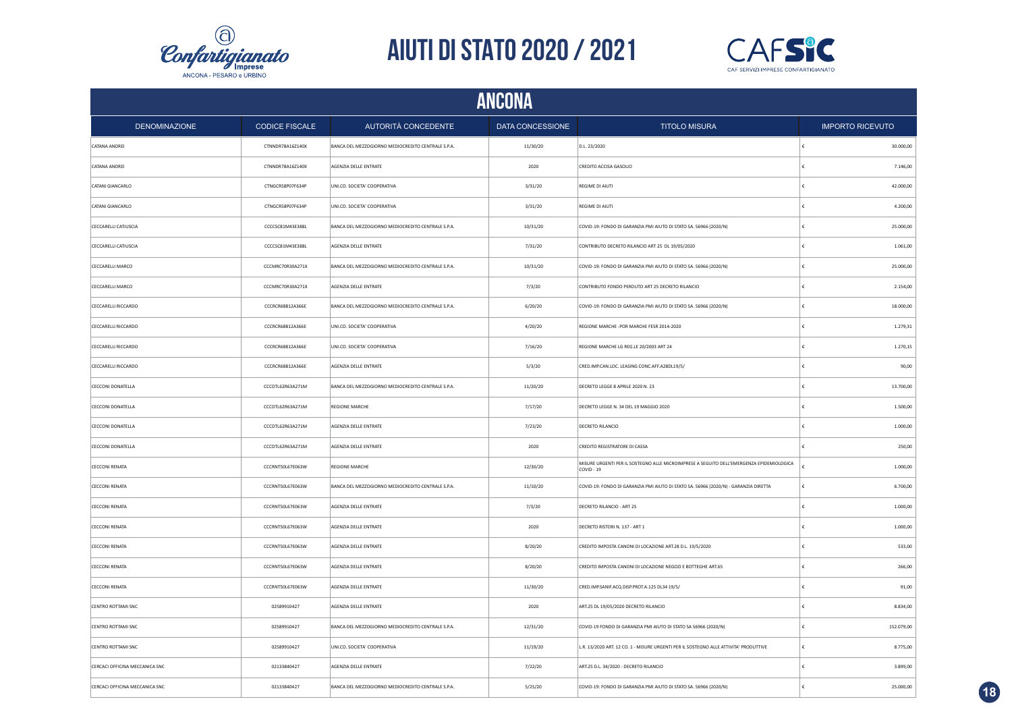



| <b>ANCONA</b>                  |                       |                                                    |                  |                                                                                                        |   |                         |
|--------------------------------|-----------------------|----------------------------------------------------|------------------|--------------------------------------------------------------------------------------------------------|---|-------------------------|
| <b>DENOMINAZIONE</b>           | <b>CODICE FISCALE</b> | AUTORITÀ CONCEDENTE                                | DATA CONCESSIONE | <b>TITOLO MISURA</b>                                                                                   |   | <b>IMPORTO RICEVUTO</b> |
| CATANA ANDREI                  | CTNNDR78A16Z140X      | BANCA DEL MEZZOGIORNO MEDIOCREDITO CENTRALE S.P.A. | 11/30/20         | D.L. 23/2020                                                                                           |   | 30.000,00               |
| CATANA ANDREI                  | CTNNDR78A16Z140X      | AGENZIA DELLE ENTRATE                              | 2020             | CREDITO ACCISA GASOLIO                                                                                 |   | 7.146,00                |
| CATANI GIANCARLO               | CTNGCR58P07F634P      | UNI.CO. SOCIETA' COOPERATIVA                       | 3/31/20          | REGIME DI AIUTI                                                                                        |   | 42.000,00               |
| CATANI GIANCARLO               | CTNGCR58P07F634P      | UNI.CO. SOCIETA' COOPERATIVA                       | 3/31/20          | REGIME DI AIUTI                                                                                        |   | 4.200,00                |
| CECCARELLI CATIUSCIA           | CCCCSC81M43E388L      | BANCA DEL MEZZOGIORNO MEDIOCREDITO CENTRALE S.P.A. | 10/31/20         | COVID-19: FONDO DI GARANZIA PMI AIUTO DI STATO SA. 56966 (2020/N)                                      |   | 25.000,00               |
| CECCARELLI CATIUSCIA           | CCCCSC81M43E388L      | AGENZIA DELLE ENTRATE                              | 7/31/20          | CONTRIBUTO DECRETO RILANCIO ART 25 DL 19/05/2020                                                       |   | 1.061,00                |
| CECCARELLI MARCO               | CCCMRC70R30A271X      | BANCA DEL MEZZOGIORNO MEDIOCREDITO CENTRALE S.P.A. | 10/31/20         | COVID-19: FONDO DI GARANZIA PMI AIUTO DI STATO SA. 56966 (2020/N)                                      | £ | 25.000,00               |
| CECCARELLI MARCO               | CCCMRC70R30A271X      | AGENZIA DELLE ENTRATE                              | 7/3/20           | CONTRIBUTO FONDO PERDUTO ART 25 DECRETO RILANCIO                                                       |   | 2.154,00                |
| CECCARELLI RICCARDO            | CCCRCR68B12A366E      | BANCA DEL MEZZOGIORNO MEDIOCREDITO CENTRALE S.P.A. | 6/20/20          | COVID-19: FONDO DI GARANZIA PMI AIUTO DI STATO SA. 56966 (2020/N)                                      |   | 18.000,00               |
| CECCARELLI RICCARDO            | CCCRCR68B12A366E      | UNI.CO. SOCIETA' COOPERATIVA                       | 4/20/20          | REGIONE MARCHE - POR MARCHE FESR 2014-2020                                                             |   | 1.279,31                |
| CECCARELLI RICCARDO            | CCCRCR68B12A366E      | UNI.CO. SOCIETA' COOPERATIVA                       | 7/16/20          | REGIONE MARCHE LG REG.LE 20/2003 ART 24                                                                |   | 1.270,15                |
| CECCARELLI RICCARDO            | CCCRCR68B12A366E      | AGENZIA DELLE ENTRATE                              | 5/3/20           | CRED.IMP.CAN.LOC. LEASING CONC.AFF.A28DL19/5/                                                          |   | 90,00                   |
| CECCONI DONATELLA              | CCCDTL62R63A271M      | BANCA DEL MEZZOGIORNO MEDIOCREDITO CENTRALE S.P.A. | 11/20/20         | DECRETO LEGGE 8 APRILE 2020 N. 23                                                                      |   | 13.700,00               |
| CECCONI DONATELLA              | CCCDTL62R63A271M      | <b>REGIONE MARCHE</b>                              | 7/17/20          | DECRETO LEGGE N. 34 DEL 19 MAGGIO 2020                                                                 |   | 1.500,00                |
| CECCONI DONATELLA              | CCCDTL62R63A271M      | AGENZIA DELLE ENTRATE                              | 7/23/20          | <b>DECRETO RILANCIO</b>                                                                                |   | 1.000,00                |
| CECCONI DONATELLA              | CCCDTL62R63A271M      | AGENZIA DELLE ENTRATE                              | 2020             | CREDITO REGISTRATORE DI CASSA                                                                          |   | 250,00                  |
| <b>CECCONI RENATA</b>          | CCCRNT50L67E063W      | <b>REGIONE MARCHE</b>                              | 12/30/20         | MISURE URGENTI PER IL SOSTEGNO ALLE MICROIMPRESE A SEGUITO DELL'EMERGENZA EPIDEMIOLOGICA<br>COVID - 19 |   | 1.000,00                |
| <b>CECCONI RENATA</b>          | CCCRNT50L67E063W      | BANCA DEL MEZZOGIORNO MEDIOCREDITO CENTRALE S.P.A. | 11/10/20         | COVID-19: FONDO DI GARANZIA PMI AIUTO DI STATO SA. 56966 (2020/N) - GARANZIA DIRETTA                   |   | 6.700,00                |
| <b>CECCONI RENATA</b>          | CCCRNT50L67E063W      | AGENZIA DELLE ENTRATE                              | 7/3/20           | DECRETO RILANCIO - ART 25                                                                              |   | 1.000,00                |
| <b>CECCONI RENATA</b>          | CCCRNT50L67E063W      | AGENZIA DELLE ENTRATE                              | 2020             | DECRETO RISTORI N. 137 - ART 1                                                                         |   | 1.000,00                |
| CECCONI RENATA                 | CCCRNT50L67E063W      | AGENZIA DELLE ENTRATE                              | 8/20/20          | CREDITO IMPOSTA CANONI DI LOCAZIONE ART.28 D.L. 19/5/2020                                              |   | 533,00                  |
| <b>CECCONI RENATA</b>          | CCCRNT50L67E063W      | AGENZIA DELLE ENTRATE                              | 8/20/20          | CREDITO IMPOSTA CANONI DI LOCAZIONE NEGOZI E BOTTEGHE ART.65                                           |   | 266,00                  |
| CECCONI RENATA                 | CCCRNT50L67E063W      | AGENZIA DELLE ENTRATE                              | 11/30/20         | CRED.IMP.SANIF.ACQ.DISP.PROT.A.125 DL34 19/5/                                                          |   | 91,00                   |
| CENTRO ROTTAMI SNC             | 02589910427           | AGENZIA DELLE ENTRATE                              | 2020             | ART.25 DL 19/05/2020 DECRETO RILANCIO                                                                  |   | 8.834,00                |
| CENTRO ROTTAMI SNC             | 02589910427           | BANCA DEL MEZZOGIORNO MEDIOCREDITO CENTRALE S.P.A. | 12/31/20         | COVID-19 FONDO DI GARANZIA PMI AIUTO DI STATO SA 56966 (2020/N)                                        |   | 152.079,00              |
| CENTRO ROTTAMI SNC             | 02589910427           | UNI.CO. SOCIETA' COOPERATIVA                       | 11/19/20         | L.R. 13/2020 ART. 12 CO. 1 - MISURE URGENTI PER IL SOSTEGNO ALLE ATTIVITA' PRODUTTIVE                  |   | 8.775,00                |
| CERCACI OFFICINA MECCANICA SNC | 02133840427           | AGENZIA DELLE ENTRATE                              | 7/22/20          | ART.25 D.L. 34/2020 - DECRETO RILANCIO                                                                 |   | 3.899,00                |
| CERCACI OFFICINA MECCANICA SNC | 02133840427           | BANCA DEL MEZZOGIORNO MEDIOCREDITO CENTRALE S.P.A. | 5/25/20          | COVID-19: FONDO DI GARANZIA PMI AIUTO DI STATO SA, 56966 (2020/N)                                      |   | 25,000.00               |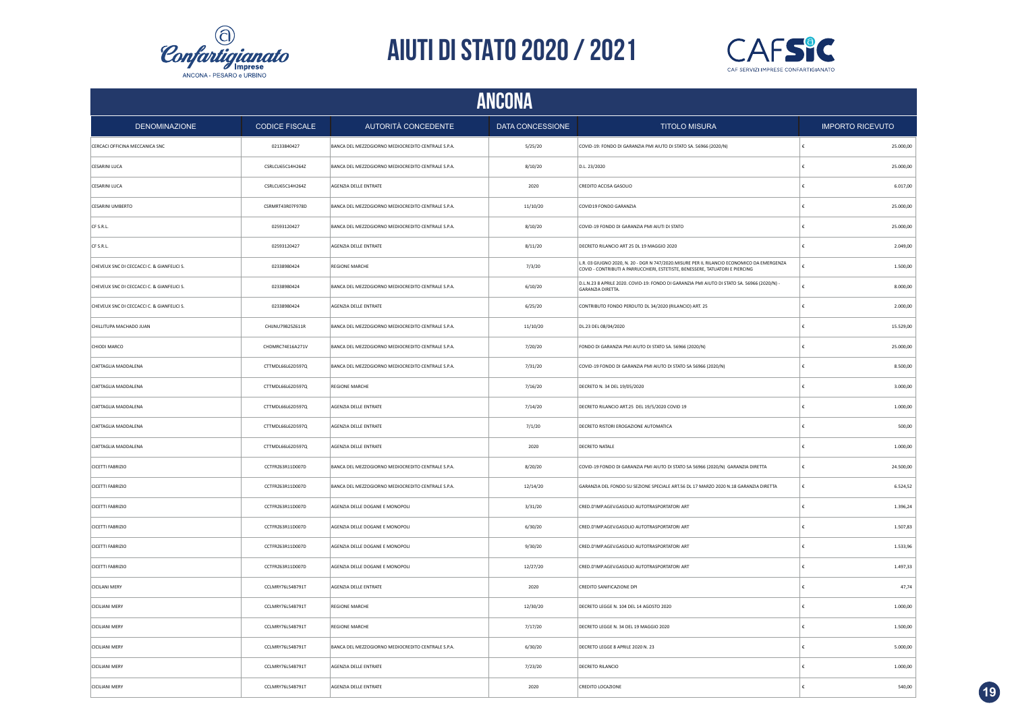



|                                            | <b>ANCONA</b>         |                                                    |                  |                                                                                                                                                                            |            |                         |  |
|--------------------------------------------|-----------------------|----------------------------------------------------|------------------|----------------------------------------------------------------------------------------------------------------------------------------------------------------------------|------------|-------------------------|--|
| <b>DENOMINAZIONE</b>                       | <b>CODICE FISCALE</b> | AUTORITÀ CONCEDENTE                                | DATA CONCESSIONE | <b>TITOLO MISURA</b>                                                                                                                                                       |            | <b>IMPORTO RICEVUTO</b> |  |
| CERCACI OFFICINA MECCANICA SNC             | 02133840427           | BANCA DEL MEZZOGIORNO MEDIOCREDITO CENTRALE S.P.A. | 5/25/20          | COVID-19: FONDO DI GARANZIA PMI AIUTO DI STATO SA. 56966 (2020/N)                                                                                                          | $\epsilon$ | 25.000,00               |  |
| CESARINI LUCA                              | CSRLCU65C14H264Z      | BANCA DEL MEZZOGIORNO MEDIOCREDITO CENTRALE S.P.A. | 8/10/20          | D.L. 23/2020                                                                                                                                                               | €          | 25.000,00               |  |
| CESARINI LUCA                              | CSRLCU65C14H264Z      | AGENZIA DELLE ENTRATE                              | 2020             | CREDITO ACCISA GASOLIO                                                                                                                                                     | €          | 6.017,00                |  |
| CESARINI UMBERTO                           | CSRMRT43R07F978D      | BANCA DEL MEZZOGIORNO MEDIOCREDITO CENTRALE S.P.A. | 11/10/20         | COVID19 FONDO GARANZIA                                                                                                                                                     | €          | 25.000,00               |  |
| CF S.R.L.                                  | 02593120427           | BANCA DEL MEZZOGIORNO MEDIOCREDITO CENTRALE S.P.A. | 8/10/20          | COVID-19 FONDO DI GARANZIA PMI AIUTI DI STATO                                                                                                                              | €          | 25.000,00               |  |
| CF S.R.L.                                  | 02593120427           | AGENZIA DELLE ENTRATE                              | 8/11/20          | DECRETO RILANCIO ART 25 DL 19 MAGGIO 2020                                                                                                                                  | €          | 2.049,00                |  |
| CHEVEUX SNC DI CECCACCI C. & GIANFELICI S. | 02338980424           | <b>REGIONE MARCHE</b>                              | 7/3/20           | L.R. 03 GIUGNO 2020, N. 20 - DGR N 747/2020.MISURE PER IL RILANCIO ECONOMICO DA EMERGENZA<br>COVID - CONTRIBUTI A PARRUCCHIERI, ESTETISTE, BENESSERE, TATUATORI E PIERCING | €          | 1.500,00                |  |
| CHEVEUX SNC DI CECCACCI C. & GIANFELICI S. | 02338980424           | BANCA DEL MEZZOGIORNO MEDIOCREDITO CENTRALE S.P.A. | 6/10/20          | D.L.N.23 8 APRILE 2020. COVID-19: FONDO DI GARANZIA PMI AIUTO DI STATO SA. 56966 (2020/N) -<br>GARANZIA DIRETTA.                                                           | £          | 8.000,00                |  |
| CHEVEUX SNC DI CECCACCI C. & GIANFELICI S. | 02338980424           | AGENZIA DELLE ENTRATE                              | 6/25/20          | CONTRIBUTO FONDO PERDUTO DL 34/2020 (RILANCIO) ART. 25                                                                                                                     | £          | 2.000,00                |  |
| CHILLITUPA MACHADO JUAN                    | CHUNU79B25Z611R       | BANCA DEL MEZZOGIORNO MEDIOCREDITO CENTRALE S.P.A. | 11/10/20         | DL.23 DEL 08/04/2020                                                                                                                                                       | €          | 15.529,00               |  |
| CHIODI MARCO                               | CHDMRC74E16A271V      | BANCA DEL MEZZOGIORNO MEDIOCREDITO CENTRALE S.P.A. | 7/20/20          | FONDO DI GARANZIA PMI AIUTO DI STATO SA. 56966 (2020/N)                                                                                                                    |            | 25.000,00               |  |
| CIATTAGLIA MADDALENA                       | CTTMDL66L62D597Q      | BANCA DEL MEZZOGIORNO MEDIOCREDITO CENTRALE S.P.A. | 7/31/20          | COVID-19 FONDO DI GARANZIA PMI AIUTO DI STATO SA 56966 (2020/N)                                                                                                            |            | 8.500,00                |  |
| CIATTAGLIA MADDALENA                       | CTTMDL66L62D597Q      | REGIONE MARCHE                                     | 7/16/20          | DECRETO N. 34 DEL 19/05/2020                                                                                                                                               |            | 3.000,00                |  |
| CIATTAGLIA MADDALENA                       | CTTMDL66L62D597Q      | AGENZIA DELLE ENTRATE                              | 7/14/20          | DECRETO RILANCIO ART.25 DEL 19/5/2020 COVID 19                                                                                                                             | £          | 1.000,00                |  |
| CIATTAGLIA MADDALENA                       | CTTMDL66L62D597Q      | AGENZIA DELLE ENTRATE                              | 7/1/20           | DECRETO RISTORI EROGAZIONE AUTOMATICA                                                                                                                                      | £          | 500,00                  |  |
| CIATTAGLIA MADDALENA                       | CTTMDL66L62D597Q      | AGENZIA DELLE ENTRATE                              | 2020             | <b>DECRETO NATALE</b>                                                                                                                                                      | £          | 1.000,00                |  |
| CICETTI FABRIZIO                           | CCTFRZ63R11D007D      | BANCA DEL MEZZOGIORNO MEDIOCREDITO CENTRALE S.P.A. | 8/20/20          | COVID-19 FONDO DI GARANZIA PMI AIUTO DI STATO SA 56966 (2020/N) GARANZIA DIRETTA                                                                                           | ١£         | 24.500,00               |  |
| CICETTI FABRIZIO                           | CCTFRZ63R11D007D      | BANCA DEL MEZZOGIORNO MEDIOCREDITO CENTRALE S.P.A. | 12/14/20         | GARANZIA DEL FONDO SU SEZIONE SPECIALE ART.56 DL 17 MARZO 2020 N.18 GARANZIA DIRETTA                                                                                       | ١£         | 6.524,52                |  |
| CICETTI FABRIZIO                           | CCTFRZ63R11D007D      | AGENZIA DELLE DOGANE E MONOPOLI                    | 3/31/20          | CRED.D'IMP.AGEV.GASOLIO AUTOTRASPORTATORI ART                                                                                                                              | $\epsilon$ | 1.396,24                |  |
| CICETTI FABRIZIO                           | CCTFRZ63R11D007D      | AGENZIA DELLE DOGANE E MONOPOLI                    | 6/30/20          | CRED.D'IMP.AGEV.GASOLIO AUTOTRASPORTATORI ART                                                                                                                              | €          | 1.507,83                |  |
| CICETTI FABRIZIO                           | CCTFRZ63R11D007D      | AGENZIA DELLE DOGANE E MONOPOLI                    | 9/30/20          | CRED.D'IMP.AGEV.GASOLIO AUTOTRASPORTATORI ART                                                                                                                              | €          | 1.533,96                |  |
| CICETTI FABRIZIO                           | CCTFRZ63R11D007D      | AGENZIA DELLE DOGANE E MONOPOLI                    | 12/27/20         | CRED.D'IMP.AGEV.GASOLIO AUTOTRASPORTATORI ART                                                                                                                              | €          | 1.497,33                |  |
| <b>CICILANI MERY</b>                       | CCLMRY76L54B791T      | AGENZIA DELLE ENTRATE                              | 2020             | CREDITO SANIFICAZIONE DPI                                                                                                                                                  | €          | 47,74                   |  |
| CICILIANI MERY                             | CCLMRY76L54B791T      | <b>REGIONE MARCHE</b>                              | 12/30/20         | DECRETO LEGGE N. 104 DEL 14 AGOSTO 2020                                                                                                                                    | €          | 1.000,00                |  |
| CICILIANI MERY                             | CCLMRY76L54B791T      | <b>REGIONE MARCHE</b>                              | 7/17/20          | DECRETO LEGGE N. 34 DEL 19 MAGGIO 2020                                                                                                                                     | £          | 1.500,00                |  |
| <b>CICILIANI MERY</b>                      | CCLMRY76L54B791T      | BANCA DEL MEZZOGIORNO MEDIOCREDITO CENTRALE S.P.A. | 6/30/20          | DECRETO LEGGE 8 APRILE 2020 N. 23                                                                                                                                          | £          | 5.000,00                |  |
| <b>CICILIANI MERY</b>                      | CCLMRY76L54B791T      | AGENZIA DELLE ENTRATE                              | 7/23/20          | <b>DECRETO RILANCIO</b>                                                                                                                                                    | €          | 1.000,00                |  |
| CICILIANI MERY                             | CCLMRY76L54B791T      | AGENZIA DELLE ENTRATE                              | 2020             | CREDITO LOCAZIONE                                                                                                                                                          |            | 540,00                  |  |

**19**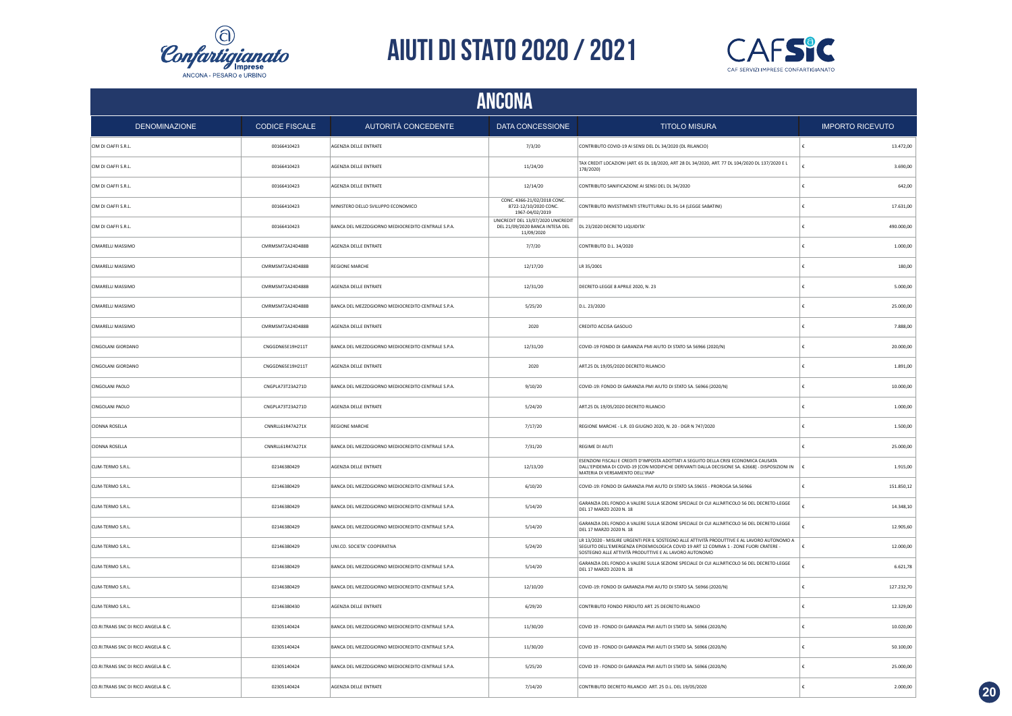



| ANCONA                               |                       |                                                    |                                                                                     |                                                                                                                                                                                                                                               |                         |  |
|--------------------------------------|-----------------------|----------------------------------------------------|-------------------------------------------------------------------------------------|-----------------------------------------------------------------------------------------------------------------------------------------------------------------------------------------------------------------------------------------------|-------------------------|--|
| <b>DENOMINAZIONE</b>                 | <b>CODICE FISCALE</b> | AUTORITÀ CONCEDENTE                                | DATA CONCESSIONE                                                                    | <b>TITOLO MISURA</b>                                                                                                                                                                                                                          | <b>IMPORTO RICEVUTO</b> |  |
| CIM DI CIAFFI S.R.L.                 | 00166410423           | AGENZIA DELLE ENTRATE                              | 7/3/20                                                                              | CONTRIBUTO COVID-19 AI SENSI DEL DL 34/2020 (DL RILANCIO)                                                                                                                                                                                     | 13.472,00               |  |
| CIM DI CIAFFI S.R.L.                 | 00166410423           | AGENZIA DELLE ENTRATE                              | 11/24/20                                                                            | TAX CREDIT LOCAZIONI (ART. 65 DL 18/2020, ART 28 DL 34/2020, ART. 77 DL 104/2020 DL 137/2020 E L<br>178/2020)                                                                                                                                 | 3.690,00                |  |
| CIM DI CIAFFI S.R.L.                 | 00166410423           | AGENZIA DELLE ENTRATE                              | 12/14/20                                                                            | CONTRIBUTO SANIFICAZIONE AI SENSI DEL DL 34/2020                                                                                                                                                                                              | 642,00                  |  |
| CIM DI CIAFFI S.R.L.                 | 00166410423           | MINISTERO DELLO SVILUPPO ECONOMICO                 | CONC. 4366-21/02/2018 CONC.<br>8722-12/10/2020 CONC.<br>1967-04/02/2019             | CONTRIBUTO INVESTIMENTI STRUTTURALI DL.91-14 (LEGGE SABATINI)                                                                                                                                                                                 | 17.631,00               |  |
| CIM DI CIAFFI S.R.L.                 | 00166410423           | BANCA DEL MEZZOGIORNO MEDIOCREDITO CENTRALE S.P.A. | UNICREDIT DEL 13/07/2020 UNICREDIT<br>DEL 21/09/2020 BANCA INTESA DEL<br>11/09/2020 | DL 23/2020 DECRETO LIQUIDITA'                                                                                                                                                                                                                 | 490.000,00              |  |
| CIMARELLI MASSIMO                    | CMRMSM72A24D488B      | AGENZIA DELLE ENTRATE                              | 7/7/20                                                                              | CONTRIBUTO D.L. 34/2020                                                                                                                                                                                                                       | 1.000,00                |  |
| CIMARELLI MASSIMO                    | CMRMSM72A24D488B      | <b>REGIONE MARCHE</b>                              | 12/17/20                                                                            | LR 35/2001                                                                                                                                                                                                                                    | 180,00                  |  |
| CIMARELLI MASSIMO                    | CMRMSM72A24D488B      | AGENZIA DELLE ENTRATE                              | 12/31/20                                                                            | DECRETO-LEGGE 8 APRILE 2020, N. 23                                                                                                                                                                                                            | 5.000,00                |  |
| CIMARELLI MASSIMO                    | CMRMSM72A24D488B      | BANCA DEL MEZZOGIORNO MEDIOCREDITO CENTRALE S.P.A. | 5/25/20                                                                             | D.L. 23/2020                                                                                                                                                                                                                                  | 25,000.00               |  |
| <b>CIMARELLI MASSIMO</b>             | CMRMSM72A24D488B      | AGENZIA DELLE ENTRATE                              | 2020                                                                                | CREDITO ACCISA GASOLIO                                                                                                                                                                                                                        | 7,888.00                |  |
| CINGOLANI GIORDANO                   | CNGGDN65E19H211T      | BANCA DEL MEZZOGIORNO MEDIOCREDITO CENTRALE S.P.A. | 12/31/20                                                                            | COVID-19 FONDO DI GARANZIA PMI AIUTO DI STATO SA 56966 (2020/N)                                                                                                                                                                               | 20.000,00               |  |
| CINGOLANI GIORDANO                   | CNGGDN65E19H211T      | AGENZIA DELLE ENTRATE                              | 2020                                                                                | ART.25 DL 19/05/2020 DECRETO RILANCIO                                                                                                                                                                                                         | 1.891,00                |  |
| CINGOLANI PAOLO                      | CNGPLA73T23A271D      | BANCA DEL MEZZOGIORNO MEDIOCREDITO CENTRALE S.P.A. | 9/10/20                                                                             | COVID-19: FONDO DI GARANZIA PMI AIUTO DI STATO SA. 56966 (2020/N)                                                                                                                                                                             | 10.000,00               |  |
| CINGOLANI PAOLO                      | CNGPLA73T23A271D      | AGENZIA DELLE ENTRATE                              | 5/24/20                                                                             | ART.25 DL 19/05/2020 DECRETO RILANCIO                                                                                                                                                                                                         | 1.000,00                |  |
| <b>CIONNA ROSELLA</b>                | CNNRLL61R47A271X      | <b>REGIONE MARCHE</b>                              | 7/17/20                                                                             | REGIONE MARCHE - L.R. 03 GIUGNO 2020, N. 20 - DGR N 747/2020                                                                                                                                                                                  | 1.500,00                |  |
| <b>CIONNA ROSELLA</b>                | CNNRLL61R47A271X      | BANCA DEL MEZZOGIORNO MEDIOCREDITO CENTRALE S.P.A. | 7/31/20                                                                             | REGIME DI AIUTI                                                                                                                                                                                                                               | 25.000,00               |  |
| CLIM-TERMO S.R.L.                    | 02146380429           | AGENZIA DELLE ENTRATE                              | 12/13/20                                                                            | ESENZIONI FISCALI E CREDITI D'IMPOSTA ADOTTATI A SEGUITO DELLA CRISI ECONOMICA CAUSATA<br>DALL'EPIDEMIA DI COVID-19 [CON MODIFICHE DERIVANTI DALLA DECISIONE SA. 62668] - DISPOSIZIONI IN<br>MATERIA DI VERSAMENTO DELL'IRAP                  | 1.915,00                |  |
| CLIM-TERMO S.R.L.                    | 02146380429           | BANCA DEL MEZZOGIORNO MEDIOCREDITO CENTRALE S.P.A. | 6/10/20                                                                             | COVID-19: FONDO DI GARANZIA PMI AIUTO DI STATO SA.59655 - PROROGA SA.56966                                                                                                                                                                    | 151.850,12              |  |
| CLIM-TERMO S.R.L.                    | 02146380429           | BANCA DEL MEZZOGIORNO MEDIOCREDITO CENTRALE S.P.A. | 5/14/20                                                                             | GARANZIA DEL FONDO A VALERE SULLA SEZIONE SPECIALE DI CUI ALL'ARTICOLO 56 DEL DECRETO-LEGGE<br>DEL 17 MARZO 2020 N. 18                                                                                                                        | 14,348.10               |  |
| CLIM-TERMO S.R.L.                    | 02146380429           | BANCA DEL MEZZOGIORNO MEDIOCREDITO CENTRALE S.P.A. | 5/14/20                                                                             | GARANZIA DEL FONDO A VALERE SULLA SEZIONE SPECIALE DI CUI ALL'ARTICOLO 56 DEL DECRETO-LEGGE<br>DEL 17 MARZO 2020 N. 18                                                                                                                        | 12.905.60               |  |
| CLIM-TERMO S.R.L.                    | 02146380429           | UNI.CO. SOCIETA' COOPERATIVA                       | 5/24/20                                                                             | LR 13/2020 - MISURE URGENTI PER IL SOSTEGNO ALLE ATTIVITÀ PRODUTTIVE E AL LAVORO AUTONOMO A<br>SEGUITO DELL'EMERGENZA EPIDEMIOLOGICA COVID 19 ART 12 COMMA 1 - ZONE FUORI CRATERE -<br>SOSTEGNO ALLE ATTIVITÀ PRODUTTIVE E AL LAVORO AUTONOMO | 12.000,00               |  |
| CLIM-TERMO S.R.L.                    | 02146380429           | BANCA DEL MEZZOGIORNO MEDIOCREDITO CENTRALE S.P.A. | 5/14/20                                                                             | GARANZIA DEL FONDO A VALERE SULLA SEZIONE SPECIALE DI CUI ALL'ARTICOLO 56 DEL DECRETO-LEGGE<br>DEL 17 MARZO 2020 N. 18                                                                                                                        | 6.621,78                |  |
| CLIM-TERMO S.R.L.                    | 02146380429           | BANCA DEL MEZZOGIORNO MEDIOCREDITO CENTRALE S.P.A. | 12/10/20                                                                            | COVID-19: FONDO DI GARANZIA PMI AIUTO DI STATO SA. 56966 (2020/N)                                                                                                                                                                             | 127.232,70              |  |
| CLIM-TERMO S.R.L.                    | 02146380430           | AGENZIA DELLE ENTRATE                              | 6/29/20                                                                             | CONTRIBUTO FONDO PERDUTO ART. 25 DECRETO RILANCIO                                                                                                                                                                                             | 12.329,00               |  |
| CO.RI.TRANS SNC DI RICCI ANGELA & C. | 02305140424           | BANCA DEL MEZZOGIORNO MEDIOCREDITO CENTRALE S.P.A. | 11/30/20                                                                            | COVID 19 - FONDO DI GARANZIA PMI AIUTI DI STATO SA. 56966 (2020/N)                                                                                                                                                                            | 10.020,00               |  |
| CO.RI.TRANS SNC DI RICCI ANGELA & C. | 02305140424           | BANCA DEL MEZZOGIORNO MEDIOCREDITO CENTRALE S.P.A. | 11/30/20                                                                            | COVID 19 - FONDO DI GARANZIA PMI AIUTI DI STATO SA. 56966 (2020/N)                                                                                                                                                                            | 50.100,00               |  |
| CO.RI.TRANS SNC DI RICCI ANGELA & C. | 02305140424           | BANCA DEL MEZZOGIORNO MEDIOCREDITO CENTRALE S.P.A. | 5/25/20                                                                             | COVID 19 - FONDO DI GARANZIA PMI AIUTI DI STATO SA. 56966 (2020/N)                                                                                                                                                                            | 25.000,00               |  |
| CO.RI.TRANS SNC DI RICCI ANGELA & C. | 02305140424           | AGENZIA DELLE ENTRATE                              | 7/14/20                                                                             | CONTRIBUTO DECRETO RILANCIO ART. 25 D.L. DEL 19/05/2020                                                                                                                                                                                       | 2.000.00                |  |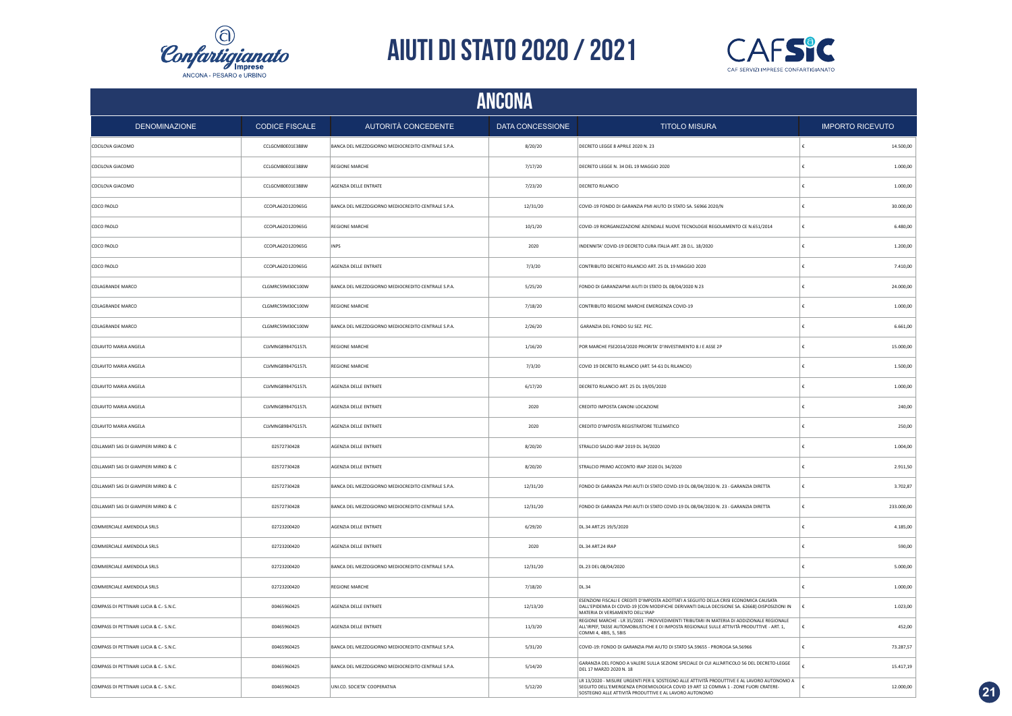



| ANCONA                                  |                       |                                                    |                  |                                                                                                                                                                                                                                              |                         |  |
|-----------------------------------------|-----------------------|----------------------------------------------------|------------------|----------------------------------------------------------------------------------------------------------------------------------------------------------------------------------------------------------------------------------------------|-------------------------|--|
| <b>DENOMINAZIONE</b>                    | <b>CODICE FISCALE</b> | AUTORITÀ CONCEDENTE                                | DATA CONCESSIONE | <b>TITOLO MISURA</b>                                                                                                                                                                                                                         | <b>IMPORTO RICEVUTO</b> |  |
| COCILOVA GIACOMO                        | CCLGCM80E01E388W      | BANCA DEL MEZZOGIORNO MEDIOCREDITO CENTRALE S.P.A. | 8/20/20          | DECRETO LEGGE 8 APRILE 2020 N. 23                                                                                                                                                                                                            | 14.500,00               |  |
| COCILOVA GIACOMO                        | CCLGCM80E01E388W      | <b>REGIONE MARCHE</b>                              | 7/17/20          | DECRETO LEGGE N. 34 DEL 19 MAGGIO 2020                                                                                                                                                                                                       | 1.000,00                |  |
| COCILOVA GIACOMO                        | CCLGCM80E01E388W      | AGENZIA DELLE ENTRATE                              | 7/23/20          | <b>DECRETO RILANCIO</b>                                                                                                                                                                                                                      | 1.000,00                |  |
| COCO PAOLO                              | CCOPLA62D12D965G      | BANCA DEL MEZZOGIORNO MEDIOCREDITO CENTRALE S.P.A. | 12/31/20         | COVID-19 FONDO DI GARANZIA PMI AIUTO DI STATO SA. 56966 2020/N                                                                                                                                                                               | 30,000.00               |  |
| COCO PAOLO                              | CCOPLA62D12D965G      | REGIONE MARCHE                                     | 10/1/20          | COVID-19 RIORGANIZZAZIONE AZIENDALE NUOVE TECNOLOGIE REGOLAMENTO CE N.651/2014                                                                                                                                                               | 6.480,00                |  |
| COCO PAOLO                              | CCOPLA62D12D965G      | <b>INPS</b>                                        | 2020             | INDENNITA' COVID-19 DECRETO CURA ITALIA ART. 28 D.L. 18/2020                                                                                                                                                                                 | 1.200,00                |  |
| COCO PAOLO                              | CCOPLA62D12D965G      | AGENZIA DELLE ENTRATE                              | 7/3/20           | CONTRIBUTO DECRETO RILANCIO ART. 25 DL 19 MAGGIO 2020                                                                                                                                                                                        | 7.410,00                |  |
| COLAGRANDE MARCO                        | CLGMRC59M30C100W      | BANCA DEL MEZZOGIORNO MEDIOCREDITO CENTRALE S.P.A. | 5/25/20          | FONDO DI GARANZIAPMI AIUTI DI STATO DL 08/04/2020 N 23                                                                                                                                                                                       | 24.000,00               |  |
| COLAGRANDE MARCO                        | CLGMRC59M30C100W      | <b>REGIONE MARCHE</b>                              | 7/18/20          | CONTRIBUTO REGIONE MARCHE EMERGENZA COVID-19                                                                                                                                                                                                 | 1.000,00                |  |
| COLAGRANDE MARCO                        | CLGMRC59M30C100W      | BANCA DEL MEZZOGIORNO MEDIOCREDITO CENTRALE S.P.A. | 2/26/20          | GARANZIA DEL FONDO SU SEZ. PEC.                                                                                                                                                                                                              | 6.661,00                |  |
| COLAVITO MARIA ANGELA                   | CLVMNG89B47G157L      | <b>REGIONE MARCHE</b>                              | 1/16/20          | POR MARCHE FSE2014/2020 PRIORITA' D'INVESTIMENTO 8.1 E ASSE 2P                                                                                                                                                                               | 15.000,00               |  |
| COLAVITO MARIA ANGELA                   | CLVMNG89B47G157L      | REGIONE MARCHE                                     | 7/3/20           | COVID 19 DECRETO RILANCIO (ART. 54-61 DL RILANCIO)                                                                                                                                                                                           | 1.500,00                |  |
| COLAVITO MARIA ANGELA                   | CLVMNG89B47G157L      | AGENZIA DELLE ENTRATE                              | 6/17/20          | DECRETO RILANCIO ART. 25 DL 19/05/2020                                                                                                                                                                                                       | 1.000,00                |  |
| COLAVITO MARIA ANGELA                   | CIVMNG89B47G157L      | AGENZIA DELLE ENTRATE                              | 2020             | CREDITO IMPOSTA CANONI LOCAZIONE                                                                                                                                                                                                             | 240,00                  |  |
| COLAVITO MARIA ANGELA                   | CLVMNG89B47G157L      | AGENZIA DELLE ENTRATE                              | 2020             | CREDITO D'IMPOSTA REGISTRATORE TELEMATICO                                                                                                                                                                                                    | 250,00                  |  |
| COLLAMATI SAS DI GIAMPIERI MIRKO & C    | 02572730428           | AGENZIA DELLE ENTRATE                              | 8/20/20          | STRALCIO SALDO IRAP 2019 DL 34/2020                                                                                                                                                                                                          | 1.004,00                |  |
| COLLAMATI SAS DI GIAMPIERI MIRKO & C    | 02572730428           | AGENZIA DELLE ENTRATE                              | 8/20/20          | STRALCIO PRIMO ACCONTO IRAP 2020 DL 34/2020                                                                                                                                                                                                  | 2.911,50                |  |
| COLLAMATI SAS DI GIAMPIERI MIRKO & C    | 02572730428           | BANCA DEL MEZZOGIORNO MEDIOCREDITO CENTRALE S.P.A. | 12/31/20         | FONDO DI GARANZIA PMI AIUTI DI STATO COVID-19 DL 08/04/2020 N. 23 - GARANZIA DIRETTA                                                                                                                                                         | 3.702,87                |  |
| COLLAMATI SAS DI GIAMPIERI MIRKO & C    | 02572730428           | BANCA DEL MEZZOGIORNO MEDIOCREDITO CENTRALE S.P.A. | 12/31/20         | FONDO DI GARANZIA PMI AIUTI DI STATO COVID-19 DL 08/04/2020 N. 23 - GARANZIA DIRETTA                                                                                                                                                         | 233.000,00<br>£         |  |
| COMMERCIALE AMENDOLA SRLS               | 02723200420           | AGENZIA DELLE ENTRATE                              | 6/29/20          | DL.34 ART.25 19/5/2020                                                                                                                                                                                                                       | 4.185,00<br>£           |  |
| COMMERCIALE AMENDOLA SRLS               | 02723200420           | AGENZIA DELLE ENTRATE                              | 2020             | DL.34 ART.24 IRAP                                                                                                                                                                                                                            | 590,00                  |  |
| COMMERCIALE AMENDOLA SRLS               | 02723200420           | BANCA DEL MEZZOGIORNO MEDIOCREDITO CENTRALE S.P.A. | 12/31/20         | DL.23 DEL 08/04/2020                                                                                                                                                                                                                         | 5.000,00                |  |
| COMMERCIALE AMENDOLA SRLS               | 02723200420           | REGIONE MARCHE                                     | 7/18/20          | <b>DL.34</b>                                                                                                                                                                                                                                 | 1.000,00                |  |
| COMPASS DI PETTINARI LUCIA & C.- S.N.C. | 00465960425           | AGENZIA DELLE ENTRATE                              | 12/13/20         | ESENZIONI FISCALI E CREDITI D'IMPOSTA ADOTTATI A SEGUITO DELLA CRISI ECONOMICA CAUSATA<br>DALL'EPIDEMIA DI COVID-19 [CON MODIFICHE DERIVANTI DALLA DECISIONE SA. 62668]-DISPOSIZIONI IN<br>MATERIA DI VERSAMENTO DELL'IRAP                   | 1.023,00                |  |
| COMPASS DI PETTINARI LUCIA & C.- S.N.C. | 00465960425           | AGENZIA DELLE ENTRATE                              | 11/3/20          | REGIONE MARCHE - LR 35/2001 - PROVVEDIMENTI TRIBUTARI IN MATERIA DI ADDIZIONALE REGIONALE<br>ALL'IRPEF, TASSE AUTOMOBILISTICHE E DI IMPOSTA REGIONALE SULLE ATTIVITÀ PRODUTTIVE - ART. 1,<br>COMMI 4, 4BIS, 5, 5BIS                          | 452.00                  |  |
| COMPASS DI PETTINARI LUCIA & C.- S.N.C. | 00465960425           | BANCA DEL MEZZOGIORNO MEDIOCREDITO CENTRALE S.P.A. | 5/31/20          | COVID-19: FONDO DI GARANZIA PMI AIUTO DI STATO SA.59655 - PROROGA SA.56966                                                                                                                                                                   | 73.287,57               |  |
| COMPASS DI PETTINARI LUCIA & C.- S.N.C. | 00465960425           | BANCA DEL MEZZOGIORNO MEDIOCREDITO CENTRALE S.P.A. | 5/14/20          | GARANZIA DEL FONDO A VALERE SULLA SEZIONE SPECIALE DI CUI ALL'ARTICOLO 56 DEL DECRETO-LEGGE<br>DEL 17 MARZO 2020 N. 18                                                                                                                       | 15.417,19               |  |
| COMPASS DI PETTINARI LUCIA & C.- S.N.C. | 00465960425           | UNI.CO. SOCIETA' COOPERATIVA                       | 5/12/20          | LR 13/2020 - MISURE URGENTI PER IL SOSTEGNO ALLE ATTIVITÀ PRODUTTIVE E AL LAVORO AUTONOMO A<br>SEGUITO DELL'EMERGENZA EPIDEMIOLOGICA COVID 19 ART 12 COMMA 1 - ZONE FUORI CRATERE-<br>SOSTEGNO ALLE ATTIVITÀ PRODUTTIVE E AL LAVORO AUTONOMO | 12.000,00               |  |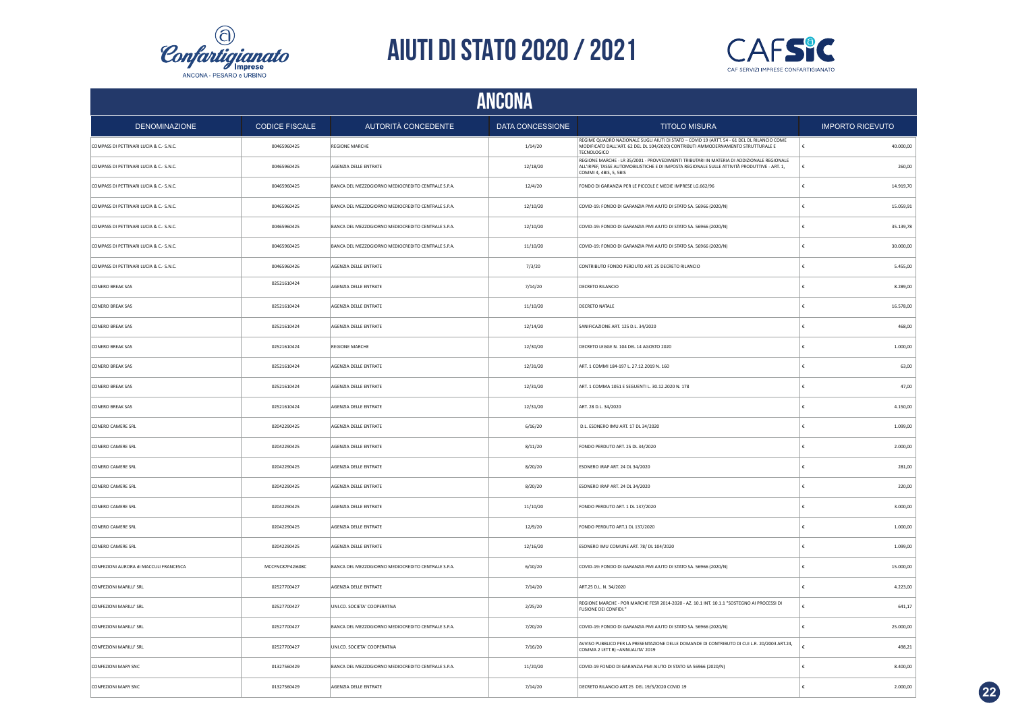



| <b>ANCONA</b>                           |                       |                                                    |                         |                                                                                                                                                                                                                     |                         |  |
|-----------------------------------------|-----------------------|----------------------------------------------------|-------------------------|---------------------------------------------------------------------------------------------------------------------------------------------------------------------------------------------------------------------|-------------------------|--|
| <b>DENOMINAZIONE</b>                    | <b>CODICE FISCALE</b> | AUTORITÀ CONCEDENTE                                | <b>DATA CONCESSIONE</b> | <b>TITOLO MISURA</b>                                                                                                                                                                                                | <b>IMPORTO RICEVUTO</b> |  |
| COMPASS DI PETTINARI LUCIA & C.- S.N.C. | 00465960425           | REGIONE MARCHE                                     | 1/14/20                 | REGIME QUADRO NAZIONALE SUGLI AIUTI DI STATO - COVID 19 (ARTT. 54 - 61 DEL DL RILANCIO COME<br>MODIFICATO DALL'ART. 62 DEL DL 104/2020) CONTRIBUTI AMMODERNAMENTO STRUTTURALE E<br><b>TECNOLOGICO</b>               | £<br>40.000,00          |  |
| COMPASS DI PETTINARI LUCIA & C.- S.N.C. | 00465960425           | AGENZIA DELLE ENTRATE                              | 12/18/20                | REGIONE MARCHE - LR 35/2001 - PROVVEDIMENTI TRIBUTARI IN MATERIA DI ADDIZIONALE REGIONALE<br>ALL'IRPEF, TASSE AUTOMOBILISTICHE E DI IMPOSTA REGIONALE SULLE ATTIVITÀ PRODUTTIVE - ART. 1.<br>COMMI 4, 4BIS, 5, 5BIS | 260.00                  |  |
| COMPASS DI PETTINARI LUCIA & C.- S.N.C. | 00465960425           | BANCA DEL MEZZOGIORNO MEDIOCREDITO CENTRALE S.P.A. | 12/4/20                 | FONDO DI GARANZIA PER LE PICCOLE E MEDIE IMPRESE LG.662/96                                                                                                                                                          | 14.919,70               |  |
| COMPASS DI PETTINARI LUCIA & C.- S.N.C. | 00465960425           | BANCA DEL MEZZOGIORNO MEDIOCREDITO CENTRALE S.P.A. | 12/10/20                | COVID-19: FONDO DI GARANZIA PMI AIUTO DI STATO SA. 56966 (2020/N)                                                                                                                                                   | 15.059,91               |  |
| COMPASS DI PETTINARI LUCIA & C.- S.N.C. | 00465960425           | BANCA DEL MEZZOGIORNO MEDIOCREDITO CENTRALE S.P.A. | 12/10/20                | COVID-19: FONDO DI GARANZIA PMI AIUTO DI STATO SA. 56966 (2020/N)                                                                                                                                                   | 35.139,78               |  |
| COMPASS DI PETTINARI LUCIA & C.- S.N.C. | 00465960425           | BANCA DEL MEZZOGIORNO MEDIOCREDITO CENTRALE S.P.A. | 11/10/20                | COVID-19: FONDO DI GARANZIA PMI AIUTO DI STATO SA. 56966 (2020/N)                                                                                                                                                   | 30.000,00               |  |
| COMPASS DI PETTINARI LUCIA & C.- S.N.C. | 00465960426           | AGENZIA DELLE ENTRATE                              | 7/3/20                  | CONTRIBUTO FONDO PERDUTO ART. 25 DECRETO RILANCIO                                                                                                                                                                   | 5.455,00                |  |
| <b>CONERO BREAK SAS</b>                 | 02521610424           | AGENZIA DELLE ENTRATE                              | 7/14/20                 | DECRETO RILANCIO                                                                                                                                                                                                    | 8.289,00                |  |
| CONERO BREAK SAS                        | 02521610424           | AGENZIA DELLE ENTRATE                              | 11/10/20                | DECRETO NATALE                                                                                                                                                                                                      | 16.578,00               |  |
| <b>CONERO BREAK SAS</b>                 | 02521610424           | AGENZIA DELLE ENTRATE                              | 12/14/20                | SANIFICAZIONE ART. 125 D.L. 34/2020                                                                                                                                                                                 | 468,00                  |  |
| <b>CONERO BREAK SAS</b>                 | 02521610424           | <b>REGIONE MARCHE</b>                              | 12/30/20                | DECRETO LEGGE N. 104 DEL 14 AGOSTO 2020                                                                                                                                                                             | 1.000,00                |  |
| <b>CONERO BREAK SAS</b>                 | 02521610424           | AGENZIA DELLE ENTRATE                              | 12/31/20                | ART. 1 COMMI 184-197 L. 27.12.2019 N. 160                                                                                                                                                                           | 63,00                   |  |
| CONERO BREAK SAS                        | 02521610424           | AGENZIA DELLE ENTRATE                              | 12/31/20                | ART. 1 COMMA 1051 E SEGUENTI L. 30.12.2020 N. 178                                                                                                                                                                   | 47,00                   |  |
| <b>CONERO BREAK SAS</b>                 | 02521610424           | AGENZIA DELLE ENTRATE                              | 12/31/20                | ART. 28 D.L. 34/2020                                                                                                                                                                                                | 4.150,00                |  |
| <b>CONERO CAMERE SRL</b>                | 02042290425           | AGENZIA DELLE ENTRATE                              | 6/16/20                 | D.L. ESONERO IMU ART. 17 DL 34/2020                                                                                                                                                                                 | 1.099,00                |  |
| <b>CONERO CAMERE SRL</b>                | 02042290425           | AGENZIA DELLE ENTRATE                              | 8/11/20                 | FONDO PERDUTO ART. 25 DL 34/2020                                                                                                                                                                                    | 2.000,00                |  |
| CONERO CAMERE SRL                       | 02042290425           | AGENZIA DELLE ENTRATE                              | 8/20/20                 | ESONERO IRAP ART, 24 DL 34/2020                                                                                                                                                                                     | 281,00                  |  |
| CONERO CAMERE SRL                       | 02042290425           | AGENZIA DELLE ENTRATE                              | 8/20/20                 | ESONERO IRAP ART, 24 DL 34/2020                                                                                                                                                                                     | 220.00                  |  |
| CONERO CAMERE SRL                       | 02042290425           | AGENZIA DELLE ENTRATE                              | 11/10/20                | FONDO PERDUTO ART. 1 DL 137/2020                                                                                                                                                                                    | 3.000,00                |  |
| CONERO CAMERE SRL                       | 02042290425           | AGENZIA DELLE ENTRATE                              | 12/9/20                 | FONDO PERDUTO ART.1 DL 137/2020                                                                                                                                                                                     | 1.000,00                |  |
| CONERO CAMERE SRL                       | 02042290425           | AGENZIA DELLE ENTRATE                              | 12/16/20                | ESONERO IMU COMUNE ART. 78/ DL 104/2020                                                                                                                                                                             | 1.099,00                |  |
| CONFEZIONI AURORA di MACCULI FRANCESCA  | MCCFNC87P42I608C      | BANCA DEL MEZZOGIORNO MEDIOCREDITO CENTRALE S.P.A. | 6/10/20                 | COVID-19: FONDO DI GARANZIA PMI AIUTO DI STATO SA. 56966 (2020/N)                                                                                                                                                   | 15.000,00               |  |
| CONFEZIONI MARILU' SRL                  | 02527700427           | AGENZIA DELLE ENTRATE                              | 7/14/20                 | ART.25 D.L. N. 34/2020                                                                                                                                                                                              | 4.223,00                |  |
| CONFEZIONI MARILU' SRL                  | 02527700427           | UNI.CO. SOCIETA' COOPERATIVA                       | 2/25/20                 | REGIONE MARCHE - POR MARCHE FESR 2014-2020 - AZ. 10.1 INT. 10.1.1 "SOSTEGNO AI PROCESSI DI<br>FUSIONE DEI CONFIDI."                                                                                                 | 641,17                  |  |
| CONFEZIONI MARILU' SRL                  | 02527700427           | BANCA DEL MEZZOGIORNO MEDIOCREDITO CENTRALE S.P.A. | 7/20/20                 | COVID-19: FONDO DI GARANZIA PMI AIUTO DI STATO SA. 56966 (2020/N)                                                                                                                                                   | 25.000,00               |  |
| CONFEZIONI MARILU' SRL                  | 02527700427           | UNI.CO. SOCIETA' COOPERATIVA                       | 7/16/20                 | AVVISO PUBBLICO PER LA PRESENTAZIONE DELLE DOMANDE DI CONTRIBUTO DI CUI L.R. 20/2003 ART.24,<br>COMMA 2 LETT.B) - ANNUALITA' 2019                                                                                   | 498,21                  |  |
| CONFEZIONI MARY SNC                     | 01327560429           | BANCA DEL MEZZOGIORNO MEDIOCREDITO CENTRALE S.P.A. | 11/20/20                | COVID-19 FONDO DI GARANZIA PMI AIUTO DI STATO SA 56966 (2020/N)                                                                                                                                                     | 8,400.00                |  |
| CONFEZIONI MARY SNC                     | 01327560429           | AGENZIA DELLE ENTRATE                              | 7/14/20                 | DECRETO RILANCIO ART.25 DEL 19/5/2020 COVID 19                                                                                                                                                                      | 2.000.00                |  |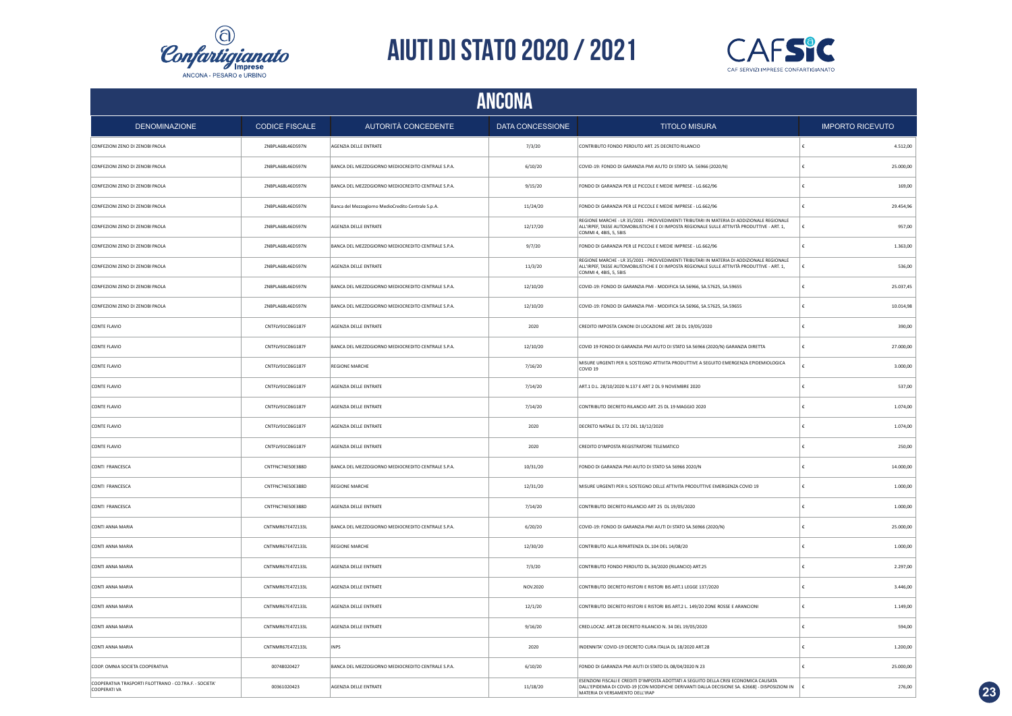



|                                                                         | ANCONA                |                                                    |                  |                                                                                                                                                                                                                              |                         |           |  |
|-------------------------------------------------------------------------|-----------------------|----------------------------------------------------|------------------|------------------------------------------------------------------------------------------------------------------------------------------------------------------------------------------------------------------------------|-------------------------|-----------|--|
| <b>DENOMINAZIONE</b>                                                    | <b>CODICE FISCALE</b> | AUTORITÀ CONCEDENTE                                | DATA CONCESSIONE | <b>TITOLO MISURA</b>                                                                                                                                                                                                         | <b>IMPORTO RICEVUTO</b> |           |  |
| CONFEZIONI ZENO DI ZENOBI PAOLA                                         | ZNBPLA68L46D597N      | AGENZIA DELLE ENTRATE                              | 7/3/20           | CONTRIBUTO FONDO PERDUTO ART. 25 DECRETO RILANCIO                                                                                                                                                                            |                         | 4.512,00  |  |
| CONFEZIONI ZENO DI ZENOBI PAOLA                                         | ZNBPLA68L46D597N      | BANCA DEL MEZZOGIORNO MEDIOCREDITO CENTRALE S.P.A. | 6/10/20          | COVID-19: FONDO DI GARANZIA PMI AIUTO DI STATO SA, 56966 (2020/N)                                                                                                                                                            |                         | 25,000.00 |  |
| CONFEZIONI ZENO DI ZENOBI PAOLA                                         | ZNBPLA68L46D597N      | BANCA DEL MEZZOGIORNO MEDIOCREDITO CENTRALE S.P.A. | 9/15/20          | FONDO DI GARANZIA PER LE PICCOLE E MEDIE IMPRESE - LG.662/96                                                                                                                                                                 |                         | 169.00    |  |
| CONFEZIONI ZENO DI ZENOBI PAOLA                                         | ZNBPLA68L46D597N      | Banca del Mezzogiorno MedioCredito Centrale S.p.A. | 11/24/20         | FONDO DI GARANZIA PER LE PICCOLE E MEDIE IMPRESE - LG.662/96                                                                                                                                                                 |                         | 29.454,96 |  |
| CONFEZIONI ZENO DI ZENOBI PAOLA                                         | ZNBPLA68L46D597N      | AGENZIA DELLE ENTRATE                              | 12/17/20         | REGIONE MARCHE - LR 35/2001 - PROVVEDIMENTI TRIBUTARI IN MATERIA DI ADDIZIONALE REGIONALE<br>ALL'IRPEF, TASSE AUTOMOBILISTICHE E DI IMPOSTA REGIONALE SULLE ATTIVITÀ PRODUTTIVE - ART. 1,<br>COMMI 4, 4BIS, 5, 5BIS          |                         | 957,00    |  |
| CONFEZIONI ZENO DI ZENOBI PAOLA                                         | ZNBPLA68L46D597N      | BANCA DEL MEZZOGIORNO MEDIOCREDITO CENTRALE S.P.A. | 9/7/20           | FONDO DI GARANZIA PER LE PICCOLE E MEDIE IMPRESE - LG.662/96                                                                                                                                                                 |                         | 1.363,00  |  |
| CONFEZIONI ZENO DI ZENOBI PAOLA                                         | ZNBPLA68L46D597N      | AGENZIA DELLE ENTRATE                              | 11/3/20          | REGIONE MARCHE - LR 35/2001 - PROVVEDIMENTI TRIBUTARI IN MATERIA DI ADDIZIONALE REGIONALE<br>ALL'IRPEF, TASSE AUTOMOBILISTICHE E DI IMPOSTA REGIONALE SULLE ATTIVITÀ PRODUTTIVE - ART. 1,<br>COMMI 4, 4BIS, 5, 5BIS          |                         | 536,00    |  |
| CONFEZIONI ZENO DI ZENOBI PAOLA                                         | ZNBPLA68L46D597N      | BANCA DEL MEZZOGIORNO MEDIOCREDITO CENTRALE S.P.A  | 12/10/20         | COVID-19: FONDO DI GARANZIA PMI - MODIFICA SA.56966, SA.57625, SA.59655                                                                                                                                                      | £                       | 25.037.45 |  |
| CONFEZIONI ZENO DI ZENOBI PAOLA                                         | ZNBPLA68L46D597N      | BANCA DEL MEZZOGIORNO MEDIOCREDITO CENTRALE S.P.A. | 12/10/20         | COVID-19: FONDO DI GARANZIA PMI - MODIFICA SA.56966, SA.57625, SA.59655                                                                                                                                                      |                         | 10.014,98 |  |
| CONTE FLAVIO                                                            | CNTFLV91C06G187F      | AGENZIA DELLE ENTRATE                              | 2020             | CREDITO IMPOSTA CANONI DI LOCAZIONE ART. 28 DL 19/05/2020                                                                                                                                                                    |                         | 390,00    |  |
| CONTE FLAVIO                                                            | CNTFLV91C06G187F      | BANCA DEL MEZZOGIORNO MEDIOCREDITO CENTRALE S.P.A. | 12/10/20         | COVID 19 FONDO DI GARANZIA PMI AIUTO DI STATO SA 56966 (2020/N) GARANZIA DIRETTA                                                                                                                                             |                         | 27.000,00 |  |
| CONTE FLAVIO                                                            | CNTFLV91C06G187F      | <b>REGIONE MARCHE</b>                              | 7/16/20          | MISURE URGENTI PER IL SOSTEGNO ATTIVITA PRODUTTIVE A SEGUITO EMERGENZA EPIDEMIOLOGICA<br>COVID <sub>19</sub>                                                                                                                 |                         | 3.000,00  |  |
| CONTE FLAVIO                                                            | CNTFLV91C06G187F      | AGENZIA DELLE ENTRATE                              | 7/14/20          | ART.1 D.L. 28/10/2020 N.137 E ART 2 DL 9 NOVEMBRE 2020                                                                                                                                                                       |                         | 537,00    |  |
| CONTE FLAVIO                                                            | CNTFLV91C06G187F      | <b>AGENZIA DELLE ENTRATE</b>                       | 7/14/20          | CONTRIBUTO DECRETO RILANCIO ART. 25 DL 19 MAGGIO 2020                                                                                                                                                                        |                         | 1.074.00  |  |
| CONTE FLAVIO                                                            | CNTFLV91C06G187F      | AGENZIA DELLE ENTRATE                              | 2020             | DECRETO NATALE DL 172 DEL 18/12/2020                                                                                                                                                                                         |                         | 1.074,00  |  |
| CONTE FLAVIO                                                            | CNTFLV91C06G187F      | AGENZIA DELLE ENTRATE                              | 2020             | CREDITO D'IMPOSTA REGISTRATORE TELEMATICO                                                                                                                                                                                    |                         | 250,00    |  |
| CONTI FRANCESCA                                                         | CNTFNC74E50E388D      | BANCA DEL MEZZOGIORNO MEDIOCREDITO CENTRALE S.P.A. | 10/31/20         | FONDO DI GARANZIA PMI AIUTO DI STATO SA 56966 2020/N                                                                                                                                                                         |                         | 14.000,00 |  |
| CONTI FRANCESCA                                                         | CNTFNC74E50E388D      | <b>REGIONE MARCHE</b>                              | 12/31/20         | MISURE URGENTI PER IL SOSTEGNO DELLE ATTIVITA PRODUTTIVE EMERGENZA COVID 19                                                                                                                                                  |                         | 1.000,00  |  |
| CONTI FRANCESCA                                                         | CNTFNC74E50E388D      | AGENZIA DELLE ENTRATE                              | 7/14/20          | CONTRIBUTO DECRETO RILANCIO ART 25 DL 19/05/2020                                                                                                                                                                             |                         | 1.000,00  |  |
| CONTI ANNA MARIA                                                        | CNTNMR67E47Z133L      | BANCA DEL MEZZOGIORNO MEDIOCREDITO CENTRALE S.P.A  | 6/20/20          | COVID-19: FONDO DI GARANZIA PMI AIUTI DI STATO SA.56966 (2020/N)                                                                                                                                                             |                         | 25.000,00 |  |
| CONTI ANNA MARIA                                                        | CNTNMR67E47Z133L      | <b>REGIONE MARCHE</b>                              | 12/30/20         | CONTRIBUTO ALLA RIPARTENZA DL.104 DEL 14/08/20                                                                                                                                                                               |                         | 1.000,00  |  |
| CONTI ANNA MARIA                                                        | CNTNMR67E47Z133L      | AGENZIA DELLE ENTRATE                              | 7/3/20           | CONTRIBUTO FONDO PERDUTO DL.34/2020 (RILANCIO) ART.25                                                                                                                                                                        |                         | 2.297,00  |  |
| CONTI ANNA MARIA                                                        | CNTNMR67E47Z133L      | AGENZIA DELLE ENTRATE                              | NOV.2020         | CONTRIBUTO DECRETO RISTORI E RISTORI BIS ART.1 LEGGE 137/2020                                                                                                                                                                |                         | 3.446,00  |  |
| CONTI ANNA MARIA                                                        | CNTNMR67E47Z133L      | AGENZIA DELLE ENTRATE                              | 12/1/20          | CONTRIBUTO DECRETO RISTORI E RISTORI BIS ART.2 L. 149/20 ZONE ROSSE E ARANCIONI                                                                                                                                              |                         | 1.149.00  |  |
| CONTI ANNA MARIA                                                        | CNTNMR67E47Z133L      | AGENZIA DELLE ENTRATE                              | 9/16/20          | CRED.LOCAZ. ART.28 DECRETO RILANCIO N. 34 DEL 19/05/2020                                                                                                                                                                     |                         | 594.00    |  |
| CONTI ANNA MARIA                                                        | CNTNMR67E47Z133L      | <b>INPS</b>                                        | 2020             | INDENNITA' COVID-19 DECRETO CURA ITALIA DL 18/2020 ART.28                                                                                                                                                                    |                         | 1.200,00  |  |
| COOP. OMNIA SOCIETA COOPERATIVA                                         | 00748020427           | BANCA DEL MEZZOGIORNO MEDIOCREDITO CENTRALE S.P.A. | 6/10/20          | FONDO DI GARANZIA PMI AIUTI DI STATO DL 08/04/2020 N 23                                                                                                                                                                      |                         | 25.000,00 |  |
| COOPERATIVA TRASPORTI FILOTTRANO - CO.TRA.F. - SOCIETA'<br>COOPERATI VA | 00361020423           | AGENZIA DELLE ENTRATE                              | 11/18/20         | ESENZIONI FISCALI E CREDITI D'IMPOSTA ADOTTATI A SEGUITO DELLA CRISI ECONOMICA CAUSATA<br>DALL'EPIDEMIA DI COVID-19 [CON MODIFICHE DERIVANTI DALLA DECISIONE SA. 62668] - DISPOSIZIONI IN<br>MATERIA DI VERSAMENTO DELL'IRAP |                         | 276,00    |  |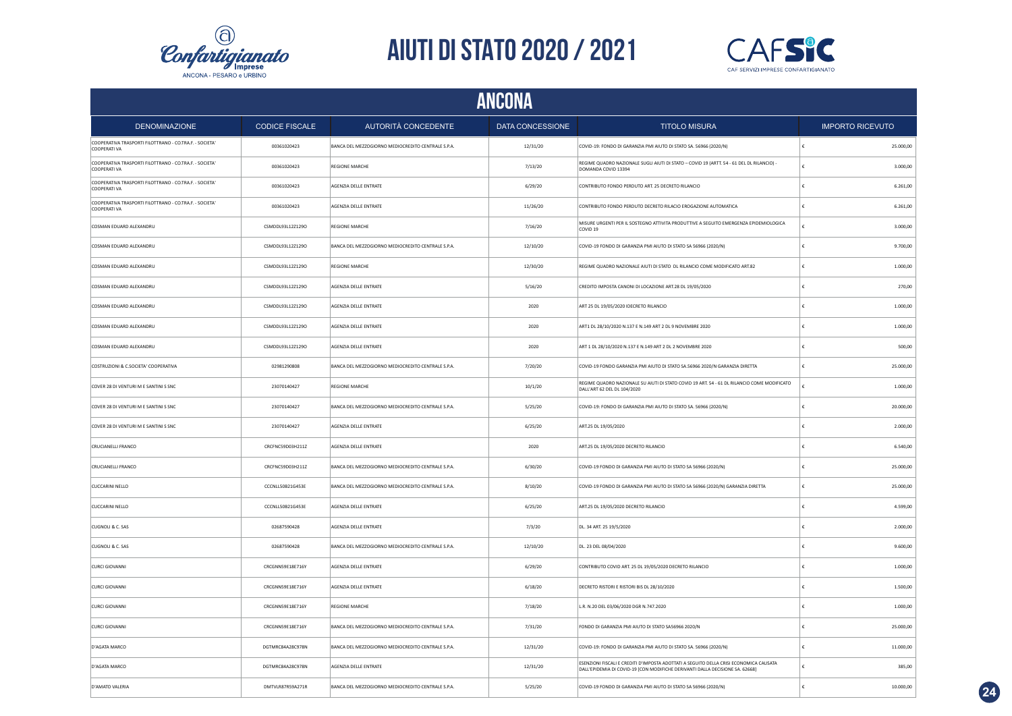



| ANCONA                                                                         |                       |                                                    |                         |                                                                                                                                                                         |                         |  |
|--------------------------------------------------------------------------------|-----------------------|----------------------------------------------------|-------------------------|-------------------------------------------------------------------------------------------------------------------------------------------------------------------------|-------------------------|--|
| <b>DENOMINAZIONE</b>                                                           | <b>CODICE FISCALE</b> | AUTORITÀ CONCEDENTE                                | <b>DATA CONCESSIONE</b> | <b>TITOLO MISURA</b>                                                                                                                                                    | <b>IMPORTO RICEVUTO</b> |  |
| COOPERATIVA TRASPORTI FILOTTRANO - CO.TRA.F. - SOCIETA'<br><b>COOPERATI VA</b> | 00361020423           | BANCA DEL MEZZOGIORNO MEDIOCREDITO CENTRALE S.P.A. | 12/31/20                | COVID-19: FONDO DI GARANZIA PMI AIUTO DI STATO SA. 56966 (2020/N)                                                                                                       | 25.000,00               |  |
| COOPERATIVA TRASPORTI FILOTTRANO - CO.TRA.F. - SOCIETA'<br>COOPERATI VA        | 00361020423           | <b>REGIONE MARCHE</b>                              | 7/13/20                 | REGIME QUADRO NAZIONALE SUGLI AIUTI DI STATO - COVID 19 (ARTT, 54 - 61 DEL DL RILANCIO) -<br>DOMANDA COVID 13394                                                        | 3.000,00                |  |
| COOPERATIVA TRASPORTI FILOTTRANO - CO.TRA.F. - SOCIETA'<br><b>COOPERATI VA</b> | 00361020423           | AGENZIA DELLE ENTRATE                              | 6/29/20                 | CONTRIBUTO FONDO PERDUTO ART. 25 DECRETO RILANCIO                                                                                                                       | 6.261,00                |  |
| COOPERATIVA TRASPORTI FILOTTRANO - CO.TRA.F. - SOCIETA'<br>COOPERATI VA        | 00361020423           | AGENZIA DELLE ENTRATE                              | 11/26/20                | CONTRIBUTO FONDO PERDUTO DECRETO RILACIO EROGAZIONE AUTOMATICA                                                                                                          | 6.261,00                |  |
| COSMAN EDUARD ALEXANDRU                                                        | CSMDDL93L12Z129O      | <b>REGIONE MARCHE</b>                              | 7/16/20                 | MISURE URGENTI PER IL SOSTEGNO ATTIVITA PRODUTTIVE A SEGUITO EMERGENZA EPIDEMIOLOGICA<br>COVID <sub>19</sub>                                                            | 3.000,00                |  |
| COSMAN EDUARD ALEXANDRU                                                        | CSMDDL93L12Z129O      | BANCA DEL MEZZOGIORNO MEDIOCREDITO CENTRALE S.P.A. | 12/10/20                | COVID-19 FONDO DI GARANZIA PMI AIUTO DI STATO SA 56966 (2020/N)                                                                                                         | 9.700,00                |  |
| COSMAN EDUARD ALEXANDRU                                                        | CSMDDL93L12Z129O      | <b>REGIONE MARCHE</b>                              | 12/30/20                | REGIME QUADRO NAZIONALE AIUTI DI STATO DL RILANCIO COME MODIFICATO ART.82                                                                                               | 1.000,00                |  |
| COSMAN EDUARD ALEXANDRU                                                        | CSMDDL93L12Z129O      | AGENZIA DELLE ENTRATE                              | 5/16/20                 | CREDITO IMPOSTA CANONI DI LOCAZIONE ART.28 DL 19/05/2020                                                                                                                | 270,00                  |  |
| COSMAN EDUARD ALEXANDRU                                                        | CSMDDL93L12Z129O      | AGENZIA DELLE ENTRATE                              | 2020                    | ART 25 DL 19/05/2020 IDECRETO RILANCIO                                                                                                                                  | 1.000,00                |  |
| COSMAN EDUARD ALEXANDRU                                                        | CSMDDL93L12Z129O      | AGENZIA DELLE ENTRATE                              | 2020                    | ART1 DL 28/10/2020 N.137 E N.149 ART 2 DL 9 NOVEMBRE 2020                                                                                                               | 1.000,00                |  |
| COSMAN EDUARD ALEXANDRU                                                        | CSMDDL93L12Z129O      | AGENZIA DELLE ENTRATE                              | 2020                    | ART 1 DL 28/10/2020 N.137 E N.149 ART 2 DL 2 NOVEMBRE 2020                                                                                                              | 500,00                  |  |
| COSTRUZIONI & C.SOCIETA' COOPERATIVA                                           | 02981290808           | BANCA DEL MEZZOGIORNO MEDIOCREDITO CENTRALE S.P.A. | 7/20/20                 | COVID-19 FONDO GARANZIA PMI AIUTO DI STATO SA.56966 2020/N GARANZIA DIRETTA                                                                                             | 25.000,00               |  |
| COVER 28 DI VENTURI M E SANTINI S SNC                                          | 23070140427           | <b>REGIONE MARCHE</b>                              | 10/1/20                 | REGIME QUADRO NAZIONALE SU AIUTI DI STATO COVID 19 ART. 54 - 61 DL RILANCIO COME MODIFICATO<br>DALL'ART 62 DEL DL 104/2020                                              | 1.000,00                |  |
| COVER 28 DI VENTURI M E SANTINI S SNC                                          | 23070140427           | BANCA DEL MEZZOGIORNO MEDIOCREDITO CENTRALE S.P.A. | 5/25/20                 | COVID-19: FONDO DI GARANZIA PMI AIUTO DI STATO SA. 56966 (2020/N)                                                                                                       | 20.000,00               |  |
| COVER 28 DI VENTURI M E SANTINI S SNC                                          | 23070140427           | AGENZIA DELLE ENTRATE                              | 6/25/20                 | ART.25 DL 19/05/2020                                                                                                                                                    | 2.000,00                |  |
| CRUCIANELLI FRANCO                                                             | CRCFNC59D03H211Z      | AGENZIA DELLE ENTRATE                              | 2020                    | ART.25 DL 19/05/2020 DECRETO RILANCIO                                                                                                                                   | 6.540,00                |  |
| CRUCIANELLI FRANCO                                                             | CRCFNC59D03H211Z      | BANCA DEL MEZZOGIORNO MEDIOCREDITO CENTRALE S.P.A. | 6/30/20                 | COVID-19 FONDO DI GARANZIA PMI AIUTO DI STATO SA 56966 (2020/N)                                                                                                         | 25.000,00               |  |
| <b>CUCCARINI NELLO</b>                                                         | CCCNLL50B21G453E      | BANCA DEL MEZZOGIORNO MEDIOCREDITO CENTRALE S.P.A. | 8/10/20                 | COVID-19 FONDO DI GARANZIA PMI AIUTO DI STATO SA 56966 (2020/N) GARANZIA DIRETTA                                                                                        | 25.000,00               |  |
| <b>CUCCARINI NELLO</b>                                                         | CCCNLL50B21G453E      | AGENZIA DELLE ENTRATE                              | 6/25/20                 | ART.25 DL 19/05/2020 DECRETO RILANCIO                                                                                                                                   | 4.599,00                |  |
| CUGNOLI & C. SAS                                                               | 02687590428           | AGENZIA DELLE ENTRATE                              | 7/3/20                  | DL. 34 ART. 25 19/5/2020                                                                                                                                                | 2.000,00                |  |
| CUGNOLI & C. SAS                                                               | 02687590428           | BANCA DEL MEZZOGIORNO MEDIOCREDITO CENTRALE S.P.A. | 12/10/20                | DL. 23 DEL 08/04/2020                                                                                                                                                   | 9.600,00                |  |
| <b>CURCI GIOVANNI</b>                                                          | CRCGNN59E18E716Y      | AGENZIA DELLE ENTRATE                              | 6/29/20                 | CONTRIBUTO COVID ART. 25 DL 19/05/2020 DECRETO RILANCIO                                                                                                                 | 1.000,00                |  |
| <b>CURCI GIOVANNI</b>                                                          | CRCGNN59E18E716Y      | AGENZIA DELLE ENTRATE                              | 6/18/20                 | DECRETO RISTORI E RISTORI BIS DL 28/10/2020                                                                                                                             | 1.500,00                |  |
| <b>CURCI GIOVANNI</b>                                                          | CRCGNN59E18E716Y      | REGIONE MARCHE                                     | 7/18/20                 | L.R. N.20 DEL 03/06/2020 DGR N.747.2020                                                                                                                                 | 1.000,00                |  |
| <b>CURCI GIOVANNI</b>                                                          | CRCGNN59E18E716Y      | BANCA DEL MEZZOGIORNO MEDIOCREDITO CENTRALE S.P.A. | 7/31/20                 | FONDO DI GARANZIA PMI AIUTO DI STATO SA56966 2020/N                                                                                                                     | 25.000,00               |  |
| D'AGATA MARCO                                                                  | DGTMRC84A28C978N      | BANCA DEL MEZZOGIORNO MEDIOCREDITO CENTRALE S.P.A. | 12/31/20                | COVID-19: FONDO DI GARANZIA PMI AIUTO DI STATO SA. 56966 (2020/N)                                                                                                       | 11.000,00               |  |
| D'AGATA MARCO                                                                  | DGTMRC84A28C978N      | AGENZIA DELLE ENTRATE                              | 12/31/20                | ESENZIONI FISCALI E CREDITI D'IMPOSTA ADOTTATI A SEGUITO DELLA CRISI ECONOMICA CAUSATA<br>DALL'EPIDEMIA DI COVID-19 [CON MODIFICHE DERIVANTI DALLA DECISIONE SA. 62668] | 385,00                  |  |
| D'AMATO VALERIA                                                                | DMTVLR87R59A271R      | BANCA DEL MEZZOGIORNO MEDIOCREDITO CENTRALE S.P.A. | 5/25/20                 | COVID-19 FONDO DI GARANZIA PMI AIUTO DI STATO SA 56966 (2020/N)                                                                                                         | 10.000,00               |  |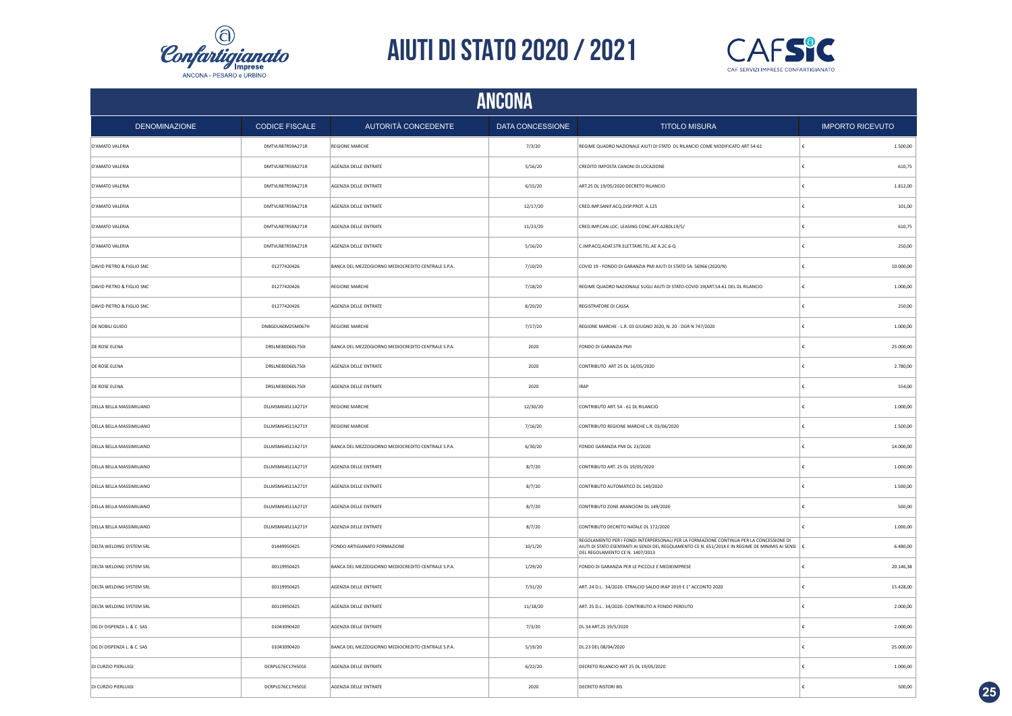



|                                 | ANCONA                |                                                    |                         |                                                                                                                                                                                                                                  |                         |  |  |  |
|---------------------------------|-----------------------|----------------------------------------------------|-------------------------|----------------------------------------------------------------------------------------------------------------------------------------------------------------------------------------------------------------------------------|-------------------------|--|--|--|
| <b>DENOMINAZIONE</b>            | <b>CODICE FISCALE</b> | AUTORITÀ CONCEDENTE                                | <b>DATA CONCESSIONE</b> | <b>TITOLO MISURA</b>                                                                                                                                                                                                             | <b>IMPORTO RICEVUTO</b> |  |  |  |
| D'AMATO VALERIA                 | DMTVLR87R59A271R      | REGIONE MARCHE                                     | 7/3/20                  | REGIME QUADRO NAZIONALE AIUTI DI STATO DL RILANCIO COME MODIFICATO ART 54-61                                                                                                                                                     | 1.500,00<br>∣€          |  |  |  |
| D'AMATO VALERIA                 | DMTVLR87R59A271R      | AGENZIA DELLE ENTRATE                              | 5/16/20                 | CREDITO IMPOSTA CANONI DI LOCAZIONE                                                                                                                                                                                              | €<br>610,75             |  |  |  |
| D'AMATO VALERIA                 | DMTVLR87R59A271R      | AGENZIA DELLE ENTRATE                              | 6/15/20                 | ART.25 DL 19/05/2020 DECRETO RILANCIO                                                                                                                                                                                            | €<br>1.812,00           |  |  |  |
| D'AMATO VALERIA                 | DMTVLR87R59A271R      | <b>AGENZIA DELLE ENTRATE</b>                       | 12/17/20                | CRED.IMP.SANIF.ACQ.DISP.PROT. A.125                                                                                                                                                                                              | 101,00<br>€             |  |  |  |
| D'AMATO VALERIA                 | DMTVLR87R59A271R      | AGENZIA DELLE ENTRATE                              | 11/23/20                | CRED.IMP.CAN.LOC. LEASING CONC.AFF.A28DL19/5/                                                                                                                                                                                    | 610,75                  |  |  |  |
| D'AMATO VALERIA                 | DMTVLR87R59A271R      | AGENZIA DELLE ENTRATE                              | 5/16/20                 | C.IMP.ACQ.ADAT.STR.ELET.TARS.TEL.AE A.2C.6-Q                                                                                                                                                                                     | 250,00<br>€             |  |  |  |
| DAVID PIETRO & FIGLIO SNC       | 01277420426           | BANCA DEL MEZZOGIORNO MEDIOCREDITO CENTRALE S.P.A. | 7/10/20                 | COVID 19 - FONDO DI GARANZIA PMI AIUTI DI STATO SA. 56966 (2020/N)                                                                                                                                                               | 10.000,00               |  |  |  |
| DAVID PIETRO & FIGLIO SNC       | 01277420426           | <b>REGIONE MARCHE</b>                              | 7/18/20                 | REGIME QUADRO NAZIONALE SUGLI AIUTI DI STATO-COVID 19(ART.54-61 DEL DL RILANCIO                                                                                                                                                  | 1.000,00                |  |  |  |
| DAVID PIETRO & FIGLIO SNC       | 01277420426           | AGENZIA DELLE ENTRATE                              | 8/20/20                 | REGISTRATORE DI CASSA                                                                                                                                                                                                            | 250,00                  |  |  |  |
| DE NOBILI GUIDO                 | DNBGDU60M25M067H      | <b>REGIONE MARCHE</b>                              | 7/17/20                 | REGIONE MARCHE - L.R. 03 GIUGNO 2020, N. 20 - DGR N 747/2020                                                                                                                                                                     | £<br>1.000,00           |  |  |  |
| DE ROSE ELENA                   | DRSLNE80D60L750I      | BANCA DEL MEZZOGIORNO MEDIOCREDITO CENTRALE S.P.A. | 2020                    | FONDO DI GARANZIA PMI                                                                                                                                                                                                            | £<br>25.000,00          |  |  |  |
| <b>DE ROSE ELENA</b>            | DRSLNE80D60L750I      | AGENZIA DELLE ENTRATE                              | 2020                    | CONTRIBUTO ART 25 DL 16/05/2020                                                                                                                                                                                                  | $\epsilon$<br>2.780.00  |  |  |  |
| <b>DE ROSE ELENA</b>            | DRSLNE80D60L750I      | AGENZIA DELLE ENTRATE                              | 2020                    | <b>IRAP</b>                                                                                                                                                                                                                      | £<br>554,00             |  |  |  |
| <b>DELLA BELLA MASSIMILIANO</b> | DLLMSM64S11A271Y      | <b>REGIONE MARCHE</b>                              | 12/30/20                | CONTRIBUTO ART. 54 - 61 DL RILANCIO                                                                                                                                                                                              | 1.000,00<br>€           |  |  |  |
| DELLA BELLA MASSIMILIANO        | DLLMSM64S11A271Y      | <b>REGIONE MARCHE</b>                              | 7/16/20                 | CONTRIBUTO REGIONE MARCHE L.R. 03/06/2020                                                                                                                                                                                        | €<br>1.500,00           |  |  |  |
| DELLA BELLA MASSIMILIANO        | DLLMSM64S11A271Y      | BANCA DEL MEZZOGIORNO MEDIOCREDITO CENTRALE S.P.A. | 6/30/20                 | FONDO GARANZIA PMI DL 23/2020                                                                                                                                                                                                    | 14.000,00<br>€          |  |  |  |
| DELLA BELLA MASSIMILIANO        | DLLMSM64S11A271Y      | AGENZIA DELLE ENTRATE                              | 8/7/20                  | CONTRIBUTO ART. 25 DL 19/05/2020                                                                                                                                                                                                 | €<br>1.000,00           |  |  |  |
| DELLA BELLA MASSIMILIANO        | DLLMSM64S11A271Y      | AGENZIA DELLE ENTRATE                              | 8/7/20                  | CONTRIBUTO AUTOMATICO DL 149/2020                                                                                                                                                                                                | 1.500,00<br>€           |  |  |  |
| DELLA BELLA MASSIMILIANO        | DLLMSM64S11A271Y      | AGENZIA DELLE ENTRATE                              | 8/7/20                  | CONTRIBUTO ZONE ARANCIONI DL 149/2020                                                                                                                                                                                            | £<br>500,00             |  |  |  |
| DELLA BELLA MASSIMILIANO        | DLLMSM64S11A271Y      | AGENZIA DELLE ENTRATE                              | 8/7/20                  | CONTRIBUTO DECRETO NATALE DL 172/2020                                                                                                                                                                                            | 1.000,00<br>£           |  |  |  |
| <b>DELTA WELDING SYSTEM SRL</b> | 01449950425           | FONDO ARTIGIANATO FORMAZIONE                       | 10/1/20                 | REGOLAMENTO PER I FONDI INTERPERSONALI PER LA FORMAZIONE CONTINUA PER LA CONCESSIONE DI<br>AIUTI DI STATO ESENTANTI AI SENDI DEL REGOLAMENTO CE N. 651/2014 E IN REGIME DE MINIMIS AI SENSI E<br>DEL REGOLAMENTO CE N. 1407/2013 | 6.480,00                |  |  |  |
| DELTA WELDING SYSTEM SRL        | 00119950425           | BANCA DEL MEZZOGIORNO MEDIOCREDITO CENTRALE S.P.A. | 1/29/20                 | FONDO DI GARANZIA PER LE PICCOLE E MEDIEIMPRESE                                                                                                                                                                                  | 20.146,38               |  |  |  |
| DELTA WELDING SYSTEM SRL        | 00119950425           | AGENZIA DELLE ENTRATE                              | 7/31/20                 | ART. 24 D.L 34/2020- STRALCIO SALDO IRAP 2019 E 1* ACCONTO 2020                                                                                                                                                                  | 15.428,00<br>€          |  |  |  |
| DELTA WELDING SYSTEM SRL        | 00119950425           | AGENZIA DELLE ENTRATE                              | 11/18/20                | ART. 25 D.L 34/2020- CONTRIBUTO A FONDO PERDUTO                                                                                                                                                                                  | 2.000,00                |  |  |  |
| DG DI DISPENZA L. & C. SAS      | 01043090420           | AGENZIA DELLE ENTRATE                              | 7/3/20                  | DL.34 ART.25 19/5/2020                                                                                                                                                                                                           | 2.000,00                |  |  |  |
| DG DI DISPENZA L. & C. SAS      | 01043090420           | BANCA DEL MEZZOGIORNO MEDIOCREDITO CENTRALE S.P.A. | 5/19/20                 | DL.23 DEL 08/04/2020                                                                                                                                                                                                             | 25.000,00               |  |  |  |
| DI CURZIO PIERLUIGI             | DCRPLG76C17H501E      | AGENZIA DELLE ENTRATE                              | 6/22/20                 | DECRETO RILANCIO ART 25 DL 19/05/2020                                                                                                                                                                                            | 1.000,00<br>€           |  |  |  |
| DI CURZIO PIERLUIGI             | DCRPLG76C17H501E      | AGENZIA DELLE ENTRATE                              | 2020                    | <b>DECRETO RISTORI BIS</b>                                                                                                                                                                                                       | ١£<br>500,00            |  |  |  |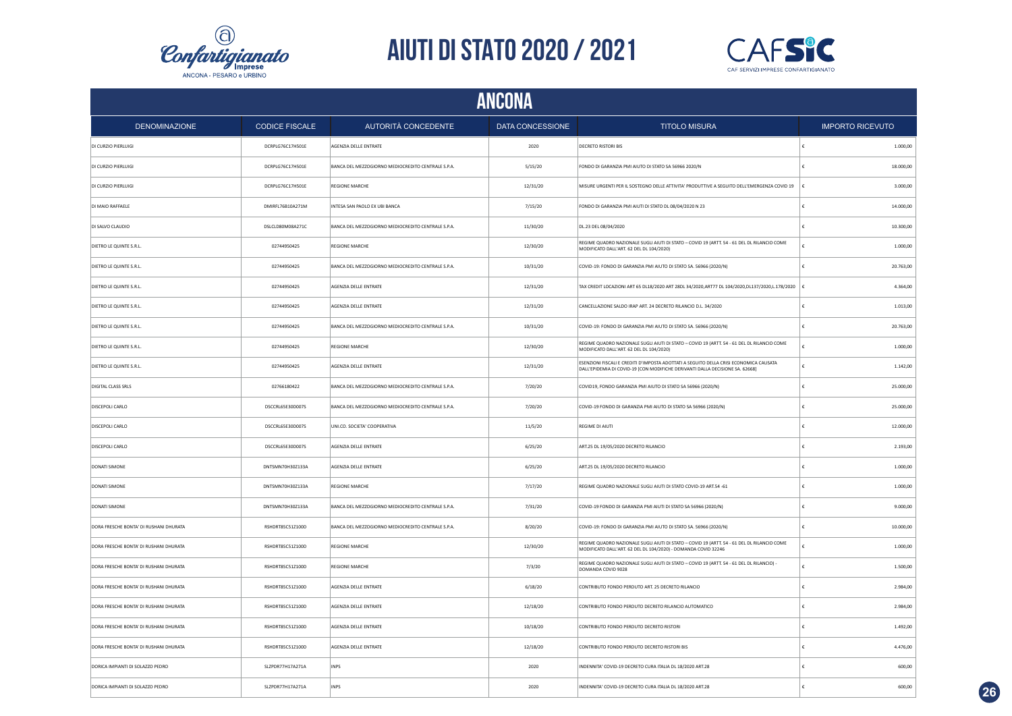



| ANCONA                                 |                       |                                                    |                  |                                                                                                                                                                         |                         |  |
|----------------------------------------|-----------------------|----------------------------------------------------|------------------|-------------------------------------------------------------------------------------------------------------------------------------------------------------------------|-------------------------|--|
| DENOMINAZIONE                          | <b>CODICE FISCALE</b> | AUTORITÀ CONCEDENTE                                | DATA CONCESSIONE | <b>TITOLO MISURA</b>                                                                                                                                                    | <b>IMPORTO RICEVUTO</b> |  |
| DI CURZIO PIERLUIGI                    | DCRPLG76C17H501E      | AGENZIA DELLE ENTRATE                              | 2020             | <b>DECRETO RISTORI BIS</b>                                                                                                                                              | 1,000.00                |  |
| DI CURZIO PIERLUIGI                    | DCRPLG76C17H501E      | BANCA DEL MEZZOGIORNO MEDIOCREDITO CENTRALE S.P.A. | 5/15/20          | FONDO DI GARANZIA PMI AIUTO DI STATO SA 56966 2020/N                                                                                                                    | 18.000,00               |  |
| DI CURZIO PIERLUIGI                    | DCRPLG76C17H501E      | <b>REGIONE MARCHE</b>                              | 12/31/20         | MISURE URGENTI PER IL SOSTEGNO DELLE ATTIVITA' PRODUTTIVE A SEGUITO DELL'EMERGENZA COVID 19                                                                             | 3.000,00                |  |
| DI MAIO RAFFAELE                       | DMIRFL76B10A271M      | INTESA SAN PAOLO EX UBI BANCA                      | 7/15/20          | FONDO DI GARANZIA PMI AIUTI DI STATO DL 08/04/2020 N 23                                                                                                                 | 14.000,00               |  |
| DI SALVO CLAUDIO                       | DSLCLD80M08A271C      | BANCA DEL MEZZOGIORNO MEDIOCREDITO CENTRALE S.P.A. | 11/30/20         | DL.23 DEL 08/04/2020                                                                                                                                                    | 10.300,00               |  |
| DIETRO LE QUINTE S.R.L.                | 02744950425           | REGIONE MARCHE                                     | 12/30/20         | REGIME QUADRO NAZIONALE SUGLI AIUTI DI STATO - COVID 19 (ARTT. 54 - 61 DEL DL RILANCIO COME<br>MODIFICATO DALL'ART. 62 DEL DL 104/2020)                                 | 1.000,00                |  |
| DIETRO LE QUINTE S.R.L.                | 02744950425           | BANCA DEL MEZZOGIORNO MEDIOCREDITO CENTRALE S.P.A. | 10/31/20         | COVID-19: FONDO DI GARANZIA PMI AIUTO DI STATO SA. 56966 (2020/N)                                                                                                       | 20.763,00               |  |
| DIETRO LE QUINTE S.R.L.                | 02744950425           | AGENZIA DELLE ENTRATE                              | 12/31/20         | TAX CREDIT LOCAZIONI ART 65 DL18/2020 ART 28DL 34/2020, ART77 DL 104/2020, DL137/2020, L.178/2020                                                                       | 4.364,00                |  |
| DIETRO LE QUINTE S.R.L.                | 02744950425           | AGENZIA DELLE ENTRATE                              | 12/31/20         | CANCELLAZIONE SALDO IRAP ART. 24 DECRETO RILANCIO D.L. 34/2020                                                                                                          | 1.013.00                |  |
| DIETRO LE QUINTE S.R.L.                | 02744950425           | BANCA DEL MEZZOGIORNO MEDIOCREDITO CENTRALE S.P.A. | 10/31/20         | COVID-19: FONDO DI GARANZIA PMI AIUTO DI STATO SA. 56966 (2020/N)                                                                                                       | 20.763,00               |  |
| DIETRO LE QUINTE S.R.L.                | 02744950425           | REGIONE MARCHE                                     | 12/30/20         | REGIME QUADRO NAZIONALE SUGLI AIUTI DI STATO - COVID 19 (ARTT. 54 - 61 DEL DL RILANCIO COME<br>MODIFICATO DALL'ART. 62 DEL DL 104/2020)                                 | 1.000,00                |  |
| DIETRO LE QUINTE S.R.L.                | 02744950425           | AGENZIA DELLE ENTRATE                              | 12/31/20         | ESENZIONI FISCALI E CREDITI D'IMPOSTA ADOTTATI A SEGUITO DELLA CRISI ECONOMICA CAUSATA<br>DALL'EPIDEMIA DI COVID-19 [CON MODIFICHE DERIVANTI DALLA DECISIONE SA, 62668] | 1.142,00                |  |
| <b>DIGITAL CLASS SRLS</b>              | 02766180422           | BANCA DEL MEZZOGIORNO MEDIOCREDITO CENTRALE S.P.A. | 7/20/20          | COVID19, FONDO GARANZIA PMI AIUTO DI STATO SA 56966 (2020/N)                                                                                                            | 25.000,00               |  |
| DISCEPOLI CARLO                        | DSCCRL65E30D007S      | BANCA DEL MEZZOGIORNO MEDIOCREDITO CENTRALE S.P.A. | 7/20/20          | COVID-19 FONDO DI GARANZIA PMI AIUTO DI STATO SA 56966 (2020/N)                                                                                                         | 25.000,00               |  |
| <b>DISCEPOLI CARLO</b>                 | DSCCRL65E30D007S      | UNI.CO. SOCIETA' COOPERATIVA                       | 11/5/20          | REGIME DI AIUTI                                                                                                                                                         | 12.000,00               |  |
| <b>DISCEPOLI CARLO</b>                 | DSCCRL65E30D007S      | AGENZIA DELLE ENTRATE                              | 6/25/20          | ART.25 DL 19/05/2020 DECRETO RILANCIO                                                                                                                                   | 2.193,00                |  |
| <b>DONATI SIMONE</b>                   | DNTSMN70H30Z133A      | AGENZIA DELLE ENTRATE                              | 6/25/20          | ART.25 DL 19/05/2020 DECRETO RILANCIO                                                                                                                                   | 1.000,00                |  |
| <b>DONATI SIMONE</b>                   | DNTSMN70H30Z133A      | <b>REGIONE MARCHE</b>                              | 7/17/20          | REGIME QUADRO NAZIONALE SUGLI AIUTI DI STATO COVID-19 ART.54 -61                                                                                                        | 1.000,00                |  |
| <b>DONATI SIMONE</b>                   | DNTSMN70H30Z133A      | BANCA DEL MEZZOGIORNO MEDIOCREDITO CENTRALE S.P.A. | 7/31/20          | COVID-19 FONDO DI GARANZIA PMI AIUTI DI STATO SA 56966 (2020/N)                                                                                                         | 9.000,00                |  |
| DORA FRESCHE BONTA' DI RUSHANI DHURATA | RSHDRT85C51Z100D      | BANCA DEL MEZZOGIORNO MEDIOCREDITO CENTRALE S.P.A. | 8/20/20          | COVID-19: FONDO DI GARANZIA PMI AIUTO DI STATO SA. 56966 (2020/N)                                                                                                       | 10.000,00<br>£          |  |
| DORA FRESCHE BONTA' DI RUSHANI DHURATA | RSHDRT85C51Z100D      | <b>REGIONE MARCHE</b>                              | 12/30/20         | REGIME QUADRO NAZIONALE SUGLI AIUTI DI STATO - COVID 19 (ARTT. 54 - 61 DEL DL RILANCIO COME<br>MODIFICATO DALL'ART. 62 DEL DL 104/2020) - DOMANDA COVID 32246           | 1.000,00                |  |
| DORA FRESCHE BONTA' DI RUSHANI DHURATA | RSHDRT85C51Z100D      | REGIONE MARCHE                                     | 7/3/20           | REGIME QUADRO NAZIONALE SUGLI AIUTI DI STATO - COVID 19 (ARTT. 54 - 61 DEL DL RILANCIO)<br>DOMANDA COVID 9028                                                           | 1.500,00                |  |
| DORA FRESCHE BONTA' DI RUSHANI DHURATA | RSHDRT85C51Z100D      | AGENZIA DELLE ENTRATE                              | 6/18/20          | CONTRIBUTO FONDO PERDUTO ART. 25 DECRETO RILANCIO                                                                                                                       | 2.984,00                |  |
| DORA FRESCHE BONTA' DI RUSHANI DHURATA | RSHDRT85C51Z100D      | AGENZIA DELLE ENTRATE                              | 12/18/20         | CONTRIBUTO FONDO PERDUTO DECRETO RILANCIO AUTOMATICO                                                                                                                    | 2.984,00                |  |
| DORA FRESCHE BONTA' DI RUSHANI DHURATA | RSHDRT85C51Z100D      | AGENZIA DELLE ENTRATE                              | 10/18/20         | CONTRIBUTO FONDO PERDUTO DECRETO RISTORI                                                                                                                                | 1.492,00                |  |
| DORA FRESCHE BONTA' DI RUSHANI DHURATA | RSHDRT85C51Z100D      | AGENZIA DELLE ENTRATE                              | 12/18/20         | CONTRIBUTO FONDO PERDUTO DECRETO RISTORI BIS                                                                                                                            | 4.476,00                |  |
| DORICA IMPIANTI DI SOLAZZO PEDRO       | SI 7PDR77H17A271A     | <b>INPS</b>                                        | 2020             | INDENNITA' COVID-19 DECRETO CURA ITALIA DL 18/2020 ART.28                                                                                                               | 600.00<br>£             |  |
| DORICA IMPIANTI DI SOLAZZO PEDRO       | SLZPDR77H17A271A      | <b>INPS</b>                                        | 2020             | INDENNITA' COVID-19 DECRETO CURA ITALIA DL 18/2020 ART.28                                                                                                               | 600.00                  |  |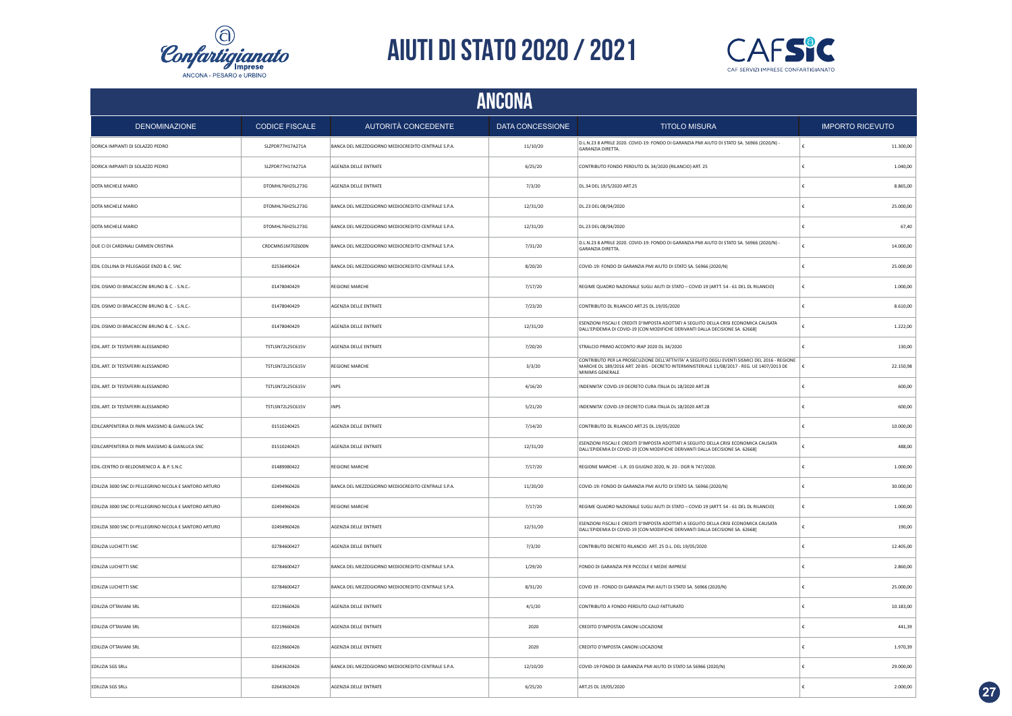



| ANCONA                                                  |                         |                                                    |                  |                                                                                                                                                                                                                     |                         |  |  |
|---------------------------------------------------------|-------------------------|----------------------------------------------------|------------------|---------------------------------------------------------------------------------------------------------------------------------------------------------------------------------------------------------------------|-------------------------|--|--|
| <b>DENOMINAZIONE</b>                                    | <b>CODICE FISCALE</b>   | AUTORITÀ CONCEDENTE                                | DATA CONCESSIONE | <b>TITOLO MISURA</b>                                                                                                                                                                                                | <b>IMPORTO RICEVUTO</b> |  |  |
| DORICA IMPIANTI DI SOLAZZO PEDRO                        | SLZPDR77H17A271A        | BANCA DEL MEZZOGIORNO MEDIOCREDITO CENTRALE S.P.A. | 11/10/20         | D.L.N.23 8 APRILE 2020. COVID-19: FONDO DI GARANZIA PMI AIUTO DI STATO SA. 56966 (2020/N) -<br>GARANZIA DIRETTA.                                                                                                    | 11.300,00               |  |  |
| DORICA IMPIANTI DI SOLAZZO PEDRO                        | SLZPDR77H17A271A        | AGENZIA DELLE ENTRATE                              | 6/25/20          | CONTRIBUTO FONDO PERDUTO DL 34/2020 (RILANCIO) ART. 25                                                                                                                                                              | €<br>1.040,00           |  |  |
| DOTA MICHELE MARIO                                      | DTOMHL76H25L273G        | AGENZIA DELLE ENTRATE                              | 7/3/20           | DL.34 DEL 19/5/2020 ART.25                                                                                                                                                                                          | 8.865,00<br>€           |  |  |
| DOTA MICHELE MARIO                                      | DTOMHL76H25L273G        | BANCA DEL MEZZOGIORNO MEDIOCREDITO CENTRALE S.P.A. | 12/31/20         | DL.23 DEL 08/04/2020                                                                                                                                                                                                | 25.000,00<br>£          |  |  |
| DOTA MICHELE MARIO                                      | DTOMHL76H25L273G        | BANCA DEL MEZZOGIORNO MEDIOCREDITO CENTRALE S.P.A. | 12/31/20         | DL.23 DEL 08/04/2020                                                                                                                                                                                                | 67.40                   |  |  |
| DUE CI DI CARDINALI CARMEN CRISTINA                     | CRDCMN51M70Z600N        | BANCA DEL MEZZOGIORNO MEDIOCREDITO CENTRALE S.P.A. | 7/31/20          | D.L.N.23 8 APRILE 2020. COVID-19: FONDO DI GARANZIA PMI AIUTO DI STATO SA. 56966 (2020/N) -<br><b>GARANZIA DIRETTA</b>                                                                                              | 14.000,00<br>£          |  |  |
| EDIL COLLINA DI PELEGAGGE ENZO & C. SNC                 | 02536490424             | BANCA DEL MEZZOGIORNO MEDIOCREDITO CENTRALE S.P.A. | 8/20/20          | COVID-19: FONDO DI GARANZIA PMI AIUTO DI STATO SA. 56966 (2020/N)                                                                                                                                                   | 25.000,00               |  |  |
| EDIL OSIMO DI BRACACCINI BRUNO & C. - S.N.C.-           | 01478040429             | REGIONE MARCHE                                     | 7/17/20          | REGIME QUADRO NAZIONALE SUGLI AIUTI DI STATO - COVID 19 (ARTT. 54 - 61 DEL DL RILANCIO)                                                                                                                             | 1.000,00                |  |  |
| EDIL OSIMO DI BRACACCINI BRUNO & C. - S.N.C.-           | 01478040429             | AGENZIA DELLE ENTRATE                              | 7/23/20          | CONTRIBUTO DL RILANCIO ART.25 DL.19/05/2020                                                                                                                                                                         | 8.610,00                |  |  |
| EDIL OSIMO DI BRACACCINI BRUNO & C. - S.N.C.-           | 01478040429             | AGENZIA DELLE ENTRATE                              | 12/31/20         | ESENZIONI FISCALI E CREDITI D'IMPOSTA ADOTTATI A SEGUITO DELLA CRISI ECONOMICA CAUSATA<br>DALL'EPIDEMIA DI COVID-19 [CON MODIFICHE DERIVANTI DALLA DECISIONE SA, 62668]                                             | 1.222,00<br>£           |  |  |
| EDIL.ART. DI TESTAFERRI ALESSANDRO                      | TSTLSN72L25C615V        | AGENZIA DELLE ENTRATE                              | 7/20/20          | STRALCIO PRIMO ACCONTO IRAP 2020 DL 34/2020                                                                                                                                                                         | 130,00                  |  |  |
| EDIL.ART. DI TESTAFERRI ALESSANDRO                      | <b>TSTLSN72L25C615V</b> | <b>REGIONE MARCHE</b>                              | 3/3/20           | CONTRIBUTO PER LA PROSECUZIONE DELL'ATTIVITA' A SEGUITO DEGLI EVENTI SISMICI DEL 2016 - REGIONE<br>MARCHE DL 189/2016 ART. 20 BIS - DECRETO INTERMINISTERIALE 11/08/2017 - REG. UE 1407/2013 DE<br>MINIMIS GENERALE | 22.150.98<br>€          |  |  |
| EDIL.ART. DI TESTAFERRI ALESSANDRO                      | TSTLSN72L25C615V        | INPS                                               | 4/16/20          | INDENNITA' COVID-19 DECRETO CURA ITALIA DL 18/2020 ART.28                                                                                                                                                           | 600,00                  |  |  |
| EDIL.ART. DI TESTAFERRI ALESSANDRO                      | <b>TSTLSN72L25C615V</b> | INPS                                               | 5/21/20          | INDENNITA' COVID-19 DECRETO CURA ITALIA DL 18/2020 ART.28                                                                                                                                                           | £<br>600,00             |  |  |
| EDILCARPENTERIA DI PAPA MASSIMO & GIANLUCA SNC          | 01510240425             | AGENZIA DELLE ENTRATE                              | 7/14/20          | CONTRIBUTO DL RILANCIO ART.25 DL.19/05/2020                                                                                                                                                                         | 10.000,00               |  |  |
| EDILCARPENTERIA DI PAPA MASSIMO & GIANLUCA SNC          | 01510240425             | AGENZIA DELLE ENTRATE                              | 12/31/20         | ESENZIONI FISCALI E CREDITI D'IMPOSTA ADOTTATI A SEGUITO DELLA CRISI ECONOMICA CAUSATA<br>DALL'EPIDEMIA DI COVID-19 [CON MODIFICHE DERIVANTI DALLA DECISIONE SA. 62668]                                             | 488,00<br>€             |  |  |
| EDIL-CENTRO DI BELDOMENICO A. & P. S.N.C                | 01489080422             | <b>REGIONE MARCHE</b>                              | 7/17/20          | REGIONE MARCHE - L.R. 03 GIUGNO 2020, N. 20 - DGR N 747/2020.                                                                                                                                                       | 1.000,00<br>€           |  |  |
| EDILIZIA 3000 SNC DI PELLEGRINO NICOLA E SANTORO ARTURO | 02494960426             | BANCA DEL MEZZOGIORNO MEDIOCREDITO CENTRALE S.P.A. | 11/20/20         | COVID-19: FONDO DI GARANZIA PMI AIUTO DI STATO SA. 56966 (2020/N)                                                                                                                                                   | 30.000,00               |  |  |
| EDILIZIA 3000 SNC DI PELLEGRINO NICOLA E SANTORO ARTURO | 02494960426             | <b>REGIONE MARCHE</b>                              | 7/17/20          | REGIME QUADRO NAZIONALE SUGLI AIUTI DI STATO - COVID 19 (ARTT. 54 - 61 DEL DL RILANCIO)                                                                                                                             | €<br>1.000,00           |  |  |
| EDILIZIA 3000 SNC DI PELLEGRINO NICOLA E SANTORO ARTURO | 02494960426             | AGENZIA DELLE ENTRATE                              | 12/31/20         | ESENZIONI FISCALI E CREDITI D'IMPOSTA ADOTTATI A SEGUITO DELLA CRISI ECONOMICA CAUSATA<br>DALL'EPIDEMIA DI COVID-19 [CON MODIFICHE DERIVANTI DALLA DECISIONE SA. 62668]                                             | 190,00                  |  |  |
| EDILIZIA LUCHETTI SNC                                   | 02784600427             | AGENZIA DELLE ENTRATE                              | 7/3/20           | CONTRIBUTO DECRETO RILANCIO ART. 25 D.L. DEL 19/05/2020                                                                                                                                                             | 12.405,00<br>¢          |  |  |
| EDILIZIA LUCHETTI SNC                                   | 02784600427             | BANCA DEL MEZZOGIORNO MEDIOCREDITO CENTRALE S.P.A. | 1/29/20          | FONDO DI GARANZIA PER PICCOLE E MEDIE IMPRESE                                                                                                                                                                       | 2.860,00                |  |  |
| EDILIZIA LUCHETTI SNC                                   | 02784600427             | BANCA DEL MEZZOGIORNO MEDIOCREDITO CENTRALE S.P.A. | 8/31/20          | COVID 19 - FONDO DI GARANZIA PMI AIUTI DI STATO SA. 56966 (2020/N)                                                                                                                                                  | 25.000,00<br>£          |  |  |
| EDILIZIA OTTAVIANI SRL                                  | 02219660426             | AGENZIA DELLE ENTRATE                              | 4/1/20           | CONTRIBUTO A FONDO PERDUTO CALO FATTURATO                                                                                                                                                                           | 10.183,00               |  |  |
| EDILIZIA OTTAVIANI SRL                                  | 02219660426             | AGENZIA DELLE ENTRATE                              | 2020             | CREDITO D'IMPOSTA CANONI LOCAZIONE                                                                                                                                                                                  | 441.39                  |  |  |
| EDILIZIA OTTAVIANI SRL                                  | 02219660426             | AGENZIA DELLE ENTRATE                              | 2020             | CREDITO D'IMPOSTA CANONI LOCAZIONE                                                                                                                                                                                  | 1.970,39                |  |  |
| EDILIZIA SGS SRLS                                       | 02643620426             | BANCA DEL MEZZOGIORNO MEDIOCREDITO CENTRALE S.P.A. | 12/10/20         | COVID-19 FONDO DI GARANZIA PMI AIUTO DI STATO SA 56966 (2020/N)                                                                                                                                                     | 29.000,00               |  |  |
| EDILIZIA SGS SRLS                                       | 02643620426             | AGENZIA DELLE ENTRATE                              | 6/25/20          | ART.25 DL 19/05/2020                                                                                                                                                                                                | 2.000,00                |  |  |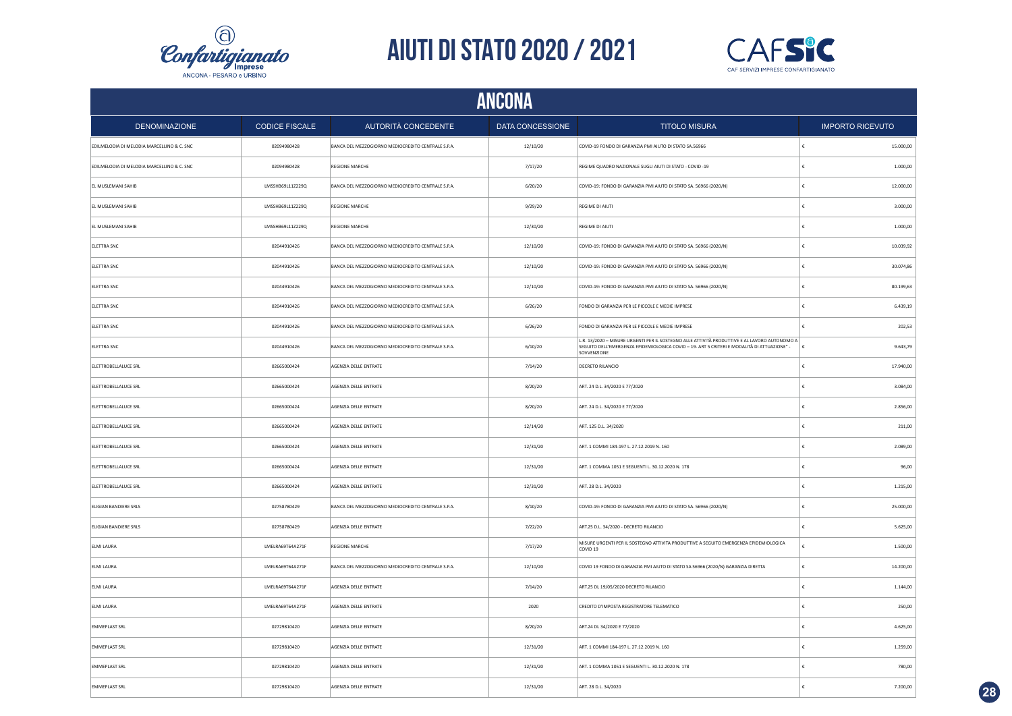



|                                            | <b>ANCONA</b>         |                                                    |                  |                                                                                                                                                                                                             |                         |  |  |  |
|--------------------------------------------|-----------------------|----------------------------------------------------|------------------|-------------------------------------------------------------------------------------------------------------------------------------------------------------------------------------------------------------|-------------------------|--|--|--|
| <b>DENOMINAZIONE</b>                       | <b>CODICE FISCALE</b> | AUTORITÀ CONCEDENTE                                | DATA CONCESSIONE | <b>TITOLO MISURA</b>                                                                                                                                                                                        | <b>IMPORTO RICEVUTO</b> |  |  |  |
| EDILMELODIA DI MELODIA MARCELLINO & C. SNC | 02094980428           | BANCA DEL MEZZOGIORNO MEDIOCREDITO CENTRALE S.P.A. | 12/10/20         | COVID-19 FONDO DI GARANZIA PMI AIUTO DI STATO SA.56966                                                                                                                                                      | 15.000,00               |  |  |  |
| EDILMELODIA DI MELODIA MARCELLINO & C. SNC | 02094980428           | REGIONE MARCHE                                     | 7/17/20          | REGIME QUADRO NAZIONALE SUGLI AIUTI DI STATO - COVID -19                                                                                                                                                    | €<br>1.000,00           |  |  |  |
| EL MUSLEMANI SAHIB                         | LMSSHB69L11Z229Q      | BANCA DEL MEZZOGIORNO MEDIOCREDITO CENTRALE S.P.A. | 6/20/20          | COVID-19: FONDO DI GARANZIA PMI AIUTO DI STATO SA. 56966 (2020/N)                                                                                                                                           | 12.000,00<br>€          |  |  |  |
| EL MUSLEMANI SAHIB                         | LMSSHB69L11Z229Q      | REGIONE MARCHE                                     | 9/29/20          | REGIME DI AIUTI                                                                                                                                                                                             | 3.000,00<br>£           |  |  |  |
| EL MUSLEMANI SAHIB                         | LMSSHB69L11Z229Q      | REGIONE MARCHE                                     | 12/30/20         | REGIME DI AIUTI                                                                                                                                                                                             | 1.000,00                |  |  |  |
| ELETTRA SNC                                | 02044910426           | BANCA DEL MEZZOGIORNO MEDIOCREDITO CENTRALE S.P.A. | 12/10/20         | COVID-19: FONDO DI GARANZIA PMI AIUTO DI STATO SA. 56966 (2020/N)                                                                                                                                           | 10.039,92<br>€          |  |  |  |
| ELETTRA SNC                                | 02044910426           | BANCA DEL MEZZOGIORNO MEDIOCREDITO CENTRALE S.P.A. | 12/10/20         | COVID-19: FONDO DI GARANZIA PMI AIUTO DI STATO SA. 56966 (2020/N)                                                                                                                                           | 30.074,86               |  |  |  |
| ELETTRA SNC                                | 02044910426           | BANCA DEL MEZZOGIORNO MEDIOCREDITO CENTRALE S.P.A. | 12/10/20         | COVID-19: FONDO DI GARANZIA PMI AIUTO DI STATO SA. 56966 (2020/N)                                                                                                                                           | 80.199,63               |  |  |  |
| ELETTRA SNC                                | 02044910426           | BANCA DEL MEZZOGIORNO MEDIOCREDITO CENTRALE S.P.A. | 6/26/20          | FONDO DI GARANZIA PER LE PICCOLE E MEDIE IMPRESE                                                                                                                                                            | 6.439,19                |  |  |  |
| ELETTRA SNC                                | 02044910426           | BANCA DEL MEZZOGIORNO MEDIOCREDITO CENTRALE S.P.A. | 6/26/20          | FONDO DI GARANZIA PER LE PICCOLE E MEDIE IMPRESE                                                                                                                                                            | 202,53                  |  |  |  |
| ELETTRA SNC                                | 02044910426           | BANCA DEL MEZZOGIORNO MEDIOCREDITO CENTRALE S.P.A. | 6/10/20          | L.R. 13/2020 - MISURE URGENTI PER IL SOSTEGNO ALLE ATTIVITÀ PRODUTTIVE E AL LAVORO AUTONOMO A<br>SEGUITO DELL'EMERGENZA EPIDEMIOLOGICA COVID - 19- ART 5 CRITERI E MODALITÀ DI ATTUAZIONE" -<br>SOVVENZIONE | 9.643,79<br>١£          |  |  |  |
| ELETTROBELLALUCE SRL                       | 02665000424           | AGENZIA DELLE ENTRATE                              | 7/14/20          | DECRETO RILANCIO                                                                                                                                                                                            | 17.940,00<br>€          |  |  |  |
| ELETTROBELLALUCE SRL                       | 02665000424           | AGENZIA DELLE ENTRATE                              | 8/20/20          | ART. 24 D.L. 34/2020 E 77/2020                                                                                                                                                                              | 3.084,00                |  |  |  |
| ELETTROBELLALUCE SRL                       | 02665000424           | AGENZIA DELLE ENTRATE                              | 8/20/20          | ART. 24 D.L. 34/2020 E 77/2020                                                                                                                                                                              | 2.856,00<br>€           |  |  |  |
| ELETTROBELLALUCE SRL                       | 02665000424           | AGENZIA DELLE ENTRATE                              | 12/14/20         | ART. 125 D.L. 34/2020                                                                                                                                                                                       | 211,00<br>€             |  |  |  |
| ELETTROBELLALUCE SRL                       | 02665000424           | AGENZIA DELLE ENTRATE                              | 12/31/20         | ART. 1 COMMI 184-197 L. 27.12.2019 N. 160                                                                                                                                                                   | 2.089,00<br>€           |  |  |  |
| ELETTROBELLALUCE SRL                       | 02665000424           | AGENZIA DELLE ENTRATE                              | 12/31/20         | ART. 1 COMMA 1051 E SEGUENTI L. 30.12.2020 N. 178                                                                                                                                                           | €<br>96,00              |  |  |  |
| ELETTROBELLALUCE SRL                       | 02665000424           | AGENZIA DELLE ENTRATE                              | 12/31/20         | ART. 28 D.L. 34/2020                                                                                                                                                                                        | 1.215,00<br>€           |  |  |  |
| ELIGIAN BANDIERE SRLS                      | 02758780429           | BANCA DEL MEZZOGIORNO MEDIOCREDITO CENTRALE S.P.A. | 8/10/20          | COVID-19: FONDO DI GARANZIA PMI AIUTO DI STATO SA. 56966 (2020/N)                                                                                                                                           | €<br>25.000,00          |  |  |  |
| ELIGIAN BANDIERE SRLS                      | 02758780429           | AGENZIA DELLE ENTRATE                              | 7/22/20          | ART.25 D.L. 34/2020 - DECRETO RILANCIO                                                                                                                                                                      | 5.625,00<br>€           |  |  |  |
| ELMI LAURA                                 | LMELRA69T64A271F      | <b>REGIONE MARCHE</b>                              | 7/17/20          | MISURE URGENTI PER IL SOSTEGNO ATTIVITA PRODUTTIVE A SEGUITO EMERGENZA EPIDEMIOLOGICA<br>COVID <sub>19</sub>                                                                                                | 1.500,00<br>ŧ           |  |  |  |
| ELMI LAURA                                 | LMELRA69T64A271F      | BANCA DEL MEZZOGIORNO MEDIOCREDITO CENTRALE S.P.A. | 12/10/20         | COVID 19 FONDO DI GARANZIA PMI AIUTO DI STATO SA 56966 (2020/N) GARANZIA DIRETTA                                                                                                                            | 14.200,00               |  |  |  |
| ELMI LAURA                                 | LMELRA69T64A271F      | AGENZIA DELLE ENTRATE                              | 7/14/20          | ART.25 DL 19/05/2020 DECRETO RILANCIO                                                                                                                                                                       | 1.144,00                |  |  |  |
| ELMI LAURA                                 | LMELRA69T64A271F      | AGENZIA DELLE ENTRATE                              | 2020             | CREDITO D'IMPOSTA REGISTRATORE TELEMATICO                                                                                                                                                                   | 250,00                  |  |  |  |
| <b>EMMEPLAST SRL</b>                       | 02729810420           | AGENZIA DELLE ENTRATE                              | 8/20/20          | ART.24 DL 34/2020 E 77/2020                                                                                                                                                                                 | 4.625,00                |  |  |  |
| <b>EMMEPLAST SRL</b>                       | 02729810420           | AGENZIA DELLE ENTRATE                              | 12/31/20         | ART. 1 COMMI 184-197 L. 27.12.2019 N. 160                                                                                                                                                                   | 1.259,00                |  |  |  |
| <b>EMMEPLAST SRL</b>                       | 02729810420           | AGENZIA DELLE ENTRATE                              | 12/31/20         | ART. 1 COMMA 1051 E SEGUENTI L. 30.12.2020 N. 178                                                                                                                                                           | £<br>780,00             |  |  |  |
| <b>EMMEPLAST SRL</b>                       | 02729810420           | AGENZIA DELLE ENTRATE                              | 12/31/20         | ART. 28 D.L. 34/2020                                                                                                                                                                                        | 7.200,00<br>E.          |  |  |  |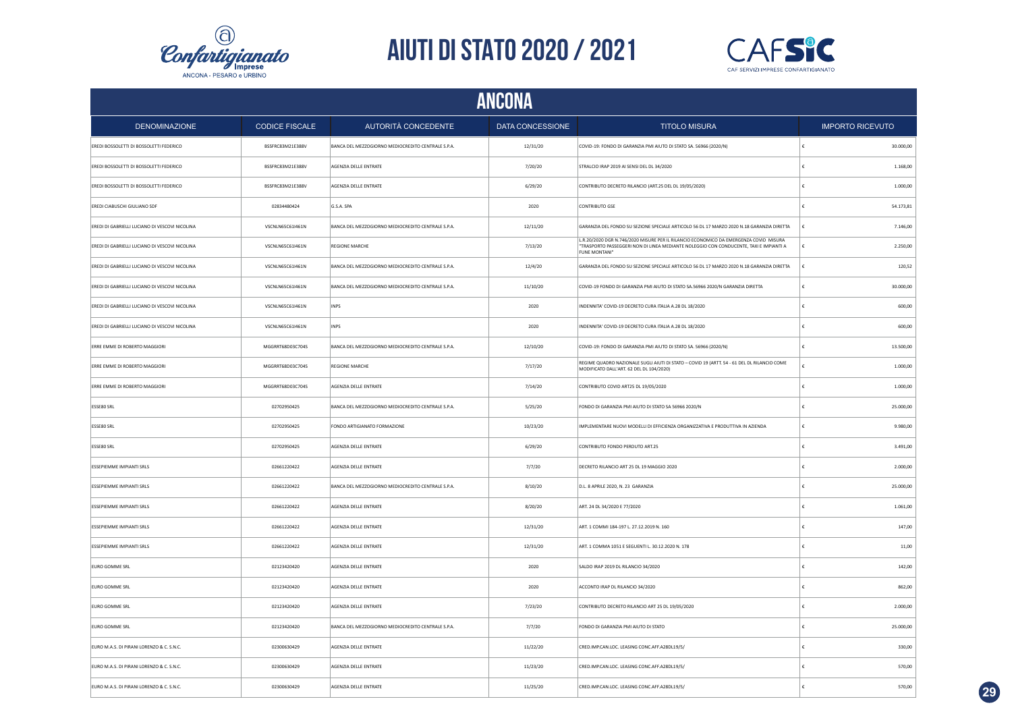



|                                                | ANCONA                |                                                    |                  |                                                                                                                                                                                                  |                         |  |  |  |
|------------------------------------------------|-----------------------|----------------------------------------------------|------------------|--------------------------------------------------------------------------------------------------------------------------------------------------------------------------------------------------|-------------------------|--|--|--|
| <b>DENOMINAZIONE</b>                           | <b>CODICE FISCALE</b> | AUTORITÀ CONCEDENTE                                | DATA CONCESSIONE | <b>TITOLO MISURA</b>                                                                                                                                                                             | <b>IMPORTO RICEVUTO</b> |  |  |  |
| EREDI BOSSOLETTI DI BOSSOLETTI FEDERICO        | BSSFRC83M21E388V      | BANCA DEL MEZZOGIORNO MEDIOCREDITO CENTRALE S.P.A. | 12/31/20         | COVID-19: FONDO DI GARANZIA PMI AIUTO DI STATO SA. 56966 (2020/N)                                                                                                                                | 30.000,00               |  |  |  |
| EREDI BOSSOLETTI DI BOSSOLETTI FEDERICO        | BSSFRC83M21E388V      | AGENZIA DELLE ENTRATE                              | 7/20/20          | STRALCIO IRAP 2019 AI SENSI DEL DL 34/2020                                                                                                                                                       | 1.168,00                |  |  |  |
| EREDI BOSSOLETTI DI BOSSOLETTI FEDERICO        | BSSFRC83M21E388V      | AGENZIA DELLE ENTRATE                              | 6/29/20          | CONTRIBUTO DECRETO RILANCIO (ART.25 DEL DL 19/05/2020)                                                                                                                                           | 1.000,00                |  |  |  |
| EREDI CIABUSCHI GIULIANO SDF                   | 02834480424           | G.S.A. SPA                                         | 2020             | CONTRIBUTO GSE                                                                                                                                                                                   | 54.173,81               |  |  |  |
| EREDI DI GABRIELLI LUCIANO DI VESCOVI NICOLINA | VSCNLN65C61I461N      | BANCA DEL MEZZOGIORNO MEDIOCREDITO CENTRALE S.P.A. | 12/11/20         | GARANZIA DEL FONDO SU SEZIONE SPECIALE ARTICOLO 56 DL 17 MARZO 2020 N.18 GARANZIA DIRETTA                                                                                                        | 7.146,00                |  |  |  |
| EREDI DI GABRIELLI LUCIANO DI VESCOVI NICOLINA | VSCNLN65C61I461N      | <b>REGIONE MARCHE</b>                              | 7/13/20          | L.R.20/2020 DGR N.746/2020 MISURE PER IL RILANCIO ECONOMICO DA EMERGENZA COVID MISURA<br>"TRASPORTO PASSEGGERI NON DI LINEA MEDIANTE NOLEGGIO CON CONDUCENTE, TAXI E IMPIANTI A<br>FUNE MONTANI" | 2.250,00                |  |  |  |
| EREDI DI GABRIELLI LUCIANO DI VESCOVI NICOLINA | VSCNLN65C61I461N      | BANCA DEL MEZZOGIORNO MEDIOCREDITO CENTRALE S.P.A. | 12/4/20          | GARANZIA DEL FONDO SU SEZIONE SPECIALE ARTICOLO 56 DL 17 MARZO 2020 N.18 GARANZIA DIRETTA                                                                                                        | 120,52                  |  |  |  |
| EREDI DI GABRIELLI LUCIANO DI VESCOVI NICOLINA | VSCNLN65C61I461N      | BANCA DEL MEZZOGIORNO MEDIOCREDITO CENTRALE S.P.A. | 11/10/20         | COVID-19 FONDO DI GARANZIA PMI AIUTO DI STATO SA.56966 2020/N GARANZIA DIRETTA                                                                                                                   | 30.000,00               |  |  |  |
| EREDI DI GABRIELLI LUCIANO DI VESCOVI NICOLINA | VSCNLN65C61I461N      | <b>INPS</b>                                        | 2020             | INDENNITA' COVID-19 DECRETO CURA ITALIA A.28 DL 18/2020                                                                                                                                          | 600,00                  |  |  |  |
| EREDI DI GABRIELLI LUCIANO DI VESCOVI NICOLINA | VSCNLN65C61I461N      | <b>INPS</b>                                        | 2020             | INDENNITA' COVID-19 DECRETO CURA ITALIA A.28 DL 18/2020                                                                                                                                          | 600,00                  |  |  |  |
| ERRE EMME DI ROBERTO MAGGIORI                  | MGGRRT68D03C704S      | BANCA DEL MEZZOGIORNO MEDIOCREDITO CENTRALE S.P.A. | 12/10/20         | COVID-19: FONDO DI GARANZIA PMI AIUTO DI STATO SA. 56966 (2020/N)                                                                                                                                | 13.500,00               |  |  |  |
| ERRE EMME DI ROBERTO MAGGIORI                  | MGGRRT68D03C704S      | <b>REGIONE MARCHE</b>                              | 7/17/20          | REGIME QUADRO NAZIONALE SUGLI AIUTI DI STATO - COVID 19 (ARTT. 54 - 61 DEL DL RILANCIO COME<br>MODIFICATO DALL'ART. 62 DEL DL 104/2020)                                                          | 1.000,00                |  |  |  |
| ERRE EMME DI ROBERTO MAGGIORI                  | MGGRRT68D03C704S      | AGENZIA DELLE ENTRATE                              | 7/14/20          | CONTRIBUTO COVID ART25 DL 19/05/2020                                                                                                                                                             | 1.000,00                |  |  |  |
| ESSE80 SRL                                     | 02702950425           | BANCA DEL MEZZOGIORNO MEDIOCREDITO CENTRALE S.P.A. | 5/25/20          | FONDO DI GARANZIA PMI AIUTO DI STATO SA 56966 2020/N                                                                                                                                             | 25.000,00               |  |  |  |
| ESSE80 SRL                                     | 02702950425           | FONDO ARTIGIANATO FORMAZIONE                       | 10/23/20         | IMPLEMENTARE NUOVI MODELLI DI EFFICIENZA ORGANIZZATIVA E PRODUTTIVA IN AZIENDA                                                                                                                   | 9.980,00                |  |  |  |
| ESSE80 SRL                                     | 02702950425           | AGENZIA DELLE ENTRATE                              | 6/29/20          | CONTRIBUTO FONDO PERDUTO ART.25                                                                                                                                                                  | 3.491,00                |  |  |  |
| ESSEPIEMME IMPIANTI SRLS                       | 02661220422           | AGENZIA DELLE ENTRATE                              | 7/7/20           | DECRETO RILANCIO ART 25 DL 19 MAGGIO 2020                                                                                                                                                        | 2.000,00                |  |  |  |
| ESSEPIEMME IMPIANTI SRLS                       | 02661220422           | BANCA DEL MEZZOGIORNO MEDIOCREDITO CENTRALE S.P.A. | 8/10/20          | D.L. 8 APRILE 2020, N. 23 GARANZIA                                                                                                                                                               | 25.000,00               |  |  |  |
| ESSEPIEMME IMPIANTI SRLS                       | 02661220422           | AGENZIA DELLE ENTRATE                              | 8/20/20          | ART. 24 DL 34/2020 E 77/2020                                                                                                                                                                     | 1.061,00                |  |  |  |
| ESSEPIEMME IMPIANTI SRLS                       | 02661220422           | AGENZIA DELLE ENTRATE                              | 12/31/20         | ART. 1 COMMI 184-197 L. 27.12.2019 N. 160                                                                                                                                                        | 147,00                  |  |  |  |
| <b>ESSEPIEMME IMPIANTI SRLS</b>                | 02661220422           | AGENZIA DELLE ENTRATE                              | 12/31/20         | ART. 1 COMMA 1051 E SEGUENTI L. 30.12.2020 N. 178                                                                                                                                                | 11,00                   |  |  |  |
| <b>EURO GOMME SRL</b>                          | 02123420420           | AGENZIA DELLE ENTRATE                              | 2020             | SALDO IRAP 2019 DL RILANCIO 34/2020                                                                                                                                                              | 142,00                  |  |  |  |
| <b>EURO GOMME SRL</b>                          | 02123420420           | AGENZIA DELLE ENTRATE                              | 2020             | ACCONTO IRAP DL RILANCIO 34/2020                                                                                                                                                                 | 862,00                  |  |  |  |
| EURO GOMME SRL                                 | 02123420420           | AGENZIA DELLE ENTRATE                              | 7/23/20          | CONTRIBUTO DECRETO RILANCIO ART 25 DL 19/05/2020                                                                                                                                                 | 2.000,00                |  |  |  |
| EURO GOMME SRL                                 | 02123420420           | BANCA DEL MEZZOGIORNO MEDIOCREDITO CENTRALE S.P.A. | 7/7/20           | FONDO DI GARANZIA PMI AIUTO DI STATO                                                                                                                                                             | 25.000,00               |  |  |  |
| EURO M.A.S. DI PIRANI LORENZO & C. S.N.C.      | 02300630429           | AGENZIA DELLE ENTRATE                              | 11/22/20         | CRED.IMP.CAN.LOC. LEASING CONC.AFF.A28DL19/5/                                                                                                                                                    | 330,00                  |  |  |  |
| EURO M.A.S. DI PIRANI LORENZO & C. S.N.C.      | 02300630429           | AGENZIA DELLE ENTRATE                              | 11/23/20         | CRED.IMP.CAN.LOC. LEASING CONC.AFF.A28DL19/5/                                                                                                                                                    | 570,00                  |  |  |  |
| EURO M.A.S. DI PIRANI LORENZO & C. S.N.C.      | 02300630429           | AGENZIA DELLE ENTRATE                              | 11/25/20         | CRED.IMP.CAN.LOC. LEASING CONC.AFF.A28DL19/5/                                                                                                                                                    | 570,00                  |  |  |  |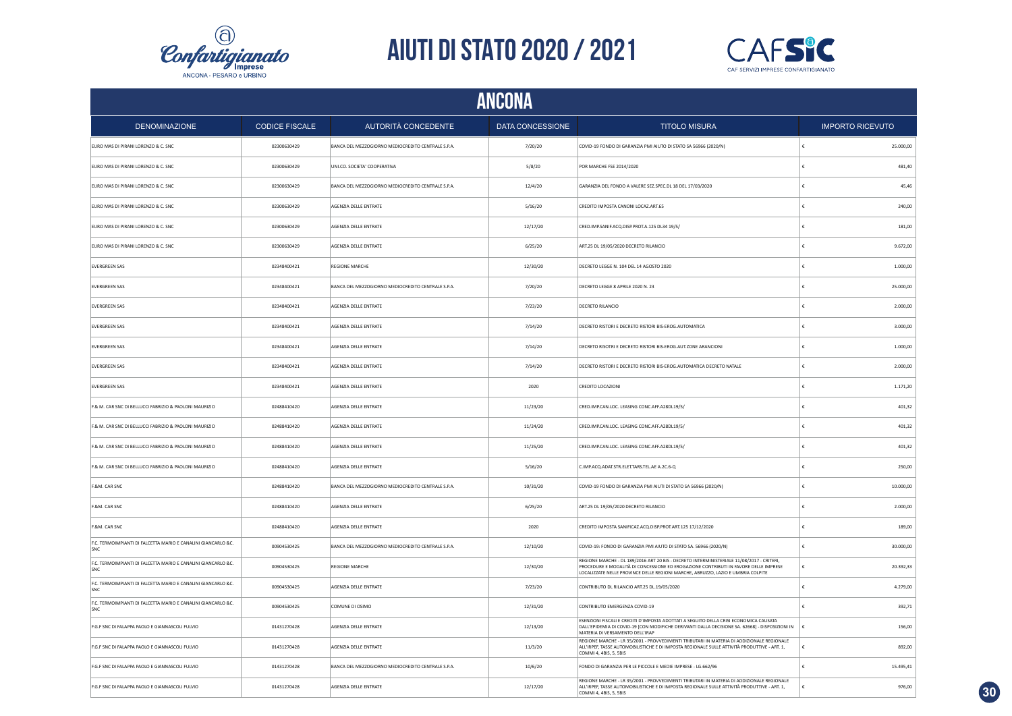



|                                                                      | ANCONA                |                                                    |                  |                                                                                                                                                                                                                                                                       |                         |  |  |  |
|----------------------------------------------------------------------|-----------------------|----------------------------------------------------|------------------|-----------------------------------------------------------------------------------------------------------------------------------------------------------------------------------------------------------------------------------------------------------------------|-------------------------|--|--|--|
| <b>DENOMINAZIONE</b>                                                 | <b>CODICE FISCALE</b> | AUTORITÀ CONCEDENTE                                | DATA CONCESSIONE | <b>TITOLO MISURA</b>                                                                                                                                                                                                                                                  | <b>IMPORTO RICEVUTO</b> |  |  |  |
| EURO MAS DI PIRANI LORENZO & C. SNC                                  | 02300630429           | BANCA DEL MEZZOGIORNO MEDIOCREDITO CENTRALE S.P.A. | 7/20/20          | COVID-19 FONDO DI GARANZIA PMI AIUTO DI STATO SA 56966 (2020/N)                                                                                                                                                                                                       | 25.000,00               |  |  |  |
| EURO MAS DI PIRANI LORENZO & C. SNC                                  | 02300630429           | UNI.CO. SOCIETA' COOPERATIVA                       | 5/8/20           | POR MARCHE FSE 2014/2020                                                                                                                                                                                                                                              | 481,40                  |  |  |  |
| EURO MAS DI PIRANI LORENZO & C. SNC                                  | 02300630429           | BANCA DEL MEZZOGIORNO MEDIOCREDITO CENTRALE S.P.A. | 12/4/20          | GARANZIA DEL FONDO A VALERE SEZ.SPEC.DL 18 DEL 17/03/2020                                                                                                                                                                                                             | 45,46                   |  |  |  |
| EURO MAS DI PIRANI LORENZO & C. SNC                                  | 02300630429           | AGENZIA DELLE ENTRATE                              | 5/16/20          | CREDITO IMPOSTA CANONI LOCAZ.ART.65                                                                                                                                                                                                                                   | 240,00                  |  |  |  |
| EURO MAS DI PIRANI LORENZO & C. SNC                                  | 02300630429           | AGENZIA DELLE ENTRATE                              | 12/17/20         | CRED.IMP.SANIF.ACQ.DISP.PROT.A.125 DL34 19/5/                                                                                                                                                                                                                         | 181,00                  |  |  |  |
| EURO MAS DI PIRANI LORENZO & C. SNC                                  | 02300630429           | AGENZIA DELLE ENTRATE                              | 6/25/20          | ART.25 DL 19/05/2020 DECRETO RILANCIO                                                                                                                                                                                                                                 | 9.672,00                |  |  |  |
| <b>EVERGREEN SAS</b>                                                 | 02348400421           | <b>REGIONE MARCHE</b>                              | 12/30/20         | DECRETO LEGGE N. 104 DEL 14 AGOSTO 2020                                                                                                                                                                                                                               | 1.000,00                |  |  |  |
| <b>EVERGREEN SAS</b>                                                 | 02348400421           | BANCA DEL MEZZOGIORNO MEDIOCREDITO CENTRALE S.P.A. | 7/20/20          | DECRETO LEGGE 8 APRILE 2020 N. 23                                                                                                                                                                                                                                     | 25.000,00               |  |  |  |
| <b>EVERGREEN SAS</b>                                                 | 02348400421           | AGENZIA DELLE ENTRATE                              | 7/23/20          | DECRETO RILANCIO                                                                                                                                                                                                                                                      | 2.000,00                |  |  |  |
| <b>EVERGREEN SAS</b>                                                 | 02348400421           | AGENZIA DELLE ENTRATE                              | 7/14/20          | DECRETO RISTORI E DECRETO RISTORI BIS-EROG.AUTOMATICA                                                                                                                                                                                                                 | 3.000,00                |  |  |  |
| <b>EVERGREEN SAS</b>                                                 | 02348400421           | AGENZIA DELLE ENTRATE                              | 7/14/20          | DECRETO RISOTRI E DECRETO RISTORI BIS-EROG.AUT.ZONE ARANCIONI                                                                                                                                                                                                         | 1,000.00                |  |  |  |
| <b>EVERGREEN SAS</b>                                                 | 02348400421           | AGENZIA DELLE ENTRATE                              | 7/14/20          | DECRETO RISTORI E DECRETO RISTORI BIS-EROG.AUTOMATICA DECRETO NATALE                                                                                                                                                                                                  | 2.000,00                |  |  |  |
| <b>EVERGREEN SAS</b>                                                 | 02348400421           | AGENZIA DELLE ENTRATE                              | 2020             | CREDITO LOCAZIONI                                                                                                                                                                                                                                                     | 1.171,20                |  |  |  |
| F.& M. CAR SNC DI BELLUCCI FABRIZIO & PAOLONI MAURIZIO               | 02488410420           | AGENZIA DELLE ENTRATE                              | 11/23/20         | CRED.IMP.CAN.LOC. LEASING CONC.AFF.A28DL19/5/                                                                                                                                                                                                                         | 401,32                  |  |  |  |
| F.& M. CAR SNC DI BELLUCCI FABRIZIO & PAOLONI MAURIZIO               | 02488410420           | AGENZIA DELLE ENTRATE                              | 11/24/20         | CRED.IMP.CAN.LOC. LEASING CONC.AFF.A28DL19/5/                                                                                                                                                                                                                         | 401,32                  |  |  |  |
| F.& M. CAR SNC DI BELLUCCI FABRIZIO & PAOLONI MAURIZIO               | 02488410420           | AGENZIA DELLE ENTRATE                              | 11/25/20         | CRED.IMP.CAN.LOC. LEASING CONC.AFF.A28DL19/5/                                                                                                                                                                                                                         | 401,32                  |  |  |  |
| F.& M. CAR SNC DI BELLUCCI FABRIZIO & PAOLONI MAURIZIO               | 02488410420           | AGENZIA DELLE ENTRATE                              | 5/16/20          | C.IMP.ACQ.ADAT.STR.ELET.TARS.TEL.AE A.2C.6-Q                                                                                                                                                                                                                          | 250,00                  |  |  |  |
| F.&M. CAR SNC                                                        | 02488410420           | BANCA DEL MEZZOGIORNO MEDIOCREDITO CENTRALE S.P.A. | 10/31/20         | COVID-19 FONDO DI GARANZIA PMI AIUTI DI STATO SA 56966 (2020/N)                                                                                                                                                                                                       | 10.000,00               |  |  |  |
| F.&M. CAR SNC                                                        | 02488410420           | AGENZIA DELLE ENTRATE                              | 6/25/20          | ART.25 DL 19/05/2020 DECRETO RILANCIO                                                                                                                                                                                                                                 | 2.000,00                |  |  |  |
| F.&M. CAR SNC                                                        | 02488410420           | AGENZIA DELLE ENTRATE                              | 2020             | CREDITO IMPOSTA SANIFICAZ.ACO.DISP.PROT.ART.125 17/12/2020                                                                                                                                                                                                            | 189,00                  |  |  |  |
| F.C. TERMOIMPIANTI DI FALCETTA MARIO E CANALINI GIANCARLO &C.<br>SNC | 00904530425           | BANCA DEL MEZZOGIORNO MEDIOCREDITO CENTRALE S.P.A. | 12/10/20         | COVID-19: FONDO DI GARANZIA PMI AIUTO DI STATO SA. 56966 (2020/N)                                                                                                                                                                                                     | 30.000,00               |  |  |  |
| F.C. TERMOIMPIANTI DI FALCETTA MARIO E CANALINI GIANCARLO &C.<br>SNC | 00904530425           | <b>REGIONE MARCHE</b>                              | 12/30/20         | REGIONE MARCHE - DL 189/2016 ART 20 BIS - DECRETO INTERMINISTERIALE 11/08/2017 - CRITERI,<br>PROCEDURE E MODALITÀ DI CONCESSIONE ED EROGAZIONE CONTRIBUTI IN FAVORE DELLE IMPRESE<br>LOCALIZZATE NELLE PROVINCE DELLE REGIONI MARCHE, ABRUZZO, LAZIO E UMBRIA COLPITE | 20.392,33               |  |  |  |
| F.C. TERMOIMPIANTI DI FALCETTA MARIO E CANALINI GIANCARLO &C.<br>SNC | 00904530425           | AGENZIA DELLE ENTRATE                              | 7/23/20          | CONTRIBUTO DL RILANCIO ART.25 DL.19/05/2020                                                                                                                                                                                                                           | 4.279,00                |  |  |  |
| F.C. TERMOIMPIANTI DI FALCETTA MARIO E CANALINI GIANCARLO &C.<br>SNC | 00904530425           | COMUNE DI OSIMO                                    | 12/31/20         | CONTRIBUTO EMERGENZA COVID-19                                                                                                                                                                                                                                         | 392,71                  |  |  |  |
| F.G.F SNC DI FALAPPA PAOLO E GIANNASCOLI FULVIO                      | 01431270428           | AGENZIA DELLE ENTRATE                              | 12/13/20         | ESENZIONI FISCALI E CREDITI D'IMPOSTA ADOTTATI A SEGUITO DELLA CRISI ECONOMICA CAUSATA<br>DALL'EPIDEMIA DI COVID-19 [CON MODIFICHE DERIVANTI DALLA DECISIONE SA. 62668] - DISPOSIZIONI IN<br>MATERIA DI VERSAMENTO DELL'IRAP                                          | 156,00                  |  |  |  |
| F.G.F SNC DI FALAPPA PAOLO E GIANNASCOLI FULVIO                      | 01431270428           | AGENZIA DELLE ENTRATE                              | 11/3/20          | REGIONE MARCHE - LR 35/2001 - PROVVEDIMENTI TRIBUTARI IN MATERIA DI ADDIZIONALE REGIONALE<br>ALL'IRPEF, TASSE AUTOMOBILISTICHE E DI IMPOSTA REGIONALE SULLE ATTIVITÀ PRODUTTIVE - ART. 1,<br>COMMI 4, 4BIS, 5, 5BIS                                                   | 892,00                  |  |  |  |
| F.G.F SNC DI FALAPPA PAOLO E GIANNASCOLI FULVIO                      | 01431270428           | BANCA DEL MEZZOGIORNO MEDIOCREDITO CENTRALE S.P.A. | 10/6/20          | FONDO DI GARANZIA PER LE PICCOLE E MEDIE IMPRESE - LG.662/96                                                                                                                                                                                                          | 15.495,41               |  |  |  |
| F.G.F SNC DI FALAPPA PAOLO E GIANNASCOLI FULVIO                      | 01431270428           | AGENZIA DELLE ENTRATE                              | 12/17/20         | REGIONE MARCHE - LR 35/2001 - PROVVEDIMENTI TRIBUTARI IN MATERIA DI ADDIZIONALE REGIONALE<br>ALL'IRPEF, TASSE AUTOMOBILISTICHE E DI IMPOSTA REGIONALE SULLE ATTIVITÀ PRODUTTIVE - ART. 1,<br>COMMI 4, 4BIS, 5, 5BIS                                                   | 976,00                  |  |  |  |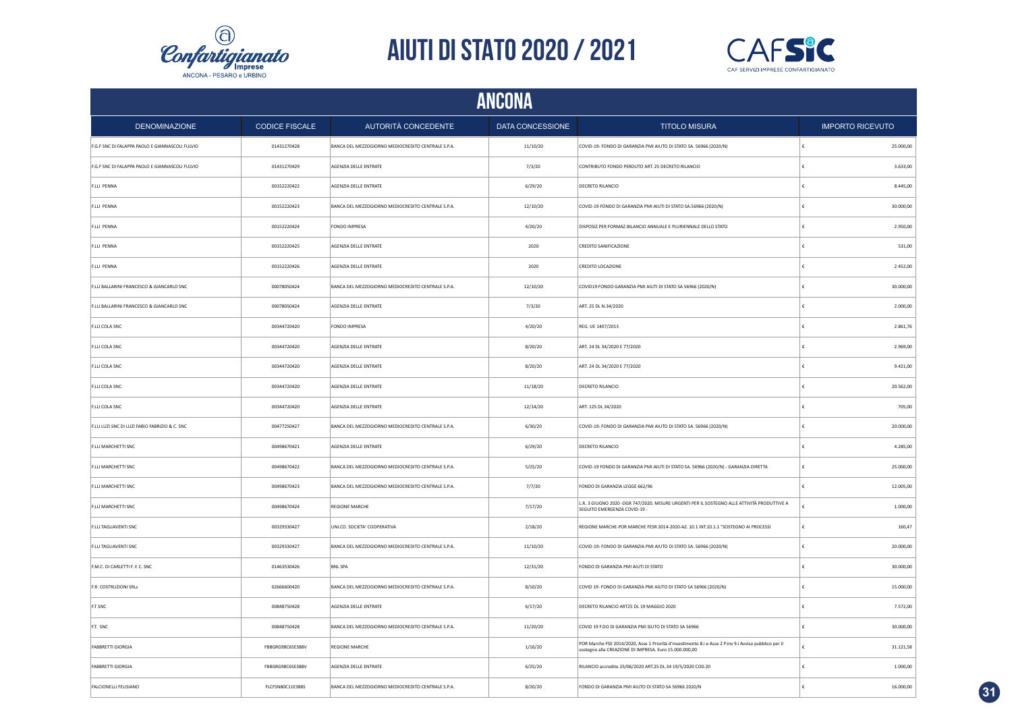



| ANCONA                                          |                       |                                                    |                  |                                                                                                                                                                  |                         |                         |
|-------------------------------------------------|-----------------------|----------------------------------------------------|------------------|------------------------------------------------------------------------------------------------------------------------------------------------------------------|-------------------------|-------------------------|
| <b>DENOMINAZIONE</b>                            | <b>CODICE FISCALE</b> | AUTORITÀ CONCEDENTE                                | DATA CONCESSIONE | <b>TITOLO MISURA</b>                                                                                                                                             |                         | <b>IMPORTO RICEVUTO</b> |
| F.G.F SNC DI FALAPPA PAOLO E GIANNASCOLI FULVIO | 01431270428           | BANCA DEL MEZZOGIORNO MEDIOCREDITO CENTRALE S.P.A. | 11/10/20         | COVID-19: FONDO DI GARANZIA PMI AIUTO DI STATO SA. 56966 (2020/N)                                                                                                | ١£                      | 25.000,00               |
| F.G.F SNC DI FALAPPA PAOLO E GIANNASCOLI FULVIO | 01431270429           | AGENZIA DELLE ENTRATE                              | 7/3/20           | CONTRIBUTO FONDO PERDUTO ART. 25 DECRETO RILANCIO                                                                                                                | €                       | 3.633,00                |
| F.LLI PENNA                                     | 00152220422           | AGENZIA DELLE ENTRATE                              | 6/29/20          | DECRETO RILANCIO                                                                                                                                                 | €                       | 8.445,00                |
| F.LLI PENNA                                     | 00152220423           | BANCA DEL MEZZOGIORNO MEDIOCREDITO CENTRALE S.P.A. | 12/10/20         | COVID-19 FONDO DI GARANZIA PMI AIUTI DI STATO SA.56966 (2020/N)                                                                                                  | €                       | 30.000,00               |
| F.LLI PENNA                                     | 00152220424           | FONDO IMPRESA                                      | 4/20/20          | DISPOSIZ.PER FORMAZ.BILANCIO ANNUALE E PLURIENNALE DELLO STATO                                                                                                   | €                       | 2.950.00                |
| F.LLI PENNA                                     | 00152220425           | AGENZIA DELLE ENTRATE                              | 2020             | <b>CREDITO SANIFICAZIONE</b>                                                                                                                                     | €                       | 531,00                  |
| F.LLI PENNA                                     | 00152220426           | AGENZIA DELLE ENTRATE                              | 2020             | CREDITO LOCAZIONE                                                                                                                                                | €                       | 2.452,00                |
| F.LLI BALLARINI FRANCESCO & GIANCARLO SNC       | 00078050424           | BANCA DEL MEZZOGIORNO MEDIOCREDITO CENTRALE S.P.A. | 12/10/20         | COVID19 FONDO GARANZIA PMI AIUTI DI STATO SA 56966 (2020/N)                                                                                                      | €                       | 30.000,00               |
| F.LLI BALLARINI FRANCESCO & GIANCARLO SNC       | 00078050424           | AGENZIA DELLE ENTRATE                              | 7/3/20           | ART. 25 DL N.34/2020                                                                                                                                             |                         | 2.000,00                |
| F.LLI COLA SNC                                  | 00344720420           | FONDO IMPRESA                                      | 4/20/20          | REG. UE 1407/2013                                                                                                                                                | £                       | 2.861,76                |
| F.LLI COLA SNC                                  | 00344720420           | AGENZIA DELLE ENTRATE                              | 8/20/20          | ART. 24 DL 34/2020 E 77/2020                                                                                                                                     |                         | 2.969,00                |
| F.LLI COLA SNC                                  | 00344720420           | AGENZIA DELLE ENTRATE                              | 8/20/20          | ART. 24 DL 34/2020 E 77/2020                                                                                                                                     | £                       | 9.421,00                |
| F.LLI COLA SNC                                  | 00344720420           | AGENZIA DELLE ENTRATE                              | 11/18/20         | DECRETO RILANCIO                                                                                                                                                 | £                       | 20.562,00               |
| F.LLI COLA SNC                                  | 00344720420           | AGENZIA DELLE ENTRATE                              | 12/14/20         | ART. 125 DL 34/2020                                                                                                                                              | $\epsilon$              | 705,00                  |
| F.LLI LUZI SNC DI LUZI FABIO FABRIZIO & C. SNC  | 00477250427           | BANCA DEL MEZZOGIORNO MEDIOCREDITO CENTRALE S.P.A. | 6/30/20          | COVID-19: FONDO DI GARANZIA PMI AIUTO DI STATO SA. 56966 (2020/N)                                                                                                | $\epsilon$              | 20.000,00               |
| F.LLI MARCHETTI SNC                             | 00498670421           | AGENZIA DELLE ENTRATE                              | 6/29/20          | <b>DECRETO RILANCIO</b>                                                                                                                                          | €                       | 4.285,00                |
| F.LLI MARCHETTI SNC                             | 00498670422           | BANCA DEL MEZZOGIORNO MEDIOCREDITO CENTRALE S.P.A. | 5/25/20          | COVID-19 FONDO DI GARANZIA PMI AIUTI DI STATO SA. 56966 (2020/N) - GARANZIA DIRETTA                                                                              | €                       | 25.000,00               |
| F.LLI MARCHETTI SNC                             | 00498670423           | BANCA DEL MEZZOGIORNO MEDIOCREDITO CENTRALE S.P.A. | 7/7/20           | FONDO DI GARANZIA LEGGE 662/96                                                                                                                                   | €                       | 12.005,00               |
| F.LLI MARCHETTI SNC                             | 00498670424           | <b>REGIONE MARCHE</b>                              | 7/17/20          | L.R. 3 GIUGNO 2020 - DGR 747/2020. MISURE URGENTI PER IL SOSTEGNO ALLE ATTIVITÀ PRODUTTIVE A<br>SEGUITO EMERGENZA COVID-19                                       | €                       | 1.000,00                |
| F.LLI TAGLIAVENTI SNC                           | 00329330427           | UNI.CO. SOCIETA' COOPERATIVA                       | 2/18/20          | REGIONE MARCHE-POR MARCHE FESR 2014-2020-AZ. 10.1 INT.10.1.1 "SOSTEGNO AI PROCESSI                                                                               | $\boldsymbol{\epsilon}$ | 160,47                  |
| F.LLI TAGLIAVENTI SNC                           | 00329330427           | BANCA DEL MEZZOGIORNO MEDIOCREDITO CENTRALE S.P.A  | 11/10/20         | COVID-19: FONDO DI GARANZIA PMI AIUTO DI STATO SA. 56966 (2020/N)                                                                                                | €                       | 20.000,00               |
| F.M.C. DI CARLETTI F. E C. SNC                  | 01463530426           | <b>BNL SPA</b>                                     | 12/31/20         | FONDO DI GARANZIA PMI AIUTI DI STATO                                                                                                                             |                         | 30.000,00               |
| F.R. COSTRUZIONI SRLS                           | 02666600420           | BANCA DEL MEZZOGIORNO MEDIOCREDITO CENTRALE S.P.A. | 8/10/20          | COVID 19- FONDO DI GARANZIA PMI AIUTO DI STATO SA 56966 (2020/N)                                                                                                 | €                       | 15.000,00               |
| F.T SNC                                         | 00848750428           | AGENZIA DELLE ENTRATE                              | 6/17/20          | DECRETO RILANCIO ART25 DL 19 MAGGIO 2020                                                                                                                         |                         | 7.572,00                |
| F.T. SNC                                        | 00848750428           | BANCA DEL MEZZOGIORNO MEDIOCREDITO CENTRALE S.P.A. | 11/20/20         | COVID 19 F.DO DI GARANZIA PMI SIUTO DI STATO SA 56966                                                                                                            |                         | 30.000,00               |
| <b>FABBRETTI GIORGIA</b>                        | FBBGRG98C65E388V      | <b>REGIONE MARCHE</b>                              | 1/16/20          | POR Marche FSE 2014/2020, Asse 1 Priorità d'investimento 8.i e Asse 2 P.inv 9.i Avviso pubblico per il<br>sostegno alla CREAZIONE DI IMPRESA. Euro 15.000.000,00 |                         | 31.121,58               |
| <b>FABBRETTI GIORGIA</b>                        | FBBGRG98C65E388V      | AGENZIA DELLE ENTRATE                              | 6/25/20          | RILANCIO accredito 25/06/2020 ART.25 DL.34 19/5/2020 COD.20                                                                                                      | €                       | 1.000,00                |
| FALCIONELLI FELISIANO                           | FLCFSN80C11E388S      | BANCA DEL MEZZOGIORNO MEDIOCREDITO CENTRALE S.P.A. | 8/20/20          | FONDO DI GARANZIA PMI AIUTO DI STATO SA 56966 2020/N                                                                                                             | £                       | 16.000,00               |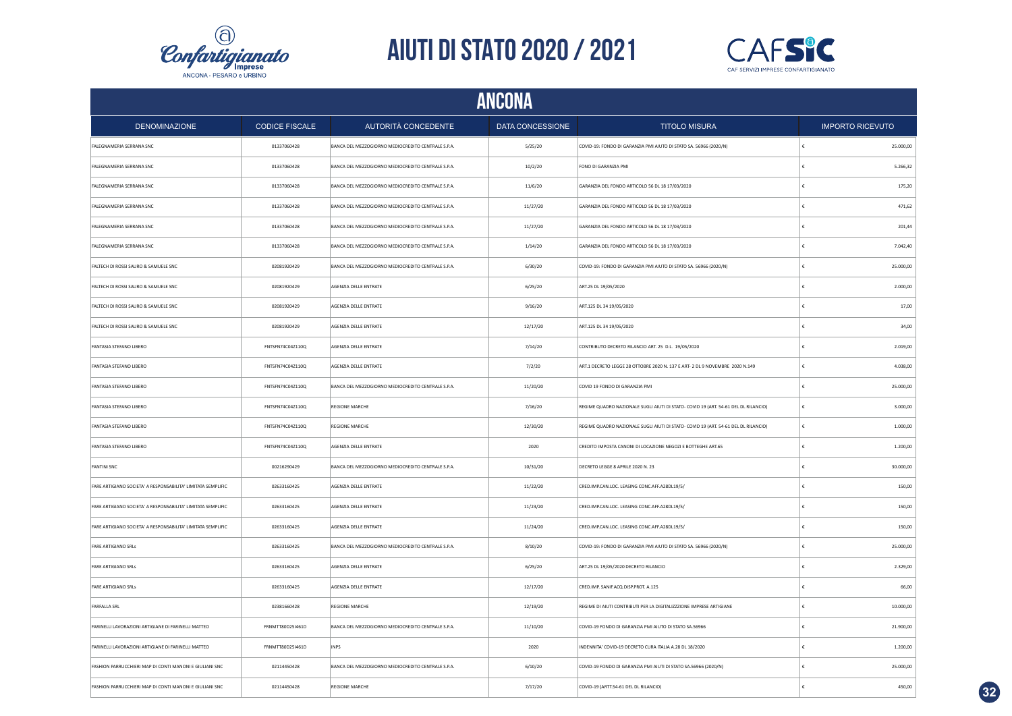



|                                                              | <b>ANCONA</b>         |                                                    |                  |                                                                                     |            |                         |  |  |
|--------------------------------------------------------------|-----------------------|----------------------------------------------------|------------------|-------------------------------------------------------------------------------------|------------|-------------------------|--|--|
| <b>DENOMINAZIONE</b>                                         | <b>CODICE FISCALE</b> | AUTORITÀ CONCEDENTE                                | DATA CONCESSIONE | <b>TITOLO MISURA</b>                                                                |            | <b>IMPORTO RICEVUTO</b> |  |  |
| FALEGNAMERIA SERRANA SNC                                     | 01337060428           | BANCA DEL MEZZOGIORNO MEDIOCREDITO CENTRALE S.P.A. | 5/25/20          | COVID-19: FONDO DI GARANZIA PMI AIUTO DI STATO SA. 56966 (2020/N)                   | ١£         | 25.000,00               |  |  |
| FALEGNAMERIA SERRANA SNC                                     | 01337060428           | BANCA DEL MEZZOGIORNO MEDIOCREDITO CENTRALE S.P.A. | 10/2/20          | FONO DI GARANZIA PMI                                                                | €          | 5.266,32                |  |  |
| FALEGNAMERIA SERRANA SNC                                     | 01337060428           | BANCA DEL MEZZOGIORNO MEDIOCREDITO CENTRALE S.P.A. | 11/6/20          | GARANZIA DEL FONDO ARTICOLO 56 DL 18 17/03/2020                                     | €          | 175,20                  |  |  |
| FALEGNAMERIA SERRANA SNC                                     | 01337060428           | BANCA DEL MEZZOGIORNO MEDIOCREDITO CENTRALE S.P.A. | 11/27/20         | GARANZIA DEL FONDO ARTICOLO 56 DL 18 17/03/2020                                     | €          | 471,62                  |  |  |
| FALEGNAMERIA SERRANA SNC                                     | 01337060428           | BANCA DEL MEZZOGIORNO MEDIOCREDITO CENTRALE S.P.A. | 11/27/20         | GARANZIA DEL FONDO ARTICOLO 56 DL 18 17/03/2020                                     | £          | 201,44                  |  |  |
| FALEGNAMERIA SERRANA SNC                                     | 01337060428           | BANCA DEL MEZZOGIORNO MEDIOCREDITO CENTRALE S.P.A. | 1/14/20          | GARANZIA DEL FONDO ARTICOLO 56 DL 18 17/03/2020                                     | £          | 7.042,40                |  |  |
| FALTECH DI ROSSI SAURO & SAMUELE SNC                         | 02081920429           | BANCA DEL MEZZOGIORNO MEDIOCREDITO CENTRALE S.P.A. | 6/30/20          | COVID-19: FONDO DI GARANZIA PMI AIUTO DI STATO SA. 56966 (2020/N)                   | £          | 25.000,00               |  |  |
| FALTECH DI ROSSI SAURO & SAMUELE SNC                         | 02081920429           | AGENZIA DELLE ENTRATE                              | 6/25/20          | ART.25 DL 19/05/2020                                                                | €          | 2.000,00                |  |  |
| FALTECH DI ROSSI SAURO & SAMUELE SNC                         | 02081920429           | AGENZIA DELLE ENTRATE                              | 9/16/20          | ART.125 DL 34 19/05/2020                                                            |            | 17,00                   |  |  |
| FALTECH DI ROSSI SAURO & SAMUELE SNC                         | 02081920429           | AGENZIA DELLE ENTRATE                              | 12/17/20         | ART.125 DL 34 19/05/2020                                                            |            | 34,00                   |  |  |
| FANTASIA STEFANO LIBERO                                      | FNTSFN74C04Z110Q      | AGENZIA DELLE ENTRATE                              | 7/14/20          | CONTRIBUTO DECRETO RILANCIO ART. 25 D.L. 19/05/2020                                 |            | 2.019,00                |  |  |
| FANTASIA STEFANO LIBERO                                      | FNTSFN74C04Z110Q      | AGENZIA DELLE ENTRATE                              | 7/2/20           | ART.1 DECRETO LEGGE 28 OTTOBRE 2020 N. 137 E ART- 2 DL 9 NOVEMBRE 2020 N.149        | £          | 4.038,00                |  |  |
| FANTASIA STEFANO LIBERO                                      | FNTSFN74C04Z110Q      | BANCA DEL MEZZOGIORNO MEDIOCREDITO CENTRALE S.P.A. | 11/20/20         | COVID 19 FONDO DI GARANZIA PMI                                                      |            | 25.000,00               |  |  |
| FANTASIA STEFANO LIBERO                                      | FNTSFN74C04Z110Q      | <b>REGIONE MARCHE</b>                              | 7/16/20          | REGIME QUADRO NAZIONALE SUGLI AIUTI DI STATO- COVID 19 (ART. 54-61 DEL DL RILANCIO) | £          | 3.000,00                |  |  |
| FANTASIA STEFANO LIBERO                                      | FNTSFN74C04Z110Q      | <b>REGIONE MARCHE</b>                              | 12/30/20         | REGIME QUADRO NAZIONALE SUGLI AIUTI DI STATO- COVID 19 (ART. 54-61 DEL DL RILANCIO) | $\epsilon$ | 1.000,00                |  |  |
| FANTASIA STEFANO LIBERO                                      | FNTSFN74C04Z110Q      | AGENZIA DELLE ENTRATE                              | 2020             | CREDITO IMPOSTA CANONI DI LOCAZIONE NEGOZI E BOTTEGHE ART.65                        | $\epsilon$ | 1.200,00                |  |  |
| <b>FANTINI SNC</b>                                           | 00216290429           | BANCA DEL MEZZOGIORNO MEDIOCREDITO CENTRALE S.P.A. | 10/31/20         | DECRETO LEGGE 8 APRILE 2020 N. 23                                                   | €          | 30.000,00               |  |  |
| FARE ARTIGIANO SOCIETA' A RESPONSABILITA' LIMITATA SEMPLIFIC | 02633160425           | AGENZIA DELLE ENTRATE                              | 11/22/20         | CRED.IMP.CAN.LOC. LEASING CONC.AFF.A28DL19/5/                                       | €          | 150,00                  |  |  |
| FARE ARTIGIANO SOCIETA' A RESPONSABILITA' LIMITATA SEMPLIFIC | 02633160425           | AGENZIA DELLE ENTRATE                              | 11/23/20         | CRED.IMP.CAN.LOC. LEASING CONC.AFF.A28DL19/5/                                       | €          | 150,00                  |  |  |
| FARE ARTIGIANO SOCIETA' A RESPONSABILITA' LIMITATA SEMPLIFIC | 02633160425           | AGENZIA DELLE ENTRATE                              | 11/24/20         | CRED.IMP.CAN.LOC. LEASING CONC.AFF.A28DL19/5/                                       | €          | 150,00                  |  |  |
| FARE ARTIGIANO SRLS                                          | 02633160425           | BANCA DEL MEZZOGIORNO MEDIOCREDITO CENTRALE S.P.A. | 8/10/20          | COVID-19: FONDO DI GARANZIA PMI AIUTO DI STATO SA. 56966 (2020/N)                   | €          | 25.000,00               |  |  |
| FARE ARTIGIANO SRLS                                          | 02633160425           | AGENZIA DELLE ENTRATE                              | 6/25/20          | ART.25 DL 19/05/2020 DECRETO RILANCIO                                               | €          | 2.329,00                |  |  |
| FARE ARTIGIANO SRLS                                          | 02633160425           | AGENZIA DELLE ENTRATE                              | 12/17/20         | CRED.IMP. SANIF.ACQ.DISP.PROT. A.125                                                | €          | 66,00                   |  |  |
| <b>FARFALLA SRL</b>                                          | 02381660428           | <b>REGIONE MARCHE</b>                              | 12/19/20         | REGIME DI AIUTI CONTRIBUTI PER LA DIGITALIZZZIONE IMPRESE ARTIGIANE                 | €          | 10.000,00               |  |  |
| FARINELLI LAVORAZIONI ARTIGIANE DI FARINELLI MATTEO          | FRNMTT80D25I461D      | BANCA DEL MEZZOGIORNO MEDIOCREDITO CENTRALE S.P.A. | 11/10/20         | COVID-19 FONDO DI GARANZIA PMI AIUTO DI STATO SA.56966                              | £          | 21.900,00               |  |  |
| FARINELLI LAVORAZIONI ARTIGIANE DI FARINELLI MATTEO          | FRNMTT80D25I461D      | <b>INPS</b>                                        | 2020             | INDENNITA' COVID-19 DECRETO CURA ITALIA A.28 DL 18/2020                             |            | 1,200.00                |  |  |
| FASHION PARRUCCHIERI MAP DI CONTI MANONI E GIULIANI SNC      | 02114450428           | BANCA DEL MEZZOGIORNO MEDIOCREDITO CENTRALE S.P.A. | 6/10/20          | COVID-19 FONDO DI GARANZIA PMI AIUTI DI STATO SA.56966 (2020/N)                     | €          | 25.000,00               |  |  |
| FASHION PARRUCCHIERI MAP DI CONTI MANONI E GIULIANI SNC      | 02114450428           | <b>REGIONE MARCHE</b>                              | 7/17/20          | COVID-19 (ARTT.54-61 DEL DL RILANCIO)                                               |            | 450,00                  |  |  |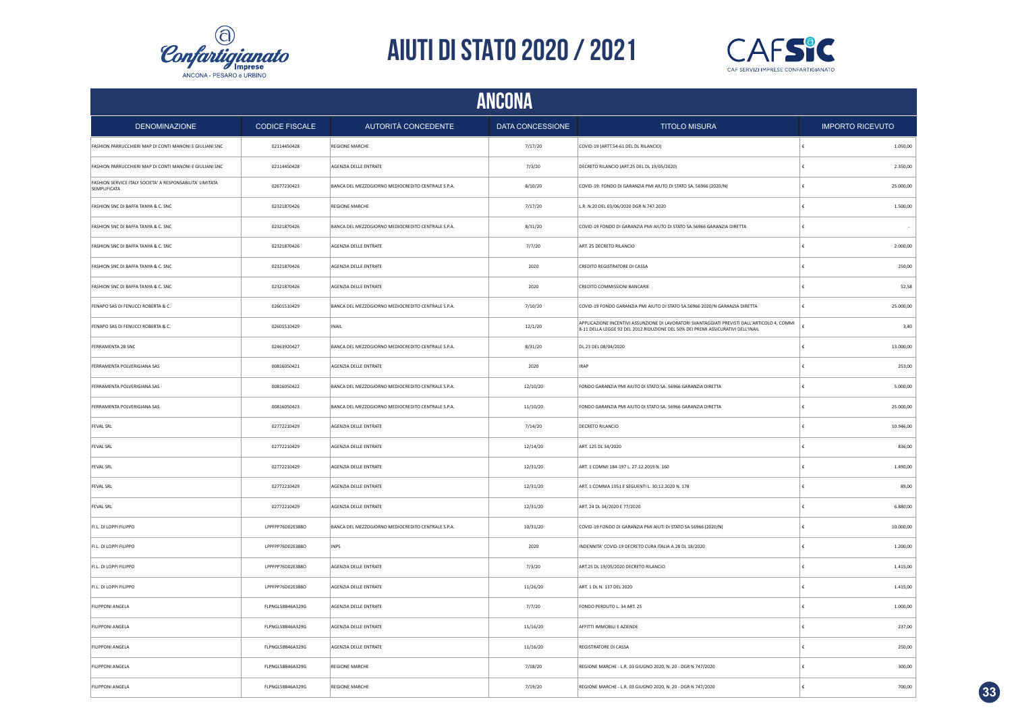



|                                                                           | <b>ANCONA</b>         |                                                    |                  |                                                                                                                                                                                  |                         |  |  |  |
|---------------------------------------------------------------------------|-----------------------|----------------------------------------------------|------------------|----------------------------------------------------------------------------------------------------------------------------------------------------------------------------------|-------------------------|--|--|--|
| <b>DENOMINAZIONE</b>                                                      | <b>CODICE FISCALE</b> | AUTORITÀ CONCEDENTE                                | DATA CONCESSIONE | <b>TITOLO MISURA</b>                                                                                                                                                             | <b>IMPORTO RICEVUTO</b> |  |  |  |
| FASHION PARRUCCHIERI MAP DI CONTI MANONI E GIULIANI SNC                   | 02114450428           | <b>REGIONE MARCHE</b>                              | 7/17/20          | COVID-19 (ARTT.54-61 DEL DL RILANCIO)                                                                                                                                            | 1.050,00                |  |  |  |
| FASHION PARRUCCHIERI MAP DI CONTI MANONI E GIULIANI SNC                   | 02114450428           | AGENZIA DELLE ENTRATE                              | 7/3/20           | DECRETO RILANCIO (ART.25 DEL DL 19/05/2020)                                                                                                                                      | €<br>2.350,00           |  |  |  |
| FASHION SERVICE ITALY SOCIETA' A RESPONSABILITA' LIMITATA<br>SEMPLIFICATA | 02677230423           | BANCA DEL MEZZOGIORNO MEDIOCREDITO CENTRALE S.P.A. | 8/10/20          | COVID-19: FONDO DI GARANZIA PMI AIUTO DI STATO SA. 56966 (2020/N)                                                                                                                | 25.000,00<br>€          |  |  |  |
| FASHION SNC DI BAFFA TANYA & C. SNC                                       | 02321870426           | <b>REGIONE MARCHE</b>                              | 7/17/20          | L.R. N.20 DEL 03/06/2020 DGR N.747.2020                                                                                                                                          | 1.500,00<br>ŧ           |  |  |  |
| FASHION SNC DI BAFFA TANYA & C. SNC                                       | 02321870426           | BANCA DEL MEZZOGIORNO MEDIOCREDITO CENTRALE S.P.A. | 8/31/20          | COVID-19 FONDO DI GARANZIA PMI AIUTO DI STATO SA.56966 GARANZIA DIRETTA                                                                                                          |                         |  |  |  |
| FASHION SNC DI BAFFA TANYA & C. SNC                                       | 02321870426           | AGENZIA DELLE ENTRATE                              | 7/7/20           | ART. 25 DECRETO RILANCIO                                                                                                                                                         | 2.000,00                |  |  |  |
| FASHION SNC DI BAFFA TANYA & C. SNC                                       | 02321870426           | AGENZIA DELLE ENTRATE                              | 2020             | CREDITO REGISTRATORE DI CASSA                                                                                                                                                    | 250,00                  |  |  |  |
| FASHION SNC DI BAFFA TANYA & C. SNC                                       | 02321870426           | AGENZIA DELLE ENTRATE                              | 2020             | CREDITO COMMISSIONI BANCARIE                                                                                                                                                     | 52,58                   |  |  |  |
| FENAPO SAS DI FENUCCI ROBERTA & C.                                        | 02601510429           | BANCA DEL MEZZOGIORNO MEDIOCREDITO CENTRALE S.P.A. | 7/10/20          | COVID-19 FONDO GARANZIA PMI AIUTO DI STATO SA.56966 2020/N GARANZIA DIRETTA                                                                                                      | 25.000,00<br>£          |  |  |  |
| FENAPO SAS DI FENUCCI ROBERTA & C.                                        | 02601510429           | <b>INAIL</b>                                       | 12/1/20          | APPLICAZIONE INCENTIVI ASSUNZIONE DI LAVORATORI SVANTAGGIATI PREVISTI DALL'ARTICOLO 4, COMMI<br>8-11 DELLA LEGGE 92 DEL 2012.RIDUZIONE DEL 50% DEI PREMI ASSICURATIVI DELL'INAIL | 3,40                    |  |  |  |
| FERRAMENTA 2B SNC                                                         | 02463920427           | BANCA DEL MEZZOGIORNO MEDIOCREDITO CENTRALE S.P.A. | 8/31/20          | DL.23 DEL 08/04/2020                                                                                                                                                             | 13.000,00<br>£          |  |  |  |
| FERRAMENTA POLVERIGIANA SAS                                               | 00816050421           | AGENZIA DELLE ENTRATE                              | 2020             | <b>IRAP</b>                                                                                                                                                                      | 253,00<br>€             |  |  |  |
| FERRAMENTA POLVERIGIANA SAS                                               | 00816050422           | BANCA DEL MEZZOGIORNO MEDIOCREDITO CENTRALE S.P.A. | 12/10/20         | FONDO GARANZIA PMI AIUTO DI STATO SA. 56966 GARANZIA DIRETTA                                                                                                                     | 5.000,00                |  |  |  |
| FERRAMENTA POLVERIGIANA SAS                                               | 00816050423           | BANCA DEL MEZZOGIORNO MEDIOCREDITO CENTRALE S.P.A. | 11/10/20         | FONDO GARANZIA PMI AIUTO DI STATO SA. 56966 GARANZIA DIRETTA                                                                                                                     | 25.000,00<br>€          |  |  |  |
| <b>FEVAL SRL</b>                                                          | 02772210429           | AGENZIA DELLE ENTRATE                              | 7/14/20          | DECRETO RILANCIO                                                                                                                                                                 | €<br>10.946,00          |  |  |  |
| <b>FEVAL SRL</b>                                                          | 02772210429           | AGENZIA DELLE ENTRATE                              | 12/14/20         | ART. 125 DL 34/2020                                                                                                                                                              | €<br>836,00             |  |  |  |
| <b>FEVAL SRL</b>                                                          | 02772210429           | AGENZIA DELLE ENTRATE                              | 12/31/20         | ART. 1 COMMI 184-197 L. 27.12.2019 N. 160                                                                                                                                        | 1.490,00<br>€           |  |  |  |
| <b>FEVAL SRL</b>                                                          | 02772210429           | AGENZIA DELLE ENTRATE                              | 12/31/20         | ART. 1 COMMA 1051 E SEGUENTI L. 30.12.2020 N. 178                                                                                                                                | 89,00<br>£              |  |  |  |
| <b>FEVAL SRL</b>                                                          | 02772210429           | AGENZIA DELLE ENTRATE                              | 12/31/20         | ART. 24 DL 34/2020 E 77/2020                                                                                                                                                     | 6.880,00<br>€           |  |  |  |
| FI.L. DI LOPPI FILIPPO                                                    | LPPFPP76D02E388O      | BANCA DEL MEZZOGIORNO MEDIOCREDITO CENTRALE S.P.A. | 10/31/20         | COVID-19 FONDO DI GARANZIA PMI AIUTI DI STATO SA 56966 (2020/N)                                                                                                                  | 10.000,00<br>£          |  |  |  |
| FI.L. DI LOPPI FILIPPO                                                    | LPPFPP76D02E388O      | <b>INPS</b>                                        | 2020             | INDENNITA' COVID-19 DECRETO CURA ITALIA A.28 DL 18/2020                                                                                                                          | 1.200,00                |  |  |  |
| FI.L. DI LOPPI FILIPPO                                                    | LPPFPP76D02E388O      | AGENZIA DELLE ENTRATE                              | 7/3/20           | ART.25 DL 19/05/2020 DECRETO RILANCIO                                                                                                                                            | 1.415,00                |  |  |  |
| FI.L. DI LOPPI FILIPPO                                                    | LPPFPP76D02E388O      | AGENZIA DELLE ENTRATE                              | 11/26/20         | ART. 1 DL N. 137 DEL 2020                                                                                                                                                        | 1.415,00                |  |  |  |
| FILIPPONI ANGELA                                                          | FLPNGL58B46A329G      | AGENZIA DELLE ENTRATE                              | 7/7/20           | FONDO PERDUTO L. 34 ART. 25                                                                                                                                                      | 1.000,00<br>£.          |  |  |  |
| FILIPPONI ANGELA                                                          | FLPNGL58B46A329G      | AGENZIA DELLE ENTRATE                              | 11/16/20         | AFFITTI IMMOBILI E AZIENDE                                                                                                                                                       | 237,00<br>£             |  |  |  |
| FILIPPONI ANGELA                                                          | FLPNGL58B46A329G      | AGENZIA DELLE ENTRATE                              | 11/16/20         | <b>REGISTRATORE DI CASSA</b>                                                                                                                                                     | 250,00                  |  |  |  |
| <b>FILIPPONI ANGELA</b>                                                   | FLPNGL58B46A329G      | <b>REGIONE MARCHE</b>                              | 7/18/20          | REGIONE MARCHE - L.R. 03 GIUGNO 2020, N. 20 - DGR N 747/2020                                                                                                                     | 300,00<br>€             |  |  |  |
| <b>FILIPPONI ANGELA</b>                                                   | FLPNGL58B46A329G      | <b>REGIONE MARCHE</b>                              | 7/19/20          | REGIONE MARCHE - L.R. 03 GIUGNO 2020, N. 20 - DGR N 747/2020                                                                                                                     | 700,00<br>f.            |  |  |  |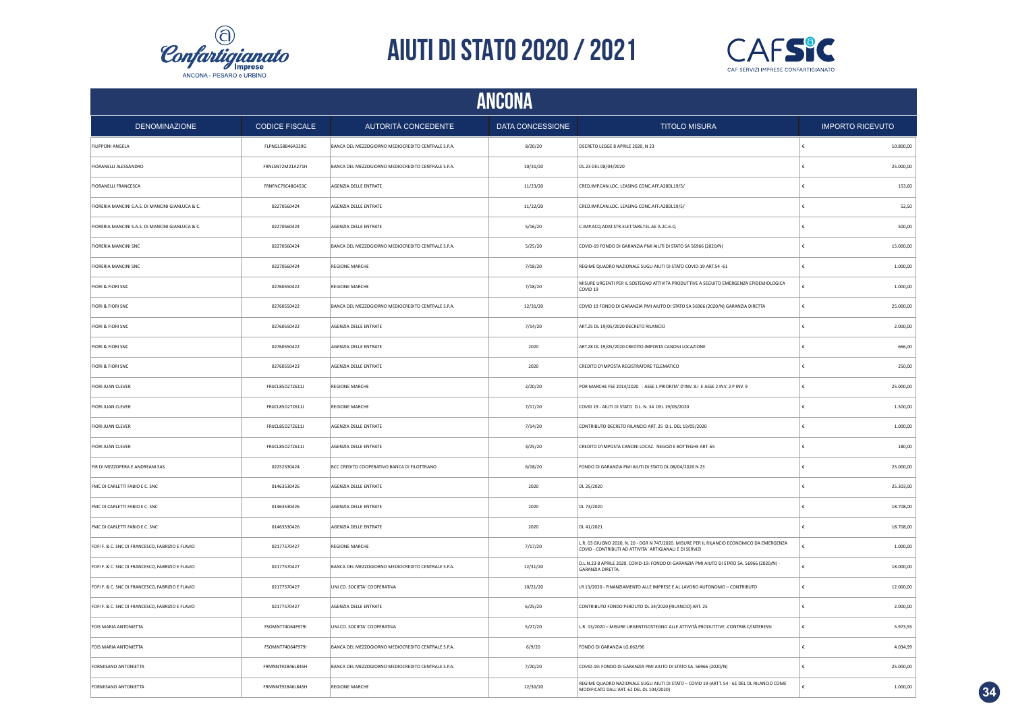



| <b>ANCONA</b>                                    |                       |                                                    |                  |                                                                                                                                                        |                         |  |
|--------------------------------------------------|-----------------------|----------------------------------------------------|------------------|--------------------------------------------------------------------------------------------------------------------------------------------------------|-------------------------|--|
| <b>DENOMINAZIONE</b>                             | <b>CODICE FISCALE</b> | <b>AUTORITÀ CONCEDENTE</b>                         | DATA CONCESSIONE | <b>TITOLO MISURA</b>                                                                                                                                   | <b>IMPORTO RICEVUTO</b> |  |
| <b>FILIPPONI ANGELA</b>                          | FLPNGL58B46A329G      | BANCA DEL MEZZOGIORNO MEDIOCREDITO CENTRALE S.P.A. | 8/20/20          | DECRETO LEGGE 8 APRILE 2020, N 23                                                                                                                      | 10.800,00               |  |
| FIORANELLI ALESSANDRO                            | FRNLSN72M21A271H      | BANCA DEL MEZZOGIORNO MEDIOCREDITO CENTRALE S.P.A. | 10/31/20         | DL.23 DEL 08/04/2020                                                                                                                                   | 25.000,00<br>£          |  |
| FIORANELLI FRANCESCA                             | FRNFNC79C48G453C      | AGENZIA DELLE ENTRATE                              | 11/23/20         | CRED.IMP.CAN.LOC. LEASING CONC.AFF.A28DL19/5/                                                                                                          | 153,60                  |  |
| FIORERIA MANCINI S.A.S. DI MANCINI GIANLUCA & C. | 02270560424           | AGENZIA DELLE ENTRATE                              | 11/22/20         | CRED.IMP.CAN.LOC. LEASING CONC.AFF.A28DL19/5/                                                                                                          | 52,50                   |  |
| FIORERIA MANCINI S.A.S. DI MANCINI GIANLUCA & C. | 02270560424           | AGENZIA DELLE ENTRATE                              | 5/16/20          | C.IMP.ACQ.ADAT.STR.ELET.TARS.TEL.AE A.2C.6-Q                                                                                                           | 500,00                  |  |
| <b>FIORERIA MANCINI SNC</b>                      | 02270560424           | BANCA DEL MEZZOGIORNO MEDIOCREDITO CENTRALE S.P.A. | 5/25/20          | COVID-19 FONDO DI GARANZIA PMI AIUTI DI STATO SA 56966 (2020/N)                                                                                        | 15.000,00               |  |
| FIORERIA MANCINI SNC                             | 02270560424           | REGIONE MARCHE                                     | 7/18/20          | REGIME QUADRO NAZIONALE SUGLI AIUTI DI STATO COVID-19 ART.54 -61                                                                                       | 1.000,00                |  |
| FIORI & FIORI SNC                                | 02760550422           | REGIONE MARCHE                                     | 7/18/20          | MISURE URGENTI PER IL SOSTEGNO ATTIVITA PRODUTTIVE A SEGUITO EMERGENZA EPIDEMIOLOGICA<br>COVID <sub>19</sub>                                           | 1.000,00                |  |
| FIORI & FIORI SNC                                | 02760550422           | BANCA DEL MEZZOGIORNO MEDIOCREDITO CENTRALE S.P.A. | 12/31/20         | COVID 19 FONDO DI GARANZIA PMI AIUTO DI STATO SA 56966 (2020/N) GARANZIA DIRETTA                                                                       | 25.000,00               |  |
| FIORI & FIORI SNC                                | 02760550422           | AGENZIA DELLE ENTRATE                              | 7/14/20          | ART.25 DL 19/05/2020 DECRETO RILANCIO                                                                                                                  | 2.000,00                |  |
| <b>FIORI &amp; FIORI SNC</b>                     | 02760550422           | AGENZIA DELLE ENTRATE                              | 2020             | ART.28 DL 19/05/2020 CREDITO IMPOSTA CANONI LOCAZIONE                                                                                                  | 666,00                  |  |
| <b>FIORI &amp; FIORI SNC</b>                     | 02760550423           | AGENZIA DELLE ENTRATE                              | 2020             | CREDITO D'IMPOSTA REGISTRATORE TELEMATICO                                                                                                              | 250,00                  |  |
| <b>FIORI JUAN CLEVER</b>                         | FRUCL85D27Z611J       | <b>REGIONE MARCHE</b>                              | 2/20/20          | POR MARCHE FSE 2014/2020 - ASSE 1 PRIORITA' D'INV. 8.1 E ASSE 2 INV. 2 P INV. 9                                                                        | 25.000,00               |  |
| FIORI JUAN CLEVER                                | FRUCL85D272611J       | <b>REGIONE MARCHE</b>                              | 7/17/20          | COVID 19 - AIUTI DI STATO D.L. N. 34 DEL 19/05/2020                                                                                                    | 1.500,00                |  |
| FIORI JUAN CLEVER                                | FRUCL85D27Z611J       | AGENZIA DELLE ENTRATE                              | 7/14/20          | CONTRIBUTO DECRETO RILANCIO ART. 25 D.L. DEL 19/05/2020                                                                                                | 1.000,00                |  |
| FIORI JUAN CLEVER                                | FRUCL85D27Z611J       | AGENZIA DELLE ENTRATE                              | 3/25/20          | CREDITO D'IMPOSTA CANONI LOCAZ. NEGOZI E BOTTEGHE ART. 65                                                                                              | 180,00                  |  |
| FIR DI MEZZOPERA E ANDREANI SAS                  | 02252330424           | BCC CREDITO COOPERATIVO BANCA DI FILOTTRANO        | 6/18/20          | FONDO DI GARANZIA PMI AIUTI DI STATO DL 08/04/2020 N 23                                                                                                | 25.000,00               |  |
| FMC DI CARLETTI FABIO E C. SNC                   | 01463530426           | AGENZIA DELLE ENTRATE                              | 2020             | DL 25/2020                                                                                                                                             | 25.303,00               |  |
| FMC DI CARLETTI FABIO E C. SNC                   | 01463530426           | AGENZIA DELLE ENTRATE                              | 2020             | DL 73/2020                                                                                                                                             | 18.708,00<br>€          |  |
| FMC DI CARLETTI FABIO E C. SNC                   | 01463530426           | AGENZIA DELLE ENTRATE                              | 2020             | DL 41/2021                                                                                                                                             | 18.708,00               |  |
| FOFI F. & C. SNC DI FRANCESCO, FABRIZIO E FLAVIO | 02177570427           | <b>REGIONE MARCHE</b>                              | 7/17/20          | L.R. 03 GIUGNO 2020, N. 20 - DGR N 747/2020. MISURE PER IL RILANCIO ECONOMICO DA EMERGENZA<br>COVID - CONTRIBUTI AD ATTIVITA` ARTIGIANALI E DI SERVIZI | 1.000,00                |  |
| FOFI F. & C. SNC DI FRANCESCO, FABRIZIO E FLAVIO | 02177570427           | BANCA DEL MEZZOGIORNO MEDIOCREDITO CENTRALE S.P.A. | 12/31/20         | D.L.N.23 8 APRILE 2020, COVID-19: FONDO DI GARANZIA PMI AIUTO DI STATO SA, 56966 (2020/N) -<br>GARANZIA DIRETTA.                                       | 18.000,00               |  |
| FOFI F. & C. SNC DI FRANCESCO, FABRIZIO E FLAVIO | 02177570427           | UNI.CO. SOCIETA' COOPERATIVA                       | 10/21/20         | LR 13/2020 - FINANZIAMENTO ALLE IMPRESE E AL LAVORO AUTONOMO - CONTRIBUTO                                                                              | 12.000,00               |  |
| FOFI F. & C. SNC DI FRANCESCO, FABRIZIO E FLAVIO | 02177570427           | AGENZIA DELLE ENTRATE                              | 6/25/20          | CONTRIBUTO FONDO PERDUTO DL 34/2020 (RILANCIO) ART. 25                                                                                                 | 2.000,00                |  |
| FOIS MARIA ANTONIETTA                            | FSOMNT74D64F979I      | UNI.CO. SOCIETA' COOPERATIVA                       | 5/27/20          | L.R. 13/2020 - MISURE URGENTISOSTEGNO ALLE ATTIVITÀ PRODUTTIVE - CONTRIB.C/INTERESSI                                                                   | 5.973,55                |  |
| FOIS MARIA ANTONIETTA                            | FSOMNT74D64F979I      | BANCA DEL MEZZOGIORNO MEDIOCREDITO CENTRALE S.P.A. | 6/9/20           | FONDO DI GARANZIA LG.662/96                                                                                                                            | 4.034,99                |  |
| FORMISANO ANTONIETTA                             | FRMNNT92B46L845H      | BANCA DEL MEZZOGIORNO MEDIOCREDITO CENTRALE S.P.A. | 7/20/20          | COVID-19: FONDO DI GARANZIA PMI AIUTO DI STATO SA. 56966 (2020/N)                                                                                      | 25.000,00               |  |
| FORMISANO ANTONIETTA                             | FRMNNT92B46L845H      | <b>REGIONE MARCHE</b>                              | 12/30/20         | REGIME QUADRO NAZIONALE SUGLI AIUTI DI STATO - COVID 19 (ARTT. 54 - 61 DEL DL RILANCIO COME<br>MODIFICATO DALL'ART. 62 DEL DL 104/2020                 | 1.000,00                |  |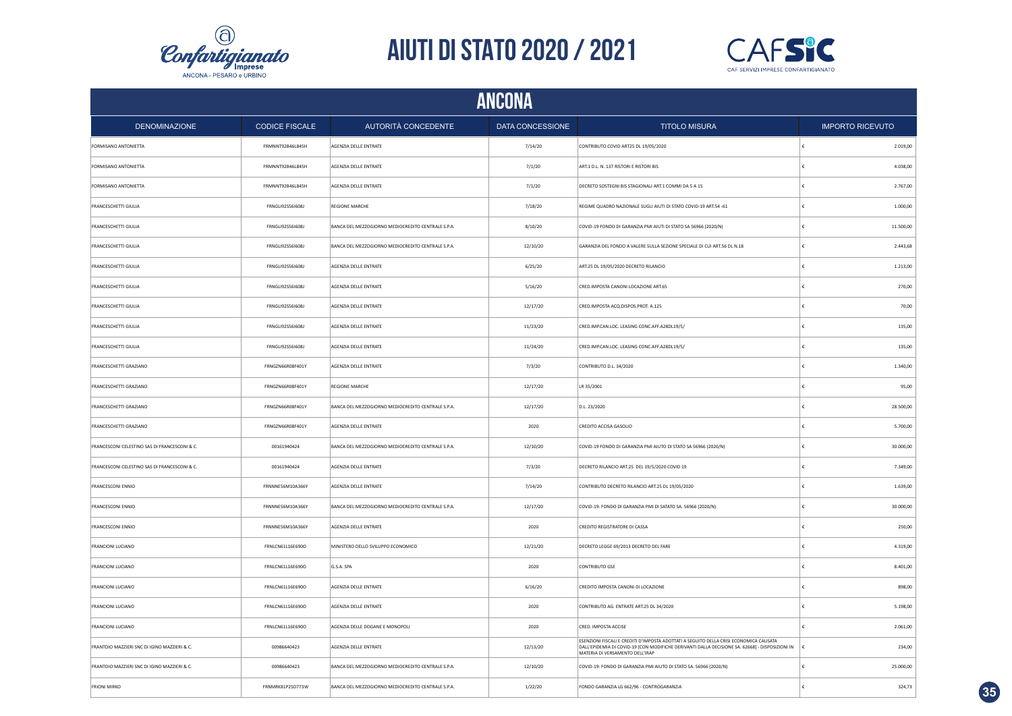



|                                               | <b>ANCONA</b>           |                                                    |                         |                                                                                                                                                                                                                              |                         |  |  |
|-----------------------------------------------|-------------------------|----------------------------------------------------|-------------------------|------------------------------------------------------------------------------------------------------------------------------------------------------------------------------------------------------------------------------|-------------------------|--|--|
| <b>DENOMINAZIONE</b>                          | <b>CODICE FISCALE</b>   | AUTORITÀ CONCEDENTE                                | <b>DATA CONCESSIONE</b> | <b>TITOLO MISURA</b>                                                                                                                                                                                                         | <b>IMPORTO RICEVUTO</b> |  |  |
| FORMISANO ANTONIETTA                          | FRMNNT92B46L845H        | AGENZIA DELLE ENTRATE                              | 7/14/20                 | CONTRIBUTO COVID ART25 DL 19/05/2020                                                                                                                                                                                         | 2.019,00<br>€           |  |  |
| FORMISANO ANTONIETTA                          | FRMNNT92B46L845H        | AGENZIA DELLE ENTRATE                              | 7/1/20                  | ART.1 D.L. N. 137 RISTORI E RISTORI BIS                                                                                                                                                                                      | €<br>4.038,00           |  |  |
| FORMISANO ANTONIETTA                          | FRMNNT92B46L845H        | AGENZIA DELLE ENTRATE                              | 7/1/20                  | DECRETO SOSTEGNI BIS STAGIONALI ART.1 COMMI DA 5 A 15                                                                                                                                                                        | 2.767,00<br>€           |  |  |
| <b>FRANCESCHETTI GIULIA</b>                   | FRNGLI925561608J        | <b>REGIONE MARCHE</b>                              | 7/18/20                 | REGIME QUADRO NAZIONALE SUGLI AIUTI DI STATO COVID-19 ART.54 -61                                                                                                                                                             | 1.000,00<br>€           |  |  |
| FRANCESCHETTI GIULIA                          | FRNGLI92S561608J        | BANCA DEL MEZZOGIORNO MEDIOCREDITO CENTRALE S.P.A. | 8/10/20                 | COVID-19 FONDO DI GARANZIA PMI AIUTI DI STATO SA 56966 (2020/N)                                                                                                                                                              | 11.500,00               |  |  |
| FRANCESCHETTI GIULIA                          | FRNGLI92S56I608J        | BANCA DEL MEZZOGIORNO MEDIOCREDITO CENTRALE S.P.A. | 12/10/20                | GARANZIA DEL FONDO A VALERE SULLA SEZIONE SPECIALE DI CUI ART.56 DL N.18                                                                                                                                                     | 2.443,68<br>€           |  |  |
| FRANCESCHETTI GIULIA                          | FRNGLI92S561608J        | AGENZIA DELLE ENTRATE                              | 6/25/20                 | ART.25 DL 19/05/2020 DECRETO RILANCIO                                                                                                                                                                                        | 1.213,00                |  |  |
| FRANCESCHETTI GIULIA                          | FRNGLI92S561608J        | AGENZIA DELLE ENTRATE                              | 5/16/20                 | CRED.IMPOSTA CANONI LOCAZIONE ART.65                                                                                                                                                                                         | 270,00                  |  |  |
| FRANCESCHETTI GIULIA                          | FRNGLI92S561608J        | AGENZIA DELLE ENTRATE                              | 12/17/20                | CRED.IMPOSTA ACQ.DISPOS.PROT. A.125                                                                                                                                                                                          | 70,00                   |  |  |
| FRANCESCHETTI GIULIA                          | FRNGLI92S561608J        | AGENZIA DELLE ENTRATE                              | 11/23/20                | CRED.IMP.CAN.LOC. LEASING CONC.AFF.A28DL19/5/                                                                                                                                                                                | £<br>135,00             |  |  |
| FRANCESCHETTI GIULIA                          | FRNGLI92S561608J        | AGENZIA DELLE ENTRATE                              | 11/24/20                | CRED.IMP.CAN.LOC. LEASING CONC.AFF.A28DL19/5/                                                                                                                                                                                | £<br>135,00             |  |  |
| <b>FRANCESCHETTI GRAZIANO</b>                 | FRNGZN66R08F401Y        | AGENZIA DELLE ENTRATE                              | 7/3/20                  | CONTRIBUTO D.L. 34/2020                                                                                                                                                                                                      | $\epsilon$<br>1.340,00  |  |  |
| FRANCESCHETTI GRAZIANO                        | FRNGZN66R08F401Y        | <b>REGIONE MARCHE</b>                              | 12/17/20                | LR 35/2001                                                                                                                                                                                                                   | £<br>95,00              |  |  |
| FRANCESCHETTI GRAZIANO                        | FRNGZN66R08F401Y        | BANCA DEL MEZZOGIORNO MEDIOCREDITO CENTRALE S.P.A. | 12/17/20                | D.L. 23/2020                                                                                                                                                                                                                 | ∣€<br>28.500,00         |  |  |
| FRANCESCHETTI GRAZIANO                        | FRNGZN66R08F401Y        | AGENZIA DELLE ENTRATE                              | 2020                    | CREDITO ACCISA GASOLIO                                                                                                                                                                                                       | 5.700,00<br>€           |  |  |
| FRANCESCONI CELESTINO SAS DI FRANCESCONI & C. | 00161940424             | BANCA DEL MEZZOGIORNO MEDIOCREDITO CENTRALE S.P.A. | 12/10/20                | COVID-19 FONDO DI GARANZIA PMI AIUTO DI STATO SA 56966 (2020/N)                                                                                                                                                              | 30.000,00<br>$\epsilon$ |  |  |
| FRANCESCONI CELESTINO SAS DI FRANCESCONI & C. | 00161940424             | AGENZIA DELLE ENTRATE                              | 7/3/20                  | DECRETO RILANCIO ART.25 DEL 19/5/2020 COVID 19                                                                                                                                                                               | 7.349,00<br>€           |  |  |
| FRANCESCONI ENNIO                             | FRNNNE56M10A366Y        | AGENZIA DELLE ENTRATE                              | 7/14/20                 | CONTRIBUTO DECRETO RILANCIO ART.25 DL 19/05/2020                                                                                                                                                                             | 1.639,00<br>€           |  |  |
| FRANCESCONI ENNIO                             | FRNNNE56M10A366Y        | BANCA DEL MEZZOGIORNO MEDIOCREDITO CENTRALE S.P.A. | 12/17/20                | COVID-19: FONDO DI GARANZIA PMI DI SATATO SA. 56966 (2020/N)                                                                                                                                                                 | €<br>30.000,00          |  |  |
| FRANCESCONI ENNIO                             | FRNNNE56M10A366Y        | AGENZIA DELLE ENTRATE                              | 2020                    | CREDITO REGISTRATORE DI CASSA                                                                                                                                                                                                | 250,00<br>€             |  |  |
| FRANCIONI LUCIANO                             | FRNLCN61L16E690O        | MINISTERO DELLO SVILUPPO ECONOMICO                 | 12/21/20                | DECRETO LEGGE 69/2013 DECRETO DEL FARE                                                                                                                                                                                       | €<br>4.319,00           |  |  |
| FRANCIONI LUCIANO                             | FRNLCN61L16E690O        | G.S.A. SPA                                         | 2020                    | CONTRIBUTO GSE                                                                                                                                                                                                               | 8.401,00                |  |  |
| FRANCIONI LUCIANO                             | FRNLCN61L16E690O        | AGENZIA DELLE ENTRATE                              | 6/16/20                 | CREDITO IMPOSTA CANONI DI LOCAZIONE                                                                                                                                                                                          | €<br>898,00             |  |  |
| FRANCIONI LUCIANO                             | FRNLCN61L16E690O        | AGENZIA DELLE ENTRATE                              | 2020                    | CONTRIBUTO AG. ENTRATE ART.25 DL 34/2020                                                                                                                                                                                     | 5.198,00                |  |  |
| FRANCIONI LUCIANO                             | FRNLCN61L16E690O        | AGENZIA DELLE DOGANE E MONOPOLI                    | 2020                    | CRED. IMPOSTA ACCISE                                                                                                                                                                                                         | 2.061,00                |  |  |
| FRANTOIO MAZZIERI SNC DI IGINO MAZZIERI & C.  | 00986640423             | AGENZIA DELLE ENTRATE                              | 12/13/20                | ESENZIONI FISCALI E CREDITI D'IMPOSTA ADOTTATI A SEGUITO DELLA CRISI ECONOMICA CAUSATA<br>DALL'EPIDEMIA DI COVID-19 [CON MODIFICHE DERIVANTI DALLA DECISIONE SA. 62668] - DISPOSIZIONI IN<br>MATERIA DI VERSAMENTO DELL'IRAP | ١£<br>234,00            |  |  |
| FRANTOIO MAZZIERI SNC DI IGINO MAZZIERI & C.  | 00986640423             | BANCA DEL MEZZOGIORNO MEDIOCREDITO CENTRALE S.P.A. | 12/10/20                | COVID-19: FONDO DI GARANZIA PMI AIUTO DI STATO SA. 56966 (2020/N)                                                                                                                                                            | 25.000,00<br>$\epsilon$ |  |  |
| <b>FRIONI MIRKO</b>                           | <b>FRNMRK81P25D773W</b> | BANCA DEL MEZZOGIORNO MEDIOCREDITO CENTRALE S.P.A. | 1/22/20                 | FONDO GARANZIA LG 662/96 - CONTROGARANZIA                                                                                                                                                                                    | £<br>324,73             |  |  |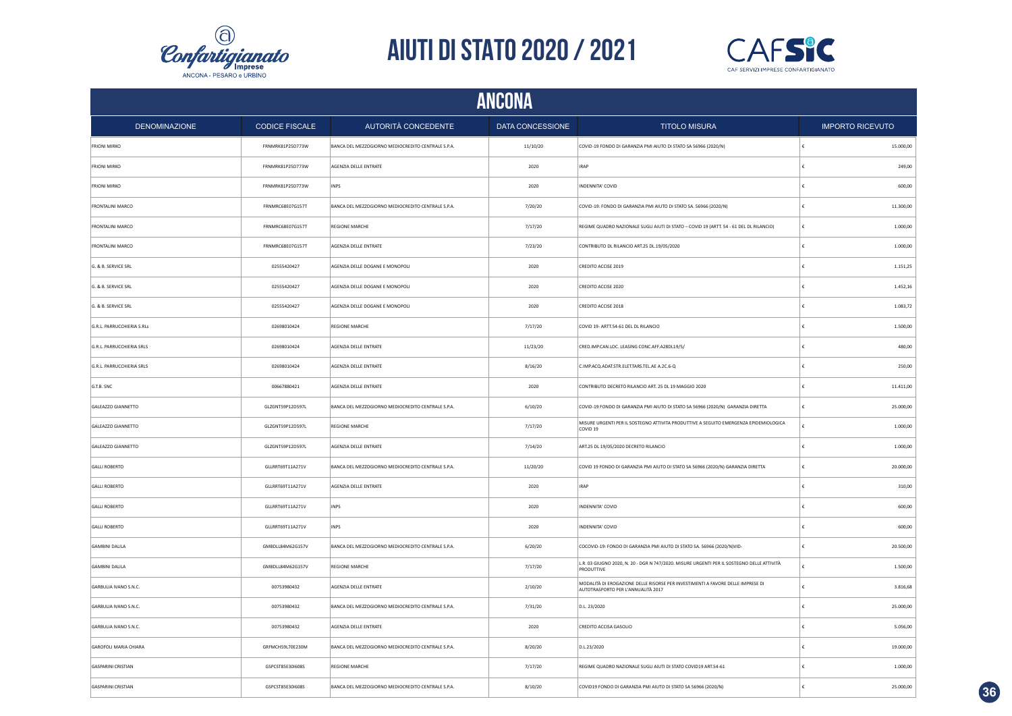



| ANCONA                       |                       |                                                    |                  |                                                                                                                       |   |                         |  |
|------------------------------|-----------------------|----------------------------------------------------|------------------|-----------------------------------------------------------------------------------------------------------------------|---|-------------------------|--|
| <b>DENOMINAZIONE</b>         | <b>CODICE FISCALE</b> | AUTORITÀ CONCEDENTE                                | DATA CONCESSIONE | <b>TITOLO MISURA</b>                                                                                                  |   | <b>IMPORTO RICEVUTO</b> |  |
| <b>FRIONI MIRKO</b>          | FRNMRK81P25D773W      | BANCA DEL MEZZOGIORNO MEDIOCREDITO CENTRALE S.P.A. | 11/10/20         | COVID-19 FONDO DI GARANZIA PMI AIUTO DI STATO SA 56966 (2020/N)                                                       |   | 15.000,00               |  |
| <b>FRIONI MIRKO</b>          | FRNMRK81P25D773W      | AGENZIA DELLE ENTRATE                              | 2020             | <b>IRAP</b>                                                                                                           | € | 249,00                  |  |
| <b>FRIONI MIRKO</b>          | FRNMRK81P25D773W      | <b>INPS</b>                                        | 2020             | INDENNITA' COVID                                                                                                      | € | 600,00                  |  |
| FRONTALINI MARCO             | FRNMRC68E07G157T      | BANCA DEL MEZZOGIORNO MEDIOCREDITO CENTRALE S.P.A. | 7/20/20          | COVID-19: FONDO DI GARANZIA PMI AIUTO DI STATO SA. 56966 (2020/N)                                                     | € | 11.300,00               |  |
| FRONTALINI MARCO             | FRNMRC68E07G157T      | <b>REGIONE MARCHE</b>                              | 7/17/20          | REGIME QUADRO NAZIONALE SUGLI AIUTI DI STATO - COVID 19 (ARTT. 54 - 61 DEL DL RILANCIO)                               | € | 1.000,00                |  |
| <b>FRONTALINI MARCO</b>      | FRNMRC68E07G157T      | AGENZIA DELLE ENTRATE                              | 7/23/20          | CONTRIBUTO DL RILANCIO ART.25 DL.19/05/2020                                                                           | € | 1.000,00                |  |
| G. & B. SERVICE SRL          | 02555420427           | AGENZIA DELLE DOGANE E MONOPOLI                    | 2020             | CREDITO ACCISE 2019                                                                                                   | € | 1.151,25                |  |
| G. & B. SERVICE SRL          | 02555420427           | AGENZIA DELLE DOGANE E MONOPOLI                    | 2020             | CREDITO ACCISE 2020                                                                                                   | € | 1.452,16                |  |
| G. & B. SERVICE SRL          | 02555420427           | AGENZIA DELLE DOGANE E MONOPOLI                    | 2020             | CREDITO ACCISE 2018                                                                                                   |   | 1.083,72                |  |
| G.R.L. PARRUCCHIERIA S.RLs   | 02698010424           | <b>REGIONE MARCHE</b>                              | 7/17/20          | COVID 19- ARTT.54-61 DEL DL RILANCIO                                                                                  |   | 1.500,00                |  |
| G.R.L. PARRUCCHIERIA SRLS    | 02698010424           | AGENZIA DELLE ENTRATE                              | 11/23/20         | CRED.IMP.CAN.LOC. LEASING CONC.AFF.A28DL19/5/                                                                         |   | 480,00                  |  |
| G.R.L. PARRUCCHIERIA SRLS    | 02698010424           | AGENZIA DELLE ENTRATE                              | 8/16/20          | C.IMP.ACQ.ADAT.STR.ELET.TARS.TEL.AE A.2C.6-Q                                                                          |   | 250,00                  |  |
| G.T.B. SNC                   | 00667880421           | AGENZIA DELLE ENTRATE                              | 2020             | CONTRIBUTO DECRETO RILANCIO ART. 25 DL 19 MAGGIO 2020                                                                 |   | 11.411,00               |  |
| GALEAZZO GIANNETTO           | GLZGNT59P12D597L      | BANCA DEL MEZZOGIORNO MEDIOCREDITO CENTRALE S.P.A. | 6/10/20          | COVID-19 FONDO DI GARANZIA PMI AIUTO DI STATO SA 56966 (2020/N) GARANZIA DIRETTA                                      | € | 25.000,00               |  |
| GALEAZZO GIANNETTO           | GLZGNT59P12D597L      | <b>REGIONE MARCHE</b>                              | 7/17/20          | MISURE URGENTI PER IL SOSTEGNO ATTIVITA PRODUTTIVE A SEGUITO EMERGENZA EPIDEMIOLOGICA<br>COVID 19                     | € | 1.000,00                |  |
| GALEAZZO GIANNETTO           | GLZGNT59P12D597L      | AGENZIA DELLE ENTRATE                              | 7/14/20          | ART.25 DL 19/05/2020 DECRETO RILANCIO                                                                                 | € | 1.000,00                |  |
| <b>GALLI ROBERTO</b>         | GLLRRT69T11A271V      | BANCA DEL MEZZOGIORNO MEDIOCREDITO CENTRALE S.P.A. | 11/20/20         | COVID 19 FONDO DI GARANZIA PMI AIUTO DI STATO SA 56966 (2020/N) GARANZIA DIRETTA                                      | € | 20.000,00               |  |
| <b>GALLI ROBERTO</b>         | GLLRRT69T11A271V      | AGENZIA DELLE ENTRATE                              | 2020             | <b>IRAP</b>                                                                                                           | € | 310,00                  |  |
| <b>GALLI ROBERTO</b>         | GLLRRT69T11A271V      | <b>INPS</b>                                        | 2020             | INDENNITA' COVID                                                                                                      | € | 600,00                  |  |
| <b>GALLI ROBERTO</b>         | GLLRRT69T11A271V      | INPS                                               | 2020             | INDENNITA' COVID                                                                                                      | € | 600,00                  |  |
| <b>GAMBINI DALILA</b>        | GMBDLL84M62G157V      | BANCA DEL MEZZOGIORNO MEDIOCREDITO CENTRALE S.P.A. | 6/20/20          | COCOVID-19: FONDO DI GARANZIA PMI AIUTO DI STATO SA. 56966 (2020/N)VID-                                               | ŧ | 20.500,00               |  |
| <b>GAMBINI DALILA</b>        | GMBDLL84M62G157V      | REGIONE MARCHE                                     | 7/17/20          | L.R. 03 GIUGNO 2020, N. 20 - DGR N 747/2020. MISURE URGENTI PER IL SOSTEGNO DELLE ATTIVITÀ<br>PRODUTTIVE              | ŧ | 1.500,00                |  |
| GARBULIA IVANO S.N.C.        | 00753980432           | AGENZIA DELLE ENTRATE                              | 2/10/20          | MODALITÀ DI EROGAZIONE DELLE RISORSE PER INVESTIMENTI A FAVORE DELLE IMPRESE DI<br>AUTOTRASPORTO PER L'ANNUALITÀ 2017 | € | 3.816,68                |  |
| GARBULIA IVANO S.N.C.        | 00753980432           | BANCA DEL MEZZOGIORNO MEDIOCREDITO CENTRALE S.P.A. | 7/31/20          | D.L. 23/2020                                                                                                          |   | 25.000,00               |  |
| GARBULIA IVANO S.N.C.        | 00753980432           | AGENZIA DELLE ENTRATE                              | 2020             | CREDITO ACCISA GASOLIO                                                                                                |   | 5.056,00                |  |
| <b>GAROFOLI MARIA CHIARA</b> | GRFMCH59L70E230M      | BANCA DEL MEZZOGIORNO MEDIOCREDITO CENTRALE S.P.A. | 8/20/20          | D.L.23/2020                                                                                                           |   | 19.000,00               |  |
| <b>GASPARINI CRISTIAN</b>    | GSPCST85E301608S      | <b>REGIONE MARCHE</b>                              | 7/17/20          | REGIME QUADRO NAZIONALE SUGLI AIUTI DI STATO COVID19 ART.54-61                                                        |   | 1.000,00                |  |
| <b>GASPARINI CRISTIAN</b>    | GSPCST85E301608S      | BANCA DEL MEZZOGIORNO MEDIOCREDITO CENTRALE S.P.A. | 8/10/20          | COVID19 FONDO DI GARANZIA PMI AIUTO DI STATO SA 56966 (2020/N)                                                        | € | 25.000,00               |  |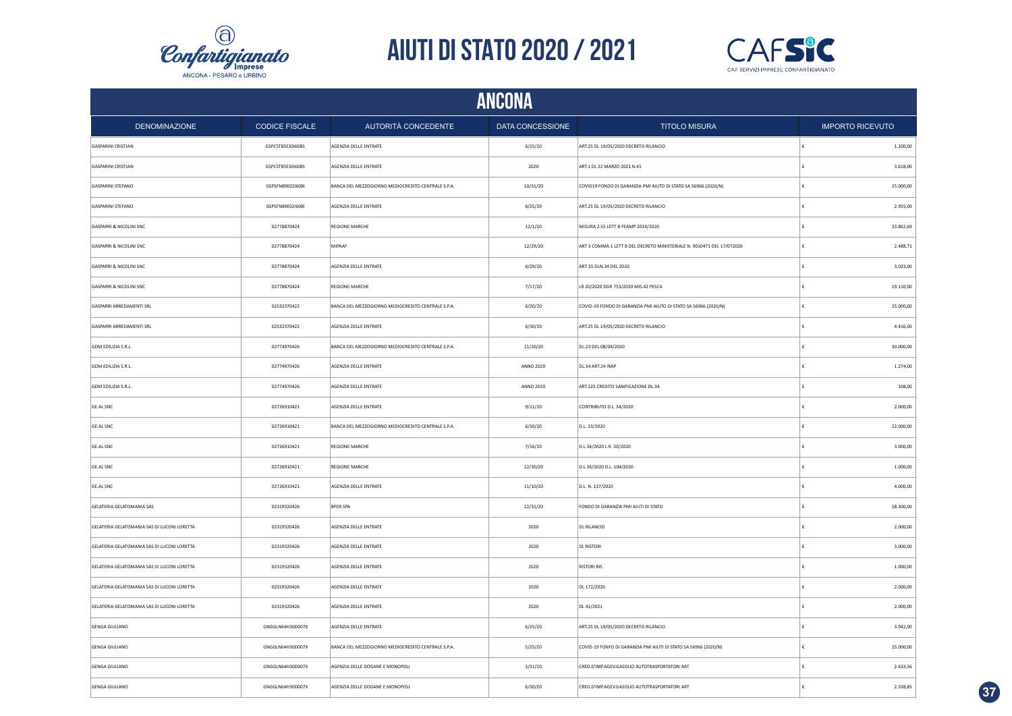



|                                             | <b>ANCONA</b>         |                                                    |                  |                                                                        |                         |  |  |  |
|---------------------------------------------|-----------------------|----------------------------------------------------|------------------|------------------------------------------------------------------------|-------------------------|--|--|--|
| <b>DENOMINAZIONE</b>                        | <b>CODICE FISCALE</b> | AUTORITÀ CONCEDENTE                                | DATA CONCESSIONE | <b>TITOLO MISURA</b>                                                   | <b>IMPORTO RICEVUTO</b> |  |  |  |
| <b>GASPARINI CRISTIAN</b>                   | GSPCST85E301608S      | AGENZIA DELLE ENTRATE                              | 6/15/20          | ART.25 DL 19/05/2020 DECRETO RILANCIO                                  | €<br>1.200,00           |  |  |  |
| <b>GASPARINI CRISTIAN</b>                   | GSPCST85E30I608S      | AGENZIA DELLE ENTRATE                              | 2020             | ART.1 DL 22 MARZO 2021 N.41                                            | €<br>3.618,00           |  |  |  |
| GASPARINI STEFANO                           | GSPSFN89E0216081      | BANCA DEL MEZZOGIORNO MEDIOCREDITO CENTRALE S.P.A. | 10/31/20         | COVID19 FONDO DI GARANZIA PMI AIUTO DI STATO SA 56966 (2020/N)         | 25.000,00<br>€          |  |  |  |
| <b>GASPARINI STEFANO</b>                    | GSPSFN89E0216081      | AGENZIA DELLE ENTRATE                              | 6/25/20          | ART.25 DL 19/05/2020 DECRETO RILANCIO                                  | 2.955,00<br>€           |  |  |  |
| GASPARRI & NICOLINI SNC                     | 02778870424           | REGIONE MARCHE                                     | 12/1/20          | MISURA 2.55 LETT B FEAMP 2014/2020                                     | 23.862,69               |  |  |  |
| GASPARRI & NICOLINI SNC                     | 02778870424           | MIPAAF                                             | 12/29/20         | ART 3 COMMA 1 LETT B DEL DECRETO MINISTERIALE N. 9010471 DEL 17/072020 | 2.488,71<br>€           |  |  |  |
| GASPARRI & NICOLINI SNC                     | 02778870424           | AGENZIA DELLE ENTRATE                              | 6/29/20          | ART 25 DLN.34 DEL 2020                                                 | 3.023,00                |  |  |  |
| <b>GASPARRI &amp; NICOLINI SNC</b>          | 02778870424           | REGIONE MARCHE                                     | 7/17/20          | LR 20/2020 DGR 753/2020 MIS.42 PESCA                                   | 19.110,00               |  |  |  |
| GASPARRI ARREDAMENTI SRL                    | 02532370422           | BANCA DEL MEZZOGIORNO MEDIOCREDITO CENTRALE S.P.A. | 6/20/20          | COVID-19 FONDO DI GARANZIA PMI AIUTO DI STATO SA 56966 (2020/N)        | 25.000,00<br>£          |  |  |  |
| GASPARRI ARREDAMENTI SRL                    | 02532370422           | AGENZIA DELLE ENTRATE                              | 6/30/20          | ART.25 DL 19/05/2020 DECRETO RILANCIO                                  | 4.416,00<br>£           |  |  |  |
| GDM EDILIZIA S.R.L.                         | 02774970426           | BANCA DEL MEZZOGIORNO MEDIOCREDITO CENTRALE S.P.A. | 11/20/20         | DL.23 DEL 08/04/2020                                                   | £<br>30.000,00          |  |  |  |
| GDM EDILIZIA S.R.L.                         | 02774970426           | AGENZIA DELLE ENTRATE                              | ANNO 2020        | DL.34 ART.24 IRAP                                                      | 1.274,00<br>$\epsilon$  |  |  |  |
| GDM EDILIZIA S.R.L.                         | 02774970426           | AGENZIA DELLE ENTRATE                              | ANNO 2020        | ART.125 CREDITO SANIFICAZIONE DL.34                                    | £<br>108,00             |  |  |  |
| <b>GE.AL SNC</b>                            | 02726910421           | AGENZIA DELLE ENTRATE                              | 9/11/20          | CONTRIBUTO D.L. 34/2020                                                | 2.000,00<br>€           |  |  |  |
| GE.AL SNC                                   | 02726910421           | BANCA DEL MEZZOGIORNO MEDIOCREDITO CENTRALE S.P.A. | 6/10/20          | D.L. 23/2020                                                           | 22.000,00<br>€          |  |  |  |
| <b>GE.AL SNC</b>                            | 02726910421           | <b>REGIONE MARCHE</b>                              | 7/16/20          | D.L.34/2020 L.R. 20/2020                                               | 3.000,00<br>€           |  |  |  |
| GE.AL SNC                                   | 02726910421           | REGIONE MARCHE                                     | 12/30/20         | D.L.34/2020 D.L. 104/2020                                              | €<br>1.000,00           |  |  |  |
| GE.AL SNC                                   | 02726910421           | AGENZIA DELLE ENTRATE                              | 11/10/20         | D.L. N. 137/2020                                                       | 4.000,00<br>€           |  |  |  |
| GELATERIA GELATOMANIA SAS                   | 02319320426           | <b>BPER SPA</b>                                    | 12/31/20         | FONDO DI GARANZIA PMI AIUTI DI STATO                                   | €<br>18.300,00          |  |  |  |
| GELATERIA GELATOMANIA SAS DI LUCONI LORETTA | 02319320426           | AGENZIA DELLE ENTRATE                              | 2020             | <b>DL RILANCIO</b>                                                     | €<br>2.000,00           |  |  |  |
| GELATERIA GELATOMANIA SAS DI LUCONI LORETTA | 02319320426           | AGENZIA DELLE ENTRATE                              | 2020             | <b>DL RISTORI</b>                                                      | €<br>3.000,00           |  |  |  |
| GELATERIA GELATOMANIA SAS DI LUCONI LORETTA | 02319320426           | AGENZIA DELLE ENTRATE                              | 2020             | <b>RISTORI BIS</b>                                                     | 1.000,00                |  |  |  |
| GELATERIA GELATOMANIA SAS DI LUCONI LORETTA | 02319320426           | AGENZIA DELLE ENTRATE                              | 2020             | DL 172/2020                                                            | €<br>2.000,00           |  |  |  |
| GELATERIA GELATOMANIA SAS DI LUCONI LORETTA | 02319320426           | AGENZIA DELLE ENTRATE                              | 2020             | DL 41/2021                                                             | 2.000,00                |  |  |  |
| <b>GENGA GIULIANO</b>                       | GNGGLN64H30D007X      | AGENZIA DELLE ENTRATE                              | 6/25/20          | ART.25 DL 19/05/2020 DECRETO RILANCIO                                  | 3.942,00                |  |  |  |
| <b>GENGA GIULIANO</b>                       | GNGGLN64H30D007X      | BANCA DEL MEZZOGIORNO MEDIOCREDITO CENTRALE S.P.A. | 5/25/20          | COVID-19 FONFO DI GARANZIA PMI AIUTI DI STATO SA 56966 (2020/N)        | 25.000,00               |  |  |  |
| <b>GENGA GIULIANO</b>                       | GNGGLN64H30D007X      | AGENZIA DELLE DOGANE E MONOPOLI                    | 3/31/20          | CRED.D'IMP.AGEV.GASOLIO AUTOTRASPORTATORI ART                          | $\epsilon$<br>2.633,56  |  |  |  |
| <b>GENGA GIULIANO</b>                       | GNGGLN64H30D007X      | AGENZIA DELLE DOGANE E MONOPOLI                    | 6/30/20          | CRED.D'IMP.AGEV.GASOLIO AUTOTRASPORTATORI ART                          | 2.338,85<br>١£          |  |  |  |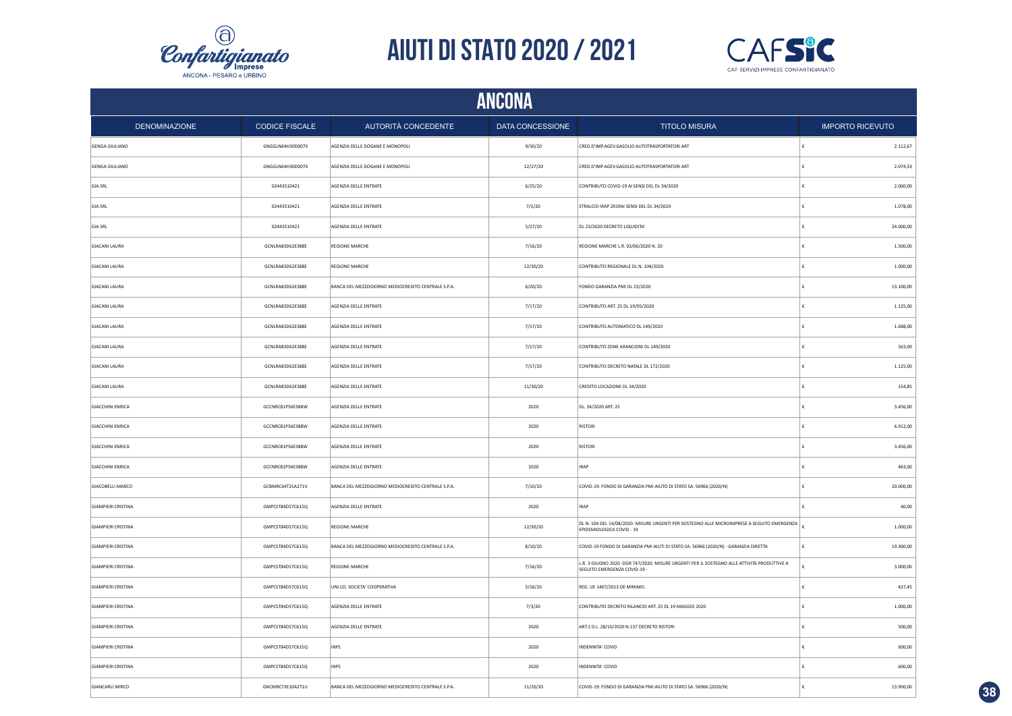



|                           | <b>ANCONA</b>         |                                                    |                  |                                                                                                                              |                         |  |  |  |
|---------------------------|-----------------------|----------------------------------------------------|------------------|------------------------------------------------------------------------------------------------------------------------------|-------------------------|--|--|--|
| <b>DENOMINAZIONE</b>      | <b>CODICE FISCALE</b> | AUTORITÀ CONCEDENTE                                | DATA CONCESSIONE | <b>TITOLO MISURA</b>                                                                                                         | <b>IMPORTO RICEVUTO</b> |  |  |  |
| <b>GENGA GIULIANO</b>     | GNGGLN64H30D007X      | AGENZIA DELLE DOGANE E MONOPOLI                    | 9/30/20          | CRED.D'IMP.AGEV.GASOLIO AUTOTRASPORTATORI ART                                                                                | 2.112,67                |  |  |  |
| <b>GENGA GIULIANO</b>     | GNGGLN64H30D007X      | AGENZIA DELLE DOGANE E MONOPOLI                    | 12/27/20         | CRED.D'IMP.AGEV.GASOLIO AUTOTRASPORTATORI ART                                                                                | 2.074,33                |  |  |  |
| <b>GIA SRL</b>            | 02443510421           | AGENZIA DELLE ENTRATE                              | 6/25/20          | CONTRIBUTO COVID-19 AI SENSI DEL DL 34/2020                                                                                  | 2.000,00                |  |  |  |
| <b>GIA SRL</b>            | 02443510421           | AGENZIA DELLE ENTRATE                              | 7/1/20           | STRALCIO IRAP 2019AI SENSI DEL DL 34/2020                                                                                    | 1.078,00                |  |  |  |
| <b>GIA SRL</b>            | 02443510421           | AGENZIA DELLE ENTRATE                              | 5/27/20          | DL 23/2020 DECRETO LIQUIDITA'                                                                                                | 24.000,00               |  |  |  |
| <b>GIACANI LAURA</b>      | GCNLRA83D62E388E      | REGIONE MARCHE                                     | 7/16/20          | REGIONE MARCHE L.R. 03/06/2020 N. 20                                                                                         | 1.500,00<br>£           |  |  |  |
| <b>GIACANI LAURA</b>      | GCNLRA83D62E388E      | <b>REGIONE MARCHE</b>                              | 12/30/20         | CONTRIBUTO REGIONALE DL N. 104/2020                                                                                          | 1.000,00                |  |  |  |
| <b>GIACANI LAURA</b>      | GCNLRA83D62E388E      | BANCA DEL MEZZOGIORNO MEDIOCREDITO CENTRALE S.P.A. | 6/20/20          | FONDO GARANZIA PMI DL 23/2020                                                                                                | 13.100,00               |  |  |  |
| <b>GIACANI LAURA</b>      | GCNLRA83D62E388E      | AGENZIA DELLE ENTRATE                              | 7/17/20          | CONTRIBUTO ART. 25 DL 19/05/2020                                                                                             | 1.125,00                |  |  |  |
| <b>GIACANI LAURA</b>      | GCNLRA83D62E388E      | AGENZIA DELLE ENTRATE                              | 7/17/20          | CONTRIBUTO AUTOMATICO DL 149/2020                                                                                            | 1.688,00                |  |  |  |
| <b>GIACANI LAURA</b>      | GCNLRA83D62E388E      | AGENZIA DELLE ENTRATE                              | 7/17/20          | CONTRIBUTO ZONE ARANCIONI DL 149/2020                                                                                        | 563,00                  |  |  |  |
| <b>GIACANI LAURA</b>      | GCNLRA83D62E388E      | AGENZIA DELLE ENTRATE                              | 7/17/20          | CONTRIBUTO DECRETO NATALE DL 172/2020                                                                                        | 1.125,00                |  |  |  |
| <b>GIACANI LAURA</b>      | GCNLRA83D62E388E      | AGENZIA DELLE ENTRATE                              | 11/30/20         | CREDITO LOCAZIONE DL 34/2020                                                                                                 | 154,85                  |  |  |  |
| <b>GIACCHINI ENRICA</b>   | GCCNRC81P56E388W      | AGENZIA DELLE ENTRATE                              | 2020             | DL. 34/2020 ART. 25                                                                                                          | 3.456,00                |  |  |  |
| <b>GIACCHINI ENRICA</b>   | GCCNRC81P56E388W      | AGENZIA DELLE ENTRATE                              | 2020             | <b>RISTORI</b>                                                                                                               | 6.912,00                |  |  |  |
| <b>GIACCHINI ENRICA</b>   | GCCNRC81P56E388W      | AGENZIA DELLE ENTRATE                              | 2020             | <b>RISTORI</b>                                                                                                               | 3.456,00                |  |  |  |
| <b>GIACCHINI ENRICA</b>   | GCCNRC81P56E388W      | AGENZIA DELLE ENTRATE                              | 2020             | <b>IRAP</b>                                                                                                                  | 463,00                  |  |  |  |
| <b>GIACOBELLI MARCO</b>   | GCBMRC64T25A271V      | BANCA DEL MEZZOGIORNO MEDIOCREDITO CENTRALE S.P.A. | 7/10/20          | COVID-19: FONDO DI GARANZIA PMI AIUTO DI STATO SA. 56966 (2020/N)                                                            | 20.000,00               |  |  |  |
| <b>GIAMPIERI CRISTINA</b> | GMPCST84D57C615Q      | AGENZIA DELLE ENTRATE                              | 2020             | <b>IRAP</b>                                                                                                                  | 40,00                   |  |  |  |
| <b>GIAMPIERI CRISTINA</b> | GMPCST84D57C615Q      | <b>REGIONE MARCHE</b>                              | 12/30/20         | DL N. 104 DEL 14/08/2020- MISURE URGENTI PER SOSTEGNO ALLE MICROIMPRESE A SEGUITO EMERGENZA<br>EPIDEMIOLOGICA COVID - 19     | 1.000,00                |  |  |  |
| <b>GIAMPIERI CRISTINA</b> | GMPCST84D57C615Q      | BANCA DEL MEZZOGIORNO MEDIOCREDITO CENTRALE S.P.A. | 8/10/20          | COVID-19 FONDO DI GARANZIA PMI AIUTI DI STATO SA. 56966 (2020/N) - GARANZIA DIRETTA                                          | 19.300,00<br>€          |  |  |  |
| <b>GIAMPIERI CRISTINA</b> | GMPCST84D57C615Q      | <b>REGIONE MARCHE</b>                              | 7/16/20          | L.R. 3 GIUGNO 2020 - DGR 747/2020. MISURE URGENTI PER IL SOSTEGNO ALLE ATTIVITÀ PRODUTTIVE A<br>SEGUITO EMERGENZA COVID-19 - | 3.000,00                |  |  |  |
| <b>GIAMPIERI CRISTINA</b> | GMPCST84D57C615Q      | UNI.CO. SOCIETA' COOPERATIVA                       | 3/16/20          | REG. UE 1407/2013 DE MINIMIS                                                                                                 | 427,45                  |  |  |  |
| <b>GIAMPIERI CRISTINA</b> | GMPCST84D57C615Q      | AGENZIA DELLE ENTRATE                              | 7/3/20           | CONTRIBUTO DECRETO RILANCIO ART. 25 DL 19 MAGGIO 2020                                                                        | 1.000,00                |  |  |  |
| <b>GIAMPIERI CRISTINA</b> | GMPCST84D57C615Q      | AGENZIA DELLE ENTRATE                              | 2020             | ART.1 D.L. 28/10/2020 N.137 DECRETO RISTORI                                                                                  | 500,00                  |  |  |  |
| <b>GIAMPIERI CRISTINA</b> | GMPCST84D57C615Q      | <b>INPS</b>                                        | 2020             | INDENNITA' COVID                                                                                                             | 600,00                  |  |  |  |
| <b>GIAMPIERI CRISTINA</b> | GMPCST84D57C615Q      | <b>INPS</b>                                        | 2020             | INDENNITA' COVID                                                                                                             | 600,00                  |  |  |  |
| <b>GIANCARLI MIRCO</b>    | GNCMRC73E10A271U      | BANCA DEL MEZZOGIORNO MEDIOCREDITO CENTRALE S.P.A. | 11/20/20         | COVID-19: FONDO DI GARANZIA PMI AIUTO DI STATO SA. 56966 (2020/N)                                                            | 13.900,00               |  |  |  |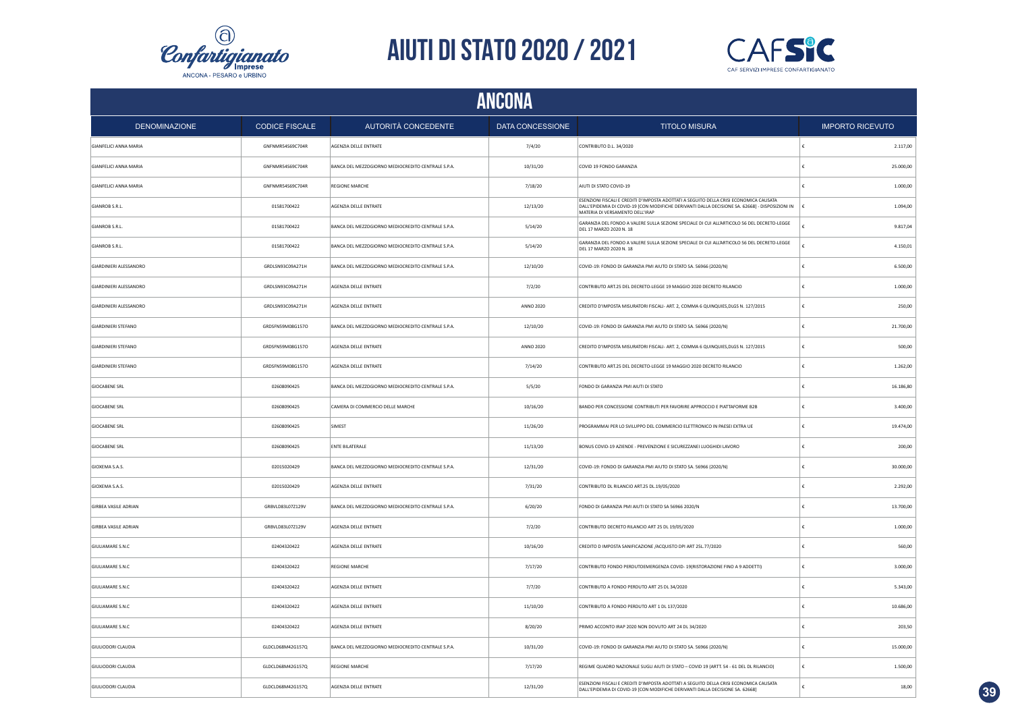



|                              |                       |                                                    | <b>ANCONA</b>           |                                                                                                                                                                                                                              |                         |
|------------------------------|-----------------------|----------------------------------------------------|-------------------------|------------------------------------------------------------------------------------------------------------------------------------------------------------------------------------------------------------------------------|-------------------------|
| <b>DENOMINAZIONE</b>         | <b>CODICE FISCALE</b> | AUTORITÀ CONCEDENTE                                | <b>DATA CONCESSIONE</b> | <b>TITOLO MISURA</b>                                                                                                                                                                                                         | <b>IMPORTO RICEVUTO</b> |
| <b>GIANFELICI ANNA MARIA</b> | GNFNMR54S69C704R      | AGENZIA DELLE ENTRATE                              | 7/4/20                  | CONTRIBUTO D.L. 34/2020                                                                                                                                                                                                      | 2.117,00<br>€           |
| <b>GIANFELICI ANNA MARIA</b> | GNFNMR54S69C704R      | BANCA DEL MEZZOGIORNO MEDIOCREDITO CENTRALE S.P.A. | 10/31/20                | COVID 19 FONDO GARANZIA                                                                                                                                                                                                      | 25.000,00               |
| <b>GIANFELICI ANNA MARIA</b> | GNFNMR54S69C704R      | REGIONE MARCHE                                     | 7/18/20                 | AIUTI DI STATO COVID-19                                                                                                                                                                                                      | 1.000,00                |
| GIANROB S.R.L.               | 01581700422           | AGENZIA DELLE ENTRATE                              | 12/13/20                | ESENZIONI FISCALI E CREDITI D'IMPOSTA ADOTTATI A SEGUITO DELLA CRISI ECONOMICA CAUSATA<br>DALL'EPIDEMIA DI COVID-19 [CON MODIFICHE DERIVANTI DALLA DECISIONE SA. 62668] - DISPOSIZIONI IN<br>MATERIA DI VERSAMENTO DELL'IRAP | 1.094,00                |
| GIANROB S.R.L.               | 01581700422           | BANCA DEL MEZZOGIORNO MEDIOCREDITO CENTRALE S.P.A. | 5/14/20                 | GARANZIA DEL FONDO A VALERE SULLA SEZIONE SPECIALE DI CUI ALL'ARTICOLO 56 DEL DECRETO-LEGGE<br>DEL 17 MARZO 2020 N. 18                                                                                                       | 9.817,04                |
| GIANROB S.R.L.               | 01581700422           | BANCA DEL MEZZOGIORNO MEDIOCREDITO CENTRALE S.P.A. | 5/14/20                 | GARANZIA DEL FONDO A VALERE SULLA SEZIONE SPECIALE DI CUI ALL'ARTICOLO 56 DEL DECRETO-LEGGE<br>DEL 17 MARZO 2020 N. 18                                                                                                       | 4.150,01<br>£           |
| GIARDINIERI ALESSANDRO       | GRDLSN93C09A271H      | BANCA DEL MEZZOGIORNO MEDIOCREDITO CENTRALE S.P.A. | 12/10/20                | COVID-19: FONDO DI GARANZIA PMI AIUTO DI STATO SA. 56966 (2020/N)                                                                                                                                                            | 6.500,00<br>€           |
| GIARDINIERI ALESSANDRO       | GRDLSN93C09A271H      | AGENZIA DELLE ENTRATE                              | 7/2/20                  | CONTRIBUTO ART.25 DEL DECRETO-LEGGE 19 MAGGIO 2020 DECRETO RILANCIO                                                                                                                                                          | €<br>1.000,00           |
| GIARDINIERI ALESSANDRO       | GRDLSN93C09A271H      | AGENZIA DELLE ENTRATE                              | <b>ANNO 2020</b>        | CREDITO D'IMPOSTA MISURATORI FISCALI- ART. 2, COMMA 6 QUINQUIES, DLGS N. 127/2015                                                                                                                                            | £<br>250,00             |
| <b>GIARDINIERI STEFANO</b>   | GRDSFN59M08G157O      | BANCA DEL MEZZOGIORNO MEDIOCREDITO CENTRALE S.P.A. | 12/10/20                | COVID-19: FONDO DI GARANZIA PMI AIUTO DI STATO SA. 56966 (2020/N)                                                                                                                                                            | 21.700,00<br>$\epsilon$ |
| <b>GIARDINIERI STEFANO</b>   | GRDSFN59M08G157O      | AGENZIA DELLE ENTRATE                              | <b>ANNO 2020</b>        | CREDITO D'IMPOSTA MISURATORI FISCALI- ART. 2, COMMA 6 QUINQUIES, DLGS N. 127/2015                                                                                                                                            | 500,00<br>€             |
| <b>GIARDINIERI STEFANO</b>   | GRDSFN59M08G157O      | AGENZIA DELLE ENTRATE                              | 7/14/20                 | CONTRIBUTO ART.25 DEL DECRETO-LEGGE 19 MAGGIO 2020 DECRETO RILANCIO                                                                                                                                                          | 1.262,00<br>€           |
| <b>GIOCABENE SRL</b>         | 02608090425           | BANCA DEL MEZZOGIORNO MEDIOCREDITO CENTRALE S.P.A. | 5/5/20                  | FONDO DI GARANZIA PMI AIUTI DI STATO                                                                                                                                                                                         | 16.186,80               |
| <b>GIOCABENE SRL</b>         | 02608090425           | CAMERA DI COMMERCIO DELLE MARCHE                   | 10/16/20                | BANDO PER CONCESSIONE CONTRIBUTI PER FAVORIRE APPROCCIO E PIATTAFORME B2B                                                                                                                                                    | 3.400,00<br>€           |
| <b>GIOCABENE SRL</b>         | 02608090425           | SIMEST                                             | 11/26/20                | PROGRAMMAI PER LO SVILUPPO DEL COMMERCIO ELETTRONICO IN PAESEI EXTRA UE                                                                                                                                                      | 19.474,00<br>€          |
| <b>GIOCABENE SRL</b>         | 02608090425           | <b>ENTE BILATERALE</b>                             | 11/13/20                | BONUS COVID-19 AZIENDE - PREVENZIONE E SICUREZZANEI LUOGHIDI LAVORO                                                                                                                                                          | €<br>200,00             |
| GIOXEMA S.A.S.               | 02015020429           | BANCA DEL MEZZOGIORNO MEDIOCREDITO CENTRALE S.P.A. | 12/31/20                | COVID-19: FONDO DI GARANZIA PMI AIUTO DI STATO SA. 56966 (2020/N)                                                                                                                                                            | 30.000,00<br>€          |
| GIOXEMA S.A.S.               | 02015020429           | AGENZIA DELLE ENTRATE                              | 7/31/20                 | CONTRIBUTO DL RILANCIO ART.25 DL.19/05/2020                                                                                                                                                                                  | 2.292.00<br>£           |
| <b>GIRBEA VASILE ADRIAN</b>  | GRBVLD83L07Z129V      | BANCA DEL MEZZOGIORNO MEDIOCREDITO CENTRALE S.P.A. | 6/20/20                 | FONDO DI GARANZIA PMI AIUTI DI STATO SA 56966 2020/N                                                                                                                                                                         | 13.700,00<br>€          |
| <b>GIRBEA VASILE ADRIAN</b>  | GRBVLD83L07Z129V      | AGENZIA DELLE ENTRATE                              | 7/2/20                  | CONTRIBUTO DECRETO RILANCIO ART 25 DL 19/05/2020                                                                                                                                                                             | 1.000,00<br>€           |
| GIULIAMARE S.N.C             | 02404320422           | AGENZIA DELLE ENTRATE                              | 10/16/20                | CREDITO D IMPOSTA SANIFICAZIONE /ACQUISTO DPI ART 25L.77/2020                                                                                                                                                                | 560,00                  |
| <b>GIULIAMARE S.N.C</b>      | 02404320422           | REGIONE MARCHE                                     | 7/17/20                 | CONTRIBUTO FONDO PERDUTOEMERGENZA COVID-19(RISTORAZIONE FINO A 9 ADDETTI)                                                                                                                                                    | 3.000,00<br>£           |
| GIULIAMARE S.N.C             | 02404320422           | AGENZIA DELLE ENTRATE                              | 7/7/20                  | CONTRIBUTO A FONDO PERDUTO ART 25 DL 34/2020                                                                                                                                                                                 | 5.343,00                |
| GIULIAMARE S.N.C             | 02404320422           | AGENZIA DELLE ENTRATE                              | 11/10/20                | CONTRIBUTO A FONDO PERDUTO ART 1 DL 137/2020                                                                                                                                                                                 | £<br>10.686,00          |
| GIULIAMARE S.N.C             | 02404320422           | AGENZIA DELLE ENTRATE                              | 8/20/20                 | PRIMO ACCONTO IRAP 2020 NON DOVUTO ART 24 DL 34/2020                                                                                                                                                                         | £<br>203,50             |
| <b>GIULIODORI CLAUDIA</b>    | GLDCLD68M42G157Q      | BANCA DEL MEZZOGIORNO MEDIOCREDITO CENTRALE S.P.A. | 10/31/20                | COVID-19: FONDO DI GARANZIA PMI AIUTO DI STATO SA. 56966 (2020/N)                                                                                                                                                            | $\epsilon$<br>15.000,00 |
| <b>GIULIODORI CLAUDIA</b>    | GLDCLD68M42G157Q      | <b>REGIONE MARCHE</b>                              | 7/17/20                 | REGIME QUADRO NAZIONALE SUGLI AIUTI DI STATO - COVID 19 (ARTT. 54 - 61 DEL DL RILANCIO)                                                                                                                                      | ∣€<br>1.500,00          |
| <b>GIULIODORI CLAUDIA</b>    | GLDCLD68M42G157Q      | AGENZIA DELLE ENTRATE                              | 12/31/20                | ESENZIONI FISCALI E CREDITI D'IMPOSTA ADOTTATI A SEGUITO DELLA CRISI ECONOMICA CAUSATA<br>DALL'EPIDEMIA DI COVID-19 [CON MODIFICHE DERIVANTI DALLA DECISIONE SA. 62668                                                       | $\epsilon$<br>18,00     |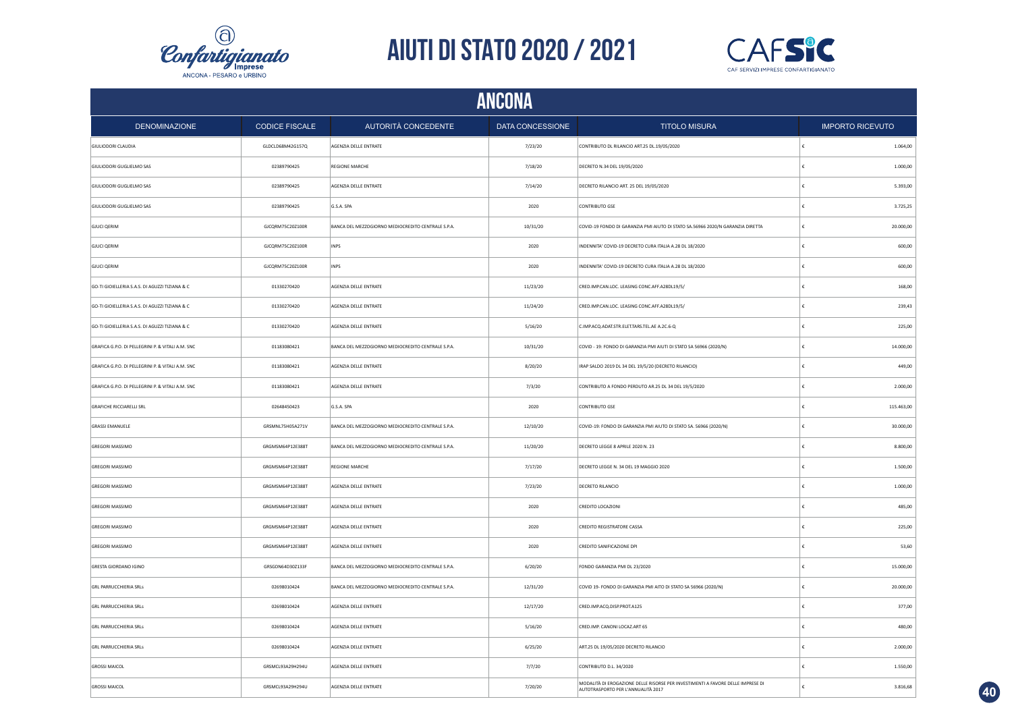



|                                                   | <b>ANCONA</b>         |                                                    |                  |                                                                                                                       |    |                         |  |  |
|---------------------------------------------------|-----------------------|----------------------------------------------------|------------------|-----------------------------------------------------------------------------------------------------------------------|----|-------------------------|--|--|
| <b>DENOMINAZIONE</b>                              | <b>CODICE FISCALE</b> | AUTORITÀ CONCEDENTE                                | DATA CONCESSIONE | <b>TITOLO MISURA</b>                                                                                                  |    | <b>IMPORTO RICEVUTO</b> |  |  |
| <b>GIULIODORI CLAUDIA</b>                         | GLDCLD68M42G157Q      | AGENZIA DELLE ENTRATE                              | 7/23/20          | CONTRIBUTO DL RILANCIO ART.25 DL.19/05/2020                                                                           | €  | 1.064,00                |  |  |
| GIULIODORI GUGLIELMO SAS                          | 02389790425           | REGIONE MARCHE                                     | 7/18/20          | DECRETO N.34 DEL 19/05/2020                                                                                           | €  | 1.000,00                |  |  |
| GIULIODORI GUGLIELMO SAS                          | 02389790425           | AGENZIA DELLE ENTRATE                              | 7/14/20          | DECRETO RILANCIO ART. 25 DEL 19/05/2020                                                                               | €  | 5.393,00                |  |  |
| GIULIODORI GUGLIELMO SAS                          | 02389790425           | G.S.A. SPA                                         | 2020             | CONTRIBUTO GSE                                                                                                        | £  | 3.725,25                |  |  |
| <b>GJUCI QERIM</b>                                | GJCQRM75C20Z100R      | BANCA DEL MEZZOGIORNO MEDIOCREDITO CENTRALE S.P.A. | 10/31/20         | COVID-19 FONDO DI GARANZIA PMI AIUTO DI STATO SA.56966 2020/N GARANZIA DIRETTA                                        | €  | 20.000,00               |  |  |
| <b>GJUCI QERIM</b>                                | GJCQRM75C20Z100R      | <b>INPS</b>                                        | 2020             | INDENNITA' COVID-19 DECRETO CURA ITALIA A.28 DL 18/2020                                                               | €  | 600,00                  |  |  |
| <b>GJUCI QERIM</b>                                | GJCQRM75C20Z100R      | <b>INPS</b>                                        | 2020             | INDENNITA' COVID-19 DECRETO CURA ITALIA A.28 DL 18/2020                                                               |    | 600,00                  |  |  |
| GO-TI GIOIELLERIA S.A.S. DI AGUZZI TIZIANA & C    | 01330270420           | AGENZIA DELLE ENTRATE                              | 11/23/20         | CRED.IMP.CAN.LOC. LEASING CONC.AFF.A28DL19/5/                                                                         |    | 168,00                  |  |  |
| GO-TI GIOIELLERIA S.A.S. DI AGUZZI TIZIANA & C    | 01330270420           | AGENZIA DELLE ENTRATE                              | 11/24/20         | CRED.IMP.CAN.LOC. LEASING CONC.AFF.A28DL19/5/                                                                         |    | 239,43                  |  |  |
| GO-TI GIOIELLERIA S.A.S. DI AGUZZI TIZIANA & C    | 01330270420           | AGENZIA DELLE ENTRATE                              | 5/16/20          | C.IMP.ACQ.ADAT.STR.ELET.TARS.TEL.AE A.2C.6-Q                                                                          | £  | 225,00                  |  |  |
| GRAFICA G.P.O. DI PELLEGRINI P. & VITALI A.M. SNC | 01183080421           | BANCA DEL MEZZOGIORNO MEDIOCREDITO CENTRALE S.P.A. | 10/31/20         | COVID - 19: FONDO DI GARANZIA PMI AIUTI DI STATO SA 56966 (2020/N)                                                    | £  | 14.000,00               |  |  |
| GRAFICA G.P.O. DI PELLEGRINI P. & VITALI A.M. SNC | 01183080421           | AGENZIA DELLE ENTRATE                              | 8/20/20          | IRAP SALDO 2019 DL 34 DEL 19/5/20 (DECRETO RILANCIO)                                                                  | £  | 449,00                  |  |  |
| GRAFICA G.P.O. DI PELLEGRINI P. & VITALI A.M. SNC | 01183080421           | AGENZIA DELLE ENTRATE                              | 7/3/20           | CONTRIBUTO A FONDO PERDUTO AR.25 DL 34 DEL 19/5/2020                                                                  |    | 2.000,00                |  |  |
| <b>GRAFICHE RICCIARELLI SRL</b>                   | 02648450423           | G.S.A. SPA                                         | 2020             | <b>CONTRIBUTO GSE</b>                                                                                                 | €  | 115.463,00              |  |  |
| <b>GRASSI EMANUELE</b>                            | GRSMNL75H05A271V      | BANCA DEL MEZZOGIORNO MEDIOCREDITO CENTRALE S.P.A. | 12/10/20         | COVID-19: FONDO DI GARANZIA PMI AIUTO DI STATO SA. 56966 (2020/N)                                                     | €  | 30.000,00               |  |  |
| <b>GREGORI MASSIMO</b>                            | GRGMSM64P12E388T      | BANCA DEL MEZZOGIORNO MEDIOCREDITO CENTRALE S.P.A. | 11/20/20         | DECRETO LEGGE 8 APRILE 2020 N. 23                                                                                     | €  | 8.800,00                |  |  |
| <b>GREGORI MASSIMO</b>                            | GRGMSM64P12E388T      | <b>REGIONE MARCHE</b>                              | 7/17/20          | DECRETO LEGGE N. 34 DEL 19 MAGGIO 2020                                                                                | €  | 1.500,00                |  |  |
| <b>GREGORI MASSIMO</b>                            | GRGMSM64P12E388T      | AGENZIA DELLE ENTRATE                              | 7/23/20          | DECRETO RILANCIO                                                                                                      | €  | 1.000,00                |  |  |
| <b>GREGORI MASSIMO</b>                            | GRGMSM64P12E388T      | AGENZIA DELLE ENTRATE                              | 2020             | CREDITO LOCAZIONI                                                                                                     | €  | 485,00                  |  |  |
| <b>GREGORI MASSIMO</b>                            | GRGMSM64P12E388T      | AGENZIA DELLE ENTRATE                              | 2020             | <b>CREDITO REGISTRATORE CASSA</b>                                                                                     | €  | 225,00                  |  |  |
| <b>GREGORI MASSIMO</b>                            | GRGMSM64P12E388T      | AGENZIA DELLE ENTRATE                              | 2020             | CREDITO SANIFICAZIONE DPI                                                                                             | ŧ  | 53,60                   |  |  |
| GRESTA GIORDANO IGINO                             | GRSGDN64D30Z133F      | BANCA DEL MEZZOGIORNO MEDIOCREDITO CENTRALE S.P.A. | 6/20/20          | FONDO GARANZIA PMI DL 23/2020                                                                                         |    | 15.000,00               |  |  |
| <b>GRL PARRUCCHIERIA SRLS</b>                     | 02698010424           | BANCA DEL MEZZOGIORNO MEDIOCREDITO CENTRALE S.P.A. | 12/31/20         | COVID 19- FONDO DI GARANZIA PMI AITO DI STATO SA 56966 (2020/N)                                                       |    | 20.000,00               |  |  |
| <b>GRL PARRUCCHIERIA SRLS</b>                     | 02698010424           | AGENZIA DELLE ENTRATE                              | 12/17/20         | CRED.IMP.ACQ.DISP.PROT.A125                                                                                           |    | 377,00                  |  |  |
| <b>GRL PARRUCCHIERIA SRLS</b>                     | 02698010424           | AGENZIA DELLE ENTRATE                              | 5/16/20          | CRED.IMP. CANONI LOCAZ.ART 65                                                                                         |    | 480,00                  |  |  |
| <b>GRL PARRUCCHIERIA SRLS</b>                     | 02698010424           | AGENZIA DELLE ENTRATE                              | 6/25/20          | ART.25 DL 19/05/2020 DECRETO RILANCIO                                                                                 |    | 2.000,00                |  |  |
| <b>GROSSI MAICOL</b>                              | GRSMCL93A29H294U      | AGENZIA DELLE ENTRATE                              | 7/7/20           | CONTRIBUTO D.L. 34/2020                                                                                               | £  | 1.550,00                |  |  |
| <b>GROSSI MAICOL</b>                              | GRSMCL93A29H294U      | AGENZIA DELLE ENTRATE                              | 7/20/20          | MODALITÀ DI EROGAZIONE DELLE RISORSE PER INVESTIMENTI A FAVORE DELLE IMPRESE DI<br>AUTOTRASPORTO PER L'ANNUALITÀ 2017 | E. | 3.816,68                |  |  |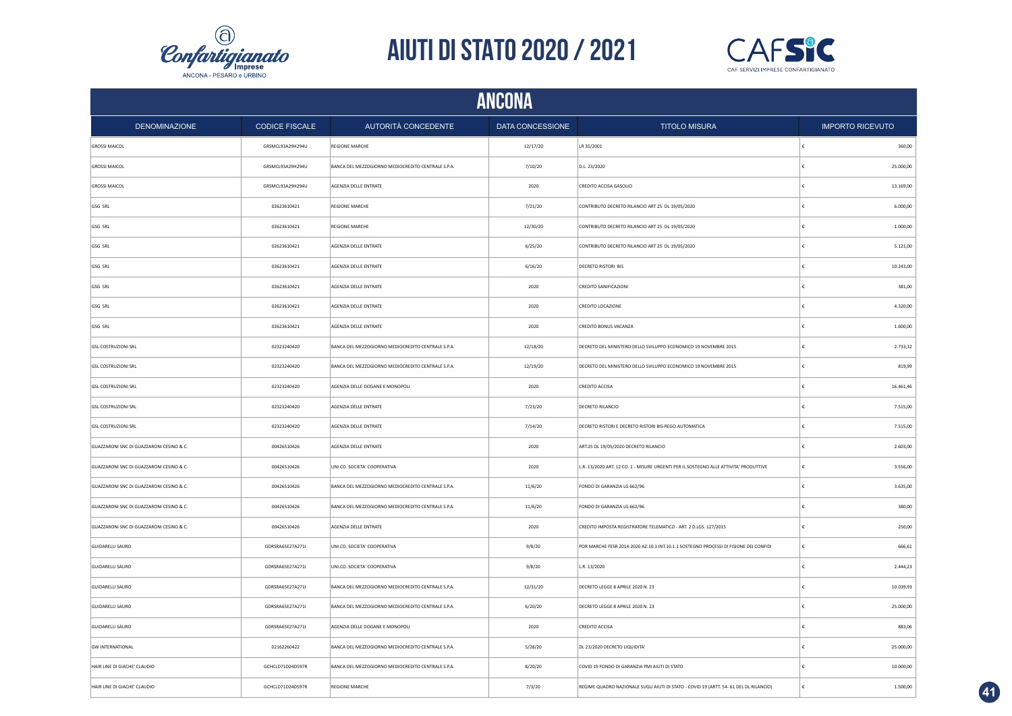



|                                          | <b>ANCONA</b>         |                                                    |                  |                                                                                        |                         |           |  |  |
|------------------------------------------|-----------------------|----------------------------------------------------|------------------|----------------------------------------------------------------------------------------|-------------------------|-----------|--|--|
| <b>DENOMINAZIONE</b>                     | <b>CODICE FISCALE</b> | AUTORITÀ CONCEDENTE                                | DATA CONCESSIONE | <b>TITOLO MISURA</b>                                                                   | <b>IMPORTO RICEVUTO</b> |           |  |  |
| <b>GROSSI MAICOL</b>                     | GRSMCL93A29H294U      | <b>REGIONE MARCHE</b>                              | 12/17/20         | LR 35/2001                                                                             | ŧ                       | 360,00    |  |  |
| <b>GROSSI MAICOL</b>                     | GRSMCL93A29H294U      | BANCA DEL MEZZOGIORNO MEDIOCREDITO CENTRALE S.P.A. | 7/10/20          | D.L. 23/2020                                                                           | €                       | 25.000,00 |  |  |
| <b>GROSSI MAICOL</b>                     | GRSMCL93A29H294U      | AGENZIA DELLE ENTRATE                              | 2020             | CREDITO ACCISA GASOLIO                                                                 | €                       | 13.169,00 |  |  |
| GSG SRL                                  | 02623610421           | <b>REGIONE MARCHE</b>                              | 7/21/20          | CONTRIBUTO DECRETO RILANCIO ART 25 DL 19/05/2020                                       | €                       | 6.000,00  |  |  |
| GSG SRL                                  | 02623610421           | <b>REGIONE MARCHE</b>                              | 12/30/20         | CONTRIBUTO DECRETO RILANCIO ART 25 DL 19/05/2020                                       | €                       | 1.000,00  |  |  |
| GSG SRL                                  | 02623610421           | AGENZIA DELLE ENTRATE                              | 6/25/20          | CONTRIBUTO DECRETO RILANCIO ART 25 DL 19/05/2020                                       | €                       | 5.121,00  |  |  |
| GSG SRL                                  | 02623610421           | AGENZIA DELLE ENTRATE                              | 6/16/20          | DECRETO RISTORI BIS                                                                    | £                       | 10.243,00 |  |  |
| GSG SRL                                  | 02623610421           | AGENZIA DELLE ENTRATE                              | 2020             | CREDITO SANIFICAZIONI                                                                  | €                       | 381,00    |  |  |
| GSG SRL                                  | 02623610421           | AGENZIA DELLE ENTRATE                              | 2020             | CREDITO LOCAZIONE                                                                      |                         | 4.320,00  |  |  |
| GSG SRL                                  | 02623610421           | AGENZIA DELLE ENTRATE                              | 2020             | CREDITO BONUS VACANZA                                                                  |                         | 1.600,00  |  |  |
| <b>GSL COSTRUZIONI SRL</b>               | 02323240420           | BANCA DEL MEZZOGIORNO MEDIOCREDITO CENTRALE S.P.A. | 12/18/20         | DECRETO DEL MINISTERO DELLO SVILUPPO ECONOMICO 19 NOVEMBRE 2015                        |                         | 2.733,32  |  |  |
| <b>GSL COSTRUZIONI SRL</b>               | 02323240420           | BANCA DEL MEZZOGIORNO MEDIOCREDITO CENTRALE S.P.A. | 12/19/20         | DECRETO DEL MINISTERO DELLO SVILUPPO ECONOMICO 19 NOVEMBRE 2015                        | £                       | 819,99    |  |  |
| <b>GSL COSTRUZIONI SRL</b>               | 02323240420           | AGENZIA DELLE DOGANE E MONOPOLI                    | 2020             | CREDITO ACCISA                                                                         | £                       | 16.461,46 |  |  |
| <b>GSL COSTRUZIONI SRL</b>               | 02323240420           | AGENZIA DELLE ENTRATE                              | 7/23/20          | <b>DECRETO RILANCIO</b>                                                                | €                       | 7.515,00  |  |  |
| <b>GSL COSTRUZIONI SRL</b>               | 02323240420           | AGENZIA DELLE ENTRATE                              | 7/14/20          | DECRETO RISTORI E DECRETO RISTORI BIS-REGO.AUTOMATICA                                  | £                       | 7.515,00  |  |  |
| GUAZZARONI SNC DI GUAZZARONI CESINO & C. | 00426510426           | AGENZIA DELLE ENTRATE                              | 2020             | ART.25 DL 19/05/2020 DECRETO RILANCIO                                                  | $\epsilon$              | 2.603,00  |  |  |
| GUAZZARONI SNC DI GUAZZARONI CESINO & C. | 00426510426           | UNI.CO. SOCIETA' COOPERATIVA                       | 2020             | L.R. 13/2020 ART. 12 CO. 1 - MISURE URGENTI PER IL SOSTEGNO ALLE ATTIVITA' PRODUTTIVE  | €                       | 3.556,00  |  |  |
| GUAZZARONI SNC DI GUAZZARONI CESINO & C. | 00426510426           | BANCA DEL MEZZOGIORNO MEDIOCREDITO CENTRALE S.P.A. | 11/6/20          | FONDO DI GARANZIA LG 662/96                                                            | €                       | 3.635,00  |  |  |
| GUAZZARONI SNC DI GUAZZARONI CESINO & C. | 00426510426           | BANCA DEL MEZZOGIORNO MEDIOCREDITO CENTRALE S.P.A. | 11/6/20          | FONDO DI GARANZIA LG 662/96                                                            | €                       | 380,00    |  |  |
| GUAZZARONI SNC DI GUAZZARONI CESINO & C. | 00426510426           | AGENZIA DELLE ENTRATE                              | 2020             | CREDITO IMPOSTA REGISTRATORE TELEMATICO - ART. 2 D.LGS. 127/2015                       | €                       | 250,00    |  |  |
| <b>GUIDARELLI SAURO</b>                  | GDRSRA65E27A271I      | UNI.CO. SOCIETA' COOPERATIVA                       | 9/8/20           | POR MARCHE FESR 2014-2020 AZ.10.1 INT.10.1.1 SOSTEGNO PROCESSI DI FISIONE DEI CONFIDI  | €                       | 666,61    |  |  |
| <b>GUIDARELLI SAURO</b>                  | GDRSRA65E27A271       | UNI.CO. SOCIETA' COOPERATIVA                       | 9/8/20           | L.R. 13/2020                                                                           | €                       | 2.444,23  |  |  |
| <b>GUIDARELLI SAURO</b>                  | GDRSRA65E27A271I      | BANCA DEL MEZZOGIORNO MEDIOCREDITO CENTRALE S.P.A. | 12/31/20         | DECRETO LEGGE 8 APRILE 2020 N. 23                                                      | £                       | 10.039,93 |  |  |
| <b>GUIDARELLI SAURO</b>                  | GDRSRA65E27A271       | BANCA DEL MEZZOGIORNO MEDIOCREDITO CENTRALE S.P.A. | 6/20/20          | DECRETO LEGGE 8 APRILE 2020 N. 23                                                      | €                       | 25.000,00 |  |  |
| <b>GUIDARELLI SAURO</b>                  | GDRSRA65E27A271       | AGENZIA DELLE DOGANE E MONOPOLI                    | 2020             | CREDITO ACCISA                                                                         | €                       | 883,06    |  |  |
| <b>GW INTERNATIONAL</b>                  | 02162260422           | BANCA DEL MEZZOGIORNO MEDIOCREDITO CENTRALE S.P.A. | 5/28/20          | DL 23/2020 DECRETO LIQUIDITA'                                                          |                         | 25.000,00 |  |  |
| HAIR LINE DI GIACHE' CLAUDIO             | GCHCLD71D24D597R      | BANCA DEL MEZZOGIORNO MEDIOCREDITO CENTRALE S.P.A. | 8/20/20          | COVID 19 FONDO DI GARANZIA PMI AIUTI DI STATO                                          |                         | 10.000,00 |  |  |
| HAIR LINE DI GIACHE' CLAUDIO             | GCHCLD71D24D597R      | <b>REGIONE MARCHE</b>                              | 7/3/20           | REGIME QUADRO NAZIONALE SUGLI AIUTI DI STATO - COVID 19 (ARTT. 54- 61 DEL DL RILANCIO) |                         | 1.500,00  |  |  |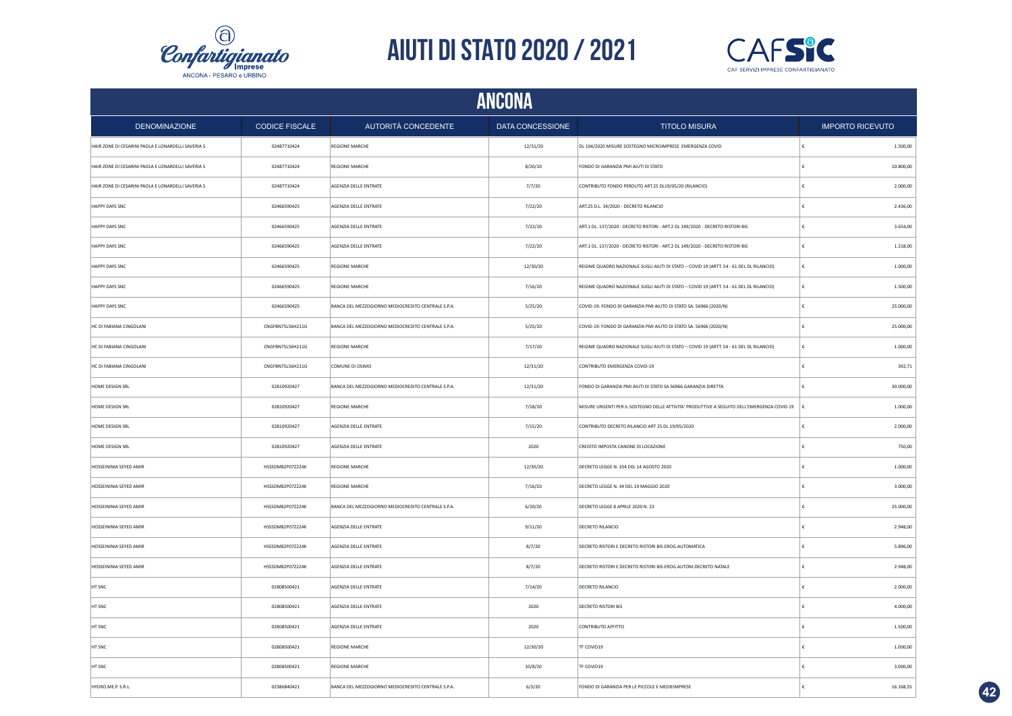



| <b>ANCONA</b>                                      |                       |                                                    |                  |                                                                                             |                         |  |
|----------------------------------------------------|-----------------------|----------------------------------------------------|------------------|---------------------------------------------------------------------------------------------|-------------------------|--|
| <b>DENOMINAZIONE</b>                               | <b>CODICE FISCALE</b> | <b>AUTORITÀ CONCEDENTE</b>                         | DATA CONCESSIONE | <b>TITOLO MISURA</b>                                                                        | <b>IMPORTO RICEVUTO</b> |  |
| HAIR ZONE DI CESARINI PAOLA E LONARDELLI SAVERIA S | 02487710424           | REGIONE MARCHE                                     | 12/31/20         | DL 104/2020 MISURE SOSTEGNO MICROIMPRESE EMERGENZA COVID                                    | 1.500,00                |  |
| HAIR ZONE DI CESARINI PAOLA E LONARDELLI SAVERIA S | 02487710424           | <b>REGIONE MARCHE</b>                              | 8/20/20          | FONDO DI GARANZIA PMI AIUTI DI STATO                                                        | 10.800,00<br>£          |  |
| HAIR ZONE DI CESARINI PAOLA E LONARDELLI SAVERIA S | 02487710424           | AGENZIA DELLE ENTRATE                              | 7/7/20           | CONTRIBUTO FONDO PERDUTO ART.25 DL19/05/20 (RILANCIO)                                       | 2.000,00                |  |
| HAPPY DAYS SNC                                     | 02466590425           | AGENZIA DELLE ENTRATE                              | 7/22/20          | ART.25 D.L. 34/2020 - DECRETO RILANCIO                                                      | 2.436,00                |  |
| HAPPY DAYS SNC                                     | 02466590425           | AGENZIA DELLE ENTRATE                              | 7/22/20          | ART.1 DL. 137/2020 - DECRETO RISTORI - ART.2 DL 149/2020 - DECRETO RISTORI BIS              | 3.654,00                |  |
| HAPPY DAYS SNC                                     | 02466590425           | AGENZIA DELLE ENTRATE                              | 7/22/20          | ART.1 DL. 137/2020 - DECRETO RISTORI - ART.2 DL 149/2020 - DECRETO RISTORI BIS              | 1.218,00                |  |
| HAPPY DAYS SNC                                     | 02466590425           | <b>REGIONE MARCHE</b>                              | 12/30/20         | REGIME QUADRO NAZIONALE SUGLI AIUTI DI STATO - COVID 19 (ARTT. 54 - 61 DEL DL RILANCIO)     | 1.000,00                |  |
| HAPPY DAYS SNC                                     | 02466590425           | <b>REGIONE MARCHE</b>                              | 7/16/20          | REGIME QUADRO NAZIONALE SUGLI AIUTI DI STATO - COVID 19 (ARTT. 54 - 61 DEL DL RILANCIO)     | 1.500,00                |  |
| HAPPY DAYS SNC                                     | 02466590425           | BANCA DEL MEZZOGIORNO MEDIOCREDITO CENTRALE S.P.A. | 5/25/20          | COVID-19: FONDO DI GARANZIA PMI AIUTO DI STATO SA. 56966 (2020/N)                           | 25.000,00               |  |
| HC DI FABIANA CINGOLANI                            | CNGFBN75L56H211G      | BANCA DEL MEZZOGIORNO MEDIOCREDITO CENTRALE S.P.A. | 5/25/20          | COVID-19: FONDO DI GARANZIA PMI AIUTO DI STATO SA. 56966 (2020/N)                           | 25.000,00               |  |
| HC DI FABIANA CINGOLANI                            | CNGFBN75L56H211G      | <b>REGIONE MARCHE</b>                              | 7/17/20          | REGIME QUADRO NAZIONALE SUGLI AIUTI DI STATO - COVID 19 (ARTT. 54 - 61 DEL DL RILANCIO)     | 1.000,00                |  |
| HC DI FABIANA CINGOLANI                            | CNGFBN75L56H211G      | COMUNE DI OSIMO                                    | 12/31/20         | CONTRIBUTO EMERGENZA COVID-19                                                               | 392,71                  |  |
| HOME DESIGN SRL                                    | 02810920427           | BANCA DEL MEZZOGIORNO MEDIOCREDITO CENTRALE S.P.A. | 12/31/20         | FONDO DI GARANZIA PMI AIUTI DI STATO SA 56966 GARANZIA DIRETTA                              | 30.000,00               |  |
| HOME DESIGN SRL                                    | 02810920427           | <b>REGIONE MARCHE</b>                              | 7/18/20          | MISURE URGENTI PER IL SOSTEGNO DELLE ATTIVITA' PRODUTTIVE A SEGUITO DELL'EMERGENZA COVID 19 | 1.000,00<br>١£          |  |
| HOME DESIGN SRL                                    | 02810920427           | AGENZIA DELLE ENTRATE                              | 7/15/20          | CONTRIBUTO DECRETO RILANCIO ART 25 DL 19/05/2020                                            | 2.000,00<br>€           |  |
| HOME DESIGN SRL                                    | 02810920427           | AGENZIA DELLE ENTRATE                              | 2020             | CREDITO IMPOSTA CANONE DI LOCAZIONE                                                         | 750,00                  |  |
| HOSSEININIA SEYED AMIR                             | HSSSDM82P07Z224K      | <b>REGIONE MARCHE</b>                              | 12/30/20         | DECRETO LEGGE N. 104 DEL 14 AGOSTO 2020                                                     | 1.000,00                |  |
| HOSSEININIA SEYED AMIR                             | HSSSDM82P07Z224K      | <b>REGIONE MARCHE</b>                              | 7/16/20          | DECRETO LEGGE N. 34 DEL 19 MAGGIO 2020                                                      | 3.000,00                |  |
| HOSSEININIA SEYED AMIR                             | HSSSDM82P07Z224K      | BANCA DEL MEZZOGIORNO MEDIOCREDITO CENTRALE S.P.A. | 6/20/20          | DECRETO LEGGE 8 APRILE 2020 N. 23                                                           | 25.000,00               |  |
| HOSSEININIA SEYED AMIR                             | HSSSDM82P07Z224K      | AGENZIA DELLE ENTRATE                              | 9/11/20          | DECRETO RILANCIO                                                                            | 2.948,00                |  |
| HOSSEININIA SEYED AMIR                             | HSSSDM82P07Z224K      | AGENZIA DELLE ENTRATE                              | 8/7/20           | DECRETO RISTORI E DECRETO RISTORI BIS-EROG.AUTOMATICA                                       | 5.896,00                |  |
| HOSSEININIA SEYED AMIR                             | HSSSDM82P07Z224K      | AGENZIA DELLE ENTRATE                              | 8/7/20           | DECRETO RISTORI E DECRETO RISTORI BIS-EROG.AUTOM.DECRETO NATALE                             | 2.948,00                |  |
| HT SNC                                             | 02808500421           | AGENZIA DELLE ENTRATE                              | 7/14/20          | DECRETO RILANCIO                                                                            | 2.000,00                |  |
| HT SNC                                             | 02808500421           | AGENZIA DELLE ENTRATE                              | 2020             | <b>DECRETO RISTORI BIS</b>                                                                  | 4.000,00                |  |
| HT SNC                                             | 02808500421           | AGENZIA DELLE ENTRATE                              | 2020             | CONTRIBUTO AFFITTO                                                                          | 1.500,00                |  |
| HT SNC                                             | 02808500421           | <b>REGIONE MARCHE</b>                              | 12/30/20         | TF COVID19                                                                                  | 1.000,00                |  |
| HT SNC                                             | 02808500421           | REGIONE MARCHE                                     | 10/8/20          | TF COVID19                                                                                  | 3.000,00                |  |
| HYDRO.ME.P. S.R.L.                                 | 02386840421           | BANCA DEL MEZZOGIORNO MEDIOCREDITO CENTRALE S.P.A. | 6/3/20           | FONDO DI GARANZIA PER LE PICCOLE E MEDIEIMPRESE                                             | 16.168,55               |  |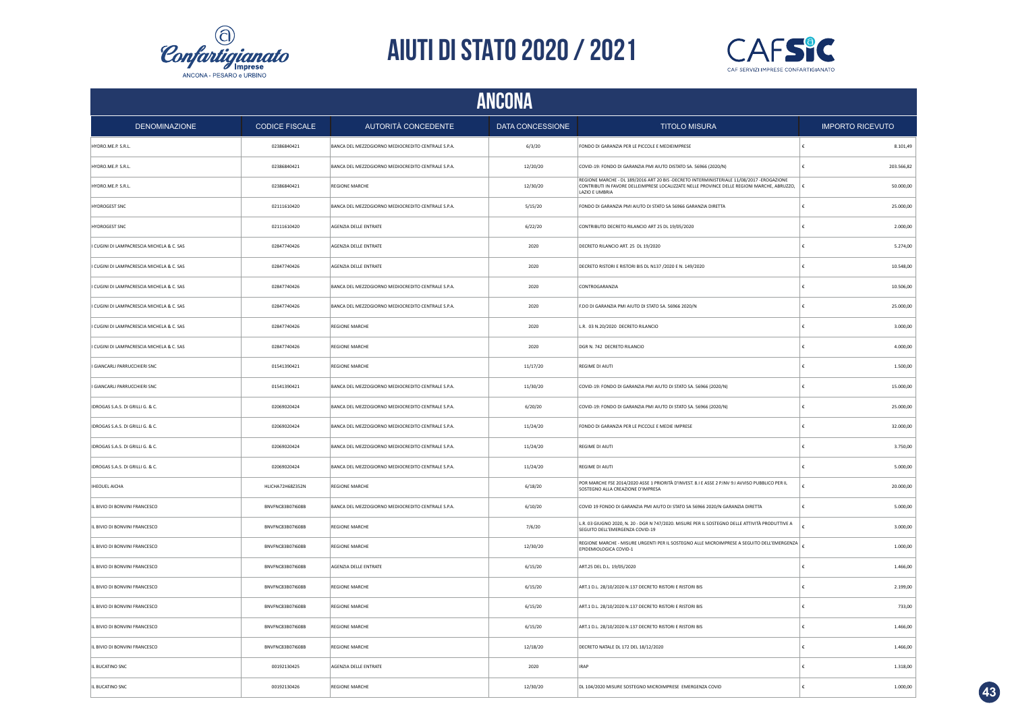



|                                                    | <b>ANCONA</b>         |                                                    |                         |                                                                                                                                                                                                            |                         |  |  |
|----------------------------------------------------|-----------------------|----------------------------------------------------|-------------------------|------------------------------------------------------------------------------------------------------------------------------------------------------------------------------------------------------------|-------------------------|--|--|
| <b>DENOMINAZIONE</b>                               | <b>CODICE FISCALE</b> | <b>AUTORITÀ CONCEDENTE</b>                         | <b>DATA CONCESSIONE</b> | <b>TITOLO MISURA</b>                                                                                                                                                                                       | <b>IMPORTO RICEVUTO</b> |  |  |
| HYDRO.ME.P. S.R.L.                                 | 02386840421           | BANCA DEL MEZZOGIORNO MEDIOCREDITO CENTRALE S.P.A. | 6/3/20                  | FONDO DI GARANZIA PER LE PICCOLE E MEDIEIMPRESE                                                                                                                                                            | 8.101,49                |  |  |
| HYDRO.ME.P. S.R.L.                                 | 02386840421           | BANCA DEL MEZZOGIORNO MEDIOCREDITO CENTRALE S.P.A. | 12/20/20                | COVID-19: FONDO DI GARANZIA PMI AIUTO DISTATO SA. 56966 (2020/N)                                                                                                                                           | 203.566,82              |  |  |
| HYDRO.ME.P. S.R.L.                                 | 02386840421           | REGIONE MARCHE                                     | 12/30/20                | REGIONE MARCHE - DL 189/2016 ART 20 BIS -DECRETO INTERMINISTERIALE 11/08/2017 -EROGAZIONE<br>CONTRIBUTI IN FAVORE DELLEIMPRESE LOCALIZZATE NELLE PROVINCE DELLE REGIONI MARCHE, ABRUZZO,<br>LAZIO E UMBRIA | 50.000,00               |  |  |
| HYDROGEST SNC                                      | 02111610420           | BANCA DEL MEZZOGIORNO MEDIOCREDITO CENTRALE S.P.A. | 5/15/20                 | FONDO DI GARANZIA PMI AIUTO DI STATO SA 56966 GARANZIA DIRETTA                                                                                                                                             | 25.000,00               |  |  |
| <b>HYDROGEST SNC</b>                               | 02111610420           | AGENZIA DELLE ENTRATE                              | 6/22/20                 | CONTRIBUTO DECRETO RILANCIO ART 25 DL 19/05/2020                                                                                                                                                           | 2.000,00                |  |  |
| <b>CUGINI DI LAMPACRESCIA MICHELA &amp; C. SAS</b> | 02847740426           | AGENZIA DELLE ENTRATE                              | 2020                    | DECRETO RILANCIO ART. 25 DL 19/2020                                                                                                                                                                        | 5.274,00                |  |  |
| I CUGINI DI LAMPACRESCIA MICHELA & C. SAS          | 02847740426           | AGENZIA DELLE ENTRATE                              | 2020                    | DECRETO RISTORI E RISTORI BIS DL N137 /2020 E N. 149/2020                                                                                                                                                  | £<br>10.548,00          |  |  |
| CUGINI DI LAMPACRESCIA MICHELA & C. SAS            | 02847740426           | BANCA DEL MEZZOGIORNO MEDIOCREDITO CENTRALE S.P.A. | 2020                    | CONTROGARANZIA                                                                                                                                                                                             | £<br>10.506,00          |  |  |
| <b>CUGINI DI LAMPACRESCIA MICHELA &amp; C. SAS</b> | 02847740426           | BANCA DEL MEZZOGIORNO MEDIOCREDITO CENTRALE S.P.A. | 2020                    | F.DO DI GARANZIA PMI AIUTO DI STATO SA. 56966 2020/N                                                                                                                                                       | 25.000,00               |  |  |
| CUGINI DI LAMPACRESCIA MICHELA & C. SAS            | 02847740426           | <b>REGIONE MARCHE</b>                              | 2020                    | L.R. 03 N.20/2020 DECRETO RILANCIO                                                                                                                                                                         | 3.000,00<br>€           |  |  |
| CUGINI DI LAMPACRESCIA MICHELA & C. SAS            | 02847740426           | <b>REGIONE MARCHE</b>                              | 2020                    | DGR N. 742 DECRETO RILANCIO                                                                                                                                                                                | £<br>4.000,00           |  |  |
| GIANCARLI PARRUCCHIERI SNC                         | 01541390421           | <b>REGIONE MARCHE</b>                              | 11/17/20                | REGIME DI AIUTI                                                                                                                                                                                            | 1.500,00<br>€           |  |  |
| <b>GIANCARLI PARRUCCHIERI SNC</b>                  | 01541390421           | BANCA DEL MEZZOGIORNO MEDIOCREDITO CENTRALE S.P.A. | 11/30/20                | COVID-19: FONDO DI GARANZIA PMI AIUTO DI STATO SA. 56966 (2020/N)                                                                                                                                          | 15.000,00<br>€          |  |  |
| IDROGAS S.A.S. DI GRILLI G. & C.                   | 02069020424           | BANCA DEL MEZZOGIORNO MEDIOCREDITO CENTRALE S.P.A. | 6/20/20                 | COVID-19: FONDO DI GARANZIA PMI AIUTO DI STATO SA. 56966 (2020/N)                                                                                                                                          | 25.000,00<br>€          |  |  |
| IDROGAS S.A.S. DI GRILLI G. & C.                   | 02069020424           | BANCA DEL MEZZOGIORNO MEDIOCREDITO CENTRALE S.P.A. | 11/24/20                | FONDO DI GARANZIA PER LE PICCOLE E MEDIE IMPRESE                                                                                                                                                           | €<br>32.000,00          |  |  |
| IDROGAS S.A.S. DI GRILLI G. & C.                   | 02069020424           | BANCA DEL MEZZOGIORNO MEDIOCREDITO CENTRALE S.P.A. | 11/24/20                | REGIME DI AIUTI                                                                                                                                                                                            | 3.750,00<br>€           |  |  |
| IDROGAS S.A.S. DI GRILLI G. & C.                   | 02069020424           | BANCA DEL MEZZOGIORNO MEDIOCREDITO CENTRALE S.P.A. | 11/24/20                | REGIME DI AIUTI                                                                                                                                                                                            | £<br>5.000,00           |  |  |
| <b>IHEOUEL AICHA</b>                               | HLICHA72H68Z352N      | <b>REGIONE MARCHE</b>                              | 6/18/20                 | POR MARCHE FSE 2014/2020 ASSE 1 PRIORITÀ D'INVEST. 8.1 E ASSE 2 P.INV 9.1 AVVISO PUBBLICO PER IL<br>SOSTEGNO ALLA CREAZIONE D'IMPRESA                                                                      | 20.000,00               |  |  |
| IL BIVIO DI BONVINI FRANCESCO                      | BNVFNC83B07I608B      | BANCA DEL MEZZOGIORNO MEDIOCREDITO CENTRALE S.P.A. | 6/10/20                 | COVID 19 FONDO DI GARANZIA PMI AIUTO DI STATO SA 56966 2020/N GARANZIA DIRETTA                                                                                                                             | 5.000,00<br>€           |  |  |
| IL BIVIO DI BONVINI FRANCESCO                      | BNVFNC83B07I608B      | <b>REGIONE MARCHE</b>                              | 7/6/20                  | L.R. 03 GIUGNO 2020, N. 20 - DGR N 747/2020. MISURE PER IL SOSTEGNO DELLE ATTIVITÀ PRODUTTIVE A<br>SEGUITO DELL'EMERGENZA COVID-19                                                                         | 3.000,00                |  |  |
| IL BIVIO DI BONVINI FRANCESCO                      | BNVENC83B071608B      | <b>REGIONE MARCHE</b>                              | 12/30/20                | REGIONE MARCHE - MISURE URGENTI PER IL SOSTEGNO ALLE MICROIMPRESE A SEGUITO DELL'EMERGENZA $\mid \epsilon$<br>EPIDEMIOLOGICA COVID-1                                                                       | 1.000,00                |  |  |
| IL BIVIO DI BONVINI FRANCESCO                      | BNVFNC83B07I608B      | AGENZIA DELLE ENTRATE                              | 6/15/20                 | ART.25 DEL D.L. 19/05/2020                                                                                                                                                                                 | 1.466,00                |  |  |
| IL BIVIO DI BONVINI FRANCESCO                      | BNVFNC83B071608B      | <b>REGIONE MARCHE</b>                              | 6/15/20                 | ART.1 D.L. 28/10/2020 N.137 DECRETO RISTORI E RISTORI BIS                                                                                                                                                  | €<br>2.199.00           |  |  |
| IL BIVIO DI BONVINI FRANCESCO                      | BNVFNC83B07I608B      | <b>REGIONE MARCHE</b>                              | 6/15/20                 | ART.1 D.L. 28/10/2020 N.137 DECRETO RISTORI E RISTORI BIS                                                                                                                                                  | 733,00                  |  |  |
| IL BIVIO DI BONVINI FRANCESCO                      | BNVFNC83B07I608B      | <b>REGIONE MARCHE</b>                              | 6/15/20                 | ART.1 D.L. 28/10/2020 N.137 DECRETO RISTORI E RISTORI BIS                                                                                                                                                  | 1.466,00                |  |  |
| IL BIVIO DI BONVINI FRANCESCO                      | BNVFNC83B07I608B      | REGIONE MARCHE                                     | 12/18/20                | DECRETO NATALE DL 172 DEL 18/12/2020                                                                                                                                                                       | 1.466,00                |  |  |
| IL BUCATINO SNC                                    | 00192130425           | AGENZIA DELLE ENTRATE                              | 2020                    | <b>IRAP</b>                                                                                                                                                                                                | £<br>1.318,00           |  |  |
| IL BUCATINO SNC                                    | 00192130426           | <b>REGIONE MARCHE</b>                              | 12/30/20                | DL 104/2020 MISURE SOSTEGNO MICROIMPRESE EMERGENZA COVID                                                                                                                                                   | £<br>1.000,00           |  |  |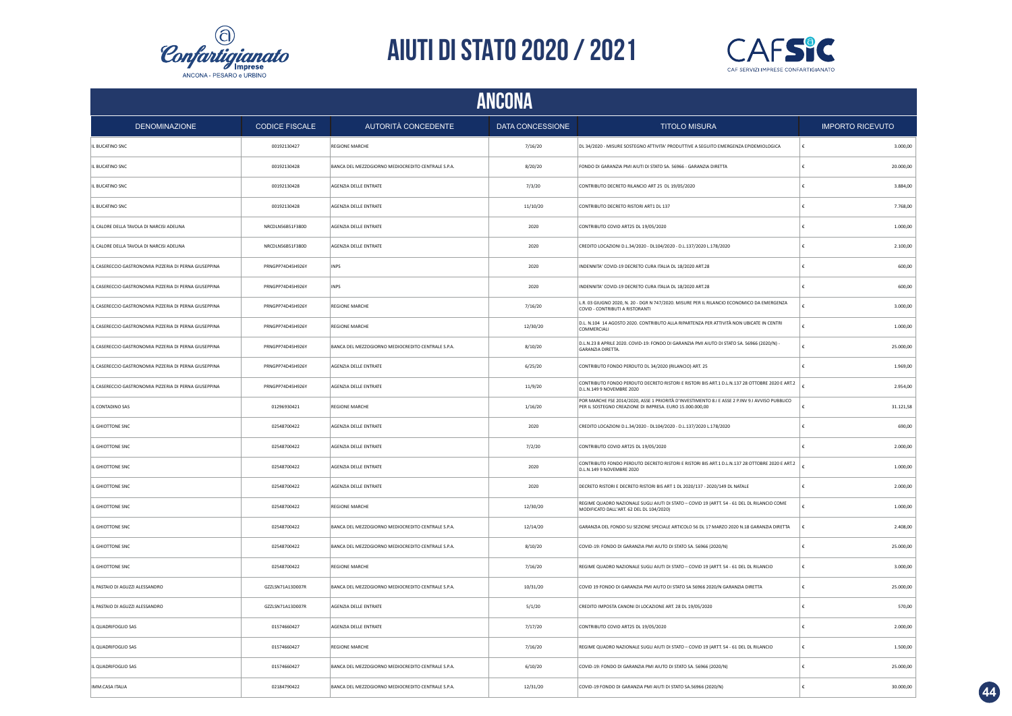



|                                                        |                       |                                                    | ANCONA           |                                                                                                                                                             |                         |
|--------------------------------------------------------|-----------------------|----------------------------------------------------|------------------|-------------------------------------------------------------------------------------------------------------------------------------------------------------|-------------------------|
| <b>DENOMINAZIONE</b>                                   | <b>CODICE FISCALE</b> | AUTORITÀ CONCEDENTE                                | DATA CONCESSIONE | <b>TITOLO MISURA</b>                                                                                                                                        | <b>IMPORTO RICEVUTO</b> |
| IL BUCATINO SNC                                        | 00192130427           | <b>REGIONE MARCHE</b>                              | 7/16/20          | DL 34/2020 - MISURE SOSTEGNO ATTIVITA' PRODUTTIVE A SEGUITO EMERGENZA EPIDEMIOLOGICA                                                                        | 3.000,00                |
| IL BUCATINO SNC                                        | 00192130428           | BANCA DEL MEZZOGIORNO MEDIOCREDITO CENTRALE S.P.A. | 8/20/20          | FONDO DI GARANZIA PMI AIUTI DI STATO SA. 56966 - GARANZIA DIRETTA                                                                                           | 20.000,00               |
| IL BUCATINO SNC                                        | 00192130428           | AGENZIA DELLE ENTRATE                              | 7/3/20           | CONTRIBUTO DECRETO RILANCIO ART 25 DL 19/05/2020                                                                                                            | 3.884,00                |
| IL BUCATINO SNC                                        | 00192130428           | AGENZIA DELLE ENTRATE                              | 11/10/20         | CONTRIBUTO DECRETO RISTORI ART1 DL 137                                                                                                                      | 7.768,00                |
| IL CALORE DELLA TAVOLA DI NARCISI ADELINA              | NRCDLN56B51F380D      | AGENZIA DELLE ENTRATE                              | 2020             | CONTRIBUTO COVID ART25 DL 19/05/2020                                                                                                                        | 1.000,00                |
| IL CALORE DELLA TAVOLA DI NARCISI ADELINA              | NRCDLN56B51F380D      | AGENZIA DELLE ENTRATE                              | 2020             | CREDITO LOCAZIONI D.L.34/2020 - DL104/2020 - D.L.137/2020 L.178/2020                                                                                        | 2.100,00                |
| IL CASERECCIO GASTRONOMIA PIZZERIA DI PERNA GIUSEPPINA | PRNGPP74D45H926Y      | INPS                                               | 2020             | INDENNITA' COVID-19 DECRETO CURA ITALIA DL 18/2020 ART.28                                                                                                   | 600,00                  |
| IL CASERECCIO GASTRONOMIA PIZZERIA DI PERNA GIUSEPPINA | PRNGPP74D45H926Y      | INPS                                               | 2020             | INDENNITA' COVID-19 DECRETO CURA ITALIA DL 18/2020 ART.28                                                                                                   | 600,00                  |
| IL CASERECCIO GASTRONOMIA PIZZERIA DI PERNA GIUSEPPINA | PRNGPP74D45H926Y      | <b>REGIONE MARCHE</b>                              | 7/16/20          | L.R. 03 GIUGNO 2020, N. 20 - DGR N 747/2020. MISURE PER IL RILANCIO ECONOMICO DA EMERGENZA<br>COVID - CONTRIBUTI A RISTORANTI                               | 3.000,00                |
| IL CASERECCIO GASTRONOMIA PIZZERIA DI PERNA GIUSEPPINA | PRNGPP74D45H926Y      | <b>REGIONE MARCHE</b>                              | 12/30/20         | D.L. N.104 14 AGOSTO 2020. CONTRIBUTO ALLA RIPARTENZA PER ATTIVITÀ NON UBICATE IN CENTRI<br>COMMERCIALI                                                     | 1.000,00                |
| IL CASERECCIO GASTRONOMIA PIZZERIA DI PERNA GIUSEPPINA | PRNGPP74D45H926Y      | BANCA DEL MEZZOGIORNO MEDIOCREDITO CENTRALE S.P.A. | 8/10/20          | D.L.N.23 8 APRILE 2020, COVID-19: FONDO DI GARANZIA PMI AIUTO DI STATO SA, 56966 (2020/N) -<br>GARANZIA DIRETTA.                                            | 25.000,00               |
| IL CASERECCIO GASTRONOMIA PIZZERIA DI PERNA GIUSEPPINA | PRNGPP74D45H926Y      | AGENZIA DELLE ENTRATE                              | 6/25/20          | CONTRIBUTO FONDO PERDUTO DL 34/2020 (RILANCIO) ART. 25                                                                                                      | 1.969,00                |
| IL CASERECCIO GASTRONOMIA PIZZERIA DI PERNA GIUSEPPINA | PRNGPP74D45H926Y      | AGENZIA DELLE ENTRATE                              | 11/9/20          | CONTRIBUTO FONDO PERDUTO DECRETO RISTORI E RISTORI BIS ART.1 D.L.N.137 28 OTTOBRE 2020 E ART.2<br>D.L.N.149 9 NOVEMBRE 2020                                 | 2.954,00                |
| IL CONTADINO SAS                                       | 01296930421           | <b>REGIONE MARCHE</b>                              | 1/16/20          | POR MARCHE FSE 2014/2020, ASSE 1 PRIORITÀ D'INVESTIMENTO 8.1 E ASSE 2 P.INV 9.1 AVVISO PUBBLICO<br>PER IL SOSTEGNO CREAZIONE DI IMPRESA. EURO 15.000.000,00 | 31.121,58               |
| IL GHIOTTONE SNC                                       | 02548700422           | AGENZIA DELLE ENTRATE                              | 2020             | CREDITO LOCAZIONI D.L.34/2020 - DL104/2020 - D.L.137/2020 L.178/2020                                                                                        | 690,00                  |
| IL GHIOTTONE SNC                                       | 02548700422           | AGENZIA DELLE ENTRATE                              | 7/2/20           | CONTRIBUTO COVID ART25 DL 19/05/2020                                                                                                                        | 2.000,00                |
| IL GHIOTTONE SNC                                       | 02548700422           | AGENZIA DELLE ENTRATE                              | 2020             | CONTRIBUTO FONDO PERDUTO DECRETO RISTORI E RISTORI BIS ART.1 D.L.N.137 28 OTTOBRE 2020 E ART.2<br>D.L.N.149 9 NOVEMBRE 2020                                 | 1.000.00                |
| IL GHIOTTONE SNC                                       | 02548700422           | <b>AGENZIA DELLE ENTRATE</b>                       | 2020             | DECRETO RISTORI E DECRETO RISTORI BIS ART 1 DL 2020/137 - 2020/149 DL NATALE                                                                                | 2.000.00                |
| IL GHIOTTONE SNC                                       | 02548700422           | <b>REGIONE MARCHE</b>                              | 12/30/20         | REGIME QUADRO NAZIONALE SUGLI AIUTI DI STATO - COVID 19 (ARTT. 54 - 61 DEL DL RILANCIO COME<br>MODIFICATO DALL'ART. 62 DEL DL 104/2020)                     | 1.000,00                |
| IL GHIOTTONE SNC                                       | 02548700422           | BANCA DEL MEZZOGIORNO MEDIOCREDITO CENTRALE S.P.A. | 12/14/20         | GARANZIA DEL FONDO SU SEZIONE SPECIALE ARTICOLO 56 DL 17 MARZO 2020 N.18 GARANZIA DIRETTA                                                                   | 2.408.00<br>€           |
| IL GHIOTTONE SNC                                       | 02548700422           | BANCA DEL MEZZOGIORNO MEDIOCREDITO CENTRALE S.P.A. | 8/10/20          | COVID-19: FONDO DI GARANZIA PMI AIUTO DI STATO SA. 56966 (2020/N)                                                                                           | 25.000,00               |
| IL GHIOTTONE SNC                                       | 02548700422           | <b>REGIONE MARCHE</b>                              | 7/16/20          | REGIME QUADRO NAZIONALE SUGLI AIUTI DI STATO - COVID 19 (ARTT. 54 - 61 DEL DL RILANCIO                                                                      | 3.000,00<br>€           |
| IL PASTAIO DI AGUZZI ALESSANDRO                        | GZZLSN71A13D007R      | BANCA DEL MEZZOGIORNO MEDIOCREDITO CENTRALE S.P.A. | 10/31/20         | COVID 19 FONDO DI GARANZIA PMI AIUTO DI STATO SA 56966 2020/N GARANZIA DIRETTA                                                                              | 25.000,00               |
| IL PASTAIO DI AGUZZI ALESSANDRO                        | GZZLSN71A13D007R      | AGENZIA DELLE ENTRATE                              | 5/1/20           | CREDITO IMPOSTA CANONI DI LOCAZIONE ART. 28 DL 19/05/2020                                                                                                   | 570,00                  |
| IL QUADRIFOGLIO SAS                                    | 01574660427           | AGENZIA DELLE ENTRATE                              | 7/17/20          | CONTRIBUTO COVID ART25 DL 19/05/2020                                                                                                                        | 2.000,00                |
| IL QUADRIFOGLIO SAS                                    | 01574660427           | <b>REGIONE MARCHE</b>                              | 7/16/20          | REGIME QUADRO NAZIONALE SUGLI AIUTI DI STATO - COVID 19 (ARTT. 54 - 61 DEL DL RILANCIO                                                                      | 1,500.00                |
| IL QUADRIFOGLIO SAS                                    | 01574660427           | BANCA DEL MEZZOGIORNO MEDIOCREDITO CENTRALE S.P.A. | 6/10/20          | COVID-19: FONDO DI GARANZIA PMI AIUTO DI STATO SA. 56966 (2020/N)                                                                                           | 25.000,00               |
| IMM.CASA ITALIA                                        | 02184790422           | BANCA DEL MEZZOGIORNO MEDIOCREDITO CENTRALE S.P.A. | 12/31/20         | COVID-19 FONDO DI GARANZIA PMI AIUTI DI STATO SA.56966 (2020/N)                                                                                             | 30.000,00               |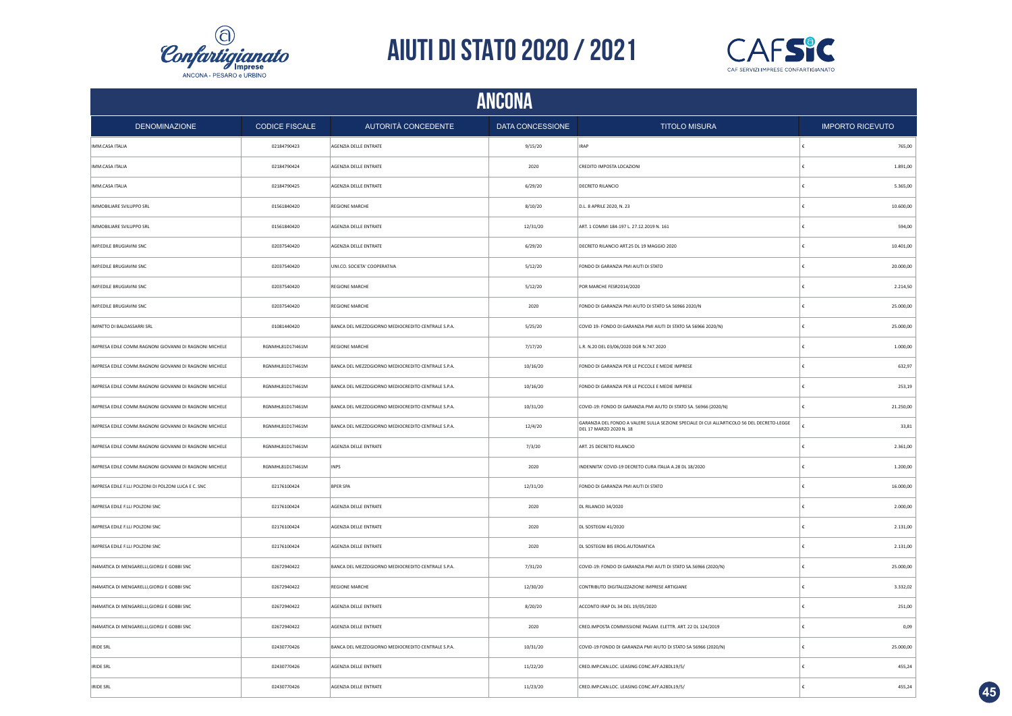



|                                                        | <b>ANCONA</b>         |                                                    |                         |                                                                                                                        |            |                         |  |  |
|--------------------------------------------------------|-----------------------|----------------------------------------------------|-------------------------|------------------------------------------------------------------------------------------------------------------------|------------|-------------------------|--|--|
| <b>DENOMINAZIONE</b>                                   | <b>CODICE FISCALE</b> | AUTORITÀ CONCEDENTE                                | <b>DATA CONCESSIONE</b> | <b>TITOLO MISURA</b>                                                                                                   |            | <b>IMPORTO RICEVUTO</b> |  |  |
| IMM.CASA ITALIA                                        | 02184790423           | AGENZIA DELLE ENTRATE                              | 9/15/20                 | <b>IRAP</b>                                                                                                            | ١£         | 765,00                  |  |  |
| IMM.CASA ITALIA                                        | 02184790424           | AGENZIA DELLE ENTRATE                              | 2020                    | CREDITO IMPOSTA LOCAZIONI                                                                                              | $\epsilon$ | 1.891,00                |  |  |
| IMM.CASA ITALIA                                        | 02184790425           | AGENZIA DELLE ENTRATE                              | 6/29/20                 | <b>DECRETO RILANCIO</b>                                                                                                | €          | 5.365,00                |  |  |
| IMMOBILIARE SVILUPPO SRL                               | 01561840420           | <b>REGIONE MARCHE</b>                              | 8/10/20                 | D.L. 8 APRILE 2020, N. 23                                                                                              | €          | 10.600,00               |  |  |
| IMMOBILIARE SVILUPPO SRL                               | 01561840420           | AGENZIA DELLE ENTRATE                              | 12/31/20                | ART. 1 COMMI 184-197 L. 27.12.2019 N. 161                                                                              | €          | 594,00                  |  |  |
| IMP.EDILE BRUGIAVINI SNC                               | 02037540420           | AGENZIA DELLE ENTRATE                              | 6/29/20                 | DECRETO RILANCIO ART.25 DL 19 MAGGIO 2020                                                                              | €          | 10.401,00               |  |  |
| IMP.EDILE BRUGIAVINI SNC                               | 02037540420           | UNI.CO. SOCIETA' COOPERATIVA                       | 5/12/20                 | FONDO DI GARANZIA PMI AIUTI DI STATO                                                                                   | €          | 20.000,00               |  |  |
| IMP.EDILE BRUGIAVINI SNC                               | 02037540420           | <b>REGIONE MARCHE</b>                              | 5/12/20                 | POR MARCHE FESR2014/2020                                                                                               | £          | 2.214,50                |  |  |
| IMP.EDILE BRUGIAVINI SNC                               | 02037540420           | REGIONE MARCHE                                     | 2020                    | FONDO DI GARANZIA PMI AIUTO DI STATO SA 56966 2020/N                                                                   |            | 25.000,00               |  |  |
| IMPATTO DI BALDASSARRI SRL                             | 01081440420           | BANCA DEL MEZZOGIORNO MEDIOCREDITO CENTRALE S.P.A. | 5/25/20                 | COVID 19- FONDO DI GARANZIA PMI AIUTI DI STATO SA 56966 2020/N)                                                        | €          | 25.000,00               |  |  |
| IMPRESA EDILE COMM.RAGNONI GIOVANNI DI RAGNONI MICHELE | RGNMHL81D17I461M      | REGIONE MARCHE                                     | 7/17/20                 | L.R. N.20 DEL 03/06/2020 DGR N.747.2020                                                                                |            | 1.000,00                |  |  |
| IMPRESA EDILE COMM.RAGNONI GIOVANNI DI RAGNONI MICHELE | RGNMHL81D17I461M      | BANCA DEL MEZZOGIORNO MEDIOCREDITO CENTRALE S.P.A. | 10/16/20                | FONDO DI GARANZIA PER LE PICCOLE E MEDIE IMPRESE                                                                       | £          | 632,97                  |  |  |
| IMPRESA EDILE COMM.RAGNONI GIOVANNI DI RAGNONI MICHELE | RGNMHL81D17I461M      | BANCA DEL MEZZOGIORNO MEDIOCREDITO CENTRALE S.P.A. | 10/16/20                | FONDO DI GARANZIA PER LE PICCOLE E MEDIE IMPRESE                                                                       |            | 253,19                  |  |  |
| IMPRESA EDILE COMM.RAGNONI GIOVANNI DI RAGNONI MICHELE | RGNMHL81D17I461M      | BANCA DEL MEZZOGIORNO MEDIOCREDITO CENTRALE S.P.A. | 10/31/20                | COVID-19: FONDO DI GARANZIA PMI AIUTO DI STATO SA. 56966 (2020/N)                                                      | £          | 21.250,00               |  |  |
| IMPRESA EDILE COMM.RAGNONI GIOVANNI DI RAGNONI MICHELE | RGNMHL81D17I461M      | BANCA DEL MEZZOGIORNO MEDIOCREDITO CENTRALE S.P.A. | 12/4/20                 | GARANZIA DEL FONDO A VALERE SULLA SEZIONE SPECIALE DI CUI ALL'ARTICOLO 56 DEL DECRETO-LEGGE<br>DEL 17 MARZO 2020 N. 18 | £          | 33.81                   |  |  |
| IMPRESA EDILE COMM.RAGNONI GIOVANNI DI RAGNONI MICHELE | RGNMHL81D17I461M      | AGENZIA DELLE ENTRATE                              | 7/3/20                  | ART. 25 DECRETO RILANCIO                                                                                               | ١£         | 2.361,00                |  |  |
| IMPRESA EDILE COMM.RAGNONI GIOVANNI DI RAGNONI MICHELE | RGNMHL81D17I461M      | <b>INPS</b>                                        | 2020                    | INDENNITA' COVID-19 DECRETO CURA ITALIA A.28 DL 18/2020                                                                | €          | 1.200,00                |  |  |
| IMPRESA EDILE F.LLI POLZONI DI POLZONI LUCA E C. SNC   | 02176100424           | <b>BPER SPA</b>                                    | 12/31/20                | FONDO DI GARANZIA PMI AIUTI DI STATO                                                                                   | ∣€         | 16.000,00               |  |  |
| IMPRESA EDILE F.LLI POLZONI SNC                        | 02176100424           | AGENZIA DELLE ENTRATE                              | 2020                    | DL RILANCIO 34/2020                                                                                                    | €          | 2.000,00                |  |  |
| IMPRESA EDILE F.LLI POLZONI SNC                        | 02176100424           | AGENZIA DELLE ENTRATE                              | 2020                    | DL SOSTEGNI 41/2020                                                                                                    | €          | 2.131,00                |  |  |
| IMPRESA EDILE F.LLI POLZONI SNC                        | 02176100424           | AGENZIA DELLE ENTRATE                              | 2020                    | DL SOSTEGNI BIS EROG.AUTOMATICA                                                                                        | €          | 2.131,00                |  |  |
| IN4MATICA DI MENGARELLI, GIORGI E GOBBI SNC            | 02672940422           | BANCA DEL MEZZOGIORNO MEDIOCREDITO CENTRALE S.P.A. | 7/31/20                 | COVID-19: FONDO DI GARANZIA PMI AIUTI DI STATO SA.56966 (2020/N)                                                       | €          | 25.000,00               |  |  |
| IN4MATICA DI MENGARELLI, GIORGI E GOBBI SNC            | 02672940422           | <b>REGIONE MARCHE</b>                              | 12/30/20                | CONTRIBUTO DIGITALIZZAZIONE IMPRESE ARTIGIANE                                                                          | €          | 3.332,02                |  |  |
| IN4MATICA DI MENGARELLI, GIORGI E GOBBI SNC            | 02672940422           | AGENZIA DELLE ENTRATE                              | 8/20/20                 | ACCONTO IRAP DL 34 DEL 19/05/2020                                                                                      | €          | 251,00                  |  |  |
| IN4MATICA DI MENGARELLI, GIORGI E GOBBI SNC            | 02672940422           | AGENZIA DELLE ENTRATE                              | 2020                    | CRED.IMPOSTA COMMISSIONE PAGAM. ELETTR. ART. 22 DL 124/2019                                                            | €          | 0.09                    |  |  |
| <b>IRIDE SRL</b>                                       | 02430770426           | BANCA DEL MEZZOGIORNO MEDIOCREDITO CENTRALE S.P.A. | 10/31/20                | COVID-19 FONDO DI GARANZIA PMI AIUTO DI STATO SA 56966 (2020/N)                                                        |            | 25.000,00               |  |  |
| <b>IRIDE SRL</b>                                       | 02430770426           | AGENZIA DELLE ENTRATE                              | 11/22/20                | CRED.IMP.CAN.LOC. LEASING CONC.AFF.A28DL19/5/                                                                          | €          | 455,24                  |  |  |
| <b>IRIDE SRL</b>                                       | 02430770426           | AGENZIA DELLE ENTRATE                              | 11/23/20                | CRED.IMP.CAN.LOC. LEASING CONC.AFF.A28DL19/5/                                                                          | £          | 455,24                  |  |  |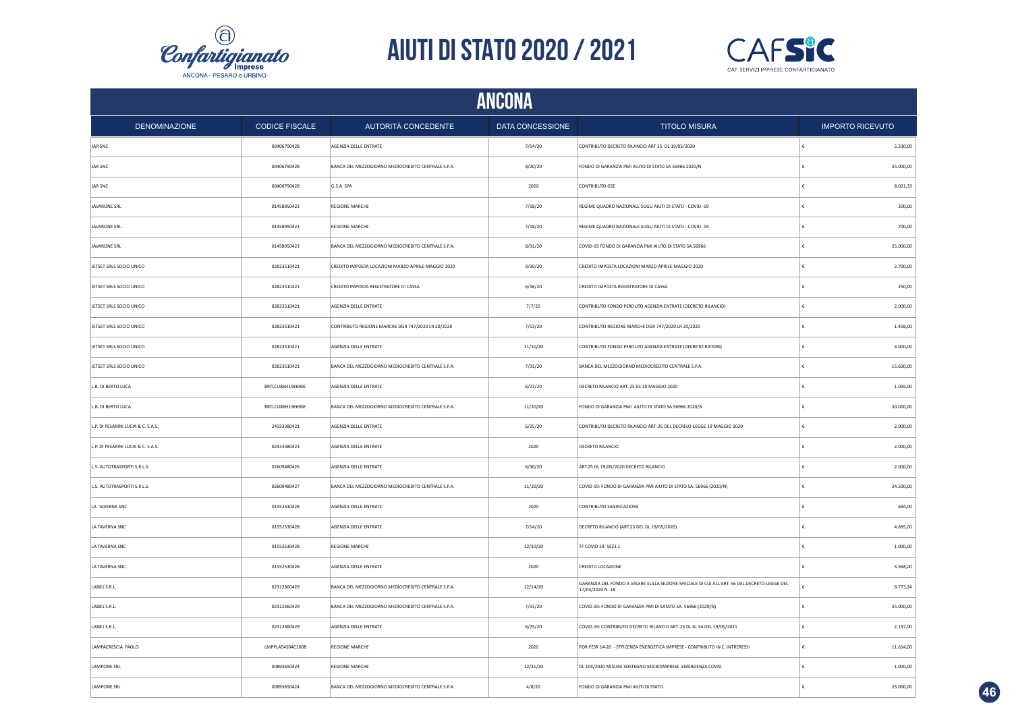



|                                    | <b>ANCONA</b>         |                                                    |                  |                                                                                                                 |                         |  |  |  |
|------------------------------------|-----------------------|----------------------------------------------------|------------------|-----------------------------------------------------------------------------------------------------------------|-------------------------|--|--|--|
| <b>DENOMINAZIONE</b>               | <b>CODICE FISCALE</b> | AUTORITÀ CONCEDENTE                                | DATA CONCESSIONE | <b>TITOLO MISURA</b>                                                                                            | <b>IMPORTO RICEVUTO</b> |  |  |  |
| JAR SNC                            | 00406790428           | AGENZIA DELLE ENTRATE                              | 7/14/20          | CONTRIBUTO DECRETO RILANCIO ART 25 DL 19/05/2020                                                                | ١£<br>5.330,00          |  |  |  |
| JAR SNC                            | 00406790428           | BANCA DEL MEZZOGIORNO MEDIOCREDITO CENTRALE S.P.A. | 8/20/20          | FONDO DI GARANZIA PMI AIUTO DI STATO SA 56966 2020/N                                                            | €<br>25.000,00          |  |  |  |
| JAR SNC                            | 00406790428           | G.S.A. SPA                                         | 2020             | CONTRIBUTO GSE                                                                                                  | 8.021,33<br>∣€          |  |  |  |
| JAVARONE SRL                       | 01458950423           | <b>REGIONE MARCHE</b>                              | 7/18/20          | REGIME QUADRO NAZIONALE SUGLI AIUTI DI STATO - COVID -19                                                        | €<br>300,00             |  |  |  |
| JAVARONE SRL                       | 01458950423           | <b>REGIONE MARCHE</b>                              | 7/18/20          | REGIME QUADRO NAZIONALE SUGLI AIUTI DI STATO - COVID -19                                                        | 700,00<br>€             |  |  |  |
| <b>JAVARONE SRL</b>                | 01458950423           | BANCA DEL MEZZOGIORNO MEDIOCREDITO CENTRALE S.P.A. | 8/31/20          | COVID-19 FONDO DI GARANZIA PMI AIUTO DI STATO SA.56966                                                          | €<br>25.000,00          |  |  |  |
| JETSET SRLS SOCIO UNICO            | 02823510421           | CREDITO IMPOSTA LOCAZIONI MARZO-APRILE-MAGGIO 2020 | 9/30/20          | CREDITO IMPOSTA LOCAZIONI MARZO-APRILE-MAGGIO 2020                                                              | 2.700,00<br>€           |  |  |  |
| JETSET SRLS SOCIO UNICO            | 02823510421           | CREDITO IMPOSTA REGISTRATORE DI CASSA              | 6/16/20          | CREDITO IMPOSTA REGISTRATORE DI CASSA                                                                           | £<br>250,00             |  |  |  |
| JETSET SRLS SOCIO UNICO            | 02823510421           | AGENZIA DELLE ENTRATE                              | 7/7/20           | CONTRIBUTO FONDO PERDUTO AGENZIA ENTRATE (DECRETO RILANCIO)                                                     | 2.000,00<br>£           |  |  |  |
| JETSET SRLS SOCIO UNICO            | 02823510421           | CONTRIBUTO REGIONE MARCHE DGR 747/2020 LR 20/2020  | 7/13/20          | CONTRIBUTO REGIONE MARCHE DGR 747/2020 LR 20/2020                                                               | 1.458,00<br>€           |  |  |  |
| JETSET SRLS SOCIO UNICO            | 02823510421           | AGENZIA DELLE ENTRATE                              | 11/10/20         | CONTRIBUTO FONDO PERDUTO AGENZIA ENTRATE (DECRETO RISTORI)                                                      | 4.000,00                |  |  |  |
| JETSET SRLS SOCIO UNICO            | 02823510421           | BANCA DEL MEZZOGIORNO MEDIOCREDITO CENTRALE S.P.A. | 7/31/20          | BANCA DEL MEZZOGIORNO MEDIOCREDITO CENTRALE S.P.A.                                                              | 15.600,00               |  |  |  |
| L.B. DI BERTO LUCA                 | BRTLCU86H19E690E      | AGENZIA DELLE ENTRATE                              | 6/23/20          | DECRETO RILANCIO ART. 25 DL 19 MAGGIO 2020                                                                      | 1.059,00                |  |  |  |
| L.B. DI BERTO LUCA                 | BRTLCU86H19E690E      | BANCA DEL MEZZOGIORNO MEDIOCREDITO CENTRALE S.P.A. | 11/20/20         | FONDO DI GARANZIA PMI AIUTO DI STATO SA 56966 2020/N                                                            | £<br>30.000,00          |  |  |  |
| L.P. DI PESARINI LUCIA & C. S.A.S. | 24333380421           | AGENZIA DELLE ENTRATE                              | 6/25/20          | CONTRIBUTO DECRETO RILANCIO ART. 25 DEL DECRELO-LEGGE 19 MAGGIO 2020                                            | $\epsilon$<br>2.000,00  |  |  |  |
| L.P. DI PESARINI LUCIA & C. S.A.S. | 02433380421           | AGENZIA DELLE ENTRATE                              | 2020             | <b>DECRETO RILANCIO</b>                                                                                         | 2.000,00<br>€           |  |  |  |
| L.S. AUTOTRASPORTI S.R.L.S.        | 02609480426           | AGENZIA DELLE ENTRATE                              | 6/30/20          | ART.25 DL 19/05/2020 DECRETO RILANCIO                                                                           | 2.000,00<br>€           |  |  |  |
| L.S. AUTOTRASPORTI S.R.L.S.        | 02609480427           | BANCA DEL MEZZOGIORNO MEDIOCREDITO CENTRALE S.P.A. | 11/20/20         | COVID-19: FONDO DI GARANZIA PMI AIUTO DI STATO SA. 56966 (2020/N)                                               | 24.500,00<br>€          |  |  |  |
| LA TAVERNA SNC                     | 01552530428           | AGENZIA DELLE ENTRATE                              | 2020             | CONTRIBUTO SANIFICAZIONE                                                                                        | 694,00<br>€             |  |  |  |
| LA TAVERNA SNC                     | 01552530428           | AGENZIA DELLE ENTRATE                              | 7/14/20          | DECRETO RILANCIO (ART.25 DEL DL 19/05/2020)                                                                     | 4.895,00<br>€           |  |  |  |
| LA TAVERNA SNC                     | 01552530428           | <b>REGIONE MARCHE</b>                              | 12/30/20         | TF COVID 19- SEZ3.1                                                                                             | €<br>1.000,00           |  |  |  |
| LA TAVERNA SNC                     | 01552530428           | AGENZIA DELLE ENTRATE                              | 2020             | CREDITO LOCAZIONE                                                                                               | 3.568,00<br>€           |  |  |  |
| LAB81 S.R.L.                       | 02312360429           | BANCA DEL MEZZOGIORNO MEDIOCREDITO CENTRALE S.P.A  | 12/14/20         | GARANZIA DEL FONDO A VALERE SULLA SEZIONE SPECIALE DI CUI ALL'ART. 56 DEL DECRETO-LEGGE DEL<br>17/03/2020 N. 18 | £<br>6.773,24           |  |  |  |
| LAB81 S.R.L.                       | 02312360429           | BANCA DEL MEZZOGIORNO MEDIOCREDITO CENTRALE S.P.A. | 7/31/20          | COVID-19: FONDO DI GARANZIA PMI DI SATATO SA. 56966 (2020/N)                                                    | 25.000,00               |  |  |  |
| LAB81 S.R.L.                       | 02312360429           | AGENZIA DELLE ENTRATE                              | 6/25/20          | COVID-19: CONTRIBUTO DECRETO RILANCIO ART. 25 DL N. 34 DEL 19/05/2021                                           | 2.137,00<br>€           |  |  |  |
| LAMPACRESCIA PAOLO                 | LMPPLA54S04C100B      | <b>REGIONE MARCHE</b>                              | 2020             | POR FESR 14-20 - EFFICENZA ENERGETICA IMPRESE - CONTRIBUTO IN C. INTRERESSI                                     | 11.614,00               |  |  |  |
| <b>LAMPONE SRL</b>                 | 00893650424           | <b>REGIONE MARCHE</b>                              | 12/31/20         | DL 104/2020 MISURE SOSTEGNO MICROIMPRESE EMERGENZA COVID                                                        | 1.000,00                |  |  |  |
| <b>LAMPONE SRL</b>                 | 00893650424           | BANCA DEL MEZZOGIORNO MEDIOCREDITO CENTRALE S.P.A. | 4/8/20           | FONDO DI GARANZIA PMI AIUTI DI STATO                                                                            | £<br>25.000,00          |  |  |  |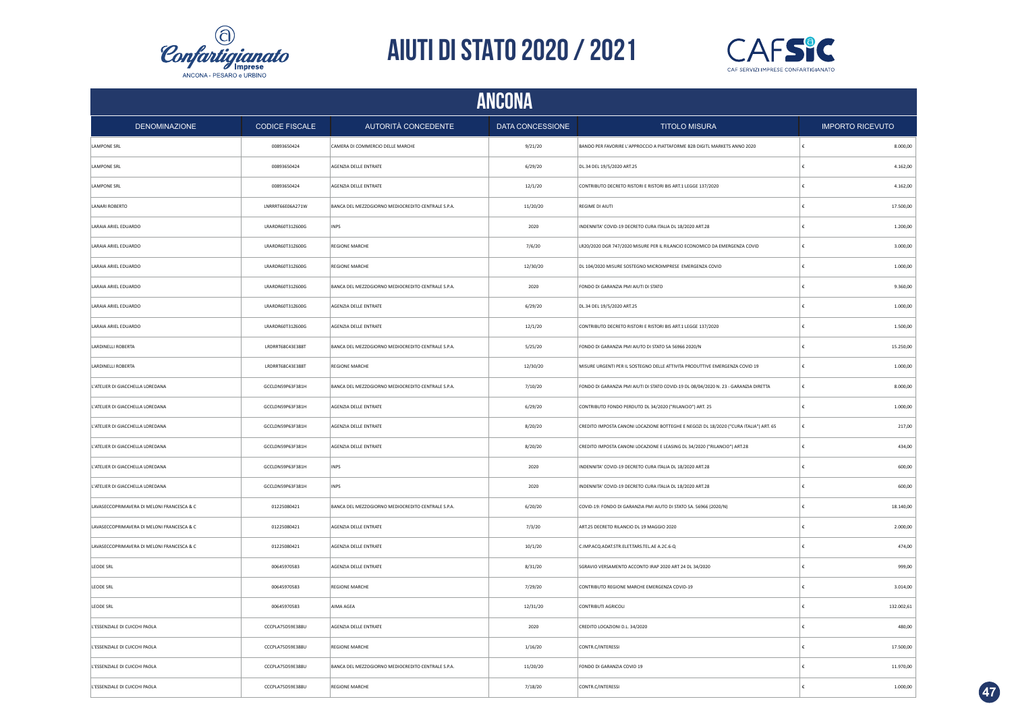



| <b>ANCONA</b>                              |                                      |                                                    |                  |                                                                                       |                         |  |  |
|--------------------------------------------|--------------------------------------|----------------------------------------------------|------------------|---------------------------------------------------------------------------------------|-------------------------|--|--|
| <b>DENOMINAZIONE</b>                       | <b>CODICE FISCALE</b>                | AUTORITÀ CONCEDENTE                                | DATA CONCESSIONE | <b>TITOLO MISURA</b>                                                                  | <b>IMPORTO RICEVUTO</b> |  |  |
| LAMPONE SRL                                | 00893650424                          | CAMERA DI COMMERCIO DELLE MARCHE                   | 9/21/20          | BANDO PER FAVORIRE L'APPROCCIO A PIATTAFORME B2B DIGITL MARKETS ANNO 2020             | 8.000,00                |  |  |
| <b>LAMPONE SRL</b>                         | 00893650424                          | AGENZIA DELLE ENTRATE                              | 6/29/20          | DL.34 DEL 19/5/2020 ART.25                                                            | 4.162,00                |  |  |
| <b>LAMPONE SRL</b>                         | 00893650424                          | AGENZIA DELLE ENTRATE                              | 12/1/20          | CONTRIBUTO DECRETO RISTORI E RISTORI BIS ART.1 LEGGE 137/2020                         | 4.162,00                |  |  |
| LANARI ROBERTO                             | LNRRRT66E06A271W                     | BANCA DEL MEZZOGIORNO MEDIOCREDITO CENTRALE S.P.A. | 11/20/20         | REGIME DI AIUTI                                                                       | 17.500,00               |  |  |
| LARAIA ARIEL EDUARDO                       | LRARDR60T31Z600G                     | INPS                                               | 2020             | INDENNITA' COVID-19 DECRETO CURA ITALIA DL 18/2020 ART.28                             | 1.200,00                |  |  |
| LARAIA ARIEL EDUARDO                       | LRARDR60T31Z600G                     | <b>REGIONE MARCHE</b>                              | 7/6/20           | LR20/2020 DGR 747/2020 MISURE PER IL RILANCIO ECONOMICO DA EMERGENZA COVID            | 3.000,00<br>€           |  |  |
| LARAIA ARIEL EDUARDO                       | LRARDR60T31Z600G                     | <b>REGIONE MARCHE</b>                              | 12/30/20         | DL 104/2020 MISURE SOSTEGNO MICROIMPRESE EMERGENZA COVID                              | 1.000,00                |  |  |
| LARAIA ARIEL EDUARDO                       | $\textbf{\texttt{L}RARDR60T31Z600G}$ | BANCA DEL MEZZOGIORNO MEDIOCREDITO CENTRALE S.P.A. | 2020             | FONDO DI GARANZIA PMI AIUTI DI STATO                                                  | 9.360,00                |  |  |
| LARAIA ARIEL EDUARDO                       | LRARDR60T31Z600G                     | AGENZIA DELLE ENTRATE                              | 6/29/20          | DL.34 DEL 19/5/2020 ART.25                                                            | 1.000,00                |  |  |
| LARAIA ARIEL EDUARDO                       | LRARDR60T31Z600G                     | AGENZIA DELLE ENTRATE                              | 12/1/20          | CONTRIBUTO DECRETO RISTORI E RISTORI BIS ART.1 LEGGE 137/2020                         | 1.500,00                |  |  |
| LARDINELLI ROBERTA                         | LRDRRT68C43E388T                     | BANCA DEL MEZZOGIORNO MEDIOCREDITO CENTRALE S.P.A. | 5/25/20          | FONDO DI GARANZIA PMI AIUTO DI STATO SA 56966 2020/N                                  | 15.250,00               |  |  |
| LARDINELLI ROBERTA                         | LRDRRT68C43E388T                     | <b>REGIONE MARCHE</b>                              | 12/30/20         | MISURE URGENTI PER IL SOSTEGNO DELLE ATTIVITA PRODUTTIVE EMERGENZA COVID 19           | 1.000,00                |  |  |
| L'ATELIER DI GIACCHELLA LOREDANA           | GCCLDN59P63F381H                     | BANCA DEL MEZZOGIORNO MEDIOCREDITO CENTRALE S.P.A. | 7/10/20          | FONDO DI GARANZIA PMI AIUTI DI STATO COVID-19 DL 08/04/2020 N. 23 - GARANZIA DIRETTA  | 8.000,00                |  |  |
| L'ATELIER DI GIACCHELLA LOREDANA           | GCCLDN59P63F381H                     | AGENZIA DELLE ENTRATE                              | 6/29/20          | CONTRIBUTO FONDO PERDUTO DL 34/2020 ("RILANCIO") ART. 25                              | 1.000,00                |  |  |
| L'ATELIER DI GIACCHELLA LOREDANA           | GCCLDN59P63F381H                     | AGENZIA DELLE ENTRATE                              | 8/20/20          | CREDITO IMPOSTA CANONI LOCAZIONE BOTTEGHE E NEGOZI DL 18/2020 ("CURA ITALIA") ART. 65 | 217,00                  |  |  |
| L'ATELIER DI GIACCHELLA LOREDANA           | GCCLDN59P63F381H                     | AGENZIA DELLE ENTRATE                              | 8/20/20          | CREDITO IMPOSTA CANONI LOCAZIONE E LEASING DL 34/2020 ("RILANCIO") ART.28             | 434,00                  |  |  |
| L'ATELIER DI GIACCHELLA LOREDANA           | GCCLDN59P63F381H                     | INPS                                               | 2020             | INDENNITA' COVID-19 DECRETO CURA ITALIA DL 18/2020 ART.28                             | 600,00                  |  |  |
| L'ATELIER DI GIACCHELLA LOREDANA           | GCCLDN59P63F381H                     | <b>INPS</b>                                        | 2020             | INDENNITA' COVID-19 DECRETO CURA ITALIA DL 18/2020 ART.28                             | 600,00                  |  |  |
| LAVASECCOPRIMAVERA DI MELONI FRANCESCA & C | 01225080421                          | BANCA DEL MEZZOGIORNO MEDIOCREDITO CENTRALE S.P.A. | 6/20/20          | COVID-19: FONDO DI GARANZIA PMI AIUTO DI STATO SA. 56966 (2020/N)                     | 18.140,00               |  |  |
| LAVASECCOPRIMAVERA DI MELONI FRANCESCA & C | 01225080421                          | AGENZIA DELLE ENTRATE                              | 7/3/20           | ART.25 DECRETO RILANCIO DL 19 MAGGIO 2020                                             | 2,000.00                |  |  |
| LAVASECCOPRIMAVERA DI MELONI FRANCESCA & C | 01225080421                          | AGENZIA DELLE ENTRATE                              | 10/1/20          | C.IMP.ACQ.ADAT.STR.ELET.TARS.TEL.AE A.2C.6-Q                                          | 474,00                  |  |  |
| LEODE SRL                                  | 00645970583                          | AGENZIA DELLE ENTRATE                              | 8/31/20          | SGRAVIO VERSAMENTO ACCONTO IRAP 2020 ART 24 DL 34/2020                                | 999,00                  |  |  |
| LEODE SRL                                  | 00645970583                          | <b>REGIONE MARCHE</b>                              | 7/29/20          | CONTRIBUTO REGIONE MARCHE EMERGENZA COVID-19                                          | 3.014,00                |  |  |
| LEODE SRL                                  | 00645970583                          | AIMA AGEA                                          | 12/31/20         | CONTRIBUTI AGRICOLI                                                                   | 132.002,61              |  |  |
| L'ESSENZIALE DI CUICCHI PAOLA              | CCCPLA75D59E388U                     | AGENZIA DELLE ENTRATE                              | 2020             | CREDITO LOCAZIONI D.L. 34/2020                                                        | 480,00                  |  |  |
| L'ESSENZIALE DI CUICCHI PAOLA              | CCCPLA75D59E388U                     | <b>REGIONE MARCHE</b>                              | 1/16/20          | CONTR.C/INTERESSI                                                                     | 17.500,00               |  |  |
| L'ESSENZIALE DI CUICCHI PAOLA              | CCCPLA75D59E388U                     | BANCA DEL MEZZOGIORNO MEDIOCREDITO CENTRALE S.P.A. | 11/20/20         | FONDO DI GARANZIA COVID 19                                                            | 11.970,00               |  |  |
| L'ESSENZIALE DI CUICCHI PAOLA              | CCCPLA75D59E388U                     | <b>REGIONE MARCHE</b>                              | 7/18/20          | CONTR.C/INTERESSI                                                                     | 1.000.00                |  |  |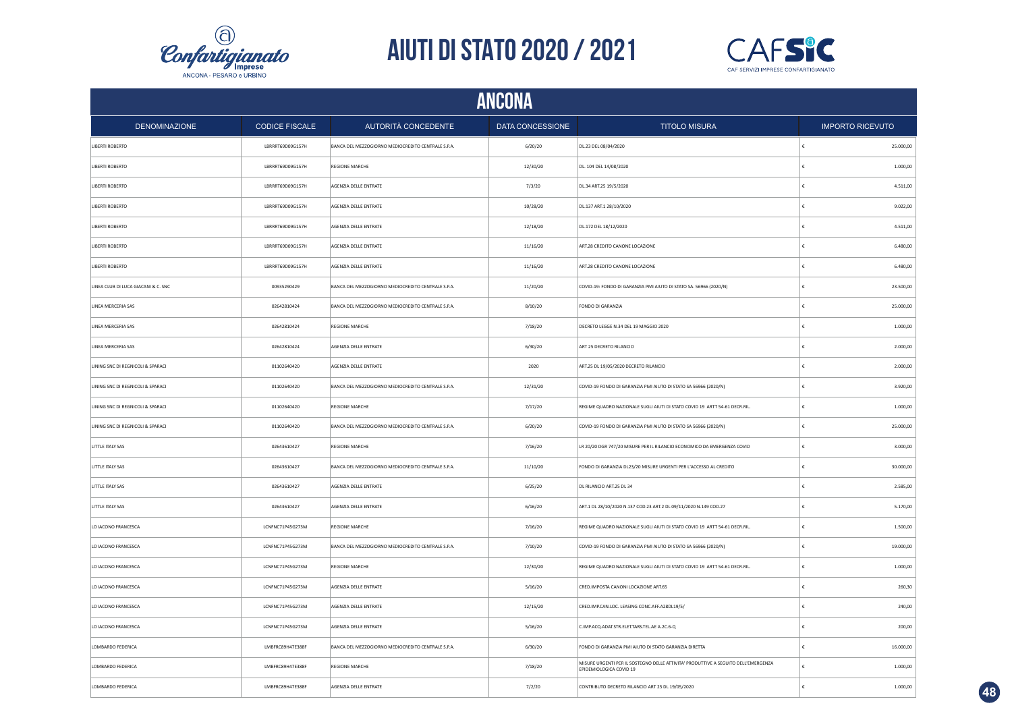



|                                     | <b>ANCONA</b>         |                                                    |                         |                                                                                                               |                         |           |  |  |
|-------------------------------------|-----------------------|----------------------------------------------------|-------------------------|---------------------------------------------------------------------------------------------------------------|-------------------------|-----------|--|--|
| <b>DENOMINAZIONE</b>                | <b>CODICE FISCALE</b> | AUTORITÀ CONCEDENTE                                | <b>DATA CONCESSIONE</b> | <b>TITOLO MISURA</b>                                                                                          | <b>IMPORTO RICEVUTO</b> |           |  |  |
| LIBERTI ROBERTO                     | LBRRRT69D09G157H      | BANCA DEL MEZZOGIORNO MEDIOCREDITO CENTRALE S.P.A. | 6/20/20                 | DL.23 DEL 08/04/2020                                                                                          | ١£                      | 25.000,00 |  |  |
| LIBERTI ROBERTO                     | LBRRRT69D09G157H      | <b>REGIONE MARCHE</b>                              | 12/30/20                | DL. 104 DEL 14/08/2020                                                                                        | $\epsilon$              | 1.000,00  |  |  |
| LIBERTI ROBERTO                     | LBRRRT69D09G157H      | AGENZIA DELLE ENTRATE                              | 7/3/20                  | DL.34 ART.25 19/5/2020                                                                                        | €                       | 4.511,00  |  |  |
| LIBERTI ROBERTO                     | LBRRRT69D09G157H      | AGENZIA DELLE ENTRATE                              | 10/28/20                | DL.137 ART.1 28/10/2020                                                                                       | €                       | 9.022,00  |  |  |
| LIBERTI ROBERTO                     | LBRRRT69D09G157H      | AGENZIA DELLE ENTRATE                              | 12/18/20                | DL.172 DEL 18/12/2020                                                                                         | €                       | 4.511,00  |  |  |
| LIBERTI ROBERTO                     | LBRRRT69D09G157H      | AGENZIA DELLE ENTRATE                              | 11/16/20                | ART.28 CREDITO CANONE LOCAZIONE                                                                               | €                       | 6.480,00  |  |  |
| LIBERTI ROBERTO                     | LBRRRT69D09G157H      | AGENZIA DELLE ENTRATE                              | 11/16/20                | ART.28 CREDITO CANONE LOCAZIONE                                                                               | £                       | 6.480,00  |  |  |
| LINEA CLUB DI LUCA GIACANI & C. SNC | 00935290429           | BANCA DEL MEZZOGIORNO MEDIOCREDITO CENTRALE S.P.A. | 11/20/20                | COVID-19: FONDO DI GARANZIA PMI AIUTO DI STATO SA. 56966 (2020/N)                                             | £                       | 23.500,00 |  |  |
| LINEA MERCERIA SAS                  | 02642810424           | BANCA DEL MEZZOGIORNO MEDIOCREDITO CENTRALE S.P.A. | 8/10/20                 | FONDO DI GARANZIA                                                                                             |                         | 25.000,00 |  |  |
| LINEA MERCERIA SAS                  | 02642810424           | REGIONE MARCHE                                     | 7/18/20                 | DECRETO LEGGE N.34 DEL 19 MAGGIO 2020                                                                         | €                       | 1.000,00  |  |  |
| LINEA MERCERIA SAS                  | 02642810424           | AGENZIA DELLE ENTRATE                              | 6/30/20                 | ART 25 DECRETO RILANCIO                                                                                       |                         | 2.000,00  |  |  |
| LINING SNC DI REGNICOLI & SPARACI   | 01102640420           | AGENZIA DELLE ENTRATE                              | 2020                    | ART.25 DL 19/05/2020 DECRETO RILANCIO                                                                         | £                       | 2.000,00  |  |  |
| LINING SNC DI REGNICOLI & SPARACI   | 01102640420           | BANCA DEL MEZZOGIORNO MEDIOCREDITO CENTRALE S.P.A. | 12/31/20                | COVID-19 FONDO DI GARANZIA PMI AIUTO DI STATO SA 56966 (2020/N)                                               |                         | 3.920,00  |  |  |
| LINING SNC DI REGNICOLI & SPARACI   | 01102640420           | <b>REGIONE MARCHE</b>                              | 7/17/20                 | REGIME QUADRO NAZIONALE SUGLI AIUTI DI STATO COVID 19 ARTT 54-61 DECR.RIL.                                    | £                       | 1.000,00  |  |  |
| LINING SNC DI REGNICOLI & SPARACI   | 01102640420           | BANCA DEL MEZZOGIORNO MEDIOCREDITO CENTRALE S.P.A. | 6/20/20                 | COVID-19 FONDO DI GARANZIA PMI AIUTO DI STATO SA 56966 (2020/N)                                               | $\epsilon$              | 25.000,00 |  |  |
| LITTLE ITALY SAS                    | 02643610427           | <b>REGIONE MARCHE</b>                              | 7/16/20                 | LR 20/20 DGR 747/20 MISURE PER IL RILANCIO ECONOMICO DA EMERGENZA COVID                                       | $\epsilon$              | 3.000,00  |  |  |
| LITTLE ITALY SAS                    | 02643610427           | BANCA DEL MEZZOGIORNO MEDIOCREDITO CENTRALE S.P.A. | 11/10/20                | FONDO DI GARANZIA DL23/20 MISURE URGENTI PER L'ACCESSO AL CREDITO                                             | $\epsilon$              | 30.000,00 |  |  |
| LITTLE ITALY SAS                    | 02643610427           | AGENZIA DELLE ENTRATE                              | 6/25/20                 | DL RILANCIO ART.25 DL 34                                                                                      | €                       | 2.585,00  |  |  |
| LITTLE ITALY SAS                    | 02643610427           | AGENZIA DELLE ENTRATE                              | 6/16/20                 | ART.1 DL 28/10/2020 N.137 COD.23 ART.2 DL 09/11/2020 N.149 COD.27                                             | €                       | 5.170,00  |  |  |
| LO IACONO FRANCESCA                 | LCNFNC71P45G273M      | <b>REGIONE MARCHE</b>                              | 7/16/20                 | REGIME QUADRO NAZIONALE SUGLI AIUTI DI STATO COVID 19 ARTT 54-61 DECR.RIL.                                    | €                       | 1.500,00  |  |  |
| LO IACONO FRANCESCA                 | LCNFNC71P45G273M      | BANCA DEL MEZZOGIORNO MEDIOCREDITO CENTRALE S.P.A. | 7/10/20                 | COVID-19 FONDO DI GARANZIA PMI AIUTO DI STATO SA 56966 (2020/N)                                               | €                       | 19.000,00 |  |  |
| LO IACONO FRANCESCA                 | LCNFNC71P45G273M      | <b>REGIONE MARCHE</b>                              | 12/30/20                | REGIME QUADRO NAZIONALE SUGLI AIUTI DI STATO COVID 19 ARTT 54-61 DECR.RIL.                                    | €                       | 1.000,00  |  |  |
| LO IACONO FRANCESCA                 | LCNFNC71P45G273M      | AGENZIA DELLE ENTRATE                              | 5/16/20                 | CRED.IMPOSTA CANONI LOCAZIONE ART.65                                                                          | €                       | 260,30    |  |  |
| LO IACONO FRANCESCA                 | LCNFNC71P45G273M      | AGENZIA DELLE ENTRATE                              | 12/15/20                | CRED.IMP.CAN.LOC. LEASING CONC.AFF.A28DL19/5/                                                                 |                         | 240,00    |  |  |
| LO IACONO FRANCESCA                 | LCNFNC71P45G273M      | AGENZIA DELLE ENTRATE                              | 5/16/20                 | C.IMP.ACQ.ADAT.STR.ELET.TARS.TEL.AE A.2C.6-Q                                                                  | €                       | 200,00    |  |  |
| LOMBARDO FEDERICA                   | LMBFRC89H47E388F      | BANCA DEL MEZZOGIORNO MEDIOCREDITO CENTRALE S.P.A. | 6/30/20                 | FONDO DI GARANZIA PMI AIUTO DI STATO GARANZIA DIRETTA                                                         |                         | 16.000,00 |  |  |
| LOMBARDO FEDERICA                   | LMBFRC89H47E388F      | <b>REGIONE MARCHE</b>                              | 7/18/20                 | MISURE URGENTI PER IL SOSTEGNO DELLE ATTIVITA' PRODUTTIVE A SEGUITO DELL'EMERGENZA<br>EPIDEMIOLOGICA COVID 19 | $\epsilon$              | 1.000,00  |  |  |
| LOMBARDO FEDERICA                   | LMBFRC89H47E388F      | AGENZIA DELLE ENTRATE                              | 7/2/20                  | CONTRIBUTO DECRETO RILANCIO ART 25 DL 19/05/2020                                                              | ١£                      | 1.000,00  |  |  |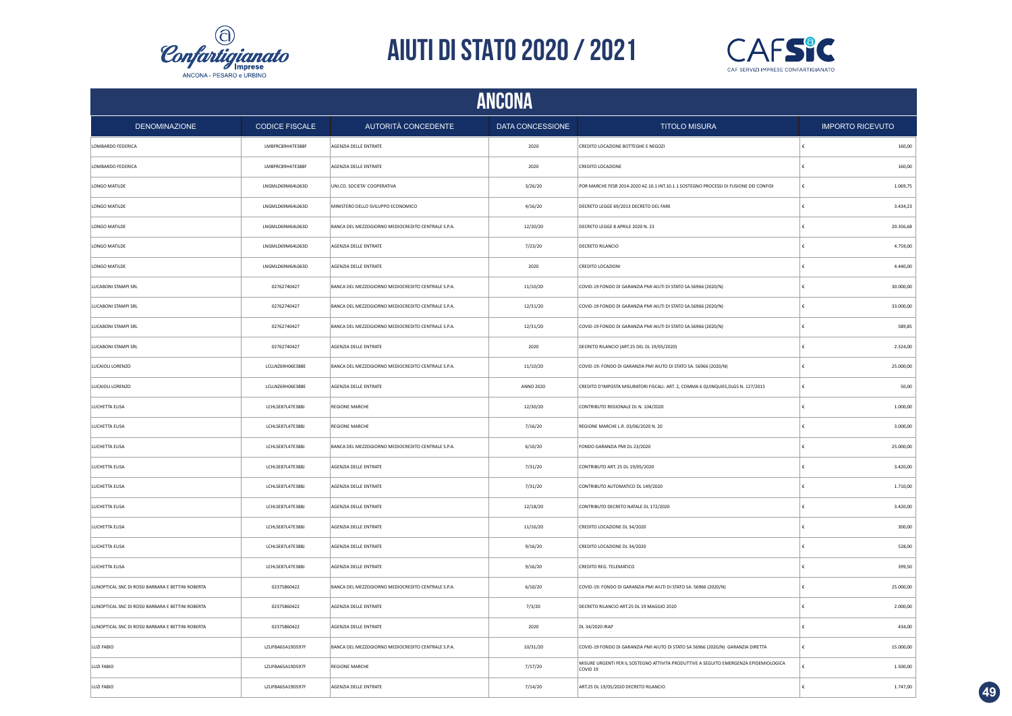



|                                                   | <b>ANCONA</b>         |                                                    |                  |                                                                                                              |            |                         |  |  |
|---------------------------------------------------|-----------------------|----------------------------------------------------|------------------|--------------------------------------------------------------------------------------------------------------|------------|-------------------------|--|--|
| <b>DENOMINAZIONE</b>                              | <b>CODICE FISCALE</b> | AUTORITÀ CONCEDENTE                                | DATA CONCESSIONE | <b>TITOLO MISURA</b>                                                                                         |            | <b>IMPORTO RICEVUTO</b> |  |  |
| LOMBARDO FEDERICA                                 | LMBFRC89H47E388F      | AGENZIA DELLE ENTRATE                              | 2020             | CREDITO LOCAZIONE BOTTEGHE E NEGOZI                                                                          | ŧ          | 160,00                  |  |  |
| LOMBARDO FEDERICA                                 | LMBFRC89H47E388F      | AGENZIA DELLE ENTRATE                              | 2020             | CREDITO LOCAZIONE                                                                                            | €          | 160,00                  |  |  |
| LONGO MATILDE                                     | LNGMLD69M64L063D      | UNI.CO. SOCIETA' COOPERATIVA                       | 3/26/20          | POR MARCHE FESR 2014-2020 AZ.10.1 INT.10.1.1 SOSTEGNO PROCESSI DI FUSIONE DEI CONFIDI                        | l€         | 1.069,75                |  |  |
| LONGO MATILDE                                     | LNGMLD69M64L063D      | MINISTERO DELLO SVILUPPO ECONOMICO                 | 4/16/20          | DECRETO LEGGE 69/2013 DECRETO DEL FARE                                                                       | €          | 3.434,23                |  |  |
| LONGO MATILDE                                     | LNGMLD69M64L063D      | BANCA DEL MEZZOGIORNO MEDIOCREDITO CENTRALE S.P.A. | 12/20/20         | DECRETO LEGGE 8 APRILE 2020 N. 23                                                                            | €          | 20.356,68               |  |  |
| LONGO MATILDE                                     | LNGMLD69M64L063D      | AGENZIA DELLE ENTRATE                              | 7/23/20          | DECRETO RILANCIO                                                                                             | €          | 4.759,00                |  |  |
| LONGO MATILDE                                     | LNGMLD69M64L063D      | AGENZIA DELLE ENTRATE                              | 2020             | CREDITO LOCAZIONI                                                                                            | €          | 4.440,00                |  |  |
| LUCABONI STAMPI SRL                               | 02762740427           | BANCA DEL MEZZOGIORNO MEDIOCREDITO CENTRALE S.P.A. | 11/10/20         | COVID-19 FONDO DI GARANZIA PMI AIUTI DI STATO SA.56966 (2020/N)                                              | €          | 30.000,00               |  |  |
| LUCABONI STAMPI SRL                               | 02762740427           | BANCA DEL MEZZOGIORNO MEDIOCREDITO CENTRALE S.P.A. | 12/31/20         | COVID-19 FONDO DI GARANZIA PMI AIUTI DI STATO SA.56966 (2020/N)                                              |            | 33.000,00               |  |  |
| LUCABONI STAMPI SRL                               | 02762740427           | BANCA DEL MEZZOGIORNO MEDIOCREDITO CENTRALE S.P.A. | 12/31/20         | COVID-19 FONDO DI GARANZIA PMI AIUTI DI STATO SA.56966 (2020/N)                                              | £          | 589,85                  |  |  |
| LUCABONI STAMPI SRL                               | 02762740427           | AGENZIA DELLE ENTRATE                              | 2020             | DECRETO RILANCIO (ART.25 DEL DL 19/05/2020)                                                                  |            | 2.324,00                |  |  |
| LUCAIOLI LORENZO                                  | LCLLNZ69H06E388E      | BANCA DEL MEZZOGIORNO MEDIOCREDITO CENTRALE S.P.A. | 11/10/20         | COVID-19: FONDO DI GARANZIA PMI AIUTO DI STATO SA. 56966 (2020/N)                                            | £          | 25.000,00               |  |  |
| LUCAIOLI LORENZO                                  | LCLLNZ69H06E388E      | AGENZIA DELLE ENTRATE                              | <b>ANNO 2020</b> | CREDITO D'IMPOSTA MISURATORI FISCALI- ART. 2, COMMA 6 QUINQUIES, DLGS N. 127/2015                            | £          | 50,00                   |  |  |
| LUCHETTA ELISA                                    | LCHLSE87L47E388J      | <b>REGIONE MARCHE</b>                              | 12/30/20         | CONTRIBUTO REGIONALE DL N. 104/2020                                                                          | $\epsilon$ | 1.000,00                |  |  |
| LUCHETTA ELISA                                    | LCHLSE87L47E388J      | <b>REGIONE MARCHE</b>                              | 7/16/20          | REGIONE MARCHE L.R. 03/06/2020 N. 20                                                                         | €          | 3.000,00                |  |  |
| LUCHETTA ELISA                                    | LCHLSE87L47E388J      | BANCA DEL MEZZOGIORNO MEDIOCREDITO CENTRALE S.P.A. | 6/10/20          | FONDO GARANZIA PMI DL 23/2020                                                                                | €          | 25.000,00               |  |  |
| LUCHETTA ELISA                                    | LCHLSE87L47E388J      | AGENZIA DELLE ENTRATE                              | 7/31/20          | CONTRIBUTO ART. 25 DL 19/05/2020                                                                             |            | 3.420,00                |  |  |
| LUCHETTA ELISA                                    | LCHLSE87L47E388J      | AGENZIA DELLE ENTRATE                              | 7/31/20          | CONTRIBUTO AUTOMATICO DL 149/2020                                                                            | €          | 1.710,00                |  |  |
| LUCHETTA ELISA                                    | LCHLSE87L47E388J      | AGENZIA DELLE ENTRATE                              | 12/18/20         | CONTRIBUTO DECRETO NATALE DL 172/2020                                                                        | €          | 3.420,00                |  |  |
| LUCHETTA ELISA                                    | LCHLSE87L47E388J      | AGENZIA DELLE ENTRATE                              | 11/16/20         | CREDITO LOCAZIONE DL 34/2020                                                                                 | €          | 300,00                  |  |  |
| LUCHETTA ELISA                                    | LCHLSE87L47E388J      | AGENZIA DELLE ENTRATE                              | 9/16/20          | CREDITO LOCAZIONE DL 34/2020                                                                                 | £          | 528,00                  |  |  |
| LUCHETTA ELISA                                    | LCHLSE87L47E388J      | AGENZIA DELLE ENTRATE                              | 9/16/20          | CREDITO REG. TELEMATICO                                                                                      | £          | 399,50                  |  |  |
| LUNOPTICAL SNC DI ROSSI BARBARA E BETTINI ROBERTA | 02375860422           | BANCA DEL MEZZOGIORNO MEDIOCREDITO CENTRALE S.P.A. | 6/10/20          | COVID-19: FONDO DI GARANZIA PMI AIUTI DI STATO SA, 56966 (2020/N)                                            | €          | 25.000,00               |  |  |
| LUNOPTICAL SNC DI ROSSI BARBARA E BETTINI ROBERTA | 02375860422           | AGENZIA DELLE ENTRATE                              | 7/3/20           | DECRETO RILANCIO ART.25 DL 19 MAGGIO 2020                                                                    |            | 2.000,00                |  |  |
| LUNOPTICAL SNC DI ROSSI BARBARA E BETTINI ROBERTA | 02375860422           | AGENZIA DELLE ENTRATE                              | 2020             | DL 34/2020 IRAP                                                                                              |            | 434,00                  |  |  |
| LUZI FABIO                                        | LZUFBA65A19D597F      | BANCA DEL MEZZOGIORNO MEDIOCREDITO CENTRALE S.P.A. | 10/31/20         | COVID-19 FONDO DI GARANZIA PMI AIUTO DI STATO SA 56966 (2020/N) GARANZIA DIRETTA                             |            | 15.000,00               |  |  |
| LUZI FABIO                                        | LZUFBA65A19D597F      | <b>REGIONE MARCHE</b>                              | 7/17/20          | MISURE URGENTI PER IL SOSTEGNO ATTIVITA PRODUTTIVE A SEGUITO EMERGENZA EPIDEMIOLOGICA<br>COVID <sub>19</sub> | €          | 1.500,00                |  |  |
| LUZI FABIO                                        | LZUFBA65A19D597F      | AGENZIA DELLE ENTRATE                              | 7/14/20          | ART.25 DL 19/05/2020 DECRETO RILANCIO                                                                        | ŧ          | 1.747,00                |  |  |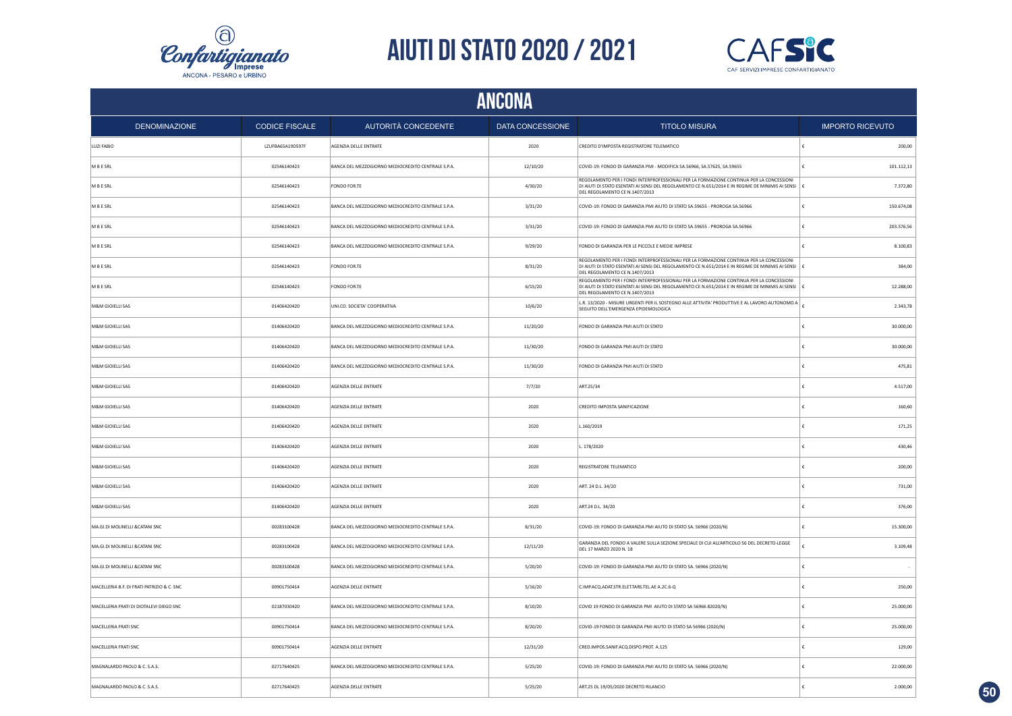



|                                            | ANCONA                |                                                    |                         |                                                                                                                                                                                                                                     |                          |  |  |  |
|--------------------------------------------|-----------------------|----------------------------------------------------|-------------------------|-------------------------------------------------------------------------------------------------------------------------------------------------------------------------------------------------------------------------------------|--------------------------|--|--|--|
| <b>DENOMINAZIONE</b>                       | <b>CODICE FISCALE</b> | AUTORITÀ CONCEDENTE                                | <b>DATA CONCESSIONE</b> | <b>TITOLO MISURA</b>                                                                                                                                                                                                                | <b>IMPORTO RICEVUTO</b>  |  |  |  |
| LUZI FABIO                                 | LZUFBA65A19D597F      | AGENZIA DELLE ENTRATE                              | 2020                    | CREDITO D'IMPOSTA REGISTRATORE TELEMATICO                                                                                                                                                                                           | 200,00                   |  |  |  |
| M B E SRL                                  | 02546140423           | BANCA DEL MEZZOGIORNO MEDIOCREDITO CENTRALE S.P.A. | 12/10/20                | COVID-19: FONDO DI GARANZIA PMI - MODIFICA SA.56966, SA.57625, SA.59655                                                                                                                                                             | 101.112,13<br>£          |  |  |  |
| M B E SRL                                  | 02546140423           | FONDO FOR.TE                                       | 4/30/20                 | REGOLAMENTO PER I FONDI INTERPROFESSIONALI PER LA FORMAZIONE CONTINUA PER LA CONCESSIONI<br>DI AIUTI DI STATO ESENTATI AI SENSI DEL REGOLAMENTO CE N.651/2014 E IN REGIME DE MINIMIS AI SENSI   €<br>DEL REGOLAMENTO CE N.1407/2013 | 7.372,80                 |  |  |  |
| M B E SRL                                  | 02546140423           | BANCA DEL MEZZOGIORNO MEDIOCREDITO CENTRALE S.P.A. | 3/31/20                 | COVID-19: FONDO DI GARANZIA PMI AIUTO DI STATO SA.59655 - PROROGA SA.56966                                                                                                                                                          | 150.674,08<br>$\epsilon$ |  |  |  |
| M B E SRL                                  | 02546140423           | BANCA DEL MEZZOGIORNO MEDIOCREDITO CENTRALE S.P.A. | 3/31/20                 | COVID-19: FONDO DI GARANZIA PMI AIUTO DI STATO SA.59655 - PROROGA SA.56966                                                                                                                                                          | 203.576,56               |  |  |  |
| M B E SRL                                  | 02546140423           | BANCA DEL MEZZOGIORNO MEDIOCREDITO CENTRALE S.P.A. | 9/29/20                 | FONDO DI GARANZIA PER LE PICCOLE E MEDIE IMPRESE                                                                                                                                                                                    | 8.100,83                 |  |  |  |
| M B E SRL                                  | 02546140423           | FONDO FOR.TE                                       | 8/31/20                 | REGOLAMENTO PER I FONDI INTERPROFESSIONALI PER LA FORMAZIONE CONTINUA PER LA CONCESSIONI<br>DI AIUTI DI STATO ESENTATI AI SENSI DEL REGOLAMENTO CE N.651/2014 E IN REGIME DE MINIMIS AI SENSI<br>DEL REGOLAMENTO CE N.1407/2013     | 384,00                   |  |  |  |
| M B E SRL                                  | 02546140423           | FONDO FOR.TE                                       | 6/15/20                 | REGOLAMENTO PER I FONDI INTERPROFESSIONALI PER LA FORMAZIONE CONTINUA PER LA CONCESSIONI<br>DI AIUTI DI STATO ESENTATI AI SENSI DEL REGOLAMENTO CE N.651/2014 E IN REGIME DE MINIMIS AI SENSI   €<br>DEL REGOLAMENTO CE N.1407/2013 | 12.288,00                |  |  |  |
| M&M GIOIELLI SAS                           | 01406420420           | UNI.CO. SOCIETA' COOPERATIVA                       | 10/6/20                 | L.R. 13/2020 - MISURE URGENTI PER IL SOSTEGNO ALLE ATTIVITA' PRODUTTIVE E AL LAVORO AUTONOMO A $\vert$<br>SEGUITO DELL'EMERGENZA EPIDEMOLOGICA                                                                                      | 2.343,78                 |  |  |  |
| M&M GIOIELLI SAS                           | 01406420420           | BANCA DEL MEZZOGIORNO MEDIOCREDITO CENTRALE S.P.A. | 11/20/20                | FONDO DI GARANZIA PMI AIUTI DI STATO                                                                                                                                                                                                | 30.000,00                |  |  |  |
| M&M GIOIELLI SAS                           | 01406420420           | BANCA DEL MEZZOGIORNO MEDIOCREDITO CENTRALE S.P.A. | 11/30/20                | FONDO DI GARANZIA PMI AIUTI DI STATO                                                                                                                                                                                                | 30.000,00                |  |  |  |
| M&M GIOIELLI SAS                           | 01406420420           | BANCA DEL MEZZOGIORNO MEDIOCREDITO CENTRALE S.P.A. | 11/30/20                | FONDO DI GARANZIA PMI AIUTI DI STATO                                                                                                                                                                                                | 475,81                   |  |  |  |
| M&M GIOIELLI SAS                           | 01406420420           | AGENZIA DELLE ENTRATE                              | 7/7/20                  | ART.25/34                                                                                                                                                                                                                           | 4.517,00                 |  |  |  |
| M&M GIOIELLI SAS                           | 01406420420           | AGENZIA DELLE ENTRATE                              | 2020                    | CREDITO IMPOSTA SANIFICAZIONE                                                                                                                                                                                                       | 160,60<br>£              |  |  |  |
| M&M GIOIELLI SAS                           | 01406420420           | <b>AGENZIA DELLE ENTRATE</b>                       | 2020                    | L.160/2019                                                                                                                                                                                                                          | 171.25                   |  |  |  |
| M&M GIOIELLI SAS                           | 01406420420           | <b>AGENZIA DELLE ENTRATE</b>                       | 2020                    | L. 178/2020                                                                                                                                                                                                                         | 430.46<br>£              |  |  |  |
| M&M GIOIELLI SAS                           | 01406420420           | AGENZIA DELLE ENTRATE                              | 2020                    | REGISTRATORE TELEMATICO                                                                                                                                                                                                             | 200.00                   |  |  |  |
| M&M GIOIELLI SAS                           | 01406420420           | AGENZIA DELLE ENTRATE                              | 2020                    | ART. 24 D.L. 34/20                                                                                                                                                                                                                  | 731,00<br>£              |  |  |  |
| M&M GIOIELLI SAS                           | 01406420420           | AGENZIA DELLE ENTRATE                              | 2020                    | ART.24 D.L. 34/20                                                                                                                                                                                                                   | 376,00                   |  |  |  |
| MA.GI.DI MOLINELLI & CATANI SNC            | 00283100428           | BANCA DEL MEZZOGIORNO MEDIOCREDITO CENTRALE S.P.A. | 8/31/20                 | COVID-19: FONDO DI GARANZIA PMI AIUTO DI STATO SA. 56966 (2020/N)                                                                                                                                                                   | 15.300,00                |  |  |  |
| MA.GI.DI MOLINELLI &CATANI SNC             | 00283100428           | BANCA DEL MEZZOGIORNO MEDIOCREDITO CENTRALE S.P.A. | 12/11/20                | GARANZIA DEL FONDO A VALERE SULLA SEZIONE SPECIALE DI CUI ALL'ARTICOLO 56 DEL DECRETO-LEGGE<br>DEL 17 MARZO 2020 N. 18                                                                                                              | 3.109,48                 |  |  |  |
| MA.GI.DI MOLINELLI &CATANI SNC             | 00283100428           | BANCA DEL MEZZOGIORNO MEDIOCREDITO CENTRALE S.P.A. | 5/20/20                 | COVID-19: FONDO DI GARANZIA PMI AIUTO DI STATO SA. 56966 (2020/N)                                                                                                                                                                   |                          |  |  |  |
| MACELLERIA B.F. DI FRATI PATRIZIO & C. SNC | 00901750414           | AGENZIA DELLE ENTRATE                              | 5/16/20                 | C.IMP.ACQ.ADAT.STR.ELET.TARS.TEL.AE A.2C.6-Q                                                                                                                                                                                        | 250,00                   |  |  |  |
| MACELLERIA FRATI DI DIOTALEVI DIEGO SNC    | 02187030420           | BANCA DEL MEZZOGIORNO MEDIOCREDITO CENTRALE S.P.A. | 8/10/20                 | COVID 19 FONDO DI GARANZIA PMI AIUTO DI STATO SA 56966 82020/N)                                                                                                                                                                     | 25.000,00                |  |  |  |
| MACELLERIA FRATI SNC                       | 00901750414           | BANCA DEL MEZZOGIORNO MEDIOCREDITO CENTRALE S.P.A. | 8/20/20                 | COVID-19 FONDO DI GARANZIA PMI AIUTO DI STATO SA 56966 (2020/N)                                                                                                                                                                     | 25.000,00                |  |  |  |
| MACELLERIA FRATI SNC                       | 00901750414           | AGENZIA DELLE ENTRATE                              | 12/31/20                | CRED.IMPOS.SANIF.ACQ.DISPO.PROT. A.125                                                                                                                                                                                              | 129,00                   |  |  |  |
| MAGNALARDO PAOLO & C. S.A.S.               | 02717640425           | BANCA DEL MEZZOGIORNO MEDIOCREDITO CENTRALE S.P.A. | 5/25/20                 | COVID-19: FONDO DI GARANZIA PMI AIUTO DI STATO SA. 56966 (2020/N)                                                                                                                                                                   | 22.000,00<br>£           |  |  |  |
| MAGNALARDO PAOLO & C. S.A.S.               | 02717640425           | AGENZIA DELLE ENTRATE                              | 5/25/20                 | ART.25 DL 19/05/2020 DECRETO RILANCIO                                                                                                                                                                                               | 2.000.00                 |  |  |  |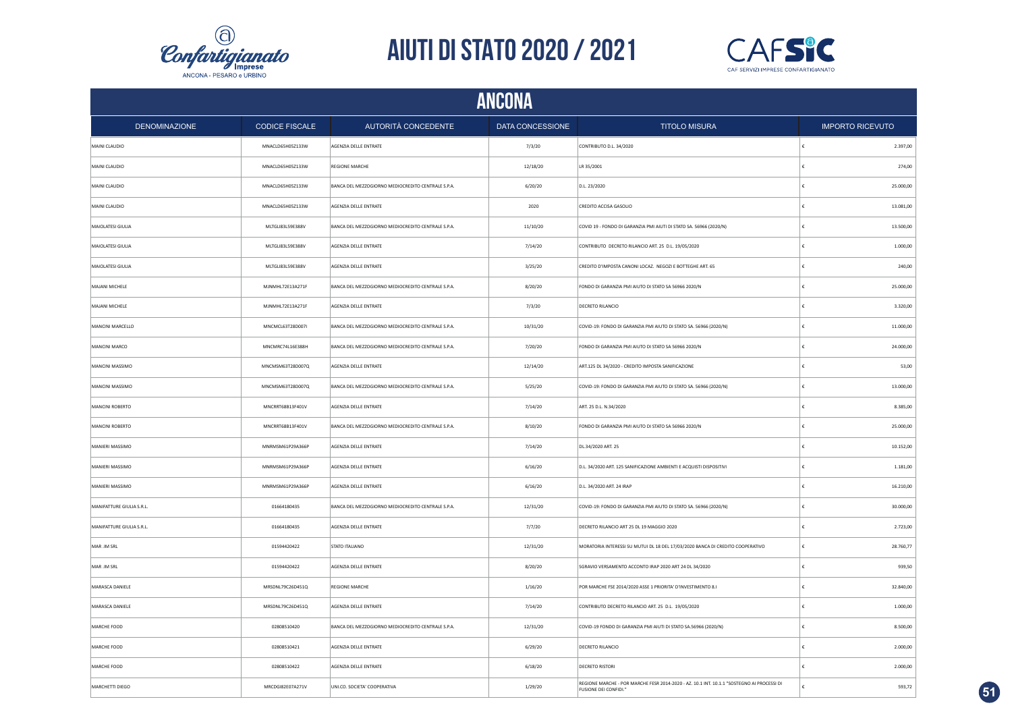



|                           | ANCONA                |                                                    |                  |                                                                                                                          |   |                         |  |  |
|---------------------------|-----------------------|----------------------------------------------------|------------------|--------------------------------------------------------------------------------------------------------------------------|---|-------------------------|--|--|
| <b>DENOMINAZIONE</b>      | <b>CODICE FISCALE</b> | AUTORITÀ CONCEDENTE                                | DATA CONCESSIONE | <b>TITOLO MISURA</b>                                                                                                     |   | <b>IMPORTO RICEVUTO</b> |  |  |
| MAINI CLAUDIO             | MNACLD65H05Z133W      | AGENZIA DELLE ENTRATE                              | 7/3/20           | CONTRIBUTO D.L. 34/2020                                                                                                  |   | 2.397,00                |  |  |
| MAINI CLAUDIO             | MNACLD65H05Z133W      | <b>REGIONE MARCHE</b>                              | 12/18/20         | LR 35/2001                                                                                                               |   | 274,00                  |  |  |
| MAINI CLAUDIO             | MNACLD65H05Z133W      | BANCA DEL MEZZOGIORNO MEDIOCREDITO CENTRALE S.P.A. | 6/20/20          | D.L. 23/2020                                                                                                             |   | 25.000,00               |  |  |
| MAINI CLAUDIO             | MNACLD65H05Z133W      | AGENZIA DELLE ENTRATE                              | 2020             | CREDITO ACCISA GASOLIO                                                                                                   |   | 13.081,00               |  |  |
| MAIOLATESI GIULIA         | MLTGLI83L59E388V      | BANCA DEL MEZZOGIORNO MEDIOCREDITO CENTRALE S.P.A. | 11/10/20         | COVID 19 - FONDO DI GARANZIA PMI AIUTI DI STATO SA. 56966 (2020/N)                                                       |   | 13.500,00               |  |  |
| MAIOLATESI GIULIA         | MLTGLI83L59E388V      | AGENZIA DELLE ENTRATE                              | 7/14/20          | CONTRIBUTO DECRETO RILANCIO ART. 25 D.L. 19/05/2020                                                                      |   | 1.000,00                |  |  |
| MAIOLATESI GIULIA         | MLTGLI83L59E388V      | AGENZIA DELLE ENTRATE                              | 3/25/20          | CREDITO D'IMPOSTA CANONI LOCAZ. NEGOZI E BOTTEGHE ART. 65                                                                |   | 240,00                  |  |  |
| MAJANI MICHELE            | MJNMHL72E13A271F      | BANCA DEL MEZZOGIORNO MEDIOCREDITO CENTRALE S.P.A. | 8/20/20          | FONDO DI GARANZIA PMI AIUTO DI STATO SA 56966 2020/N                                                                     |   | 25.000,00               |  |  |
| MAJANI MICHELE            | MJNMHL72E13A271F      | AGENZIA DELLE ENTRATE                              | 7/3/20           | <b>DECRETO RILANCIO</b>                                                                                                  |   | 3.320,00                |  |  |
| MANCINI MARCELLO          | MNCMCL63T28D007I      | BANCA DEL MEZZOGIORNO MEDIOCREDITO CENTRALE S.P.A. | 10/31/20         | COVID-19: FONDO DI GARANZIA PMI AIUTO DI STATO SA. 56966 (2020/N)                                                        |   | 11.000,00               |  |  |
| MANCINI MARCO             | MNCMRC74L16E388H      | BANCA DEL MEZZOGIORNO MEDIOCREDITO CENTRALE S.P.A. | 7/20/20          | FONDO DI GARANZIA PMI AIUTO DI STATO SA 56966 2020/N                                                                     |   | 24.000,00               |  |  |
| MANCINI MASSIMO           | MNCMSM63T28D007Q      | AGENZIA DELLE ENTRATE                              | 12/14/20         | ART.125 DL 34/2020 - CREDITO IMPOSTA SANIFICAZIONE                                                                       | £ | 53,00                   |  |  |
| MANCINI MASSIMO           | MNCMSM63T28D007Q      | BANCA DEL MEZZOGIORNO MEDIOCREDITO CENTRALE S.P.A. | 5/25/20          | COVID-19: FONDO DI GARANZIA PMI AIUTO DI STATO SA. 56966 (2020/N)                                                        |   | 13.000,00               |  |  |
| MANCINI ROBERTO           | MNCRRT68B13F401V      | AGENZIA DELLE ENTRATE                              | 7/14/20          | ART. 25 D.L. N.34/2020                                                                                                   | € | 8.385.00                |  |  |
| MANCINI ROBERTO           | MNCRRT68B13F401V      | BANCA DEL MEZZOGIORNO MEDIOCREDITO CENTRALE S.P.A. | 8/10/20          | FONDO DI GARANZIA PMI AIUTO DI STATO SA 56966 2020/N                                                                     |   | 25.000,00               |  |  |
| MANIERI MASSIMO           | MNRMSM61P29A366P      | AGENZIA DELLE ENTRATE                              | 7/14/20          | DL.34/2020 ART. 25                                                                                                       |   | 10.152,00               |  |  |
| MANIERI MASSIMO           | MNRMSM61P29A366P      | AGENZIA DELLE ENTRATE                              | 6/16/20          | D.L. 34/2020 ART. 125 SANIFICAZIONE AMBIENTI E ACQUISTI DISPOSITIVI                                                      |   | 1.181,00                |  |  |
| MANIERI MASSIMO           | MNRMSM61P29A366P      | AGENZIA DELLE ENTRATE                              | 6/16/20          | D.L. 34/2020 ART. 24 IRAP                                                                                                |   | 16.210,00               |  |  |
| MANIFATTURE GIULIA S.R.L. | 01664180435           | BANCA DEL MEZZOGIORNO MEDIOCREDITO CENTRALE S.P.A. | 12/31/20         | COVID-19: FONDO DI GARANZIA PMI AIUTO DI STATO SA. 56966 (2020/N)                                                        |   | 30.000,00               |  |  |
| MANIFATTURE GIULIA S.R.L. | 01664180435           | AGENZIA DELLE ENTRATE                              | 7/7/20           | DECRETO RILANCIO ART 25 DL 19 MAGGIO 2020                                                                                |   | 2.723,00                |  |  |
| MAR .IM SRL               | 01594420422           | STATO ITALIANO                                     | 12/31/20         | MORATORIA INTERESSI SU MUTUI DL 18 DEL 17/03/2020 BANCA DI CREDITO COOPERATIVO                                           |   | 28.760,77               |  |  |
| MAR .IM SRL               | 01594420422           | AGENZIA DELLE ENTRATE                              | 8/20/20          | SGRAVIO VERSAMENTO ACCONTO IRAP 2020 ART 24 DL 34/2020                                                                   |   | 939,50                  |  |  |
| MARASCA DANIELE           | MRSDNL79C26D451Q      | <b>REGIONE MARCHE</b>                              | 1/16/20          | POR MARCHE FSE 2014/2020 ASSE 1 PRIORITA' D'INVESTIMENTO 8.1                                                             |   | 32.840,00               |  |  |
| MARASCA DANIELE           | MRSDNL79C26D451Q      | AGENZIA DELLE ENTRATE                              | 7/14/20          | CONTRIBUTO DECRETO RILANCIO ART. 25 D.L. 19/05/2020                                                                      |   | 1.000,00                |  |  |
| MARCHE FOOD               | 02808510420           | BANCA DEL MEZZOGIORNO MEDIOCREDITO CENTRALE S.P.A. | 12/31/20         | COVID-19 FONDO DI GARANZIA PMI AIUTI DI STATO SA.56966 (2020/N)                                                          |   | 8.500,00                |  |  |
| MARCHE FOOD               | 02808510421           | AGENZIA DELLE ENTRATE                              | 6/29/20          | <b>DECRETO RILANCIO</b>                                                                                                  |   | 2.000,00                |  |  |
| MARCHE FOOD               | 02808510422           | AGENZIA DELLE ENTRATE                              | 6/18/20          | <b>DECRETO RISTORI</b>                                                                                                   |   | 2.000,00                |  |  |
| MARCHETTI DIEGO           | MRCDGI82E07A271V      | UNI.CO. SOCIETA' COOPERATIVA                       | 1/29/20          | REGIONE MARCHE - POR MARCHE FESR 2014-2020 - AZ. 10.1 INT. 10.1.1 "SOSTEGNO AI PROCESSI DI<br><b>FUSIONE DEI CONFIDI</b> | £ | 593,72                  |  |  |

**51**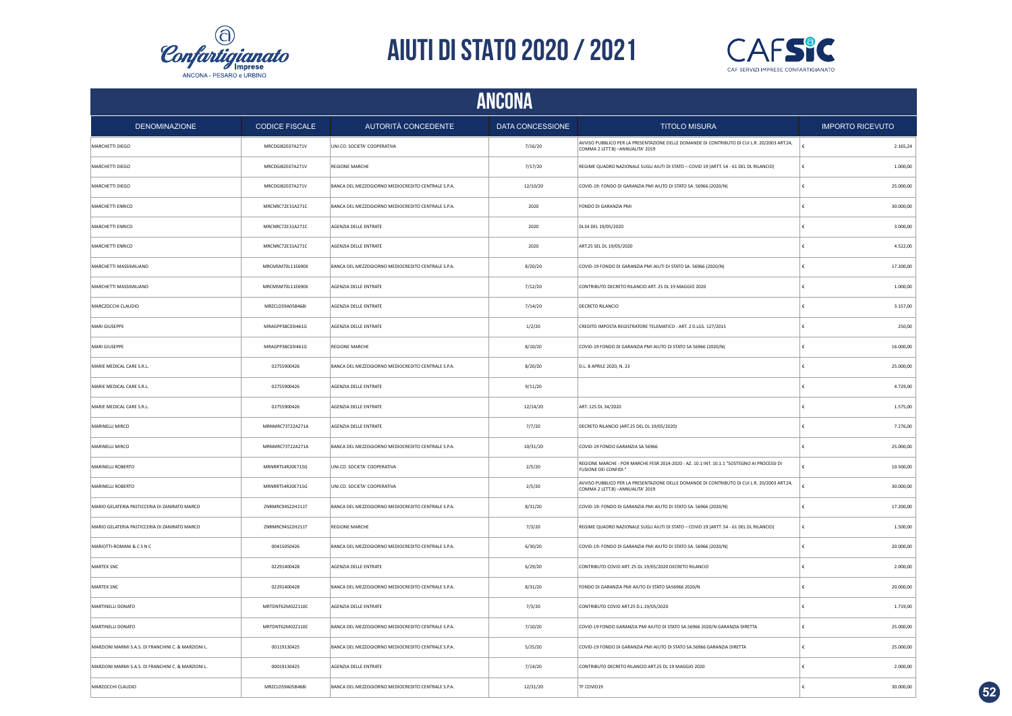



|                                                     | <b>ANCONA</b>         |                                                    |                  |                                                                                                                                   |                         |  |  |
|-----------------------------------------------------|-----------------------|----------------------------------------------------|------------------|-----------------------------------------------------------------------------------------------------------------------------------|-------------------------|--|--|
| <b>DENOMINAZIONE</b>                                | <b>CODICE FISCALE</b> | AUTORITÀ CONCEDENTE                                | DATA CONCESSIONE | <b>TITOLO MISURA</b>                                                                                                              | <b>IMPORTO RICEVUTO</b> |  |  |
| MARCHETTI DIEGO                                     | MRCDGI82E07A271V      | UNI.CO. SOCIETA' COOPERATIVA                       | 7/16/20          | AVVISO PUBBLICO PER LA PRESENTAZIONE DELLE DOMANDE DI CONTRIBUTO DI CUI L.R. 20/2003 ART.24,<br>COMMA 2 LETT.B) - ANNUALITA' 2019 | 2.165,24                |  |  |
| MARCHETTI DIEGO                                     | MRCDGI82E07A271V      | <b>REGIONE MARCHE</b>                              | 7/17/20          | REGIME QUADRO NAZIONALE SUGLI AIUTI DI STATO - COVID 19 (ARTT. 54 - 61 DEL DL RILANCIO)                                           | 1.000,00                |  |  |
| MARCHETTI DIEGO                                     | MRCDGI82E07A271V      | BANCA DEL MEZZOGIORNO MEDIOCREDITO CENTRALE S.P.A. | 12/10/20         | COVID-19: FONDO DI GARANZIA PMI AIUTO DI STATO SA. 56966 (2020/N)                                                                 | 25.000,00               |  |  |
| MARCHETTI ENRICO                                    | MRCNRC72E31A271C      | BANCA DEL MEZZOGIORNO MEDIOCREDITO CENTRALE S.P.A. | 2020             | FONDO DI GARANZIA PMI                                                                                                             | 30.000,00               |  |  |
| MARCHETTI ENRICO                                    | MRCNRC72E31A271C      | AGENZIA DELLE ENTRATE                              | 2020             | DL34 DEL 19/05/2020                                                                                                               | 3.000,00                |  |  |
| MARCHETTI ENRICO                                    | MRCNRC72E31A271C      | AGENZIA DELLE ENTRATE                              | 2020             | ART.25 SEL DL 19/05/2020                                                                                                          | 4.522,00                |  |  |
| MARCHETTI MASSIMILIANO                              | MRCMSM70L11E690X      | BANCA DEL MEZZOGIORNO MEDIOCREDITO CENTRALE S.P.A. | 8/20/20          | COVID-19 FONDO DI GARANZIA PMI AIUTI DI STATO SA. 56966 (2020/N)                                                                  | 17.200,00               |  |  |
| MARCHETTI MASSIMILIANO                              | MRCMSM70L11E690X      | AGENZIA DELLE ENTRATE                              | 7/12/20          | CONTRIBUTO DECRETO RILANCIO ART. 25 DL 19 MAGGIO 2020                                                                             | 1.000,00                |  |  |
| MARCZOCCHI CLAUDIO                                  | MRZCLD59A05B468I      | AGENZIA DELLE ENTRATE                              | 7/14/20          | DECRETO RILANCIO                                                                                                                  | 3.157,00                |  |  |
| MARI GIUSEPPE                                       | MRAGPP38C03I461G      | AGENZIA DELLE ENTRATE                              | 1/2/20           | CREDITO IMPOSTA REGISTRATORE TELEMATICO - ART. 2 D.LGS. 127/2015                                                                  | 250.00                  |  |  |
| MARI GIUSEPPE                                       | MRAGPP38C03I461G      | <b>REGIONE MARCHE</b>                              | 8/10/20          | COVID-19 FONDO DI GARANZIA PMI AIUTO DI STATO SA 56966 (2020/N)                                                                   | 16.000,00               |  |  |
| MARIE MEDICAL CARE S.R.L.                           | 02755900426           | BANCA DEL MEZZOGIORNO MEDIOCREDITO CENTRALE S.P.A. | 8/20/20          | D.L. 8 APRILE 2020, N. 23                                                                                                         | 25.000,00               |  |  |
| MARIE MEDICAL CARE S.R.L.                           | 02755900426           | AGENZIA DELLE ENTRATE                              | 9/11/20          |                                                                                                                                   | 4.729,00                |  |  |
| MARIE MEDICAL CARE S.R.L.                           | 02755900426           | AGENZIA DELLE ENTRATE                              | 12/14/20         | ART. 125 DL 34/2020                                                                                                               | 1.575,00                |  |  |
| MARINELLI MIRCO                                     | MRNMRC73T22A271A      | AGENZIA DELLE ENTRATE                              | 7/7/20           | DECRETO RILANCIO (ART.25 DEL DL 19/05/2020)                                                                                       | 7.276,00                |  |  |
| MARINELLI MIRCO                                     | MRNMRC73T22A271A      | BANCA DEL MEZZOGIORNO MEDIOCREDITO CENTRALE S.P.A. | 10/31/20         | COVID-19 FONDO GARANZIA SA 56966                                                                                                  | 25.000,00               |  |  |
| MARINELLI ROBERTO                                   | MRNRRT54R20E715G      | UNI.CO. SOCIETA' COOPERATIVA                       | 2/5/20           | REGIONE MARCHE - POR MARCHE FESR 2014-2020 - AZ. 10.1 INT. 10.1.1 "SOSTEGNO AI PROCESSI DI<br><b>FUSIONE DEI CONFIDI.</b>         | 10.500,00               |  |  |
| MARINELLI ROBERTO                                   | MRNRRT54R20E715G      | UNI.CO. SOCIETA' COOPERATIVA                       | 2/5/20           | AVVISO PUBBLICO PER LA PRESENTAZIONE DELLE DOMANDE DI CONTRIBUTO DI CUI L.R. 20/2003 ART.24,<br>COMMA 2 LETT.B) - ANNUALITA' 2019 | 30.000,00               |  |  |
| MARIO GELATERIA PASTICCERIA DI ZANIRATO MARCO       | ZNRMRC94S22H211T      | BANCA DEL MEZZOGIORNO MEDIOCREDITO CENTRALE S.P.A. | 8/31/20          | COVID-19: FONDO DI GARANZIA PMI AIUTO DI STATO SA. 56966 (2020/N)                                                                 | 17,200.00               |  |  |
| MARIO GELATERIA PASTICCERIA DI ZANIRATO MARCO       | ZNRMRC94S22H211T      | <b>REGIONE MARCHE</b>                              | 7/3/20           | REGIME QUADRO NAZIONALE SUGLI AIUTI DI STATO - COVID 19 (ARTT. 54 - 61 DEL DL RILANCIO)                                           | 1,500.00                |  |  |
| MARIOTTI-ROMANI & C S N C                           | 00415050426           | BANCA DEL MEZZOGIORNO MEDIOCREDITO CENTRALE S.P.A. | 6/30/20          | COVID-19: FONDO DI GARANZIA PMI AIUTO DI STATO SA. 56966 (2020/N)                                                                 | 20.000,00               |  |  |
| MARTEK SNC                                          | 02291400428           | AGENZIA DELLE ENTRATE                              | 6/29/20          | CONTRIBUTO COVID ART. 25 DL 19/05/2020 DECRETO RILANCIO                                                                           | 2.000,00                |  |  |
| MARTEK SNC                                          | 02291400428           | BANCA DEL MEZZOGIORNO MEDIOCREDITO CENTRALE S.P.A. | 8/31/20          | FONDO DI GARANZIA PMI AIUTO DI STATO SA56966 2020/N                                                                               | 20.000,00               |  |  |
| MARTINELLI DONATO                                   | MRTDNT62M02Z110C      | AGENZIA DELLE ENTRATE                              | 7/3/20           | CONTRIBUTO COVID ART.25 D.L.19/05/2020                                                                                            | 1.719,00                |  |  |
| MARTINELLI DONATO                                   | MRTDNT62M02Z110C      | BANCA DEL MEZZOGIORNO MEDIOCREDITO CENTRALE S.P.A. | 7/10/20          | COVID-19 FONDO GARANZIA PMI AIUTO DI STATO SA.56966 2020/N GARANZIA DIRETTA                                                       | 25.000,00               |  |  |
| MARZIONI MARMI S.A.S. DI FRANCHINI C. & MARZIONI L. | 00119130425           | BANCA DEL MEZZOGIORNO MEDIOCREDITO CENTRALE S.P.A. | 5/25/20          | COVID-19 FONDO DI GARANZIA PMI AIUTO DI STATO SA.56966 GARANZIA DIRETTA                                                           | 25.000,00               |  |  |
| MARZIONI MARMI S.A.S. DI FRANCHINI C. & MARZIONI L. | 00019130425           | AGENZIA DELLE ENTRATE                              | 7/14/20          | CONTRIBUTO DECRETO RILANCIO ART.25 DL 19 MAGGIO 2020                                                                              | 2.000,00                |  |  |
| MARZOCCHI CLAUDIO                                   | MRZCLD59A05B468I      | BANCA DEL MEZZOGIORNO MEDIOCREDITO CENTRALE S.P.A. | 12/31/20         | TF COVID19                                                                                                                        | 30,000.00               |  |  |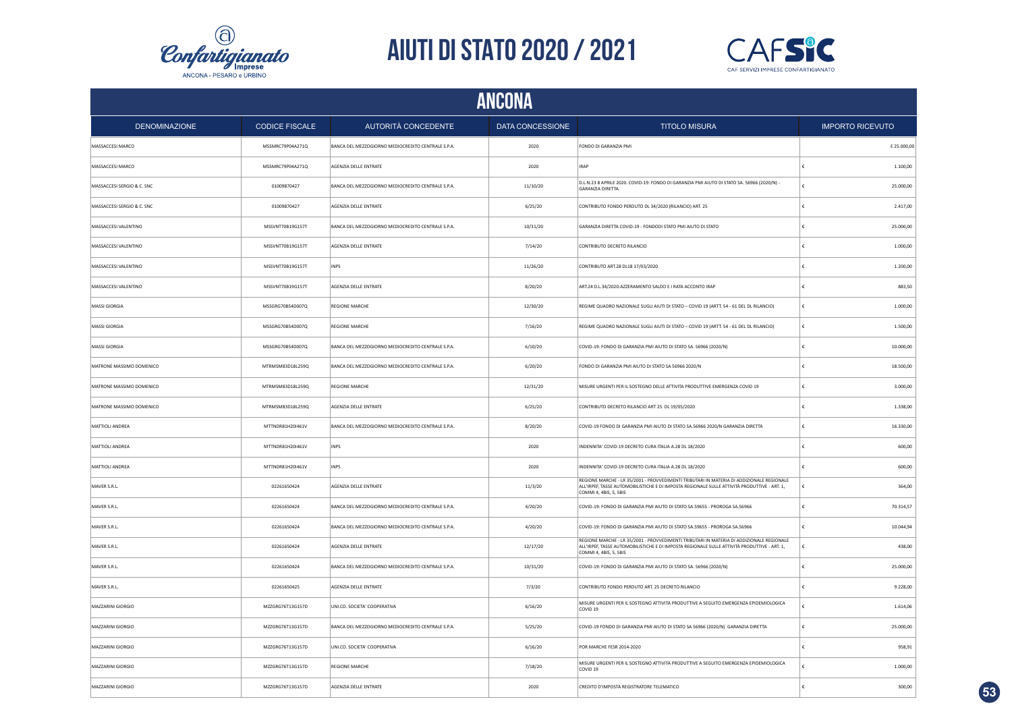



| <b>ANCONA</b>              |                       |                                                    |                  |                                                                                                                                                                                                                     |                         |  |  |
|----------------------------|-----------------------|----------------------------------------------------|------------------|---------------------------------------------------------------------------------------------------------------------------------------------------------------------------------------------------------------------|-------------------------|--|--|
| <b>DENOMINAZIONE</b>       | <b>CODICE FISCALE</b> | AUTORITÀ CONCEDENTE                                | DATA CONCESSIONE | <b>TITOLO MISURA</b>                                                                                                                                                                                                | <b>IMPORTO RICEVUTO</b> |  |  |
| MASSACCESI MARCO           | MSSMRC79P04A271Q      | BANCA DEL MEZZOGIORNO MEDIOCREDITO CENTRALE S.P.A. | 2020             | FONDO DI GARANZIA PMI                                                                                                                                                                                               | E 25.000,00             |  |  |
| MASSACCESI MARCO           | MSSMRC79P04A271Q      | AGENZIA DELLE ENTRATE                              | 2020             | <b>IRAP</b>                                                                                                                                                                                                         | 1.100,00                |  |  |
| MASSACCESI SERGIO & C. SNC | 01009870427           | BANCA DEL MEZZOGIORNO MEDIOCREDITO CENTRALE S.P.A. | 11/10/20         | D.L.N.23 8 APRILE 2020, COVID-19: FONDO DI GARANZIA PMI AIUTO DI STATO SA, 56966 (2020/N) -<br><b>GARANZIA DIRETTA</b>                                                                                              | 25.000,00<br>€          |  |  |
| MASSACCESI SERGIO & C. SNC | 01009870427           | AGENZIA DELLE ENTRATE                              | 6/25/20          | CONTRIBUTO FONDO PERDUTO DL 34/2020 (RILANCIO) ART. 25                                                                                                                                                              | €<br>2.417,00           |  |  |
| MASSACCESI VALENTINO       | MSSVNT70B19G157T      | BANCA DEL MEZZOGIORNO MEDIOCREDITO CENTRALE S.P.A. | 10/31/20         | GARANZIA DIRETTA COVID-19 - FONDODI STATO PMI AIUTO DI STATO                                                                                                                                                        | 25.000,00<br>€          |  |  |
| MASSACCESI VALENTINO       | MSSVNT70B19G157T      | AGENZIA DELLE ENTRATE                              | 7/14/20          | CONTRIBUTO DECRETO RILANCIO                                                                                                                                                                                         | €<br>1.000,00           |  |  |
| MASSACCESI VALENTINO       | MSSVNT70B19G157T      | <b>INPS</b>                                        | 11/26/20         | CONTRIBUTO ART.28 DL18 17/03/2020                                                                                                                                                                                   | 1.200,00<br>£           |  |  |
| MASSACCESI VALENTINO       | MSSVNT70B19G157T      | AGENZIA DELLE ENTRATE                              | 8/20/20          | ART.24 D.L.34/2020:AZZERAMENTO SALDO E I RATA ACCONTO IRAP                                                                                                                                                          | 883,50<br>£             |  |  |
| MASSI GIORGIA              | MSSGRG70B54D007Q      | <b>REGIONE MARCHE</b>                              | 12/30/20         | REGIME QUADRO NAZIONALE SUGLI AIUTI DI STATO - COVID 19 (ARTT. 54 - 61 DEL DL RILANCIO)                                                                                                                             | 1.000,00<br>€           |  |  |
| MASSI GIORGIA              | MSSGRG70B54D007Q      | <b>REGIONE MARCHE</b>                              | 7/16/20          | REGIME QUADRO NAZIONALE SUGLI AIUTI DI STATO - COVID 19 (ARTT. 54 - 61 DEL DL RILANCIO)                                                                                                                             | €<br>1.500,00           |  |  |
| MASSI GIORGIA              | MSSGRG70B54D007Q      | BANCA DEL MEZZOGIORNO MEDIOCREDITO CENTRALE S.P.A. | 6/10/20          | COVID-19: FONDO DI GARANZIA PMI AIUTO DI STATO SA. 56966 (2020/N)                                                                                                                                                   | 10.000,00               |  |  |
| MATRONE MASSIMO DOMENICO   | MTRMSM83D18L259Q      | BANCA DEL MEZZOGIORNO MEDIOCREDITO CENTRALE S.P.A. | 6/20/20          | FONDO DI GARANZIA PMI AIUTO DI STATO SA 56966 2020/N                                                                                                                                                                | 18.500,00<br>£          |  |  |
| MATRONE MASSIMO DOMENICO   | MTRMSM83D18L259Q      | <b>REGIONE MARCHE</b>                              | 12/31/20         | MISURE URGENTI PER IL SOSTEGNO DELLE ATTIVITA PRODUTTIVE EMERGENZA COVID 19                                                                                                                                         | £<br>3.000,00           |  |  |
| MATRONE MASSIMO DOMENICO   | MTRMSM83D18L259Q      | AGENZIA DELLE ENTRATE                              | 6/25/20          | CONTRIBUTO DECRETO RILANCIO ART 25 DL 19/05/2020                                                                                                                                                                    | €<br>1.338,00           |  |  |
| MATTIOLI ANDREA            | MTTNDR81H20I461V      | BANCA DEL MEZZOGIORNO MEDIOCREDITO CENTRALE S.P.A. | 8/20/20          | COVID-19 FONDO DI GARANZIA PMI AIUTO DI STATO SA.56966 2020/N GARANZIA DIRETTA                                                                                                                                      | £<br>16.330,00          |  |  |
| MATTIOLI ANDREA            | MTTNDR81H20I461V      | INPS                                               | 2020             | INDENNITA' COVID-19 DECRETO CURA ITALIA A.28 DL 18/2020                                                                                                                                                             | 600,00<br>$\epsilon$    |  |  |
| MATTIOLI ANDREA            | MTTNDR81H20I461V      | INPS                                               | 2020             | INDENNITA' COVID-19 DECRETO CURA ITALIA A.28 DL 18/2020                                                                                                                                                             | 600,00                  |  |  |
| MAVER S.R.L.               | 02261650424           | AGENZIA DELLE ENTRATE                              | 11/3/20          | REGIONE MARCHE - LR 35/2001 - PROVVEDIMENTI TRIBUTARI IN MATERIA DI ADDIZIONALE REGIONALE<br>ALL'IRPEF, TASSE AUTOMOBILISTICHE E DI IMPOSTA REGIONALE SULLE ATTIVITÀ PRODUTTIVE - ART. 1,<br>COMMI 4, 4BIS, 5, 5BIS | 364.00<br>€             |  |  |
| MAVER S.R.L.               | 02261650424           | BANCA DEL MEZZOGIORNO MEDIOCREDITO CENTRALE S.P.A. | 4/20/20          | COVID-19: FONDO DI GARANZIA PMI AIUTO DI STATO SA.59655 - PROROGA SA.56966                                                                                                                                          | 70.314,57<br>€          |  |  |
| MAVER S.R.L.               | 02261650424           | BANCA DEL MEZZOGIORNO MEDIOCREDITO CENTRALE S.P.A. | 4/20/20          | COVID-19: FONDO DI GARANZIA PMI AIUTO DI STATO SA.59655 - PROROGA SA.56966                                                                                                                                          | 10.044,94<br>€          |  |  |
| MAVER S.R.L.               | 02261650424           | AGENZIA DELLE ENTRATE                              | 12/17/20         | REGIONE MARCHE - LR 35/2001 - PROVVEDIMENTI TRIBUTARI IN MATERIA DI ADDIZIONALE REGIONALE<br>ALL'IRPEF, TASSE AUTOMOBILISTICHE E DI IMPOSTA REGIONALE SULLE ATTIVITÀ PRODUTTIVE - ART. 1,<br>COMMI 4, 4BIS, 5, 5BIS | 438,00<br>€             |  |  |
| MAVER S.R.L.               | 02261650424           | BANCA DEL MEZZOGIORNO MEDIOCREDITO CENTRALE S.P.A. | 10/31/20         | COVID-19: FONDO DI GARANZIA PMI AIUTO DI STATO SA. 56966 (2020/N)                                                                                                                                                   | 25.000,00<br>€          |  |  |
| MAVER S.R.L.               | 02261650425           | AGENZIA DELLE ENTRATE                              | 7/3/20           | CONTRIBUTO FONDO PERDUTO ART. 25 DECRETO RILANCIO                                                                                                                                                                   | 9.228,00<br>£           |  |  |
| MAZZARINI GIORGIO          | MZZGRG76T13G157D      | UNI.CO. SOCIETA' COOPERATIVA                       | 6/16/20          | MISURE URGENTI PER IL SOSTEGNO ATTIVITA PRODUTTIVE A SEGUITO EMERGENZA EPIDEMIOLOGICA<br>COVID <sub>19</sub>                                                                                                        | 1.614,06<br>£           |  |  |
| MAZZARINI GIORGIO          | MZZGRG76T13G157D      | BANCA DEL MEZZOGIORNO MEDIOCREDITO CENTRALE S.P.A. | 5/25/20          | COVID-19 FONDO DI GARANZIA PMI AIUTO DI STATO SA 56966 (2020/N) GARANZIA DIRETTA                                                                                                                                    | 25.000,00<br>€          |  |  |
| MAZZARINI GIORGIO          | MZZGRG76T13G157D      | UNI.CO. SOCIETA' COOPERATIVA                       | 6/16/20          | POR MARCHE FESR 2014-2020                                                                                                                                                                                           | 958,91                  |  |  |
| MAZZARINI GIORGIO          | MZZGRG76T13G157D      | REGIONE MARCHE                                     | 7/18/20          | MISURE URGENTI PER IL SOSTEGNO ATTIVITA PRODUTTIVE A SEGUITO EMERGENZA EPIDEMIOLOGICA<br>COVID <sub>19</sub>                                                                                                        | 1.000,00                |  |  |
| MAZZARINI GIORGIO          | MZZGRG76T13G157D      | AGENZIA DELLE ENTRATE                              | 2020             | CREDITO D'IMPOSTA REGISTRATORE TELEMATICO                                                                                                                                                                           | 300,00                  |  |  |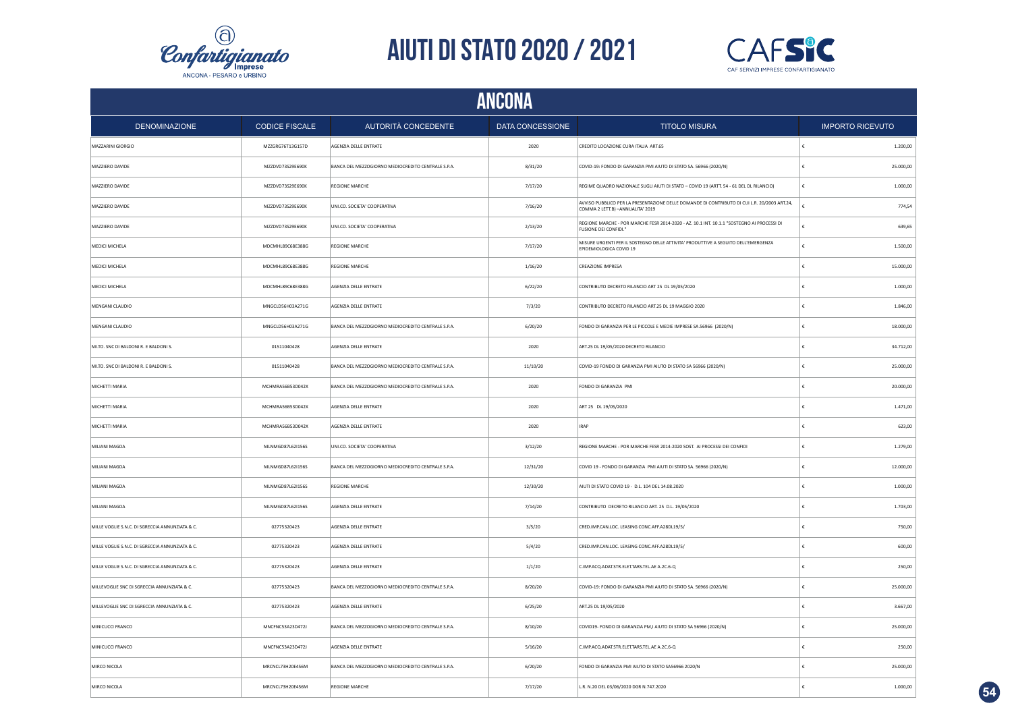



|                                                 |                       |                                                    | ANCONA           |                                                                                                                                   |                         |
|-------------------------------------------------|-----------------------|----------------------------------------------------|------------------|-----------------------------------------------------------------------------------------------------------------------------------|-------------------------|
| <b>DENOMINAZIONE</b>                            | <b>CODICE FISCALE</b> | AUTORITÀ CONCEDENTE                                | DATA CONCESSIONE | <b>TITOLO MISURA</b>                                                                                                              | <b>IMPORTO RICEVUTO</b> |
| MAZZARINI GIORGIO                               | MZZGRG76T13G157D      | AGENZIA DELLE ENTRATE                              | 2020             | CREDITO LOCAZIONE CURA ITALIA ART.65                                                                                              | 1.200,00                |
| MAZZIERO DAVIDE                                 | MZZDVD73S29E690K      | BANCA DEL MEZZOGIORNO MEDIOCREDITO CENTRALE S.P.A. | 8/31/20          | COVID-19: FONDO DI GARANZIA PMI AIUTO DI STATO SA. 56966 (2020/N)                                                                 | 25.000,00               |
| MAZZIERO DAVIDE                                 | MZZDVD73S29E690K      | <b>REGIONE MARCHE</b>                              | 7/17/20          | REGIME QUADRO NAZIONALE SUGLI AIUTI DI STATO - COVID 19 (ARTT. 54 - 61 DEL DL RILANCIO)                                           | 1.000,00                |
| MAZZIERO DAVIDE                                 | MZZDVD73S29E690K      | UNI.CO. SOCIETA' COOPERATIVA                       | 7/16/20          | AVVISO PUBBLICO PER LA PRESENTAZIONE DELLE DOMANDE DI CONTRIBUTO DI CUI L.R. 20/2003 ART.24,<br>COMMA 2 LETT.B) - ANNUALITA' 2019 | 774,54                  |
| MAZZIERO DAVIDE                                 | MZZDVD73S29E690K      | UNI.CO. SOCIETA' COOPERATIVA                       | 2/13/20          | REGIONE MARCHE - POR MARCHE FESR 2014-2020 - AZ. 10.1 INT. 10.1.1 "SOSTEGNO AI PROCESSI DI<br>FUSIONE DEI CONFIDI.                | 639,65                  |
| MEDICI MICHELA                                  | MDCMHL89C68E388G      | <b>REGIONE MARCHE</b>                              | 7/17/20          | MISURE URGENTI PER IL SOSTEGNO DELLE ATTIVITA' PRODUTTIVE A SEGUITO DELL'EMERGENZA<br>EPIDEMIOLOGICA COVID 19                     | 1.500,00                |
| MEDICI MICHELA                                  | MDCMHL89C68E388G      | <b>REGIONE MARCHE</b>                              | 1/16/20          | CREAZIONE IMPRESA                                                                                                                 | 15.000,00               |
| MEDICI MICHELA                                  | MDCMHL89C68E388G      | AGENZIA DELLE ENTRATE                              | 6/22/20          | CONTRIBUTO DECRETO RILANCIO ART 25 DL 19/05/2020                                                                                  | 1.000,00                |
| MENGANI CLAUDIO                                 | MNGCLD56H03A271G      | AGENZIA DELLE ENTRATE                              | 7/3/20           | CONTRIBUTO DECRETO RILANCIO ART.25 DL 19 MAGGIO 2020                                                                              | 1.846,00                |
| MENGANI CLAUDIO                                 | MNGCLD56H03A271G      | BANCA DEL MEZZOGIORNO MEDIOCREDITO CENTRALE S.P.A. | 6/20/20          | FONDO DI GARANZIA PER LE PICCOLE E MEDIE IMPRESE SA.56966 (2020/N)                                                                | 18.000,00               |
| MI.TO. SNC DI BALDONI R. E BALDONI S.           | 01511040428           | AGENZIA DELLE ENTRATE                              | 2020             | ART.25 DL 19/05/2020 DECRETO RILANCIO                                                                                             | 34.712,00               |
| MI.TO. SNC DI BALDONI R. E BALDONI S.           | 01511040428           | BANCA DEL MEZZOGIORNO MEDIOCREDITO CENTRALE S.P.A. | 11/10/20         | COVID-19 FONDO DI GARANZIA PMI AIUTO DI STATO SA 56966 (2020/N)                                                                   | 25.000,00               |
| MICHETTI MARIA                                  | MCHMRA56B53D042X      | BANCA DEL MEZZOGIORNO MEDIOCREDITO CENTRALE S.P.A. | 2020             | FONDO DI GARANZIA PMI                                                                                                             | 20.000,00               |
| MICHETTI MARIA                                  | MCHMRA56B53D042X      | AGENZIA DELLE ENTRATE                              | 2020             | ART 25 DL 19/05/2020                                                                                                              | 1.471,00                |
| MICHETTI MARIA                                  | MCHMRA56B53D042X      | AGENZIA DELLE ENTRATE                              | 2020             | <b>IRAP</b>                                                                                                                       | 623,00                  |
| <b>MILIANI MAGDA</b>                            | MLNMGD87L62I156S      | UNI.CO. SOCIETA' COOPERATIVA                       | 3/12/20          | REGIONE MARCHE - POR MARCHE FESR 2014-2020 SOST. AI PROCESSI DEI CONFIDI                                                          | 1.279,00                |
| MILIANI MAGDA                                   | MLNMGD87L62I156S      | BANCA DEL MEZZOGIORNO MEDIOCREDITO CENTRALE S.P.A. | 12/31/20         | COVID 19 - FONDO DI GARANZIA PMI AIUTI DI STATO SA. 56966 (2020/N)                                                                | 12.000,00               |
| MILIANI MAGDA                                   | MLNMGD87L62I156S      | REGIONE MARCHE                                     | 12/30/20         | AIUTI DI STATO COVID 19 - D.L. 104 DEL 14.08.2020                                                                                 | 1.000,00                |
| MILIANI MAGDA                                   | MLNMGD87L62I156S      | AGENZIA DELLE ENTRATE                              | 7/14/20          | CONTRIBUTO DECRETO RILANCIO ART. 25 D.L. 19/05/2020                                                                               | 1.703,00                |
| MILLE VOGLIE S.N.C. DI SGRECCIA ANNUNZIATA & C. | 02775320423           | AGENZIA DELLE ENTRATE                              | 3/5/20           | CRED.IMP.CAN.LOC. LEASING CONC.AFF.A28DL19/5/                                                                                     | 750,00                  |
| MILLE VOGLIE S.N.C. DI SGRECCIA ANNUNZIATA & C. | 02775320423           | AGENZIA DELLE ENTRATE                              | 5/4/20           | CRED.IMP.CAN.LOC. LEASING CONC.AFF.A28DL19/5/                                                                                     | 600,00                  |
| MILLE VOGLIE S.N.C. DI SGRECCIA ANNUNZIATA & C. | 02775320423           | AGENZIA DELLE ENTRATE                              | 1/1/20           | C.IMP.ACQ.ADAT.STR.ELET.TARS.TEL.AE A.2C.6-Q                                                                                      | 250,00                  |
| MILLEVOGLIE SNC DI SGRECCIA ANNUNZIATA & C.     | 02775320423           | BANCA DEL MEZZOGIORNO MEDIOCREDITO CENTRALE S.P.A. | 8/20/20          | COVID-19: FONDO DI GARANZIA PMI AIUTO DI STATO SA. 56966 (2020/N)                                                                 | 25.000,00               |
| MILLEVOGLIE SNC DI SGRECCIA ANNUNZIATA & C.     | 02775320423           | AGENZIA DELLE ENTRATE                              | 6/25/20          | ART.25 DL 19/05/2020                                                                                                              | 3.667,00                |
| MINICUCCI FRANCO                                | MNCFNC53A23D472J      | BANCA DEL MEZZOGIORNO MEDIOCREDITO CENTRALE S.P.A. | 8/10/20          | COVID19- FONDO DI GARANZIA PM,I AIUTO DI STATO SA 56966 (2020/N)                                                                  | 25.000,00               |
| MINICUCCI FRANCO                                | MNCFNC53A23D472J      | AGENZIA DELLE ENTRATE                              | 5/16/20          | C.IMP.ACQ.ADAT.STR.ELET.TARS.TEL.AE A.2C.6-Q                                                                                      | 250,00                  |
| MIRCO NICOLA                                    | MRCNCL73H20E456M      | BANCA DEL MEZZOGIORNO MEDIOCREDITO CENTRALE S.P.A. | 6/20/20          | FONDO DI GARANZIA PMI AIUTO DI STATO SA56966 2020/N                                                                               | 25.000,00               |
| MIRCO NICOLA                                    | MRCNCL73H20E456M      | <b>REGIONE MARCHE</b>                              | 7/17/20          | L.R. N.20 DEL 03/06/2020 DGR N.747.2020                                                                                           | 1.000,00                |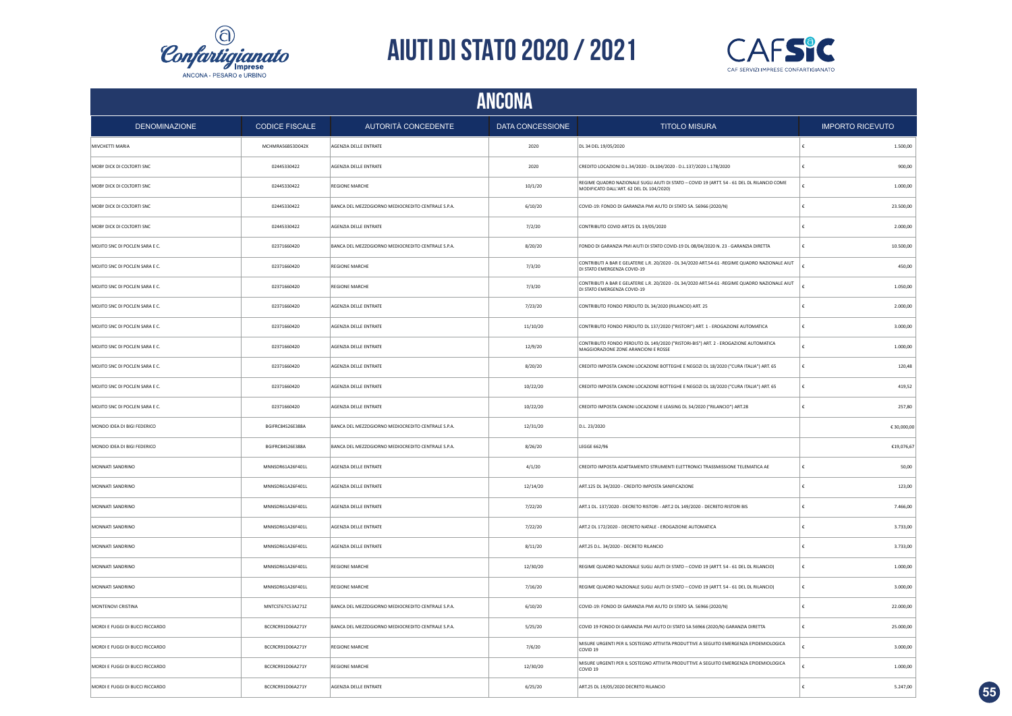



|                                 | ANCONA                |                                                    |                  |                                                                                                                                         |                         |  |  |
|---------------------------------|-----------------------|----------------------------------------------------|------------------|-----------------------------------------------------------------------------------------------------------------------------------------|-------------------------|--|--|
| <b>DENOMINAZIONE</b>            | <b>CODICE FISCALE</b> | AUTORITÀ CONCEDENTE                                | DATA CONCESSIONE | <b>TITOLO MISURA</b>                                                                                                                    | <b>IMPORTO RICEVUTO</b> |  |  |
| MIVCHETTI MARIA                 | MCHMRA56B53D042X      | AGENZIA DELLE ENTRATE                              | 2020             | DL 34 DEL 19/05/2020                                                                                                                    | 1.500,00                |  |  |
| MOBY DICK DI COLTORTI SNC       | 02445330422           | AGENZIA DELLE ENTRATE                              | 2020             | CREDITO LOCAZIONI D.L.34/2020 - DL104/2020 - D.L.137/2020 L.178/2020                                                                    | 900,00<br>€             |  |  |
| MOBY DICK DI COLTORTI SNC       | 02445330422           | <b>REGIONE MARCHE</b>                              | 10/1/20          | REGIME QUADRO NAZIONALE SUGLI AIUTI DI STATO - COVID 19 (ARTT. 54 - 61 DEL DL RILANCIO COME<br>MODIFICATO DALL'ART. 62 DEL DL 104/2020) | 1.000,00                |  |  |
| MOBY DICK DI COLTORTI SNC       | 02445330422           | BANCA DEL MEZZOGIORNO MEDIOCREDITO CENTRALE S.P.A. | 6/10/20          | COVID-19: FONDO DI GARANZIA PMI AIUTO DI STATO SA. 56966 (2020/N)                                                                       | 23.500,00<br>€          |  |  |
| MOBY DICK DI COLTORTI SNC       | 02445330422           | AGENZIA DELLE ENTRATE                              | 7/2/20           | CONTRIBUTO COVID ART25 DL 19/05/2020                                                                                                    | 2.000,00                |  |  |
| MOJITO SNC DI POCLEN SARA E C.  | 02371660420           | BANCA DEL MEZZOGIORNO MEDIOCREDITO CENTRALE S.P.A. | 8/20/20          | FONDO DI GARANZIA PMI AIUTI DI STATO COVID-19 DL 08/04/2020 N. 23 - GARANZIA DIRETTA                                                    | 10.500,00<br>€          |  |  |
| MOJITO SNC DI POCLEN SARA E C.  | 02371660420           | <b>REGIONE MARCHE</b>                              | 7/3/20           | CONTRIBUTI A BAR E GELATERIE L.R. 20/2020 - DL 34/2020 ART.54-61 -REGIME QUADRO NAZIONALE AIUT<br>DI STATO EMERGENZA COVID-19           | 450,00                  |  |  |
| MOJITO SNC DI POCLEN SARA E C.  | 02371660420           | <b>REGIONE MARCHE</b>                              | 7/3/20           | CONTRIBUTI A BAR E GELATERIE L.R. 20/2020 - DL 34/2020 ART.54-61 -REGIME QUADRO NAZIONALE AIUT<br>DI STATO EMERGENZA COVID-19           | 1.050,00                |  |  |
| MOJITO SNC DI POCLEN SARA E C.  | 02371660420           | AGENZIA DELLE ENTRATE                              | 7/23/20          | CONTRIBUTO FONDO PERDUTO DL 34/2020 (RILANCIO) ART. 25                                                                                  | 2.000,00                |  |  |
| MOJITO SNC DI POCLEN SARA E C.  | 02371660420           | AGENZIA DELLE ENTRATE                              | 11/10/20         | CONTRIBUTO FONDO PERDUTO DL 137/2020 ("RISTORI") ART. 1 - EROGAZIONE AUTOMATICA                                                         | 3.000,00<br>£           |  |  |
| MOJITO SNC DI POCLEN SARA E C.  | 02371660420           | AGENZIA DELLE ENTRATE                              | 12/9/20          | CONTRIBUTO FONDO PERDUTO DL 149/2020 ("RISTORI-BIS") ART. 2 - EROGAZIONE AUTOMATICA<br>MAGGIORAZIONE ZONE ARANCIONI E ROSSE             | ¢<br>1.000,00           |  |  |
| MOJITO SNC DI POCLEN SARA E C.  | 02371660420           | AGENZIA DELLE ENTRATE                              | 8/20/20          | CREDITO IMPOSTA CANONI LOCAZIONE BOTTEGHE E NEGOZI DL 18/2020 ("CURA ITALIA") ART. 65                                                   | €<br>120,48             |  |  |
| MOJITO SNC DI POCLEN SARA E C.  | 02371660420           | <b>AGENZIA DELLE ENTRATE</b>                       | 10/22/20         | CREDITO IMPOSTA CANONI LOCAZIONE BOTTEGHE E NEGOZI DL 18/2020 ("CURA ITALIA") ART. 65                                                   | 419,52<br>£             |  |  |
| MOJITO SNC DI POCLEN SARA E C.  | 02371660420           | AGENZIA DELLE ENTRATE                              | 10/22/20         | CREDITO IMPOSTA CANONI LOCAZIONE E LEASING DL 34/2020 ("RILANCIO") ART.28                                                               | 257,80<br>€             |  |  |
| MONDO IDEA DI BIGI FEDERICO     | BGIFRC84S26E388A      | BANCA DEL MEZZOGIORNO MEDIOCREDITO CENTRALE S.P.A. | 12/31/20         | D.L. 23/2020                                                                                                                            | € 30,000,00             |  |  |
| MONDO IDEA DI BIGI FEDERICO     | BGIFRC84S26E388A      | BANCA DEL MEZZOGIORNO MEDIOCREDITO CENTRALE S.P.A. | 8/26/20          | LEGGE 662/96                                                                                                                            | €19,076,67              |  |  |
| MONNATI SANDRINO                | MNNSDR61A26F401L      | AGENZIA DELLE ENTRATE                              | 4/1/20           | CREDITO IMPOSTA ADATTAMENTO STRUMENTI ELETTRONICI TRASSMISSIONE TELEMATICA AE                                                           | €<br>50,00              |  |  |
| MONNATI SANDRINO                | MNNSDR61A26F401L      | AGENZIA DELLE ENTRATE                              | 12/14/20         | ART.125 DL 34/2020 - CREDITO IMPOSTA SANIFICAZIONE                                                                                      | 123,00<br>€             |  |  |
| MONNATI SANDRINO                | MNNSDR61A26F401L      | AGENZIA DELLE ENTRATE                              | 7/22/20          | ART.1 DL. 137/2020 - DECRETO RISTORI - ART.2 DL 149/2020 - DECRETO RISTORI BIS                                                          | €<br>7.466,00           |  |  |
| MONNATI SANDRINO                | MNNSDR61A26F401L      | AGENZIA DELLE ENTRATE                              | 7/22/20          | ART.2 DL 172/2020 - DECRETO NATALE - EROGAZIONE AUTOMATICA                                                                              | 3.733,00<br>ŧ           |  |  |
| MONNATI SANDRINO                | MNNSDR61A26F401L      | AGENZIA DELLE ENTRATE                              | 8/11/20          | ART.25 D.L. 34/2020 - DECRETO RILANCIO                                                                                                  | 3.733,00<br>€           |  |  |
| MONNATI SANDRINO                | MNNSDR61A26F401L      | <b>REGIONE MARCHE</b>                              | 12/30/20         | REGIME QUADRO NAZIONALE SUGLI AIUTI DI STATO - COVID 19 (ARTT. 54 - 61 DEL DL RILANCIO)                                                 | 1.000,00<br>€           |  |  |
| MONNATI SANDRINO                | MNNSDR61A26F401L      | <b>REGIONE MARCHE</b>                              | 7/16/20          | REGIME QUADRO NAZIONALE SUGLI AIUTI DI STATO - COVID 19 (ARTT. 54 - 61 DEL DL RILANCIO)                                                 | 3.000,00<br>€           |  |  |
| MONTENOVI CRISTINA              | MNTCST67C53A271Z      | BANCA DEL MEZZOGIORNO MEDIOCREDITO CENTRALE S.P.A. | 6/10/20          | COVID-19: FONDO DI GARANZIA PMI AIUTO DI STATO SA. 56966 (2020/N)                                                                       | 22.000,00               |  |  |
| MORDI E FUGGI DI BUCCI RICCARDO | BCCRCR91D06A271Y      | BANCA DEL MEZZOGIORNO MEDIOCREDITO CENTRALE S.P.A. | 5/25/20          | COVID 19 FONDO DI GARANZIA PMI AIUTO DI STATO SA 56966 (2020/N) GARANZIA DIRETTA                                                        | 25.000,00               |  |  |
| MORDI E FUGGI DI BUCCI RICCARDO | BCCRCR91D06A271Y      | <b>REGIONE MARCHE</b>                              | 7/6/20           | MISURE URGENTI PER IL SOSTEGNO ATTIVITA PRODUTTIVE A SEGUITO EMERGENZA EPIDEMIOLOGICA<br>COVID <sub>19</sub>                            | 3.000,00                |  |  |
| MORDI E FUGGI DI BUCCI RICCARDO | BCCRCR91D06A271Y      | <b>REGIONE MARCHE</b>                              | 12/30/20         | MISURE URGENTI PER IL SOSTEGNO ATTIVITA PRODUTTIVE A SEGUITO EMERGENZA EPIDEMIOLOGICA<br>COVID <sub>19</sub>                            | 1.000,00                |  |  |
| MORDI E FUGGI DI BUCCI RICCARDO | BCCRCR91D06A271Y      | AGENZIA DELLE ENTRATE                              | 6/25/20          | ART.25 DL 19/05/2020 DECRETO RILANCIO                                                                                                   | 5.247,00<br>£           |  |  |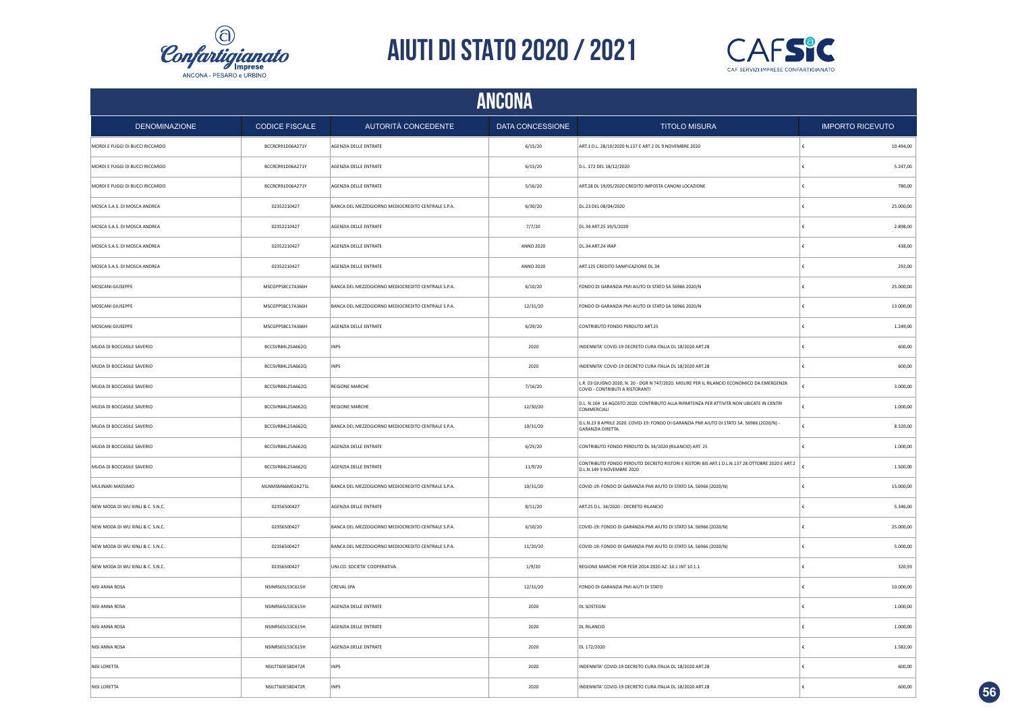



|                                  |                       |                                                    | ANCONA           |                                                                                                                               |                         |
|----------------------------------|-----------------------|----------------------------------------------------|------------------|-------------------------------------------------------------------------------------------------------------------------------|-------------------------|
| <b>DENOMINAZIONE</b>             | <b>CODICE FISCALE</b> | AUTORITÀ CONCEDENTE                                | DATA CONCESSIONE | <b>TITOLO MISURA</b>                                                                                                          | <b>IMPORTO RICEVUTO</b> |
| MORDI E FUGGI DI BUCCI RICCARDO  | BCCRCR91D06A271Y      | AGENZIA DELLE ENTRATE                              | 6/15/20          | ART.1 D.L. 28/10/2020 N.137 E ART 2 DL 9 NOVEMBRE 2020                                                                        | 10.494,00               |
| MORDI E FUGGI DI BUCCI RICCARDO  | BCCRCR91D06A271Y      | AGENZIA DELLE ENTRATE                              | 6/15/20          | D.L. 172 DEL 18/12/2020                                                                                                       | 5.247,00<br>£           |
| MORDI E FUGGI DI BUCCI RICCARDO  | BCCRCR91D06A271Y      | AGENZIA DELLE ENTRATE                              | 5/16/20          | ART.28 DL 19/05/2020 CREDITO IMPOSTA CANONI LOCAZIONE                                                                         | 780,00                  |
| MOSCA S.A.S. DI MOSCA ANDREA     | 02352210427           | BANCA DEL MEZZOGIORNO MEDIOCREDITO CENTRALE S.P.A. | 6/30/20          | DL.23 DEL 08/04/2020                                                                                                          | 25.000,00               |
| MOSCA S.A.S. DI MOSCA ANDREA     | 02352210427           | AGENZIA DELLE ENTRATE                              | 7/7/20           | DL.34 ART.25 19/5/2020                                                                                                        | 2.898,00                |
| MOSCA S.A.S. DI MOSCA ANDREA     | 02352210427           | AGENZIA DELLE ENTRATE                              | ANNO 2020        | DL.34 ART.24 IRAP                                                                                                             | 438,00                  |
| MOSCA S.A.S. DI MOSCA ANDREA     | 02352210427           | AGENZIA DELLE ENTRATE                              | <b>ANNO 2020</b> | ART.125 CREDITO SANIFICAZIONE DL.34                                                                                           | 292,00                  |
| MOSCANI GIUSEPPE                 | MSCGPP58C17A366H      | BANCA DEL MEZZOGIORNO MEDIOCREDITO CENTRALE S.P.A. | 6/10/20          | FONDO DI GARANZIA PMI AIUTO DI STATO SA 56966 2020/N                                                                          | 25.000,00               |
| MOSCANI GIUSEPPE                 | MSCGPP58C17A366H      | BANCA DEL MEZZOGIORNO MEDIOCREDITO CENTRALE S.P.A. | 12/31/20         | FONDO DI GARANZIA PMI AIUTO DI STATO SA 56966 2020/N                                                                          | 13.000,00               |
| MOSCANI GIUSEPPE                 | MSCGPP58C17A366H      | AGENZIA DELLE ENTRATE                              | 6/29/20          | CONTRIBUTO FONDO PERDUTO ART.25                                                                                               | 1.249,00                |
| MUDA DI BOCCASILE SAVERIO        | BCCSVR84L25A662Q      | <b>INPS</b>                                        | 2020             | INDENNITA' COVID-19 DECRETO CURA ITALIA DL 18/2020 ART.28                                                                     | 600,00                  |
| MUDA DI BOCCASILE SAVERIO        | BCCSVR84L25A662Q      | <b>INPS</b>                                        | 2020             | INDENNITA' COVID-19 DECRETO CURA ITALIA DL 18/2020 ART.28                                                                     | 600,00                  |
| MUDA DI BOCCASILE SAVERIO        | BCCSVR84L25A662Q      | <b>REGIONE MARCHE</b>                              | 7/16/20          | L.R. 03 GIUGNO 2020, N. 20 - DGR N 747/2020. MISURE PER IL RILANCIO ECONOMICO DA EMERGENZA<br>COVID - CONTRIBUTI A RISTORANTI | 3.000,00                |
| MUDA DI BOCCASILE SAVERIO        | BCCSVR84L25A662Q      | REGIONE MARCHE                                     | 12/30/20         | D.L. N.104 14 AGOSTO 2020. CONTRIBUTO ALLA RIPARTENZA PER ATTIVITÀ NON UBICATE IN CENTRI<br>COMMERCIALI                       | 1.000,00                |
| MUDA DI BOCCASILE SAVERIO        | BCCSVR84L25A662Q      | BANCA DEL MEZZOGIORNO MEDIOCREDITO CENTRALE S.P.A. | 10/31/20         | D.L.N.23 8 APRILE 2020. COVID-19: FONDO DI GARANZIA PMI AIUTO DI STATO SA. 56966 (2020/N) -<br><b>GARANZIA DIRETTA</b>        | 8.320,00                |
| MUDA DI BOCCASILE SAVERIO        | BCCSVR84L25A662Q      | AGENZIA DELLE ENTRATE                              | 6/25/20          | CONTRIBUTO FONDO PERDUTO DL 34/2020 (RILANCIO) ART. 25                                                                        | 1.000,00                |
| MUDA DI BOCCASILE SAVERIO        | BCCSVR84L25A662Q      | AGENZIA DELLE ENTRATE                              | 11/9/20          | CONTRIBUTO FONDO PERDUTO DECRETO RISTORI E RISTORI BIS ART.1 D.L.N.137 28 OTTOBRE 2020 E ART.2<br>D.L.N.149 9 NOVEMBRE 2020   | 1.500,00                |
| MULINARI MASSIMO                 | MLNMSM66M02A271L      | BANCA DEL MEZZOGIORNO MEDIOCREDITO CENTRALE S.P.A. | 10/31/20         | COVID-19: FONDO DI GARANZIA PMI AIUTO DI STATO SA. 56966 (2020/N)                                                             | 15.000,00               |
| NEW MODA DI WU XINLI & C. S.N.C. | 02356500427           | AGENZIA DELLE ENTRATE                              | 8/11/20          | ART.25 D.L. 34/2020 - DECRETO RILANCIO                                                                                        | 5.346,00                |
| NEW MODA DI WU XINLI & C. S.N.C. | 02356500427           | BANCA DEL MEZZOGIORNO MEDIOCREDITO CENTRALE S.P.A. | 6/10/20          | COVID-19: FONDO DI GARANZIA PMI AIUTO DI STATO SA. 56966 (2020/N)                                                             | 25.000,00               |
| NEW MODA DI WU XINLI & C. S.N.C. | 02356500427           | BANCA DEL MEZZOGIORNO MEDIOCREDITO CENTRALE S.P.A. | 11/20/20         | COVID-19: FONDO DI GARANZIA PMI AIUTO DI STATO SA. 56966 (2020/N)                                                             | 5.000,00                |
| NEW MODA DI WU XINLI & C. S.N.C. | 02356500427           | UNI.CO. SOCIETA' COOPERATIVA                       | 1/9/20           | REGIONE MARCHE POR FESR 2014-2020 AZ. 10.1 INT 10.1.1                                                                         | 320,93                  |
| NISI ANNA ROSA                   | NSINRS65L53C615H      | CREVAL SPA                                         | 12/31/20         | FONDO DI GARANZIA PMI AIUTI DI STATO                                                                                          | 10.000,00               |
| NISI ANNA ROSA                   | NSINRS65L53C615H      | AGENZIA DELLE ENTRATE                              | 2020             | <b>DL SOSTEGNI</b>                                                                                                            | 1.000,00                |
| NISI ANNA ROSA                   | NSINRS65L53C615H      | AGENZIA DELLE ENTRATE                              | 2020             | <b>DL RILANCIO</b>                                                                                                            | 1.000,00                |
| NISI ANNA ROSA                   | NSINRS65L53C615H      | AGENZIA DELLE ENTRATE                              | 2020             | DL 172/2020                                                                                                                   | 1.582,00                |
| NISI LORETTA                     | NSILTT60E58D472R      | <b>INPS</b>                                        | 2020             | INDENNITA' COVID-19 DECRETO CURA ITALIA DL 18/2020 ART.28                                                                     | 600,00                  |
| NISI LORETTA                     | NSILTT60E58D472R      | INPS                                               | 2020             | INDENNITA' COVID-19 DECRETO CURA ITALIA DL 18/2020 ART.28                                                                     | 600,00                  |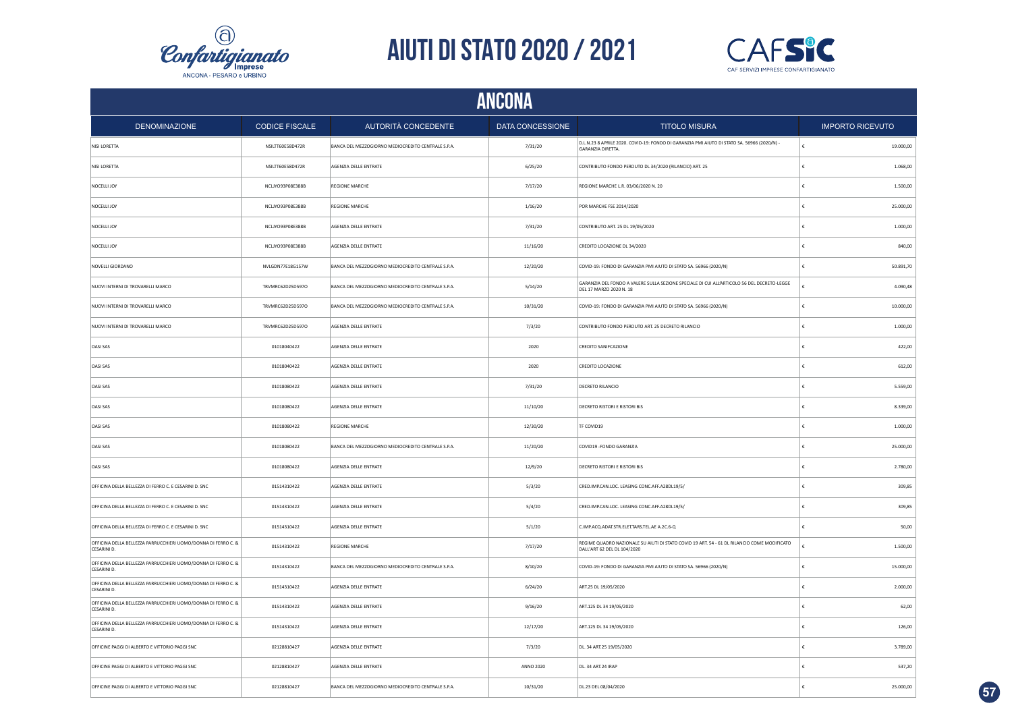



|                                                                                    | ANCONA                |                                                    |                  |                                                                                                                            |                         |  |  |  |
|------------------------------------------------------------------------------------|-----------------------|----------------------------------------------------|------------------|----------------------------------------------------------------------------------------------------------------------------|-------------------------|--|--|--|
| <b>DENOMINAZIONE</b>                                                               | <b>CODICE FISCALE</b> | <b>AUTORITÀ CONCEDENTE</b>                         | DATA CONCESSIONE | <b>TITOLO MISURA</b>                                                                                                       | <b>IMPORTO RICEVUTO</b> |  |  |  |
| NISI LORETTA                                                                       | NSILTT60E58D472R      | BANCA DEL MEZZOGIORNO MEDIOCREDITO CENTRALE S.P.A  | 7/31/20          | D.L.N.23 8 APRILE 2020. COVID-19: FONDO DI GARANZIA PMI AIUTO DI STATO SA. 56966 (2020/N) -<br>GARANZIA DIRETTA.           | 19.000,00               |  |  |  |
| NISI LORETTA                                                                       | NSILTT60E58D472R      | AGENZIA DELLE ENTRATE                              | 6/25/20          | CONTRIBUTO FONDO PERDUTO DL 34/2020 (RILANCIO) ART. 25                                                                     | 1.068,00<br>£           |  |  |  |
| NOCELLI JOY                                                                        | NCLJYO93P08E388B      | <b>REGIONE MARCHE</b>                              | 7/17/20          | REGIONE MARCHE L.R. 03/06/2020 N. 20                                                                                       | 1.500,00                |  |  |  |
| NOCELLI JOY                                                                        | NCLJYO93P08E388B      | <b>REGIONE MARCHE</b>                              | 1/16/20          | POR MARCHE FSE 2014/2020                                                                                                   | 25,000.00               |  |  |  |
| NOCELLI JOY                                                                        | NCLJYO93P08E388B      | AGENZIA DELLE ENTRATE                              | 7/31/20          | CONTRIBUTO ART. 25 DL 19/05/2020                                                                                           | 1.000,00                |  |  |  |
| NOCELLI JOY                                                                        | NCLIYO93P08E388B      | AGENZIA DELLE ENTRATE                              | 11/16/20         | CREDITO LOCAZIONE DL 34/2020                                                                                               | 840.00                  |  |  |  |
| NOVELLI GIORDANO                                                                   | NVLGDN77E18G157W      | BANCA DEL MEZZOGIORNO MEDIOCREDITO CENTRALE S.P.A. | 12/20/20         | COVID-19: FONDO DI GARANZIA PMI AIUTO DI STATO SA. 56966 (2020/N)                                                          | 50.891,70               |  |  |  |
| NUOVI INTERNI DI TROVARELLI MARCO                                                  | TRVMRC62D25D597O      | BANCA DEL MEZZOGIORNO MEDIOCREDITO CENTRALE S.P.A. | 5/14/20          | GARANZIA DEL FONDO A VALERE SULLA SEZIONE SPECIALE DI CUI ALL'ARTICOLO 56 DEL DECRETO-LEGGE<br>DEL 17 MARZO 2020 N. 18     | 4.090,48                |  |  |  |
| NUOVI INTERNI DI TROVARELLI MARCO                                                  | TRVMRC62D25D597O      | BANCA DEL MEZZOGIORNO MEDIOCREDITO CENTRALE S.P.A. | 10/31/20         | COVID-19: FONDO DI GARANZIA PMI AIUTO DI STATO SA. 56966 (2020/N)                                                          | 10.000,00               |  |  |  |
| NUOVI INTERNI DI TROVARELLI MARCO                                                  | TRVMRC62D25D597O      | AGENZIA DELLE ENTRATE                              | 7/3/20           | CONTRIBUTO FONDO PERDUTO ART. 25 DECRETO RILANCIO                                                                          | 1.000,00                |  |  |  |
| OASI SAS                                                                           | 01018040422           | AGENZIA DELLE ENTRATE                              | 2020             | <b>CREDITO SANIFCAZIONE</b>                                                                                                | 422,00                  |  |  |  |
| <b>OASI SAS</b>                                                                    | 01018040422           | AGENZIA DELLE ENTRATE                              | 2020             | CREDITO LOCAZIONE                                                                                                          | 612,00<br>£             |  |  |  |
| <b>OASI SAS</b>                                                                    | 01018080422           | AGENZIA DELLE ENTRATE                              | 7/31/20          | <b>DECRETO RILANCIO</b>                                                                                                    | 5.559,00                |  |  |  |
| <b>OASI SAS</b>                                                                    | 01018080422           | AGENZIA DELLE ENTRATE                              | 11/10/20         | <b>DECRETO RISTORI E RISTORI BIS</b>                                                                                       | 8.339,00                |  |  |  |
| <b>OASI SAS</b>                                                                    | 01018080422           | REGIONE MARCHE                                     | 12/30/20         | TF COVID19                                                                                                                 | 1.000,00                |  |  |  |
| <b>OASI SAS</b>                                                                    | 01018080422           | BANCA DEL MEZZOGIORNO MEDIOCREDITO CENTRALE S.P.A. | 11/20/20         | COVID19 - FONDO GARANZIA                                                                                                   | 25.000,00               |  |  |  |
| OASI SAS                                                                           | 01018080422           | AGENZIA DELLE ENTRATE                              | 12/9/20          | <b>DECRETO RISTORI E RISTORI BIS</b>                                                                                       | 2.780,00                |  |  |  |
| OFFICINA DELLA BELLEZZA DI FERRO C. E CESARINI D. SNC                              | 01514310422           | AGENZIA DELLE ENTRATE                              | 5/3/20           | CRED.IMP.CAN.LOC. LEASING CONC.AFF.A28DL19/5/                                                                              | 309,85                  |  |  |  |
| OFFICINA DELLA BELLEZZA DI FERRO C. E CESARINI D. SNC                              | 01514310422           | AGENZIA DELLE ENTRATE                              | 5/4/20           | CRED.IMP.CAN.LOC. LEASING CONC.AFF.A28DL19/5/                                                                              | 309,85                  |  |  |  |
| OFFICINA DELLA BELLEZZA DI FERRO C. E CESARINI D. SNC                              | 01514310422           | AGENZIA DELLE ENTRATE                              | 5/1/20           | C.IMP.ACQ.ADAT.STR.ELET.TARS.TEL.AE A.2C.6-Q                                                                               | 50,00                   |  |  |  |
| OFFICINA DELLA BELLEZZA PARRUCCHIERI UOMO/DONNA DI FERRO C. &<br>CESARINI D.       | 01514310422           | <b>REGIONE MARCHE</b>                              | 7/17/20          | REGIME QUADRO NAZIONALE SU AIUTI DI STATO COVID 19 ART. 54 - 61 DL RILANCIO COME MODIFICATO<br>DALL'ART 62 DEL DL 104/2020 | 1.500,00                |  |  |  |
| OFFICINA DELLA BELLEZZA PARRUCCHIERI UOMO/DONNA DI FERRO C. &<br>CESARINI D.       | 01514310422           | BANCA DEL MEZZOGIORNO MEDIOCREDITO CENTRALE S.P.A. | 8/10/20          | COVID-19: FONDO DI GARANZIA PMI AIUTO DI STATO SA. 56966 (2020/N)                                                          | 15.000,00               |  |  |  |
| OFFICINA DELLA BELLEZZA PARRUCCHIERI UOMO/DONNA DI FERRO C. &<br>CESARINI D.       | 01514310422           | AGENZIA DELLE ENTRATE                              | 6/24/20          | ART.25 DL 19/05/2020                                                                                                       | 2.000,00                |  |  |  |
| OFFICINA DELLA BELLEZZA PARRUCCHIERI UOMO/DONNA DI FERRO C. &<br>CESARINI D.       | 01514310422           | AGENZIA DELLE ENTRATE                              | 9/16/20          | ART.125 DL 34 19/05/2020                                                                                                   | 62,00                   |  |  |  |
| OFFICINA DELLA BELLEZZA PARRUCCHIERI UOMO/DONNA DI FERRO C. &<br><b>CESARINI D</b> | 01514310422           | AGENZIA DELLE ENTRATE                              | 12/17/20         | ART.125 DL 34 19/05/2020                                                                                                   | 126,00                  |  |  |  |
| OFFICINE PAGGI DI ALBERTO E VITTORIO PAGGI SNC                                     | 02128810427           | AGENZIA DELLE ENTRATE                              | 7/3/20           | DL. 34 ART.25 19/05/2020                                                                                                   | 3.789,00                |  |  |  |
| OFFICINE PAGGI DI ALBERTO E VITTORIO PAGGI SNC                                     | 02128810427           | AGENZIA DELLE ENTRATE                              | <b>ANNO 2020</b> | DL. 34 ART.24 IRAP                                                                                                         | 537,20<br>$\epsilon$    |  |  |  |
| OFFICINE PAGGI DI ALBERTO E VITTORIO PAGGI SNC                                     | 02128810427           | BANCA DEL MEZZOGIORNO MEDIOCREDITO CENTRALE S.P.A. | 10/31/20         | DL.23 DEL 08/04/2020                                                                                                       | 25.000,00<br>£          |  |  |  |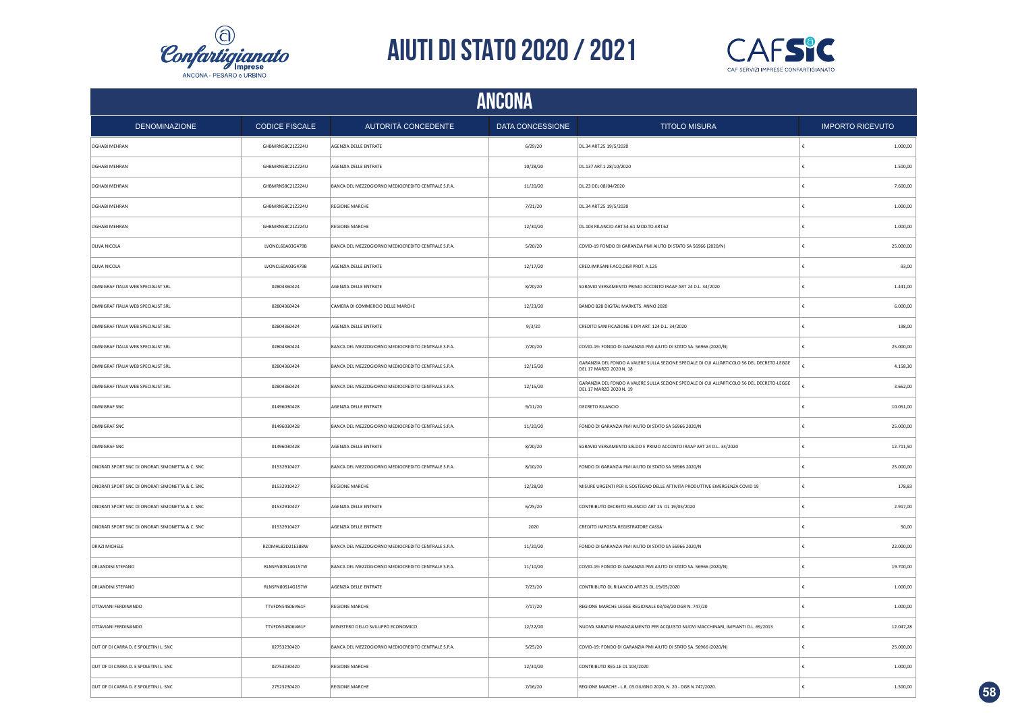



|                                                 |                       |                                                    |                  |                                                                                                                        | <b>ANCONA</b> |                         |  |  |  |  |  |  |
|-------------------------------------------------|-----------------------|----------------------------------------------------|------------------|------------------------------------------------------------------------------------------------------------------------|---------------|-------------------------|--|--|--|--|--|--|
| <b>DENOMINAZIONE</b>                            | <b>CODICE FISCALE</b> | AUTORITÀ CONCEDENTE                                | DATA CONCESSIONE | <b>TITOLO MISURA</b>                                                                                                   |               | <b>IMPORTO RICEVUTO</b> |  |  |  |  |  |  |
| OGHABI MEHRAN                                   | GHBMRN58C21Z224U      | AGENZIA DELLE ENTRATE                              | 6/29/20          | DL.34 ART.25 19/5/2020                                                                                                 | ١£            | 1.000,00                |  |  |  |  |  |  |
| <b>OGHABI MEHRAN</b>                            | GHBMRN58C21Z224U      | AGENZIA DELLE ENTRATE                              | 10/28/20         | DL.137 ART.1 28/10/2020                                                                                                | €             | 1.500,00                |  |  |  |  |  |  |
| <b>OGHABI MEHRAN</b>                            | GHBMRN58C21Z224U      | BANCA DEL MEZZOGIORNO MEDIOCREDITO CENTRALE S.P.A. | 11/20/20         | DL.23 DEL 08/04/2020                                                                                                   | €             | 7.600,00                |  |  |  |  |  |  |
| OGHABI MEHRAN                                   | GHBMRN58C21Z224U      | REGIONE MARCHE                                     | 7/21/20          | DL.34 ART.25 19/5/2020                                                                                                 | €             | 1.000,00                |  |  |  |  |  |  |
| OGHABI MEHRAN                                   | GHBMRN58C21Z224U      | <b>REGIONE MARCHE</b>                              | 12/30/20         | DL.104 RILANCIO ART.54-61 MOD.TO ART.62                                                                                | £             | 1.000,00                |  |  |  |  |  |  |
| OLIVA NICOLA                                    | LVONCL60A03G479B      | BANCA DEL MEZZOGIORNO MEDIOCREDITO CENTRALE S.P.A. | 5/20/20          | COVID-19 FONDO DI GARANZIA PMI AIUTO DI STATO SA 56966 (2020/N)                                                        | €             | 25.000,00               |  |  |  |  |  |  |
| OLIVA NICOLA                                    | LVONCL60A03G479B      | AGENZIA DELLE ENTRATE                              | 12/17/20         | CRED.IMP.SANIF.ACQ.DISP.PROT. A.125                                                                                    | €             | 93.00                   |  |  |  |  |  |  |
| OMNIGRAF ITALIA WEB SPECIALIST SRL              | 02804360424           | AGENZIA DELLE ENTRATE                              | 8/20/20          | SGRAVIO VERSAMENTO PRIMO ACCONTO IRAAP ART 24 D.L. 34/2020                                                             | €             | 1.441,00                |  |  |  |  |  |  |
| OMNIGRAF ITALIA WEB SPECIALIST SRL              | 02804360424           | CAMERA DI COMMERCIO DELLE MARCHE                   | 12/23/20         | BANDO B2B DIGITAL MARKETS. ANNO 2020                                                                                   | €             | 6.000,00                |  |  |  |  |  |  |
| OMNIGRAF ITALIA WEB SPECIALIST SRL              | 02804360424           | AGENZIA DELLE ENTRATE                              | 9/3/20           | CREDITO SANIFICAZIONE E DPI ART. 124 D.L. 34/2020                                                                      |               | 198,00                  |  |  |  |  |  |  |
| OMNIGRAF ITALIA WEB SPECIALIST SRL              | 02804360424           | BANCA DEL MEZZOGIORNO MEDIOCREDITO CENTRALE S.P.A. | 7/20/20          | COVID-19: FONDO DI GARANZIA PMI AIUTO DI STATO SA. 56966 (2020/N)                                                      |               | 25.000,00               |  |  |  |  |  |  |
| OMNIGRAF ITALIA WEB SPECIALIST SRL              | 02804360424           | BANCA DEL MEZZOGIORNO MEDIOCREDITO CENTRALE S.P.A. | 12/15/20         | GARANZIA DEL FONDO A VALERE SULLA SEZIONE SPECIALE DI CUI ALL'ARTICOLO 56 DEL DECRETO-LEGGE<br>DEL 17 MARZO 2020 N. 18 |               | 4.158,30                |  |  |  |  |  |  |
| OMNIGRAF ITALIA WEB SPECIALIST SRL              | 02804360424           | BANCA DEL MEZZOGIORNO MEDIOCREDITO CENTRALE S.P.A. | 12/15/20         | GARANZIA DEL FONDO A VALERE SULLA SEZIONE SPECIALE DI CUI ALL'ARTICOLO 56 DEL DECRETO-LEGGE<br>DEL 17 MARZO 2020 N. 19 |               | 3.662,00                |  |  |  |  |  |  |
| OMNIGRAF SNC                                    | 01496030428           | AGENZIA DELLE ENTRATE                              | 9/11/20          | <b>DECRETO RILANCIO</b>                                                                                                | ¢             | 10.051,00               |  |  |  |  |  |  |
| OMNIGRAF SNC                                    | 01496030428           | BANCA DEL MEZZOGIORNO MEDIOCREDITO CENTRALE S.P.A. | 11/20/20         | FONDO DI GARANZIA PMI AIUTO DI STATO SA 56966 2020/N                                                                   | £             | 25.000,00               |  |  |  |  |  |  |
| OMNIGRAF SNC                                    | 01496030428           | AGENZIA DELLE ENTRATE                              | 8/20/20          | SGRAVIO VERSAMENTO SALDO E PRIMO ACCONTO IRAAP ART 24 D.L. 34/2020                                                     | £             | 12.711,50               |  |  |  |  |  |  |
| ONORATI SPORT SNC DI ONORATI SIMONETTA & C. SNC | 01532910427           | BANCA DEL MEZZOGIORNO MEDIOCREDITO CENTRALE S.P.A. | 8/10/20          | FONDO DI GARANZIA PMI AIUTO DI STATO SA 56966 2020/N                                                                   | £             | 25.000,00               |  |  |  |  |  |  |
| ONORATI SPORT SNC DI ONORATI SIMONETTA & C. SNC | 01532910427           | <b>REGIONE MARCHE</b>                              | 12/28/20         | MISURE URGENTI PER IL SOSTEGNO DELLE ATTIVITA PRODUTTIVE EMERGENZA COVID 19                                            | ١£            | 178,83                  |  |  |  |  |  |  |
| ONORATI SPORT SNC DI ONORATI SIMONETTA & C. SNC | 01532910427           | AGENZIA DELLE ENTRATE                              | 6/25/20          | CONTRIBUTO DECRETO RILANCIO ART 25 DL 19/05/2020                                                                       | $\epsilon$    | 2.917,00                |  |  |  |  |  |  |
| ONORATI SPORT SNC DI ONORATI SIMONETTA & C. SNC | 01532910427           | AGENZIA DELLE ENTRATE                              | 2020             | CREDITO IMPOSTA REGISTRATORE CASSA                                                                                     | €             | 50,00                   |  |  |  |  |  |  |
| ORAZI MICHELE                                   | RZOMHL82D21E388W      | BANCA DEL MEZZOGIORNO MEDIOCREDITO CENTRALE S.P.A. | 11/20/20         | FONDO DI GARANZIA PMI AIUTO DI STATO SA 56966 2020/N                                                                   | €             | 22.000,00               |  |  |  |  |  |  |
| ORLANDINI STEFANO                               | RLNSFN80S14G157W      | BANCA DEL MEZZOGIORNO MEDIOCREDITO CENTRALE S.P.A. | 11/10/20         | COVID-19: FONDO DI GARANZIA PMI AIUTO DI STATO SA. 56966 (2020/N)                                                      | €             | 19.700,00               |  |  |  |  |  |  |
| ORLANDINI STEFANO                               | RLNSFN80S14G157W      | AGENZIA DELLE ENTRATE                              | 7/23/20          | CONTRIBUTO DL RILANCIO ART.25 DL.19/05/2020                                                                            | €             | 1.000,00                |  |  |  |  |  |  |
| OTTAVIANI FERDINANDO                            | TTVFDN54S06I461F      | <b>REGIONE MARCHE</b>                              | 7/17/20          | REGIONE MARCHE LEGGE REGIONALE 03/03/20 DGR N. 747/20                                                                  | €             | 1.000,00                |  |  |  |  |  |  |
| OTTAVIANI FERDINANDO                            | TTVFDN54S06I461F      | MINISTERO DELLO SVILUPPO ECONOMICO                 | 12/22/20         | NUOVA SABATINI FINANZIAMENTO PER ACQUISTO NUOVI MACCHINARI, IMPIANTI D.L. 69/2013                                      | €             | 12.047,28               |  |  |  |  |  |  |
| OUT OF DI CARRA D. E SPOLETINI L. SNC           | 02753230420           | BANCA DEL MEZZOGIORNO MEDIOCREDITO CENTRALE S.P.A. | 5/25/20          | COVID-19: FONDO DI GARANZIA PMI AIUTO DI STATO SA. 56966 (2020/N)                                                      | £             | 25.000,00               |  |  |  |  |  |  |
| OUT OF DI CARRA D. E SPOLETINI L. SNC           | 02753230420           | <b>REGIONE MARCHE</b>                              | 12/30/20         | CONTRIBUTO REG.LE DL 104/2020                                                                                          | €             | 1.000,00                |  |  |  |  |  |  |
| OUT OF DI CARRA D. E SPOLETINI L. SNC           | 27523230420           | <b>REGIONE MARCHE</b>                              | 7/16/20          | REGIONE MARCHE - L.R. 03 GIUGNO 2020, N. 20 - DGR N 747/2020.                                                          |               | 1.500.00                |  |  |  |  |  |  |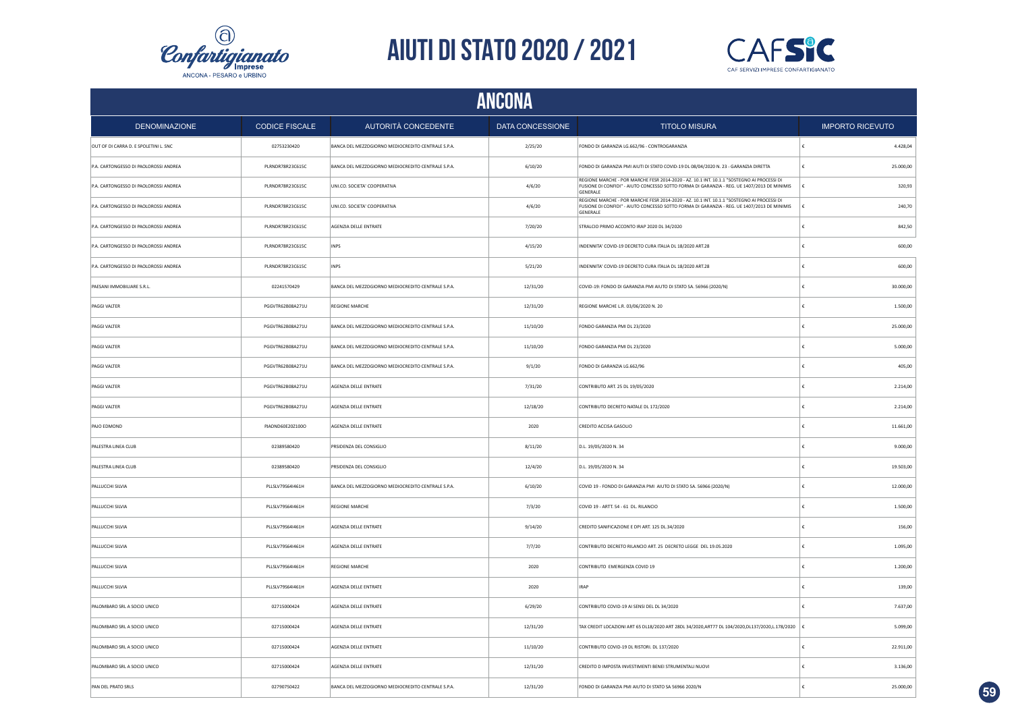



|                                       | <b>ANCONA</b>         |                                                    |                  |                                                                                                                                                                                                       |            |                         |  |  |
|---------------------------------------|-----------------------|----------------------------------------------------|------------------|-------------------------------------------------------------------------------------------------------------------------------------------------------------------------------------------------------|------------|-------------------------|--|--|
| <b>DENOMINAZIONE</b>                  | <b>CODICE FISCALE</b> | AUTORITÀ CONCEDENTE                                | DATA CONCESSIONE | <b>TITOLO MISURA</b>                                                                                                                                                                                  |            | <b>IMPORTO RICEVUTO</b> |  |  |
| OUT OF DI CARRA D. E SPOLETINI L. SNC | 02753230420           | BANCA DEL MEZZOGIORNO MEDIOCREDITO CENTRALE S.P.A. | 2/25/20          | FONDO DI GARANZIA LG.662/96 - CONTROGARANZIA                                                                                                                                                          | €          | 4.428,04                |  |  |
| P.A. CARTONGESSO DI PAOLOROSSI ANDREA | PLRNDR78R23C615C      | BANCA DEL MEZZOGIORNO MEDIOCREDITO CENTRALE S.P.A. | 6/10/20          | FONDO DI GARANZIA PMI AIUTI DI STATO COVID-19 DL 08/04/2020 N. 23 - GARANZIA DIRETTA                                                                                                                  | €          | 25.000,00               |  |  |
| P.A. CARTONGESSO DI PAOLOROSSI ANDREA | PLRNDR78R23C615C      | UNI.CO. SOCIETA' COOPERATIVA                       | 4/6/20           | REGIONE MARCHE - POR MARCHE FESR 2014-2020 - AZ. 10.1 INT. 10.1.1 "SOSTEGNO AI PROCESSI DI<br>FUSIONE DI CONFIDI" - AIUTO CONCESSO SOTTO FORMA DI GARANZIA - REG. UE 1407/2013 DE MINIMIS<br>GENERALE | €          | 320,93                  |  |  |
| P.A. CARTONGESSO DI PAOLOROSSI ANDREA | PLRNDR78R23C615C      | UNI.CO. SOCIETA' COOPERATIVA                       | 4/6/20           | REGIONE MARCHE - POR MARCHE FESR 2014-2020 - AZ. 10.1 INT. 10.1.1 "SOSTEGNO AI PROCESSI DI<br>FUSIONE DI CONFIDI" - AIUTO CONCESSO SOTTO FORMA DI GARANZIA - REG. UE 1407/2013 DE MINIMIS<br>GENERALE |            | 240,70                  |  |  |
| P.A. CARTONGESSO DI PAOLOROSSI ANDREA | PLRNDR78R23C615C      | AGENZIA DELLE ENTRATE                              | 7/20/20          | STRALCIO PRIMO ACCONTO IRAP 2020 DL 34/2020                                                                                                                                                           |            | 842,50                  |  |  |
| P.A. CARTONGESSO DI PAOLOROSSI ANDREA | PLRNDR78R23C615C      | <b>INPS</b>                                        | 4/15/20          | INDENNITA' COVID-19 DECRETO CURA ITALIA DL 18/2020 ART.28                                                                                                                                             |            | 600,00                  |  |  |
| P.A. CARTONGESSO DI PAOLOROSSI ANDREA | PLRNDR78R23C615C      | INPS                                               | 5/21/20          | INDENNITA' COVID-19 DECRETO CURA ITALIA DL 18/2020 ART.28                                                                                                                                             |            | 600,00                  |  |  |
| PAESANI IMMOBILIARE S.R.L.            | 02241570429           | BANCA DEL MEZZOGIORNO MEDIOCREDITO CENTRALE S.P.A. | 12/31/20         | COVID-19: FONDO DI GARANZIA PMI AIUTO DI STATO SA. 56966 (2020/N)                                                                                                                                     | €          | 30.000,00               |  |  |
| PAGGI VALTER                          | PGGVTR62B08A271U      | <b>REGIONE MARCHE</b>                              | 12/31/20         | REGIONE MARCHE L.R. 03/06/2020 N. 20                                                                                                                                                                  |            | 1.500,00                |  |  |
| PAGGI VALTER                          | PGGVTR62B08A271U      | BANCA DEL MEZZOGIORNO MEDIOCREDITO CENTRALE S.P.A. | 11/10/20         | FONDO GARANZIA PMI DL 23/2020                                                                                                                                                                         | $\epsilon$ | 25.000,00               |  |  |
| PAGGI VALTER                          | PGGVTR62B08A271U      | BANCA DEL MEZZOGIORNO MEDIOCREDITO CENTRALE S.P.A. | 11/10/20         | FONDO GARANZIA PMI DL 23/2020                                                                                                                                                                         | £          | 5.000,00                |  |  |
| PAGGI VALTER                          | PGGVTR62B08A271U      | BANCA DEL MEZZOGIORNO MEDIOCREDITO CENTRALE S.P.A. | 9/1/20           | FONDO DI GARANZIA LG.662/96                                                                                                                                                                           | $\epsilon$ | 405,00                  |  |  |
| PAGGI VALTER                          | PGGVTR62B08A271U      | AGENZIA DELLE ENTRATE                              | 7/31/20          | CONTRIBUTO ART, 25 DL 19/05/2020                                                                                                                                                                      | €          | 2.214,00                |  |  |
| PAGGI VALTER                          | PGGVTR62B08A271U      | AGENZIA DELLE ENTRATE                              | 12/18/20         | CONTRIBUTO DECRETO NATALE DL 172/2020                                                                                                                                                                 | €          | 2.214,00                |  |  |
| PAJO EDMOND                           | PJADND60E20Z100O      | AGENZIA DELLE ENTRATE                              | 2020             | CREDITO ACCISA GASOLIO                                                                                                                                                                                | €          | 11.661,00               |  |  |
| PALESTRA LINEA CLUB                   | 02389580420           | PRSIDENZA DEL CONSIGLIO                            | 8/11/20          | D.L. 19/05/2020 N. 34                                                                                                                                                                                 | €          | 9.000,00                |  |  |
| PALESTRA LINEA CLUB                   | 02389580420           | PRSIDENZA DEL CONSIGLIO                            | 12/4/20          | D.L. 19/05/2020 N. 34                                                                                                                                                                                 | €          | 19.503,00               |  |  |
| PALLUCCHI SILVIA                      | PLLSLV79S64I461H      | BANCA DEL MEZZOGIORNO MEDIOCREDITO CENTRALE S.P.A. | 6/10/20          | COVID 19 - FONDO DI GARANZIA PMI AIUTO DI STATO SA. 56966 (2020/N)                                                                                                                                    | €          | 12.000,00               |  |  |
| PALLUCCHI SILVIA                      | PLLSLV79S64I461H      | <b>REGIONE MARCHE</b>                              | 7/3/20           | COVID 19 - ARTT, 54 - 61 DL, RILANCIO                                                                                                                                                                 | €          | 1,500.00                |  |  |
| PALLUCCHI SILVIA                      | PLLSLV79S64I461H      | <b>AGENZIA DELLE ENTRATE</b>                       | 9/14/20          | CREDITO SANIFICAZIONE E DPI ART. 125 DL.34/2020                                                                                                                                                       | €          | 156,00                  |  |  |
| PALLUCCHI SILVIA                      | PLLSLV79S64I461H      | AGENZIA DELLE ENTRATE                              | 7/7/20           | CONTRIBUTO DECRETO RILANCIO ART. 25 DECRETO LEGGE DEL 19.05.2020                                                                                                                                      | €          | 1.095.00                |  |  |
| PALLUCCHI SILVIA                      | PLLSLV79S64I461H      | <b>REGIONE MARCHE</b>                              | 2020             | CONTRIBUTO EMERGENZA COVID 19                                                                                                                                                                         |            | 1.200,00                |  |  |
| PALLUCCHI SILVIA                      | PLLSLV79S64I461H      | AGENZIA DELLE ENTRATE                              | 2020             | <b>IRAP</b>                                                                                                                                                                                           | €          | 139,00                  |  |  |
| PALOMBARO SRL A SOCIO UNICO           | 02715000424           | AGENZIA DELLE ENTRATE                              | 6/29/20          | CONTRIBUTO COVID-19 AI SENSI DEL DL 34/2020                                                                                                                                                           |            | 7.637,00                |  |  |
| PALOMBARO SRL A SOCIO UNICO           | 02715000424           | AGENZIA DELLE ENTRATE                              | 12/31/20         | TAX CREDIT LOCAZIONI ART 65 DL18/2020 ART 28DL 34/2020,ART77 DL 104/2020,DL137/2020,L.178/2020  €                                                                                                     |            | 5.099,00                |  |  |
| PALOMBARO SRL A SOCIO UNICO           | 02715000424           | AGENZIA DELLE ENTRATE                              | 11/10/20         | CONTRIBUTO COVID-19 DL RISTORI. DL 137/2020                                                                                                                                                           |            | 22.911,00               |  |  |
| PALOMBARO SRL A SOCIO UNICO           | 02715000424           | AGENZIA DELLE ENTRATE                              | 12/31/20         | CREDITO D IMPOSTA INVESTIMENTI BENEI STRUMENTALI NUOVI                                                                                                                                                | $\epsilon$ | 3.136,00                |  |  |
| PAN DEL PRATO SRLS                    | 02790750422           | BANCA DEL MEZZOGIORNO MEDIOCREDITO CENTRALE S.P.A. | 12/31/20         | FONDO DI GARANZIA PMI AIUTO DI STATO SA 56966 2020/N                                                                                                                                                  | £          | 25.000,00               |  |  |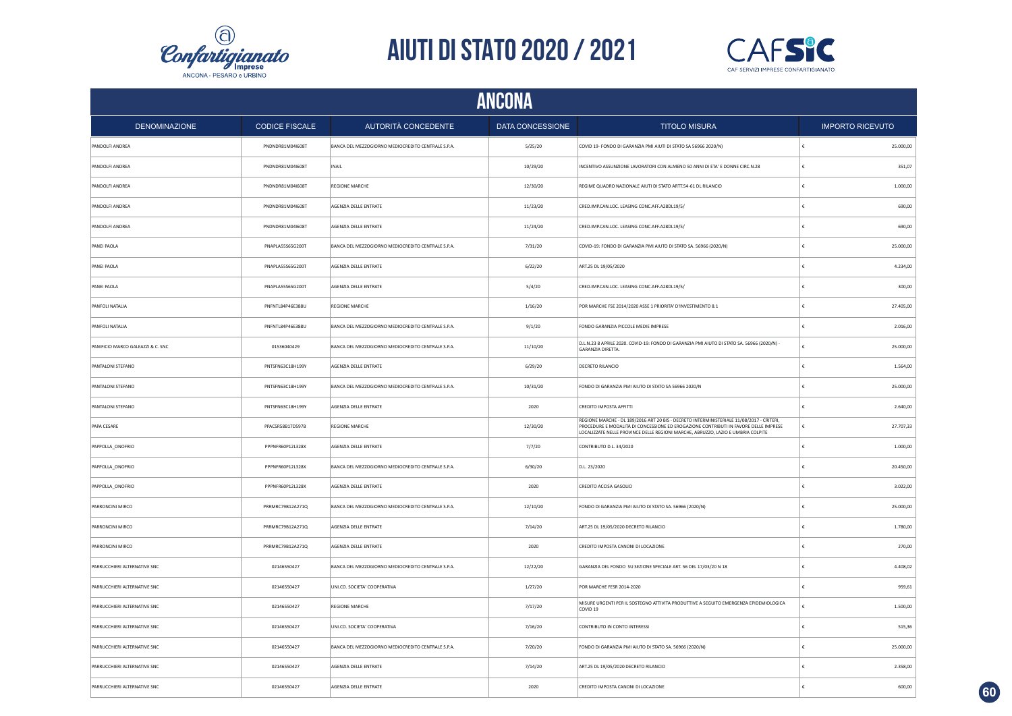



|                                   | <b>ANCONA</b>         |                                                    |                  |                                                                                                                                                                                                                                                                       |   |                         |  |  |
|-----------------------------------|-----------------------|----------------------------------------------------|------------------|-----------------------------------------------------------------------------------------------------------------------------------------------------------------------------------------------------------------------------------------------------------------------|---|-------------------------|--|--|
| <b>DENOMINAZIONE</b>              | <b>CODICE FISCALE</b> | AUTORITÀ CONCEDENTE                                | DATA CONCESSIONE | <b>TITOLO MISURA</b>                                                                                                                                                                                                                                                  |   | <b>IMPORTO RICEVUTO</b> |  |  |
| PANDOLFI ANDREA                   | PNDNDR81M04I608T      | BANCA DEL MEZZOGIORNO MEDIOCREDITO CENTRALE S.P.A. | 5/25/20          | COVID 19- FONDO DI GARANZIA PMI AIUTI DI STATO SA 56966 2020/N)                                                                                                                                                                                                       |   | 25.000,00               |  |  |
| PANDOLFI ANDREA                   | PNDNDR81M04I608T      | INAIL                                              | 10/29/20         | INCENTIVO ASSUNZIONE LAVORATORI CON ALMENO 50 ANNI DI ETA' E DONNE CIRC.N.28                                                                                                                                                                                          | € | 351,07                  |  |  |
| PANDOLFI ANDREA                   | PNDNDR81M04I608T      | <b>REGIONE MARCHE</b>                              | 12/30/20         | REGIME QUADRO NAZIONALE AIUTI DI STATO ARTT.54-61 DL RILANCIO                                                                                                                                                                                                         | € | 1.000,00                |  |  |
| PANDOLFI ANDREA                   | PNDNDR81M04I608T      | AGENZIA DELLE ENTRATE                              | 11/23/20         | CRED.IMP.CAN.LOC. LEASING CONC.AFF.A28DL19/5/                                                                                                                                                                                                                         |   | 690,00                  |  |  |
| PANDOLFI ANDREA                   | PNDNDR81M04I608T      | AGENZIA DELLE ENTRATE                              | 11/24/20         | CRED.IMP.CAN.LOC. LEASING CONC.AFF.A28DL19/5/                                                                                                                                                                                                                         |   | 690,00                  |  |  |
| PANEI PAOLA                       | PNAPLA55565G200T      | BANCA DEL MEZZOGIORNO MEDIOCREDITO CENTRALE S.P.A. | 7/31/20          | COVID-19: FONDO DI GARANZIA PMI AIUTO DI STATO SA. 56966 (2020/N)                                                                                                                                                                                                     | € | 25.000,00               |  |  |
| PANEI PAOLA                       | PNAPLA55S65G200T      | AGENZIA DELLE ENTRATE                              | 6/22/20          | ART.25 DL 19/05/2020                                                                                                                                                                                                                                                  |   | 4.234,00                |  |  |
| PANEI PAOLA                       | PNAPLA55565G200T      | AGENZIA DELLE ENTRATE                              | 5/4/20           | CRED.IMP.CAN.LOC. LEASING CONC.AFF.A28DL19/5/                                                                                                                                                                                                                         |   | 300,00                  |  |  |
| PANFOLI NATALIA                   | PNFNTL84P46E388U      | REGIONE MARCHE                                     | 1/16/20          | POR MARCHE FSE 2014/2020 ASSE 1 PRIORITA' D'INVESTIMENTO 8.1                                                                                                                                                                                                          |   | 27.405,00               |  |  |
| PANFOLI NATALIA                   | PNFNTL84P46E388U      | BANCA DEL MEZZOGIORNO MEDIOCREDITO CENTRALE S.P.A. | 9/1/20           | FONDO GARANZIA PICCOLE MEDIE IMPRESE                                                                                                                                                                                                                                  |   | 2.016,00                |  |  |
| PANIFICIO MARCO GALEAZZI & C. SNC | 01536040429           | BANCA DEL MEZZOGIORNO MEDIOCREDITO CENTRALE S.P.A. | 11/10/20         | D.L.N.23 8 APRILE 2020, COVID-19; FONDO DI GARANZIA PMI AIUTO DI STATO SA, 56966 (2020/N) -<br>GARANZIA DIRETTA.                                                                                                                                                      |   | 25.000,00               |  |  |
| PANTALONI STEFANO                 | PNTSFN63C18H199Y      | AGENZIA DELLE ENTRATE                              | 6/29/20          | DECRETO RILANCIO                                                                                                                                                                                                                                                      |   | 1.564,00                |  |  |
| PANTALONI STEFANO                 | PNTSFN63C18H199Y      | BANCA DEL MEZZOGIORNO MEDIOCREDITO CENTRALE S.P.A. | 10/31/20         | FONDO DI GARANZIA PMI AIUTO DI STATO SA 56966 2020/N                                                                                                                                                                                                                  |   | 25.000,00               |  |  |
| PANTALONI STEFANO                 | PNTSFN63C18H199Y      | AGENZIA DELLE ENTRATE                              | 2020             | CREDITO IMPOSTA AFFITTI                                                                                                                                                                                                                                               |   | 2.640,00                |  |  |
| PAPA CESARE                       | PPACSR58B17D597B      | <b>REGIONE MARCHE</b>                              | 12/30/20         | REGIONE MARCHE - DL 189/2016 ART 20 BIS - DECRETO INTERMINISTERIALE 11/08/2017 - CRITERI,<br>PROCEDURE E MODALITÀ DI CONCESSIONE ED EROGAZIONE CONTRIBUTI IN FAVORE DELLE IMPRESE<br>LOCALIZZATE NELLE PROVINCE DELLE REGIONI MARCHE, ABRUZZO, LAZIO E UMBRIA COLPITE |   | 27.707,33               |  |  |
| PAPPOLLA_ONOFRIO                  | PPPNFR60P12L328X      | AGENZIA DELLE ENTRATE                              | 7/7/20           | CONTRIBUTO D.L. 34/2020                                                                                                                                                                                                                                               | £ | 1.000,00                |  |  |
| PAPPOLLA_ONOFRIO                  | PPPNFR60P12L328X      | BANCA DEL MEZZOGIORNO MEDIOCREDITO CENTRALE S.P.A. | 6/30/20          | D.L. 23/2020                                                                                                                                                                                                                                                          |   | 20.450,00               |  |  |
| PAPPOLLA_ONOFRIO                  | PPPNFR60P12L328X      | AGENZIA DELLE ENTRATE                              | 2020             | CREDITO ACCISA GASOLIO                                                                                                                                                                                                                                                | £ | 3.022,00                |  |  |
| PARRONCINI MIRCO                  | PRRMRC79B12A271Q      | BANCA DEL MEZZOGIORNO MEDIOCREDITO CENTRALE S.P.A. | 12/10/20         | FONDO DI GARANZIA PMI AIUTO DI STATO SA. 56966 (2020/N)                                                                                                                                                                                                               | € | 25.000,00               |  |  |
| PARRONCINI MIRCO                  | PRRMRC79B12A271Q      | AGENZIA DELLE ENTRATE                              | 7/14/20          | ART.25 DL 19/05/2020 DECRETO RILANCIO                                                                                                                                                                                                                                 | € | 1.780,00                |  |  |
| PARRONCINI MIRCO                  | PRRMRC79B12A271Q      | AGENZIA DELLE ENTRATE                              | 2020             | CREDITO IMPOSTA CANONI DI LOCAZIONE                                                                                                                                                                                                                                   |   | 270,00                  |  |  |
| PARRUCCHIERI ALTERNATIVE SNC      | 02146550427           | BANCA DEL MEZZOGIORNO MEDIOCREDITO CENTRALE S.P.A. | 12/22/20         | GARANZIA DEL FONDO SU SEZIONE SPECIALE ART. 56 DEL 17/03/20 N 18                                                                                                                                                                                                      |   | 4.408,02                |  |  |
| PARRUCCHIERI ALTERNATIVE SNC      | 02146550427           | UNI.CO. SOCIETA' COOPERATIVA                       | 1/27/20          | POR MARCHE FESR 2014-2020                                                                                                                                                                                                                                             |   | 959,61                  |  |  |
| PARRUCCHIERI ALTERNATIVE SNC      | 02146550427           | <b>REGIONE MARCHE</b>                              | 7/17/20          | MISURE URGENTI PER IL SOSTEGNO ATTIVITA PRODUTTIVE A SEGUITO EMERGENZA EPIDEMIOLOGICA<br>COVID <sub>19</sub>                                                                                                                                                          |   | 1.500,00                |  |  |
| PARRUCCHIERI ALTERNATIVE SNC      | 02146550427           | UNI.CO. SOCIETA' COOPERATIVA                       | 7/16/20          | CONTRIBUTO IN CONTO INTERESSI                                                                                                                                                                                                                                         |   | 515,36                  |  |  |
| PARRUCCHIERI ALTERNATIVE SNC      | 02146550427           | BANCA DEL MEZZOGIORNO MEDIOCREDITO CENTRALE S.P.A. | 7/20/20          | FONDO DI GARANZIA PMI AIUTO DI STATO SA. 56966 (2020/N)                                                                                                                                                                                                               |   | 25.000,00               |  |  |
| PARRUCCHIERI ALTERNATIVE SNC      | 02146550427           | AGENZIA DELLE ENTRATE                              | 7/14/20          | ART.25 DL 19/05/2020 DECRETO RILANCIO                                                                                                                                                                                                                                 |   | 2.358,00                |  |  |
| PARRUCCHIERI ALTERNATIVE SNC      | 02146550427           | AGENZIA DELLE ENTRATE                              | 2020             | CREDITO IMPOSTA CANONI DI LOCAZIONE                                                                                                                                                                                                                                   |   | 600,00                  |  |  |

**60**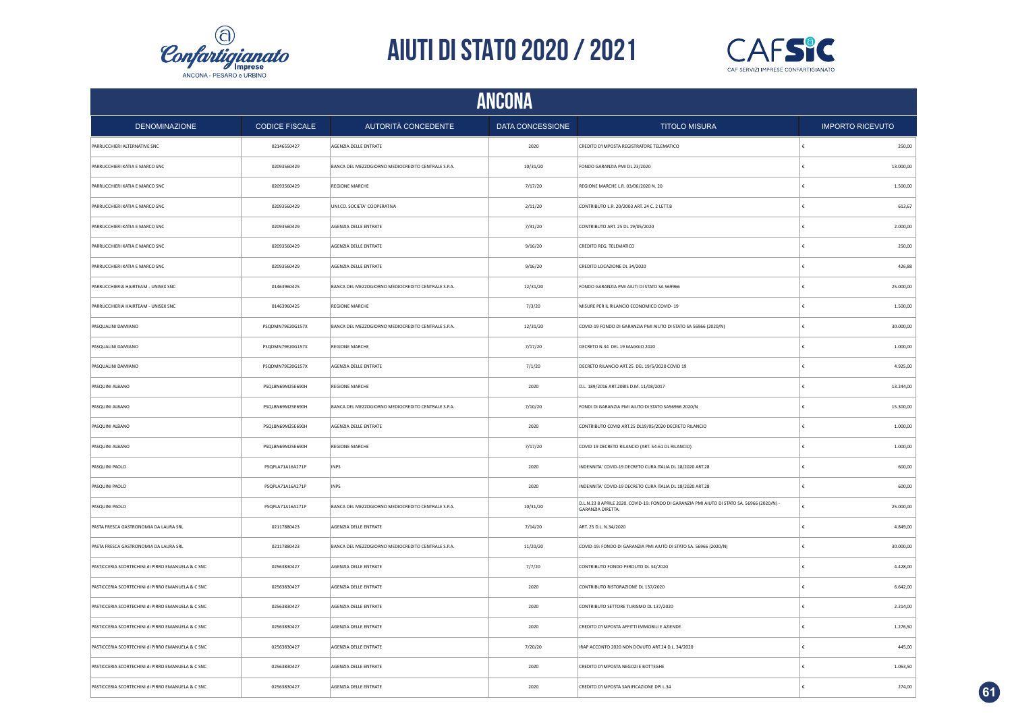



|                                                   | <b>ANCONA</b>         |                                                    |                  |                                                                                                                        |                         |  |  |
|---------------------------------------------------|-----------------------|----------------------------------------------------|------------------|------------------------------------------------------------------------------------------------------------------------|-------------------------|--|--|
| <b>DENOMINAZIONE</b>                              | <b>CODICE FISCALE</b> | AUTORITÀ CONCEDENTE                                | DATA CONCESSIONE | <b>TITOLO MISURA</b>                                                                                                   | <b>IMPORTO RICEVUTO</b> |  |  |
| PARRUCCHIERI ALTERNATIVE SNC                      | 02146550427           | AGENZIA DELLE ENTRATE                              | 2020             | CREDITO D'IMPOSTA REGISTRATORE TELEMATICO                                                                              | 250,00                  |  |  |
| PARRUCCHIERI KATIA E MARCO SNC                    | 02093560429           | BANCA DEL MEZZOGIORNO MEDIOCREDITO CENTRALE S.P.A. | 10/31/20         | FONDO GARANZIA PMI DL 23/2020                                                                                          | 13.000,00<br>£          |  |  |
| PARRUCCHIERI KATIA E MARCO SNC                    | 02093560429           | <b>REGIONE MARCHE</b>                              | 7/17/20          | REGIONE MARCHE L.R. 03/06/2020 N. 20                                                                                   | 1.500,00                |  |  |
| PARRUCCHIERI KATIA E MARCO SNC                    | 02093560429           | UNI.CO. SOCIETA' COOPERATIVA                       | 2/11/20          | CONTRIBUTO L.R. 20/2003 ART. 24 C. 2 LETT.B                                                                            | 613,67                  |  |  |
| PARRUCCHIERI KATIA E MARCO SNC                    | 02093560429           | AGENZIA DELLE ENTRATE                              | 7/31/20          | CONTRIBUTO ART. 25 DL 19/05/2020                                                                                       | 2.000,00                |  |  |
| PARRUCCHIERI KATIA E MARCO SNC                    | 02093560429           | AGENZIA DELLE ENTRATE                              | 9/16/20          | CREDITO REG. TELEMATICO                                                                                                | 250,00                  |  |  |
| PARRUCCHIERI KATIA E MARCO SNC                    | 02093560429           | AGENZIA DELLE ENTRATE                              | 9/16/20          | CREDITO LOCAZIONE DL 34/2020                                                                                           | 426,88                  |  |  |
| PARRUCCHIERIA HAIRTEAM - UNISEX SNC               | 01463960425           | BANCA DEL MEZZOGIORNO MEDIOCREDITO CENTRALE S.P.A. | 12/31/20         | FONDO GARANZIA PMI AIUTI DI STATO SA 569966                                                                            | 25.000,00               |  |  |
| PARRUCCHIERIA HAIRTEAM - UNISEX SNC               | 01463960425           | REGIONE MARCHE                                     | 7/3/20           | MISURE PER IL RILANCIO ECONOMICO COVID-19                                                                              | 1.500,00                |  |  |
| PASQUALINI DAMIANO                                | PSQDMN79E20G157X      | BANCA DEL MEZZOGIORNO MEDIOCREDITO CENTRALE S.P.A. | 12/31/20         | COVID-19 FONDO DI GARANZIA PMI AIUTO DI STATO SA 56966 (2020/N)                                                        | 30.000,00               |  |  |
| PASQUALINI DAMIANO                                | PSQDMN79E20G157X      | <b>REGIONE MARCHE</b>                              | 7/17/20          | DECRETO N.34 DEL 19 MAGGIO 2020                                                                                        | 1.000,00                |  |  |
| PASQUALINI DAMIANO                                | PSQDMN79E20G157X      | AGENZIA DELLE ENTRATE                              | 7/1/20           | DECRETO RILANCIO ART.25 DEL 19/5/2020 COVID 19                                                                         | 4.925,00                |  |  |
| PASQUINI ALBANO                                   | PSQLBN69M25E690H      | <b>REGIONE MARCHE</b>                              | 2020             | D.L. 189/2016 ART.20BIS D.M. 11/08/2017                                                                                | 13.244,00               |  |  |
| PASQUINI ALBANO                                   | PSQLBN69M25E690H      | BANCA DEL MEZZOGIORNO MEDIOCREDITO CENTRALE S.P.A. | 7/10/20          | FONDI DI GARANZIA PMI AIUTO DI STATO SA56966 2020/N                                                                    | 15.300,00               |  |  |
| PASQUINI ALBANO                                   | PSQLBN69M25E690H      | AGENZIA DELLE ENTRATE                              | 2020             | CONTRIBUTO COVID ART.25 DL19/05/2020 DECRETO RILANCIO                                                                  | 1.000,00                |  |  |
| PASQUINI ALBANO                                   | PSQLBN69M25E690H      | <b>REGIONE MARCHE</b>                              | 7/17/20          | COVID 19 DECRETO RILANCIO (ART. 54-61 DL RILANCIO)                                                                     | 1.000,00                |  |  |
| PASQUINI PAOLO                                    | PSQPLA71A16A271P      | <b>INPS</b>                                        | 2020             | INDENNITA' COVID-19 DECRETO CURA ITALIA DL 18/2020 ART.28                                                              | 600,00                  |  |  |
| PASQUINI PAOLO                                    | PSQPLA71A16A271P      | <b>INPS</b>                                        | 2020             | INDENNITA' COVID-19 DECRETO CURA ITALIA DL 18/2020 ART.28                                                              | 600,00                  |  |  |
| PASQUINI PAOLO                                    | PSQPLA71A16A271P      | BANCA DEL MEZZOGIORNO MEDIOCREDITO CENTRALE S.P.A. | 10/31/20         | D.L.N.23 8 APRILE 2020. COVID-19: FONDO DI GARANZIA PMI AIUTO DI STATO SA. 56966 (2020/N) -<br><b>GARANZIA DIRETTA</b> | £<br>25.000,00          |  |  |
| PASTA FRESCA GASTRONOMIA DA LAURA SRL             | 02117880423           | AGENZIA DELLE ENTRATE                              | 7/14/20          | ART. 25 D.L. N.34/2020                                                                                                 | 4.849,00                |  |  |
| PASTA FRESCA GASTRONOMIA DA LAURA SRL             | 02117880423           | BANCA DEL MEZZOGIORNO MEDIOCREDITO CENTRALE S.P.A. | 11/20/20         | COVID-19: FONDO DI GARANZIA PMI AIUTO DI STATO SA. 56966 (2020/N)                                                      | 30.000,00               |  |  |
| PASTICCERIA SCORTECHINI di PIRRO EMANUELA & C SNC | 02563830427           | AGENZIA DELLE ENTRATE                              | 7/7/20           | CONTRIBUTO FONDO PERDUTO DL 34/2020                                                                                    | 4.428,00                |  |  |
| PASTICCERIA SCORTECHINI di PIRRO EMANUELA & C SNC | 02563830427           | AGENZIA DELLE ENTRATE                              | 2020             | CONTRIBUTO RISTORAZIONE DL 137/2020                                                                                    | 6.642,00                |  |  |
| PASTICCERIA SCORTECHINI di PIRRO EMANUELA & C SNC | 02563830427           | AGENZIA DELLE ENTRATE                              | 2020             | CONTRIBUTO SETTORE TURISMO DL 137/2020                                                                                 | 2.214,00                |  |  |
| PASTICCERIA SCORTECHINI di PIRRO EMANUELA & C SNC | 02563830427           | AGENZIA DELLE ENTRATE                              | 2020             | CREDITO D'IMPOSTA AFFITTI IMMOBILI E AZIENDE                                                                           | 1.276,50                |  |  |
| PASTICCERIA SCORTECHINI di PIRRO EMANUELA & C SNC | 02563830427           | AGENZIA DELLE ENTRATE                              | 7/20/20          | IRAP ACCONTO 2020 NON DOVUTO ART.24 D.L. 34/2020                                                                       | 445,00                  |  |  |
| PASTICCERIA SCORTECHINI di PIRRO EMANUELA & C SNC | 02563830427           | AGENZIA DELLE ENTRATE                              | 2020             | CREDITO D'IMPOSTA NEGOZI E BOTTEGHE                                                                                    | 1.063,50                |  |  |
| PASTICCERIA SCORTECHINI di PIRRO EMANUELA & C SNC | 02563830427           | AGENZIA DELLE ENTRATE                              | 2020             | CREDITO D'IMPOSTA SANIFICAZIONE DPI L.34                                                                               | 274,00                  |  |  |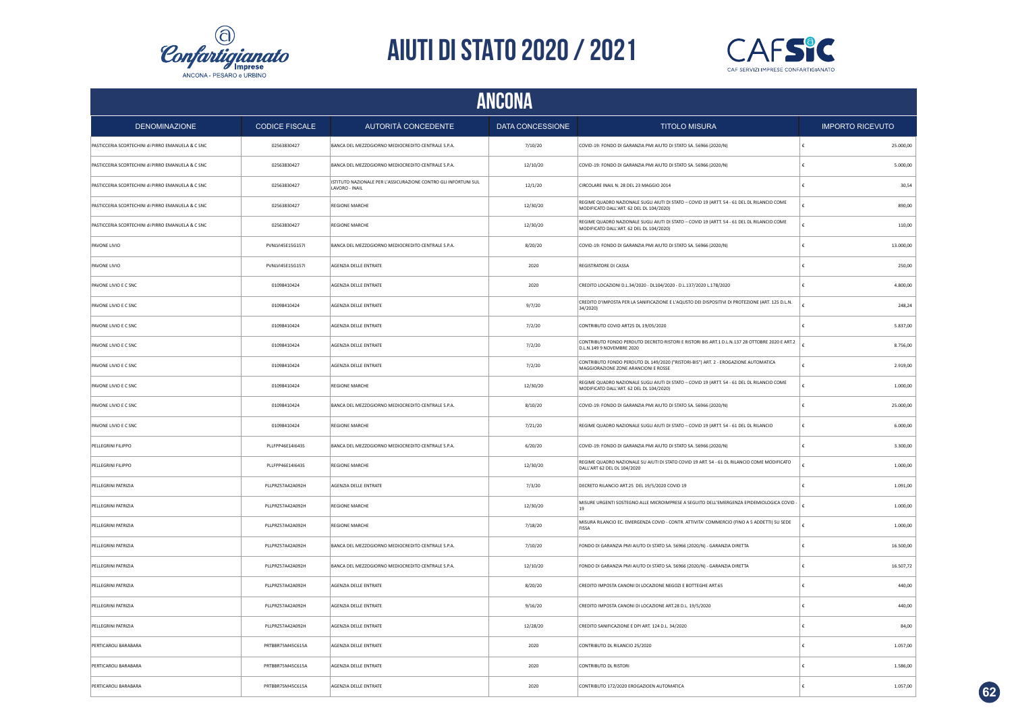



|                                                   | ANCONA                |                                                                                   |                  |                                                                                                                                         |                         |  |  |
|---------------------------------------------------|-----------------------|-----------------------------------------------------------------------------------|------------------|-----------------------------------------------------------------------------------------------------------------------------------------|-------------------------|--|--|
| <b>DENOMINAZIONE</b>                              | <b>CODICE FISCALE</b> | AUTORITÀ CONCEDENTE                                                               | DATA CONCESSIONE | <b>TITOLO MISURA</b>                                                                                                                    | <b>IMPORTO RICEVUTO</b> |  |  |
| PASTICCERIA SCORTECHINI di PIRRO EMANUELA & C SNC | 02563830427           | BANCA DEL MEZZOGIORNO MEDIOCREDITO CENTRALE S.P.A.                                | 7/10/20          | COVID-19: FONDO DI GARANZIA PMI AIUTO DI STATO SA. 56966 (2020/N)                                                                       | 25.000,00               |  |  |
| PASTICCERIA SCORTECHINI di PIRRO EMANUELA & C SNC | 02563830427           | BANCA DEL MEZZOGIORNO MEDIOCREDITO CENTRALE S.P.A.                                | 12/10/20         | COVID-19: FONDO DI GARANZIA PMI AIUTO DI STATO SA. 56966 (2020/N)                                                                       | 5.000,00                |  |  |
| PASTICCERIA SCORTECHINI di PIRRO EMANUELA & C SNC | 02563830427           | ISTITUTO NAZIONALE PER L'ASSICURAZIONE CONTRO GLI INFORTUNI SUL<br>LAVORO - INAIL | 12/1/20          | CIRCOLARE INAIL N. 28 DEL 23 MAGGIO 2014                                                                                                | 30,54                   |  |  |
| PASTICCERIA SCORTECHINI di PIRRO EMANUELA & C SNC | 02563830427           | <b>REGIONE MARCHE</b>                                                             | 12/30/20         | REGIME QUADRO NAZIONALE SUGLI AIUTI DI STATO - COVID 19 (ARTT. 54 - 61 DEL DL RILANCIO COME<br>MODIFICATO DALL'ART. 62 DEL DL 104/2020) | 890,00                  |  |  |
| PASTICCERIA SCORTECHINI di PIRRO EMANUELA & C SNC | 02563830427           | REGIONE MARCHE                                                                    | 12/30/20         | REGIME QUADRO NAZIONALE SUGLI AIUTI DI STATO - COVID 19 (ARTT. 54 - 61 DEL DL RILANCIO COME<br>MODIFICATO DALL'ART. 62 DEL DL 104/2020) | 110,00                  |  |  |
| PAVONE LIVIO                                      | PVNLVI45E15G157I      | BANCA DEL MEZZOGIORNO MEDIOCREDITO CENTRALE S.P.A.                                | 8/20/20          | COVID-19: FONDO DI GARANZIA PMI AIUTO DI STATO SA. 56966 (2020/N)                                                                       | 13.000,00               |  |  |
| PAVONE LIVIO                                      | PVNLVI45E15G157I      | AGENZIA DELLE ENTRATE                                                             | 2020             | REGISTRATORE DI CASSA                                                                                                                   | 250,00                  |  |  |
| PAVONE LIVIO E C SNC                              | 01098410424           | AGENZIA DELLE ENTRATE                                                             | 2020             | CREDITO LOCAZIONI D.L.34/2020 - DL104/2020 - D.L.137/2020 L.178/2020                                                                    | 4.800,00                |  |  |
| PAVONE LIVIO E C SNC                              | 01098410424           | AGENZIA DELLE ENTRATE                                                             | 9/7/20           | CREDITO D'IMPOSTA PER LA SANIFICAZIONE E L'AQUSTO DEI DISPOSITIVI DI PROTEZIONE (ART. 125 D.L.N.<br>34/2020)                            | 248,24                  |  |  |
| PAVONE LIVIO E C SNC                              | 01098410424           | AGENZIA DELLE ENTRATE                                                             | 7/2/20           | CONTRIBUTO COVID ART25 DL 19/05/2020                                                                                                    | 5.837,00                |  |  |
| PAVONE LIVIO E C SNC                              | 01098410424           | AGENZIA DELLE ENTRATE                                                             | 7/2/20           | CONTRIBUTO FONDO PERDUTO DECRETO RISTORI E RISTORI BIS ART.1 D.L.N.137 28 OTTOBRE 2020 E ART.2<br>D.L.N.149 9 NOVEMBRE 2020             | 8.756,00                |  |  |
| <b>PAVONE LIVIO E C SNC</b>                       | 01098410424           | AGENZIA DELLE ENTRATE                                                             | 7/2/20           | CONTRIBUTO FONDO PERDUTO DL 149/2020 ("RISTORI-BIS") ART. 2 - EROGAZIONE AUTOMATICA<br>MAGGIORAZIONE ZONE ARANCIONI E ROSSE             | 2.919,00                |  |  |
| PAVONE LIVIO E C SNC                              | 01098410424           | <b>REGIONE MARCHE</b>                                                             | 12/30/20         | REGIME QUADRO NAZIONALE SUGLI AIUTI DI STATO - COVID 19 (ARTT. 54 - 61 DEL DL RILANCIO COME<br>MODIFICATO DALL'ART. 62 DEL DL 104/2020) | 1.000,00                |  |  |
| <b>PAVONE LIVIO E C SNC</b>                       | 01098410424           | BANCA DEL MEZZOGIORNO MEDIOCREDITO CENTRALE S.P.A.                                | 8/10/20          | COVID-19: FONDO DI GARANZIA PMI AIUTO DI STATO SA. 56966 (2020/N)                                                                       | 25.000,00               |  |  |
| <b>PAVONE LIVIO E C SNC</b>                       | 01098410424           | <b>REGIONE MARCHE</b>                                                             | 7/21/20          | REGIME QUADRO NAZIONALE SUGLI AIUTI DI STATO - COVID 19 (ARTT. 54 - 61 DEL DL RILANCIO                                                  | 6.000,00<br>£           |  |  |
| PELLEGRINI FILIPPO                                | PLLFPP46E14I643S      | BANCA DEL MEZZOGIORNO MEDIOCREDITO CENTRALE S.P.A.                                | 6/20/20          | COVID-19: FONDO DI GARANZIA PMI AIUTO DI STATO SA. 56966 (2020/N)                                                                       | 3.300,00                |  |  |
| PELLEGRINI FILIPPO                                | PLLFPP46E14I643S      | <b>REGIONE MARCHE</b>                                                             | 12/30/20         | REGIME QUADRO NAZIONALE SU AIUTI DI STATO COVID 19 ART. 54 - 61 DL RILANCIO COME MODIFICATO<br>DALL'ART 62 DEL DL 104/2020              | 1.000,00                |  |  |
| PELLEGRINI PATRIZIA                               | PLLPRZ57A42A092H      | AGENZIA DELLE ENTRATE                                                             | 7/3/20           | DECRETO RILANCIO ART.25 DEL 19/5/2020 COVID 19                                                                                          | 1.091,00                |  |  |
| PELLEGRINI PATRIZIA                               | PLLPRZ57A42A092H      | REGIONE MARCHE                                                                    | 12/30/20         | MISURE URGENTI SOSTEGNO ALLE MICROIMPRESE A SEGUITO DELL'EMERGENZA EPIDEMIOLOGICA COVID -<br>19                                         | 1.000,00                |  |  |
| PELLEGRINI PATRIZIA                               | PLLPRZ57A42A092H      | REGIONE MARCHE                                                                    | 7/18/20          | MISURA RILANCIO EC. EMERGENZA COVID - CONTR. ATTIVITA' COMMERCIO (FINO A 5 ADDETTI) SU SEDE<br>FISSA                                    | 1.000,00                |  |  |
| PELLEGRINI PATRIZIA                               | PLLPRZ57A42A092H      | BANCA DEL MEZZOGIORNO MEDIOCREDITO CENTRALE S.P.A.                                | 7/10/20          | FONDO DI GARANZIA PMI AIUTO DI STATO SA. 56966 (2020/N) - GARANZIA DIRETTA                                                              | 16.500,00               |  |  |
| PELLEGRINI PATRIZIA                               | PLLPRZ57A42A092H      | BANCA DEL MEZZOGIORNO MEDIOCREDITO CENTRALE S.P.A.                                | 12/10/20         | FONDO DI GARANZIA PMI AIUTO DI STATO SA. 56966 (2020/N) - GARANZIA DIRETTA                                                              | 16.507,72               |  |  |
| PELLEGRINI PATRIZIA                               | PLLPRZ57A42A092H      | AGENZIA DELLE ENTRATE                                                             | 8/20/20          | CREDITO IMPOSTA CANONI DI LOCAZIONE NEGOZI E BOTTEGHE ART.65                                                                            | 440,00                  |  |  |
| PELLEGRINI PATRIZIA                               | PLLPRZ57A42A092H      | AGENZIA DELLE ENTRATE                                                             | 9/16/20          | CREDITO IMPOSTA CANONI DI LOCAZIONE ART.28 D.L. 19/5/2020                                                                               | 440,00                  |  |  |
| PELLEGRINI PATRIZIA                               | PLLPRZ57A42A092H      | AGENZIA DELLE ENTRATE                                                             | 12/28/20         | CREDITO SANIFICAZIONE E DPI ART. 124 D.L. 34/2020                                                                                       | 84,00                   |  |  |
| PERTICAROLI BARABARA                              | PRTBBR75M45C615A      | AGENZIA DELLE ENTRATE                                                             | 2020             | CONTRIBUTO DL RILANCIO 25/2020                                                                                                          | 1.057,00                |  |  |
| PERTICAROLI BARABARA                              | PRTBBR75M45C615A      | AGENZIA DELLE ENTRATE                                                             | 2020             | CONTRIBUTO DL RISTORI                                                                                                                   | 1.586,00                |  |  |
| PERTICAROLI BARABARA                              | PRTBBR75M45C615A      | AGENZIA DELLE ENTRATE                                                             | 2020             | CONTRIBUTO 172/2020 EROGAZIOEN AUTOMATICA                                                                                               | 1.057,00                |  |  |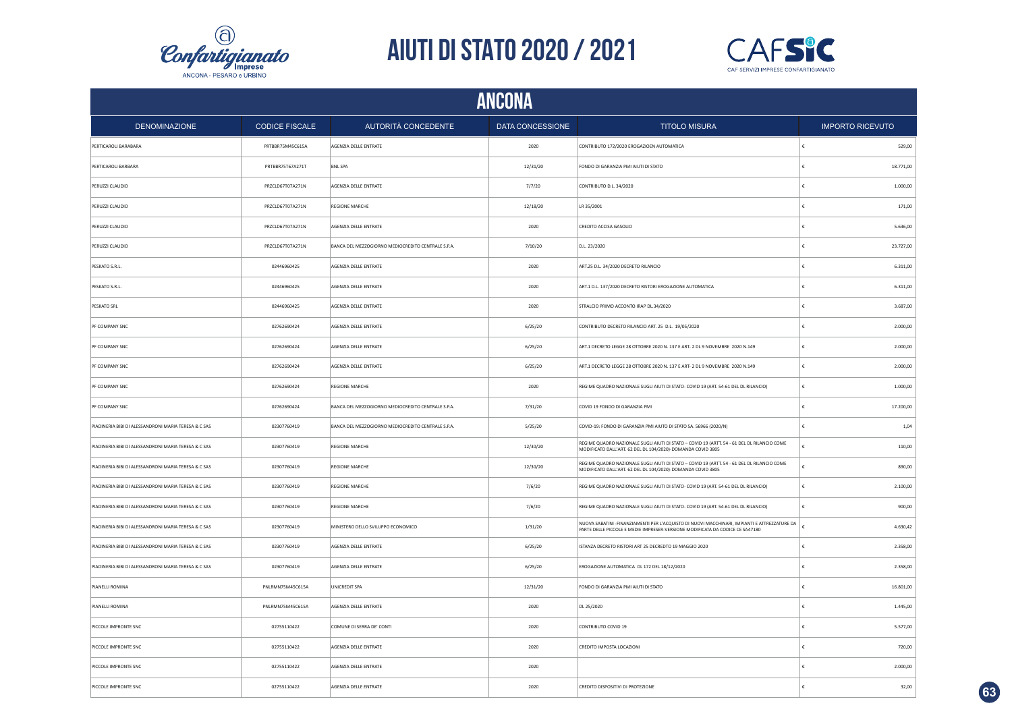



|                                                      | <b>ANCONA</b>         |                                                    |                  |                                                                                                                                                                               |                         |  |  |
|------------------------------------------------------|-----------------------|----------------------------------------------------|------------------|-------------------------------------------------------------------------------------------------------------------------------------------------------------------------------|-------------------------|--|--|
| <b>DENOMINAZIONE</b>                                 | <b>CODICE FISCALE</b> | <b>AUTORITÀ CONCEDENTE</b>                         | DATA CONCESSIONE | <b>TITOLO MISURA</b>                                                                                                                                                          | <b>IMPORTO RICEVUTO</b> |  |  |
| PERTICAROLI BARABARA                                 | PRTBBR75M45C615A      | AGENZIA DELLE ENTRATE                              | 2020             | CONTRIBUTO 172/2020 EROGAZIOEN AUTOMATICA                                                                                                                                     | €<br>529,00             |  |  |
| PERTICAROLI BARBARA                                  | PRTBBR75T67A271T      | <b>BNL SPA</b>                                     | 12/31/20         | FONDO DI GARANZIA PMI AIUTI DI STATO                                                                                                                                          | €<br>18.771,00          |  |  |
| PERUZZI CLAUDIO                                      | PRZCLD67T07A271N      | AGENZIA DELLE ENTRATE                              | 7/7/20           | CONTRIBUTO D.L. 34/2020                                                                                                                                                       | 1.000,00<br>€           |  |  |
| PERUZZI CLAUDIO                                      | PRZCLD67T07A271N      | <b>REGIONE MARCHE</b>                              | 12/18/20         | LR 35/2001                                                                                                                                                                    | €<br>171,00             |  |  |
| PERUZZI CLAUDIO                                      | PRZCLD67T07A271N      | AGENZIA DELLE ENTRATE                              | 2020             | CREDITO ACCISA GASOLIO                                                                                                                                                        | €<br>5.636,00           |  |  |
| PERUZZI CLAUDIO                                      | PRZCLD67T07A271N      | BANCA DEL MEZZOGIORNO MEDIOCREDITO CENTRALE S.P.A. | 7/10/20          | D.L. 23/2020                                                                                                                                                                  | 23.727,00<br>€          |  |  |
| PESKATO S.R.L.                                       | 02446960425           | AGENZIA DELLE ENTRATE                              | 2020             | ART.25 D.L. 34/2020 DECRETO RILANCIO                                                                                                                                          | 6.311,00<br>€           |  |  |
| PESKATO S.R.L.                                       | 02446960425           | AGENZIA DELLE ENTRATE                              | 2020             | ART.1 D.L. 137/2020 DECRETO RISTORI EROGAZIONE AUTOMATICA                                                                                                                     | €<br>6.311,00           |  |  |
| PESKATO SRL                                          | 02446960425           | AGENZIA DELLE ENTRATE                              | 2020             | STRALCIO PRIMO ACCONTO IRAP DL.34/2020                                                                                                                                        | 3.687,00<br>€           |  |  |
| PF COMPANY SNC                                       | 02762690424           | AGENZIA DELLE ENTRATE                              | 6/25/20          | CONTRIBUTO DECRETO RILANCIO ART. 25 D.L. 19/05/2020                                                                                                                           | €<br>2.000,00           |  |  |
| PF COMPANY SNC                                       | 02762690424           | AGENZIA DELLE ENTRATE                              | 6/25/20          | ART.1 DECRETO LEGGE 28 OTTOBRE 2020 N. 137 E ART- 2 DL 9 NOVEMBRE 2020 N.149                                                                                                  | 2.000,00<br>€           |  |  |
| PF COMPANY SNC                                       | 02762690424           | AGENZIA DELLE ENTRATE                              | 6/25/20          | ART.1 DECRETO LEGGE 28 OTTOBRE 2020 N. 137 E ART- 2 DL 9 NOVEMBRE 2020 N.149                                                                                                  | €<br>2.000,00           |  |  |
| PF COMPANY SNC                                       | 02762690424           | REGIONE MARCHE                                     | 2020             | REGIME QUADRO NAZIONALE SUGLI AIUTI DI STATO- COVID 19 (ART. 54-61 DEL DL RILANCIO)                                                                                           | 1.000,00                |  |  |
| PF COMPANY SNC                                       | 02762690424           | BANCA DEL MEZZOGIORNO MEDIOCREDITO CENTRALE S.P.A. | 7/31/20          | COVID 19 FONDO DI GARANZIA PMI                                                                                                                                                | 17.200,00<br>£          |  |  |
| PIADINERIA BIBI DI ALESSANDRONI MARIA TERESA & C SAS | 02307760419           | BANCA DEL MEZZOGIORNO MEDIOCREDITO CENTRALE S.P.A. | 5/25/20          | COVID-19: FONDO DI GARANZIA PMI AIUTO DI STATO SA. 56966 (2020/N)                                                                                                             | 1,04<br>£               |  |  |
| PIADINERIA BIBI DI ALESSANDRONI MARIA TERESA & C SAS | 02307760419           | <b>REGIONE MARCHE</b>                              | 12/30/20         | REGIME QUADRO NAZIONALE SUGLI AIUTI DI STATO - COVID 19 (ARTT. 54 - 61 DEL DL RILANCIO COME<br>MODIFICATO DALL'ART. 62 DEL DL 104/2020)-DOMANDA COVID 3805                    | £<br>110,00             |  |  |
| PIADINERIA BIBI DI ALESSANDRONI MARIA TERESA & C SAS | 02307760419           | <b>REGIONE MARCHE</b>                              | 12/30/20         | REGIME QUADRO NAZIONALE SUGLI AIUTI DI STATO - COVID 19 (ARTT. 54 - 61 DEL DL RILANCIO COME<br>MODIFICATO DALL'ART. 62 DEL DL 104/2020)-DOMANDA COVID 3805                    | £<br>890.00             |  |  |
| PIADINERIA BIBI DI ALESSANDRONI MARIA TERESA & C SAS | 02307760419           | <b>REGIONE MARCHE</b>                              | 7/6/20           | REGIME QUADRO NAZIONALE SUGLI AIUTI DI STATO- COVID 19 (ART. 54-61 DEL DL RILANCIO)                                                                                           | ١£<br>2.100,00          |  |  |
| PIADINERIA BIBI DI ALESSANDRONI MARIA TERESA & C SAS | 02307760419           | <b>REGIONE MARCHE</b>                              | 7/6/20           | REGIME QUADRO NAZIONALE SUGLI AIUTI DI STATO- COVID 19 (ART. 54-61 DEL DL RILANCIO)                                                                                           | 900,00<br>$\epsilon$    |  |  |
| PIADINERIA BIBI DI ALESSANDRONI MARIA TERESA & C SAS | 02307760419           | MINISTERO DELLO SVILUPPO ECONOMICO                 | 1/31/20          | NUOVA SABATINI -FINANZIAMENTI PER L'ACQUISTO DI NUOVI MACCHINARI, IMPIANTI E ATTREZZATURE DA<br>PARTE DELLE PICCOLE E MEDIE IMPRESER-VERSIONE MODIFICATA DA CODICE CE SA47180 | 4.630,42<br>€           |  |  |
| PIADINERIA BIBI DI ALESSANDRONI MARIA TERESA & C SAS | 02307760419           | AGENZIA DELLE ENTRATE                              | 6/25/20          | ISTANZA DECRETO RISTORI ART 25 DECREDTO 19 MAGGIO 2020                                                                                                                        | 2.358,00<br>€           |  |  |
| PIADINERIA BIBI DI ALESSANDRONI MARIA TERESA & C SAS | 02307760419           | AGENZIA DELLE ENTRATE                              | 6/25/20          | EROGAZIONE AUTOMATICA DL 172 DEL 18/12/2020                                                                                                                                   | €<br>2.358,00           |  |  |
| PIANELLI ROMINA                                      | PNLRMN75M45C615A      | UNICREDIT SPA                                      | 12/31/20         | FONDO DI GARANZIA PMI AIUTI DI STATO                                                                                                                                          | €<br>16.801,00          |  |  |
| PIANELLI ROMINA                                      | PNLRMN75M45C615A      | AGENZIA DELLE ENTRATE                              | 2020             | DL 25/2020                                                                                                                                                                    | 1.445,00<br>€           |  |  |
| PICCOLE IMPRONTE SNC                                 | 02755110422           | COMUNE DI SERRA DE' CONTI                          | 2020             | CONTRIBUTO COVID 19                                                                                                                                                           | 5.577,00<br>€           |  |  |
| PICCOLE IMPRONTE SNC                                 | 02755110422           | AGENZIA DELLE ENTRATE                              | 2020             | CREDITO IMPOSTA LOCAZIONI                                                                                                                                                     | 720.00<br>€             |  |  |
| PICCOLE IMPRONTE SNC                                 | 02755110422           | AGENZIA DELLE ENTRATE                              | 2020             |                                                                                                                                                                               | 2.000,00                |  |  |
| PICCOLE IMPRONTE SNC                                 | 02755110422           | AGENZIA DELLE ENTRATE                              | 2020             | CREDITO DISPOSITIVI DI PROTEZIONE                                                                                                                                             | 32,00                   |  |  |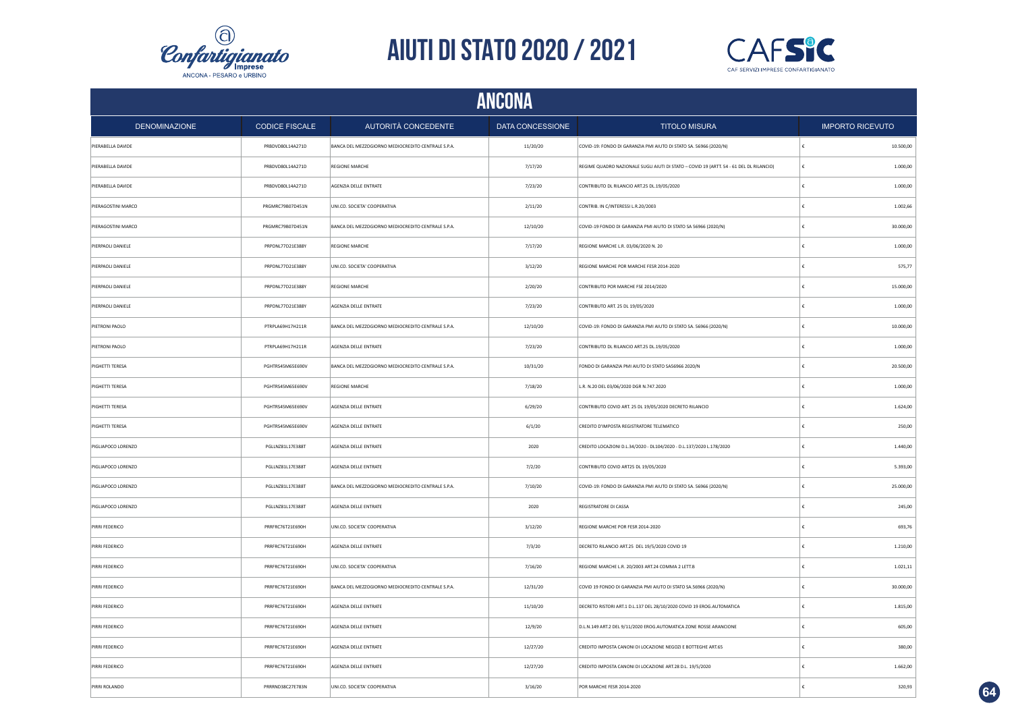



|                      | <b>ANCONA</b>         |                                                    |                  |                                                                                         |   |                         |  |  |
|----------------------|-----------------------|----------------------------------------------------|------------------|-----------------------------------------------------------------------------------------|---|-------------------------|--|--|
| <b>DENOMINAZIONE</b> | <b>CODICE FISCALE</b> | AUTORITÀ CONCEDENTE                                | DATA CONCESSIONE | <b>TITOLO MISURA</b>                                                                    |   | <b>IMPORTO RICEVUTO</b> |  |  |
| PIERABELLA DAVIDE    | PRBDVD80L14A271D      | BANCA DEL MEZZOGIORNO MEDIOCREDITO CENTRALE S.P.A. | 11/20/20         | COVID-19: FONDO DI GARANZIA PMI AIUTO DI STATO SA. 56966 (2020/N)                       | € | 10.500,00               |  |  |
| PIERABELLA DAVIDE    | PRBDVD80L14A271D      | <b>REGIONE MARCHE</b>                              | 7/17/20          | REGIME QUADRO NAZIONALE SUGLI AIUTI DI STATO - COVID 19 (ARTT. 54 - 61 DEL DL RILANCIO) |   | 1.000,00                |  |  |
| PIERABELLA DAVIDE    | PRBDVD80L14A271D      | AGENZIA DELLE ENTRATE                              | 7/23/20          | CONTRIBUTO DL RILANCIO ART.25 DL.19/05/2020                                             | € | 1.000,00                |  |  |
| PIERAGOSTINI MARCO   | PRGMRC79B07D451N      | UNI.CO. SOCIETA' COOPERATIVA                       | 2/11/20          | CONTRIB. IN C/INTERESSI L.R.20/2003                                                     |   | 1.002,66                |  |  |
| PIERAGOSTINI MARCO   | PRGMRC79B07D451N      | BANCA DEL MEZZOGIORNO MEDIOCREDITO CENTRALE S.P.A. | 12/10/20         | COVID-19 FONDO DI GARANZIA PMI AIUTO DI STATO SA 56966 (2020/N)                         |   | 30.000,00               |  |  |
| PIERPAOLI DANIELE    | PRPDNL77D21E388Y      | <b>REGIONE MARCHE</b>                              | 7/17/20          | REGIONE MARCHE L.R. 03/06/2020 N. 20                                                    | £ | 1.000,00                |  |  |
| PIERPAOLI DANIELE    | PRPDNL77D21E388Y      | UNI.CO. SOCIETA' COOPERATIVA                       | 3/12/20          | REGIONE MARCHE POR MARCHE FESR 2014-2020                                                |   | 575,77                  |  |  |
| PIERPAOLI DANIELE    | PRPDNL77D21E388Y      | <b>REGIONE MARCHE</b>                              | 2/20/20          | CONTRIBUTO POR MARCHE FSE 2014/2020                                                     |   | 15.000,00               |  |  |
| PIERPAOLI DANIELE    | PRPDNL77D21E388Y      | AGENZIA DELLE ENTRATE                              | 7/23/20          | CONTRIBUTO ART. 25 DL 19/05/2020                                                        |   | 1.000,00                |  |  |
| PIETRONI PAOLO       | PTRPLA69H17H211R      | BANCA DEL MEZZOGIORNO MEDIOCREDITO CENTRALE S.P.A. | 12/10/20         | COVID-19: FONDO DI GARANZIA PMI AIUTO DI STATO SA. 56966 (2020/N)                       |   | 10.000,00               |  |  |
| PIETRONI PAOLO       | PTRPLA69H17H211R      | AGENZIA DELLE ENTRATE                              | 7/23/20          | CONTRIBUTO DL RILANCIO ART.25 DL.19/05/2020                                             |   | 1.000,00                |  |  |
| PIGHETTI TERESA      | PGHTRS45M65E690V      | BANCA DEL MEZZOGIORNO MEDIOCREDITO CENTRALE S.P.A. | 10/31/20         | FONDO DI GARANZIA PMI AIUTO DI STATO SA56966 2020/N                                     |   | 20.500,00               |  |  |
| PIGHETTI TERESA      | PGHTRS45M65E690V      | REGIONE MARCHE                                     | 7/18/20          | L.R. N.20 DEL 03/06/2020 DGR N.747.2020                                                 |   | 1.000,00                |  |  |
| PIGHETTI TERESA      | PGHTRS45M65E690V      | AGENZIA DELLE ENTRATE                              | 6/29/20          | CONTRIBUTO COVID ART. 25 DL 19/05/2020 DECRETO RILANCIO                                 |   | 1.624,00                |  |  |
| PIGHETTI TERESA      | PGHTRS45M65E690V      | AGENZIA DELLE ENTRATE                              | 6/1/20           | CREDITO D'IMPOSTA REGISTRATORE TELEMATICO                                               | £ | 250,00                  |  |  |
| PIGLIAPOCO LORENZO   | PGLLNZ81L17E388T      | AGENZIA DELLE ENTRATE                              | 2020             | CREDITO LOCAZIONI D.L.34/2020 - DL104/2020 - D.L.137/2020 L.178/2020                    | £ | 1.440,00                |  |  |
| PIGLIAPOCO LORENZO   | PGLLNZ81L17E388T      | AGENZIA DELLE ENTRATE                              | 7/2/20           | CONTRIBUTO COVID ART25 DL 19/05/2020                                                    |   | 5.393,00                |  |  |
| PIGLIAPOCO LORENZO   | PGLLNZ81L17E388T      | BANCA DEL MEZZOGIORNO MEDIOCREDITO CENTRALE S.P.A. | 7/10/20          | COVID-19: FONDO DI GARANZIA PMI AIUTO DI STATO SA. 56966 (2020/N)                       | € | 25.000,00               |  |  |
| PIGLIAPOCO LORENZO   | PGLLNZ81L17E388T      | AGENZIA DELLE ENTRATE                              | 2020             | REGISTRATORE DI CASSA                                                                   | € | 245,00                  |  |  |
| PIRRI FEDERICO       | PRRFRC76T21E690H      | UNI.CO. SOCIETA' COOPERATIVA                       | 3/12/20          | REGIONE MARCHE POR FESR 2014-2020                                                       | € | 693,76                  |  |  |
| PIRRI FEDERICO       | PRRFRC76T21E690H      | AGENZIA DELLE ENTRATE                              | 7/3/20           | DECRETO RILANCIO ART.25 DEL 19/5/2020 COVID 19                                          |   | 1.210,00                |  |  |
| PIRRI FEDERICO       | PRRFRC76T21E690H      | UNI.CO. SOCIETA' COOPERATIVA                       | 7/16/20          | REGIONE MARCHE L.R. 20/2003 ART.24 COMMA 2 LETT.B                                       |   | 1.021,11                |  |  |
| PIRRI FEDERICO       | PRRFRC76T21E690H      | BANCA DEL MEZZOGIORNO MEDIOCREDITO CENTRALE S.P.A. | 12/31/20         | COVID 19 FONDO DI GARANZIA PMI AIUTO DI STATO SA.56966 (2020/N)                         | € | 30.000,00               |  |  |
| PIRRI FEDERICO       | PRRFRC76T21E690H      | AGENZIA DELLE ENTRATE                              | 11/10/20         | DECRETO RISTORI ART.1 D.L.137 DEL 28/10/2020 COVID 19 EROG.AUTOMATICA                   |   | 1.815,00                |  |  |
| PIRRI FEDERICO       | PRRFRC76T21E690H      | AGENZIA DELLE ENTRATE                              | 12/9/20          | D.L.N.149 ART.2 DEL 9/11/2020 EROG.AUTOMATICA ZONE ROSSE ARANCIONE                      | £ | 605,00                  |  |  |
| PIRRI FEDERICO       | PRRFRC76T21E690H      | AGENZIA DELLE ENTRATE                              | 12/27/20         | CREDITO IMPOSTA CANONI DI LOCAZIONE NEGOZI E BOTTEGHE ART.65                            |   | 380.00                  |  |  |
| PIRRI FEDERICO       | PRRFRC76T21E690H      | AGENZIA DELLE ENTRATE                              | 12/27/20         | CREDITO IMPOSTA CANONI DI LOCAZIONE ART.28 D.L. 19/5/2020                               |   | 1.662,00                |  |  |
| PIRRI ROLANDO        | PRRRND38C27E783N      | UNI.CO. SOCIETA' COOPERATIVA                       | 3/16/20          | POR MARCHE FESR 2014-2020                                                               |   | 320,93                  |  |  |

**64**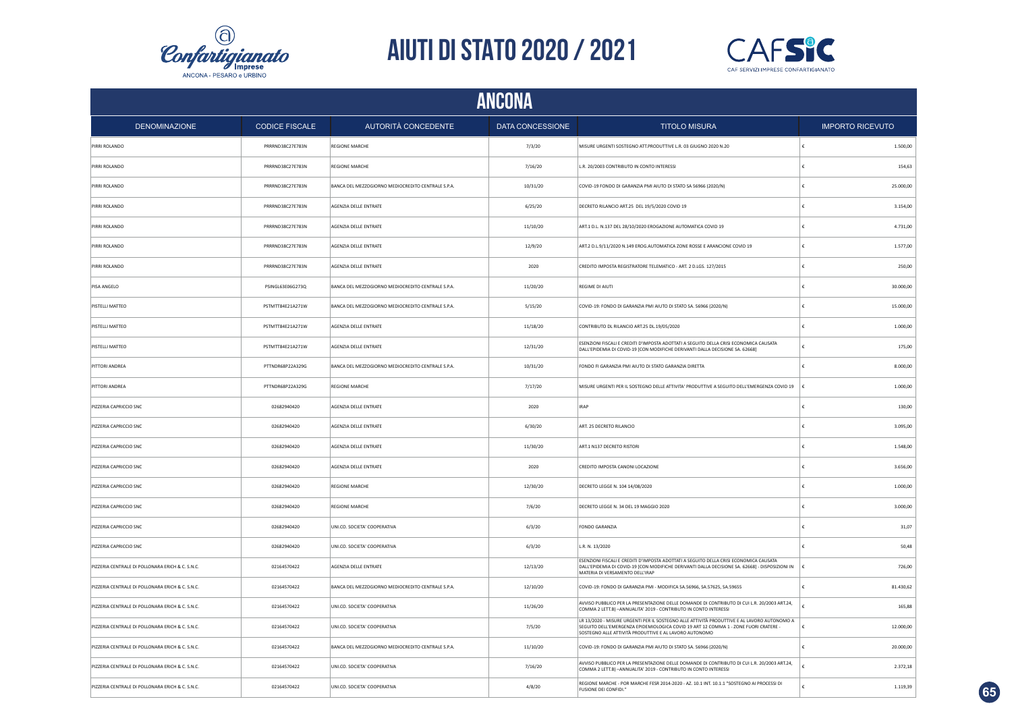



|                                                  | ANCONA                |                                                    |                  |                                                                                                                                                                                                                                               |                         |  |  |
|--------------------------------------------------|-----------------------|----------------------------------------------------|------------------|-----------------------------------------------------------------------------------------------------------------------------------------------------------------------------------------------------------------------------------------------|-------------------------|--|--|
| <b>DENOMINAZIONE</b>                             | <b>CODICE FISCALE</b> | <b>AUTORITÀ CONCEDENTE</b>                         | DATA CONCESSIONE | <b>TITOLO MISURA</b>                                                                                                                                                                                                                          | <b>IMPORTO RICEVUTO</b> |  |  |
| PIRRI ROLANDO                                    | PRRRND38C27E783N      | <b>REGIONE MARCHE</b>                              | 7/3/20           | MISURE URGENTI SOSTEGNO ATT.PRODUTTIVE L.R. 03 GIUGNO 2020 N.20                                                                                                                                                                               | 1.500,00                |  |  |
| PIRRI ROLANDO                                    | PRRRND38C27E783N      | <b>REGIONE MARCHE</b>                              | 7/16/20          | L.R. 20/2003 CONTRIBUTO IN CONTO INTERESSI                                                                                                                                                                                                    | €<br>154,63             |  |  |
| PIRRI ROLANDO                                    | PRRRND38C27E783N      | BANCA DEL MEZZOGIORNO MEDIOCREDITO CENTRALE S.P.A. | 10/31/20         | COVID-19 FONDO DI GARANZIA PMI AIUTO DI STATO SA 56966 (2020/N)                                                                                                                                                                               | €<br>25.000,00          |  |  |
| PIRRI ROLANDO                                    | PRRRND38C27E783N      | AGENZIA DELLE ENTRATE                              | 6/25/20          | DECRETO RILANCIO ART.25 DEL 19/5/2020 COVID 19                                                                                                                                                                                                | 3.154.00<br>£           |  |  |
| PIRRI ROLANDO                                    | PRRRND38C27E783N      | AGENZIA DELLE ENTRATE                              | 11/10/20         | ART.1 D.L. N.137 DEL 28/10/2020 EROGAZIONE AUTOMATICA COVID 19                                                                                                                                                                                | 4.731.00                |  |  |
| PIRRI ROLANDO                                    | PRRRND38C27E783N      | <b>AGENZIA DELLE ENTRATE</b>                       | 12/9/20          | ART.2 D.L.9/11/2020 N.149 EROG.AUTOMATICA ZONE ROSSE E ARANCIONE COVID 19                                                                                                                                                                     | €<br>1.577.00           |  |  |
| PIRRI ROLANDO                                    | PRRRND38C27E783N      | AGENZIA DELLE ENTRATE                              | 2020             | CREDITO IMPOSTA REGISTRATORE TELEMATICO - ART. 2 D.LGS. 127/2015                                                                                                                                                                              | 250,00                  |  |  |
| PISA ANGELO                                      | PSINGL63E06G273Q      | BANCA DEL MEZZOGIORNO MEDIOCREDITO CENTRALE S.P.A. | 11/20/20         | REGIME DI AIUTI                                                                                                                                                                                                                               | 30.000,00               |  |  |
| PISTELLI MATTEO                                  | PSTMTT84E21A271W      | BANCA DEL MEZZOGIORNO MEDIOCREDITO CENTRALE S.P.A. | 5/15/20          | COVID-19: FONDO DI GARANZIA PMI AIUTO DI STATO SA. 56966 (2020/N)                                                                                                                                                                             | 15.000,00               |  |  |
| PISTELLI MATTEO                                  | PSTMTT84E21A271W      | AGENZIA DELLE ENTRATE                              | 11/18/20         | CONTRIBUTO DL RILANCIO ART.25 DL.19/05/2020                                                                                                                                                                                                   | 1.000,00<br>€           |  |  |
| PISTELLI MATTEO                                  | PSTMTT84E21A271W      | AGENZIA DELLE ENTRATE                              | 12/31/20         | ESENZIONI FISCALI E CREDITI D'IMPOSTA ADOTTATI A SEGUITO DELLA CRISI ECONOMICA CAUSATA<br>DALL'EPIDEMIA DI COVID-19 [CON MODIFICHE DERIVANTI DALLA DECISIONE SA. 62668]                                                                       | £<br>175,00             |  |  |
| PITTORI ANDREA                                   | PTTNDR68P22A329G      | BANCA DEL MEZZOGIORNO MEDIOCREDITO CENTRALE S.P.A. | 10/31/20         | FONDO FI GARANZIA PMI AIUTO DI STATO GARANZIA DIRETTA                                                                                                                                                                                         | ŧ<br>8.000,00           |  |  |
| PITTORI ANDREA                                   | PTTNDR68P22A329G      | <b>REGIONE MARCHE</b>                              | 7/17/20          | MISURE URGENTI PER IL SOSTEGNO DELLE ATTIVITA' PRODUTTIVE A SEGUITO DELL'EMERGENZA COVID 19                                                                                                                                                   | 1.000,00<br>١€          |  |  |
| PIZZERIA CAPRICCIO SNC                           | 02682940420           | AGENZIA DELLE ENTRATE                              | 2020             | <b>IRAP</b>                                                                                                                                                                                                                                   | 130,00<br>€             |  |  |
| PIZZERIA CAPRICCIO SNC                           | 02682940420           | AGENZIA DELLE ENTRATE                              | 6/30/20          | ART. 25 DECRETO RILANCIO                                                                                                                                                                                                                      | 3.095,00<br>€           |  |  |
| PIZZERIA CAPRICCIO SNC                           | 02682940420           | AGENZIA DELLE ENTRATE                              | 11/30/20         | ART.1 N137 DECRETO RISTORI                                                                                                                                                                                                                    | 1.548,00<br>€           |  |  |
| PIZZERIA CAPRICCIO SNC                           | 02682940420           | AGENZIA DELLE ENTRATE                              | 2020             | CREDITO IMPOSTA CANONI LOCAZIONE                                                                                                                                                                                                              | £<br>3.656,00           |  |  |
| PIZZERIA CAPRICCIO SNC                           | 02682940420           | <b>REGIONE MARCHE</b>                              | 12/30/20         | DECRETO LEGGE N. 104 14/08/2020                                                                                                                                                                                                               | 1.000,00<br>£           |  |  |
| PIZZERIA CAPRICCIO SNC                           | 02682940420           | <b>REGIONE MARCHE</b>                              | 7/6/20           | DECRETO LEGGE N. 34 DEL 19 MAGGIO 2020                                                                                                                                                                                                        | €<br>3.000,00           |  |  |
| PIZZERIA CAPRICCIO SNC                           | 02682940420           | UNI.CO. SOCIETA' COOPERATIVA                       | 6/3/20           | <b>FONDO GARANZIA</b>                                                                                                                                                                                                                         | 31.07<br>€              |  |  |
| PIZZERIA CAPRICCIO SNC                           | 02682940420           | UNI.CO. SOCIETA' COOPERATIVA                       | 6/3/20           | L.R. N. 13/2020                                                                                                                                                                                                                               | 50.48                   |  |  |
| PIZZERIA CENTRALE DI POLLONARA ERICH & C. S.N.C. | 02164570422           | AGENZIA DELLE ENTRATE                              | 12/13/20         | ESENZIONI FISCALI E CREDITI D'IMPOSTA ADOTTATI A SEGUITO DELLA CRISI ECONOMICA CAUSATA<br>DALL'EPIDEMIA DI COVID-19 [CON MODIFICHE DERIVANTI DALLA DECISIONE SA. 62668] - DISPOSIZIONI IN<br>MATERIA DI VERSAMENTO DELL'IRAP                  | 726,00                  |  |  |
| PIZZERIA CENTRALE DI POLLONARA ERICH & C. S.N.C. | 02164570422           | BANCA DEL MEZZOGIORNO MEDIOCREDITO CENTRALE S.P.A. | 12/10/20         | COVID-19: FONDO DI GARANZIA PMI - MODIFICA SA.56966, SA.57625, SA.59655                                                                                                                                                                       | 81.430,62               |  |  |
| PIZZERIA CENTRALE DI POLLONARA ERICH & C. S.N.C. | 02164570422           | UNI.CO. SOCIETA' COOPERATIVA                       | 11/26/20         | AVVISO PUBBLICO PER LA PRESENTAZIONE DELLE DOMANDE DI CONTRIBUTO DI CUI L.R. 20/2003 ART.24,<br>COMMA 2 LETT.B) - ANNUALITA' 2019 - CONTRIBUTO IN CONTO INTERESSI                                                                             | £<br>165,88             |  |  |
| PIZZERIA CENTRALE DI POLLONARA ERICH & C. S.N.C. | 02164570422           | UNI.CO. SOCIETA' COOPERATIVA                       | 7/5/20           | LR 13/2020 - MISURE URGENTI PER IL SOSTEGNO ALLE ATTIVITÀ PRODUTTIVE E AL LAVORO AUTONOMO A<br>SEGUITO DELL'EMERGENZA EPIDEMIOLOGICA COVID 19 ART 12 COMMA 1 - ZONE FUORI CRATERE -<br>SOSTEGNO ALLE ATTIVITÀ PRODUTTIVE E AL LAVORO AUTONOMO | 12.000,00               |  |  |
| PIZZERIA CENTRALE DI POLLONARA ERICH & C. S.N.C. | 02164570422           | BANCA DEL MEZZOGIORNO MEDIOCREDITO CENTRALE S.P.A. | 11/10/20         | COVID-19: FONDO DI GARANZIA PMI AIUTO DI STATO SA. 56966 (2020/N)                                                                                                                                                                             | £<br>20.000,00          |  |  |
| PIZZERIA CENTRALE DI POLLONARA ERICH & C. S.N.C. | 02164570422           | UNI.CO. SOCIETA' COOPERATIVA                       | 7/16/20          | AVVISO PUBBLICO PER LA PRESENTAZIONE DELLE DOMANDE DI CONTRIBUTO DI CUI L.R. 20/2003 ART.24,<br>COMMA 2 LETT.B) - ANNUALITA' 2019 - CONTRIBUTO IN CONTO INTERESSI                                                                             | 2.372,18                |  |  |
| PIZZERIA CENTRALE DI POLLONARA ERICH & C. S.N.C. | 02164570422           | UNI.CO. SOCIETA' COOPERATIVA                       | 4/8/20           | REGIONE MARCHE - POR MARCHE FESR 2014-2020 - AZ. 10.1 INT. 10.1.1 "SOSTEGNO AI PROCESSI DI<br><b>FUSIONE DEI CONFIDI.</b>                                                                                                                     | 1.119,39<br>ŧ           |  |  |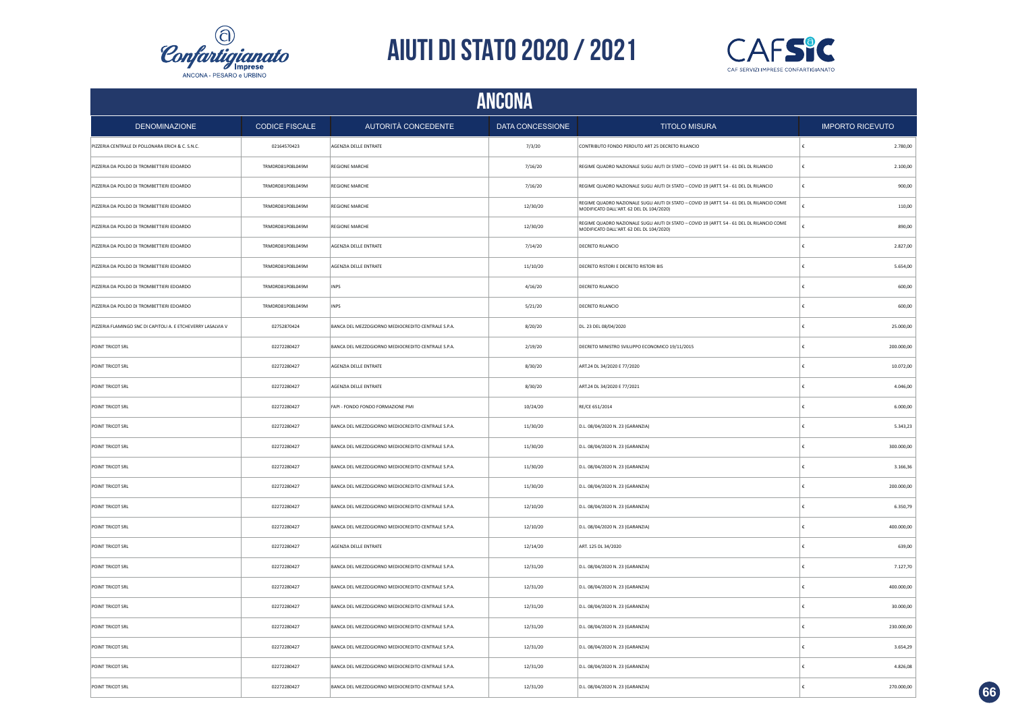



| ANCONA                                                       |                       |                                                    |                  |                                                                                                                                         |                         |  |
|--------------------------------------------------------------|-----------------------|----------------------------------------------------|------------------|-----------------------------------------------------------------------------------------------------------------------------------------|-------------------------|--|
| <b>DENOMINAZIONE</b>                                         | <b>CODICE FISCALE</b> | AUTORITÀ CONCEDENTE                                | DATA CONCESSIONE | <b>TITOLO MISURA</b>                                                                                                                    | <b>IMPORTO RICEVUTO</b> |  |
| PIZZERIA CENTRALE DI POLLONARA ERICH & C. S.N.C.             | 02164570423           | AGENZIA DELLE ENTRATE                              | 7/3/20           | CONTRIBUTO FONDO PERDUTO ART 25 DECRETO RILANCIO                                                                                        | 2.780,00                |  |
| PIZZERIA DA POLDO DI TROMBETTIERI EDOARDO                    | TRMDRD81P08L049M      | <b>REGIONE MARCHE</b>                              | 7/16/20          | REGIME QUADRO NAZIONALE SUGLI AIUTI DI STATO - COVID 19 (ARTT. 54 - 61 DEL DL RILANCIO                                                  | £<br>2.100,00           |  |
| PIZZERIA DA POLDO DI TROMBETTIERI EDOARDO                    | TRMDRD81P08L049M      | REGIONE MARCHE                                     | 7/16/20          | REGIME QUADRO NAZIONALE SUGLI AIUTI DI STATO - COVID 19 (ARTT. 54 - 61 DEL DL RILANCIO                                                  | £<br>900,00             |  |
| PIZZERIA DA POLDO DI TROMBETTIERI EDOARDO                    | TRMDRD81P08L049M      | <b>REGIONE MARCHE</b>                              | 12/30/20         | REGIME QUADRO NAZIONALE SUGLI AIUTI DI STATO - COVID 19 (ARTT. 54 - 61 DEL DL RILANCIO COME<br>MODIFICATO DALL'ART. 62 DEL DL 104/2020) | £.<br>110,00            |  |
| PIZZERIA DA POLDO DI TROMBETTIERI EDOARDO                    | TRMDRD81P08L049M      | <b>REGIONE MARCHE</b>                              | 12/30/20         | REGIME QUADRO NAZIONALE SUGLI AIUTI DI STATO - COVID 19 (ARTT. 54 - 61 DEL DL RILANCIO COME<br>MODIFICATO DALL'ART. 62 DEL DL 104/2020) | 890,00                  |  |
| PIZZERIA DA POLDO DI TROMBETTIERI EDOARDO                    | TRMDRD81P08L049M      | AGENZIA DELLE ENTRATE                              | 7/14/20          | DECRETO RILANCIO                                                                                                                        | 2.827,00                |  |
| PIZZERIA DA POLDO DI TROMBETTIERI EDOARDO                    | TRMDRD81P08L049M      | AGENZIA DELLE ENTRATE                              | 11/10/20         | DECRETO RISTORI E DECRETO RISTORI BIS                                                                                                   | 5.654,00                |  |
| PIZZERIA DA POLDO DI TROMBETTIERI EDOARDO                    | TRMDRD81P08L049M      | <b>INPS</b>                                        | 4/16/20          | DECRETO RILANCIO                                                                                                                        | €<br>600,00             |  |
| PIZZERIA DA POLDO DI TROMBETTIERI EDOARDO                    | TRMDRD81P08L049M      | INPS                                               | 5/21/20          | DECRETO RILANCIO                                                                                                                        | 600,00                  |  |
| PIZZERIA FLAMINGO SNC DI CAPITOLI A. E ETCHEVERRY LASALVIA V | 02752870424           | BANCA DEL MEZZOGIORNO MEDIOCREDITO CENTRALE S.P.A. | 8/20/20          | DL. 23 DEL 08/04/2020                                                                                                                   | 25.000,00               |  |
| POINT TRICOT SRL                                             | 02272280427           | BANCA DEL MEZZOGIORNO MEDIOCREDITO CENTRALE S.P.A. | 2/19/20          | DECRETO MINISTRO SVILUPPO ECONOMICO 19/11/2015                                                                                          | 200.000,00<br>£         |  |
| POINT TRICOT SRL                                             | 02272280427           | AGENZIA DELLE ENTRATE                              | 8/30/20          | ART.24 DL 34/2020 E 77/2020                                                                                                             | 10.072,00<br>£          |  |
| POINT TRICOT SRL                                             | 02272280427           | AGENZIA DELLE ENTRATE                              | 8/30/20          | ART.24 DL 34/2020 E 77/2021                                                                                                             | £<br>4.046,00           |  |
| POINT TRICOT SRL                                             | 02272280427           | FAPI - FONDO FONDO FORMAZIONE PMI                  | 10/24/20         | RE/CE 651/2014                                                                                                                          | 6.000,00                |  |
| POINT TRICOT SRL                                             | 02272280427           | BANCA DEL MEZZOGIORNO MEDIOCREDITO CENTRALE S.P.A. | 11/30/20         | D.L. 08/04/2020 N. 23 (GARANZIA)                                                                                                        | 5.343,23<br>€           |  |
| POINT TRICOT SRL                                             | 02272280427           | BANCA DEL MEZZOGIORNO MEDIOCREDITO CENTRALE S.P.A. | 11/30/20         | D.L. 08/04/2020 N. 23 (GARANZIA)                                                                                                        | 300,000.00              |  |
| POINT TRICOT SRL                                             | 02272280427           | BANCA DEL MEZZOGIORNO MEDIOCREDITO CENTRALE S.P.A. | 11/30/20         | D.L. 08/04/2020 N. 23 (GARANZIA)                                                                                                        | 3.166,36                |  |
| POINT TRICOT SRL                                             | 02272280427           | BANCA DEL MEZZOGIORNO MEDIOCREDITO CENTRALE S.P.A. | 11/30/20         | D.L. 08/04/2020 N. 23 (GARANZIA)                                                                                                        | 200.000,00              |  |
| POINT TRICOT SRL                                             | 02272280427           | BANCA DEL MEZZOGIORNO MEDIOCREDITO CENTRALE S.P.A. | 12/10/20         | D.L. 08/04/2020 N. 23 (GARANZIA)                                                                                                        | 6.350,79<br>£           |  |
| POINT TRICOT SRL                                             | 02272280427           | BANCA DEL MEZZOGIORNO MEDIOCREDITO CENTRALE S.P.A. | 12/10/20         | D.L. 08/04/2020 N. 23 (GARANZIA)                                                                                                        | 400.000,00              |  |
| POINT TRICOT SRL                                             | 02272280427           | AGENZIA DELLE ENTRATE                              | 12/14/20         | ART. 125 DL 34/2020                                                                                                                     | 639,00                  |  |
| POINT TRICOT SRL                                             | 02272280427           | BANCA DEL MEZZOGIORNO MEDIOCREDITO CENTRALE S.P.A. | 12/31/20         | D.L. 08/04/2020 N. 23 (GARANZIA)                                                                                                        | 7.127,70                |  |
| POINT TRICOT SRL                                             | 02272280427           | BANCA DEL MEZZOGIORNO MEDIOCREDITO CENTRALE S.P.A. | 12/31/20         | D.L. 08/04/2020 N. 23 (GARANZIA)                                                                                                        | 400.000,00<br>£         |  |
| POINT TRICOT SRL                                             | 02272280427           | BANCA DEL MEZZOGIORNO MEDIOCREDITO CENTRALE S.P.A. | 12/31/20         | D.L. 08/04/2020 N. 23 (GARANZIA)                                                                                                        | 30.000,00               |  |
| POINT TRICOT SRL                                             | 02272280427           | BANCA DEL MEZZOGIORNO MEDIOCREDITO CENTRALE S.P.A. | 12/31/20         | D.L. 08/04/2020 N. 23 (GARANZIA)                                                                                                        | 230.000,00<br>€         |  |
| POINT TRICOT SRL                                             | 02272280427           | BANCA DEL MEZZOGIORNO MEDIOCREDITO CENTRALE S.P.A. | 12/31/20         | D.L. 08/04/2020 N. 23 (GARANZIA)                                                                                                        | 3.654,29                |  |
| POINT TRICOT SRL                                             | 02272280427           | BANCA DEL MEZZOGIORNO MEDIOCREDITO CENTRALE S.P.A. | 12/31/20         | D.L. 08/04/2020 N. 23 (GARANZIA)                                                                                                        | 4.826,08                |  |
| POINT TRICOT SRL                                             | 02272280427           | BANCA DEL MEZZOGIORNO MEDIOCREDITO CENTRALE S.P.A. | 12/31/20         | D.L. 08/04/2020 N. 23 (GARANZIA)                                                                                                        | 270.000,00<br>€         |  |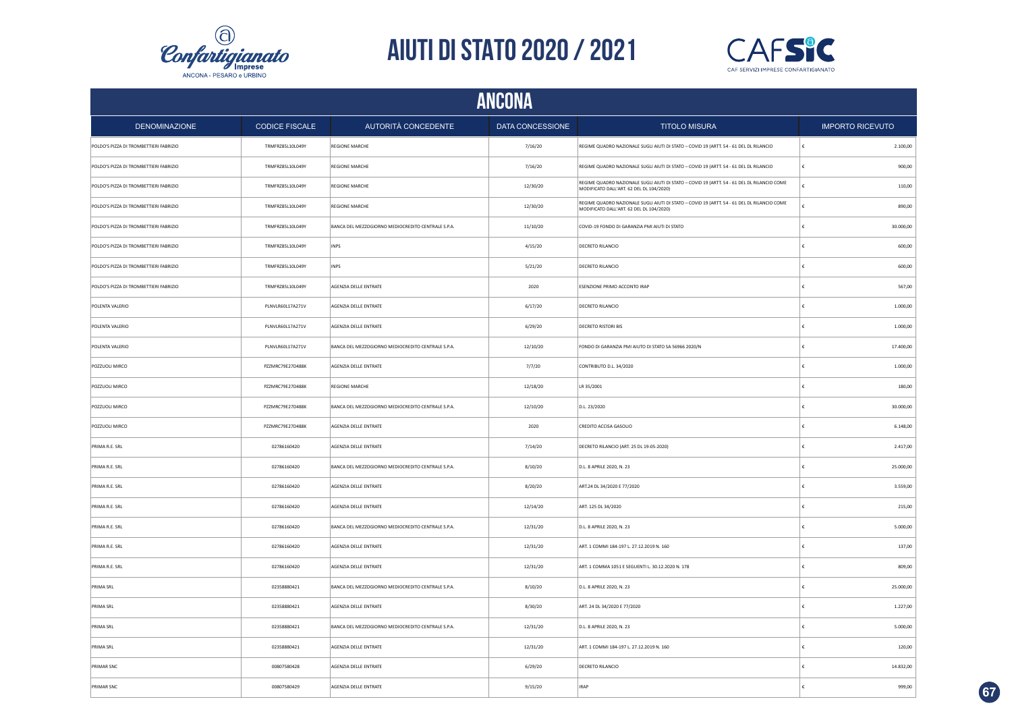



|                                        | <b>ANCONA</b>         |                                                    |                  |                                                                                                                                         |                         |  |  |
|----------------------------------------|-----------------------|----------------------------------------------------|------------------|-----------------------------------------------------------------------------------------------------------------------------------------|-------------------------|--|--|
| <b>DENOMINAZIONE</b>                   | <b>CODICE FISCALE</b> | AUTORITÀ CONCEDENTE                                | DATA CONCESSIONE | <b>TITOLO MISURA</b>                                                                                                                    | <b>IMPORTO RICEVUTO</b> |  |  |
| POLDO'S PIZZA DI TROMBETTIERI FABRIZIO | TRMFRZ85L10L049Y      | <b>REGIONE MARCHE</b>                              | 7/16/20          | REGIME QUADRO NAZIONALE SUGLI AIUTI DI STATO - COVID 19 (ARTT. 54 - 61 DEL DL RILANCIO                                                  | 2.100,00<br>€           |  |  |
| POLDO'S PIZZA DI TROMBETTIERI FABRIZIO | TRMFRZ85L10L049Y      | <b>REGIONE MARCHE</b>                              | 7/16/20          | REGIME QUADRO NAZIONALE SUGLI AIUTI DI STATO - COVID 19 (ARTT. 54 - 61 DEL DL RILANCIO                                                  | €<br>900,00             |  |  |
| POLDO'S PIZZA DI TROMBETTIERI FABRIZIO | TRMFRZ85L10L049Y      | <b>REGIONE MARCHE</b>                              | 12/30/20         | REGIME QUADRO NAZIONALE SUGLI AIUTI DI STATO - COVID 19 (ARTT. 54 - 61 DEL DL RILANCIO COME<br>MODIFICATO DALL'ART. 62 DEL DL 104/2020) | 110,00                  |  |  |
| POLDO'S PIZZA DI TROMBETTIERI FABRIZIO | TRMFRZ85L10L049Y      | <b>REGIONE MARCHE</b>                              | 12/30/20         | REGIME QUADRO NAZIONALE SUGLI AIUTI DI STATO - COVID 19 (ARTT. 54 - 61 DEL DL RILANCIO COME<br>MODIFICATO DALL'ART. 62 DEL DL 104/2020) | 890,00                  |  |  |
| POLDO'S PIZZA DI TROMBETTIERI FABRIZIO | TRMFRZ85L10L049Y      | BANCA DEL MEZZOGIORNO MEDIOCREDITO CENTRALE S.P.A. | 11/10/20         | COVID-19 FONDO DI GARANZIA PMI AIUTI DI STATO                                                                                           | 30.000,00               |  |  |
| POLDO'S PIZZA DI TROMBETTIERI FABRIZIO | TRMFRZ85L10L049Y      | INPS                                               | 4/15/20          | DECRETO RILANCIO                                                                                                                        | 600,00                  |  |  |
| POLDO'S PIZZA DI TROMBETTIERI FABRIZIO | TRMFRZ85L10L049Y      | INPS                                               | 5/21/20          | DECRETO RILANCIO                                                                                                                        | 600,00<br>¢             |  |  |
| POLDO'S PIZZA DI TROMBETTIERI FABRIZIO | TRMFRZ85L10L049Y      | AGENZIA DELLE ENTRATE                              | 2020             | ESENZIONE PRIMO ACCONTO IRAP                                                                                                            | £<br>567,00             |  |  |
| POLENTA VALERIO                        | PLNVLR60L17A271V      | AGENZIA DELLE ENTRATE                              | 6/17/20          | DECRETO RILANCIO                                                                                                                        | 1.000,00                |  |  |
| POLENTA VALERIO                        | PLNVLR60L17A271V      | AGENZIA DELLE ENTRATE                              | 6/29/20          | DECRETO RISTORI BIS                                                                                                                     | 1.000,00<br>€           |  |  |
| POLENTA VALERIO                        | PLNVLR60L17A271V      | BANCA DEL MEZZOGIORNO MEDIOCREDITO CENTRALE S.P.A. | 12/10/20         | FONDO DI GARANZIA PMI AIUTO DI STATO SA 56966 2020/N                                                                                    | 17.400,00               |  |  |
| POZZUOLI MIRCO                         | PZZMRC79E27D488K      | AGENZIA DELLE ENTRATE                              | 7/7/20           | CONTRIBUTO D.L. 34/2020                                                                                                                 | 1.000,00<br>€           |  |  |
| POZZUOLI MIRCO                         | PZZMRC79E27D488K      | <b>REGIONE MARCHE</b>                              | 12/18/20         | LR 35/2001                                                                                                                              | 180,00                  |  |  |
| POZZUOLI MIRCO                         | PZZMRC79E27D488K      | BANCA DEL MEZZOGIORNO MEDIOCREDITO CENTRALE S.P.A. | 12/10/20         | D.L. 23/2020                                                                                                                            | 30.000,00<br>€          |  |  |
| POZZUOLI MIRCO                         | PZZMRC79E27D488K      | AGENZIA DELLE ENTRATE                              | 2020             | CREDITO ACCISA GASOLIO                                                                                                                  | 6.148,00<br>€           |  |  |
| PRIMA R.E. SRL                         | 02786160420           | AGENZIA DELLE ENTRATE                              | 7/14/20          | DECRETO RILANCIO (ART. 25 DL 19-05-2020)                                                                                                | 2.417,00<br>€           |  |  |
| PRIMA R.E. SRL                         | 02786160420           | BANCA DEL MEZZOGIORNO MEDIOCREDITO CENTRALE S.P.A. | 8/10/20          | D.L. 8 APRILE 2020, N. 23                                                                                                               | 25.000,00<br>€          |  |  |
| PRIMA R.E. SRL                         | 02786160420           | AGENZIA DELLE ENTRATE                              | 8/20/20          | ART.24 DL 34/2020 E 77/2020                                                                                                             | 3.559,00                |  |  |
| PRIMA R.E. SRL                         | 02786160420           | AGENZIA DELLE ENTRATE                              | 12/14/20         | ART. 125 DL 34/2020                                                                                                                     | 215,00<br>€             |  |  |
| PRIMA R.E. SRL                         | 02786160420           | BANCA DEL MEZZOGIORNO MEDIOCREDITO CENTRALE S.P.A. | 12/31/20         | D.L. 8 APRILE 2020, N. 23                                                                                                               | 5.000,00                |  |  |
| PRIMA R.E. SRL                         | 02786160420           | AGENZIA DELLE ENTRATE                              | 12/31/20         | ART. 1 COMMI 184-197 L. 27.12.2019 N. 160                                                                                               | 137,00                  |  |  |
| PRIMA R.E. SRL                         | 02786160420           | AGENZIA DELLE ENTRATE                              | 12/31/20         | ART. 1 COMMA 1051 E SEGUENTI L. 30.12.2020 N. 178                                                                                       | 809,00                  |  |  |
| PRIMA SRL                              | 02358880421           | BANCA DEL MEZZOGIORNO MEDIOCREDITO CENTRALE S.P.A. | 8/10/20          | D.L. 8 APRILE 2020, N. 23                                                                                                               | 25.000,00<br>£          |  |  |
| PRIMA SRL                              | 02358880421           | AGENZIA DELLE ENTRATE                              | 8/30/20          | ART. 24 DL 34/2020 E 77/2020                                                                                                            | 1.227,00<br>£           |  |  |
| PRIMA SRL                              | 02358880421           | BANCA DEL MEZZOGIORNO MEDIOCREDITO CENTRALE S.P.A. | 12/31/20         | D.L. 8 APRILE 2020, N. 23                                                                                                               | 5.000,00<br>€           |  |  |
| <b>PRIMA SRL</b>                       | 02358880421           | AGENZIA DELLE ENTRATE                              | 12/31/20         | ART. 1 COMMI 184-197 L. 27.12.2019 N. 160                                                                                               | 120,00                  |  |  |
| PRIMAR SNC                             | 00807580428           | AGENZIA DELLE ENTRATE                              | 6/29/20          | DECRETO RILANCIO                                                                                                                        | 14.832,00<br>€          |  |  |
| PRIMAR SNC                             | 00807580429           | AGENZIA DELLE ENTRATE                              | 9/15/20          | <b>IRAP</b>                                                                                                                             | 999,00<br>€             |  |  |

**67**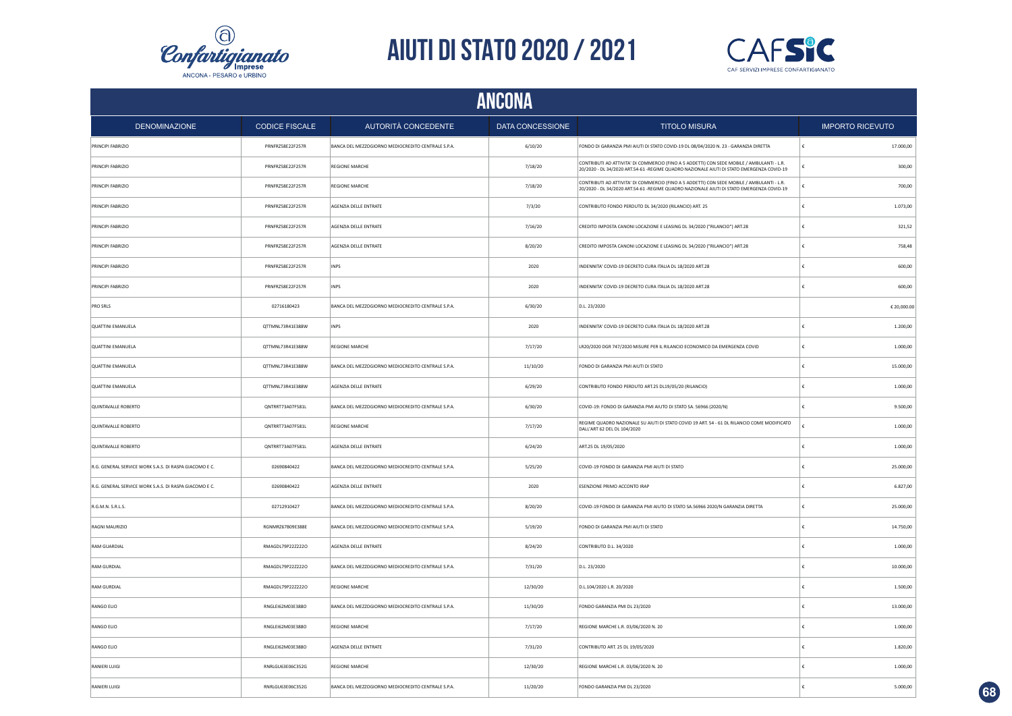



|                                                        | <b>ANCONA</b>         |                                                    |                  |                                                                                                                                                                                         |                         |  |  |  |
|--------------------------------------------------------|-----------------------|----------------------------------------------------|------------------|-----------------------------------------------------------------------------------------------------------------------------------------------------------------------------------------|-------------------------|--|--|--|
| <b>DENOMINAZIONE</b>                                   | <b>CODICE FISCALE</b> | AUTORITÀ CONCEDENTE                                | DATA CONCESSIONE | <b>TITOLO MISURA</b>                                                                                                                                                                    | <b>IMPORTO RICEVUTO</b> |  |  |  |
| PRINCIPI FABRIZIO                                      | PRNFRZ58E22F257R      | BANCA DEL MEZZOGIORNO MEDIOCREDITO CENTRALE S.P.A. | 6/10/20          | FONDO DI GARANZIA PMI AIUTI DI STATO COVID-19 DL 08/04/2020 N. 23 - GARANZIA DIRETTA                                                                                                    | 17.000,00<br>€          |  |  |  |
| PRINCIPI FABRIZIO                                      | PRNFRZ58E22F257R      | <b>REGIONE MARCHE</b>                              | 7/18/20          | CONTRIBUTI AD ATTIVITA' DI COMMERCIO (FINO A 5 ADDETTI) CON SEDE MOBILE / AMBULANTI - L.R.<br>20/2020 - DL 34/2020 ART.54-61 -REGIME QUADRO NAZIONALE AIUTI DI STATO EMERGENZA COVID-19 | 300,00                  |  |  |  |
| PRINCIPI FABRIZIO                                      | PRNFRZ58E22F257R      | <b>REGIONE MARCHE</b>                              | 7/18/20          | CONTRIBUTI AD ATTIVITA' DI COMMERCIO (FINO A 5 ADDETTI) CON SEDE MOBILE / AMBULANTI - L.R.<br>20/2020 - DL 34/2020 ART.54-61 -REGIME QUADRO NAZIONALE AIUTI DI STATO EMERGENZA COVID-19 | 700,00                  |  |  |  |
| PRINCIPI FABRIZIO                                      | PRNFRZ58E22F257R      | AGENZIA DELLE ENTRATE                              | 7/3/20           | CONTRIBUTO FONDO PERDUTO DL 34/2020 (RILANCIO) ART. 25                                                                                                                                  | 1.073,00                |  |  |  |
| PRINCIPI FABRIZIO                                      | PRNFRZ58E22F257R      | AGENZIA DELLE ENTRATE                              | 7/16/20          | CREDITO IMPOSTA CANONI LOCAZIONE E LEASING DL 34/2020 ("RILANCIO") ART.28                                                                                                               | 321,52                  |  |  |  |
| PRINCIPI FABRIZIO                                      | PRNFRZ58E22F257R      | AGENZIA DELLE ENTRATE                              | 8/20/20          | CREDITO IMPOSTA CANONI LOCAZIONE E LEASING DL 34/2020 ("RILANCIO") ART.28                                                                                                               | 758.48                  |  |  |  |
| PRINCIPI FABRIZIO                                      | PRNFRZ58E22F257R      | <b>INPS</b>                                        | 2020             | INDENNITA' COVID-19 DECRETO CURA ITALIA DL 18/2020 ART.28                                                                                                                               | 600,00                  |  |  |  |
| PRINCIPI FABRIZIO                                      | PRNFRZ58E22F257R      | INPS                                               | 2020             | INDENNITA' COVID-19 DECRETO CURA ITALIA DL 18/2020 ART.28                                                                                                                               | 600,00                  |  |  |  |
| PRO SRLS                                               | 02716180423           | BANCA DEL MEZZOGIORNO MEDIOCREDITO CENTRALE S.P.A. | 6/30/20          | D.L. 23/2020                                                                                                                                                                            | € 20,000.00             |  |  |  |
| <b>QUATTINI EMANUELA</b>                               | QTTMNL73R41E388W      | INPS                                               | 2020             | INDENNITA' COVID-19 DECRETO CURA ITALIA DL 18/2020 ART.28                                                                                                                               | £<br>1.200,00           |  |  |  |
| <b>QUATTINI EMANUELA</b>                               | QTTMNL73R41E388W      | <b>REGIONE MARCHE</b>                              | 7/17/20          | LR20/2020 DGR 747/2020 MISURE PER IL RILANCIO ECONOMICO DA EMERGENZA COVID                                                                                                              | £<br>1.000,00           |  |  |  |
| QUATTINI EMANUELA                                      | OTTMNL73R41E388W      | BANCA DEL MEZZOGIORNO MEDIOCREDITO CENTRALE S.P.A. | 11/10/20         | FONDO DI GARANZIA PMI AIUTI DI STATO                                                                                                                                                    | 15.000,00<br>£          |  |  |  |
| <b>QUATTINI EMANUELA</b>                               | OTTMNL73R41E388W      | AGENZIA DELLE ENTRATE                              | 6/29/20          | CONTRIBUTO FONDO PERDUTO ART.25 DL19/05/20 (RILANCIO)                                                                                                                                   | 1.000,00                |  |  |  |
| QUINTAVALLE ROBERTO                                    | ONTRRT73A07F581L      | BANCA DEL MEZZOGIORNO MEDIOCREDITO CENTRALE S.P.A. | 6/30/20          | COVID-19: FONDO DI GARANZIA PMI AIUTO DI STATO SA. 56966 (2020/N)                                                                                                                       | 9.500.00<br>€           |  |  |  |
| QUINTAVALLE ROBERTO                                    | QNTRRT73A07F581L      | <b>REGIONE MARCHE</b>                              | 7/17/20          | REGIME QUADRO NAZIONALE SU AIUTI DI STATO COVID 19 ART. 54 - 61 DL RILANCIO COME MODIFICATO<br>DALL'ART 62 DEL DL 104/2020                                                              | 1.000,00                |  |  |  |
| QUINTAVALLE ROBERTO                                    | QNTRRT73A07F581L      | AGENZIA DELLE ENTRATE                              | 6/24/20          | ART.25 DL 19/05/2020                                                                                                                                                                    | 1.000,00<br>€           |  |  |  |
| R.G. GENERAL SERVICE WORK S.A.S. DI RASPA GIACOMO E C. | 02690840422           | BANCA DEL MEZZOGIORNO MEDIOCREDITO CENTRALE S.P.A. | 5/25/20          | COVID-19 FONDO DI GARANZIA PMI AIUTI DI STATO                                                                                                                                           | 25.000,00               |  |  |  |
| R.G. GENERAL SERVICE WORK S.A.S. DI RASPA GIACOMO E C. | 02690840422           | AGENZIA DELLE ENTRATE                              | 2020             | ESENZIONE PRIMO ACCONTO IRAP                                                                                                                                                            | 6.827,00                |  |  |  |
| R.G.M.N. S.R.L.S.                                      | 02712910427           | BANCA DEL MEZZOGIORNO MEDIOCREDITO CENTRALE S.P.A. | 8/20/20          | COVID-19 FONDO DI GARANZIA PMI AIUTO DI STATO SA.56966 2020/N GARANZIA DIRETTA                                                                                                          | €<br>25.000,00          |  |  |  |
| RAGNI MAURIZIO                                         | RGNMRZ67B09E388E      | BANCA DEL MEZZOGIORNO MEDIOCREDITO CENTRALE S.P.A. | 5/19/20          | FONDO DI GARANZIA PMI AIUTI DI STATO                                                                                                                                                    | 14.750,00<br>€          |  |  |  |
| RAM GUARDIAL                                           | RMAGDL79P22Z222O      | AGENZIA DELLE ENTRATE                              | 8/24/20          | CONTRIBUTO D.L. 34/2020                                                                                                                                                                 | 1.000,00                |  |  |  |
| RAM GURDIAL                                            | RMAGDL79P22Z2220      | BANCA DEL MEZZOGIORNO MEDIOCREDITO CENTRALE S.P.A. | 7/31/20          | D.L. 23/2020                                                                                                                                                                            | 10,000.00               |  |  |  |
| RAM GURDIAL                                            | RMAGDL79P22Z222O      | <b>REGIONE MARCHE</b>                              | 12/30/20         | D.L.104/2020 L.R. 20/2020                                                                                                                                                               | 1.500,00                |  |  |  |
| RANGO ELIO                                             | RNGLEI62M03E388O      | BANCA DEL MEZZOGIORNO MEDIOCREDITO CENTRALE S.P.A. | 11/30/20         | FONDO GARANZIA PMI DL 23/2020                                                                                                                                                           | 13.000,00               |  |  |  |
| RANGO ELIO                                             | RNGLEI62M03E388O      | REGIONE MARCHE                                     | 7/17/20          | REGIONE MARCHE L.R. 03/06/2020 N. 20                                                                                                                                                    | 1.000,00                |  |  |  |
| RANGO ELIO                                             | RNGLEI62M03E388O      | AGENZIA DELLE ENTRATE                              | 7/31/20          | CONTRIBUTO ART. 25 DL 19/05/2020                                                                                                                                                        | 1.820,00                |  |  |  |
| RANIERI LUIGI                                          | RNRLGU63E06C352G      | <b>REGIONE MARCHE</b>                              | 12/30/20         | REGIONE MARCHE L.R. 03/06/2020 N. 20                                                                                                                                                    | 1.000,00                |  |  |  |
| RANIERI LUIGI                                          | RNRLGU63E06C352G      | BANCA DEL MEZZOGIORNO MEDIOCREDITO CENTRALE S.P.A. | 11/20/20         | FONDO GARANZIA PMI DL 23/2020                                                                                                                                                           | 5.000,00                |  |  |  |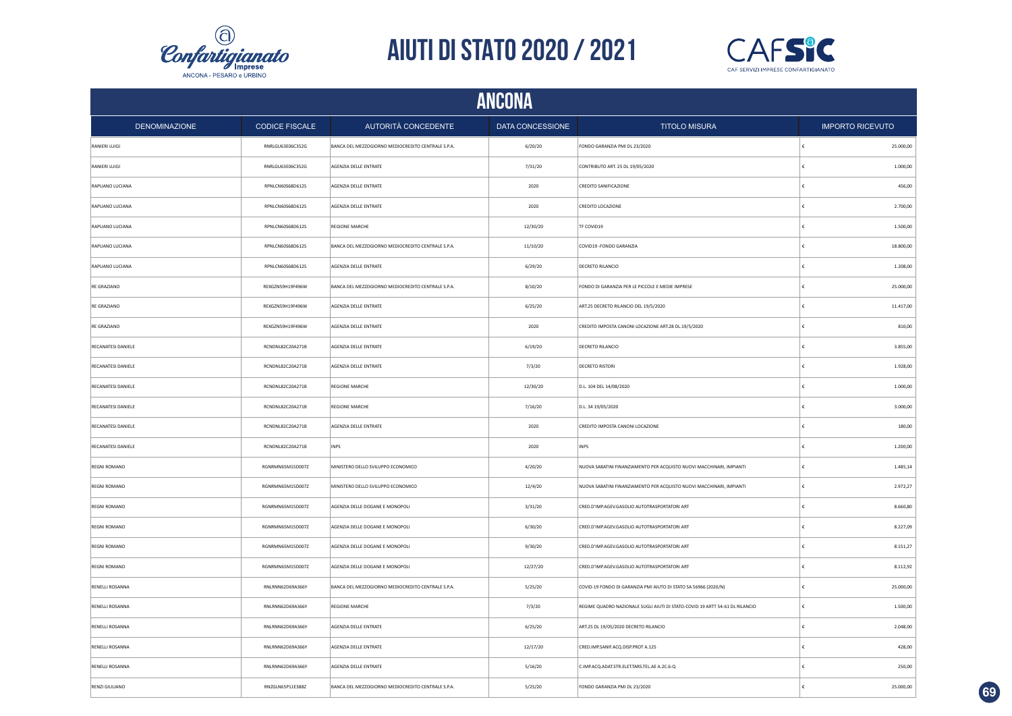



|                           | <b>ANCONA</b>         |                                                    |                  |                                                                              |            |                         |  |
|---------------------------|-----------------------|----------------------------------------------------|------------------|------------------------------------------------------------------------------|------------|-------------------------|--|
| DENOMINAZIONE             | <b>CODICE FISCALE</b> | AUTORITÀ CONCEDENTE                                | DATA CONCESSIONE | <b>TITOLO MISURA</b>                                                         |            | <b>IMPORTO RICEVUTO</b> |  |
| RANIERI LUIGI             | RNRLGU63E06C352G      | BANCA DEL MEZZOGIORNO MEDIOCREDITO CENTRALE S.P.A. | 6/20/20          | FONDO GARANZIA PMI DL 23/2020                                                | €          | 25.000,00               |  |
| RANIERI LUIGI             | RNRLGU63E06C352G      | AGENZIA DELLE ENTRATE                              | 7/31/20          | CONTRIBUTO ART. 25 DL 19/05/2020                                             | $\epsilon$ | 1.000,00                |  |
| RAPUANO LUCIANA           | RPNLCN60S68D612S      | AGENZIA DELLE ENTRATE                              | 2020             | <b>CREDITO SANIFICAZIONE</b>                                                 | €          | 456,00                  |  |
| RAPUANO LUCIANA           | RPNLCN60S68D612S      | AGENZIA DELLE ENTRATE                              | 2020             | CREDITO LOCAZIONE                                                            | €          | 2.700,00                |  |
| RAPUANO LUCIANA           | RPNLCN60S68D612S      | <b>REGIONE MARCHE</b>                              | 12/30/20         | TF COVID19                                                                   | €          | 1.500,00                |  |
| RAPUANO LUCIANA           | RPNLCN60S68D612S      | BANCA DEL MEZZOGIORNO MEDIOCREDITO CENTRALE S.P.A. | 11/10/20         | COVID19 - FONDO GARANZIA                                                     | €          | 18.800,00               |  |
| RAPUANO LUCIANA           | RPNLCN60S68D612S      | AGENZIA DELLE ENTRATE                              | 6/29/20          | DECRETO RILANCIO                                                             | €          | 1.208,00                |  |
| RE GRAZIANO               | REXGZN59H19F496W      | BANCA DEL MEZZOGIORNO MEDIOCREDITO CENTRALE S.P.A. | 8/10/20          | FONDO DI GARANZIA PER LE PICCOLE E MEDIE IMPRESE                             | €          | 25.000,00               |  |
| RE GRAZIANO               | REXGZN59H19F496W      | AGENZIA DELLE ENTRATE                              | 6/25/20          | ART.25 DECRETO RILANCIO DEL 19/5/2020                                        |            | 11.417,00               |  |
| RE GRAZIANO               | REXGZN59H19F496W      | AGENZIA DELLE ENTRATE                              | 2020             | CREDITO IMPOSTA CANONI LOCAZIONE ART.28 DL.19/5/2020                         | €          | 810,00                  |  |
| RECANATESI DANIELE        | RCNDNL82C20A271B      | AGENZIA DELLE ENTRATE                              | 6/19/20          | DECRETO RILANCIO                                                             |            | 3.855,00                |  |
| RECANATESI DANIELE        | RCNDNL82C20A271B      | AGENZIA DELLE ENTRATE                              | 7/3/20           | <b>DECRETO RISTORI</b>                                                       | £          | 1.928,00                |  |
| RECANATESI DANIELE        | RCNDNL82C20A271B      | <b>REGIONE MARCHE</b>                              | 12/30/20         | D.L. 104 DEL 14/08/2020                                                      |            | 1.000,00                |  |
| RECANATESI DANIELE        | RCNDNL82C20A271B      | <b>REGIONE MARCHE</b>                              | 7/16/20          | D.L. 34 19/05/2020                                                           | £          | 3.000,00                |  |
| RECANATESI DANIELE        | RCNDNL82C20A271B      | AGENZIA DELLE ENTRATE                              | 2020             | CREDITO IMPOSTA CANONI LOCAZIONE                                             | €          | 180,00                  |  |
| <b>RECANATESI DANIELE</b> | RCNDNL82C20A271B      | <b>INPS</b>                                        | 2020             | INPS                                                                         | $\epsilon$ | 1.200,00                |  |
| <b>REGNI ROMANO</b>       | RGNRMN65M15D007Z      | MINISTERO DELLO SVILUPPO ECONOMICO                 | 4/20/20          | NUOVA SABATINI FINANZIAMENTO PER ACQUISTO NUOVI MACCHINARI, IMPIANTI         | €          | 1.485,14                |  |
| <b>REGNI ROMANO</b>       | RGNRMN65M15D007Z      | MINISTERO DELLO SVILUPPO ECONOMICO                 | 12/4/20          | NUOVA SABATINI FINANZIAMENTO PER ACQUISTO NUOVI MACCHINARI, IMPIANTI         | ∣€         | 2.972,27                |  |
| <b>REGNI ROMANO</b>       | RGNRMN65M15D007Z      | AGENZIA DELLE DOGANE E MONOPOLI                    | 3/31/20          | CRED.D'IMP.AGEV.GASOLIO AUTOTRASPORTATORI ART                                | €          | 8.660,80                |  |
| <b>REGNI ROMANO</b>       | RGNRMN65M15D007Z      | AGENZIA DELLE DOGANE E MONOPOLI                    | 6/30/20          | CRED.D'IMP.AGEV.GASOLIO AUTOTRASPORTATORI ART                                | €          | 8.227,09                |  |
| <b>REGNI ROMANO</b>       | RGNRMN65M15D007Z      | AGENZIA DELLE DOGANE E MONOPOLI                    | 9/30/20          | CRED.D'IMP.AGEV.GASOLIO AUTOTRASPORTATORI ART                                | €          | 8.151,27                |  |
| <b>REGNI ROMANO</b>       | RGNRMN65M15D007Z      | AGENZIA DELLE DOGANE E MONOPOLI                    | 12/27/20         | CRED.D'IMP.AGEV.GASOLIO AUTOTRASPORTATORI ART                                | €          | 8.112,92                |  |
| RENELLI ROSANNA           | RNLRNN62D69A366Y      | BANCA DEL MEZZOGIORNO MEDIOCREDITO CENTRALE S.P.A. | 5/25/20          | COVID-19 FONDO DI GARANZIA PMI AIUTO DI STATO SA 56966 (2020/N)              | €          | 25.000,00               |  |
| RENELLI ROSANNA           | RNLRNN62D69A366Y      | <b>REGIONE MARCHE</b>                              | 7/3/20           | REGIME QUADRO NAZIONALE SUGLI AIUTI DI STATO-COVID 19 ARTT 54-61 DL RILANCIO | €          | 1.500,00                |  |
| <b>RENELLI ROSANNA</b>    | RNLRNN62D69A366Y      | AGENZIA DELLE ENTRATE                              | 6/25/20          | ART.25 DL 19/05/2020 DECRETO RILANCIO                                        | €          | 2.048,00                |  |
| RENELLI ROSANNA           | RNLRNN62D69A366Y      | AGENZIA DELLE ENTRATE                              | 12/17/20         | CRED.IMP.SANIF.ACQ.DISP.PROT A.125                                           |            | 428,00                  |  |
| RENELLI ROSANNA           | RNLRNN62D69A366Y      | AGENZIA DELLE ENTRATE                              | 5/16/20          | C.IMP.ACQ.ADAT.STR.ELET.TARS.TEL.AE A.2C.6-Q                                 |            | 250,00                  |  |
| RENZI GIULIANO            | RNZGLN65P11E388Z      | BANCA DEL MEZZOGIORNO MEDIOCREDITO CENTRALE S.P.A. | 5/25/20          | FONDO GARANZIA PMI DL 23/2020                                                |            | 25.000,00               |  |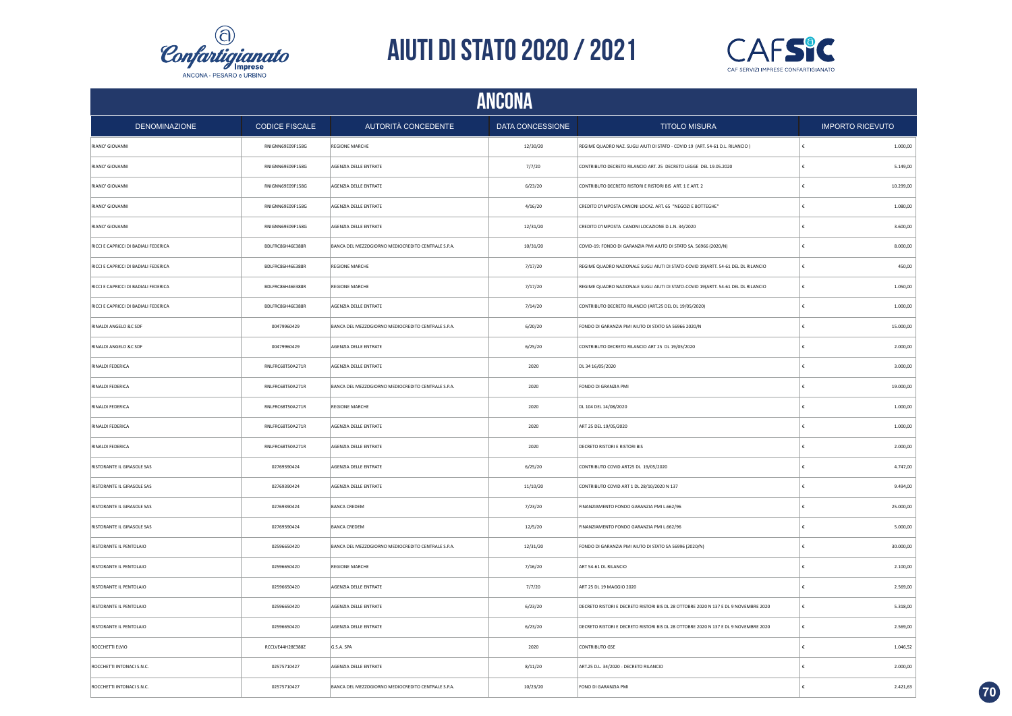



|                                      | <b>ANCONA</b>         |                                                    |                  |                                                                                     |                         |  |  |
|--------------------------------------|-----------------------|----------------------------------------------------|------------------|-------------------------------------------------------------------------------------|-------------------------|--|--|
| <b>DENOMINAZIONE</b>                 | <b>CODICE FISCALE</b> | AUTORITÀ CONCEDENTE                                | DATA CONCESSIONE | <b>TITOLO MISURA</b>                                                                | <b>IMPORTO RICEVUTO</b> |  |  |
| RIANO' GIOVANNI                      | RNIGNN69E09F158G      | REGIONE MARCHE                                     | 12/30/20         | REGIME QUADRO NAZ. SUGLI AIUTI DI STATO - COVID 19 (ART. 54-61 D.L. RILANCIO)       | 1.000,00                |  |  |
| RIANO' GIOVANNI                      | RNIGNN69E09F158G      | AGENZIA DELLE ENTRATE                              | 7/7/20           | CONTRIBUTO DECRETO RILANCIO ART. 25 DECRETO LEGGE DEL 19.05.2020                    | 5.149,00<br>€           |  |  |
| RIANO' GIOVANNI                      | RNIGNN69E09F158G      | AGENZIA DELLE ENTRATE                              | 6/23/20          | CONTRIBUTO DECRETO RISTORI E RISTORI BIS ART. 1 E ART. 2                            | 10.299,00<br>€          |  |  |
| RIANO' GIOVANNI                      | RNIGNN69E09F158G      | AGENZIA DELLE ENTRATE                              | 4/16/20          | CREDITO D'IMPOSTA CANONI LOCAZ. ART. 65 "NEGOZI E BOTTEGHE"                         | 1.080,00                |  |  |
| RIANO' GIOVANNI                      | RNIGNN69E09F158G      | AGENZIA DELLE ENTRATE                              | 12/31/20         | CREDITO D'IMPOSTA CANONI LOCAZIONE D.L.N. 34/2020                                   | 3.600,00                |  |  |
| RICCI E CAPRICCI DI BADIALI FEDERICA | BDLFRC86H46E388R      | BANCA DEL MEZZOGIORNO MEDIOCREDITO CENTRALE S.P.A. | 10/31/20         | COVID-19: FONDO DI GARANZIA PMI AIUTO DI STATO SA. 56966 (2020/N)                   | 8.000,00<br>£           |  |  |
| RICCI E CAPRICCI DI BADIALI FEDERICA | BDLFRC86H46E388R      | REGIONE MARCHE                                     | 7/17/20          | REGIME QUADRO NAZIONALE SUGLI AIUTI DI STATO-COVID 19(ARTT. 54-61 DEL DL RILANCIO   | 450,00<br>€             |  |  |
| RICCI E CAPRICCI DI BADIALI FEDERICA | BDLFRC86H46E388R      | <b>REGIONE MARCHE</b>                              | 7/17/20          | REGIME QUADRO NAZIONALE SUGLI AIUTI DI STATO-COVID 19(ARTT. 54-61 DEL DL RILANCIO   | 1.050,00                |  |  |
| RICCI E CAPRICCI DI BADIALI FEDERICA | BDLFRC86H46E388R      | AGENZIA DELLE ENTRATE                              | 7/14/20          | CONTRIBUTO DECRETO RILANCIO (ART.25 DEL DL 19/05/2020)                              | 1.000,00                |  |  |
| RINALDI ANGELO &C SDF                | 00479960429           | BANCA DEL MEZZOGIORNO MEDIOCREDITO CENTRALE S.P.A. | 6/20/20          | FONDO DI GARANZIA PMI AIUTO DI STATO SA 56966 2020/N                                | 15.000,00               |  |  |
| RINALDI ANGELO &C SDF                | 00479960429           | AGENZIA DELLE ENTRATE                              | 6/25/20          | CONTRIBUTO DECRETO RILANCIO ART 25 DL 19/05/2020                                    | 2.000,00                |  |  |
| RINALDI FEDERICA                     | RNLFRC68T50A271R      | AGENZIA DELLE ENTRATE                              | 2020             | DL 34 16/05/2020                                                                    | 3.000,00                |  |  |
| RINALDI FEDERICA                     | RNLFRC68T50A271R      | BANCA DEL MEZZOGIORNO MEDIOCREDITO CENTRALE S.P.A. | 2020             | FONDO DI GRANZIA PMI                                                                | 19.000,00               |  |  |
| RINALDI FEDERICA                     | RNLFRC68T50A271R      | <b>REGIONE MARCHE</b>                              | 2020             | DL 104 DEL 14/08/2020                                                               | 1.000,00                |  |  |
| RINALDI FEDERICA                     | RNLFRC68T50A271R      | AGENZIA DELLE ENTRATE                              | 2020             | ART 25 DEL 19/05/2020                                                               | 1.000,00                |  |  |
| RINALDI FEDERICA                     | RNLFRC68T50A271R      | AGENZIA DELLE ENTRATE                              | 2020             | <b>DECRETO RISTORI E RISTORI BIS</b>                                                | 2.000,00                |  |  |
| RISTORANTE IL GIRASOLE SAS           | 02769390424           | AGENZIA DELLE ENTRATE                              | 6/25/20          | CONTRIBUTO COVID ART25 DL 19/05/2020                                                | 4.747,00                |  |  |
| RISTORANTE IL GIRASOLE SAS           | 02769390424           | AGENZIA DELLE ENTRATE                              | 11/10/20         | CONTRIBUTO COVID ART 1 DL 28/10/2020 N 137                                          | 9.494,00<br>£           |  |  |
| RISTORANTE IL GIRASOLE SAS           | 02769390424           | <b>BANCA CREDEM</b>                                | 7/23/20          | FINANZIAMENTO FONDO GARANZIA PMI L.662/96                                           | 25.000,00               |  |  |
| RISTORANTE IL GIRASOLE SAS           | 02769390424           | <b>BANCA CREDEM</b>                                | 12/5/20          | FINANZIAMENTO FONDO GARANZIA PMI L.662/96                                           | 5.000,00<br>€           |  |  |
| RISTORANTE IL PENTOLAIO              | 02596650420           | BANCA DEL MEZZOGIORNO MEDIOCREDITO CENTRALE S.P.A. | 12/31/20         | FONDO DI GARANZIA PMI AIUTO DI STATO SA 56996 (2020/N)                              | 30.000,00               |  |  |
| RISTORANTE IL PENTOLAIO              | 02596650420           | <b>REGIONE MARCHE</b>                              | 7/16/20          | ART 54-61 DL RILANCIO                                                               | 2.100,00                |  |  |
| RISTORANTE IL PENTOLAIO              | 02596650420           | AGENZIA DELLE ENTRATE                              | 7/7/20           | ART 25 DL 19 MAGGIO 2020                                                            | 2.569,00                |  |  |
| RISTORANTE IL PENTOLAIO              | 02596650420           | AGENZIA DELLE ENTRATE                              | 6/23/20          | DECRETO RISTORI E DECRETO RISTORI BIS DL 28 OTTOBRE 2020 N 137 E DL 9 NOVEMBRE 2020 | 5.318,00<br>£           |  |  |
| RISTORANTE IL PENTOLAIO              | 02596650420           | AGENZIA DELLE ENTRATE                              | 6/23/20          | DECRETO RISTORI E DECRETO RISTORI BIS DL 28 OTTOBRE 2020 N 137 E DL 9 NOVEMBRE 2020 | 2.569,00<br>£           |  |  |
| ROCCHETTI ELVIO                      | RCCLVE44H28E388Z      | G.S.A. SPA                                         | 2020             | CONTRIBUTO GSE                                                                      | 1.046,52                |  |  |
| ROCCHETTI INTONACI S.N.C.            | 02575710427           | AGENZIA DELLE ENTRATE                              | 8/11/20          | ART.25 D.L. 34/2020 - DECRETO RILANCIO                                              | 2.000,00                |  |  |
| ROCCHETTI INTONACI S.N.C.            | 02575710427           | BANCA DEL MEZZOGIORNO MEDIOCREDITO CENTRALE S.P.A. | 10/23/20         | FONO DI GARANZIA PMI                                                                | 2.421,63                |  |  |

**70**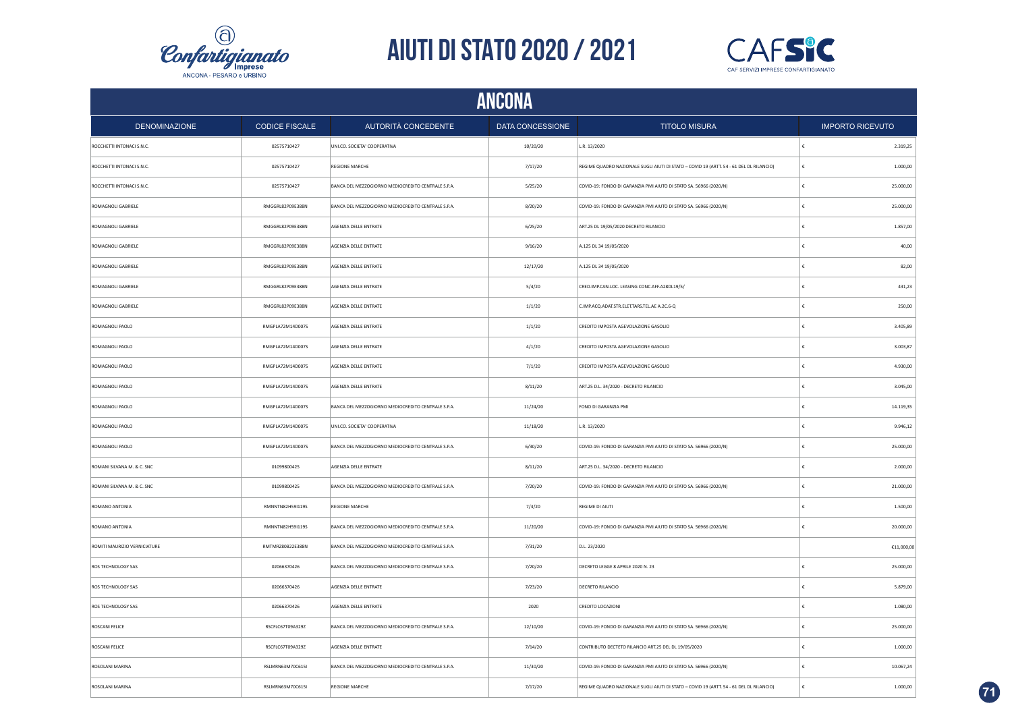



|                              | <b>ANCONA</b>         |                                                    |                  |                                                                                         |   |                           |  |
|------------------------------|-----------------------|----------------------------------------------------|------------------|-----------------------------------------------------------------------------------------|---|---------------------------|--|
| <b>DENOMINAZIONE</b>         | <b>CODICE FISCALE</b> | AUTORITÀ CONCEDENTE                                | DATA CONCESSIONE | <b>TITOLO MISURA</b>                                                                    |   | <b>IMPORTO RICEVUTO</b>   |  |
| ROCCHETTI INTONACI S.N.C.    | 02575710427           | UNI.CO. SOCIETA' COOPERATIVA                       | 10/20/20         | L.R. 13/2020                                                                            |   | 2.319,25                  |  |
| ROCCHETTI INTONACI S.N.C.    | 02575710427           | <b>REGIONE MARCHE</b>                              | 7/17/20          | REGIME QUADRO NAZIONALE SUGLI AIUTI DI STATO - COVID 19 (ARTT. 54 - 61 DEL DL RILANCIO) | € | 1.000,00                  |  |
| ROCCHETTI INTONACI S.N.C.    | 02575710427           | BANCA DEL MEZZOGIORNO MEDIOCREDITO CENTRALE S.P.A. | 5/25/20          | COVID-19: FONDO DI GARANZIA PMI AIUTO DI STATO SA. 56966 (2020/N)                       |   | 25.000,00                 |  |
| ROMAGNOLI GABRIELE           | RMGGRL82P09E388N      | BANCA DEL MEZZOGIORNO MEDIOCREDITO CENTRALE S.P.A. | 8/20/20          | COVID-19: FONDO DI GARANZIA PMI AIUTO DI STATO SA. 56966 (2020/N)                       |   | 25.000,00                 |  |
| ROMAGNOLI GABRIELE           | RMGGRL82P09E388N      | AGENZIA DELLE ENTRATE                              | 6/25/20          | ART.25 DL 19/05/2020 DECRETO RILANCIO                                                   |   | 1.857,00                  |  |
| <b>ROMAGNOLI GABRIELE</b>    | RMGGRL82P09E388N      | AGENZIA DELLE ENTRATE                              | 9/16/20          | A.125 DL 34 19/05/2020                                                                  |   | 40,00                     |  |
| ROMAGNOLI GABRIELE           | RMGGRL82P09E388N      | AGENZIA DELLE ENTRATE                              | 12/17/20         | A.125 DL 34 19/05/2020                                                                  |   | 82,00                     |  |
| ROMAGNOLI GABRIELE           | RMGGRL82P09E388N      | AGENZIA DELLE ENTRATE                              | 5/4/20           | CRED.IMP.CAN.LOC. LEASING CONC.AFF.A28DL19/5/                                           |   | 431,23                    |  |
| ROMAGNOLI GABRIELE           | RMGGRL82P09E388N      | AGENZIA DELLE ENTRATE                              | 1/1/20           | C.IMP.ACQ.ADAT.STR.ELET.TARS.TEL.AE A.2C.6-Q                                            |   | 250,00                    |  |
| ROMAGNOLI PAOLO              | RMGPLA72M14D007S      | AGENZIA DELLE ENTRATE                              | 1/1/20           | CREDITO IMPOSTA AGEVOLAZIONE GASOLIO                                                    |   | 3.405,89                  |  |
| ROMAGNOLI PAOLO              | RMGPLA72M14D007S      | AGENZIA DELLE ENTRATE                              | 4/1/20           | CREDITO IMPOSTA AGEVOLAZIONE GASOLIO                                                    |   | 3.003,87                  |  |
| ROMAGNOLI PAOLO              | RMGPLA72M14D007S      | AGENZIA DELLE ENTRATE                              | 7/1/20           | CREDITO IMPOSTA AGEVOLAZIONE GASOLIO                                                    |   | 4.930,00                  |  |
| ROMAGNOLI PAOLO              | RMGPLA72M14D007S      | AGENZIA DELLE ENTRATE                              | 8/11/20          | ART.25 D.L. 34/2020 - DECRETO RILANCIO                                                  |   | 3.045,00                  |  |
| ROMAGNOLI PAOLO              | RMGPLA72M14D007S      | BANCA DEL MEZZOGIORNO MEDIOCREDITO CENTRALE S.P.A. | 11/24/20         | FONO DI GARANZIA PMI                                                                    |   | 14.119,35                 |  |
| ROMAGNOLI PAOLO              | RMGPLA72M14D007S      | UNI.CO. SOCIETA' COOPERATIVA                       | 11/18/20         | L.R. 13/2020                                                                            |   | 9.946,12                  |  |
| ROMAGNOLI PAOLO              | RMGPLA72M14D007S      | BANCA DEL MEZZOGIORNO MEDIOCREDITO CENTRALE S.P.A. | 6/30/20          | COVID-19: FONDO DI GARANZIA PMI AIUTO DI STATO SA. 56966 (2020/N)                       |   | 25.000,00                 |  |
| ROMANI SILVANA M. & C. SNC   | 01099800425           | AGENZIA DELLE ENTRATE                              | 8/11/20          | ART.25 D.L. 34/2020 - DECRETO RILANCIO                                                  |   | 2.000,00                  |  |
| ROMANI SILVANA M. & C. SNC   | 01099800425           | BANCA DEL MEZZOGIORNO MEDIOCREDITO CENTRALE S.P.A. | 7/20/20          | COVID-19: FONDO DI GARANZIA PMI AIUTO DI STATO SA. 56966 (2020/N)                       |   | 21.000,00                 |  |
| ROMANO ANTONIA               | RMNNTN82H59I119S      | <b>REGIONE MARCHE</b>                              | 7/3/20           | REGIME DI AIUTI                                                                         |   | 1.500,00                  |  |
| ROMANO ANTONIA               | RMNNTN82H59I119S      | BANCA DEL MEZZOGIORNO MEDIOCREDITO CENTRALE S.P.A. | 11/20/20         | COVID-19: FONDO DI GARANZIA PMI AIUTO DI STATO SA. 56966 (2020/N)                       |   | 20.000,00                 |  |
| ROMITI MAURIZIO VERNICIATURE | RMTMRZ80B22E388N      | BANCA DEL MEZZOGIORNO MEDIOCREDITO CENTRALE S.P.A. | 7/31/20          | D.L. 23/2020                                                                            |   | $\mathsf{E}11,\!000,\!00$ |  |
| ROS TECHNOLOGY SAS           | 02066370426           | BANCA DEL MEZZOGIORNO MEDIOCREDITO CENTRALE S.P.A. | 7/20/20          | DECRETO LEGGE 8 APRILE 2020 N. 23                                                       |   | 25.000,00                 |  |
| ROS TECHNOLOGY SAS           | 02066370426           | AGENZIA DELLE ENTRATE                              | 7/23/20          | DECRETO RILANCIO                                                                        | € | 5.879,00                  |  |
| ROS TECHNOLOGY SAS           | 02066370426           | AGENZIA DELLE ENTRATE                              | 2020             | CREDITO LOCAZIONI                                                                       |   | 1.080,00                  |  |
| ROSCANI FELICE               | RSCFLC67T09A329Z      | BANCA DEL MEZZOGIORNO MEDIOCREDITO CENTRALE S.P.A. | 12/10/20         | COVID-19: FONDO DI GARANZIA PMI AIUTO DI STATO SA. 56966 (2020/N)                       |   | 25.000,00                 |  |
| ROSCANI FELICE               | RSCFLC67T09A329Z      | AGENZIA DELLE ENTRATE                              | 7/14/20          | CONTRIBUTO DECTETO RILANCIO ART.25 DEL DL 19/05/2020                                    |   | 1.000,00                  |  |
| ROSOLANI MARINA              | RSLMRN63M70C615I      | BANCA DEL MEZZOGIORNO MEDIOCREDITO CENTRALE S.P.A. | 11/30/20         | COVID-19: FONDO DI GARANZIA PMI AIUTO DI STATO SA. 56966 (2020/N)                       |   | 10.067,24                 |  |
| ROSOLANI MARINA              | RSLMRN63M70C615I      | REGIONE MARCHE                                     | 7/17/20          | REGIME QUADRO NAZIONALE SUGLI AIUTI DI STATO - COVID 19 (ARTT. 54 - 61 DEL DL RILANCIO) |   | 1.000,00                  |  |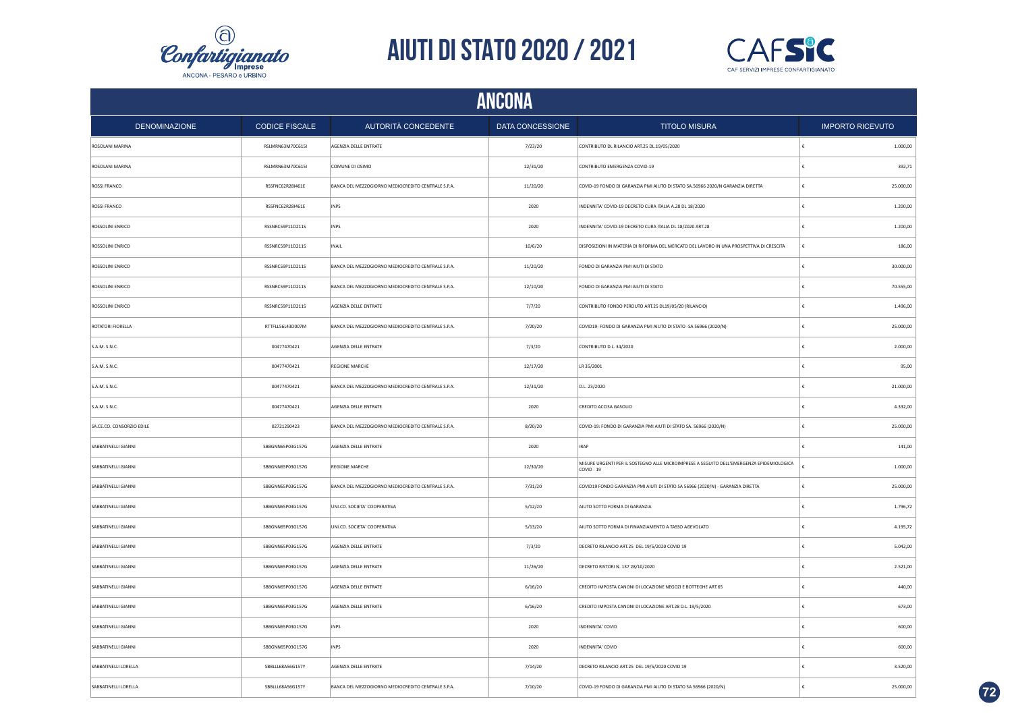



|                           | <b>ANCONA</b>         |                                                    |                         |                                                                                                        |                         |           |  |
|---------------------------|-----------------------|----------------------------------------------------|-------------------------|--------------------------------------------------------------------------------------------------------|-------------------------|-----------|--|
| <b>DENOMINAZIONE</b>      | <b>CODICE FISCALE</b> | AUTORITÀ CONCEDENTE                                | <b>DATA CONCESSIONE</b> | <b>TITOLO MISURA</b>                                                                                   | <b>IMPORTO RICEVUTO</b> |           |  |
| ROSOLANI MARINA           | RSLMRN63M70C615I      | AGENZIA DELLE ENTRATE                              | 7/23/20                 | CONTRIBUTO DL RILANCIO ART.25 DL.19/05/2020                                                            | ∣€                      | 1.000,00  |  |
| ROSOLANI MARINA           | RSLMRN63M70C615I      | COMUNE DI OSIMO                                    | 12/31/20                | CONTRIBUTO EMERGENZA COVID-19                                                                          | €                       | 392,71    |  |
| ROSSI FRANCO              | RSSFNC62R28I461E      | BANCA DEL MEZZOGIORNO MEDIOCREDITO CENTRALE S.P.A. | 11/20/20                | COVID-19 FONDO DI GARANZIA PMI AIUTO DI STATO SA.56966 2020/N GARANZIA DIRETTA                         | €                       | 25.000,00 |  |
| ROSSI FRANCO              | RSSFNC62R28I461E      | <b>INPS</b>                                        | 2020                    | INDENNITA' COVID-19 DECRETO CURA ITALIA A.28 DL 18/2020                                                | €                       | 1.200,00  |  |
| ROSSOLINI ENRICO          | RSSNRC59P11D211S      | INPS                                               | 2020                    | INDENNITA' COVID-19 DECRETO CURA ITALIA DL 18/2020 ART.28                                              |                         | 1.200,00  |  |
| ROSSOLINI ENRICO          | RSSNRC59P11D211S      | <b>INAIL</b>                                       | 10/6/20                 | DISPOSIZIONI IN MATERIA DI RIFORMA DEL MERCATO DEL LAVORO IN UNA PROSPETTIVA DI CRESCITA               | €                       | 186,00    |  |
| ROSSOLINI ENRICO          | RSSNRC59P11D211S      | BANCA DEL MEZZOGIORNO MEDIOCREDITO CENTRALE S.P.A. | 11/20/20                | FONDO DI GARANZIA PMI AIUTI DI STATO                                                                   |                         | 30.000,00 |  |
| ROSSOLINI ENRICO          | RSSNRC59P11D211S      | BANCA DEL MEZZOGIORNO MEDIOCREDITO CENTRALE S.P.A. | 12/10/20                | FONDO DI GARANZIA PMI AIUTI DI STATO                                                                   |                         | 70.555,00 |  |
| ROSSOLINI ENRICO          | RSSNRC59P11D211S      | AGENZIA DELLE ENTRATE                              | 7/7/20                  | CONTRIBUTO FONDO PERDUTO ART.25 DL19/05/20 (RILANCIO)                                                  |                         | 1.496,00  |  |
| ROTATORI FIORELLA         | RTTFLL56L43D007M      | BANCA DEL MEZZOGIORNO MEDIOCREDITO CENTRALE S.P.A. | 7/20/20                 | COVID19- FONDO DI GARANZIA PMI AIUTO DI STATO -SA 56966 (2020/N)                                       | £                       | 25.000,00 |  |
| S.A.M. S.N.C.             | 00477470421           | AGENZIA DELLE ENTRATE                              | 7/3/20                  | CONTRIBUTO D.L. 34/2020                                                                                | £                       | 2.000,00  |  |
| S.A.M. S.N.C.             | 00477470421           | <b>REGIONE MARCHE</b>                              | 12/17/20                | LR 35/2001                                                                                             | $\epsilon$              | 95.00     |  |
| S.A.M. S.N.C.             | 00477470421           | BANCA DEL MEZZOGIORNO MEDIOCREDITO CENTRALE S.P.A. | 12/31/20                | D.L. 23/2020                                                                                           | £                       | 21.000,00 |  |
| S.A.M. S.N.C.             | 00477470421           | AGENZIA DELLE ENTRATE                              | 2020                    | CREDITO ACCISA GASOLIO                                                                                 | ∣€                      | 4.332,00  |  |
| SA.CE.CO. CONSORZIO EDILE | 02721290423           | BANCA DEL MEZZOGIORNO MEDIOCREDITO CENTRALE S.P.A. | 8/20/20                 | COVID-19: FONDO DI GARANZIA PMI AIUTI DI STATO SA. 56966 (2020/N)                                      | €                       | 25.000,00 |  |
| SABBATINELLI GIANNI       | SBBGNN65P03G157G      | AGENZIA DELLE ENTRATE                              | 2020                    | <b>IRAP</b>                                                                                            | €                       | 141,00    |  |
| SABBATINELLI GIANNI       | SBBGNN65P03G157G      | <b>REGIONE MARCHE</b>                              | 12/30/20                | MISURE URGENTI PER IL SOSTEGNO ALLE MICROIMPRESE A SEGUITO DELL'EMERGENZA EPIDEMIOLOGICA<br>COVID - 19 | ¢                       | 1.000,00  |  |
| SABBATINELLI GIANNI       | SBBGNN65P03G157G      | BANCA DEL MEZZOGIORNO MEDIOCREDITO CENTRALE S.P.A. | 7/31/20                 | COVID19 FONDO GARANZIA PMI AIUTI DI STATO SA 56966 (2020/N) - GARANZIA DIRETTA                         | €                       | 25.000,00 |  |
| SABBATINELLI GIANNI       | SBBGNN65P03G157G      | UNI.CO. SOCIETA' COOPERATIVA                       | 5/12/20                 | AIUTO SOTTO FORMA DI GARANZIA                                                                          | £                       | 1.796,72  |  |
| SABBATINELLI GIANNI       | SBBGNN65P03G157G      | UNI.CO. SOCIETA' COOPERATIVA                       | 5/13/20                 | AIUTO SOTTO FORMA DI FINANZIAMENTO A TASSO AGEVOLATO                                                   | €                       | 4.195,72  |  |
| SARRATINELLI GIANNI       | SBBGNN65P03G157G      | AGENZIA DELLE ENTRATE                              | 7/3/20                  | DECRETO RILANCIO ART.25 DEL 19/5/2020 COVID 19                                                         | €                       | 5.042,00  |  |
| SABBATINELLI GIANNI       | SBBGNN65P03G157G      | AGENZIA DELLE ENTRATE                              | 11/26/20                | DECRETO RISTORI N. 137 28/10/2020                                                                      |                         | 2.521,00  |  |
| SABBATINELLI GIANNI       | SBBGNN65P03G157G      | AGENZIA DELLE ENTRATE                              | 6/16/20                 | CREDITO IMPOSTA CANONI DI LOCAZIONE NEGOZI E BOTTEGHE ART.65                                           | €                       | 440,00    |  |
| SABBATINELLI GIANNI       | SBBGNN65P03G157G      | AGENZIA DELLE ENTRATE                              | 6/16/20                 | CREDITO IMPOSTA CANONI DI LOCAZIONE ART.28 D.L. 19/5/2020                                              |                         | 673,00    |  |
| SABBATINELLI GIANNI       | SBBGNN65P03G157G      | <b>INPS</b>                                        | 2020                    | INDENNITA' COVID                                                                                       |                         | 600,00    |  |
| SABBATINELLI GIANNI       | SBBGNN65P03G157G      | <b>INPS</b>                                        | 2020                    | INDENNITA' COVID                                                                                       |                         | 600,00    |  |
| SABBATINELLI LORELLA      | SBBLLL68A56G157Y      | AGENZIA DELLE ENTRATE                              | 7/14/20                 | DECRETO RILANCIO ART.25 DEL 19/5/2020 COVID 19                                                         | €                       | 3.520,00  |  |
| SABBATINELLI LORELLA      | SBBLLL68A56G157Y      | BANCA DEL MEZZOGIORNO MEDIOCREDITO CENTRALE S.P.A. | 7/10/20                 | COVID-19 FONDO DI GARANZIA PMI AIUTO DI STATO SA 56966 (2020/N)                                        | ١£                      | 25.000,00 |  |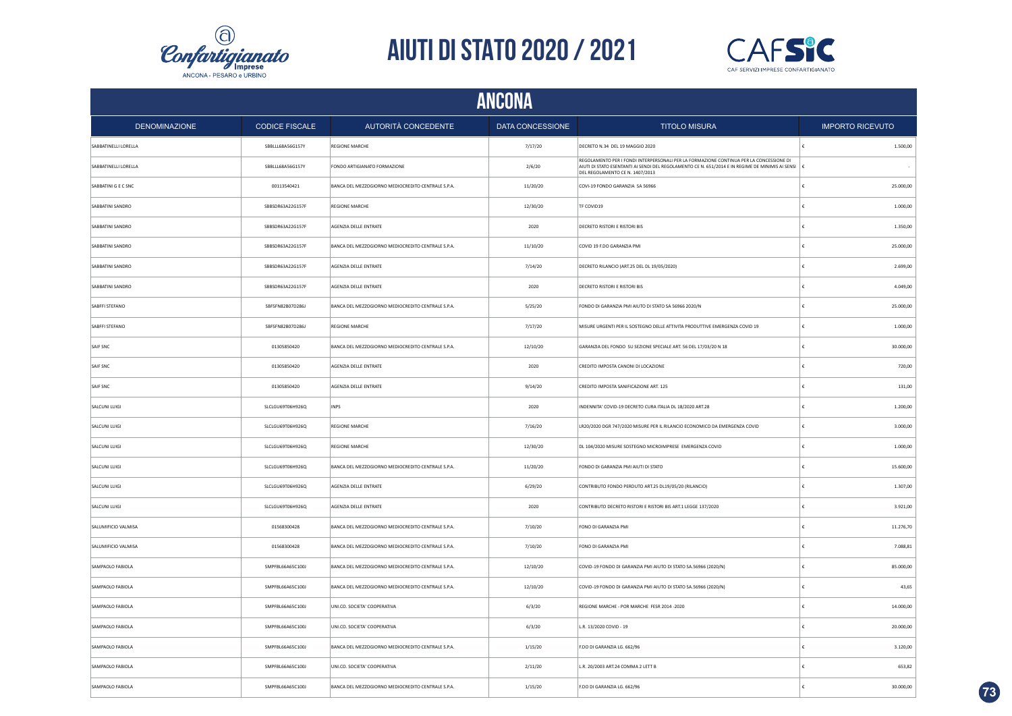



| <b>ANCONA</b>        |                       |                                                    |                  |                                                                                                                                                                                                                                |                         |  |  |
|----------------------|-----------------------|----------------------------------------------------|------------------|--------------------------------------------------------------------------------------------------------------------------------------------------------------------------------------------------------------------------------|-------------------------|--|--|
| <b>DENOMINAZIONE</b> | <b>CODICE FISCALE</b> | AUTORITÀ CONCEDENTE                                | DATA CONCESSIONE | <b>TITOLO MISURA</b>                                                                                                                                                                                                           | <b>IMPORTO RICEVUTO</b> |  |  |
| SABBATINELLI LORELLA | SBBLLL68A56G157Y      | <b>REGIONE MARCHE</b>                              | 7/17/20          | DECRETO N.34 DEL 19 MAGGIO 2020                                                                                                                                                                                                | 1.500,00                |  |  |
| SABBATINELLI LORELLA | SBBLLL68A56G157Y      | FONDO ARTIGIANATO FORMAZIONE                       | 2/6/20           | REGOLAMENTO PER I FONDI INTERPERSONALI PER LA FORMAZIONE CONTINUA PER LA CONCESSIONE DI<br>AIUTI DI STATO ESENTANTI AI SENDI DEL REGOLAMENTO CE N. 651/2014 E IN REGIME DE MINIMIS AI SENSI<br>DEL REGOLAMENTO CE N. 1407/2013 |                         |  |  |
| SABBATINI G E C SNC  | 00113540421           | BANCA DEL MEZZOGIORNO MEDIOCREDITO CENTRALE S.P.A. | 11/20/20         | COVI-19 FONDO GARANZIA SA 56966                                                                                                                                                                                                | 25.000,00               |  |  |
| SABBATINI SANDRO     | SBBSDR63A22G157F      | <b>REGIONE MARCHE</b>                              | 12/30/20         | TF COVID19                                                                                                                                                                                                                     | 1.000,00                |  |  |
| SABBATINI SANDRO     | SBBSDR63A22G157F      | AGENZIA DELLE ENTRATE                              | 2020             | DECRETO RISTORI E RISTORI BIS                                                                                                                                                                                                  | 1.350,00                |  |  |
| SABBATINI SANDRO     | SBBSDR63A22G157F      | BANCA DEL MEZZOGIORNO MEDIOCREDITO CENTRALE S.P.A. | 11/10/20         | COVID 19 F.DO GARANZIA PMI                                                                                                                                                                                                     | 25.000,00               |  |  |
| SABBATINI SANDRO     | SBBSDR63A22G157F      | AGENZIA DELLE ENTRATE                              | 7/14/20          | DECRETO RILANCIO (ART.25 DEL DL 19/05/2020)                                                                                                                                                                                    | 2.699,00                |  |  |
| SABBATINI SANDRO     | SBBSDR63A22G157F      | AGENZIA DELLE ENTRATE                              | 2020             | <b>DECRETO RISTORI E RISTORI BIS</b>                                                                                                                                                                                           | 4.049.00                |  |  |
| SABFFI STEFANO       | SBFSFN82B07D286J      | BANCA DEL MEZZOGIORNO MEDIOCREDITO CENTRALE S.P.A. | 5/25/20          | FONDO DI GARANZIA PMI AIUTO DI STATO SA 56966 2020/N                                                                                                                                                                           | 25.000,00               |  |  |
| SABFFI STEFANO       | SBFSFN82B07D286J      | <b>REGIONE MARCHE</b>                              | 7/17/20          | MISURE URGENTI PER IL SOSTEGNO DELLE ATTIVITA PRODUTTIVE EMERGENZA COVID 19                                                                                                                                                    | 1.000,00                |  |  |
| SAIF SNC             | 01305850420           | BANCA DEL MEZZOGIORNO MEDIOCREDITO CENTRALE S.P.A. | 12/10/20         | GARANZIA DEL FONDO SU SEZIONE SPECIALE ART. 56 DEL 17/03/20 N 18                                                                                                                                                               | 30.000,00               |  |  |
| SAIF SNC             | 01305850420           | AGENZIA DELLE ENTRATE                              | 2020             | CREDITO IMPOSTA CANONI DI LOCAZIONE                                                                                                                                                                                            | 720,00                  |  |  |
| SAIF SNC             | 01305850420           | AGENZIA DELLE ENTRATE                              | 9/14/20          | CREDITO IMPOSTA SANIFICAZIONE ART. 125                                                                                                                                                                                         | 131,00                  |  |  |
| SALCUNI LUIGI        | SLCLGU69T06H926Q      | <b>INPS</b>                                        | 2020             | INDENNITA' COVID-19 DECRETO CURA ITALIA DL 18/2020 ART.28                                                                                                                                                                      | 1.200,00                |  |  |
| SALCUNI LUIGI        | SLCLGU69T06H926Q      | <b>REGIONE MARCHE</b>                              | 7/16/20          | LR20/2020 DGR 747/2020 MISURE PER IL RILANCIO ECONOMICO DA EMERGENZA COVID                                                                                                                                                     | 3.000,00<br>£           |  |  |
| SALCUNI LUIGI        | SLCLGU69T06H926Q      | <b>REGIONE MARCHE</b>                              | 12/30/20         | DL 104/2020 MISURE SOSTEGNO MICROIMPRESE EMERGENZA COVID                                                                                                                                                                       | 1.000,00                |  |  |
| SALCUNI LUIGI        | SLCLGU69T06H926Q      | BANCA DEL MEZZOGIORNO MEDIOCREDITO CENTRALE S.P.A. | 11/20/20         | FONDO DI GARANZIA PMI AIUTI DI STATO                                                                                                                                                                                           | 15.600,00               |  |  |
| SALCUNI LUIGI        | SLCLGU69T06H926Q      | AGENZIA DELLE ENTRATE                              | 6/29/20          | CONTRIBUTO FONDO PERDUTO ART.25 DL19/05/20 (RILANCIO)                                                                                                                                                                          | 1.307,00                |  |  |
| SALCUNI LUIGI        | SLCLGU69T06H926Q      | AGENZIA DELLE ENTRATE                              | 2020             | CONTRIBUTO DECRETO RISTORI E RISTORI BIS ART.1 LEGGE 137/2020                                                                                                                                                                  | 3.921,00                |  |  |
| SALUMIFICIO VALMISA  | 01568300428           | BANCA DEL MEZZOGIORNO MEDIOCREDITO CENTRALE S.P.A. | 7/10/20          | FONO DI GARANZIA PMI                                                                                                                                                                                                           | 11.276,70               |  |  |
| SALUMIFICIO VALMISA  | 01568300428           | BANCA DEL MEZZOGIORNO MEDIOCREDITO CENTRALE S.P.A. | 7/10/20          | FONO DI GARANZIA PMI                                                                                                                                                                                                           | 7.088,81                |  |  |
| SAMPAOLO FABIOLA     | SMPFBL66A65C100J      | BANCA DEL MEZZOGIORNO MEDIOCREDITO CENTRALE S.P.A. | 12/10/20         | COVID-19 FONDO DI GARANZIA PMI AIUTO DI STATO SA.56966 (2020/N)                                                                                                                                                                | 85.000,00               |  |  |
| SAMPAOLO FABIOLA     | SMPFBL66A65C100J      | BANCA DEL MEZZOGIORNO MEDIOCREDITO CENTRALE S.P.A. | 12/10/20         | COVID-19 FONDO DI GARANZIA PMI AIUTO DI STATO SA.56966 (2020/N)                                                                                                                                                                | 43,65                   |  |  |
| SAMPAOLO FABIOLA     | SMPFBL66A65C100J      | UNI.CO. SOCIETA' COOPERATIVA                       | 6/3/20           | REGIONE MARCHE - POR MARCHE FESR 2014 -2020                                                                                                                                                                                    | 14.000,00               |  |  |
| SAMPAOLO FABIOLA     | SMPFBL66A65C100J      | UNI.CO. SOCIETA' COOPERATIVA                       | 6/3/20           | L.R. 13/2020 COVID - 19                                                                                                                                                                                                        | 20.000,00               |  |  |
| SAMPAOLO FABIOLA     | SMPFBL66A65C100J      | BANCA DEL MEZZOGIORNO MEDIOCREDITO CENTRALE S.P.A. | 1/15/20          | F.DO DI GARANZIA LG. 662/96                                                                                                                                                                                                    | 3.120,00                |  |  |
| SAMPAOLO FABIOLA     | SMPFBL66A65C100J      | UNI.CO. SOCIETA' COOPERATIVA                       | 2/11/20          | L.R. 20/2003 ART.24 COMMA 2 LETT B                                                                                                                                                                                             | 653,82                  |  |  |
| SAMPAOLO FABIOLA     | SMPFBL66A65C100J      | BANCA DEL MEZZOGIORNO MEDIOCREDITO CENTRALE S.P.A. | 1/15/20          | F.DO DI GARANZIA LG. 662/96                                                                                                                                                                                                    | 30.000,00               |  |  |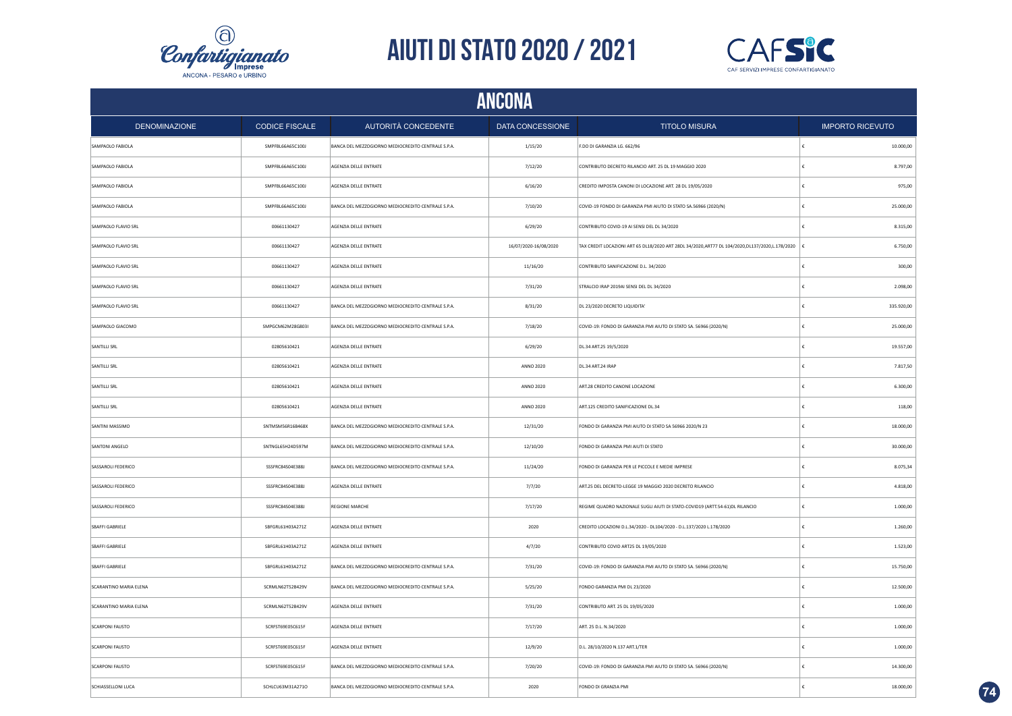



|                        | <b>ANCONA</b>         |                                                    |                       |                                                                                                   |            |                         |  |  |
|------------------------|-----------------------|----------------------------------------------------|-----------------------|---------------------------------------------------------------------------------------------------|------------|-------------------------|--|--|
| <b>DENOMINAZIONE</b>   | <b>CODICE FISCALE</b> | AUTORITÀ CONCEDENTE                                | DATA CONCESSIONE      | <b>TITOLO MISURA</b>                                                                              |            | <b>IMPORTO RICEVUTO</b> |  |  |
| SAMPAOLO FABIOLA       | SMPFBL66A65C100J      | BANCA DEL MEZZOGIORNO MEDIOCREDITO CENTRALE S.P.A. | 1/15/20               | F.DO DI GARANZIA LG. 662/96                                                                       | ١£         | 10.000,00               |  |  |
| SAMPAOLO FABIOLA       | SMPFBL66A65C100J      | AGENZIA DELLE ENTRATE                              | 7/12/20               | CONTRIBUTO DECRETO RILANCIO ART. 25 DL 19 MAGGIO 2020                                             | €          | 8.797,00                |  |  |
| SAMPAOLO FABIOLA       | SMPFBL66A65C100J      | AGENZIA DELLE ENTRATE                              | 6/16/20               | CREDITO IMPOSTA CANONI DI LOCAZIONE ART. 28 DL 19/05/2020                                         | €          | 975,00                  |  |  |
| SAMPAOLO FABIOLA       | SMPFBL66A65C100J      | BANCA DEL MEZZOGIORNO MEDIOCREDITO CENTRALE S.P.A. | 7/10/20               | COVID-19 FONDO DI GARANZIA PMI AIUTO DI STATO SA.56966 (2020/N)                                   | €          | 25.000,00               |  |  |
| SAMPAOLO FLAVIO SRL    | 00661130427           | AGENZIA DELLE ENTRATE                              | 6/29/20               | CONTRIBUTO COVID-19 AI SENSI DEL DL 34/2020                                                       | £          | 8.315,00                |  |  |
| SAMPAOLO FLAVIO SRL    | 00661130427           | AGENZIA DELLE ENTRATE                              | 16/07/2020-16/08/2020 | TAX CREDIT LOCAZIONI ART 65 DL18/2020 ART 28DL 34/2020, ART77 DL 104/2020, DL137/2020, L.178/2020 | ∣ €        | 6.750,00                |  |  |
| SAMPAOLO FLAVIO SRL    | 00661130427           | AGENZIA DELLE ENTRATE                              | 11/16/20              | CONTRIBUTO SANIFICAZIONE D.L. 34/2020                                                             | €          | 300,00                  |  |  |
| SAMPAOLO FLAVIO SRL    | 00661130427           | AGENZIA DELLE ENTRATE                              | 7/31/20               | STRALCIO IRAP 2019AI SENSI DEL DL 34/2020                                                         | €          | 2.098,00                |  |  |
| SAMPAOLO FLAVIO SRL    | 00661130427           | BANCA DEL MEZZOGIORNO MEDIOCREDITO CENTRALE S.P.A. | 8/31/20               | DL 23/2020 DECRETO LIQUIDITA'                                                                     |            | 335.920,00              |  |  |
| SAMPAOLO GIACOMO       | SMPGCM62M28G803I      | BANCA DEL MEZZOGIORNO MEDIOCREDITO CENTRALE S.P.A. | 7/18/20               | COVID-19: FONDO DI GARANZIA PMI AIUTO DI STATO SA. 56966 (2020/N)                                 |            | 25.000,00               |  |  |
| SANTILLI SRL           | 02805610421           | AGENZIA DELLE ENTRATE                              | 6/29/20               | DL.34 ART.25 19/5/2020                                                                            |            | 19.557,00               |  |  |
| SANTILLI SRL           | 02805610421           | AGENZIA DELLE ENTRATE                              | <b>ANNO 2020</b>      | DL.34 ART.24 IRAP                                                                                 | £          | 7.817,50                |  |  |
| SANTILLI SRL           | 02805610421           | AGENZIA DELLE ENTRATE                              | ANNO 2020             | ART.28 CREDITO CANONE LOCAZIONE                                                                   |            | 6.300,00                |  |  |
| SANTILLI SRL           | 02805610421           | AGENZIA DELLE ENTRATE                              | <b>ANNO 2020</b>      | ART.125 CREDITO SANIFICAZIONE DL.34                                                               | £          | 118,00                  |  |  |
| SANTINI MASSIMO        | SNTMSM56R16B468X      | BANCA DEL MEZZOGIORNO MEDIOCREDITO CENTRALE S.P.A. | 12/31/20              | FONDO DI GARANZIA PMI AIUTO DI STATO SA 56966 2020/N 23                                           | €          | 18.000,00               |  |  |
| SANTONI ANGELO         | SNTNGL65H24D597M      | BANCA DEL MEZZOGIORNO MEDIOCREDITO CENTRALE S.P.A. | 12/10/20              | FONDO DI GARANZIA PMI AIUTI DI STATO                                                              | €          | 30.000,00               |  |  |
| SASSAROLI FEDERICO     | SSSFRC84S04E388J      | BANCA DEL MEZZOGIORNO MEDIOCREDITO CENTRALE S.P.A. | 11/24/20              | FONDO DI GARANZIA PER LE PICCOLE E MEDIE IMPRESE                                                  | €          | 8.075,34                |  |  |
| SASSAROLI FEDERICO     | SSSFRC84S04E388J      | AGENZIA DELLE ENTRATE                              | 7/7/20                | ART.25 DEL DECRETO-LEGGE 19 MAGGIO 2020 DECRETO RILANCIO                                          | €          | 4.818,00                |  |  |
| SASSAROLI FEDERICO     | SSSFRC84S04E388J      | <b>REGIONE MARCHE</b>                              | 7/17/20               | REGIME QUADRO NAZIONALE SUGLI AIUTI DI STATO-COVID19 (ARTT.54-61)DL RILANCIO                      | $\epsilon$ | 1.000,00                |  |  |
| SBAFFI GABRIELE        | SBFGRL61H03A271Z      | AGENZIA DELLE ENTRATE                              | 2020                  | CREDITO LOCAZIONI D.L.34/2020 - DL104/2020 - D.L.137/2020 L.178/2020                              | $\epsilon$ | 1.260,00                |  |  |
| SBAFFI GABRIELE        | SBFGRL61H03A271Z      | AGENZIA DELLE ENTRATE                              | 4/7/20                | CONTRIBUTO COVID ART25 DL 19/05/2020                                                              | €          | 1.523,00                |  |  |
| SBAFFI GABRIELE        | SBFGRL61H03A271Z      | BANCA DEL MEZZOGIORNO MEDIOCREDITO CENTRALE S.P.A. | 7/31/20               | COVID-19: FONDO DI GARANZIA PMI AIUTO DI STATO SA. 56966 (2020/N)                                 | €          | 15.750,00               |  |  |
| SCARANTINO MARIA ELENA | SCRMLN62T52B429V      | BANCA DEL MEZZOGIORNO MEDIOCREDITO CENTRALE S.P.A. | 5/25/20               | FONDO GARANZIA PMI DL 23/2020                                                                     | €          | 12.500,00               |  |  |
| SCARANTINO MARIA ELENA | SCRMLN62T52B429V      | AGENZIA DELLE ENTRATE                              | 7/31/20               | CONTRIBUTO ART. 25 DL 19/05/2020                                                                  | €          | 1.000,00                |  |  |
| <b>SCARPONI FAUSTO</b> | SCRFST69E05C615F      | AGENZIA DELLE ENTRATE                              | 7/17/20               | ART. 25 D.L. N.34/2020                                                                            | £          | 1.000,00                |  |  |
| SCARPONI FAUSTO        | SCRFST69E05C615F      | AGENZIA DELLE ENTRATE                              | 12/9/20               | D.L. 28/10/2020 N.137 ART.1/TER                                                                   |            | 1.000,00                |  |  |
| <b>SCARPONI FAUSTO</b> | SCRFST69E05C615F      | BANCA DEL MEZZOGIORNO MEDIOCREDITO CENTRALE S.P.A. | 7/20/20               | COVID-19: FONDO DI GARANZIA PMI AIUTO DI STATO SA. 56966 (2020/N)                                 | €          | 14.300,00               |  |  |
| SCHIASSELLONI LUCA     | SCHLCU63M31A271O      | BANCA DEL MEZZOGIORNO MEDIOCREDITO CENTRALE S.P.A. | 2020                  | FONDO DI GRANZIA PMI                                                                              |            | 18.000,00               |  |  |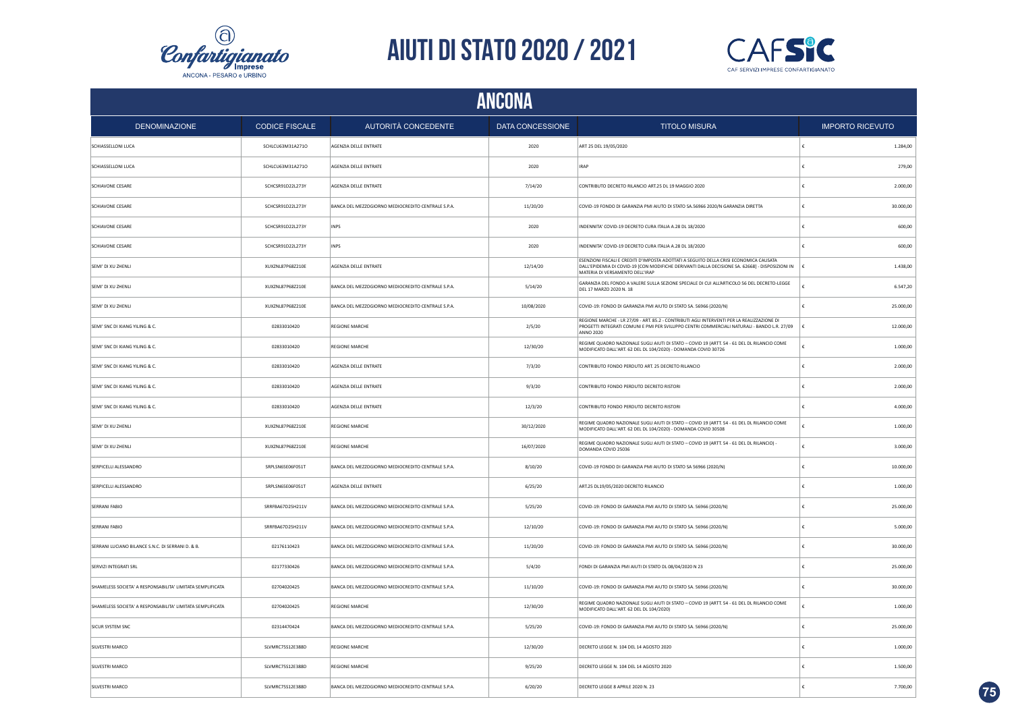



|                                                            | ANCONA                |                                                    |                  |                                                                                                                                                                                                                              |            |                         |  |  |
|------------------------------------------------------------|-----------------------|----------------------------------------------------|------------------|------------------------------------------------------------------------------------------------------------------------------------------------------------------------------------------------------------------------------|------------|-------------------------|--|--|
| <b>DENOMINAZIONE</b>                                       | <b>CODICE FISCALE</b> | AUTORITÀ CONCEDENTE                                | DATA CONCESSIONE | <b>TITOLO MISURA</b>                                                                                                                                                                                                         |            | <b>IMPORTO RICEVUTO</b> |  |  |
| SCHIASSELLONI LUCA                                         | SCHLCU63M31A271O      | AGENZIA DELLE ENTRATE                              | 2020             | ART 25 DEL 19/05/2020                                                                                                                                                                                                        | ١£         | 1.284,00                |  |  |
| SCHIASSELLONI LUCA                                         | SCHLCU63M31A271O      | AGENZIA DELLE ENTRATE                              | 2020             | <b>IRAP</b>                                                                                                                                                                                                                  | €          | 279,00                  |  |  |
| SCHIAVONE CESARE                                           | SCHCSR91D22L273Y      | AGENZIA DELLE ENTRATE                              | 7/14/20          | CONTRIBUTO DECRETO RILANCIO ART.25 DL 19 MAGGIO 2020                                                                                                                                                                         | €          | 2.000,00                |  |  |
| SCHIAVONE CESARE                                           | SCHCSR91D22L273Y      | BANCA DEL MEZZOGIORNO MEDIOCREDITO CENTRALE S.P.A. | 11/20/20         | COVID-19 FONDO DI GARANZIA PMI AIUTO DI STATO SA.56966 2020/N GARANZIA DIRETTA                                                                                                                                               | €          | 30.000,00               |  |  |
| SCHIAVONE CESARE                                           | SCHCSR91D22L273Y      | <b>INPS</b>                                        | 2020             | INDENNITA' COVID-19 DECRETO CURA ITALIA A.28 DL 18/2020                                                                                                                                                                      | £          | 600,00                  |  |  |
| SCHIAVONE CESARE                                           | SCHCSR91D22L273Y      | <b>INPS</b>                                        | 2020             | INDENNITA' COVID-19 DECRETO CURA ITALIA A.28 DL 18/2020                                                                                                                                                                      | £          | 600,00                  |  |  |
| SEMI' DI XU ZHENLI                                         | XUXZNL87P68Z210E      | AGENZIA DELLE ENTRATE                              | 12/14/20         | ESENZIONI FISCALI E CREDITI D'IMPOSTA ADOTTATI A SEGUITO DELLA CRISI ECONOMICA CAUSATA<br>DALL'EPIDEMIA DI COVID-19 [CON MODIFICHE DERIVANTI DALLA DECISIONE SA. 62668] - DISPOSIZIONI IN<br>MATERIA DI VERSAMENTO DELL'IRAP | £          | 1.438,00                |  |  |
| SEMI' DI XU ZHENLI                                         | XUXZNL87P68Z210E      | BANCA DEL MEZZOGIORNO MEDIOCREDITO CENTRALE S.P.A. | 5/14/20          | GARANZIA DEL FONDO A VALERE SULLA SEZIONE SPECIALE DI CUI ALL'ARTICOLO 56 DEL DECRETO-LEGGE<br>DEL 17 MARZO 2020 N. 18                                                                                                       |            | 6.547,20                |  |  |
| SEMI' DI XU ZHENLI                                         | XUXZNL87P68Z210E      | BANCA DEL MEZZOGIORNO MEDIOCREDITO CENTRALE S.P.A. | 10/08/2020       | COVID-19: FONDO DI GARANZIA PMI AIUTO DI STATO SA. 56966 (2020/N)                                                                                                                                                            | €          | 25.000,00               |  |  |
| SEMI' SNC DI XIANG YILING & C.                             | 02833010420           | REGIONE MARCHE                                     | 2/5/20           | REGIONE MARCHE - LR 27/09 - ART. 85.2 - CONTRIBUTI AGLI INTERVENTI PER LA REALIZZAZIONE DI<br>PROGETTI INTEGRATI COMUNI E PMI PER SVILUPPO CENTRI COMMERCIALI NATURALI - BANDO L.R. 27/09<br><b>ANNO 2020</b>                |            | 12.000,00               |  |  |
| SEMI' SNC DI XIANG YILING & C.                             | 02833010420           | REGIONE MARCHE                                     | 12/30/20         | REGIME QUADRO NAZIONALE SUGLI AIUTI DI STATO - COVID 19 (ARTT. 54 - 61 DEL DL RILANCIO COME<br>MODIFICATO DALL'ART. 62 DEL DL 104/2020) - DOMANDA COVID 30726                                                                |            | 1.000,00                |  |  |
| SEMI' SNC DI XIANG YILING & C.                             | 02833010420           | AGENZIA DELLE ENTRATE                              | 7/3/20           | CONTRIBUTO FONDO PERDUTO ART. 25 DECRETO RILANCIO                                                                                                                                                                            |            | 2.000,00                |  |  |
| SEMI' SNC DI XIANG YILING & C.                             | 02833010420           | AGENZIA DELLE ENTRATE                              | 9/3/20           | CONTRIBUTO FONDO PERDUTO DECRETO RISTORI                                                                                                                                                                                     |            | 2.000,00                |  |  |
| SEMI' SNC DI XIANG YILING & C.                             | 02833010420           | AGENZIA DELLE ENTRATE                              | 12/3/20          | CONTRIBUTO FONDO PERDUTO DECRETO RISTORI                                                                                                                                                                                     | £          | 4.000,00                |  |  |
| SEMI' DI XU ZHENLI                                         | XUXZNL87P68Z210E      | <b>REGIONE MARCHE</b>                              | 30/12/2020       | REGIME QUADRO NAZIONALE SUGLI AIUTI DI STATO - COVID 19 (ARTT. 54 - 61 DEL DL RILANCIO COME<br>MODIFICATO DALL'ART. 62 DEL DL 104/2020) - DOMANDA COVID 30508                                                                | £          | 1.000,00                |  |  |
| SEMI' DI XU ZHENLI                                         | XUXZNL87P68Z210E      | <b>REGIONE MARCHE</b>                              | 16/07/2020       | REGIME QUADRO NAZIONALE SUGLI AIUTI DI STATO - COVID 19 (ARTT. 54 - 61 DEL DL RILANCIO)<br>DOMANDA COVID 25036                                                                                                               | $\epsilon$ | 3.000,00                |  |  |
| SERPICELLI ALESSANDRO                                      | SRPLSN65E06F051T      | BANCA DEL MEZZOGIORNO MEDIOCREDITO CENTRALE S.P.A. | 8/10/20          | COVID-19 FONDO DI GARANZIA PMI AIUTO DI STATO SA 56966 (2020/N)                                                                                                                                                              | €          | 10.000,00               |  |  |
| SERPICELLI ALESSANDRO                                      | SRPLSN65E06F051T      | AGENZIA DELLE ENTRATE                              | 6/25/20          | ART.25 DL19/05/2020 DECRETO RILANCIO                                                                                                                                                                                         | €          | 1.000,00                |  |  |
| SERRANI FABIO                                              | SRRFBA67D25H211V      | BANCA DEL MEZZOGIORNO MEDIOCREDITO CENTRALE S.P.A. | 5/25/20          | COVID-19: FONDO DI GARANZIA PMI AIUTO DI STATO SA. 56966 (2020/N)                                                                                                                                                            | €          | 25.000,00               |  |  |
| SERRANI FABIO                                              | SRRFBA67D25H211V      | BANCA DEL MEZZOGIORNO MEDIOCREDITO CENTRALE S.P.A. | 12/10/20         | COVID-19: FONDO DI GARANZIA PMI AIUTO DI STATO SA. 56966 (2020/N)                                                                                                                                                            | €          | 5.000,00                |  |  |
| SERRANI LUCIANO BILANCE S.N.C. DI SERRANI D. & B.          | 02176110423           | BANCA DEL MEZZOGIORNO MEDIOCREDITO CENTRALE S.P.A. | 11/20/20         | COVID-19: FONDO DI GARANZIA PMI AIUTO DI STATO SA. 56966 (2020/N)                                                                                                                                                            | €          | 30.000,00               |  |  |
| SERVIZI INTEGRATI SRL                                      | 02177330426           | BANCA DEL MEZZOGIORNO MEDIOCREDITO CENTRALE S.P.A. | 5/4/20           | FONDI DI GARANZIA PMI AIUTI DI STATO DL 08/04/2020 N 23                                                                                                                                                                      | €          | 25.000,00               |  |  |
| SHAMELESS SOCIETA' A RESPONSABILITA' LIMITATA SEMPLIFICATA | 02704020425           | BANCA DEL MEZZOGIORNO MEDIOCREDITO CENTRALE S.P.A. | 11/10/20         | COVID-19: FONDO DI GARANZIA PMI AIUTO DI STATO SA. 56966 (2020/N)                                                                                                                                                            | $\epsilon$ | 30.000,00               |  |  |
| SHAMELESS SOCIETA' A RESPONSABILITA' LIMITATA SEMPLIFICATA | 02704020425           | <b>REGIONE MARCHE</b>                              | 12/30/20         | REGIME QUADRO NAZIONALE SUGLI AIUTI DI STATO - COVID 19 (ARTT. 54 - 61 DEL DL RILANCIO COME<br>MODIFICATO DALL'ART. 62 DEL DL 104/2020)                                                                                      |            | 1.000,00                |  |  |
| <b>SICUR SYSTEM SNC</b>                                    | 02314470424           | BANCA DEL MEZZOGIORNO MEDIOCREDITO CENTRALE S.P.A. | 5/25/20          | COVID-19: FONDO DI GARANZIA PMI AIUTO DI STATO SA. 56966 (2020/N)                                                                                                                                                            | £          | 25.000,00               |  |  |
| SILVESTRI MARCO                                            | SLVMRC75S12E388D      | <b>REGIONE MARCHE</b>                              | 12/30/20         | DECRETO LEGGE N. 104 DEL 14 AGOSTO 2020                                                                                                                                                                                      |            | 1.000.00                |  |  |
| SILVESTRI MARCO                                            | SLVMRC75S12E388D      | <b>REGIONE MARCHE</b>                              | 9/25/20          | DECRETO LEGGE N. 104 DEL 14 AGOSTO 2020                                                                                                                                                                                      | €          | 1.500,00                |  |  |
| SILVESTRI MARCO                                            | SLVMRC75S12E388D      | BANCA DEL MEZZOGIORNO MEDIOCREDITO CENTRALE S.P.A. | 6/20/20          | DECRETO LEGGE 8 APRILE 2020 N. 23                                                                                                                                                                                            |            | 7.700,00                |  |  |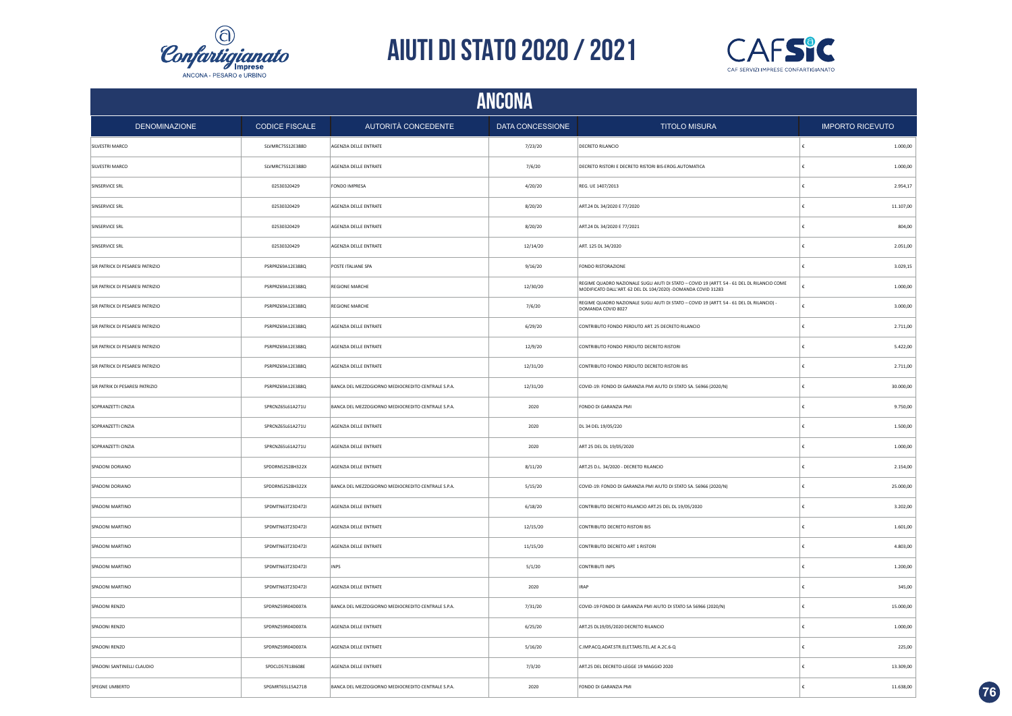



| <b>ANCONA</b>                    |                       |                                                    |                  |                                                                                                                                                              |   |                         |  |
|----------------------------------|-----------------------|----------------------------------------------------|------------------|--------------------------------------------------------------------------------------------------------------------------------------------------------------|---|-------------------------|--|
| <b>DENOMINAZIONE</b>             | <b>CODICE FISCALE</b> | AUTORITÀ CONCEDENTE                                | DATA CONCESSIONE | <b>TITOLO MISURA</b>                                                                                                                                         |   | <b>IMPORTO RICEVUTO</b> |  |
| SILVESTRI MARCO                  | SLVMRC75S12E388D      | AGENZIA DELLE ENTRATE                              | 7/23/20          | DECRETO RILANCIO                                                                                                                                             |   | 1.000,00                |  |
| SILVESTRI MARCO                  | SLVMRC75S12E388D      | AGENZIA DELLE ENTRATE                              | 7/6/20           | DECRETO RISTORI E DECRETO RISTORI BIS-EROG.AUTOMATICA                                                                                                        | € | 1.000,00                |  |
| SINSERVICE SRL                   | 02530320429           | FONDO IMPRESA                                      | 4/20/20          | REG. UE 1407/2013                                                                                                                                            | € | 2.954,17                |  |
| SINSERVICE SRL                   | 02530320429           | AGENZIA DELLE ENTRATE                              | 8/20/20          | ART.24 DL 34/2020 E 77/2020                                                                                                                                  | € | 11.107,00               |  |
| SINSERVICE SRL                   | 02530320429           | AGENZIA DELLE ENTRATE                              | 8/20/20          | ART.24 DL 34/2020 E 77/2021                                                                                                                                  | € | 804,00                  |  |
| SINSERVICE SRL                   | 02530320429           | AGENZIA DELLE ENTRATE                              | 12/14/20         | ART. 125 DL 34/2020                                                                                                                                          | € | 2.051,00                |  |
| SIR PATRICK DI PESARESI PATRIZIO | PSRPRZ69A12E388Q      | POSTE ITALIANE SPA                                 | 9/16/20          | FONDO RISTORAZIONE                                                                                                                                           | € | 3.029,15                |  |
| SIR PATRICK DI PESARESI PATRIZIO | PSRPRZ69A12E388Q      | <b>REGIONE MARCHE</b>                              | 12/30/20         | REGIME QUADRO NAZIONALE SUGLI AIUTI DI STATO - COVID 19 (ARTT. 54 - 61 DEL DL RILANCIO COME<br>MODIFICATO DALL'ART. 62 DEL DL 104/2020) -DOMANDA COVID 31283 | £ | 1.000,00                |  |
| SIR PATRICK DI PESARESI PATRIZIO | PSRPRZ69A12E388Q      | <b>REGIONE MARCHE</b>                              | 7/6/20           | REGIME QUADRO NAZIONALE SUGLI AIUTI DI STATO - COVID 19 (ARTT. 54 - 61 DEL DL RILANCIO) -<br>DOMANDA COVID 8027                                              | ŧ | 3.000,00                |  |
| SIR PATRICK DI PESARESI PATRIZIO | PSRPRZ69A12E388Q      | AGENZIA DELLE ENTRATE                              | 6/29/20          | CONTRIBUTO FONDO PERDUTO ART. 25 DECRETO RILANCIO                                                                                                            |   | 2.711,00                |  |
| SIR PATRICK DI PESARESI PATRIZIO | PSRPRZ69A12E388Q      | AGENZIA DELLE ENTRATE                              | 12/9/20          | CONTRIBUTO FONDO PERDUTO DECRETO RISTORI                                                                                                                     |   | 5.422,00                |  |
| SIR PATRICK DI PESARESI PATRIZIO | PSRPRZ69A12E388Q      | AGENZIA DELLE ENTRATE                              | 12/31/20         | CONTRIBUTO FONDO PERDUTO DECRETO RISTORI BIS                                                                                                                 |   | 2.711,00                |  |
| SIR PATRIK DI PESARESI PATRIZIO  | PSRPRZ69A12E388Q      | BANCA DEL MEZZOGIORNO MEDIOCREDITO CENTRALE S.P.A. | 12/31/20         | COVID-19: FONDO DI GARANZIA PMI AIUTO DI STATO SA. 56966 (2020/N)                                                                                            |   | 30.000,00               |  |
| SOPRANZETTI CINZIA               | SPRCNZ65L61A271U      | BANCA DEL MEZZOGIORNO MEDIOCREDITO CENTRALE S.P.A. | 2020             | FONDO DI GARANZIA PMI                                                                                                                                        | € | 9.750,00                |  |
| SOPRANZETTI CINZIA               | SPRCNZ65L61A271U      | AGENZIA DELLE ENTRATE                              | 2020             | DL 34 DEL 19/05/220                                                                                                                                          | € | 1.500,00                |  |
| SOPRANZETTI CINZIA               | SPRCNZ65L61A271U      | AGENZIA DELLE ENTRATE                              | 2020             | ART 25 DEL DL 19/05/2020                                                                                                                                     | € | 1.000,00                |  |
| SPADONI DORIANO                  | SPDDRN52S28H322X      | AGENZIA DELLE ENTRATE                              | 8/11/20          | ART.25 D.L. 34/2020 - DECRETO RILANCIO                                                                                                                       |   | 2.154,00                |  |
| SPADONI DORIANO                  | SPDDRN52S28H322X      | BANCA DEL MEZZOGIORNO MEDIOCREDITO CENTRALE S.P.A. | 5/15/20          | COVID-19: FONDO DI GARANZIA PMI AIUTO DI STATO SA. 56966 (2020/N)                                                                                            | € | 25.000,00               |  |
| SPADONI MARTINO                  | SPDMTN63T23D472I      | AGENZIA DELLE ENTRATE                              | 6/18/20          | CONTRIBUTO DECRETO RILANCIO ART.25 DEL DL 19/05/2020                                                                                                         | € | 3.202,00                |  |
| SPADONI MARTINO                  | SPDMTN63T23D472I      | AGENZIA DELLE ENTRATE                              | 12/15/20         | CONTRIBUTO DECRETO RISTORI BIS                                                                                                                               | € | 1.601,00                |  |
| SPADONI MARTINO                  | SPDMTN63T23D472I      | AGENZIA DELLE ENTRATE                              | 11/15/20         | CONTRIBUTO DECRETO ART 1 RISTORI                                                                                                                             | € | 4.803,00                |  |
| SPADONI MARTINO                  | SPDMTN63T23D472I      | <b>INPS</b>                                        | 5/1/20           | <b>CONTRIBUTI INPS</b>                                                                                                                                       |   | 1.200,00                |  |
| SPADONI MARTINO                  | SPDMTN63T23D472I      | AGENZIA DELLE ENTRATE                              | 2020             | <b>IRAP</b>                                                                                                                                                  | € | 345,00                  |  |
| SPADONI RENZO                    | SPDRNZ59R04D007A      | BANCA DEL MEZZOGIORNO MEDIOCREDITO CENTRALE S.P.A. | 7/31/20          | COVID-19 FONDO DI GARANZIA PMI AIUTO DI STATO SA 56966 (2020/N)                                                                                              |   | 15.000,00               |  |
| SPADONI RENZO                    | SPDRNZ59R04D007A      | AGENZIA DELLE ENTRATE                              | 6/25/20          | ART.25 DL19/05/2020 DECRETO RILANCIO                                                                                                                         |   | 1.000,00                |  |
| SPADONI RENZO                    | SPDRNZ59R04D007A      | AGENZIA DELLE ENTRATE                              | 5/16/20          | C.IMP.ACQ.ADAT.STR.ELET.TARS.TEL.AE A.2C.6-Q                                                                                                                 |   | 225,00                  |  |
| SPADONI SANTINELLI CLAUDIO       | SPDCLD57E18I608E      | AGENZIA DELLE ENTRATE                              | 7/3/20           | ART.25 DEL DECRETO-LEGGE 19 MAGGIO 2020                                                                                                                      |   | 13.309,00               |  |
| SPEGNE UMBERTO                   | SPGMRT65L15A271B      | BANCA DEL MEZZOGIORNO MEDIOCREDITO CENTRALE S.P.A. | 2020             | FONDO DI GARANZIA PMI                                                                                                                                        | £ | 11.638,00               |  |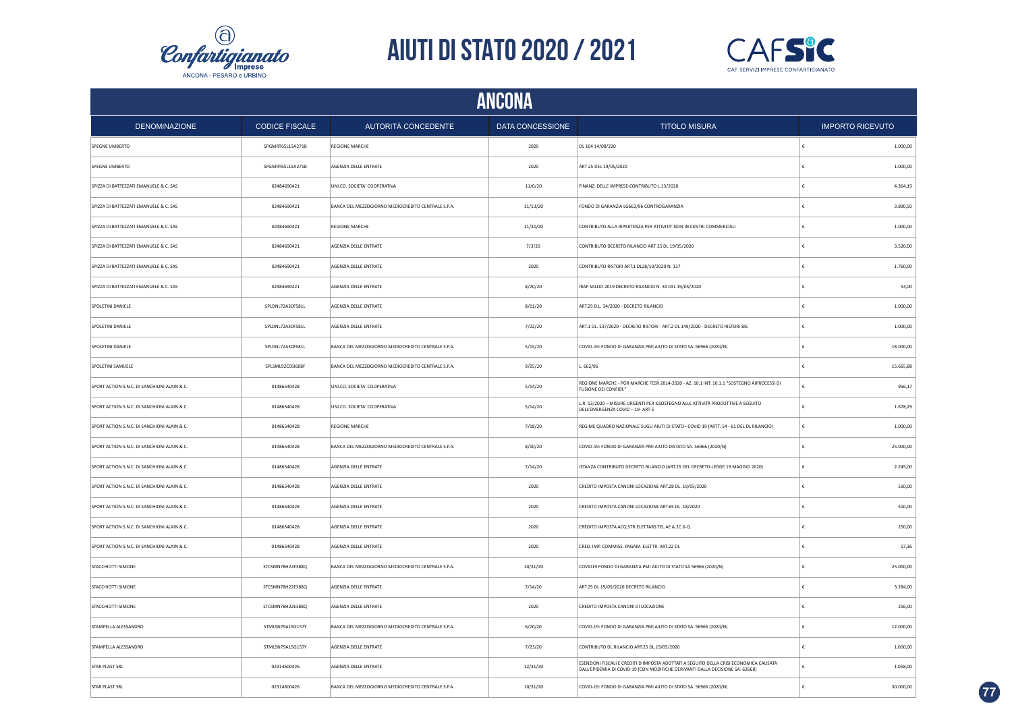



|                                             | ANCONA                |                                                    |                  |                                                                                                                                                                         |            |                         |  |  |
|---------------------------------------------|-----------------------|----------------------------------------------------|------------------|-------------------------------------------------------------------------------------------------------------------------------------------------------------------------|------------|-------------------------|--|--|
| <b>DENOMINAZIONE</b>                        | <b>CODICE FISCALE</b> | AUTORITÀ CONCEDENTE                                | DATA CONCESSIONE | <b>TITOLO MISURA</b>                                                                                                                                                    |            | <b>IMPORTO RICEVUTO</b> |  |  |
| SPEGNE UMBERTO                              | SPGMRT65L15A271B      | <b>REGIONE MARCHE</b>                              | 2020             | DL 104 14/08/220                                                                                                                                                        | £          | 1.000,00                |  |  |
| SPEGNE UMBERTO                              | SPGMRT65L15A271B      | AGENZIA DELLE ENTRATE                              | 2020             | ART 25 DEL 19/05/2020                                                                                                                                                   | €          | 1.000,00                |  |  |
| SPIZZA DI BATTEZZATI EMANUELE & C. SAS      | 02484690421           | UNI.CO. SOCIETA' COOPERATIVA                       | 11/6/20          | FINANZ. DELLE IMPRESE-CONTRIBUTO L.13/2020                                                                                                                              | $\epsilon$ | 4.364,19                |  |  |
| SPIZZA DI BATTEZZATI EMANUELE & C. SAS      | 02484690421           | BANCA DEL MEZZOGIORNO MEDIOCREDITO CENTRALE S.P.A. | 11/13/20         | FONDO DI GARANZIA LG662/96 CONTROGARANZIA                                                                                                                               | €          | 3.890,50                |  |  |
| SPIZZA DI BATTEZZATI EMANUELE & C. SAS      | 02484690421           | REGIONE MARCHE                                     | 11/30/20         | CONTRIBUTO ALLA RIPARTENZA PER ATTIVITA' NON IN CENTRI COMMERCIALI                                                                                                      | €          | 1.000,00                |  |  |
| SPIZZA DI BATTEZZATI EMANUELE & C. SAS      | 02484690421           | AGENZIA DELLE ENTRATE                              | 7/3/20           | CONTRIBUTO DECRETO RILANCIO ART 25 DL 19/05/2020                                                                                                                        | €          | 3.520,00                |  |  |
| SPIZZA DI BATTEZZATI EMANUELE & C. SAS      | 02484690421           | AGENZIA DELLE ENTRATE                              | 2020             | CONTRIBUTO RISTORI ART.1 DL28/10/2020 N. 137                                                                                                                            | €          | 1.760,00                |  |  |
| SPIZZA DI BATTEZZATI EMANUELE & C. SAS      | 02484690421           | AGENZIA DELLE ENTRATE                              | 8/20/20          | IRAP SALDO 2019 DECRETO RILANCIO N. 34 DEL 19/05/2020                                                                                                                   | €          | 53,00                   |  |  |
| SPOLETINI DANIELE                           | SPLDNL72A30F581L      | AGENZIA DELLE ENTRATE                              | 8/11/20          | ART.25 D.L. 34/2020 - DECRETO RILANCIO                                                                                                                                  |            | 1.000,00                |  |  |
| SPOLETINI DANIELE                           | SPLDNL72A30F581L      | AGENZIA DELLE ENTRATE                              | 7/22/20          | ART.1 DL. 137/2020 - DECRETO RISTORI - ART.2 DL 149/2020 - DECRETO RISTORI BIS                                                                                          | €          | 1.000,00                |  |  |
| SPOLETINI DANIELE                           | SPLDNL72A30F581L      | BANCA DEL MEZZOGIORNO MEDIOCREDITO CENTRALE S.P.A. | 5/15/20          | COVID-19: FONDO DI GARANZIA PMI AIUTO DI STATO SA. 56966 (2020/N)                                                                                                       |            | 18.000,00               |  |  |
| SPOLETINI SAMUELE                           | SPLSML92C05I608F      | BANCA DEL MEZZOGIORNO MEDIOCREDITO CENTRALE S.P.A. | 9/25/20          | L. 662/96                                                                                                                                                               | ¢          | 15.665,88               |  |  |
| SPORT ACTION S.N.C. DI SANCHIONI ALAIN & C. | 01486540428           | UNI.CO. SOCIETA' COOPERATIVA                       | 5/14/20          | REGIONE MARCHE - POR MARCHE FESR 2014-2020 - AZ. 10.1 INT. 10.1.1 "SOSTEGNO AIPROCESSI DI<br>FUSIONE DEI CONFIDI."                                                      |            | 956,17                  |  |  |
| SPORT ACTION S.N.C. DI SANCHIONI ALAIN & C. | 01486540428           | UNI.CO. SOCIETA' COOPERATIVA                       | 5/14/20          | L.R. 13/2020 - MISURE URGENTI PER ILSOSTEGNO ALLE ATTIVITÀ PRODUTTIVE A SEGUITO<br>DELL'EMERGENZA COVID - 19- ART 5                                                     | £          | 1.678,29                |  |  |
| SPORT ACTION S.N.C. DI SANCHIONI ALAIN & C. | 01486540428           | <b>REGIONE MARCHE</b>                              | 7/18/20          | REGIME QUADRO NAZIONALE SUGLI AIUTI DI STATO- COVID 19 (ARTT. 54 - 61 DEL DL RILANCIO)                                                                                  | $\epsilon$ | 1.000,00                |  |  |
| SPORT ACTION S.N.C. DI SANCHIONI ALAIN & C. | 01486540428           | BANCA DEL MEZZOGIORNO MEDIOCREDITO CENTRALE S.P.A. | 8/10/20          | COVID-19: FONDO DI GARANZIA PMI AIUTO DISTATO SA. 56966 (2020/N)                                                                                                        | $\epsilon$ | 25.000,00               |  |  |
| SPORT ACTION S.N.C. DI SANCHIONI ALAIN & C. | 01486540428           | AGENZIA DELLE ENTRATE                              | 7/14/20          | ISTANZA CONTRIBUTO DECRETO RILANCIO (ART.25 DEL DECRETO-LEGGE 19 MAGGIO 2020)                                                                                           | $\epsilon$ | 2.245,00                |  |  |
| SPORT ACTION S.N.C. DI SANCHIONI ALAIN & C. | 01486540428           | AGENZIA DELLE ENTRATE                              | 2020             | CREDITO IMPOSTA CANONI LOCAZIONE ART.28 DL. 19/05/2020                                                                                                                  | ∣€         | 510.00                  |  |  |
| SPORT ACTION S.N.C. DI SANCHIONI ALAIN & C. | 01486540428           | AGENZIA DELLE ENTRATE                              | 2020             | CREDITO IMPOSTA CANONI LOCAZIONE ART.65 DL. 18/2020                                                                                                                     | €          | 510,00                  |  |  |
| SPORT ACTION S.N.C. DI SANCHIONI ALAIN & C. | 01486540428           | AGENZIA DELLE ENTRATE                              | 2020             | CREDITO IMPOSTA ACQ.STR.ELET.TARS.TEL.AE A.2C.6-Q                                                                                                                       | €          | 250,00                  |  |  |
| SPORT ACTION S.N.C. DI SANCHIONI ALAIN & C. | 01486540428           | AGENZIA DELLE ENTRATE                              | 2020             | CRED. IMP. COMMISS. PAGAM. ELETTR. ART.22 DL                                                                                                                            | £          | 17,36                   |  |  |
| STACCHIOTTI SIMONE                          | STCSMN78H22E388Q      | BANCA DEL MEZZOGIORNO MEDIOCREDITO CENTRALE S.P.A. | 10/31/20         | COVID19 FONDO DI GARANZIA PMI AIUTO DI STATO SA 56966 (2020/N)                                                                                                          | £          | 25.000,00               |  |  |
| STACCHIOTTI SIMONE                          | STCSMN78H22E388Q      | AGENZIA DELLE ENTRATE                              | 7/14/20          | ART.25 DL 19/05/2020 DECRETO RILANCIO                                                                                                                                   | £          | 3.284,00                |  |  |
| STACCHIOTTI SIMONE                          | STCSMN78H22E388Q      | AGENZIA DELLE ENTRATE                              | 2020             | CREDITO IMPOSTA CANONI DI LOCAZIONE                                                                                                                                     | £          | 216,00                  |  |  |
| STAMPELLA ALESSANDRO                        | STMLSN79A15G157Y      | BANCA DEL MEZZOGIORNO MEDIOCREDITO CENTRALE S.P.A. | 6/20/20          | COVID-19: FONDO DI GARANZIA PMI AIUTO DI STATO SA, 56966 (2020/N)                                                                                                       | €          | 12.000,00               |  |  |
| STAMPELLA ALESSANDRO                        | STMLSN79A15G157Y      | AGENZIA DELLE ENTRATE                              | 7/23/20          | CONTRIBUTO DL RILANCIO ART.25 DL.19/05/2020                                                                                                                             |            | 1.000,00                |  |  |
| STAR PLAST SRL                              | 02314600426           | AGENZIA DELLE ENTRATE                              | 12/31/20         | ESENZIONI FISCALI E CREDITI D'IMPOSTA ADOTTATI A SEGUITO DELLA CRISI ECONOMICA CAUSATA<br>DALL'EPIDEMIA DI COVID-19 [CON MODIFICHE DERIVANTI DALLA DECISIONE SA. 62668] |            | 1.058,00                |  |  |
| <b>STAR PLAST SRL</b>                       | 02314600426           | BANCA DEL MEZZOGIORNO MEDIOCREDITO CENTRALE S.P.A. | 10/31/20         | COVID-19: FONDO DI GARANZIA PMI AIUTO DI STATO SA. 56966 (2020/N)                                                                                                       |            | 30.000,00               |  |  |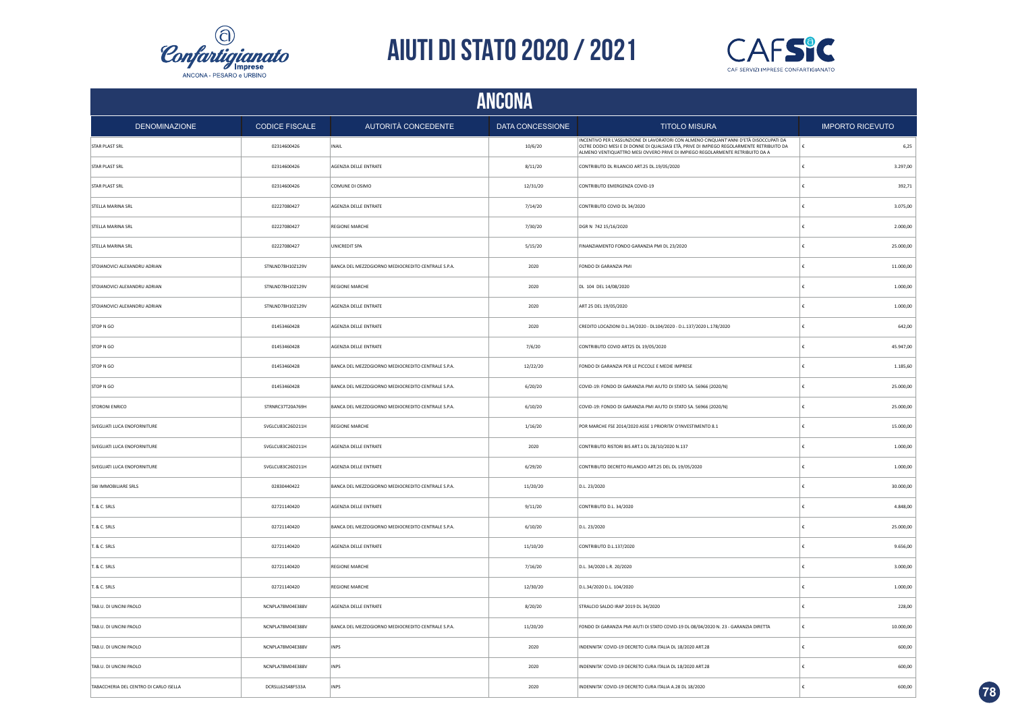



| <b>ANCONA</b>                          |                       |                                                    |                         |                                                                                                                                                                                                                                                                       |                         |  |  |
|----------------------------------------|-----------------------|----------------------------------------------------|-------------------------|-----------------------------------------------------------------------------------------------------------------------------------------------------------------------------------------------------------------------------------------------------------------------|-------------------------|--|--|
| <b>DENOMINAZIONE</b>                   | <b>CODICE FISCALE</b> | AUTORITÀ CONCEDENTE                                | <b>DATA CONCESSIONE</b> | <b>TITOLO MISURA</b>                                                                                                                                                                                                                                                  | <b>IMPORTO RICEVUTO</b> |  |  |
| <b>STAR PLAST SRL</b>                  | 02314600426           | INAIL                                              | 10/6/20                 | INCENTIVO PER L'ASSUNZIONE DI LAVORATORI CON ALMENO CINQUANT'ANNI D'ETÀ DISOCCUPATI DA<br>OLTRE DODICI MESI E DI DONNE DI QUALSIASI ETÀ, PRIVE DI IMPIEGO REGOLARMENTE RETRIBUITO DA<br>ALMENO VENTIQUATTRO MESI OVVERO PRIVE DI IMPIEGO REGOLARMENTE RETRIBUITO DA A | 6,25<br>€               |  |  |
| STAR PLAST SRL                         | 02314600426           | AGENZIA DELLE ENTRATE                              | 8/11/20                 | CONTRIBUTO DL RILANCIO ART.25 DL.19/05/2020                                                                                                                                                                                                                           | 3.297,00<br>¢           |  |  |
| STAR PLAST SRL                         | 02314600426           | COMUNE DI OSIMO                                    | 12/31/20                | CONTRIBUTO EMERGENZA COVID-19                                                                                                                                                                                                                                         | 392,71                  |  |  |
| STELLA MARINA SRL                      | 02227080427           | AGENZIA DELLE ENTRATE                              | 7/14/20                 | CONTRIBUTO COVID DL 34/2020                                                                                                                                                                                                                                           | 3.075,00                |  |  |
| STELLA MARINA SRL                      | 02227080427           | <b>REGIONE MARCHE</b>                              | 7/30/20                 | DGR N 742 15/16/2020                                                                                                                                                                                                                                                  | 2.000,00                |  |  |
| STELLA MARINA SRL                      | 02227080427           | UNICREDIT SPA                                      | 5/15/20                 | FINANZIAMENTO FONDO GARANZIA PMI DL 23/2020                                                                                                                                                                                                                           | 25.000,00               |  |  |
| STOIANOVICI ALEXANDRU ADRIAN           | STNLND78H10Z129V      | BANCA DEL MEZZOGIORNO MEDIOCREDITO CENTRALE S.P.A. | 2020                    | FONDO DI GARANZIA PMI                                                                                                                                                                                                                                                 | 11.000,00               |  |  |
| STOIANOVICI ALEXANDRU ADRIAN           | STNLND78H10Z129V      | <b>REGIONE MARCHE</b>                              | 2020                    | DL 104 DEL 14/08/2020                                                                                                                                                                                                                                                 | 1.000,00                |  |  |
| STOIANOVICI ALEXANDRU ADRIAN           | STNLND78H10Z129V      | AGENZIA DELLE ENTRATE                              | 2020                    | ART 25 DEL 19/05/2020                                                                                                                                                                                                                                                 | 1.000,00                |  |  |
| STOP N GO                              | 01453460428           | AGENZIA DELLE ENTRATE                              | 2020                    | CREDITO LOCAZIONI D.L.34/2020 - DL104/2020 - D.L.137/2020 L.178/2020                                                                                                                                                                                                  | 642,00                  |  |  |
| STOP N GO                              | 01453460428           | AGENZIA DELLE ENTRATE                              | 7/6/20                  | CONTRIBUTO COVID ART25 DL 19/05/2020                                                                                                                                                                                                                                  | 45.947,00               |  |  |
| STOP N GO                              | 01453460428           | BANCA DEL MEZZOGIORNO MEDIOCREDITO CENTRALE S.P.A. | 12/22/20                | FONDO DI GARANZIA PER LE PICCOLE E MEDIE IMPRESE                                                                                                                                                                                                                      | 1.185,60                |  |  |
| STOP N GO                              | 01453460428           | BANCA DEL MEZZOGIORNO MEDIOCREDITO CENTRALE S.P.A. | 6/20/20                 | COVID-19: FONDO DI GARANZIA PMI AIUTO DI STATO SA. 56966 (2020/N)                                                                                                                                                                                                     | 25.000,00               |  |  |
| <b>STORONI ENRICO</b>                  | STRNRC37T20A769H      | BANCA DEL MEZZOGIORNO MEDIOCREDITO CENTRALE S.P.A. | 6/10/20                 | COVID-19: FONDO DI GARANZIA PMI AIUTO DI STATO SA. 56966 (2020/N)                                                                                                                                                                                                     | 25.000,00               |  |  |
| SVEGLIATI LUCA ENOFORNITURE            | SVGLCU83C26D211H      | <b>REGIONE MARCHE</b>                              | 1/16/20                 | POR MARCHE FSE 2014/2020 ASSE 1 PRIORITA' D'INVESTIMENTO 8.1                                                                                                                                                                                                          | 15.000,00               |  |  |
| SVEGLIATI LUCA ENOFORNITURE            | SVGLCU83C26D211H      | AGENZIA DELLE ENTRATE                              | 2020                    | CONTRIBUTO RISTORI BIS ART.1 DL 28/10/2020 N.137                                                                                                                                                                                                                      | 1.000,00                |  |  |
| SVEGLIATI LUCA ENOFORNITURE            | SVGLCU83C26D211H      | AGENZIA DELLE ENTRATE                              | 6/29/20                 | CONTRIBUTO DECRETO RILANCIO ART.25 DEL DL 19/05/2020                                                                                                                                                                                                                  | 1.000,00                |  |  |
| SW IMMOBILIARE SRLS                    | 02830440422           | BANCA DEL MEZZOGIORNO MEDIOCREDITO CENTRALE S.P.A. | 11/20/20                | D.L. 23/2020                                                                                                                                                                                                                                                          | 30.000,00               |  |  |
| T. & C. SRLS                           | 02721140420           | AGENZIA DELLE ENTRATE                              | 9/11/20                 | CONTRIBUTO D.L. 34/2020                                                                                                                                                                                                                                               | 4.848,00                |  |  |
| T. & C. SRLS                           | 02721140420           | BANCA DEL MEZZOGIORNO MEDIOCREDITO CENTRALE S.P.A. | 6/10/20                 | D.L. 23/2020                                                                                                                                                                                                                                                          | 25.000,00               |  |  |
| T. & C. SRLS                           | 02721140420           | AGENZIA DELLE ENTRATE                              | 11/10/20                | CONTRIBUTO D.L.137/2020                                                                                                                                                                                                                                               | 9.656,00                |  |  |
| T. & C. SRLS                           | 02721140420           | <b>REGIONE MARCHE</b>                              | 7/16/20                 | D.L. 34/2020 L.R. 20/2020                                                                                                                                                                                                                                             | 3.000,00                |  |  |
| T. & C. SRLS                           | 02721140420           | REGIONE MARCHE                                     | 12/30/20                | D.L.34/2020 D.L. 104/2020                                                                                                                                                                                                                                             | 1.000,00                |  |  |
| TAB.U. DI UNCINI PAOLO                 | NCNPLA78M04E388V      | AGENZIA DELLE ENTRATE                              | 8/20/20                 | STRALCIO SALDO IRAP 2019 DL 34/2020                                                                                                                                                                                                                                   | 228,00                  |  |  |
| TAB.U. DI UNCINI PAOLO                 | NCNPLA78M04E388V      | BANCA DEL MEZZOGIORNO MEDIOCREDITO CENTRALE S.P.A. | 11/20/20                | FONDO DI GARANZIA PMI AIUTI DI STATO COVID-19 DL 08/04/2020 N. 23 - GARANZIA DIRETTA                                                                                                                                                                                  | 10.000,00<br>£          |  |  |
| TAB.U. DI UNCINI PAOLO                 | NCNPLA78M04E388V      | <b>INPS</b>                                        | 2020                    | INDENNITA' COVID-19 DECRETO CURA ITALIA DL 18/2020 ART.28                                                                                                                                                                                                             | 600,00                  |  |  |
| TAB.U. DI UNCINI PAOLO                 | NCNPLA78M04E388V      | <b>INPS</b>                                        | 2020                    | INDENNITA' COVID-19 DECRETO CURA ITALIA DL 18/2020 ART.28                                                                                                                                                                                                             | 600.00<br>£             |  |  |
| TABACCHERIA DEL CENTRO DI CARLO ISELLA | DCRSLL62S48F533A      | INPS                                               | 2020                    | INDENNITA' COVID-19 DECRETO CURA ITALIA A.28 DL 18/2020                                                                                                                                                                                                               | 600.00                  |  |  |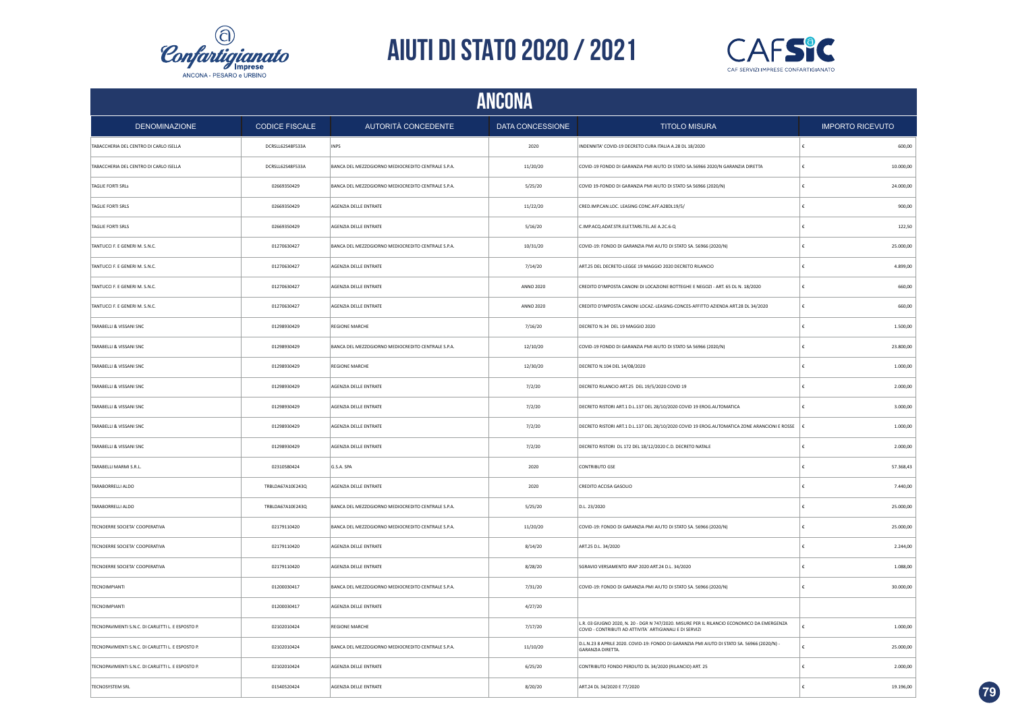



| ANCONA                                            |                       |                                                    |                  |                                                                                                                                                        |                         |  |  |
|---------------------------------------------------|-----------------------|----------------------------------------------------|------------------|--------------------------------------------------------------------------------------------------------------------------------------------------------|-------------------------|--|--|
| <b>DENOMINAZIONE</b>                              | <b>CODICE FISCALE</b> | AUTORITÀ CONCEDENTE                                | DATA CONCESSIONE | <b>TITOLO MISURA</b>                                                                                                                                   | <b>IMPORTO RICEVUTO</b> |  |  |
| TABACCHERIA DEL CENTRO DI CARLO ISELLA            | DCRSLL62S48F533A      | <b>INPS</b>                                        | 2020             | INDENNITA' COVID-19 DECRETO CURA ITALIA A.28 DL 18/2020                                                                                                | 600,00<br>€             |  |  |
| TABACCHERIA DEL CENTRO DI CARLO ISELLA            | DCRSLL62S48F533A      | BANCA DEL MEZZOGIORNO MEDIOCREDITO CENTRALE S.P.A. | 11/20/20         | COVID-19 FONDO DI GARANZIA PMI AIUTO DI STATO SA.56966 2020/N GARANZIA DIRETTA                                                                         | €<br>10.000,00          |  |  |
| TAGLIE FORTI SRLS                                 | 02669350429           | BANCA DEL MEZZOGIORNO MEDIOCREDITO CENTRALE S.P.A. | 5/25/20          | COVID 19-FONDO DI GARANZIA PMI AIUTO DI STATO SA 56966 (2020/N)                                                                                        | 24.000,00<br>€          |  |  |
| TAGLIE FORTI SRLS                                 | 02669350429           | AGENZIA DELLE ENTRATE                              | 11/22/20         | CRED.IMP.CAN.LOC. LEASING CONC.AFF.A28DL19/5/                                                                                                          | €<br>900,00             |  |  |
| TAGLIE FORTI SRLS                                 | 02669350429           | <b>AGENZIA DELLE ENTRATE</b>                       | 5/16/20          | C.IMP.ACQ.ADAT.STR.ELET.TARS.TEL.AE A.2C.6-Q                                                                                                           | 122.50<br>£             |  |  |
| TANTUCCI F. E GENERI M. S.N.C.                    | 01270630427           | BANCA DEL MEZZOGIORNO MEDIOCREDITO CENTRALE S.P.A. | 10/31/20         | COVID-19: FONDO DI GARANZIA PMI AIUTO DI STATO SA. 56966 (2020/N)                                                                                      | €<br>25.000,00          |  |  |
| TANTUCCI F. E GENERI M. S.N.C.                    | 01270630427           | AGENZIA DELLE ENTRATE                              | 7/14/20          | ART.25 DEL DECRETO-LEGGE 19 MAGGIO 2020 DECRETO RILANCIO                                                                                               | 4.899,00                |  |  |
| TANTUCCI F. E GENERI M. S.N.C.                    | 01270630427           | AGENZIA DELLE ENTRATE                              | ANNO 2020        | CREDITO D'IMPOSTA CANONI DI LOCAZIONE BOTTEGHE E NEGOZI - ART. 65 DL N. 18/2020                                                                        | 660.00<br>€             |  |  |
| TANTUCCI F. E GENERI M. S.N.C.                    | 01270630427           | AGENZIA DELLE ENTRATE                              | ANNO 2020        | CREDITO D'IMPOSTA CANONI LOCAZ.-LEASING-CONCES-AFFITTO AZIENDA ART.28 DL 34/2020                                                                       | 660,00<br>€             |  |  |
| TARABELLI & VISSANI SNC                           | 01298930429           | <b>REGIONE MARCHE</b>                              | 7/16/20          | DECRETO N.34 DEL 19 MAGGIO 2020                                                                                                                        | 1.500,00<br>€           |  |  |
| TARABELLI & VISSANI SNC                           | 01298930429           | BANCA DEL MEZZOGIORNO MEDIOCREDITO CENTRALE S.P.A. | 12/10/20         | COVID-19 FONDO DI GARANZIA PMI AIUTO DI STATO SA 56966 (2020/N)                                                                                        | 23.800,00               |  |  |
| TARABELLI & VISSANI SNC                           | 01298930429           | <b>REGIONE MARCHE</b>                              | 12/30/20         | DECRETO N.104 DEL 14/08/2020                                                                                                                           | 1.000,00<br>£           |  |  |
| TARABELLI & VISSANI SNC                           | 01298930429           | AGENZIA DELLE ENTRATE                              | 7/2/20           | DECRETO RILANCIO ART.25 DEL 19/5/2020 COVID 19                                                                                                         | 2.000,00<br>£           |  |  |
| TARABELLI & VISSANI SNC                           | 01298930429           | AGENZIA DELLE ENTRATE                              | 7/2/20           | DECRETO RISTORI ART.1 D.L.137 DEL 28/10/2020 COVID 19 EROG.AUTOMATICA                                                                                  | $\epsilon$<br>3.000,00  |  |  |
| TARABELLI & VISSANI SNC                           | 01298930429           | AGENZIA DELLE ENTRATE                              | 7/2/20           | DECRETO RISTORI ART.1 D.L.137 DEL 28/10/2020 COVID 19 EROG.AUTOMATICA ZONE ARANCIONI E ROSSE                                                           | 1.000,00<br>١£          |  |  |
| TARABELLI & VISSANI SNC                           | 01298930429           | AGENZIA DELLE ENTRATE                              | 7/2/20           | DECRETO RISTORI DL 172 DEL 18/12/2020 C.D. DECRETO NATALE                                                                                              | $\epsilon$<br>2.000.00  |  |  |
| TARABELLI MARMI S.R.L.                            | 02310580424           | G.S.A. SPA                                         | 2020             | CONTRIBUTO GSE                                                                                                                                         | 57.368,43<br>€          |  |  |
| TARABORRELLI ALDO                                 | TRBLDA67A10E243Q      | AGENZIA DELLE ENTRATE                              | 2020             | CREDITO ACCISA GASOLIO                                                                                                                                 | €<br>7.440,00           |  |  |
| TARABORRELLI ALDO                                 | TRBLDA67A10E243Q      | BANCA DEL MEZZOGIORNO MEDIOCREDITO CENTRALE S.P.A. | 5/25/20          | D.L. 23/2020                                                                                                                                           | €<br>25.000,00          |  |  |
| TECNOERRE SOCIETA' COOPERATIVA                    | 02179110420           | BANCA DEL MEZZOGIORNO MEDIOCREDITO CENTRALE S.P.A. | 11/20/20         | COVID-19: FONDO DI GARANZIA PMI AIUTO DI STATO SA. 56966 (2020/N)                                                                                      | 25.000,00<br>€          |  |  |
| TECNOERRE SOCIETA' COOPERATIVA                    | 02179110420           | AGENZIA DELLE ENTRATE                              | 8/14/20          | ART.25 D.L. 34/2020                                                                                                                                    | 2.244,00<br>€           |  |  |
| TECNOERRE SOCIETA' COOPERATIVA                    | 02179110420           | AGENZIA DELLE ENTRATE                              | 8/28/20          | SGRAVIO VERSAMENTO IRAP 2020 ART.24 D.L. 34/2020                                                                                                       | 1.088,00<br>€           |  |  |
| <b>TECNOIMPIANTI</b>                              | 01200030417           | BANCA DEL MEZZOGIORNO MEDIOCREDITO CENTRALE S.P.A. | 7/31/20          | COVID-19: FONDO DI GARANZIA PMI AIUTO DI STATO SA. 56966 (2020/N)                                                                                      | €<br>30.000,00          |  |  |
| <b>TECNOIMPIANTI</b>                              | 01200030417           | AGENZIA DELLE ENTRATE                              | 4/27/20          |                                                                                                                                                        |                         |  |  |
| TECNOPAVIMENTI S.N.C. DI CARLETTI L. E ESPOSTO P. | 02102010424           | <b>REGIONE MARCHE</b>                              | 7/17/20          | L.R. 03 GIUGNO 2020, N. 20 - DGR N 747/2020. MISURE PER IL RILANCIO ECONOMICO DA EMERGENZA<br>COVID - CONTRIBUTI AD ATTIVITA` ARTIGIANALI E DI SERVIZI | ¢<br>1.000,00           |  |  |
| TECNOPAVIMENTI S.N.C. DI CARLETTI L. E ESPOSTO P. | 02102010424           | BANCA DEL MEZZOGIORNO MEDIOCREDITO CENTRALE S.P.A. | 11/10/20         | D.L.N.23 8 APRILE 2020. COVID-19: FONDO DI GARANZIA PMI AIUTO DI STATO SA. 56966 (2020/N) -<br>GARANZIA DIRETTA.                                       | 25.000,00<br>£          |  |  |
| TECNOPAVIMENTI S.N.C. DI CARLETTI L. E ESPOSTO P. | 02102010424           | AGENZIA DELLE ENTRATE                              | 6/25/20          | CONTRIBUTO FONDO PERDUTO DL 34/2020 (RILANCIO) ART. 25                                                                                                 | 2.000,00<br>€           |  |  |
| <b>TECNOSYSTEM SRL</b>                            | 01540520424           | AGENZIA DELLE ENTRATE                              | 8/20/20          | ART.24 DL 34/2020 E 77/2020                                                                                                                            | 19.196,00               |  |  |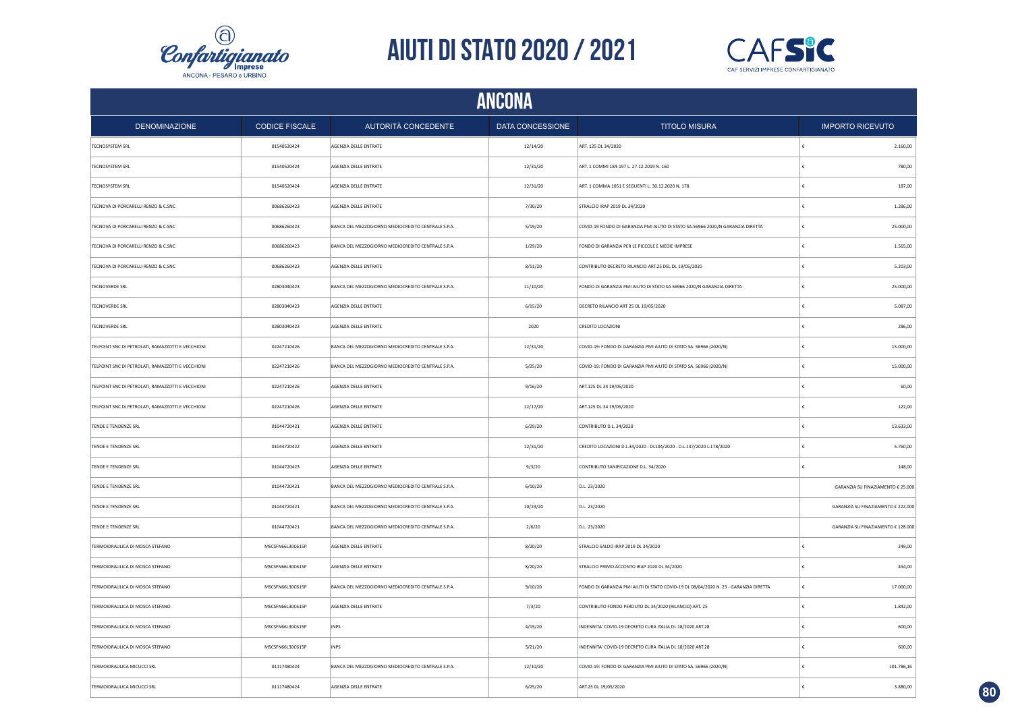



|                                                   |                       |                                                    | ANCONA           |                                                                                      |                                    |
|---------------------------------------------------|-----------------------|----------------------------------------------------|------------------|--------------------------------------------------------------------------------------|------------------------------------|
| <b>DENOMINAZIONE</b>                              | <b>CODICE FISCALE</b> | AUTORITÀ CONCEDENTE                                | DATA CONCESSIONE | <b>TITOLO MISURA</b>                                                                 | <b>IMPORTO RICEVUTO</b>            |
| <b>TECNOSYSTEM SRL</b>                            | 01540520424           | AGENZIA DELLE ENTRATE                              | 12/14/20         | ART. 125 DL 34/2020                                                                  | 2.160,00                           |
| <b>TECNOSYSTEM SRL</b>                            | 01540520424           | AGENZIA DELLE ENTRATE                              | 12/31/20         | ART. 1 COMMI 184-197 L. 27.12.2019 N. 160                                            | €<br>780,00                        |
| <b>TECNOSYSTEM SRL</b>                            | 01540520424           | AGENZIA DELLE ENTRATE                              | 12/31/20         | ART. 1 COMMA 1051 E SEGUENTI L. 30.12.2020 N. 178                                    | €<br>187,00                        |
| TECNOVA DI PORCARELLI RENZO & C.SNC               | 00686260423           | AGENZIA DELLE ENTRATE                              | 7/30/20          | STRALCIO IRAP 2019 DL 34/2020                                                        | €<br>1.286,00                      |
| TECNOVA DI PORCARELLI RENZO & C.SNC               | 00686260423           | BANCA DEL MEZZOGIORNO MEDIOCREDITO CENTRALE S.P.A. | 5/19/20          | COVID-19 FONDO DI GARANZIA PMI AIUTO DI STATO SA.56966 2020/N GARANZIA DIRETTA       | 25.000,00<br>€                     |
| TECNOVA DI PORCARELLI RENZO & C.SNC               | 00686260423           | BANCA DEL MEZZOGIORNO MEDIOCREDITO CENTRALE S.P.A. | 1/29/20          | FONDO DI GARANZIA PER LE PICCOLE E MEDIE IMPRESE                                     | €<br>1.565,00                      |
| TECNOVA DI PORCARELLI RENZO & C.SNC               | 00686260423           | AGENZIA DELLE ENTRATE                              | 8/11/20          | CONTRIBUTO DECRETO RILANCIO ART.25 DEL DL 19/05/2020                                 | 5.203,00                           |
| <b>TECNOVERDE SRL</b>                             | 02803040423           | BANCA DEL MEZZOGIORNO MEDIOCREDITO CENTRALE S.P.A. | 11/10/20         | FONDO DI GARANZIA PMI AIUTO DI STATO SA 56966 2020/N GARANZIA DIRETTA                | 25.000,00<br>€                     |
| <b>TECNOVERDE SRL</b>                             | 02803040423           | AGENZIA DELLE ENTRATE                              | 6/15/20          | DECRETO RILANCIO ART 25 DL 19/05/2020                                                | 5.087,00                           |
| <b>TECNOVERDE SRL</b>                             | 02803040423           | AGENZIA DELLE ENTRATE                              | 2020             | CREDITO LOCAZIONI                                                                    | 286,00                             |
| TELPOINT SNC DI PETROLATI, RAMAZZOTTI E VECCHIONI | 02247210426           | BANCA DEL MEZZOGIORNO MEDIOCREDITO CENTRALE S.P.A. | 12/31/20         | COVID-19: FONDO DI GARANZIA PMI AIUTO DI STATO SA. 56966 (2020/N)                    | 15.000,00                          |
| TELPOINT SNC DI PETROLATI, RAMAZZOTTI E VECCHIONI | 02247210426           | BANCA DEL MEZZOGIORNO MEDIOCREDITO CENTRALE S.P.A. | 5/25/20          | COVID-19: FONDO DI GARANZIA PMI AIUTO DI STATO SA. 56966 (2020/N)                    | 15.000,00                          |
| TELPOINT SNC DI PETROLATI, RAMAZZOTTI E VECCHIONI | 02247210426           | AGENZIA DELLE ENTRATE                              | 9/16/20          | ART.125 DL 34 19/05/2020                                                             | 60,00                              |
| TELPOINT SNC DI PETROLATI, RAMAZZOTTI E VECCHIONI | 02247210426           | AGENZIA DELLE ENTRATE                              | 12/17/20         | ART.125 DL 34 19/05/2020                                                             | £<br>122,00                        |
| TENDE E TENDENZE SRL                              | 01044720421           | AGENZIA DELLE ENTRATE                              | 6/29/20          | CONTRIBUTO D.L. 34/2020                                                              | 13.633,00<br>£                     |
| TENDE E TENDENZE SRL                              | 01044720422           | AGENZIA DELLE ENTRATE                              | 12/31/20         | CREDITO LOCAZIONI D.L.34/2020 - DL104/2020 - D.L.137/2020 L.178/2020                 | 5.760,00<br>£                      |
| TENDE E TENDENZE SRL                              | 01044720423           | AGENZIA DELLE ENTRATE                              | 9/3/20           | CONTRIBUTO SANIFICAZIONE D.L. 34/2020                                                | 148,00                             |
| TENDE E TENDENZE SRL                              | 01044720421           | BANCA DEL MEZZOGIORNO MEDIOCREDITO CENTRALE S.P.A. | 6/10/20          | D.L. 23/2020                                                                         | GARANZIA SU FINAZIAMENTO € 25.000  |
| TENDE E TENDENZE SRL                              | 01044720421           | BANCA DEL MEZZOGIORNO MEDIOCREDITO CENTRALE S.P.A. | 10/23/20         | D.L. 23/2020                                                                         | GARANZIA SU FINAZIAMENTO € 222.000 |
| TENDE E TENDENZE SRL                              | 01044720421           | BANCA DEL MEZZOGIORNO MEDIOCREDITO CENTRALE S.P.A. | 2/6/20           | D.L. 23/2020                                                                         | GARANZIA SU FINAZIAMENTO € 128.000 |
| TERMOIDRAULICA DI MOSCA STEFANO                   | MSCSFN66L30C615P      | AGENZIA DELLE ENTRATE                              | 8/20/20          | STRALCIO SALDO IRAP 2019 DL 34/2020                                                  | €<br>249,00                        |
| TERMOIDRAULICA DI MOSCA STEFANO                   | MSCSFN66L30C615P      | AGENZIA DELLE ENTRATE                              | 8/20/20          | STRALCIO PRIMO ACCONTO IRAP 2020 DL 34/2020                                          | 454,00<br>€                        |
| TERMOIDRAULICA DI MOSCA STEFANO                   | MSCSFN66L30C615P      | BANCA DEL MEZZOGIORNO MEDIOCREDITO CENTRALE S.P.A. | 9/10/20          | FONDO DI GARANZIA PMI AIUTI DI STATO COVID-19 DL 08/04/2020 N. 23 - GARANZIA DIRETTA | €<br>17.000,00                     |
| TERMOIDRAULICA DI MOSCA STEFANO                   | MSCSFN66L30C615P      | AGENZIA DELLE ENTRATE                              | 7/3/20           | CONTRIBUTO FONDO PERDUTO DL 34/2020 (RILANCIO) ART. 25                               | 1.842,00<br>€                      |
| TERMOIDRAULICA DI MOSCA STEFANO                   | MSCSFN66L30C615P      | <b>INPS</b>                                        | 4/15/20          | INDENNITA' COVID-19 DECRETO CURA ITALIA DL 18/2020 ART.28                            | €<br>600,00                        |
| TERMOIDRAULICA DI MOSCA STEFANO                   | MSCSFN66L30C615P      | <b>INPS</b>                                        | 5/21/20          | INDENNITA' COVID-19 DECRETO CURA ITALIA DL 18/2020 ART.28                            | 600,00                             |
| TERMOIDRAULICA MICUCCI SRL                        | 01117480424           | BANCA DEL MEZZOGIORNO MEDIOCREDITO CENTRALE S.P.A. | 12/10/20         | COVID-19: FONDO DI GARANZIA PMI AIUTO DI STATO SA. 56966 (2020/N)                    | 101.786,16<br>€                    |
| TERMOIDRAULICA MICUCCI SRL                        | 01117480424           | AGENZIA DELLE ENTRATE                              | 6/25/20          | ART.25 DL 19/05/2020                                                                 | 3.880,00                           |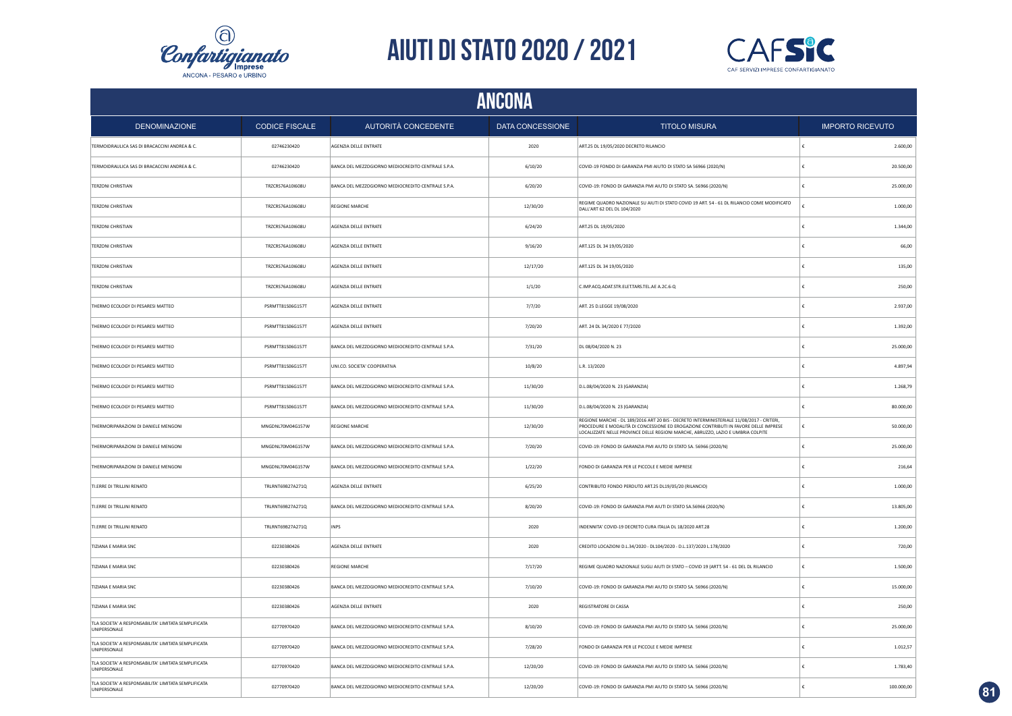



| ANCONA                                                                      |                       |                                                    |                  |                                                                                                                                                                                                                                                                       |                         |  |  |
|-----------------------------------------------------------------------------|-----------------------|----------------------------------------------------|------------------|-----------------------------------------------------------------------------------------------------------------------------------------------------------------------------------------------------------------------------------------------------------------------|-------------------------|--|--|
| <b>DENOMINAZIONE</b>                                                        | <b>CODICE FISCALE</b> | AUTORITÀ CONCEDENTE                                | DATA CONCESSIONE | <b>TITOLO MISURA</b>                                                                                                                                                                                                                                                  | <b>IMPORTO RICEVUTO</b> |  |  |
| TERMOIDRAULICA SAS DI BRACACCINI ANDREA & C.                                | 02746230420           | AGENZIA DELLE ENTRATE                              | 2020             | ART.25 DL 19/05/2020 DECRETO RILANCIO                                                                                                                                                                                                                                 | 2.600,00                |  |  |
| TERMOIDRAULICA SAS DI BRACACCINI ANDREA & C.                                | 02746230420           | BANCA DEL MEZZOGIORNO MEDIOCREDITO CENTRALE S.P.A. | 6/10/20          | COVID-19 FONDO DI GARANZIA PMI AIUTO DI STATO SA 56966 (2020/N)                                                                                                                                                                                                       | 20.500,00               |  |  |
| <b>TERZONI CHRISTIAN</b>                                                    | TRZCRS76A10I608U      | BANCA DEL MEZZOGIORNO MEDIOCREDITO CENTRALE S.P.A. | 6/20/20          | COVID-19: FONDO DI GARANZIA PMI AIUTO DI STATO SA. 56966 (2020/N)                                                                                                                                                                                                     | 25.000,00               |  |  |
| <b>TERZONI CHRISTIAN</b>                                                    | TRZCRS76A10I608U      | <b>REGIONE MARCHE</b>                              | 12/30/20         | REGIME QUADRO NAZIONALE SU AIUTI DI STATO COVID 19 ART. 54 - 61 DL RILANCIO COME MODIFICATO<br>DALL'ART 62 DEL DL 104/2020                                                                                                                                            | 1.000,00                |  |  |
| <b>TERZONI CHRISTIAN</b>                                                    | TRZCRS76A10I608U      | AGENZIA DELLE ENTRATE                              | 6/24/20          | ART.25 DL 19/05/2020                                                                                                                                                                                                                                                  | 1.344,00                |  |  |
| <b>TERZONI CHRISTIAN</b>                                                    | TRZCRS76A10I608U      | AGENZIA DELLE ENTRATE                              | 9/16/20          | ART.125 DL 34 19/05/2020                                                                                                                                                                                                                                              | 66,00                   |  |  |
| <b>TERZONI CHRISTIAN</b>                                                    | TRZCRS76A10I608U      | AGENZIA DELLE ENTRATE                              | 12/17/20         | ART.125 DL 34 19/05/2020                                                                                                                                                                                                                                              | 135,00                  |  |  |
| <b>TERZONI CHRISTIAN</b>                                                    | TRZCRS76A10I608U      | AGENZIA DELLE ENTRATE                              | 1/1/20           | C.IMP.ACQ.ADAT.STR.ELET.TARS.TEL.AE A.2C.6-Q                                                                                                                                                                                                                          | 250,00                  |  |  |
| THERMO ECOLOGY DI PESARESI MATTEO                                           | PSRMTT81S06G157T      | AGENZIA DELLE ENTRATE                              | 7/7/20           | ART. 25 D.LEGGE 19/08/2020                                                                                                                                                                                                                                            | 2.937,00                |  |  |
| THERMO ECOLOGY DI PESARESI MATTEO                                           | PSRMTT81S06G157T      | AGENZIA DELLE ENTRATE                              | 7/20/20          | ART, 24 DL 34/2020 E 77/2020                                                                                                                                                                                                                                          | 1.392,00                |  |  |
| THERMO ECOLOGY DI PESARESI MATTEO                                           | PSRMTT81S06G157T      | BANCA DEL MEZZOGIORNO MEDIOCREDITO CENTRALE S.P.A. | 7/31/20          | DL 08/04/2020 N. 23                                                                                                                                                                                                                                                   | 25.000,00               |  |  |
| THERMO ECOLOGY DI PESARESI MATTEO                                           | PSRMTT81S06G157T      | UNI.CO. SOCIETA' COOPERATIVA                       | 10/8/20          | L.R. 13/2020                                                                                                                                                                                                                                                          | 4.897,94                |  |  |
| THERMO ECOLOGY DI PESARESI MATTEO                                           | PSRMTT81S06G157T      | BANCA DEL MEZZOGIORNO MEDIOCREDITO CENTRALE S.P.A. | 11/30/20         | D.L.08/04/2020 N. 23 (GARANZIA)                                                                                                                                                                                                                                       | 1.268,79                |  |  |
| THERMO ECOLOGY DI PESARESI MATTEO                                           | PSRMTT81S06G157T      | BANCA DEL MEZZOGIORNO MEDIOCREDITO CENTRALE S.P.A. | 11/30/20         | D.L.08/04/2020 N. 23 (GARANZIA)                                                                                                                                                                                                                                       | 80.000,00               |  |  |
| THERMORIPARAZIONI DI DANIELE MENGONI                                        | MNGDNL70M04G157W      | <b>REGIONE MARCHE</b>                              | 12/30/20         | REGIONE MARCHE - DL 189/2016 ART 20 BIS - DECRETO INTERMINISTERIALE 11/08/2017 - CRITERI,<br>PROCEDURE E MODALITÀ DI CONCESSIONE ED EROGAZIONE CONTRIBUTI IN FAVORE DELLE IMPRESE<br>LOCALIZZATE NELLE PROVINCE DELLE REGIONI MARCHE, ABRUZZO, LAZIO E UMBRIA COLPITE | 50.000,00               |  |  |
| THERMORIPARAZIONI DI DANIELE MENGONI                                        | MNGDNL70M04G157W      | BANCA DEL MEZZOGIORNO MEDIOCREDITO CENTRALE S.P.A. | 7/20/20          | COVID-19: FONDO DI GARANZIA PMI AIUTO DI STATO SA. 56966 (2020/N)                                                                                                                                                                                                     | 25.000,00               |  |  |
| THERMORIPARAZIONI DI DANIELE MENGONI                                        | MNGDNL70M04G157W      | BANCA DEL MEZZOGIORNO MEDIOCREDITO CENTRALE S.P.A. | 1/22/20          | FONDO DI GARANZIA PER LE PICCOLE E MEDIE IMPRESE                                                                                                                                                                                                                      | 216,64                  |  |  |
| TI.ERRE DI TRILLINI RENATO                                                  | TRLRNT69B27A271Q      | AGENZIA DELLE ENTRATE                              | 6/25/20          | CONTRIBUTO FONDO PERDUTO ART.25 DL19/05/20 (RILANCIO)                                                                                                                                                                                                                 | 1.000,00                |  |  |
| TI.ERRE DI TRILLINI RENATO                                                  | TRLRNT69B27A271Q      | BANCA DEL MEZZOGIORNO MEDIOCREDITO CENTRALE S.P.A. | 8/20/20          | COVID-19: FONDO DI GARANZIA PMI AIUTI DI STATO SA.56966 (2020/N)                                                                                                                                                                                                      | 13.805,00               |  |  |
| TI.ERRE DI TRILLINI RENATO                                                  | TRI RNT69R27A271O     | <b>INPS</b>                                        | 2020             | INDENNITA' COVID-19 DECRETO CURA ITALIA DL 18/2020 ART.28                                                                                                                                                                                                             | 1.200,00                |  |  |
| TIZIANA E MARIA SNC                                                         | 02230380426           | AGENZIA DELLE ENTRATE                              | 2020             | CREDITO LOCAZIONI D.L.34/2020 - DL104/2020 - D.L.137/2020 L.178/2020                                                                                                                                                                                                  | 720,00                  |  |  |
| TIZIANA E MARIA SNC                                                         | 02230380426           | REGIONE MARCHE                                     | 7/17/20          | REGIME QUADRO NAZIONALE SUGLI AIUTI DI STATO - COVID 19 (ARTT. 54 - 61 DEL DL RILANCIO                                                                                                                                                                                | 1.500,00                |  |  |
| TIZIANA E MARIA SNC                                                         | 02230380426           | BANCA DEL MEZZOGIORNO MEDIOCREDITO CENTRALE S.P.A. | 7/10/20          | COVID-19: FONDO DI GARANZIA PMI AIUTO DI STATO SA. 56966 (2020/N)                                                                                                                                                                                                     | 15.000,00               |  |  |
| TIZIANA E MARIA SNC                                                         | 02230380426           | AGENZIA DELLE ENTRATE                              | 2020             | REGISTRATORE DI CASSA                                                                                                                                                                                                                                                 | 250,00                  |  |  |
| TLA SOCIETA' A RESPONSABILITA' LIMITATA SEMPLIFICATA<br><b>UNIPERSONALE</b> | 02770970420           | BANCA DEL MEZZOGIORNO MEDIOCREDITO CENTRALE S.P.A. | 8/10/20          | COVID-19: FONDO DI GARANZIA PMI AIUTO DI STATO SA. 56966 (2020/N)                                                                                                                                                                                                     | 25.000,00               |  |  |
| TLA SOCIETA' A RESPONSABILITA' LIMITATA SEMPLIFICATA<br>UNIPERSONALE        | 02770970420           | BANCA DEL MEZZOGIORNO MEDIOCREDITO CENTRALE S.P.A. | 7/28/20          | FONDO DI GARANZIA PER LE PICCOLE E MEDIE IMPRESE                                                                                                                                                                                                                      | 1.012,57                |  |  |
| TLA SOCIETA' A RESPONSABILITA' LIMITATA SEMPLIFICATA<br>UNIPERSONALE        | 02770970420           | BANCA DEL MEZZOGIORNO MEDIOCREDITO CENTRALE S.P.A. | 12/20/20         | COVID-19: FONDO DI GARANZIA PMI AIUTO DI STATO SA. 56966 (2020/N)                                                                                                                                                                                                     | 1.783,40                |  |  |
| TLA SOCIETA' A RESPONSABILITA' LIMITATA SEMPLIFICATA<br>UNIPERSONALE        | 02770970420           | BANCA DEL MEZZOGIORNO MEDIOCREDITO CENTRALE S.P.A. | 12/20/20         | COVID-19: FONDO DI GARANZIA PMI AIUTO DI STATO SA. 56966 (2020/N)                                                                                                                                                                                                     | 100.000,00              |  |  |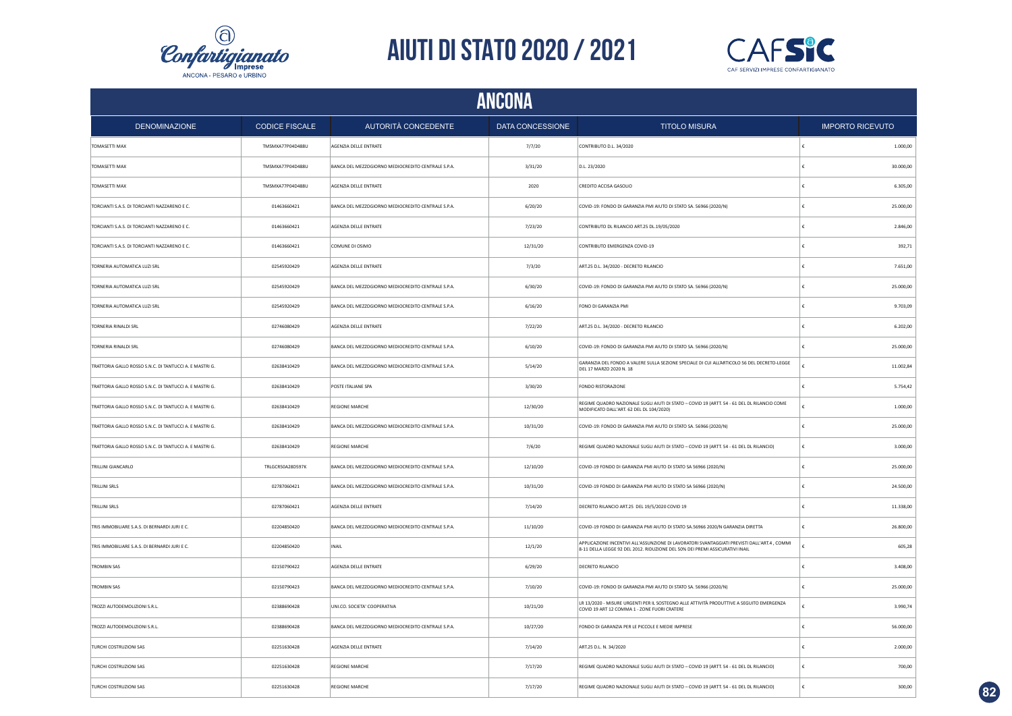



| ANCONA                                                  |                       |                                                    |                  |                                                                                                                                                                              |                         |  |  |
|---------------------------------------------------------|-----------------------|----------------------------------------------------|------------------|------------------------------------------------------------------------------------------------------------------------------------------------------------------------------|-------------------------|--|--|
| <b>DENOMINAZIONE</b>                                    | <b>CODICE FISCALE</b> | AUTORITÀ CONCEDENTE                                | DATA CONCESSIONE | <b>TITOLO MISURA</b>                                                                                                                                                         | <b>IMPORTO RICEVUTO</b> |  |  |
| TOMASETTI MAX                                           | TMSMXA77P04D488U      | AGENZIA DELLE ENTRATE                              | 7/7/20           | CONTRIBUTO D.L. 34/2020                                                                                                                                                      | 1.000,00                |  |  |
| TOMASETTI MAX                                           | TMSMXA77P04D488U      | BANCA DEL MEZZOGIORNO MEDIOCREDITO CENTRALE S.P.A. | 3/31/20          | D.L. 23/2020                                                                                                                                                                 | 30.000,00               |  |  |
| <b>TOMASETTI MAX</b>                                    | TMSMXA77P04D488U      | AGENZIA DELLE ENTRATE                              | 2020             | CREDITO ACCISA GASOLIO                                                                                                                                                       | 6.305,00                |  |  |
| TORCIANTI S.A.S. DI TORCIANTI NAZZARENO E C.            | 01463660421           | BANCA DEL MEZZOGIORNO MEDIOCREDITO CENTRALE S.P.A. | 6/20/20          | COVID-19: FONDO DI GARANZIA PMI AIUTO DI STATO SA. 56966 (2020/N)                                                                                                            | 25.000,00               |  |  |
| TORCIANTI S.A.S. DI TORCIANTI NAZZARENO E C.            | 01463660421           | AGENZIA DELLE ENTRATE                              | 7/23/20          | CONTRIBUTO DL RILANCIO ART.25 DL.19/05/2020                                                                                                                                  | 2.846,00                |  |  |
| TORCIANTI S.A.S. DI TORCIANTI NAZZARENO E C.            | 01463660421           | COMUNE DI OSIMO                                    | 12/31/20         | CONTRIBUTO EMERGENZA COVID-19                                                                                                                                                | 392,71                  |  |  |
| TORNERIA AUTOMATICA LUZI SRL                            | 02545920429           | AGENZIA DELLE ENTRATE                              | 7/3/20           | ART.25 D.L. 34/2020 - DECRETO RILANCIO                                                                                                                                       | 7.651,00                |  |  |
| TORNERIA AUTOMATICA LUZI SRL                            | 02545920429           | BANCA DEL MEZZOGIORNO MEDIOCREDITO CENTRALE S.P.A. | 6/30/20          | COVID-19: FONDO DI GARANZIA PMI AIUTO DI STATO SA, 56966 (2020/N)                                                                                                            | 25.000,00               |  |  |
| TORNERIA AUTOMATICA LUZI SRL                            | 02545920429           | BANCA DEL MEZZOGIORNO MEDIOCREDITO CENTRALE S.P.A. | 6/16/20          | FONO DI GARANZIA PMI                                                                                                                                                         | 9.703,09                |  |  |
| TORNERIA RINALDI SRL                                    | 02746080429           | AGENZIA DELLE ENTRATE                              | 7/22/20          | ART.25 D.L. 34/2020 - DECRETO RILANCIO                                                                                                                                       | 6.202,00                |  |  |
| TORNERIA RINALDI SRL                                    | 02746080429           | BANCA DEL MEZZOGIORNO MEDIOCREDITO CENTRALE S.P.A. | 6/10/20          | COVID-19: FONDO DI GARANZIA PMI AIUTO DI STATO SA. 56966 (2020/N)                                                                                                            | 25.000,00               |  |  |
| TRATTORIA GALLO ROSSO S.N.C. DI TANTUCCI A. E MASTRI G. | 02638410429           | BANCA DEL MEZZOGIORNO MEDIOCREDITO CENTRALE S.P.A. | 5/14/20          | GARANZIA DEL FONDO A VALERE SULLA SEZIONE SPECIALE DI CUI ALL'ARTICOLO 56 DEL DECRETO-LEGGE<br>DEL 17 MARZO 2020 N. 18                                                       | 11.002,84               |  |  |
| TRATTORIA GALLO ROSSO S.N.C. DI TANTUCCI A. E MASTRI G. | 02638410429           | POSTE ITALIANE SPA                                 | 3/30/20          | FONDO RISTORAZIONE                                                                                                                                                           | 5.754,42                |  |  |
| TRATTORIA GALLO ROSSO S.N.C. DI TANTUCCI A. E MASTRI G. | 02638410429           | <b>REGIONE MARCHE</b>                              | 12/30/20         | REGIME QUADRO NAZIONALE SUGLI AIUTI DI STATO - COVID 19 (ARTT. 54 - 61 DEL DL RILANCIO COME<br>MODIFICATO DALL'ART. 62 DEL DL 104/2020)                                      | 1.000,00                |  |  |
| TRATTORIA GALLO ROSSO S.N.C. DI TANTUCCI A. E MASTRI G. | 02638410429           | BANCA DEL MEZZOGIORNO MEDIOCREDITO CENTRALE S.P.A. | 10/31/20         | COVID-19: FONDO DI GARANZIA PMI AIUTO DI STATO SA. 56966 (2020/N)                                                                                                            | 25.000,00               |  |  |
| TRATTORIA GALLO ROSSO S.N.C. DI TANTUCCI A. E MASTRI G. | 02638410429           | <b>REGIONE MARCHE</b>                              | 7/6/20           | REGIME QUADRO NAZIONALE SUGLI AIUTI DI STATO - COVID 19 (ARTT. 54 - 61 DEL DL RILANCIO)                                                                                      | 3.000,00                |  |  |
| TRILLINI GIANCARLO                                      | TRLGCR50A28D597K      | BANCA DEL MEZZOGIORNO MEDIOCREDITO CENTRALE S.P.A. | 12/10/20         | COVID-19 FONDO DI GARANZIA PMI AIUTO DI STATO SA 56966 (2020/N)                                                                                                              | 25.000,00               |  |  |
| <b>TRILLINI SRLS</b>                                    | 02787060421           | BANCA DEL MEZZOGIORNO MEDIOCREDITO CENTRALE S.P.A. | 10/31/20         | COVID-19 FONDO DI GARANZIA PMI AIUTO DI STATO SA 56966 (2020/N)                                                                                                              | 24.500,00               |  |  |
| TRILLINI SRLS                                           | 02787060421           | AGENZIA DELLE ENTRATE                              | 7/14/20          | DECRETO RILANCIO ART.25 DEL 19/5/2020 COVID 19                                                                                                                               | 11.338,00               |  |  |
| TRIS IMMOBILIARE S.A.S. DI BERNARDI JURI E C.           | 02204850420           | BANCA DEL MEZZOGIORNO MEDIOCREDITO CENTRALE S.P.A. | 11/10/20         | COVID-19 FONDO DI GARANZIA PMI AIUTO DI STATO SA.56966 2020/N GARANZIA DIRETTA                                                                                               | 26.800,00               |  |  |
| TRIS IMMOBILIARE S.A.S. DI BERNARDI JURI E C.           | 02204850420           | INAIL                                              | 12/1/20          | APPLICAZIONE INCENTIVI ALL'ASSUNZIONE DI LAVORATORI SVANTAGGIATI PREVISTI DALL'ART.4 . COMMI<br>8-11 DELLA LEGGE 92 DEL 2012, RIDUZIONE DEL 50% DEI PREMI ASSICURATIVI INAIL | 605,28                  |  |  |
| <b>TROMBIN SAS</b>                                      | 02150790422           | AGENZIA DELLE ENTRATE                              | 6/29/20          | DECRETO RILANCIO                                                                                                                                                             | 3.408,00                |  |  |
| <b>TROMBIN SAS</b>                                      | 02150790423           | BANCA DEL MEZZOGIORNO MEDIOCREDITO CENTRALE S.P.A. | 7/10/20          | COVID-19: FONDO DI GARANZIA PMI AIUTO DI STATO SA. 56966 (2020/N)                                                                                                            | 25.000,00               |  |  |
| TROZZI AUTODEMOLIZIONI S.R.L.                           | 02388690428           | UNI.CO. SOCIETA' COOPERATIVA                       | 10/21/20         | LR 13/2020 - MISURE URGENTI PER IL SOSTEGNO ALLE ATTIVITÀ PRODUTTIVE A SEGUITO EMERGENZA<br>COVID 19 ART 12 COMMA 1 - ZONE FUORI CRATERE                                     | 3.990,74                |  |  |
| TROZZI AUTODEMOLIZIONI S.R.L.                           | 02388690428           | BANCA DEL MEZZOGIORNO MEDIOCREDITO CENTRALE S.P.A. | 10/27/20         | FONDO DI GARANZIA PER LE PICCOLE E MEDIE IMPRESE                                                                                                                             | 56.000,00               |  |  |
| TURCHI COSTRUZIONI SAS                                  | 02251630428           | AGENZIA DELLE ENTRATE                              | 7/14/20          | ART.25 D.L. N. 34/2020                                                                                                                                                       | 2.000,00                |  |  |
| TURCHI COSTRUZIONI SAS                                  | 02251630428           | <b>REGIONE MARCHE</b>                              | 7/17/20          | REGIME QUADRO NAZIONALE SUGLI AIUTI DI STATO - COVID 19 (ARTT. 54 - 61 DEL DL RILANCIO)                                                                                      | 700,00                  |  |  |
| TURCHI COSTRUZIONI SAS                                  | 02251630428           | <b>REGIONE MARCHE</b>                              | 7/17/20          | REGIME QUADRO NAZIONALE SUGLI AIUTI DI STATO - COVID 19 (ARTT. 54 - 61 DEL DL RILANCIO)                                                                                      | 300,00                  |  |  |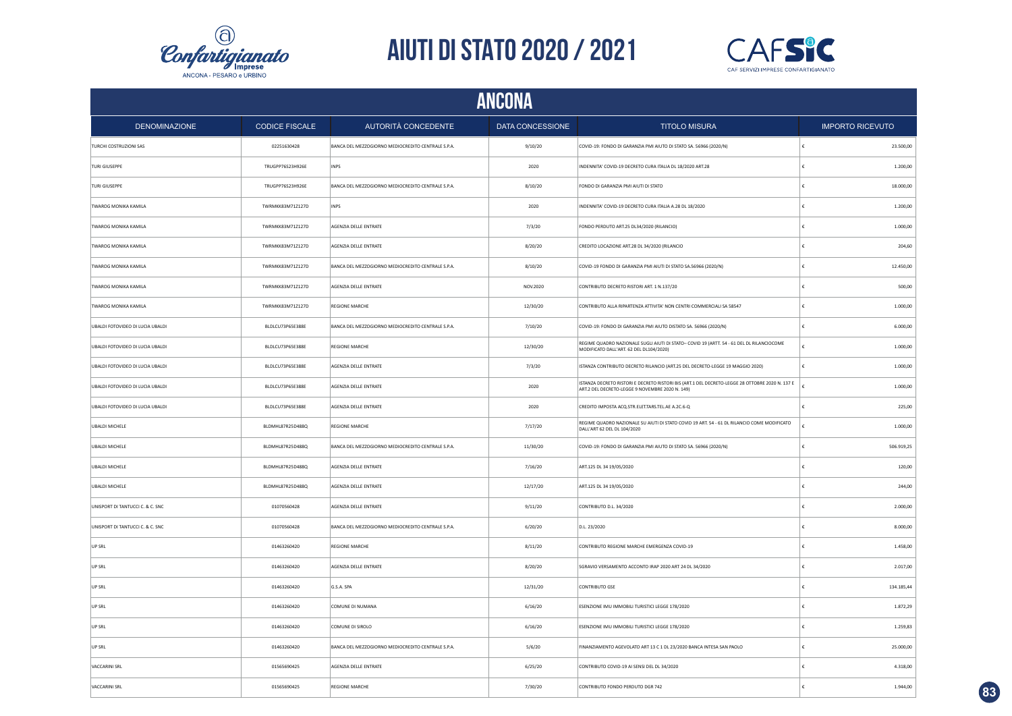



| ANCONA                           |                       |                                                    |                  |                                                                                                                                                    |                         |  |  |
|----------------------------------|-----------------------|----------------------------------------------------|------------------|----------------------------------------------------------------------------------------------------------------------------------------------------|-------------------------|--|--|
| <b>DENOMINAZIONE</b>             | <b>CODICE FISCALE</b> | AUTORITÀ CONCEDENTE                                | DATA CONCESSIONE | <b>TITOLO MISURA</b>                                                                                                                               | <b>IMPORTO RICEVUTO</b> |  |  |
| TURCHI COSTRUZIONI SAS           | 02251630428           | BANCA DEL MEZZOGIORNO MEDIOCREDITO CENTRALE S.P.A. | 9/10/20          | COVID-19: FONDO DI GARANZIA PMI AIUTO DI STATO SA. 56966 (2020/N)                                                                                  | 23.500,00<br>€          |  |  |
| <b>TURI GIUSEPPE</b>             | TRUGPP76S23H926E      | <b>INPS</b>                                        | 2020             | INDENNITA' COVID-19 DECRETO CURA ITALIA DL 18/2020 ART.28                                                                                          | €<br>1.200,00           |  |  |
| <b>TURI GIUSEPPE</b>             | TRUGPP76S23H926E      | BANCA DEL MEZZOGIORNO MEDIOCREDITO CENTRALE S.P.A. | 8/10/20          | FONDO DI GARANZIA PMI AIUTI DI STATO                                                                                                               | 18.000,00<br>€          |  |  |
| TWAROG MONIKA KAMILA             | TWRMKK83M71Z127D      | <b>INPS</b>                                        | 2020             | INDENNITA' COVID-19 DECRETO CURA ITALIA A.28 DL 18/2020                                                                                            | €<br>1.200,00           |  |  |
| TWAROG MONIKA KAMILA             | TWRMKK83M71Z127D      | AGENZIA DELLE ENTRATE                              | 7/3/20           | FONDO PERDUTO ART.25 DL34/2020 (RILANCIO)                                                                                                          | 1.000,00<br>£           |  |  |
| TWAROG MONIKA KAMILA             | TWRMKK83M71Z127D      | AGENZIA DELLE ENTRATE                              | 8/20/20          | CREDITO LOCAZIONE ART.28 DL 34/2020 (RILANCIO                                                                                                      | €<br>204,60             |  |  |
| TWAROG MONIKA KAMILA             | TWRMKK83M71Z127D      | BANCA DEL MEZZOGIORNO MEDIOCREDITO CENTRALE S.P.A. | 8/10/20          | COVID-19 FONDO DI GARANZIA PMI AIUTI DI STATO SA.56966 (2020/N)                                                                                    | 12.450,00<br>€          |  |  |
| TWAROG MONIKA KAMILA             | TWRMKK83M71Z127D      | AGENZIA DELLE ENTRATE                              | NOV.2020         | CONTRIBUTO DECRETO RISTORI ART. 1 N.137/20                                                                                                         | €<br>500,00             |  |  |
| TWAROG MONIKA KAMILA             | TWRMKK83M71Z127D      | <b>REGIONE MARCHE</b>                              | 12/30/20         | CONTRIBUTO ALLA RIPARTENZA ATTIVITA' NON CENTRI COMMERCIALI SA 58547                                                                               | 1.000,00<br>€           |  |  |
| UBALDI FOTOVIDEO DI LUCIA UBALDI | BLDLCU73P65E388E      | BANCA DEL MEZZOGIORNO MEDIOCREDITO CENTRALE S.P.A. | 7/10/20          | COVID-19: FONDO DI GARANZIA PMI AIUTO DISTATO SA. 56966 (2020/N)                                                                                   | 6.000,00                |  |  |
| UBALDI FOTOVIDEO DI LUCIA UBALDI | BLDLCU73P65E388E      | <b>REGIONE MARCHE</b>                              | 12/30/20         | REGIME QUADRO NAZIONALE SUGLI AIUTI DI STATO- COVID 19 (ARTT. 54 - 61 DEL DL RILANCIOCOME<br>MODIFICATO DALL'ART. 62 DEL DL104/2020)               | 1.000,00                |  |  |
| UBALDI FOTOVIDEO DI LUCIA UBALDI | BLDLCU73P65E388E      | AGENZIA DELLE ENTRATE                              | 7/3/20           | ISTANZA CONTRIBUTO DECRETO RILANCIO (ART.25 DEL DECRETO-LEGGE 19 MAGGIO 2020)                                                                      | £<br>1.000,00           |  |  |
| UBALDI FOTOVIDEO DI LUCIA UBALDI | BLDLCU73P65E388E      | AGENZIA DELLE ENTRATE                              | 2020             | ISTANZA DECRETO RISTORI E DECRETO RISTORI BIS (ART.1 DEL DECRETO-LEGGE 28 OTTOBRE 2020 N. 137 E<br>ART.2 DEL DECRETO-LEGGE 9 NOVEMBRE 2020 N. 149) | 1.000,00                |  |  |
| UBALDI FOTOVIDEO DI LUCIA UBALDI | BLDLCU73P65E388E      | AGENZIA DELLE ENTRATE                              | 2020             | CREDITO IMPOSTA ACQ.STR.ELET.TARS.TEL.AE A.2C.6-Q                                                                                                  | £<br>225,00             |  |  |
| <b>UBALDI MICHELE</b>            | BLDMHL87R25D488Q      | <b>REGIONE MARCHE</b>                              | 7/17/20          | REGIME QUADRO NAZIONALE SU AIUTI DI STATO COVID 19 ART. 54 - 61 DL RILANCIO COME MODIFICATO<br>DALL'ART 62 DEL DL 104/2020                         | 1.000,00                |  |  |
| <b>UBALDI MICHELE</b>            | BLDMHL87R25D488Q      | BANCA DEL MEZZOGIORNO MEDIOCREDITO CENTRALE S.P.A. | 11/30/20         | COVID-19: FONDO DI GARANZIA PMI AIUTO DI STATO SA. 56966 (2020/N)                                                                                  | 506.919,25<br>€         |  |  |
| <b>UBALDI MICHELE</b>            | BLDMHL87R25D488Q      | AGENZIA DELLE ENTRATE                              | 7/16/20          | ART.125 DL 34 19/05/2020                                                                                                                           | 120,00                  |  |  |
| <b>UBALDI MICHELE</b>            | BLDMHL87R25D488Q      | AGENZIA DELLE ENTRATE                              | 12/17/20         | ART.125 DL 34 19/05/2020                                                                                                                           | 244,00<br>€             |  |  |
| UNISPORT DI TANTUCCI C. & C. SNC | 01070560428           | AGENZIA DELLE ENTRATE                              | 9/11/20          | CONTRIBUTO D.L. 34/2020                                                                                                                            | €<br>2.000,00           |  |  |
| UNISPORT DI TANTUCCI C. & C. SNC | 01070560428           | BANCA DEL MEZZOGIORNO MEDIOCREDITO CENTRALE S.P.A. | 6/20/20          | D.L. 23/2020                                                                                                                                       | 8.000,00<br>€           |  |  |
| UP SRL                           | 01463260420           | <b>REGIONE MARCHE</b>                              | 8/11/20          | CONTRIBUTO REGIONE MARCHE EMERGENZA COVID-19                                                                                                       | £<br>1.458,00           |  |  |
| LIP SRI                          | 01463260420           | AGENZIA DELLE ENTRATE                              | 8/20/20          | SGRAVIO VERSAMENTO ACCONTO IRAP 2020 ART 24 DL 34/2020                                                                                             | 2.017,00<br>£           |  |  |
| LIP SRI                          | 01463260420           | G.S.A. SPA                                         | 12/31/20         | <b>CONTRIBUTO GSE</b>                                                                                                                              | 134.185,44<br>€         |  |  |
| UP SRL                           | 01463260420           | COMUNE DI NUMANA                                   | 6/16/20          | ESENZIONE IMU IMMOBILI TURISTICI LEGGE 178/2020                                                                                                    | 1.872,29                |  |  |
| UP SRL                           | 01463260420           | COMUNE DI SIROLO                                   | 6/16/20          | ESENZIONE IMU IMMOBILI TURISTICI LEGGE 178/2020                                                                                                    | 1.259,83                |  |  |
| UP SRL                           | 01463260420           | BANCA DEL MEZZOGIORNO MEDIOCREDITO CENTRALE S.P.A. | 5/6/20           | FINANZIAMENTO AGEVOLATO ART 13 C 1 DL 23/2020 BANCA INTESA SAN PAOLO                                                                               | 25.000,00               |  |  |
| <b>VACCARINI SRL</b>             | 01565690425           | AGENZIA DELLE ENTRATE                              | 6/25/20          | CONTRIBUTO COVID-19 AI SENSI DEL DL 34/2020                                                                                                        | 4.318,00                |  |  |
| VACCARINI SRL                    | 01565690425           | <b>REGIONE MARCHE</b>                              | 7/30/20          | CONTRIBUTO FONDO PERDUTO DGR 742                                                                                                                   | f.<br>1.944,00          |  |  |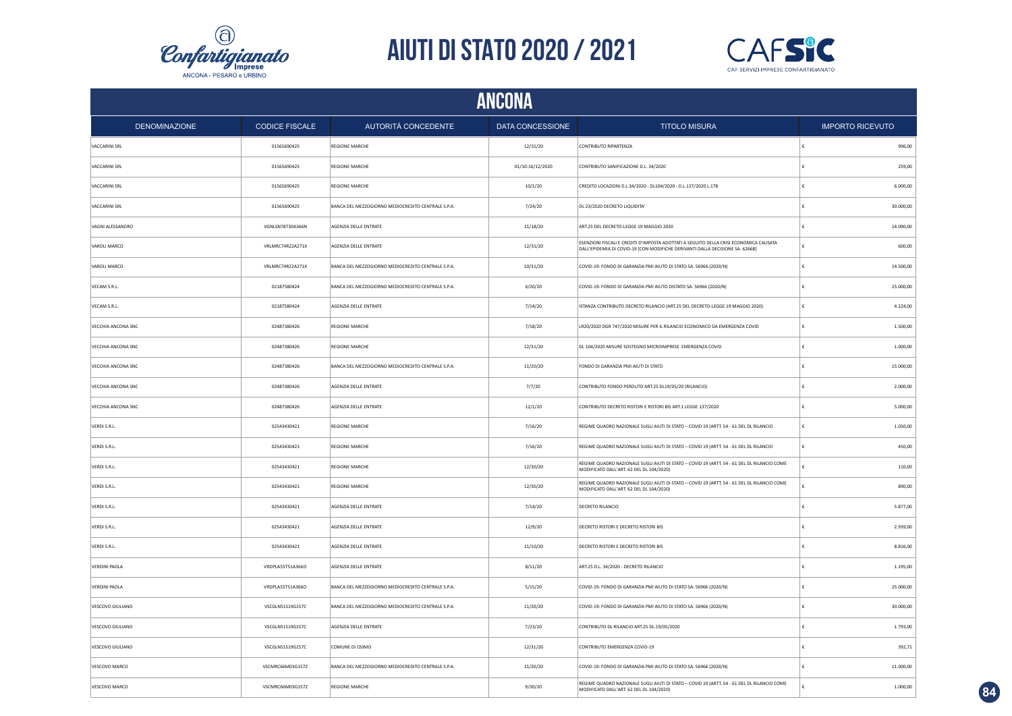



|                           | ANCONA                |                                                    |                  |                                                                                                                                                                         |   |                         |  |  |
|---------------------------|-----------------------|----------------------------------------------------|------------------|-------------------------------------------------------------------------------------------------------------------------------------------------------------------------|---|-------------------------|--|--|
| <b>DENOMINAZIONE</b>      | <b>CODICE FISCALE</b> | AUTORITÀ CONCEDENTE                                | DATA CONCESSIONE | <b>TITOLO MISURA</b>                                                                                                                                                    |   | <b>IMPORTO RICEVUTO</b> |  |  |
| VACCARINI SRL             | 01565690425           | <b>REGIONE MARCHE</b>                              | 12/31/20         | CONTRIBUTO RIPARTENZA                                                                                                                                                   |   | 996,00                  |  |  |
| VACCARINI SRL             | 01565690425           | <b>REGIONE MARCHE</b>                              | 01/10-16/12/2020 | CONTRIBUTO SANIFICAZIONE D.L. 34/2020                                                                                                                                   | £ | 259,00                  |  |  |
| VACCARINI SRL             | 01565690425           | REGIONE MARCHE                                     | 10/1/20          | CREDITO LOCAZIONI D.L.34/2020 - DL104/2020 - D.L.137/2020 L.178                                                                                                         |   | 6.000,00                |  |  |
| <b>VACCARINI SRL</b>      | 01565690425           | BANCA DEL MEZZOGIORNO MEDIOCREDITO CENTRALE S.P.A. | 7/24/20          | DL 23/2020 DECRETO LIQUIDITA'                                                                                                                                           |   | 30,000.00               |  |  |
| VAGNI ALESSANDRO          | VGNLSN78T30A366N      | AGENZIA DELLE ENTRATE                              | 11/18/20         | ART.25 DEL DECRETO-LEGGE 19 MAGGIO 2020                                                                                                                                 |   | 14.090,00               |  |  |
| VAROLI MARCO              | VRLMRC74R22A271X      | AGENZIA DELLE ENTRATE                              | 12/31/20         | ESENZIONI FISCALI E CREDITI D'IMPOSTA ADOTTATI A SEGUITO DELLA CRISI ECONOMICA CAUSATA<br>DALL'EPIDEMIA DI COVID-19 [CON MODIFICHE DERIVANTI DALLA DECISIONE SA. 62668] |   | 600.00                  |  |  |
| VAROLI MARCO              | VRLMRC74R22A271X      | BANCA DEL MEZZOGIORNO MEDIOCREDITO CENTRALE S.P.A. | 10/31/20         | COVID-19: FONDO DI GARANZIA PMI AIUTO DI STATO SA. 56966 (2020/N)                                                                                                       |   | 14.500,00               |  |  |
| VECAM S.R.L.              | 02187580424           | BANCA DEL MEZZOGIORNO MEDIOCREDITO CENTRALE S.P.A. | 6/20/20          | COVID-19: FONDO DI GARANZIA PMI AIUTO DISTATO SA. 56966 (2020/N)                                                                                                        |   | 25.000,00               |  |  |
| VECAM S.R.L.              | 02187580424           | AGENZIA DELLE ENTRATE                              | 7/14/20          | ISTANZA CONTRIBUTO DECRETO RILANCIO (ART.25 DEL DECRETO-LEGGE 19 MAGGIO 2020)                                                                                           |   | 4.224,00                |  |  |
| VECCHIA ANCONA SNC        | 02487380426           | REGIONE MARCHE                                     | 7/18/20          | LR20/2020 DGR 747/2020 MISURE PER IL RILANCIO ECONOMICO DA EMERGENZA COVID                                                                                              | £ | 1.500,00                |  |  |
| VECCHIA ANCONA SNC        | 02487380426           | <b>REGIONE MARCHE</b>                              | 12/31/20         | DL 104/2020 MISURE SOSTEGNO MICROIMPRESE EMERGENZA COVID                                                                                                                |   | 1.000,00                |  |  |
| <b>VECCHIA ANCONA SNC</b> | 02487380426           | BANCA DEL MEZZOGIORNO MEDIOCREDITO CENTRALE S.P.A. | 11/20/20         | FONDO DI GARANZIA PMI AIUTI DI STATO                                                                                                                                    |   | 15.000,00               |  |  |
| VECCHIA ANCONA SNC        | 02487380426           | AGENZIA DELLE ENTRATE                              | 7/7/20           | CONTRIBUTO FONDO PERDUTO ART.25 DL19/05/20 (RILANCIO)                                                                                                                   |   | 2.000,00                |  |  |
| VECCHIA ANCONA SNC        | 02487380426           | AGENZIA DELLE ENTRATE                              | 12/1/20          | CONTRIBUTO DECRETO RISTORI E RISTORI BIS ART.1 LEGGE 137/2020                                                                                                           |   | 5.000,00                |  |  |
| VERDI S.R.L.              | 02543430421           | <b>REGIONE MARCHE</b>                              | 7/16/20          | REGIME QUADRO NAZIONALE SUGLI AIUTI DI STATO - COVID 19 (ARTT. 54 - 61 DEL DL RILANCIO                                                                                  |   | 1.050,00                |  |  |
| VERDI S.R.L.              | 02543430421           | <b>REGIONE MARCHE</b>                              | 7/16/20          | REGIME QUADRO NAZIONALE SUGLI AIUTI DI STATO - COVID 19 (ARTT. 54 - 61 DEL DL RILANCIO                                                                                  | € | 450,00                  |  |  |
| VERDI S.R.L.              | 02543430421           | <b>REGIONE MARCHE</b>                              | 12/30/20         | REGIME QUADRO NAZIONALE SUGLI AIUTI DI STATO - COVID 19 (ARTT. 54 - 61 DEL DL RILANCIO COME<br>MODIFICATO DALL'ART. 62 DEL DL 104/2020)                                 |   | 110,00                  |  |  |
| VERDI S.R.L.              | 02543430421           | <b>REGIONE MARCHE</b>                              | 12/30/20         | REGIME QUADRO NAZIONALE SUGLI AIUTI DI STATO - COVID 19 (ARTT. 54 - 61 DEL DL RILANCIO COME<br>MODIFICATO DALL'ART. 62 DEL DL 104/2020)                                 |   | 890,00                  |  |  |
| VERDI S.R.L.              | 02543430421           | AGENZIA DELLE ENTRATE                              | 7/14/20          | <b>DECRETO RILANCIO</b>                                                                                                                                                 |   | 5.877,00                |  |  |
| VERDI S.R.L.              | 02543430421           | <b>AGENZIA DELLE ENTRATE</b>                       | 12/9/20          | DECRETO RISTORI E DECRETO RISTORI BIS                                                                                                                                   |   | 2.939,00                |  |  |
| VERDI S.R.L.              | 02543430421           | AGENZIA DELLE ENTRATE                              | 11/10/20         | DECRETO RISTORI E DECRETO RISTORI BIS                                                                                                                                   |   | 8.816,00                |  |  |
| <b>VERDINI PAOLA</b>      | VRDPLA55T51A366O      | AGENZIA DELLE ENTRATE                              | 8/11/20          | ART.25 D.L. 34/2020 - DECRETO RILANCIO                                                                                                                                  |   | 1.195,00                |  |  |
| <b>VERDINI PAOLA</b>      | VRDPLA55T51A366O      | BANCA DEL MEZZOGIORNO MEDIOCREDITO CENTRALE S.P.A. | 5/15/20          | COVID-19: FONDO DI GARANZIA PMI AIUTO DI STATO SA. 56966 (2020/N)                                                                                                       |   | 25.000,00               |  |  |
| VESCOVO GIULIANO          | VSCGLN51S19G157C      | BANCA DEL MEZZOGIORNO MEDIOCREDITO CENTRALE S.P.A. | 11/20/20         | COVID-19: FONDO DI GARANZIA PMI AIUTO DI STATO SA. 56966 (2020/N)                                                                                                       |   | 30.000,00               |  |  |
| VESCOVO GIULIANO          | VSCGLN51519G157C      | AGENZIA DELLE ENTRATE                              | 7/23/20          | CONTRIBUTO DL RILANCIO ART.25 DL.19/05/2020                                                                                                                             |   | 1.793,00                |  |  |
| VESCOVO GIULIANO          | VSCGLN51S19G157C      | COMUNE DI OSIMO                                    | 12/31/20         | CONTRIBUTO EMERGENZA COVID-19                                                                                                                                           |   | 392,71                  |  |  |
| VESCOVO MARCO             | VSCMRC66M03G157Z      | BANCA DEL MEZZOGIORNO MEDIOCREDITO CENTRALE S.P.A. | 11/20/20         | COVID-19: FONDO DI GARANZIA PMI AIUTO DI STATO SA. 56966 (2020/N)                                                                                                       |   | 11.000,00               |  |  |
| VESCOVO MARCO             | VSCMRC66M03G157Z      | <b>REGIONE MARCHE</b>                              | 9/30/20          | REGIME QUADRO NAZIONALE SUGLI AIUTI DI STATO - COVID 19 (ARTT. 54 - 61 DEL DL RILANCIO COME<br>MODIFICATO DALL'ART, 62 DEL DL 104/2020)                                 |   | 1.000,00                |  |  |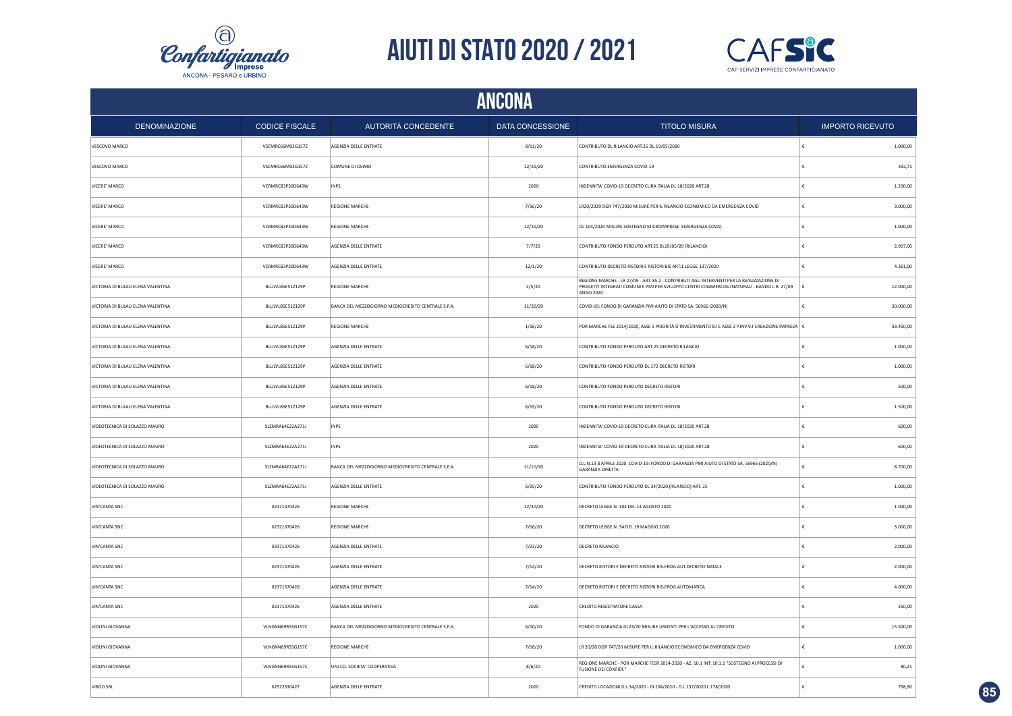



|                                   | ANCONA                |                                                    |                  |                                                                                                                                                                                                               |            |                         |  |  |  |
|-----------------------------------|-----------------------|----------------------------------------------------|------------------|---------------------------------------------------------------------------------------------------------------------------------------------------------------------------------------------------------------|------------|-------------------------|--|--|--|
| <b>DENOMINAZIONE</b>              | <b>CODICE FISCALE</b> | AUTORITÀ CONCEDENTE                                | DATA CONCESSIONE | <b>TITOLO MISURA</b>                                                                                                                                                                                          |            | <b>IMPORTO RICEVUTO</b> |  |  |  |
| VESCOVO MARCO                     | VSCMRC66M03G157Z      | AGENZIA DELLE ENTRATE                              | 8/11/20          | CONTRIBUTO DL RILANCIO ART.25 DL.19/05/2020                                                                                                                                                                   | ١£         | 1.000,00                |  |  |  |
| VESCOVO MARCO                     | VSCMRC66M03G157Z      | COMUNE DI OSIMO                                    | 12/31/20         | CONTRIBUTO EMERGENZA COVID-19                                                                                                                                                                                 | €          | 392,71                  |  |  |  |
| VICERE' MARCO                     | VCRMRC83P30D643W      | <b>INPS</b>                                        | 2020             | INDENNITA' COVID-19 DECRETO CURA ITALIA DL 18/2020 ART.28                                                                                                                                                     | €          | 1.200,00                |  |  |  |
| VICERE' MARCO                     | VCRMRC83P30D643W      | <b>REGIONE MARCHE</b>                              | 7/16/20          | LR20/2020 DGR 747/2020 MISURE PER IL RILANCIO ECONOMICO DA EMERGENZA COVID                                                                                                                                    | €          | 3.000,00                |  |  |  |
| VICERE' MARCO                     | VCRMRC83P30D643W      | <b>REGIONE MARCHE</b>                              | 12/31/20         | DL 104/2020 MISURE SOSTEGNO MICROIMPRESE EMERGENZA COVID                                                                                                                                                      | €          | 1.000.00                |  |  |  |
| VICERE' MARCO                     | VCRMRC83P30D643W      | AGENZIA DELLE ENTRATE                              | 7/7/20           | CONTRIBUTO FONDO PERDUTO ART.25 DL19/05/20 (RILANCIO)                                                                                                                                                         | €          | 2.907,00                |  |  |  |
| VICERE' MARCO                     | VCRMRC83P30D643W      | <b>AGENZIA DELLE ENTRATE</b>                       | 12/1/20          | CONTRIBUTO DECRETO RISTORI E RISTORI BIS ART.1 LEGGE 137/2020                                                                                                                                                 | €          | 4.361,00                |  |  |  |
| VICTORJA DI BULAU ELENA VALENTINA | BLULVL85E51Z129P      | <b>REGIONE MARCHE</b>                              | 2/5/20           | REGIONE MARCHE - LR 27/09 - ART. 85.2 - CONTRIBUTI AGLI INTERVENTI PER LA REALIZZAZIONE DI<br>PROGETTI INTEGRATI COMUNI E PMI PER SVILUPPO CENTRI COMMERCIALI NATURALI - BANDO L.R. 27/09<br><b>ANNO 2020</b> | €          | 12.000,00               |  |  |  |
| VICTORJA DI BULAU ELENA VALENTINA | BLULVL85E51Z129P      | BANCA DEL MEZZOGIORNO MEDIOCREDITO CENTRALE S.P.A. | 11/20/20         | COVID-19: FONDO DI GARANZIA PMI AIUTO DI STATO SA. 56966 (2020/N)                                                                                                                                             |            | 30.000,00               |  |  |  |
| VICTORJA DI BULAU ELENA VALENTINA | BLULVL85E51Z129P      | <b>REGIONE MARCHE</b>                              | 1/16/20          | POR MARCHE FSE 2014/2020, ASSE 1 PRIORITÀ D'INVESTIMENTO 8.1 E ASSE 2 P.INV 9.I-CREAZIONE IMPRESA E                                                                                                           |            | 33.450,00               |  |  |  |
| VICTORJA DI BULAU ELENA VALENTINA | BLULVL85E51Z129P      | AGENZIA DELLE ENTRATE                              | 6/18/20          | CONTRIBUTO FONDO PERDUTO ART 25 DECRETO RILANCIO                                                                                                                                                              |            | 1.000,00                |  |  |  |
| VICTORJA DI BULAU ELENA VALENTINA | BLULVL85E51Z129P      | AGENZIA DELLE ENTRATE                              | 6/18/20          | CONTRIBUTO FONDO PERDUTO DL 172 DECRETO RISTORI                                                                                                                                                               | £          | 1.000,00                |  |  |  |
| VICTORJA DI BULAU ELENA VALENTINA | BLULVL85E51Z129P      | AGENZIA DELLE ENTRATE                              | 6/18/20          | CONTRIBUTO FONDO PERDUTO DECRETO RISTORI                                                                                                                                                                      | ¢          | 500,00                  |  |  |  |
| VICTORJA DI BULAU ELENA VALENTINA | BLULVL85E51Z129P      | AGENZIA DELLE ENTRATE                              | 6/19/20          | CONTRIBUTO FONDO PERDUTO DECRETO RISTORI                                                                                                                                                                      | $\epsilon$ | 1.500,00                |  |  |  |
| VIDEOTECNICA DI SOLAZZO MAURO     | SLZMRA64E22A271J      | <b>INPS</b>                                        | 2020             | INDENNITA' COVID-19 DECRETO CURA ITALIA DL 18/2020 ART.28                                                                                                                                                     | $\epsilon$ | 600,00                  |  |  |  |
| VIDEOTECNICA DI SOLAZZO MAURO     | SLZMRA64E22A271J      | INPS                                               | 2020             | INDENNITA' COVID-19 DECRETO CURA ITALIA DL 18/2020 ART.28                                                                                                                                                     | $\epsilon$ | 600,00                  |  |  |  |
| VIDEOTECNICA DI SOLAZZO MAURO     | SLZMRA64E22A271J      | BANCA DEL MEZZOGIORNO MEDIOCREDITO CENTRALE S.P.A. | 11/10/20         | D.L.N.23 8 APRILE 2020. COVID-19: FONDO DI GARANZIA PMI AIUTO DI STATO SA. 56966 (2020/N) -<br>GARANZIA DIRETTA                                                                                               | €          | 8.700,00                |  |  |  |
| VIDEOTECNICA DI SOLAZZO MAURO     | SLZMRA64E22A271J      | AGENZIA DELLE ENTRATE                              | 6/25/20          | CONTRIBUTO FONDO PERDUTO DL 34/2020 (RILANCIO) ART. 25                                                                                                                                                        | €          | 1.000,00                |  |  |  |
| VIN'CANTA SNC                     | 02371370426           | <b>REGIONE MARCHE</b>                              | 12/30/20         | DECRETO LEGGE N. 104 DEL 14 AGOSTO 2020                                                                                                                                                                       | €          | 1.000,00                |  |  |  |
| VIN'CANTA SNC                     | 02371370426           | <b>REGIONE MARCHE</b>                              | 7/16/20          | DECRETO LEGGE N. 34 DEL 19 MAGGIO 2020                                                                                                                                                                        | €          | 3.000,00                |  |  |  |
| VIN'CANTA SNC                     | 02371370426           | AGENZIA DELLE ENTRATE                              | 7/23/20          | <b>DECRETO RILANCIO</b>                                                                                                                                                                                       | £          | 2.000,00                |  |  |  |
| VIN'CANTA SNC                     | 02371370426           | <b>AGENZIA DELLE ENTRATE</b>                       | 7/14/20          | DECRETO RISTORI E DECRETO RISTORI BIS-EROG.AUT.DECRETO NATALE                                                                                                                                                 | £          | 2.000,00                |  |  |  |
| VIN'CANTA SNC                     | 02371370426           | <b>AGENZIA DELLE ENTRATE</b>                       | 7/14/20          | DECRETO RISTORI E DECRETO RISTORI BIS-EROG.AUTOMATICA                                                                                                                                                         | €          | 4.000,00                |  |  |  |
| VIN'CANTA SNC                     | 02371370426           | AGENZIA DELLE ENTRATE                              | 2020             | CREDITO REGISTRATORE CASSA                                                                                                                                                                                    |            | 250,00                  |  |  |  |
| VIOLINI GIOVANNA                  | VLNGNN69R55G157C      | BANCA DEL MEZZOGIORNO MEDIOCREDITO CENTRALE S.P.A. | 6/10/20          | FONDO DI GARANZIA DL23/20 MISURE URGENTI PER L'ACCESSO AL CREDITO                                                                                                                                             |            | 15.500,00               |  |  |  |
| VIOLINI GIOVANNA                  | VLNGNN69R55G157C      | <b>REGIONE MARCHE</b>                              | 7/18/20          | LR 20/20 DGR 747/20 MISURE PER IL RILANCIO ECONOMICO DA EMERGENZA COVID                                                                                                                                       |            | 1.000,00                |  |  |  |
| VIOLINI GIOVANNA                  | VLNGNN69R55G157C      | UNI.CO. SOCIETA' COOPERATIVA                       | 8/6/20           | REGIONE MARCHE - POR MARCHE FESR 2014-2020 - AZ. 10.1 INT. 10.1.1 "SOSTEGNO AI PROCESSI DI<br><b>FUSIONE DEI CONFIDI.</b>                                                                                     | €          | 80,21                   |  |  |  |
| <b>VIRGO SRL</b>                  | 02572330427           | AGENZIA DELLE ENTRATE                              | 2020             | CREDITO LOCAZIONI D.L.34/2020 - DL104/2020 - D.L.137/2020 L.178/2020                                                                                                                                          | £          | 798,90                  |  |  |  |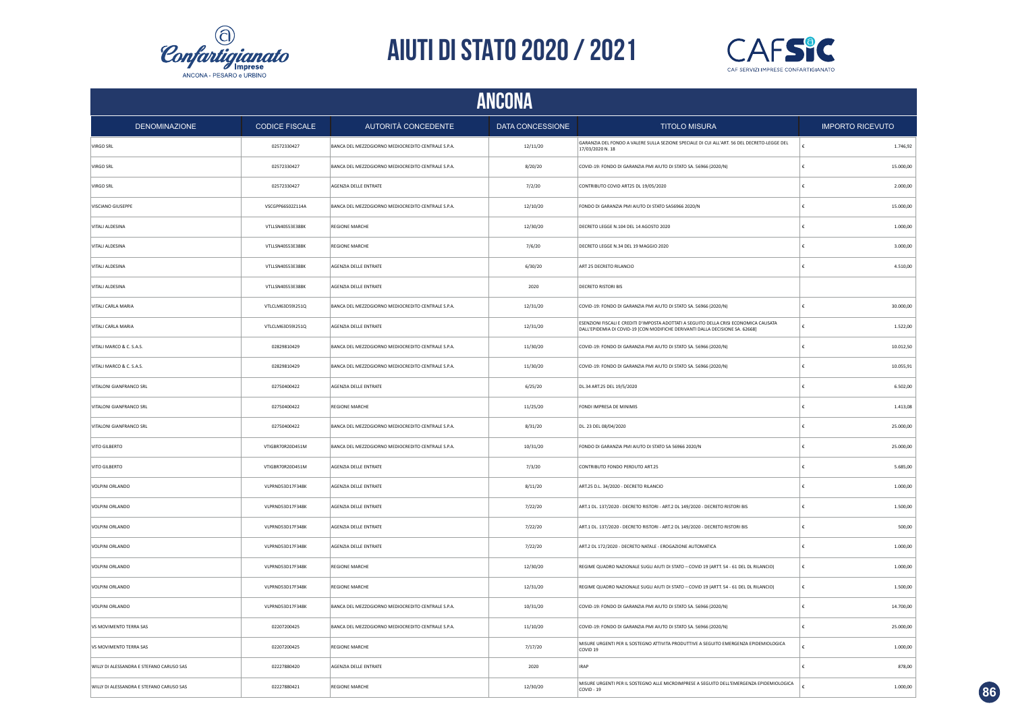



| ANCONA                                   |                       |                                                    |                  |                                                                                                                                                                         |                         |  |
|------------------------------------------|-----------------------|----------------------------------------------------|------------------|-------------------------------------------------------------------------------------------------------------------------------------------------------------------------|-------------------------|--|
| <b>DENOMINAZIONE</b>                     | <b>CODICE FISCALE</b> | AUTORITÀ CONCEDENTE                                | DATA CONCESSIONE | <b>TITOLO MISURA</b>                                                                                                                                                    | <b>IMPORTO RICEVUTO</b> |  |
| <b>VIRGO SRL</b>                         | 02572330427           | BANCA DEL MEZZOGIORNO MEDIOCREDITO CENTRALE S.P.A. | 12/11/20         | GARANZIA DEL FONDO A VALERE SULLA SEZIONE SPECIALE DI CUI ALL'ART. 56 DEL DECRETO-LEGGE DEL<br>17/03/2020 N. 18                                                         | 1.746,92                |  |
| <b>VIRGO SRL</b>                         | 02572330427           | BANCA DEL MEZZOGIORNO MEDIOCREDITO CENTRALE S.P.A. | 8/20/20          | COVID-19: FONDO DI GARANZIA PMI AIUTO DI STATO SA. 56966 (2020/N)                                                                                                       | 15.000,00<br>£          |  |
| <b>VIRGO SRL</b>                         | 02572330427           | AGENZIA DELLE ENTRATE                              | 7/2/20           | CONTRIBUTO COVID ART25 DL 19/05/2020                                                                                                                                    | 2.000,00                |  |
| VISCIANO GIUSEPPE                        | VSCGPP66S02Z114A      | BANCA DEL MEZZOGIORNO MEDIOCREDITO CENTRALE S.P.A. | 12/10/20         | FONDO DI GARANZIA PMI AIUTO DI STATO SA56966 2020/N                                                                                                                     | 15.000,00               |  |
| <b>VITALI ALDESINA</b>                   | VTLLSN40S53E388K      | <b>REGIONE MARCHE</b>                              | 12/30/20         | DECRETO LEGGE N.104 DEL 14 AGOSTO 2020                                                                                                                                  | 1,000.00                |  |
| <b>VITALI ALDESINA</b>                   | VTLLSN40S53E388K      | <b>REGIONE MARCHE</b>                              | 7/6/20           | DECRETO LEGGE N.34 DEL 19 MAGGIO 2020                                                                                                                                   | 3.000,00                |  |
| VITALI ALDESINA                          | VTLLSN40S53E388K      | AGENZIA DELLE ENTRATE                              | 6/30/20          | ART 25 DECRETO RILANCIO                                                                                                                                                 | 4.510,00                |  |
| VITALI ALDESINA                          | VTLLSN40S53E388K      | AGENZIA DELLE ENTRATE                              | 2020             | <b>DECRETO RISTORI BIS</b>                                                                                                                                              |                         |  |
| VITALI CARLA MARIA                       | VTLCLM63D59I251Q      | BANCA DEL MEZZOGIORNO MEDIOCREDITO CENTRALE S.P.A. | 12/31/20         | COVID-19: FONDO DI GARANZIA PMI AIUTO DI STATO SA. 56966 (2020/N)                                                                                                       | 30.000,00               |  |
| VITALI CARLA MARIA                       | VTLCLM63D59I251Q      | AGENZIA DELLE ENTRATE                              | 12/31/20         | ESENZIONI FISCALI E CREDITI D'IMPOSTA ADOTTATI A SEGUITO DELLA CRISI ECONOMICA CAUSATA<br>DALL'EPIDEMIA DI COVID-19 [CON MODIFICHE DERIVANTI DALLA DECISIONE SA, 62668] | 1.522,00                |  |
| VITALI MARCO & C. S.A.S.                 | 02829810429           | BANCA DEL MEZZOGIORNO MEDIOCREDITO CENTRALE S.P.A. | 11/30/20         | COVID-19: FONDO DI GARANZIA PMI AIUTO DI STATO SA. 56966 (2020/N)                                                                                                       | 10.012,50               |  |
| VITALI MARCO & C. S.A.S.                 | 02829810429           | BANCA DEL MEZZOGIORNO MEDIOCREDITO CENTRALE S.P.A. | 11/30/20         | COVID-19: FONDO DI GARANZIA PMI AIUTO DI STATO SA. 56966 (2020/N)                                                                                                       | 10.055,91               |  |
| VITALONI GIANFRANCO SRL                  | 02750400422           | AGENZIA DELLE ENTRATE                              | 6/25/20          | DL.34 ART.25 DEL 19/5/2020                                                                                                                                              | 6.502,00                |  |
| VITALONI GIANFRANCO SRL                  | 02750400422           | <b>REGIONE MARCHE</b>                              | 11/25/20         | FONDI IMPRESA DE MINIMIS                                                                                                                                                | 1.413,08                |  |
| VITALONI GIANFRANCO SRL                  | 02750400422           | BANCA DEL MEZZOGIORNO MEDIOCREDITO CENTRALE S.P.A. | 8/31/20          | DL. 23 DEL 08/04/2020                                                                                                                                                   | 25.000,00               |  |
| VITO GILBERTO                            | VTIGBR70R20D451M      | BANCA DEL MEZZOGIORNO MEDIOCREDITO CENTRALE S.P.A. | 10/31/20         | FONDO DI GARANZIA PMI AIUTO DI STATO SA 56966 2020/N                                                                                                                    | 25.000,00               |  |
| VITO GILBERTO                            | VTIGBR70R20D451M      | AGENZIA DELLE ENTRATE                              | 7/3/20           | CONTRIBUTO FONDO PERDUTO ART.25                                                                                                                                         | 5.685,00                |  |
| VOLPINI ORLANDO                          | VLPRND53D17F348K      | AGENZIA DELLE ENTRATE                              | 8/11/20          | ART.25 D.L. 34/2020 - DECRETO RILANCIO                                                                                                                                  | 1.000,00                |  |
| <b>VOLPINI ORLANDO</b>                   | VLPRND53D17F348K      | AGENZIA DELLE ENTRATE                              | 7/22/20          | ART.1 DL. 137/2020 - DECRETO RISTORI - ART.2 DL 149/2020 - DECRETO RISTORI BIS                                                                                          | 1.500,00<br>£           |  |
| VOLPINI ORLANDO                          | VLPRND53D17F348K      | AGENZIA DELLE ENTRATE                              | 7/22/20          | ART.1 DL. 137/2020 - DECRETO RISTORI - ART.2 DL 149/2020 - DECRETO RISTORI BIS                                                                                          | 500,00                  |  |
| <b>VOLPINI ORLANDO</b>                   | VLPRND53D17F348K      | AGENZIA DELLE ENTRATE                              | 7/22/20          | ART.2 DL 172/2020 - DECRETO NATALE - EROGAZIONE AUTOMATICA                                                                                                              | 1.000,00                |  |
| VOLPINI ORLANDO                          | VLPRND53D17F348K      | REGIONE MARCHE                                     | 12/30/20         | REGIME QUADRO NAZIONALE SUGLI AIUTI DI STATO - COVID 19 (ARTT. 54 - 61 DEL DL RILANCIO)                                                                                 | 1.000,00                |  |
| VOLPINI ORLANDO                          | VLPRND53D17F348K      | REGIONE MARCHE                                     | 12/31/20         | REGIME QUADRO NAZIONALE SUGLI AIUTI DI STATO - COVID 19 (ARTT. 54 - 61 DEL DL RILANCIO)                                                                                 | 1.500,00                |  |
| VOLPINI ORLANDO                          | VLPRND53D17F348K      | BANCA DEL MEZZOGIORNO MEDIOCREDITO CENTRALE S.P.A. | 10/31/20         | COVID-19: FONDO DI GARANZIA PMI AIUTO DI STATO SA. 56966 (2020/N)                                                                                                       | 14.700,00               |  |
| VS MOVIMENTO TERRA SAS                   | 02207200425           | BANCA DEL MEZZOGIORNO MEDIOCREDITO CENTRALE S.P.A. | 11/10/20         | COVID-19: FONDO DI GARANZIA PMI AIUTO DI STATO SA. 56966 (2020/N)                                                                                                       | 25.000,00               |  |
| VS MOVIMENTO TERRA SAS                   | 02207200425           | <b>REGIONE MARCHE</b>                              | 7/17/20          | MISURE URGENTI PER IL SOSTEGNO ATTIVITA PRODUTTIVE A SEGUITO EMERGENZA EPIDEMIOLOGICA<br>COVID <sub>19</sub>                                                            | 1.000,00                |  |
| WILLY DI ALESSANDRA E STEFANO CARUSO SAS | 02227880420           | AGENZIA DELLE ENTRATE                              | 2020             | <b>IRAP</b>                                                                                                                                                             | 878,00                  |  |
| WILLY DI ALESSANDRA E STEFANO CARUSO SAS | 02227880421           | <b>REGIONE MARCHE</b>                              | 12/30/20         | MISURE URGENTI PER IL SOSTEGNO ALLE MICROIMPRESE A SEGUITO DELL'EMERGENZA EPIDEMIOLOGICA<br>COVID - 19                                                                  | 1.000,00                |  |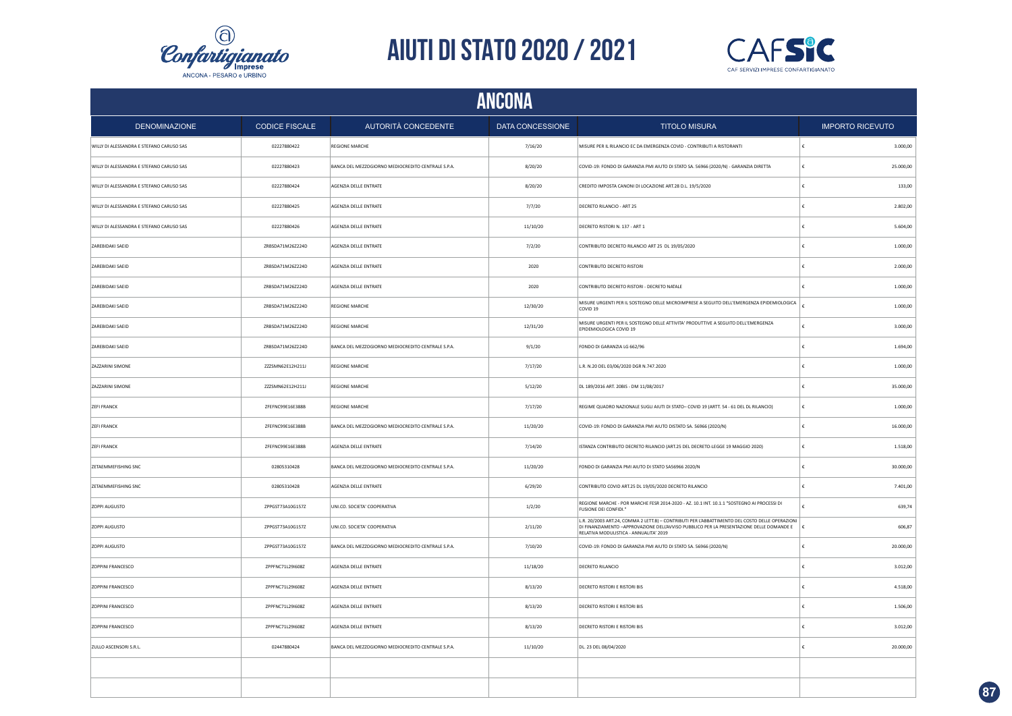



| ANCONA                                   |                       |                                                    |                  |                                                                                                                                                                                                                                                   |                         |  |  |
|------------------------------------------|-----------------------|----------------------------------------------------|------------------|---------------------------------------------------------------------------------------------------------------------------------------------------------------------------------------------------------------------------------------------------|-------------------------|--|--|
| <b>DENOMINAZIONE</b>                     | <b>CODICE FISCALE</b> | AUTORITÀ CONCEDENTE                                | DATA CONCESSIONE | <b>TITOLO MISURA</b>                                                                                                                                                                                                                              | <b>IMPORTO RICEVUTO</b> |  |  |
| WILLY DI ALESSANDRA E STEFANO CARUSO SAS | 02227880422           | REGIONE MARCHE                                     | 7/16/20          | MISURE PER IL RILANCIO EC DA EMERGENZA COVID - CONTRIBUTI A RISTORANTI                                                                                                                                                                            | 3.000,00                |  |  |
| WILLY DI ALESSANDRA E STEFANO CARUSO SAS | 02227880423           | BANCA DEL MEZZOGIORNO MEDIOCREDITO CENTRALE S.P.A. | 8/20/20          | COVID-19: FONDO DI GARANZIA PMI AIUTO DI STATO SA. 56966 (2020/N) - GARANZIA DIRETTA                                                                                                                                                              | 25.000,00               |  |  |
| WILLY DI ALESSANDRA E STEFANO CARUSO SAS | 02227880424           | AGENZIA DELLE ENTRATE                              | 8/20/20          | CREDITO IMPOSTA CANONI DI LOCAZIONE ART.28 D.L. 19/5/2020                                                                                                                                                                                         | 133,00                  |  |  |
| WILLY DI ALESSANDRA E STEFANO CARUSO SAS | 02227880425           | AGENZIA DELLE ENTRATE                              | 7/7/20           | DECRETO RILANCIO - ART 25                                                                                                                                                                                                                         | 2.802,00                |  |  |
| WILLY DI ALESSANDRA E STEFANO CARUSO SAS | 02227880426           | AGENZIA DELLE ENTRATE                              | 11/10/20         | DECRETO RISTORI N. 137 - ART 1                                                                                                                                                                                                                    | 5.604,00                |  |  |
| ZAREBIDAKI SAEID                         | ZRBSDA71M26Z224D      | AGENZIA DELLE ENTRATE                              | 7/2/20           | CONTRIBUTO DECRETO RILANCIO ART 25 DL 19/05/2020                                                                                                                                                                                                  | 1.000,00<br>£           |  |  |
| ZAREBIDAKI SAEID                         | ZRBSDA71M26Z224D      | AGENZIA DELLE ENTRATE                              | 2020             | CONTRIBUTO DECRETO RISTORI                                                                                                                                                                                                                        | 2.000,00                |  |  |
| ZAREBIDAKI SAEID                         | ZRBSDA71M26Z224D      | AGENZIA DELLE ENTRATE                              | 2020             | CONTRIBUTO DECRETO RISTORI - DECRETO NATALE                                                                                                                                                                                                       | 1.000,00                |  |  |
| ZAREBIDAKI SAEID                         | ZRBSDA71M26Z224D      | REGIONE MARCHE                                     | 12/30/20         | MISURE URGENTI PER IL SOSTEGNO DELLE MICROIMPRESE A SEGUITO DELL'EMERGENZA EPIDEMIOLOGICA<br>COVID <sub>19</sub>                                                                                                                                  | 1.000,00                |  |  |
| ZAREBIDAKI SAEID                         | ZRBSDA71M26Z224D      | <b>REGIONE MARCHE</b>                              | 12/31/20         | MISURE URGENTI PER IL SOSTEGNO DELLE ATTIVITA' PRODUTTIVE A SEGUITO DELL'EMERGENZA<br>EPIDEMIOLOGICA COVID 19                                                                                                                                     | 3.000,00                |  |  |
| ZAREBIDAKI SAEID                         | ZRBSDA71M26Z224D      | BANCA DEL MEZZOGIORNO MEDIOCREDITO CENTRALE S.P.A. | 9/1/20           | FONDO DI GARANZIA LG 662/96                                                                                                                                                                                                                       | 1.694,00                |  |  |
| <b>ZAZZARINI SIMONE</b>                  | ZZZSMN62E12H211J      | <b>REGIONE MARCHE</b>                              | 7/17/20          | L.R. N.20 DEL 03/06/2020 DGR N.747.2020                                                                                                                                                                                                           | 1.000,00                |  |  |
| <b>ZAZZARINI SIMONE</b>                  | ZZZSMN62E12H211J      | <b>REGIONE MARCHE</b>                              | 5/12/20          | DL 189/2016 ART. 20BIS - DM 11/08/2017                                                                                                                                                                                                            | 35.000,00               |  |  |
| <b>ZEFI FRANCK</b>                       | ZFEFNC99E16E388B      | <b>REGIONE MARCHE</b>                              | 7/17/20          | REGIME QUADRO NAZIONALE SUGLI AIUTI DI STATO- COVID 19 (ARTT. 54 - 61 DEL DL RILANCIO)                                                                                                                                                            | 1.000,00<br>€           |  |  |
| <b>ZEFI FRANCK</b>                       | ZFEFNC99E16E388B      | BANCA DEL MEZZOGIORNO MEDIOCREDITO CENTRALE S.P.A. | 11/20/20         | COVID-19: FONDO DI GARANZIA PMI AIUTO DISTATO SA. 56966 (2020/N)                                                                                                                                                                                  | 16.000,00               |  |  |
| <b>ZEFI FRANCK</b>                       | ZFEFNC99E16E388B      | AGENZIA DELLE ENTRATE                              | 7/14/20          | ISTANZA CONTRIBUTO DECRETO RILANCIO (ART.25 DEL DECRETO-LEGGE 19 MAGGIO 2020)                                                                                                                                                                     | 1.518,00<br>€           |  |  |
| ZETAEMMEFISHING SNC                      | 02805310428           | BANCA DEL MEZZOGIORNO MEDIOCREDITO CENTRALE S.P.A. | 11/20/20         | FONDO DI GARANZIA PMI AIUTO DI STATO SA56966 2020/N                                                                                                                                                                                               | 30.000,00               |  |  |
| ZETAEMMEFISHING SNC                      | 02805310428           | AGENZIA DELLE ENTRATE                              | 6/29/20          | CONTRIBUTO COVID ART.25 DL 19/05/2020 DECRETO RILANCIO                                                                                                                                                                                            | 7.401,00                |  |  |
| ZOPPI AUGUSTO                            | ZPPGST73A10G157Z      | UNI.CO. SOCIETA' COOPERATIVA                       | 1/2/20           | REGIONE MARCHE - POR MARCHE FESR 2014-2020 - AZ. 10.1 INT. 10.1.1 "SOSTEGNO AI PROCESSI DI<br>FUSIONE DEI CONFIDI.                                                                                                                                | £<br>639,74             |  |  |
| ZOPPI AUGUSTO                            | ZPPGST73A10G157Z      | UNI.CO. SOCIETA' COOPERATIVA                       | 2/11/20          | L.R. 20/2003 ART.24, COMMA 2 LETT.B) - CONTRIBUTI PER L'ABBATTIMENTO DEL COSTO DELLE OPERAZIONI<br>DI FINANZIAMENTO -APPROVAZIONE DELL'AVVISO PUBBLICO PER LA PRESENTAZIONE DELLE DOMANDE E $\quad \in$<br>RELATIVA MODULISTICA - ANNUALITA' 2019 | 606,87                  |  |  |
| <b>ZOPPI AUGUSTO</b>                     | ZPPGST73A10G157Z      | BANCA DEL MEZZOGIORNO MEDIOCREDITO CENTRALE S.P.A. | 7/10/20          | COVID-19: FONDO DI GARANZIA PMI AIUTO DI STATO SA. 56966 (2020/N)                                                                                                                                                                                 | 20.000,00               |  |  |
| ZOPPINI FRANCESCO                        | ZPPFNC71L29I608Z      | AGENZIA DELLE ENTRATE                              | 11/18/20         | DECRETO RILANCIO                                                                                                                                                                                                                                  | 3.012,00                |  |  |
| ZOPPINI FRANCESCO                        | ZPPFNC71L29I608Z      | AGENZIA DELLE ENTRATE                              | 8/13/20          | <b>DECRETO RISTORI E RISTORI BIS</b>                                                                                                                                                                                                              | 4.518,00                |  |  |
| ZOPPINI FRANCESCO                        | ZPPFNC71L29I608Z      | AGENZIA DELLE ENTRATE                              | 8/13/20          | DECRETO RISTORI E RISTORI BIS                                                                                                                                                                                                                     | 1.506,00                |  |  |
| <b>ZOPPINI FRANCESCO</b>                 | ZPPFNC71L29I608Z      | AGENZIA DELLE ENTRATE                              | 8/13/20          | DECRETO RISTORI E RISTORI BIS                                                                                                                                                                                                                     | 3.012,00                |  |  |
| ZULLO ASCENSORI S.R.L.                   | 02447880424           | BANCA DEL MEZZOGIORNO MEDIOCREDITO CENTRALE S.P.A. | 11/10/20         | DL. 23 DEL 08/04/2020                                                                                                                                                                                                                             | 20.000,00               |  |  |
|                                          |                       |                                                    |                  |                                                                                                                                                                                                                                                   |                         |  |  |
|                                          |                       |                                                    |                  |                                                                                                                                                                                                                                                   |                         |  |  |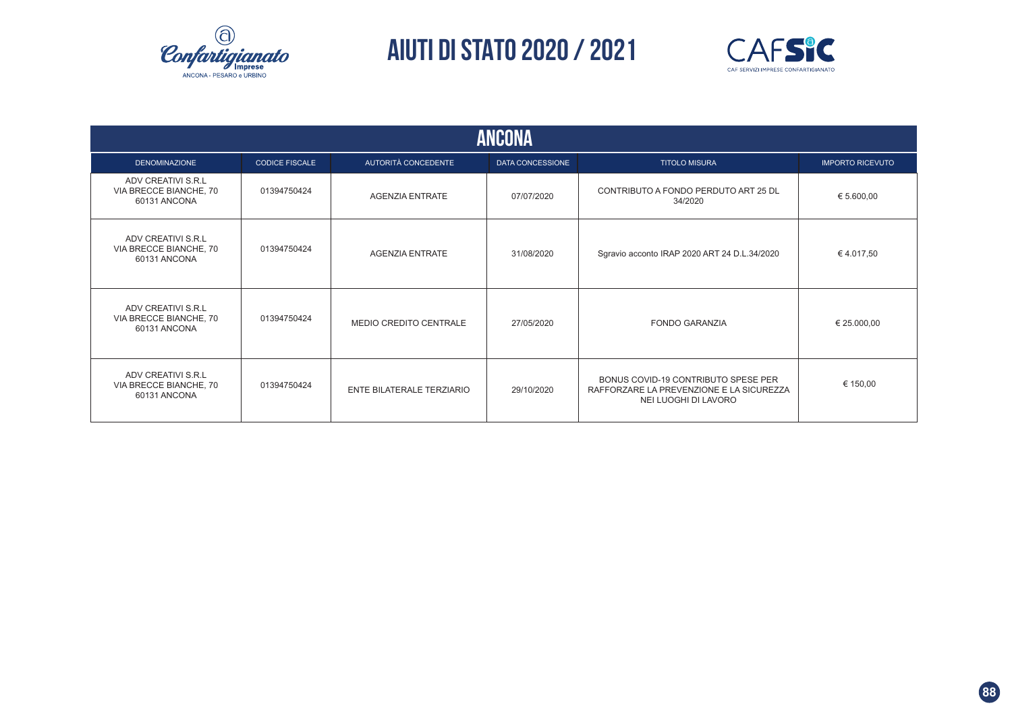



| <b>ANCONA</b>                                                |                       |                           |                         |                                                                                                         |                         |  |  |  |  |
|--------------------------------------------------------------|-----------------------|---------------------------|-------------------------|---------------------------------------------------------------------------------------------------------|-------------------------|--|--|--|--|
| <b>DENOMINAZIONE</b>                                         | <b>CODICE FISCALE</b> | AUTORITÀ CONCEDENTE       | <b>DATA CONCESSIONE</b> | <b>TITOLO MISURA</b>                                                                                    | <b>IMPORTO RICEVUTO</b> |  |  |  |  |
| ADV CREATIVI S.R.L<br>VIA BRECCE BIANCHE, 70<br>60131 ANCONA | 01394750424           | <b>AGENZIA ENTRATE</b>    | 07/07/2020              | CONTRIBUTO A FONDO PERDUTO ART 25 DL<br>34/2020                                                         | € 5.600,00              |  |  |  |  |
| ADV CREATIVI S.R.L<br>VIA BRECCE BIANCHE, 70<br>60131 ANCONA | 01394750424           | <b>AGENZIA ENTRATE</b>    | 31/08/2020              | Sgravio acconto IRAP 2020 ART 24 D.L.34/2020                                                            | €4.017,50               |  |  |  |  |
| ADV CREATIVI S.R.L<br>VIA BRECCE BIANCHE, 70<br>60131 ANCONA | 01394750424           | MEDIO CREDITO CENTRALE    | 27/05/2020              | <b>FONDO GARANZIA</b>                                                                                   | € 25.000,00             |  |  |  |  |
| ADV CREATIVI S.R.L<br>VIA BRECCE BIANCHE, 70<br>60131 ANCONA | 01394750424           | ENTE BILATERALE TERZIARIO | 29/10/2020              | BONUS COVID-19 CONTRIBUTO SPESE PER<br>RAFFORZARE LA PREVENZIONE E LA SICUREZZA<br>NEI LUOGHI DI LAVORO | € 150,00                |  |  |  |  |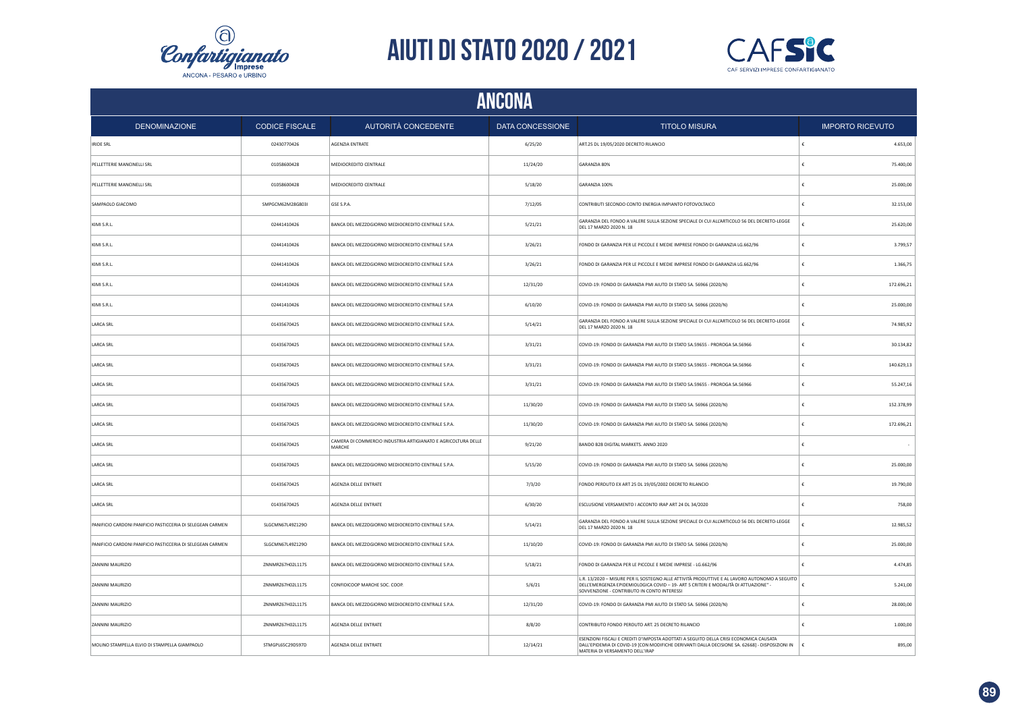



| ANCONA                                                     |                       |                                                                         |                         |                                                                                                                                                                                                                                   |   |                         |  |
|------------------------------------------------------------|-----------------------|-------------------------------------------------------------------------|-------------------------|-----------------------------------------------------------------------------------------------------------------------------------------------------------------------------------------------------------------------------------|---|-------------------------|--|
| <b>DENOMINAZIONE</b>                                       | <b>CODICE FISCALE</b> | AUTORITÀ CONCEDENTE                                                     | <b>DATA CONCESSIONE</b> | <b>TITOLO MISURA</b>                                                                                                                                                                                                              |   | <b>IMPORTO RICEVUTO</b> |  |
| <b>IRIDE SRL</b>                                           | 02430770426           | AGENZIA ENTRATE                                                         | 6/25/20                 | ART.25 DL 19/05/2020 DECRETO RILANCIO                                                                                                                                                                                             | £ | 4.653,00                |  |
| PELLETTERIE MANCINELLI SRL                                 | 01058600428           | MEDIOCREDITO CENTRALE                                                   | 11/24/20                | GARANZIA 80%                                                                                                                                                                                                                      |   | 75.400,00               |  |
| PELLETTERIE MANCINELLI SRL                                 | 01058600428           | <b>MEDIOCREDITO CENTRALE</b>                                            | 5/18/20                 | GARANZIA 100%                                                                                                                                                                                                                     |   | 25,000.00               |  |
| SAMPAOLO GIACOMO                                           | SMPGCM62M28G803I      | GSE S.P.A.                                                              | 7/12/05                 | CONTRIBUTI SECONDO CONTO ENERGIA IMPIANTO FOTOVOLTAICO                                                                                                                                                                            |   | 32.153,00               |  |
| KIMI S.R.L.                                                | 02441410426           | BANCA DEL MEZZOGIORNO MEDIOCREDITO CENTRALE S.P.A.                      | 5/21/21                 | GARANZIA DEL FONDO A VALERE SULLA SEZIONE SPECIALE DI CUI ALL'ARTICOLO 56 DEL DECRETO-LEGGE<br>DEL 17 MARZO 2020 N. 18                                                                                                            |   | 25.620,00               |  |
| KIMI S.R.L.                                                | 02441410426           | BANCA DEL MEZZOGIORNO MEDIOCREDITO CENTRALE S.P.A                       | 3/26/21                 | FONDO DI GARANZIA PER LE PICCOLE E MEDIE IMPRESE FONDO DI GARANZIA LG.662/96                                                                                                                                                      |   | 3.799,57                |  |
| KIMI S.R.L.                                                | 02441410426           | BANCA DEL MEZZOGIORNO MEDIOCREDITO CENTRALE S.P.A                       | 3/26/21                 | FONDO DI GARANZIA PER LE PICCOLE E MEDIE IMPRESE FONDO DI GARANZIA LG.662/96                                                                                                                                                      | € | 1.366,75                |  |
| KIMI S.R.L.                                                | 02441410426           | BANCA DEL MEZZOGIORNO MEDIOCREDITO CENTRALE S.P.A                       | 12/31/20                | COVID-19: FONDO DI GARANZIA PMI AIUTO DI STATO SA. 56966 (2020/N)                                                                                                                                                                 | £ | 172.696,21              |  |
| KIMI S.R.L.                                                | 02441410426           | BANCA DEL MEZZOGIORNO MEDIOCREDITO CENTRALE S.P.A                       | 6/10/20                 | COVID-19: FONDO DI GARANZIA PMI AIUTO DI STATO SA. 56966 (2020/N)                                                                                                                                                                 |   | 25.000,00               |  |
| <b>LARCA SRL</b>                                           | 01435670425           | BANCA DEL MEZZOGIORNO MEDIOCREDITO CENTRALE S.P.A.                      | 5/14/21                 | GARANZIA DEL FONDO A VALERE SULLA SEZIONE SPECIALE DI CUI ALL'ARTICOLO 56 DEL DECRETO-LEGGE<br>DEL 17 MARZO 2020 N. 18                                                                                                            |   | 74.985,92               |  |
| <b>LARCA SRL</b>                                           | 01435670425           | BANCA DEL MEZZOGIORNO MEDIOCREDITO CENTRALE S.P.A.                      | 3/31/21                 | COVID-19: FONDO DI GARANZIA PMI AIUTO DI STATO SA.59655 - PROROGA SA.56966                                                                                                                                                        |   | 30.134,82               |  |
| <b>LARCA SRL</b>                                           | 01435670425           | BANCA DEL MEZZOGIORNO MEDIOCREDITO CENTRALE S.P.A.                      | 3/31/21                 | COVID-19: FONDO DI GARANZIA PMI AIUTO DI STATO SA.59655 - PROROGA SA.56966                                                                                                                                                        | £ | 140.629,13              |  |
| <b>LARCA SRL</b>                                           | 01435670425           | BANCA DEL MEZZOGIORNO MEDIOCREDITO CENTRALE S.P.A.                      | 3/31/21                 | COVID-19: FONDO DI GARANZIA PMI AIUTO DI STATO SA.59655 - PROROGA SA.56966                                                                                                                                                        |   | 55.247,16               |  |
| <b>LARCA SRL</b>                                           | 01435670425           | BANCA DEL MEZZOGIORNO MEDIOCREDITO CENTRALE S.P.A.                      | 11/30/20                | COVID-19: FONDO DI GARANZIA PMI AIUTO DI STATO SA. 56966 (2020/N)                                                                                                                                                                 | £ | 152.378,99              |  |
| <b>LARCA SRL</b>                                           | 01435670425           | BANCA DEL MEZZOGIORNO MEDIOCREDITO CENTRALE S.P.A.                      | 11/30/20                | COVID-19: FONDO DI GARANZIA PMI AIUTO DI STATO SA. 56966 (2020/N)                                                                                                                                                                 | ŧ | 172.696,21              |  |
| <b>LARCA SRL</b>                                           | 01435670425           | CAMERA DI COMMERCIO INDUSTRIA ARTIGIANATO E AGRICOLTURA DELLE<br>MARCHE | 9/21/20                 | BANDO B2B DIGITAL MARKETS. ANNO 2020                                                                                                                                                                                              |   |                         |  |
| <b>LARCA SRL</b>                                           | 01435670425           | BANCA DEL MEZZOGIORNO MEDIOCREDITO CENTRALE S.P.A.                      | 5/15/20                 | COVID-19: FONDO DI GARANZIA PMI AIUTO DI STATO SA. 56966 (2020/N)                                                                                                                                                                 |   | 25.000,00               |  |
| <b>LARCA SRL</b>                                           | 01435670425           | AGENZIA DELLE ENTRATE                                                   | 7/3/20                  | FONDO PERDUTO EX ART 25 DL 19/05/2002 DECRETO RILANCIO                                                                                                                                                                            | € | 19.790,00               |  |
| LARCA SRL                                                  | 01435670425           | AGENZIA DELLE ENTRATE                                                   | 6/30/20                 | ESCLUSIONE VERSAMENTO I ACCONTO IRAP ART 24 DL 34/2020                                                                                                                                                                            |   | 758,00                  |  |
| PANIFICIO CARDONI PANIFICIO PASTICCERIA DI SELEGEAN CARMEN | SLGCMN67L49Z129O      | BANCA DEL MEZZOGIORNO MEDIOCREDITO CENTRALE S.P.A.                      | 5/14/21                 | GARANZIA DEL FONDO A VALERE SULLA SEZIONE SPECIALE DI CUI ALL'ARTICOLO 56 DEL DECRETO-LEGGE<br>DEL 17 MARZO 2020 N. 18                                                                                                            |   | 12.985,52               |  |
| PANIFICIO CARDONI PANIFICIO PASTICCERIA DI SELEGEAN CARMEN | SLGCMN67L49Z129O      | BANCA DEL MEZZOGIORNO MEDIOCREDITO CENTRALE S.P.A.                      | 11/10/20                | COVID-19: FONDO DI GARANZIA PMI AIUTO DI STATO SA. 56966 (2020/N)                                                                                                                                                                 | ŧ | 25.000,00               |  |
| ZANNINI MAURIZIO                                           | ZNNMRZ67H02L117S      | BANCA DEL MEZZOGIORNO MEDIOCREDITO CENTRALE S.P.A.                      | 5/18/21                 | FONDO DI GARANZIA PER LE PICCOLE E MEDIE IMPRESE - LG.662/96                                                                                                                                                                      |   | 4.474,85                |  |
| <b>ZANNINI MAURIZIO</b>                                    | ZNNMRZ67H02L117S      | CONFIDICOOP MARCHE SOC. COOP.                                           | 5/6/21                  | L.R. 13/2020 - MISURE PER IL SOSTEGNO ALLE ATTIVITÀ PRODUTTIVE E AL LAVORO AUTONOMO A SEGUITO<br>DELL'EMERGENZA EPIDEMIOLOGICA COVID - 19- ART 5 CRITERI E MODALITÀ DI ATTUAZIONE"<br>SOVVENZIONE - CONTRIBUTO IN CONTO INTERESSI |   | 5.241,00                |  |
| <b>ZANNINI MAURIZIO</b>                                    | ZNNMRZ67H02L117S      | BANCA DEL MEZZOGIORNO MEDIOCREDITO CENTRALE S.P.A.                      | 12/31/20                | COVID-19: FONDO DI GARANZIA PMI AIUTO DI STATO SA. 56966 (2020/N)                                                                                                                                                                 |   | 28.000,00               |  |
| ZANNINI MAURIZIO                                           | ZNNMRZ67H02L117S      | AGENZIA DELLE ENTRATE                                                   | 8/8/20                  | CONTRIBUTO FONDO PERDUTO ART. 25 DECRETO RILANCIO                                                                                                                                                                                 |   | 1.000,00                |  |
| MOLINO STAMPELLA ELVIO DI STAMPELLA GIAMPAOLO              | STMGPL65C29D597D      | AGENZIA DELLE ENTRATE                                                   | 12/14/21                | ESENZIONI FISCALI E CREDITI D'IMPOSTA ADOTTATI A SEGUITO DELLA CRISI ECONOMICA CAUSATA<br>DALL'EPIDEMIA DI COVID-19 [CON MODIFICHE DERIVANTI DALLA DECISIONE SA. 62668] - DISPOSIZIONI IN<br>MATERIA DI VERSAMENTO DELL'IRAP      | € | 895,00                  |  |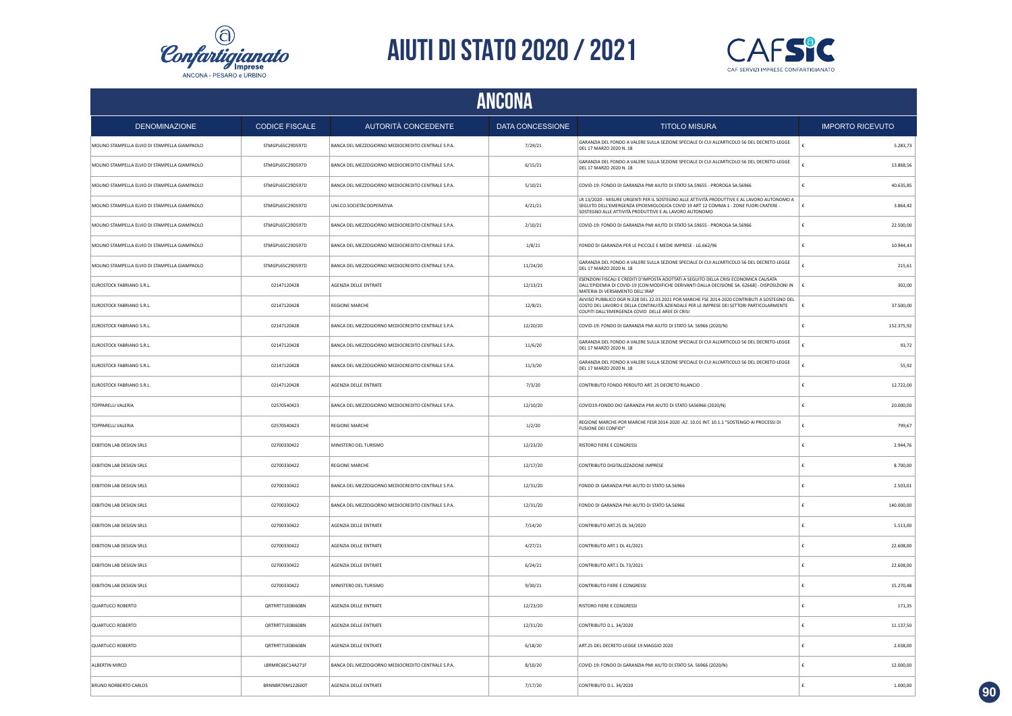



| ANCONA                                        |                       |                                                    |                         |                                                                                                                                                                                                                                               |                         |  |  |
|-----------------------------------------------|-----------------------|----------------------------------------------------|-------------------------|-----------------------------------------------------------------------------------------------------------------------------------------------------------------------------------------------------------------------------------------------|-------------------------|--|--|
| <b>DENOMINAZIONE</b>                          | <b>CODICE FISCALE</b> | AUTORITÀ CONCEDENTE                                | <b>DATA CONCESSIONE</b> | <b>TITOLO MISURA</b>                                                                                                                                                                                                                          | <b>IMPORTO RICEVUTO</b> |  |  |
| MOLINO STAMPELLA ELVIO DI STAMPELLA GIAMPAOLO | STMGPL65C29D597D      | BANCA DEL MEZZOGIORNO MEDIOCREDITO CENTRALE S.P.A. | 7/29/21                 | GARANZIA DEL FONDO A VALERE SULLA SEZIONE SPECIALE DI CUI ALL'ARTICOLO 56 DEL DECRETO-LEGGE<br>DEL 17 MARZO 2020 N. 18                                                                                                                        | £<br>5.283,73           |  |  |
| MOLINO STAMPELLA ELVIO DI STAMPELLA GIAMPAOLO | STMGPL65C29D597D      | BANCA DEL MEZZOGIORNO MEDIOCREDITO CENTRALE S.P.A. | 6/15/21                 | GARANZIA DEL FONDO A VALERE SULLA SEZIONE SPECIALE DI CUI ALL'ARTICOLO 56 DEL DECRETO-LEGGE<br>DEL 17 MARZO 2020 N. 18                                                                                                                        | 13.868,56               |  |  |
| MOLINO STAMPELLA ELVIO DI STAMPELLA GIAMPAOLO | STMGPL65C29D597D      | BANCA DEL MEZZOGIORNO MEDIOCREDITO CENTRALE S.P.A. | 5/10/21                 | COVID-19: FONDO DI GARANZIA PMI AIUTO DI STATO SA.59655 - PROROGA SA.56966                                                                                                                                                                    | €<br>40.635,85          |  |  |
| MOLINO STAMPELLA ELVIO DI STAMPELLA GIAMPAOLO | STMGPL65C29D597D      | UNI.CO.SOCIETÀCOOPERATIVA                          | 4/21/21                 | LR 13/2020 - MISURE URGENTI PER IL SOSTEGNO ALLE ATTIVITÀ PRODUTTIVE E AL LAVORO AUTONOMO A<br>SEGUITO DELL'EMERGENZA EPIDEMIOLOGICA COVID 19 ART 12 COMMA 1 - ZONE FUORI CRATERE -<br>SOSTEGNO ALLE ATTIVITÀ PRODUTTIVE E AL LAVORO AUTONOMO | 3.864,42<br>€           |  |  |
| MOLINO STAMPELLA ELVIO DI STAMPELLA GIAMPAOLO | STMGPL65C29D597D      | BANCA DEL MEZZOGIORNO MEDIOCREDITO CENTRALE S.P.A. | 2/10/21                 | COVID-19: FONDO DI GARANZIA PMI AIUTO DI STATO SA.59655 - PROROGA SA.56966                                                                                                                                                                    | 22.500,00<br>€          |  |  |
| MOLINO STAMPELLA ELVIO DI STAMPELLA GIAMPAOLO | STMGPL65C29D597D      | BANCA DEL MEZZOGIORNO MEDIOCREDITO CENTRALE S.P.A. | 1/8/21                  | FONDO DI GARANZIA PER LE PICCOLE E MEDIE IMPRESE - LG.662/96                                                                                                                                                                                  | 10.944,43               |  |  |
| MOLINO STAMPELLA ELVIO DI STAMPELLA GIAMPAOLO | STMGPL65C29D597D      | BANCA DEL MEZZOGIORNO MEDIOCREDITO CENTRALE S.P.A. | 11/24/20                | GARANZIA DEL FONDO A VALERE SULLA SEZIONE SPECIALE DI CUI ALL'ARTICOLO 56 DEL DECRETO-LEGGE<br>DEL 17 MARZO 2020 N. 18                                                                                                                        | 215,61                  |  |  |
| EUROSTOCK FABRIANO S.R.L.                     | 02147120428           | AGENZIA DELLE ENTRATE                              | 12/13/21                | ESENZIONI FISCALI E CREDITI D'IMPOSTA ADOTTATI A SEGUITO DELLA CRISI ECONOMICA CAUSATA<br>DALL'EPIDEMIA DI COVID-19 [CON MODIFICHE DERIVANTI DALLA DECISIONE SA. 62668] - DISPOSIZIONI IN<br>MATERIA DI VERSAMENTO DELL'IRAP                  | Ŀ<br>302,00             |  |  |
| EUROSTOCK FABRIANO S.R.L.                     | 02147120428           | <b>REGIONE MARCHE</b>                              | 12/8/21                 | AVVISO PUBBLICO DGR N.328 DEL 22.03.2021 POR MARCHE FSE 2014-2020 CONTRIBUTI A SOSTEGNO DEL<br>COSTO DEL LAVORO E DELLA CONTINUITÀ AZIENDALE PER LE IMPRESE DEI SETTORI PARTICOLARMENTE<br>COLPITI DALL'EMERGENZA COVID DELLE AREE DI CRISI   | ∣€<br>37.500,00         |  |  |
| EUROSTOCK FABRIANO S.R.L.                     | 02147120428           | BANCA DEL MEZZOGIORNO MEDIOCREDITO CENTRALE S.P.A. | 12/20/20                | COVID-19: FONDO DI GARANZIA PMI AIUTO DI STATO SA. 56966 (2020/N)                                                                                                                                                                             | 152.375,92<br>£         |  |  |
| EUROSTOCK FABRIANO S.R.L.                     | 02147120428           | BANCA DEL MEZZOGIORNO MEDIOCREDITO CENTRALE S.P.A. | 11/6/20                 | GARANZIA DEL FONDO A VALERE SULLA SEZIONE SPECIALE DI CUI ALL'ARTICOLO 56 DEL DECRETO-LEGGE<br>DEL 17 MARZO 2020 N. 18                                                                                                                        | 93,72                   |  |  |
| EUROSTOCK FABRIANO S.R.L.                     | 02147120428           | BANCA DEL MEZZOGIORNO MEDIOCREDITO CENTRALE S.P.A. | 11/3/20                 | GARANZIA DEL FONDO A VALERE SULLA SEZIONE SPECIALE DI CUI ALL'ARTICOLO 56 DEL DECRETO-LEGGE<br>DEL 17 MARZO 2020 N. 18                                                                                                                        | 55,92                   |  |  |
| EUROSTOCK FABRIANO S.R.L.                     | 02147120428           | AGENZIA DELLE ENTRATE                              | 7/3/20                  | CONTRIBUTO FONDO PERDUTO ART. 25 DECRETO RILANCIO                                                                                                                                                                                             | 12.722,00               |  |  |
| <b>TOPPARELLI VALERIA</b>                     | 02570540423           | BANCA DEL MEZZOGIORNO MEDIOCREDITO CENTRALE S.P.A. | 12/10/20                | COVID19-FONDO DIO GARANZIA PMI AIUTO DI STATO SA56966 (2020/N)                                                                                                                                                                                | 20.000,00               |  |  |
| <b>TOPPARELLI VALERIA</b>                     | 02570540423           | <b>REGIONE MARCHE</b>                              | 1/2/20                  | REGIONE MARCHE-POR MARCHE FESR 2014-2020 -AZ. 10.01 INT. 10.1.1 "SOSTENGO AI PROCESSI DI<br><b>FUSIONE DEL CONFIDI</b>                                                                                                                        | 799,67                  |  |  |
| EXBITION LAB DESIGN SRLS                      | 02700330422           | MINISTERO DEL TURISMO                              | 12/23/20                | RISTORO FIERE E CONGRESSI                                                                                                                                                                                                                     | 2.944,76                |  |  |
| <b>EXBITION LAB DESIGN SRLS</b>               | 02700330422           | <b>REGIONE MARCHE</b>                              | 12/17/20                | CONTRIBUTO DIGITALIZZAZIONE IMPRESE                                                                                                                                                                                                           | 8.700,00                |  |  |
| <b>EXBITION LAB DESIGN SRLS</b>               | 02700330422           | BANCA DEL MEZZOGIORNO MEDIOCREDITO CENTRALE S.P.A. | 12/31/20                | FONDO DI GARANZIA PMI AIUTO DI STATO SA.56966                                                                                                                                                                                                 | 2.503,01                |  |  |
| EXBITION LAB DESIGN SRLS                      | 02700330422           | BANCA DEL MEZZOGIORNO MEDIOCREDITO CENTRALE S.P.A. | 12/31/20                | FONDO DI GARANZIA PMI AIUTO DI STATO SA.56966                                                                                                                                                                                                 | 140.000,00              |  |  |
| <b>EXBITION LAB DESIGN SRLS</b>               | 02700330422           | AGENZIA DELLE ENTRATE                              | 7/14/20                 | CONTRIBUTO ART.25 DL 34/2020                                                                                                                                                                                                                  | ¢<br>5.513,00           |  |  |
| <b>EXBITION LAB DESIGN SRLS</b>               | 02700330422           | AGENZIA DELLE ENTRATE                              | 4/27/21                 | CONTRIBUTO ART.1 DL 41/2021                                                                                                                                                                                                                   | 22.608,00<br>£          |  |  |
| <b>EXBITION LAB DESIGN SRLS</b>               | 02700330422           | AGENZIA DELLE ENTRATE                              | 6/24/21                 | CONTRIBUTO ART.1 DL 73/2021                                                                                                                                                                                                                   | 22.608,00<br>£          |  |  |
| <b>EXBITION LAB DESIGN SRLS</b>               | 02700330422           | MINISTERO DEL TURISMO                              | 9/30/21                 | CONTRIBUTO FIERE E CONGRESSI                                                                                                                                                                                                                  | 15.270,48<br>$\epsilon$ |  |  |
| <b>OUARTUCCI ROBERTO</b>                      | ORTRRT71F08I608N      | AGENZIA DELLE ENTRATE                              | 12/23/20                | <b>RISTORO FIFRE E CONGRESSI</b>                                                                                                                                                                                                              | 171,35<br>£             |  |  |
| QUARTUCCI ROBERTO                             | QRTRRT71E08I608N      | AGENZIA DELLE ENTRATE                              | 12/31/20                | CONTRIBUTO D.L. 34/2020                                                                                                                                                                                                                       | 11.137,50<br>€          |  |  |
| <b>QUARTUCCI ROBERTO</b>                      | QRTRRT71E08I608N      | AGENZIA DELLE ENTRATE                              | 6/18/20                 | ART.25 DEL DECRETO-LEGGE 19 MAGGIO 2020                                                                                                                                                                                                       | 2.038,00                |  |  |
| ALBERTIN MIRCO                                | LBRMRC66C14A271F      | BANCA DEL MEZZOGIORNO MEDIOCREDITO CENTRALE S.P.A. | 8/10/20                 | COVID-19: FONDO DI GARANZIA PMI AIUTO DI STATO SA. 56966 (2020/N)                                                                                                                                                                             | 12.000,00               |  |  |
| BRUNO NORBERTO CARLOS                         | BRNNBR70M12Z600T      | AGENZIA DELLE ENTRATE                              | 7/17/20                 | CONTRIBUTO D.L. 34/2020                                                                                                                                                                                                                       | 1.000,00<br>$\epsilon$  |  |  |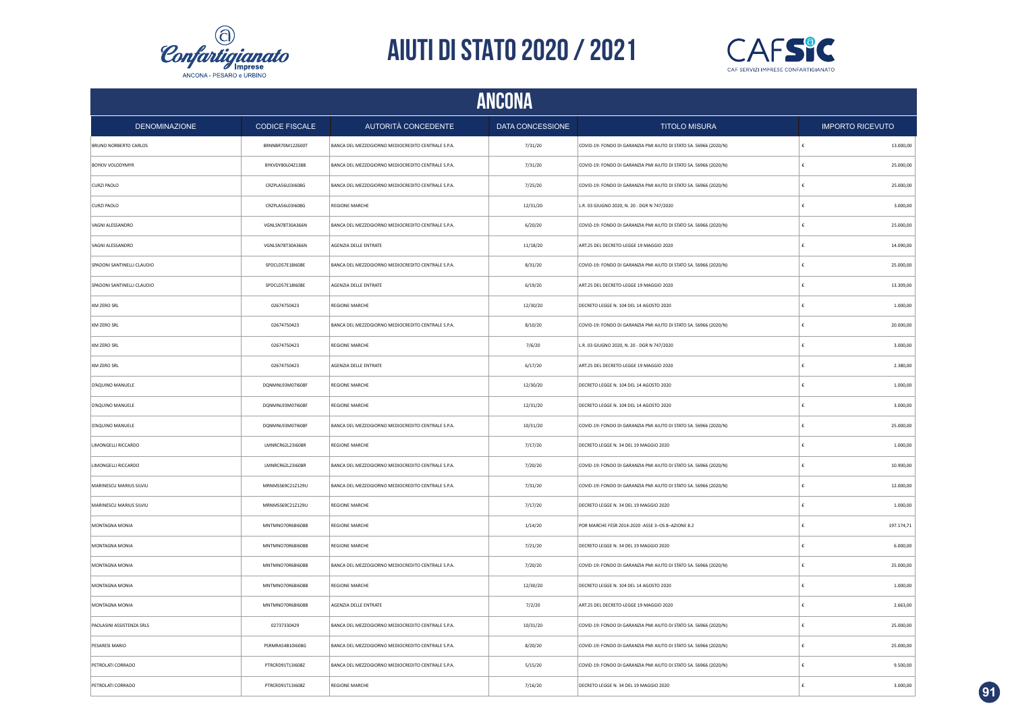



| ANCONA                       |                       |                                                    |                         |                                                                   |                         |  |  |
|------------------------------|-----------------------|----------------------------------------------------|-------------------------|-------------------------------------------------------------------|-------------------------|--|--|
| <b>DENOMINAZIONE</b>         | <b>CODICE FISCALE</b> | AUTORITÀ CONCEDENTE                                | <b>DATA CONCESSIONE</b> | <b>TITOLO MISURA</b>                                              | <b>IMPORTO RICEVUTO</b> |  |  |
| <b>BRUNO NORBERTO CARLOS</b> | BRNNBR70M12Z600T      | BANCA DEL MEZZOGIORNO MEDIOCREDITO CENTRALE S.P.A. | 7/31/20                 | COVID-19: FONDO DI GARANZIA PMI AIUTO DI STATO SA. 56966 (2020/N) | 13.000,00               |  |  |
| BOYKIV VOLODYMYR             | BYKVDY80L04Z138B      | BANCA DEL MEZZOGIORNO MEDIOCREDITO CENTRALE S.P.A. | 7/31/20                 | COVID-19: FONDO DI GARANZIA PMI AIUTO DI STATO SA. 56966 (2020/N) | 25.000,00               |  |  |
| CURZI PAOLO                  | CRZPLA56L03I608G      | BANCA DEL MEZZOGIORNO MEDIOCREDITO CENTRALE S.P.A. | 7/25/20                 | COVID-19: FONDO DI GARANZIA PMI AIUTO DI STATO SA. 56966 (2020/N) | 25.000,00               |  |  |
| CURZI PAOLO                  | CRZPLA56L03I608G      | <b>REGIONE MARCHE</b>                              | 12/31/20                | L.R. 03 GIUGNO 2020, N. 20 - DGR N 747/2020                       | 3.000,00                |  |  |
| VAGNI ALESSANDRO             | VGNLSN78T30A366N      | BANCA DEL MEZZOGIORNO MEDIOCREDITO CENTRALE S.P.A. | 6/20/20                 | COVID-19: FONDO DI GARANZIA PMI AIUTO DI STATO SA. 56966 (2020/N) | 25.000,00               |  |  |
| VAGNI ALESSANDRO             | VGNLSN78T30A366N      | AGENZIA DELLE ENTRATE                              | 11/18/20                | ART.25 DEL DECRETO-LEGGE 19 MAGGIO 2020                           | 14.090,00               |  |  |
| SPADONI SANTINELLI CLAUDIO   | SPDCLD57E18I608E      | BANCA DEL MEZZOGIORNO MEDIOCREDITO CENTRALE S.P.A. | 8/31/20                 | COVID-19: FONDO DI GARANZIA PMI AIUTO DI STATO SA. 56966 (2020/N) | 25.000,00               |  |  |
| SPADONI SANTINELLI CLAUDIO   | SPDCLD57E18I608E      | AGENZIA DELLE ENTRATE                              | 6/19/20                 | ART.25 DEL DECRETO-LEGGE 19 MAGGIO 2020                           | 13.309,00               |  |  |
| KM ZERO SRL                  | 02674750423           | <b>REGIONE MARCHE</b>                              | 12/30/20                | DECRETO LEGGE N. 104 DEL 14 AGOSTO 2020                           | 1.000,00                |  |  |
| KM ZERO SRL                  | 02674750423           | BANCA DEL MEZZOGIORNO MEDIOCREDITO CENTRALE S.P.A. | 8/10/20                 | COVID-19: FONDO DI GARANZIA PMI AIUTO DI STATO SA. 56966 (2020/N) | 20.000,00               |  |  |
| KM ZERO SRL                  | 02674750423           | REGIONE MARCHE                                     | 7/6/20                  | L.R. 03 GIUGNO 2020, N. 20 - DGR N 747/2020                       | 3.000,00                |  |  |
| KM ZERO SRL                  | 02674750423           | AGENZIA DELLE ENTRATE                              | 6/17/20                 | ART.25 DEL DECRETO-LEGGE 19 MAGGIO 2020                           | 2.380,00<br>€           |  |  |
| D'AQUINO MANUELE             | DQNMNL93M07I608F      | REGIONE MARCHE                                     | 12/30/20                | DECRETO LEGGE N. 104 DEL 14 AGOSTO 2020                           | 1.000,00                |  |  |
| D'AQUINO MANUELE             | DQNMNL93M07I608F      | REGIONE MARCHE                                     | 12/31/20                | DECRETO LEGGE N. 104 DEL 14 AGOSTO 2020                           | 3.000,00                |  |  |
| D'AQUINO MANUELE             | DQNMNL93M07I608F      | BANCA DEL MEZZOGIORNO MEDIOCREDITO CENTRALE S.P.A. | 10/31/20                | COVID-19: FONDO DI GARANZIA PMI AIUTO DI STATO SA. 56966 (2020/N) | 25.000,00               |  |  |
| LIMONGELLI RICCARDO          | LMNRCR62L23I608R      | <b>REGIONE MARCHE</b>                              | 7/17/20                 | DECRETO LEGGE N. 34 DEL 19 MAGGIO 2020                            | 1.000,00                |  |  |
| LIMONGELLI RICCARDO          | LMNRCR62L23I608R      | BANCA DEL MEZZOGIORNO MEDIOCREDITO CENTRALE S.P.A. | 7/20/20                 | COVID-19: FONDO DI GARANZIA PMI AIUTO DI STATO SA. 56966 (2020/N) | 10.900,00               |  |  |
| MARINESCU MARIUS SILVIU      | MRNMSS69C21Z129U      | BANCA DEL MEZZOGIORNO MEDIOCREDITO CENTRALE S.P.A. | 7/31/20                 | COVID-19: FONDO DI GARANZIA PMI AIUTO DI STATO SA. 56966 (2020/N) | 12.000,00               |  |  |
| MARINESCU MARIUS SILVIU      | MRNMSS69C21Z129U      | <b>REGIONE MARCHE</b>                              | 7/17/20                 | DECRETO LEGGE N. 34 DEL 19 MAGGIO 2020                            | 1.000,00                |  |  |
| MONTAGNA MONIA               | MNTMNO70R68I608B      | <b>REGIONE MARCHE</b>                              | 1/14/20                 | POR MARCHE FESR 2014-2020 -ASSE 3-OS 8-AZIONE 8.2                 | 197.174,71              |  |  |
| <b>MONTAGNA MONIA</b>        | MNTMNO70R68I608B      | <b>REGIONE MARCHE</b>                              | 7/21/20                 | DECRETO LEGGE N. 34 DEL 19 MAGGIO 2020                            | 6.000,00                |  |  |
| MONTAGNA MONIA               | MNTMNO70R68I608B      | BANCA DEL MEZZOGIORNO MEDIOCREDITO CENTRALE S.P.A. | 7/20/20                 | COVID-19: FONDO DI GARANZIA PMI AIUTO DI STATO SA. 56966 (2020/N) | 25.000,00               |  |  |
| MONTAGNA MONIA               | MNTMNO70R68I608B      | <b>REGIONE MARCHE</b>                              | 12/30/20                | DECRETO LEGGE N. 104 DEL 14 AGOSTO 2020                           | 1.000,00                |  |  |
| MONTAGNA MONIA               | MNTMNO70R68I608B      | AGENZIA DELLE ENTRATE                              | 7/2/20                  | ART.25 DEL DECRETO-LEGGE 19 MAGGIO 2020                           | 2.663,00                |  |  |
| PAOLASINI ASSISTENZA SRLS    | 02737330429           | BANCA DEL MEZZOGIORNO MEDIOCREDITO CENTRALE S.P.A. | 10/31/20                | COVID-19: FONDO DI GARANZIA PMI AIUTO DI STATO SA. 56966 (2020/N) | 25.000,00               |  |  |
| PESARESI MARIO               | PSRMRA54B10I608G      | BANCA DEL MEZZOGIORNO MEDIOCREDITO CENTRALE S.P.A. | 8/20/20                 | COVID-19: FONDO DI GARANZIA PMI AIUTO DI STATO SA. 56966 (2020/N) | 25.000,00               |  |  |
| PETROLATI CORRADO            | PTRCRD91T13I608Z      | BANCA DEL MEZZOGIORNO MEDIOCREDITO CENTRALE S.P.A. | 5/15/20                 | COVID-19: FONDO DI GARANZIA PMI AIUTO DI STATO SA. 56966 (2020/N) | 9.500,00                |  |  |
| PETROLATI CORRADO            | PTRCRD91T13I608Z      | <b>REGIONE MARCHE</b>                              | 7/16/20                 | DECRETO LEGGE N. 34 DEL 19 MAGGIO 2020                            | 3.000,00                |  |  |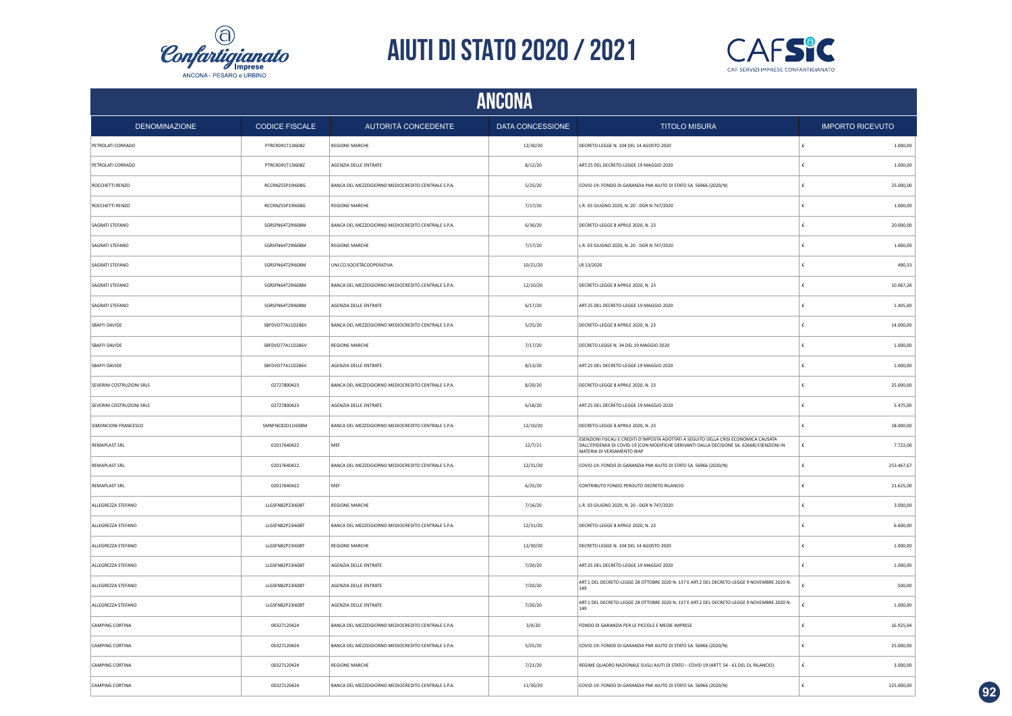



| <b>ANCONA</b>             |                       |                                                    |                         |                                                                                                                                                                                                                    |                         |  |  |
|---------------------------|-----------------------|----------------------------------------------------|-------------------------|--------------------------------------------------------------------------------------------------------------------------------------------------------------------------------------------------------------------|-------------------------|--|--|
| <b>DENOMINAZIONE</b>      | <b>CODICE FISCALE</b> | AUTORITÀ CONCEDENTE                                | <b>DATA CONCESSIONE</b> | <b>TITOLO MISURA</b>                                                                                                                                                                                               | <b>IMPORTO RICEVUTO</b> |  |  |
| PETROLATI CORRADO         | PTRCRD91T13I608Z      | <b>REGIONE MARCHE</b>                              | 12/30/20                | DECRETO LEGGE N. 104 DEL 14 AGOSTO 2020                                                                                                                                                                            | 1,000.00                |  |  |
| PETROLATI CORRADO         | PTRCRD91T13I608Z      | <b>AGENZIA DELLE ENTRATE</b>                       | 8/12/20                 | ART.25 DEL DECRETO-LEGGE 19 MAGGIO 2020                                                                                                                                                                            | 1.000,00                |  |  |
| ROCCHETTI RENZO           | RCCRNZ55P19I608G      | BANCA DEL MEZZOGIORNO MEDIOCREDITO CENTRALE S.P.A. | 5/25/20                 | COVID-19: FONDO DI GARANZIA PMI AIUTO DI STATO SA. 56966 (2020/N)                                                                                                                                                  | 25.000,00               |  |  |
| ROCCHETTI RENZO           | RCCRNZ55P19I608G      | REGIONE MARCHE                                     | 7/17/20                 | L.R. 03 GIUGNO 2020, N. 20 - DGR N 747/2020                                                                                                                                                                        | 1.000,00                |  |  |
| SAGRATI STEFANO           | SGRSFN64T29I608M      | BANCA DEL MEZZOGIORNO MEDIOCREDITO CENTRALE S.P.A. | 6/30/20                 | DECRETO-LEGGE 8 APRILE 2020, N. 23                                                                                                                                                                                 | 20.000,00               |  |  |
| SAGRATI STEFANO           | SGRSFN64T29I608M      | REGIONE MARCHE                                     | 7/17/20                 | L.R. 03 GIUGNO 2020, N. 20 - DGR N 747/2020                                                                                                                                                                        | 1.000,00                |  |  |
| SAGRATI STEFANO           | SGRSFN64T29I608M      | UNI.CO.SOCIETÀCOOPERATIVA                          | 10/21/20                | LR 13/2020                                                                                                                                                                                                         | 490,33                  |  |  |
| SAGRATI STEFANO           | SGRSFN64T29I608M      | BANCA DEL MEZZOGIORNO MEDIOCREDITO CENTRALE S.P.A. | 12/10/20                | DECRETO-LEGGE 8 APRILE 2020, N. 23                                                                                                                                                                                 | 10.067,28               |  |  |
| SAGRATI STEFANO           | SGRSFN64T29I608M      | AGENZIA DELLE ENTRATE                              | 6/17/20                 | ART.25 DEL DECRETO-LEGGE 19 MAGGIO 2020                                                                                                                                                                            | 1.405,00                |  |  |
| <b>SBAFFI DAVIDE</b>      | SBFDVD77A11D286V      | BANCA DEL MEZZOGIORNO MEDIOCREDITO CENTRALE S.P.A. | 5/25/20                 | DECRETO-LEGGE 8 APRILE 2020, N. 23                                                                                                                                                                                 | 14.000,00               |  |  |
| SBAFFI DAVIDE             | SBFDVD77A11D286V      | REGIONE MARCHE                                     | 7/17/20                 | DECRETO LEGGE N. 34 DEL 19 MAGGIO 2020                                                                                                                                                                             | 1.000,00                |  |  |
| SBAFFI DAVIDE             | SBFDVD77A11D286V      | AGENZIA DELLE ENTRATE                              | 8/13/20                 | ART.25 DEL DECRETO-LEGGE 19 MAGGIO 2020                                                                                                                                                                            | 1.000,00                |  |  |
| SEVERINI COSTRUZIONI SRLS | 02727800423           | BANCA DEL MEZZOGIORNO MEDIOCREDITO CENTRALE S.P.A. | 8/20/20                 | DECRETO-LEGGE 8 APRILE 2020, N. 23                                                                                                                                                                                 | 25.000,00               |  |  |
| SEVERINI COSTRUZIONI SRLS | 02727800423           | AGENZIA DELLE ENTRATE                              | 6/18/20                 | ART.25 DEL DECRETO-LEGGE 19 MAGGIO 2020                                                                                                                                                                            | 5.475,00                |  |  |
| SIMONCIONI FRANCESCO      | SMNFNC82D11I608M      | BANCA DEL MEZZOGIORNO MEDIOCREDITO CENTRALE S.P.A. | 12/10/20                | DECRETO-LEGGE 8 APRILE 2020, N. 23                                                                                                                                                                                 | 18.000,00               |  |  |
| <b>REMAPLAST SRL</b>      | 02017640422           | MEF                                                | 12/7/21                 | ESENZIONI FISCALI E CREDITI D'IMPOSTA ADOTTATI A SEGUITO DELLA CRISI ECONOMICA CAUSATA<br>DALL'EPIDEMIA DI COVID-19 [CON MODIFICHE DERIVANTI DALLA DECISIONE SA. 62668] ESENZIONI IN<br>MATERIA DI VERSAMENTO IRAP | 7.722,00<br>ŧ           |  |  |
| <b>REMAPLAST SRL</b>      | 02017640422           | BANCA DEL MEZZOGIORNO MEDIOCREDITO CENTRALE S.P.A. | 12/31/20                | COVID-19: FONDO DI GARANZIA PMI AIUTO DI STATO SA. 56966 (2020/N)                                                                                                                                                  | 253.467,67              |  |  |
| <b>REMAPLAST SRL</b>      | 02017640422           | MEF                                                | 6/25/20                 | CONTRIBUTO FONDO PERDUTO DECRETO RILANCIO                                                                                                                                                                          | 21.625,00               |  |  |
| ALLEGREZZA STEFANO        | LLGSFN82P23I608T      | <b>REGIONE MARCHE</b>                              | 7/16/20                 | L.R. 03 GIUGNO 2020, N. 20 - DGR N 747/2020                                                                                                                                                                        | 3.000,00                |  |  |
| ALLEGREZZA STEFANO        | LLGSFN82P23I608T      | BANCA DEL MEZZOGIORNO MEDIOCREDITO CENTRALE S.P.A. | 12/31/20                | DECRETO-LEGGE 8 APRILE 2020, N. 23                                                                                                                                                                                 | 6.600,00                |  |  |
| ALLEGREZZA STEFANO        | LLGSFN82P23I608T      | <b>REGIONE MARCHE</b>                              | 12/30/20                | DECRETO LEGGE N. 104 DEL 14 AGOSTO 2020                                                                                                                                                                            | 1.000,00                |  |  |
| ALLEGREZZA STEFANO        | LLGSFN82P23I608T      | AGENZIA DELLE ENTRATE                              | 7/20/20                 | ART.25 DEL DECRETO-LEGGE 19 MAGGIO 2020                                                                                                                                                                            | 1.000,00                |  |  |
| ALLEGREZZA STEFANO        | LLGSFN82P23I608T      | AGENZIA DELLE ENTRATE                              | 7/20/20                 | ART.1 DEL DECRETO-LEGGE 28 OTTOBRE 2020 N. 137 E ART.2 DEL DECRETO-LEGGE 9 NOVEMBRE 2020 N.<br>149                                                                                                                 | 500,00                  |  |  |
| ALLEGREZZA STEFANO        | LLGSFN82P23I608T      | <b>AGENZIA DELLE ENTRATE</b>                       | 7/20/20                 | ART.1 DEL DECRETO-LEGGE 28 OTTOBRE 2020 N. 137 E ART.2 DEL DECRETO-LEGGE 9 NOVEMBRE 2020 N.<br>149                                                                                                                 | 1.000.00                |  |  |
| <b>CAMPING CORTINA</b>    | 00327120424           | BANCA DEL MEZZOGIORNO MEDIOCREDITO CENTRALE S.P.A. | 3/4/20                  | FONDO DI GARANZIA PER LE PICCOLE E MEDIE IMPRESE                                                                                                                                                                   | 16.925,04               |  |  |
| CAMPING CORTINA           | 00327120424           | BANCA DEL MEZZOGIORNO MEDIOCREDITO CENTRALE S.P.A. | 5/25/20                 | COVID-19: FONDO DI GARANZIA PMI AIUTO DI STATO SA. 56966 (2020/N)                                                                                                                                                  | 25.000,00               |  |  |
| CAMPING CORTINA           | 00327120424           | <b>REGIONE MARCHE</b>                              | 7/21/20                 | REGIME QUADRO NAZIONALE SUGLI AIUTI DI STATO - COVID 19 (ARTT. 54 - 61 DEL DL RILANCIO)                                                                                                                            | 3.000,00<br>€           |  |  |
| CAMPING CORTINA           | 00327120424           | BANCA DEL MEZZOGIORNO MEDIOCREDITO CENTRALE S.P.A. | 11/30/20                | COVID-19: FONDO DI GARANZIA PMI AIUTO DI STATO SA. 56966 (2020/N)                                                                                                                                                  | 125.000,00<br>€         |  |  |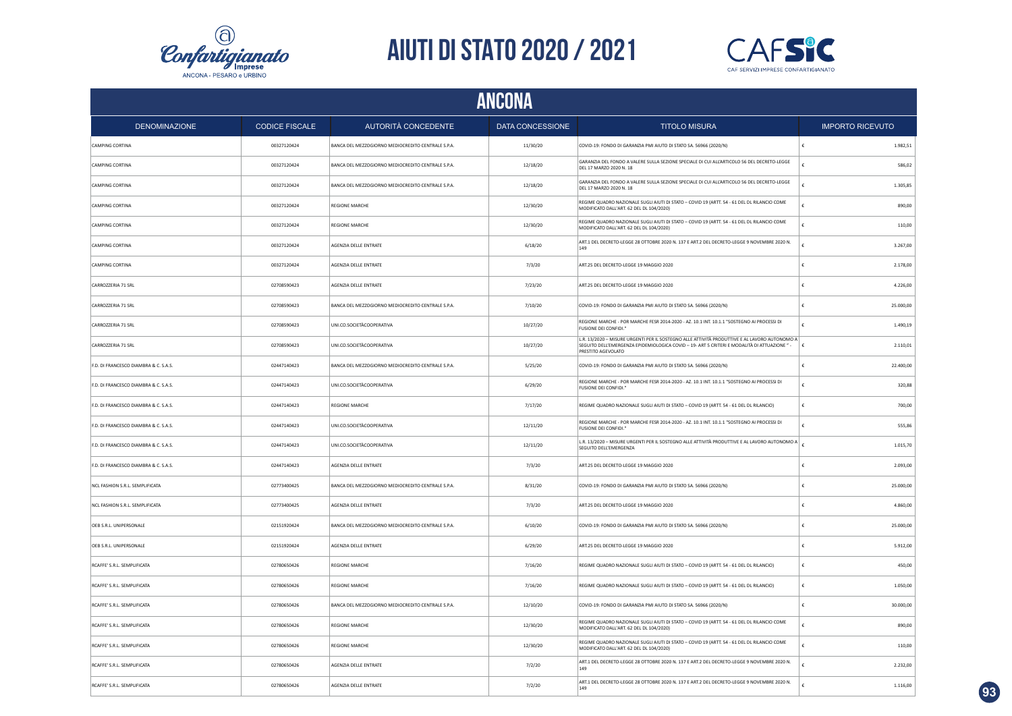



| <b>DENOMINAZIONE</b>                  | <b>CODICE FISCALE</b> | AUTORITÀ CONCEDENTE                                | <b>DATA CONCESSIONE</b> | <b>TITOLO MISURA</b>                                                                                                                                                                                           | <b>IMPORTO RICEVUTO</b> |  |  |  |  |  |  |
|---------------------------------------|-----------------------|----------------------------------------------------|-------------------------|----------------------------------------------------------------------------------------------------------------------------------------------------------------------------------------------------------------|-------------------------|--|--|--|--|--|--|
| CAMPING CORTINA                       | 00327120424           | BANCA DEL MEZZOGIORNO MEDIOCREDITO CENTRALE S.P.A. | 11/30/20                | COVID-19: FONDO DI GARANZIA PMI AIUTO DI STATO SA. 56966 (2020/N)                                                                                                                                              | 1.982,51                |  |  |  |  |  |  |
| CAMPING CORTINA                       | 00327120424           | BANCA DEL MEZZOGIORNO MEDIOCREDITO CENTRALE S.P.A. | 12/18/20                | GARANZIA DEL FONDO A VALERE SULLA SEZIONE SPECIALE DI CUI ALL'ARTICOLO 56 DEL DECRETO-LEGGE<br>DEL 17 MARZO 2020 N. 18                                                                                         | 586,02                  |  |  |  |  |  |  |
| <b>CAMPING CORTINA</b>                | 00327120424           | BANCA DEL MEZZOGIORNO MEDIOCREDITO CENTRALE S.P.A. | 12/18/20                | GARANZIA DEL FONDO A VALERE SULLA SEZIONE SPECIALE DI CUI ALL'ARTICOLO 56 DEL DECRETO-LEGGE<br>DEL 17 MARZO 2020 N. 18                                                                                         | 1.305.85                |  |  |  |  |  |  |
| CAMPING CORTINA                       | 00327120424           | <b>REGIONE MARCHE</b>                              | 12/30/20                | REGIME QUADRO NAZIONALE SUGLI AIUTI DI STATO - COVID 19 (ARTT. 54 - 61 DEL DL RILANCIO COME<br>MODIFICATO DALL'ART. 62 DEL DL 104/2020)                                                                        | 890.00                  |  |  |  |  |  |  |
| CAMPING CORTINA                       | 00327120424           | <b>REGIONE MARCHE</b>                              | 12/30/20                | REGIME QUADRO NAZIONALE SUGLI AIUTI DI STATO - COVID 19 (ARTT. 54 - 61 DEL DL RILANCIO COME<br>MODIFICATO DALL'ART. 62 DEL DL 104/2020)                                                                        | 110,00                  |  |  |  |  |  |  |
| CAMPING CORTINA                       | 00327120424           | AGENZIA DELLE ENTRATE                              | 6/18/20                 | ART.1 DEL DECRETO-LEGGE 28 OTTOBRE 2020 N. 137 E ART.2 DEL DECRETO-LEGGE 9 NOVEMBRE 2020 N.<br>149                                                                                                             | 3.267,00                |  |  |  |  |  |  |
| CAMPING CORTINA                       | 00327120424           | AGENZIA DELLE ENTRATE                              | 7/3/20                  | ART.25 DEL DECRETO-LEGGE 19 MAGGIO 2020                                                                                                                                                                        | 2.178,00                |  |  |  |  |  |  |
| CARROZZERIA 71 SRL                    | 02708590423           | AGENZIA DELLE ENTRATE                              | 7/23/20                 | ART.25 DEL DECRETO-LEGGE 19 MAGGIO 2020                                                                                                                                                                        | 4.226,00                |  |  |  |  |  |  |
| CARROZZERIA 71 SRL                    | 02708590423           | BANCA DEL MEZZOGIORNO MEDIOCREDITO CENTRALE S.P.A. | 7/10/20                 | COVID-19: FONDO DI GARANZIA PMI AIUTO DI STATO SA. 56966 (2020/N)                                                                                                                                              | 25.000,00               |  |  |  |  |  |  |
| CARROZZERIA 71 SRL                    | 02708590423           | UNI.CO.SOCIETÀCOOPERATIVA                          | 10/27/20                | REGIONE MARCHE - POR MARCHE FESR 2014-2020 - AZ. 10.1 INT. 10.1.1 "SOSTEGNO AI PROCESSI DI<br><b>FUSIONE DEI CONFIDI</b>                                                                                       | 1.490,19                |  |  |  |  |  |  |
| CARROZZERIA 71 SRI                    | 02708590423           | UNLCO SOCIETÀCOOPERATIVA                           | 10/27/20                | L.R. 13/2020 - MISURE URGENTI PER IL SOSTEGNO ALLE ATTIVITÀ PRODUTTIVE E AL LAVORO AUTONOMO A<br>SEGUITO DELL'EMERGENZA EPIDEMIOLOGICA COVID-19-ART 5 CRITERI E MODALITÀ DI ATTUAZIONE "<br>PRESTITO AGEVOLATO | £<br>2.110.01           |  |  |  |  |  |  |
| F.D. DI FRANCESCO DIAMBRA & C. S.A.S. | 02447140423           | BANCA DEL MEZZOGIORNO MEDIOCREDITO CENTRALE S.P.A. | 5/25/20                 | COVID-19: FONDO DI GARANZIA PMI AIUTO DI STATO SA. 56966 (2020/N)                                                                                                                                              | 22.400,00               |  |  |  |  |  |  |
| F.D. DI FRANCESCO DIAMBRA & C. S.A.S. | 02447140423           | UNI.CO.SOCIETÀCOOPERATIVA                          | 6/29/20                 | REGIONE MARCHE - POR MARCHE FESR 2014-2020 - AZ. 10.1 INT. 10.1.1 "SOSTEGNO AI PROCESSI DI<br><b>FUSIONE DEI CONFIDI.</b>                                                                                      | 320.88                  |  |  |  |  |  |  |
| F.D. DI FRANCESCO DIAMBRA & C. S.A.S. | 02447140423           | <b>REGIONE MARCHE</b>                              | 7/17/20                 | REGIME QUADRO NAZIONALE SUGLI AIUTI DI STATO - COVID 19 (ARTT. 54 - 61 DEL DL RILANCIO)                                                                                                                        | 700.00                  |  |  |  |  |  |  |
| F.D. DI FRANCESCO DIAMBRA & C. S.A.S. | 02447140423           | UNI.CO.SOCIETÀCOOPERATIVA                          | 12/11/20                | REGIONE MARCHE - POR MARCHE FESR 2014-2020 - AZ. 10.1 INT. 10.1.1 "SOSTEGNO AI PROCESSI DI<br><b>FUSIONE DEL CONFIDI."</b>                                                                                     | 555,86                  |  |  |  |  |  |  |
| F.D. DI FRANCESCO DIAMBRA & C. S.A.S. | 02447140423           | UNI.CO.SOCIETÀCOOPERATIVA                          | 12/11/20                | L.R. 13/2020 - MISURE URGENTI PER IL SOSTEGNO ALLE ATTIVITÀ PRODUTTIVE E AL LAVORO AUTONOMO A<br>SEGUITO DELL'EMERGENZA                                                                                        | 1.015,70                |  |  |  |  |  |  |
| F.D. DI FRANCESCO DIAMBRA & C. S.A.S. | 02447140423           | AGENZIA DELLE ENTRATE                              | 7/3/20                  | ART.25 DEL DECRETO-LEGGE 19 MAGGIO 2020                                                                                                                                                                        | 2.093,00                |  |  |  |  |  |  |
| NCL FASHION S.R.L. SEMPLIFICATA       | 02773400425           | BANCA DEL MEZZOGIORNO MEDIOCREDITO CENTRALE S.P.A. | 8/31/20                 | COVID-19: FONDO DI GARANZIA PMI AIUTO DI STATO SA. 56966 (2020/N)                                                                                                                                              | 25.000,00               |  |  |  |  |  |  |
| NCL FASHION S.R.L. SEMPLIFICATA       | 02773400425           | <b>AGENZIA DELLE ENTRATE</b>                       | 7/3/20                  | ART.25 DEL DECRETO-LEGGE 19 MAGGIO 2020                                                                                                                                                                        | 4.860,00                |  |  |  |  |  |  |
| OEB S.R.L. UNIPERSONALE               | 02151920424           | BANCA DEL MEZZOGIORNO MEDIOCREDITO CENTRALE S.P.A  | 6/10/20                 | COVID-19: FONDO DI GARANZIA PMI AIUTO DI STATO SA, 56966 (2020/N)                                                                                                                                              | 25,000.00               |  |  |  |  |  |  |
| OEB S.R.L. UNIPERSONALE               | 02151920424           | AGENZIA DELLE ENTRATE                              | 6/29/20                 | ART.25 DEL DECRETO-LEGGE 19 MAGGIO 2020                                                                                                                                                                        | 5.912,00                |  |  |  |  |  |  |
| RCAFFE' S.R.L. SEMPLIFICATA           | 02780650426           | <b>REGIONE MARCHE</b>                              | 7/16/20                 | REGIME QUADRO NAZIONALE SUGLI AIUTI DI STATO - COVID 19 (ARTT. 54 - 61 DEL DL RILANCIO)                                                                                                                        | 450.00<br>€             |  |  |  |  |  |  |
| RCAFFE' S.R.L. SEMPLIFICATA           | 02780650426           | <b>REGIONE MARCHE</b>                              | 7/16/20                 | REGIME QUADRO NAZIONALE SUGLI AIUTI DI STATO - COVID 19 (ARTT. 54 - 61 DEL DL RILANCIO)                                                                                                                        | 1.050,00                |  |  |  |  |  |  |
| RCAFFE' S.R.L. SEMPLIFICATA           | 02780650426           | BANCA DEL MEZZOGIORNO MEDIOCREDITO CENTRALE S.P.A. | 12/10/20                | COVID-19: FONDO DI GARANZIA PMI AIUTO DI STATO SA. 56966 (2020/N)                                                                                                                                              | 30.000,00               |  |  |  |  |  |  |
| RCAFFE' S.R.L. SEMPLIFICATA           | 02780650426           | <b>REGIONE MARCHE</b>                              | 12/30/20                | REGIME QUADRO NAZIONALE SUGLI AIUTI DI STATO - COVID 19 (ARTT. 54 - 61 DEL DL RILANCIO COME<br>MODIFICATO DALL'ART. 62 DEL DL 104/2020)                                                                        | 890,00                  |  |  |  |  |  |  |
| RCAFFE' S.R.L. SEMPLIFICATA           | 02780650426           | <b>REGIONE MARCHE</b>                              | 12/30/20                | REGIME QUADRO NAZIONALE SUGLI AIUTI DI STATO - COVID 19 (ARTT. 54 - 61 DEL DL RILANCIO COME<br>MODIFICATO DALL'ART. 62 DEL DL 104/2020)                                                                        | 110,00                  |  |  |  |  |  |  |
| RCAFFE' S.R.L. SEMPLIFICATA           | 02780650426           | AGENZIA DELLE ENTRATE                              | 7/2/20                  | ART.1 DEL DECRETO-LEGGE 28 OTTOBRE 2020 N. 137 E ART.2 DEL DECRETO-LEGGE 9 NOVEMBRE 2020 N.<br>149                                                                                                             | 2.232,00                |  |  |  |  |  |  |
| RCAFFE' S.R.L. SEMPLIFICATA           | 02780650426           | AGENZIA DELLE ENTRATE                              | 7/2/20                  | ART.1 DEL DECRETO-LEGGE 28 OTTOBRE 2020 N. 137 E ART.2 DEL DECRETO-LEGGE 9 NOVEMBRE 2020 N.<br>149                                                                                                             | 1.116,00                |  |  |  |  |  |  |

**93**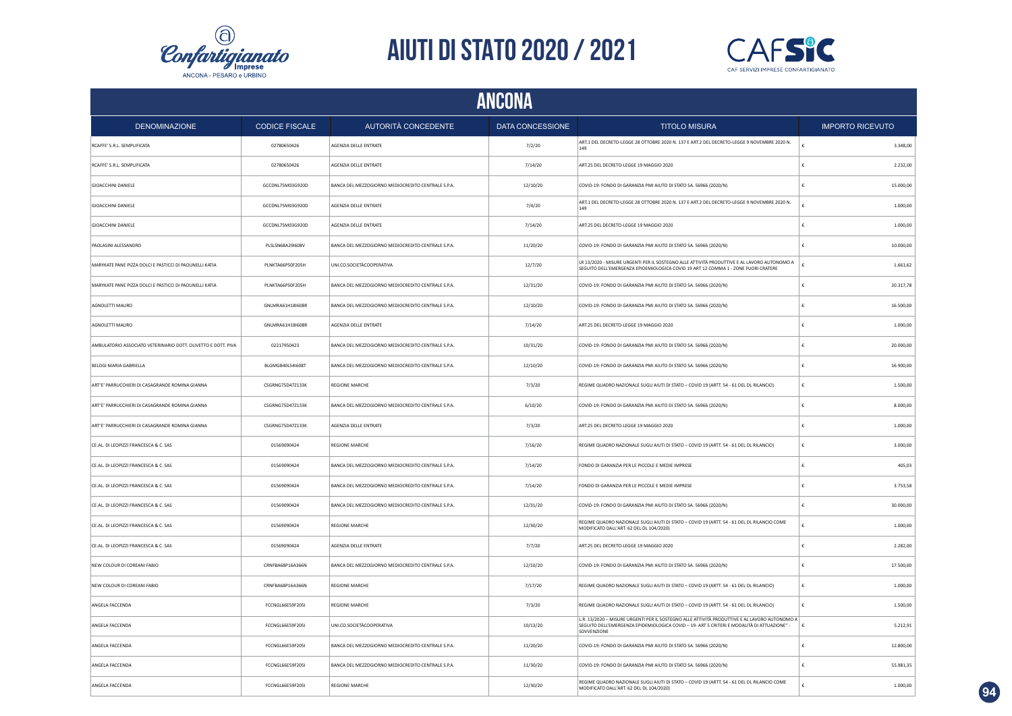



| ANCONA                                                        |                         |                                                    |                  |                                                                                                                                                                                                             |                         |  |  |
|---------------------------------------------------------------|-------------------------|----------------------------------------------------|------------------|-------------------------------------------------------------------------------------------------------------------------------------------------------------------------------------------------------------|-------------------------|--|--|
| <b>DENOMINAZIONE</b>                                          | <b>CODICE FISCALE</b>   | AUTORITÀ CONCEDENTE                                | DATA CONCESSIONE | <b>TITOLO MISURA</b>                                                                                                                                                                                        | <b>IMPORTO RICEVUTO</b> |  |  |
| RCAFFE' S.R.L. SEMPLIFICATA                                   | 02780650426             | AGENZIA DELLE ENTRATE                              | 7/2/20           | ART.1 DEL DECRETO-LEGGE 28 OTTOBRE 2020 N. 137 E ART.2 DEL DECRETO-LEGGE 9 NOVEMBRE 2020 N.<br>149                                                                                                          | 3.348,00                |  |  |
| RCAFFE' S.R.L. SEMPLIFICATA                                   | 02780650426             | AGENZIA DELLE ENTRATE                              | 7/14/20          | ART.25 DEL DECRETO-LEGGE 19 MAGGIO 2020                                                                                                                                                                     | 2.232,00<br>£           |  |  |
| <b>GIOACCHINI DANIELE</b>                                     | GCCDNL75M03G920D        | BANCA DEL MEZZOGIORNO MEDIOCREDITO CENTRALE S.P.A. | 12/10/20         | COVID-19: FONDO DI GARANZIA PMI AIUTO DI STATO SA. 56966 (2020/N)                                                                                                                                           | £<br>15.000,00          |  |  |
| <b>GIOACCHINI DANIELE</b>                                     | GCCDNL75M03G920D        | AGENZIA DELLE ENTRATE                              | 7/4/20           | ART.1 DEL DECRETO-LEGGE 28 OTTOBRE 2020 N. 137 E ART.2 DEL DECRETO-LEGGE 9 NOVEMBRE 2020 N.<br>149                                                                                                          | 1.000,00                |  |  |
| <b>GIOACCHINI DANIELE</b>                                     | GCCDNL75M03G920D        | AGENZIA DELLE ENTRATE                              | 7/14/20          | ART.25 DEL DECRETO-LEGGE 19 MAGGIO 2020                                                                                                                                                                     | £<br>1.000,00           |  |  |
| PAOLASINI ALESSANDRO                                          | PLSLSN68A29I608V        | BANCA DEL MEZZOGIORNO MEDIOCREDITO CENTRALE S.P.A. | 11/20/20         | COVID-19: FONDO DI GARANZIA PMI AIUTO DI STATO SA. 56966 (2020/N)                                                                                                                                           | €<br>10.000,00          |  |  |
| MARYKATE PANE PIZZA DOLCI E PASTICCI DI PAOLINELLI KATIA      | PLNKTA66P50F205H        | UNI.CO.SOCIETÀCOOPERATIVA                          | 12/7/20          | LR 13/2020 - MISURE URGENTI PER IL SOSTEGNO ALLE ATTIVITÀ PRODUTTIVE E AL LAVORO AUTONOMO A<br>SEGUITO DELL'EMERGENZA EPIDEMIOLOGICA COVID 19 ART 12 COMMA 1 - ZONE FUORI CRATERE                           | 1.661,62<br>£           |  |  |
| MARYKATE PANE PIZZA DOLCI E PASTICCI DI PAOLINELLI KATIA      | PLNKTA66P50F205H        | BANCA DEL MEZZOGIORNO MEDIOCREDITO CENTRALE S.P.A. | 12/31/20         | COVID-19: FONDO DI GARANZIA PMI AIUTO DI STATO SA. 56966 (2020/N)                                                                                                                                           | 20.317,78<br>ŧ          |  |  |
| AGNOLETTI MAURO                                               | GNLMRA61H18I608R        | BANCA DEL MEZZOGIORNO MEDIOCREDITO CENTRALE S.P.A. | 12/10/20         | COVID-19: FONDO DI GARANZIA PMI AIUTO DI STATO SA. 56966 (2020/N)                                                                                                                                           | 16.500,00<br>€          |  |  |
| AGNOLETTI MAURO                                               | GNLMRA61H18I608R        | AGENZIA DELLE ENTRATE                              | 7/14/20          | ART.25 DEL DECRETO-LEGGE 19 MAGGIO 2020                                                                                                                                                                     | 1.000,00                |  |  |
| AMBULATORIO ASSOCIATO VETERINARIO DOTT. OLIVETTO E DOTT. PIVA | 02217950423             | BANCA DEL MEZZOGIORNO MEDIOCREDITO CENTRALE S.P.A. | 10/31/20         | COVID-19: FONDO DI GARANZIA PMI AIUTO DI STATO SA. 56966 (2020/N)                                                                                                                                           | €<br>20.000,00          |  |  |
| BELOGI MARIA GABRIELLA                                        | BLGMGB40L541608T        | BANCA DEL MEZZOGIORNO MEDIOCREDITO CENTRALE S.P.A. | 12/10/20         | COVID-19: FONDO DI GARANZIA PMI AIUTO DI STATO SA. 56966 (2020/N)                                                                                                                                           | 16.900,00<br>€          |  |  |
| ART'E' PARRUCCHIERI DI CASAGRANDE ROMINA GIANNA               | <b>CSGRNG75D47Z133K</b> | <b>REGIONE MARCHE</b>                              | 7/3/20           | REGIME QUADRO NAZIONALE SUGLI AIUTI DI STATO - COVID 19 (ARTT. 54 - 61 DEL DL RILANCIO)                                                                                                                     | ŧ<br>1.500,00           |  |  |
| ART'E' PARRUCCHIERI DI CASAGRANDE ROMINA GIANNA               | CSGRNG75D47Z133K        | BANCA DEL MEZZOGIORNO MEDIOCREDITO CENTRALE S.P.A. | 6/10/20          | COVID-19: FONDO DI GARANZIA PMI AIUTO DI STATO SA. 56966 (2020/N)                                                                                                                                           | ŧ<br>8.000,00           |  |  |
| ART'E' PARRUCCHIERI DI CASAGRANDE ROMINA GIANNA               | CSGRNG75D47Z133K        | AGENZIA DELLE ENTRATE                              | 7/3/20           | ART.25 DEL DECRETO-LEGGE 19 MAGGIO 2020                                                                                                                                                                     | ŧ<br>1.000,00           |  |  |
| CE.AL. DI LEOPIZZI FRANCESCA & C. SAS                         | 01569090424             | <b>REGIONE MARCHE</b>                              | 7/16/20          | REGIME QUADRO NAZIONALE SUGLI AIUTI DI STATO - COVID 19 (ARTT. 54 - 61 DEL DL RILANCIO)                                                                                                                     | ŧ<br>3.000,00           |  |  |
| CE.AL. DI LEOPIZZI FRANCESCA & C. SAS                         | 01569090424             | BANCA DEL MEZZOGIORNO MEDIOCREDITO CENTRALE S.P.A. | 7/14/20          | FONDO DI GARANZIA PER LE PICCOLE E MEDIE IMPRESE                                                                                                                                                            | 405.03<br>£             |  |  |
| CE.AL. DI LEOPIZZI FRANCESCA & C. SAS                         | 01569090424             | BANCA DEL MEZZOGIORNO MEDIOCREDITO CENTRALE S.P.A. | 7/14/20          | FONDO DI GARANZIA PER LE PICCOLE E MEDIE IMPRESE                                                                                                                                                            | 3.753,58                |  |  |
| CE.AL. DI LEOPIZZI FRANCESCA & C. SAS                         | 01569090424             | BANCA DEL MEZZOGIORNO MEDIOCREDITO CENTRALE S.P.A. | 12/31/20         | COVID-19: FONDO DI GARANZIA PMI AIUTO DI STATO SA. 56966 (2020/N)                                                                                                                                           | 30.000,00               |  |  |
| CE.AL. DI LEOPIZZI FRANCESCA & C. SAS                         | 01569090424             | <b>REGIONE MARCHE</b>                              | 12/30/20         | REGIME QUADRO NAZIONALE SUGLI AIUTI DI STATO - COVID 19 (ARTT. 54 - 61 DEL DL RILANCIO COME<br>MODIFICATO DALL'ART. 62 DEL DL 104/2020)                                                                     | 1.000,00                |  |  |
| CE.AL. DI LEOPIZZI FRANCESCA & C. SAS                         | 01569090424             | AGENZIA DELLE ENTRATE                              | 7/7/20           | ART.25 DEL DECRETO-LEGGE 19 MAGGIO 2020                                                                                                                                                                     | 2.282,00<br>£           |  |  |
| NEW COLOUR DI COREANI FABIO                                   | CRNFBA68P16A366N        | BANCA DEL MEZZOGIORNO MEDIOCREDITO CENTRALE S.P.A. | 12/10/20         | COVID-19: FONDO DI GARANZIA PMI AIUTO DI STATO SA. 56966 (2020/N)                                                                                                                                           | 17.500,00<br>e          |  |  |
| NEW COLOUR DI COREANI FABIO                                   | CRNFBA68P16A366N        | <b>REGIONE MARCHE</b>                              | 7/17/20          | REGIME QUADRO NAZIONALE SUGLI AIUTI DI STATO - COVID 19 (ARTT. 54 - 61 DEL DL RILANCIO)                                                                                                                     | ŧ<br>1.000,00           |  |  |
| ANGELA FACCENDA                                               | FCCNGL66E59F205I        | <b>REGIONE MARCHE</b>                              | 7/3/20           | REGIME QUADRO NAZIONALE SUGLI AIUTI DI STATO - COVID 19 (ARTT. 54 - 61 DEL DL RILANCIO)                                                                                                                     | ŧ<br>1.500.00           |  |  |
| ANGELA FACCENDA                                               | FCCNGL66E59F205I        | UNI.CO.SOCIETÀCOOPERATIVA                          | 10/13/20         | L.R. 13/2020 - MISURE URGENTI PER IL SOSTEGNO ALLE ATTIVITÀ PRODUTTIVE E AL LAVORO AUTONOMO A<br>SEGUITO DELL'EMERGENZA EPIDEMIOLOGICA COVID - 19- ART 5 CRITERI E MODALITÀ DI ATTUAZIONE" -<br>SOVVENZIONE | 5.212,91<br>١€          |  |  |
| ANGELA FACCENDA                                               | FCCNGL66E59F205I        | BANCA DEL MEZZOGIORNO MEDIOCREDITO CENTRALE S.P.A. | 11/20/20         | COVID-19: FONDO DI GARANZIA PMI AIUTO DI STATO SA. 56966 (2020/N)                                                                                                                                           | ŧ<br>12,800.00          |  |  |
| ANGELA FACCENDA                                               | FCCNGL66E59F205I        | BANCA DEL MEZZOGIORNO MEDIOCREDITO CENTRALE S.P.A  | 11/30/20         | COVID-19: FONDO DI GARANZIA PMI AIUTO DI STATO SA. 56966 (2020/N)                                                                                                                                           | 55.981,35<br>€          |  |  |
| ANGELA FACCENDA                                               | FCCNGL66E59F205I        | <b>REGIONE MARCHE</b>                              | 12/30/20         | REGIME QUADRO NAZIONALE SUGLI AIUTI DI STATO - COVID 19 (ARTT. 54 - 61 DEL DL RILANCIO COME<br>MODIFICATO DALL'ART. 62 DEL DL 104/2020)                                                                     | 1.000,00                |  |  |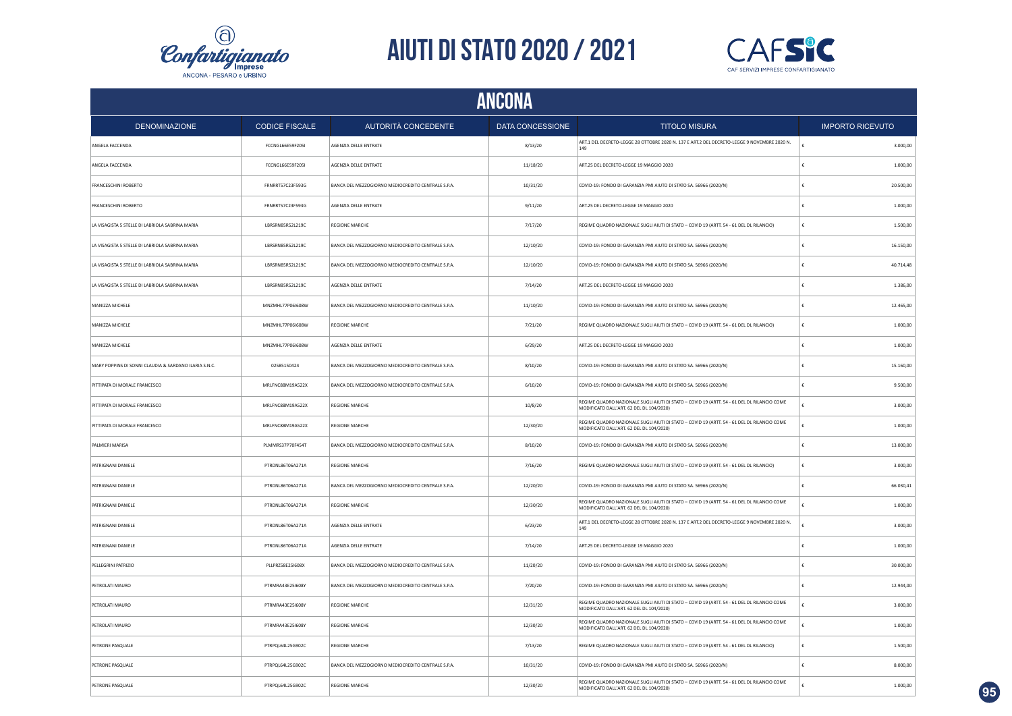



|                                                       | ANCONA                |                                                    |                  |                                                                                                                                         |                         |  |  |  |
|-------------------------------------------------------|-----------------------|----------------------------------------------------|------------------|-----------------------------------------------------------------------------------------------------------------------------------------|-------------------------|--|--|--|
| <b>DENOMINAZIONE</b>                                  | <b>CODICE FISCALE</b> | AUTORITÀ CONCEDENTE                                | DATA CONCESSIONE | <b>TITOLO MISURA</b>                                                                                                                    | <b>IMPORTO RICEVUTO</b> |  |  |  |
| ANGELA FACCENDA                                       | FCCNGL66E59F205I      | AGENZIA DELLE ENTRATE                              | 8/13/20          | ART.1 DEL DECRETO-LEGGE 28 OTTOBRE 2020 N. 137 E ART.2 DEL DECRETO-LEGGE 9 NOVEMBRE 2020 N.<br>149                                      | 3.000,00                |  |  |  |
| ANGELA FACCENDA                                       | FCCNGL66E59F205I      | AGENZIA DELLE ENTRATE                              | 11/18/20         | ART.25 DEL DECRETO-LEGGE 19 MAGGIO 2020                                                                                                 | 1.000,00                |  |  |  |
| FRANCESCHINI ROBERTO                                  | FRNRRT57C23F593G      | BANCA DEL MEZZOGIORNO MEDIOCREDITO CENTRALE S.P.A. | 10/31/20         | COVID-19: FONDO DI GARANZIA PMI AIUTO DI STATO SA. 56966 (2020/N)                                                                       | £<br>20.500,00          |  |  |  |
| FRANCESCHINI ROBERTO                                  | FRNRRT57C23F593G      | AGENZIA DELLE ENTRATE                              | 9/11/20          | ART.25 DEL DECRETO-LEGGE 19 MAGGIO 2020                                                                                                 | 1.000,00<br>£           |  |  |  |
| LA VISAGISTA 5 STELLE DI LABRIOLA SABRINA MARIA       | LBRSRN85R52L219C      | <b>REGIONE MARCHE</b>                              | 7/17/20          | REGIME QUADRO NAZIONALE SUGLI AIUTI DI STATO - COVID 19 (ARTT. 54 - 61 DEL DL RILANCIO)                                                 | 1.500,00<br>€           |  |  |  |
| LA VISAGISTA 5 STELLE DI LABRIOLA SABRINA MARIA       | LBRSRN85R52L219C      | BANCA DEL MEZZOGIORNO MEDIOCREDITO CENTRALE S.P.A. | 12/10/20         | COVID-19: FONDO DI GARANZIA PMI AIUTO DI STATO SA. 56966 (2020/N)                                                                       | €<br>16.150,00          |  |  |  |
| LA VISAGISTA 5 STELLE DI LABRIOLA SABRINA MARIA       | LBRSRN85R52L219C      | BANCA DEL MEZZOGIORNO MEDIOCREDITO CENTRALE S.P.A. | 12/10/20         | COVID-19: FONDO DI GARANZIA PMI AIUTO DI STATO SA. 56966 (2020/N)                                                                       | $\epsilon$<br>40.714,48 |  |  |  |
| LA VISAGISTA 5 STELLE DI LABRIOLA SABRINA MARIA       | LBRSRN85R52L219C      | AGENZIA DELLE ENTRATE                              | 7/14/20          | ART.25 DEL DECRETO-LEGGE 19 MAGGIO 2020                                                                                                 | 1.386,00<br>$\epsilon$  |  |  |  |
| MANIZZA MICHELE                                       | MNZMHL77P061608W      | BANCA DEL MEZZOGIORNO MEDIOCREDITO CENTRALE S.P.A. | 11/10/20         | COVID-19: FONDO DI GARANZIA PMI AIUTO DI STATO SA, 56966 (2020/N)                                                                       | 12.465,00<br>€          |  |  |  |
| MANIZZA MICHELE                                       | MNZMHL77P06I608W      | <b>REGIONE MARCHE</b>                              | 7/21/20          | REGIME QUADRO NAZIONALE SUGLI AIUTI DI STATO - COVID 19 (ARTT. 54 - 61 DEL DL RILANCIO)                                                 | €<br>1.000,00           |  |  |  |
| MANIZZA MICHELE                                       | MNZMHL77P06I608W      | AGENZIA DELLE ENTRATE                              | 6/29/20          | ART.25 DEL DECRETO-LEGGE 19 MAGGIO 2020                                                                                                 | €<br>1.000,00           |  |  |  |
| MARY POPPINS DI SONNI CLAUDIA & SARDANO ILARIA S.N.C. | 02585150424           | BANCA DEL MEZZOGIORNO MEDIOCREDITO CENTRALE S.P.A. | 8/10/20          | COVID-19: FONDO DI GARANZIA PMI AIUTO DI STATO SA. 56966 (2020/N)                                                                       | 15.160,00<br>€          |  |  |  |
| PITTIPATA DI MORALE FRANCESCO                         | MRLFNC88M19A522X      | BANCA DEL MEZZOGIORNO MEDIOCREDITO CENTRALE S.P.A. | 6/10/20          | COVID-19: FONDO DI GARANZIA PMI AIUTO DI STATO SA. 56966 (2020/N)                                                                       | £<br>9.500,00           |  |  |  |
| PITTIPATA DI MORALE FRANCESCO                         | MRLFNC88M19A522X      | <b>REGIONE MARCHE</b>                              | 10/8/20          | REGIME QUADRO NAZIONALE SUGLI AIUTI DI STATO - COVID 19 (ARTT. 54 - 61 DEL DL RILANCIO COME<br>MODIFICATO DALL'ART. 62 DEL DL 104/2020) | 3.000,00                |  |  |  |
| PITTIPATA DI MORALE FRANCESCO                         | MRLFNC88M19A522X      | <b>REGIONE MARCHE</b>                              | 12/30/20         | REGIME QUADRO NAZIONALE SUGLI AIUTI DI STATO - COVID 19 (ARTT. 54 - 61 DEL DL RILANCIO COME<br>MODIFICATO DALL'ART. 62 DEL DL 104/2020) | £<br>1.000,00           |  |  |  |
| PALMIERI MARISA                                       | PLMMRS37P70F454T      | BANCA DEL MEZZOGIORNO MEDIOCREDITO CENTRALE S.P.A. | 8/10/20          | COVID-19: FONDO DI GARANZIA PMI AIUTO DI STATO SA. 56966 (2020/N)                                                                       | 13.000,00<br>€          |  |  |  |
| PATRIGNANI DANIELE                                    | PTRDNL86T06A271A      | <b>REGIONE MARCHE</b>                              | 7/16/20          | REGIME QUADRO NAZIONALE SUGLI AIUTI DI STATO - COVID 19 (ARTT. 54 - 61 DEL DL RILANCIO)                                                 | €<br>3.000,00           |  |  |  |
| PATRIGNANI DANIELE                                    | PTRDNL86T06A271A      | BANCA DEL MEZZOGIORNO MEDIOCREDITO CENTRALE S.P.A. | 12/20/20         | COVID-19: FONDO DI GARANZIA PMI AIUTO DI STATO SA. 56966 (2020/N)                                                                       | 66.030,41               |  |  |  |
| PATRIGNANI DANIELE                                    | PTRDNL86T06A271A      | <b>REGIONE MARCHE</b>                              | 12/30/20         | REGIME QUADRO NAZIONALE SUGLI AIUTI DI STATO - COVID 19 (ARTT. 54 - 61 DEL DL RILANCIO COME<br>MODIFICATO DALL'ART, 62 DEL DL 104/2020) | 1.000,00                |  |  |  |
| PATRIGNANI DANIELE                                    | PTRDNL86T06A271A      | AGENZIA DELLE ENTRATE                              | 6/23/20          | ART.1 DEL DECRETO-LEGGE 28 OTTOBRE 2020 N. 137 E ART.2 DEL DECRETO-LEGGE 9 NOVEMBRE 2020 N.<br>149                                      | 3.000,00                |  |  |  |
| PATRIGNANI DANIELE                                    | PTRDNL86T06A271A      | AGENZIA DELLE ENTRATE                              | 7/14/20          | ART.25 DEL DECRETO-LEGGE 19 MAGGIO 2020                                                                                                 | 1.000,00<br>£           |  |  |  |
| PELLEGRINI PATRIZIO                                   | PLLPRZ58E25I608X      | BANCA DEL MEZZOGIORNO MEDIOCREDITO CENTRALE S.P.A. | 11/20/20         | COVID-19: FONDO DI GARANZIA PMI AIUTO DI STATO SA. 56966 (2020/N)                                                                       | 30.000,00<br>£          |  |  |  |
| PETROLATI MAURO                                       | PTRMRA43E25I608Y      | BANCA DEL MEZZOGIORNO MEDIOCREDITO CENTRALE S.P.A. | 7/20/20          | COVID-19: FONDO DI GARANZIA PMI AIUTO DI STATO SA. 56966 (2020/N)                                                                       | £<br>12.944,00          |  |  |  |
| PETROLATI MAURO                                       | PTRMRA43E25I608Y      | <b>REGIONE MARCHE</b>                              | 12/31/20         | REGIME QUADRO NAZIONALE SUGLI AIUTI DI STATO - COVID 19 (ARTT. 54 - 61 DEL DL RILANCIO COME<br>MODIFICATO DALL'ART. 62 DEL DL 104/2020) | £<br>3.000.00           |  |  |  |
| PETROLATI MAURO                                       | PTRMRA43E25I608Y      | <b>REGIONE MARCHE</b>                              | 12/30/20         | REGIME QUADRO NAZIONALE SUGLI AIUTI DI STATO - COVID 19 (ARTT. 54 - 61 DEL DL RILANCIO COME<br>MODIFICATO DALL'ART. 62 DEL DL 104/2020) | 1.000,00<br>£           |  |  |  |
| PETRONE PASQUALE                                      | PTRPQL64L25G902C      | <b>REGIONE MARCHE</b>                              | 7/13/20          | REGIME QUADRO NAZIONALE SUGLI AIUTI DI STATO - COVID 19 (ARTT. 54 - 61 DEL DL RILANCIO)                                                 | €<br>1.500.00           |  |  |  |
| PETRONE PASQUALE                                      | PTRPOL64L25G902C      | BANCA DEL MEZZOGIORNO MEDIOCREDITO CENTRALE S.P.A. | 10/31/20         | COVID-19: FONDO DI GARANZIA PMI AIUTO DI STATO SA. 56966 (2020/N)                                                                       | $\epsilon$<br>8.000,00  |  |  |  |
| PETRONE PASQUALE                                      | PTRPQL64L25G902C      | <b>REGIONE MARCHE</b>                              | 12/30/20         | REGIME QUADRO NAZIONALE SUGLI AIUTI DI STATO - COVID 19 (ARTT. 54 - 61 DEL DL RILANCIO COME<br>MODIFICATO DALL'ART. 62 DEL DL 104/2020) | €<br>1.000,00           |  |  |  |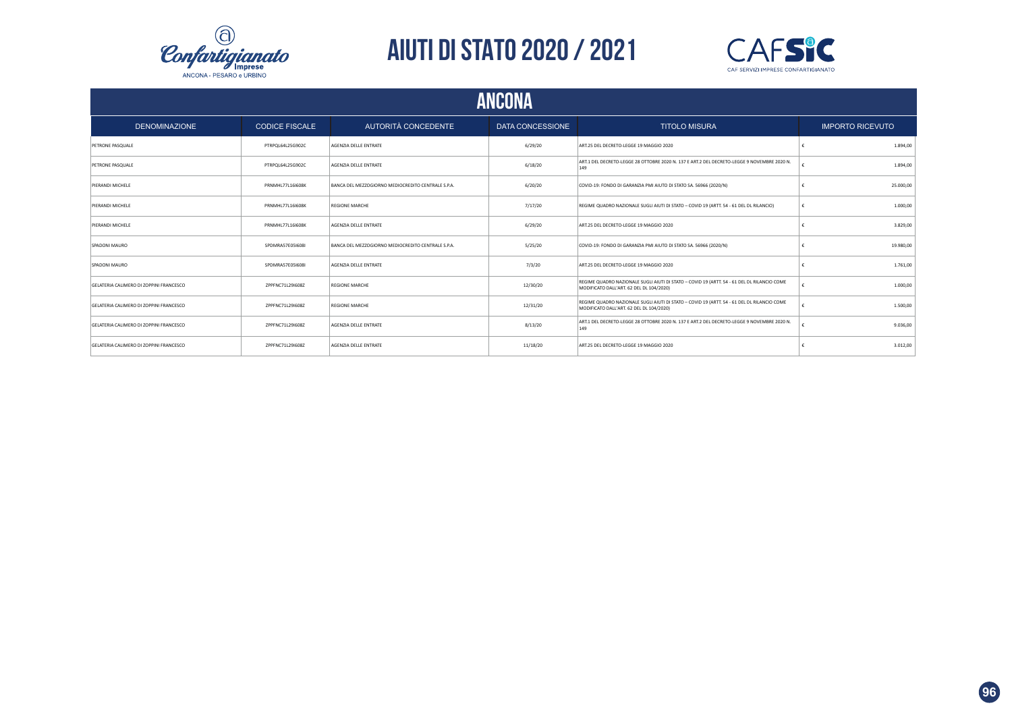



| <b>ANCONA</b>                           |                         |                                                    |                  |                                                                                                                                         |                         |  |  |
|-----------------------------------------|-------------------------|----------------------------------------------------|------------------|-----------------------------------------------------------------------------------------------------------------------------------------|-------------------------|--|--|
| <b>DENOMINAZIONE</b>                    | <b>CODICE FISCALE</b>   | AUTORITÀ CONCEDENTE                                | DATA CONCESSIONE | <b>TITOLO MISURA</b>                                                                                                                    | <b>IMPORTO RICEVUTO</b> |  |  |
| PETRONE PASQUALE                        | PTRPOL64L25G902C        | AGENZIA DELLE ENTRATE                              | 6/29/20          | ART.25 DEL DECRETO-LEGGE 19 MAGGIO 2020                                                                                                 | 1,894.00                |  |  |
| <b>PETRONE PASQUALE</b>                 | PTRPOL64L25G902C        | AGENZIA DELLE ENTRATE                              | 6/18/20          | ART.1 DEL DECRETO-LEGGE 28 OTTOBRE 2020 N. 137 E ART.2 DEL DECRETO-LEGGE 9 NOVEMBRE 2020 N.<br>149                                      | 1.894.00                |  |  |
| PIERANDI MICHELE                        | PRNMHL77L16I608K        | BANCA DEL MEZZOGIORNO MEDIOCREDITO CENTRALE S.P.A. | 6/20/20          | COVID-19: FONDO DI GARANZIA PMI AIUTO DI STATO SA. 56966 (2020/N)                                                                       | 25.000,00               |  |  |
| PIERANDI MICHELE                        | <b>PRNMHL77L16I608K</b> | <b>REGIONE MARCHE</b>                              | 7/17/20          | REGIME QUADRO NAZIONALE SUGLI AIUTI DI STATO - COVID 19 (ARTT. 54 - 61 DEL DL RILANCIO)                                                 | 1.000.00                |  |  |
| PIERANDI MICHELE                        | <b>PRNMHL77L16I608K</b> | AGENZIA DELLE ENTRATE                              | 6/29/20          | ART.25 DEL DECRETO-LEGGE 19 MAGGIO 2020                                                                                                 | 3,829.00                |  |  |
| SPADONI MAURO                           | SPDMRA57E05I608I        | BANCA DEL MEZZOGIORNO MEDIOCREDITO CENTRALE S.P.A. | 5/25/20          | COVID-19: FONDO DI GARANZIA PMI AIUTO DI STATO SA. 56966 (2020/N)                                                                       | 19,980.00               |  |  |
| SPADONI MAURO                           | SPDMRA57E05I608I        | AGENZIA DELLE ENTRATE                              | 7/3/20           | ART.25 DEL DECRETO-LEGGE 19 MAGGIO 2020                                                                                                 | 1.761,00                |  |  |
| GELATERIA CALIMERO DI ZOPPINI FRANCESCO | ZPPFNC71L29I608Z        | <b>REGIONE MARCHE</b>                              | 12/30/20         | REGIME QUADRO NAZIONALE SUGLI AIUTI DI STATO - COVID 19 (ARTT. 54 - 61 DEL DL RILANCIO COME<br>MODIFICATO DALL'ART. 62 DEL DL 104/2020) | 1.000,00                |  |  |
| GELATERIA CALIMERO DI ZOPPINI FRANCESCO | ZPPFNC71L29I608Z        | <b>REGIONE MARCHE</b>                              | 12/31/20         | REGIME QUADRO NAZIONALE SUGLI AIUTI DI STATO - COVID 19 (ARTT. 54 - 61 DEL DL RILANCIO COME<br>MODIFICATO DALL'ART. 62 DEL DL 104/2020) | 1,500.00                |  |  |
| GELATERIA CALIMERO DI ZOPPINI FRANCESCO | ZPPFNC71L29I608Z        | AGENZIA DELLE ENTRATE                              | 8/13/20          | ART.1 DEL DECRETO-LEGGE 28 OTTOBRE 2020 N. 137 E ART.2 DEL DECRETO-LEGGE 9 NOVEMBRE 2020 N.<br>149                                      | 9.036.00                |  |  |
| GELATERIA CALIMERO DI ZOPPINI FRANCESCO | ZPPFNC71L29I608Z        | AGENZIA DELLE ENTRATE                              | 11/18/20         | ART.25 DEL DECRETO-LEGGE 19 MAGGIO 2020                                                                                                 | 3.012,00                |  |  |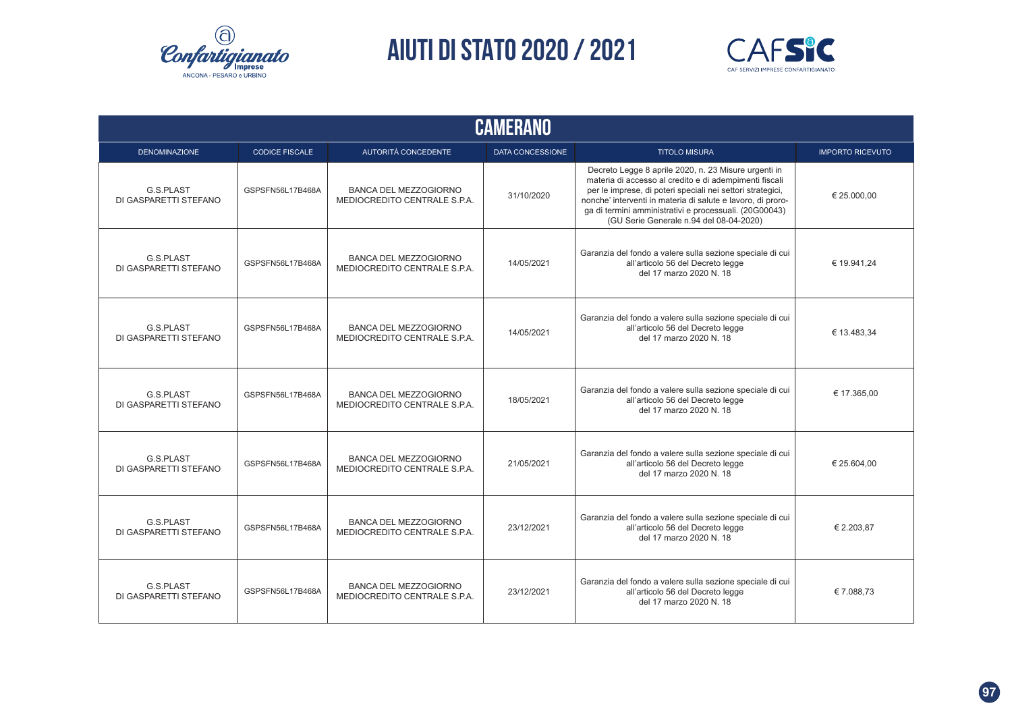



| <b>CAMERANO</b>                    |                       |                                                              |                         |                                                                                                                                                                                                                                                                                                                                                  |                         |  |  |  |  |  |
|------------------------------------|-----------------------|--------------------------------------------------------------|-------------------------|--------------------------------------------------------------------------------------------------------------------------------------------------------------------------------------------------------------------------------------------------------------------------------------------------------------------------------------------------|-------------------------|--|--|--|--|--|
| <b>DENOMINAZIONE</b>               | <b>CODICE FISCALE</b> | <b>AUTORITÀ CONCEDENTE</b>                                   | <b>DATA CONCESSIONE</b> | <b>TITOLO MISURA</b>                                                                                                                                                                                                                                                                                                                             | <b>IMPORTO RICEVUTO</b> |  |  |  |  |  |
| G.S.PLAST<br>DI GASPARETTI STEFANO | GSPSFN56L17B468A      | <b>BANCA DEL MEZZOGIORNO</b><br>MEDIOCREDITO CENTRALE S.P.A. | 31/10/2020              | Decreto Legge 8 aprile 2020, n. 23 Misure urgenti in<br>materia di accesso al credito e di adempimenti fiscali<br>per le imprese, di poteri speciali nei settori strategici,<br>nonche' interventi in materia di salute e lavoro, di proro-<br>ga di termini amministrativi e processuali. (20G00043)<br>(GU Serie Generale n.94 del 08-04-2020) | € 25.000,00             |  |  |  |  |  |
| G.S.PLAST<br>DI GASPARETTI STEFANO | GSPSFN56L17B468A      | <b>BANCA DEL MEZZOGIORNO</b><br>MEDIOCREDITO CENTRALE S.P.A. | 14/05/2021              | Garanzia del fondo a valere sulla sezione speciale di cui<br>all'articolo 56 del Decreto legge<br>del 17 marzo 2020 N. 18                                                                                                                                                                                                                        | € 19.941.24             |  |  |  |  |  |
| G.S.PLAST<br>DI GASPARETTI STEFANO | GSPSFN56L17B468A      | <b>BANCA DEL MEZZOGIORNO</b><br>MEDIOCREDITO CENTRALE S.P.A. | 14/05/2021              | Garanzia del fondo a valere sulla sezione speciale di cui<br>all'articolo 56 del Decreto legge<br>del 17 marzo 2020 N. 18                                                                                                                                                                                                                        | € 13.483.34             |  |  |  |  |  |
| G.S.PLAST<br>DI GASPARETTI STEFANO | GSPSFN56L17B468A      | <b>BANCA DEL MEZZOGIORNO</b><br>MEDIOCREDITO CENTRALE S.P.A. | 18/05/2021              | Garanzia del fondo a valere sulla sezione speciale di cui<br>all'articolo 56 del Decreto legge<br>del 17 marzo 2020 N. 18                                                                                                                                                                                                                        | € 17.365,00             |  |  |  |  |  |
| G.S.PLAST<br>DI GASPARETTI STEFANO | GSPSFN56L17B468A      | <b>BANCA DEL MEZZOGIORNO</b><br>MEDIOCREDITO CENTRALE S.P.A. | 21/05/2021              | Garanzia del fondo a valere sulla sezione speciale di cui<br>all'articolo 56 del Decreto legge<br>del 17 marzo 2020 N. 18                                                                                                                                                                                                                        | € 25.604,00             |  |  |  |  |  |
| G.S.PLAST<br>DI GASPARETTI STEFANO | GSPSFN56L17B468A      | <b>BANCA DEL MEZZOGIORNO</b><br>MEDIOCREDITO CENTRALE S.P.A. | 23/12/2021              | Garanzia del fondo a valere sulla sezione speciale di cui<br>all'articolo 56 del Decreto legge<br>del 17 marzo 2020 N. 18                                                                                                                                                                                                                        | € 2.203,87              |  |  |  |  |  |
| G.S.PLAST<br>DI GASPARETTI STEFANO | GSPSFN56L17B468A      | <b>BANCA DEL MEZZOGIORNO</b><br>MEDIOCREDITO CENTRALE S.P.A. | 23/12/2021              | Garanzia del fondo a valere sulla sezione speciale di cui<br>all'articolo 56 del Decreto legge<br>del 17 marzo 2020 N. 18                                                                                                                                                                                                                        | €7.088,73               |  |  |  |  |  |